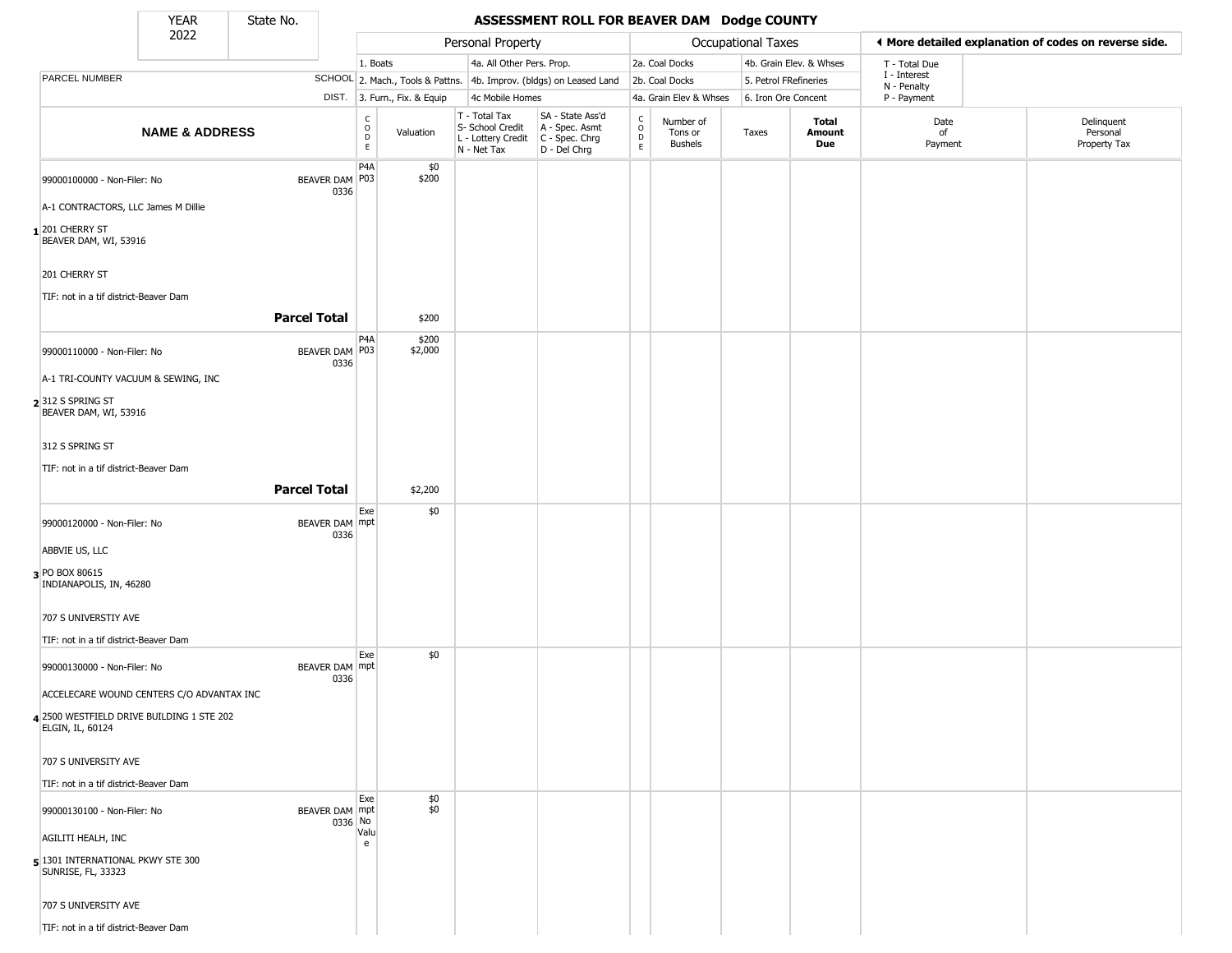State No.

 $\Box$ 

## YEAR **ASSESSMENT ROLL FOR BEAVER DAM Dodge COUNTY**

|                                                                      | 2022                                      |                     |         |                                                   |                              | Personal Property                                                      |                                                                      |                                                 |                                        | Occupational Taxes    |                         | ♦ More detailed explanation of codes on reverse side. |                                        |
|----------------------------------------------------------------------|-------------------------------------------|---------------------|---------|---------------------------------------------------|------------------------------|------------------------------------------------------------------------|----------------------------------------------------------------------|-------------------------------------------------|----------------------------------------|-----------------------|-------------------------|-------------------------------------------------------|----------------------------------------|
|                                                                      |                                           |                     |         | 1. Boats                                          |                              | 4a. All Other Pers. Prop.                                              |                                                                      |                                                 | 2a. Coal Docks                         |                       | 4b. Grain Elev. & Whses | T - Total Due                                         |                                        |
| PARCEL NUMBER                                                        |                                           |                     |         |                                                   |                              |                                                                        | SCHOOL 2. Mach., Tools & Pattns. 4b. Improv. (bldgs) on Leased Land  |                                                 | 2b. Coal Docks                         | 5. Petrol FRefineries |                         | I - Interest<br>N - Penalty                           |                                        |
|                                                                      |                                           |                     |         |                                                   | DIST. 3. Furn., Fix. & Equip | 4c Mobile Homes                                                        |                                                                      |                                                 | 4a. Grain Elev & Whses                 | 6. Iron Ore Concent   |                         | P - Payment                                           |                                        |
|                                                                      | <b>NAME &amp; ADDRESS</b>                 |                     |         | $\begin{array}{c}\nC \\ O \\ D \\ E\n\end{array}$ | Valuation                    | T - Total Tax<br>S- School Credit<br>L - Lottery Credit<br>N - Net Tax | SA - State Ass'd<br>A - Spec. Asmt<br>C - Spec. Chrg<br>D - Del Chrg | $\begin{array}{c} C \\ O \\ D \\ E \end{array}$ | Number of<br>Tons or<br><b>Bushels</b> | Taxes                 | Total<br>Amount<br>Due  | Date<br>of<br>Payment                                 | Delinquent<br>Personal<br>Property Tax |
| 99000100000 - Non-Filer: No                                          |                                           | BEAVER DAM P03      | 0336    | P4A                                               | \$0<br>\$200                 |                                                                        |                                                                      |                                                 |                                        |                       |                         |                                                       |                                        |
| A-1 CONTRACTORS, LLC James M Dillie                                  |                                           |                     |         |                                                   |                              |                                                                        |                                                                      |                                                 |                                        |                       |                         |                                                       |                                        |
| $_1$ 201 cherry St<br>BEAVER DAM, WI, 53916                          |                                           |                     |         |                                                   |                              |                                                                        |                                                                      |                                                 |                                        |                       |                         |                                                       |                                        |
| 201 CHERRY ST                                                        |                                           |                     |         |                                                   |                              |                                                                        |                                                                      |                                                 |                                        |                       |                         |                                                       |                                        |
| TIF: not in a tif district-Beaver Dam                                |                                           |                     |         |                                                   |                              |                                                                        |                                                                      |                                                 |                                        |                       |                         |                                                       |                                        |
|                                                                      |                                           | <b>Parcel Total</b> |         |                                                   | \$200                        |                                                                        |                                                                      |                                                 |                                        |                       |                         |                                                       |                                        |
| 99000110000 - Non-Filer: No                                          |                                           | BEAVER DAM P03      | 0336    | P4A                                               | \$200<br>\$2,000             |                                                                        |                                                                      |                                                 |                                        |                       |                         |                                                       |                                        |
| A-1 TRI-COUNTY VACUUM & SEWING, INC                                  |                                           |                     |         |                                                   |                              |                                                                        |                                                                      |                                                 |                                        |                       |                         |                                                       |                                        |
| 2312 S SPRING ST<br>BEAVER DAM, WI, 53916                            |                                           |                     |         |                                                   |                              |                                                                        |                                                                      |                                                 |                                        |                       |                         |                                                       |                                        |
| 312 S SPRING ST                                                      |                                           |                     |         |                                                   |                              |                                                                        |                                                                      |                                                 |                                        |                       |                         |                                                       |                                        |
| TIF: not in a tif district-Beaver Dam                                |                                           |                     |         |                                                   |                              |                                                                        |                                                                      |                                                 |                                        |                       |                         |                                                       |                                        |
|                                                                      |                                           | <b>Parcel Total</b> |         |                                                   | \$2,200                      |                                                                        |                                                                      |                                                 |                                        |                       |                         |                                                       |                                        |
| 99000120000 - Non-Filer: No                                          |                                           | BEAVER DAM mpt      | 0336    | Exe                                               | \$0                          |                                                                        |                                                                      |                                                 |                                        |                       |                         |                                                       |                                        |
| ABBVIE US, LLC                                                       |                                           |                     |         |                                                   |                              |                                                                        |                                                                      |                                                 |                                        |                       |                         |                                                       |                                        |
| 3 PO BOX 80615<br>INDIANAPOLIS, IN, 46280                            |                                           |                     |         |                                                   |                              |                                                                        |                                                                      |                                                 |                                        |                       |                         |                                                       |                                        |
| 707 S UNIVERSTIY AVE                                                 |                                           |                     |         |                                                   |                              |                                                                        |                                                                      |                                                 |                                        |                       |                         |                                                       |                                        |
| TIF: not in a tif district-Beaver Dam<br>99000130000 - Non-Filer: No |                                           | BEAVER DAM mpt      |         | Exe                                               | \$0                          |                                                                        |                                                                      |                                                 |                                        |                       |                         |                                                       |                                        |
|                                                                      | ACCELECARE WOUND CENTERS C/O ADVANTAX INC |                     | 0336    |                                                   |                              |                                                                        |                                                                      |                                                 |                                        |                       |                         |                                                       |                                        |
| ELGIN, IL, 60124                                                     | 4 2500 WESTFIELD DRIVE BUILDING 1 STE 202 |                     |         |                                                   |                              |                                                                        |                                                                      |                                                 |                                        |                       |                         |                                                       |                                        |
| 707 S UNIVERSITY AVE                                                 |                                           |                     |         |                                                   |                              |                                                                        |                                                                      |                                                 |                                        |                       |                         |                                                       |                                        |
| TIF: not in a tif district-Beaver Dam                                |                                           |                     |         |                                                   |                              |                                                                        |                                                                      |                                                 |                                        |                       |                         |                                                       |                                        |
| 99000130100 - Non-Filer: No                                          |                                           | BEAVER DAM mpt      | 0336 No | Exe                                               | \$0<br>\$0                   |                                                                        |                                                                      |                                                 |                                        |                       |                         |                                                       |                                        |
| AGILITI HEALH, INC                                                   |                                           |                     |         | Valu<br>e                                         |                              |                                                                        |                                                                      |                                                 |                                        |                       |                         |                                                       |                                        |
| 5 1301 INTERNATIONAL PKWY STE 300<br>SUNRISE, FL, 33323              |                                           |                     |         |                                                   |                              |                                                                        |                                                                      |                                                 |                                        |                       |                         |                                                       |                                        |
| 707 S UNIVERSITY AVE                                                 |                                           |                     |         |                                                   |                              |                                                                        |                                                                      |                                                 |                                        |                       |                         |                                                       |                                        |
| TIF: not in a tif district-Beaver Dam                                |                                           |                     |         |                                                   |                              |                                                                        |                                                                      |                                                 |                                        |                       |                         |                                                       |                                        |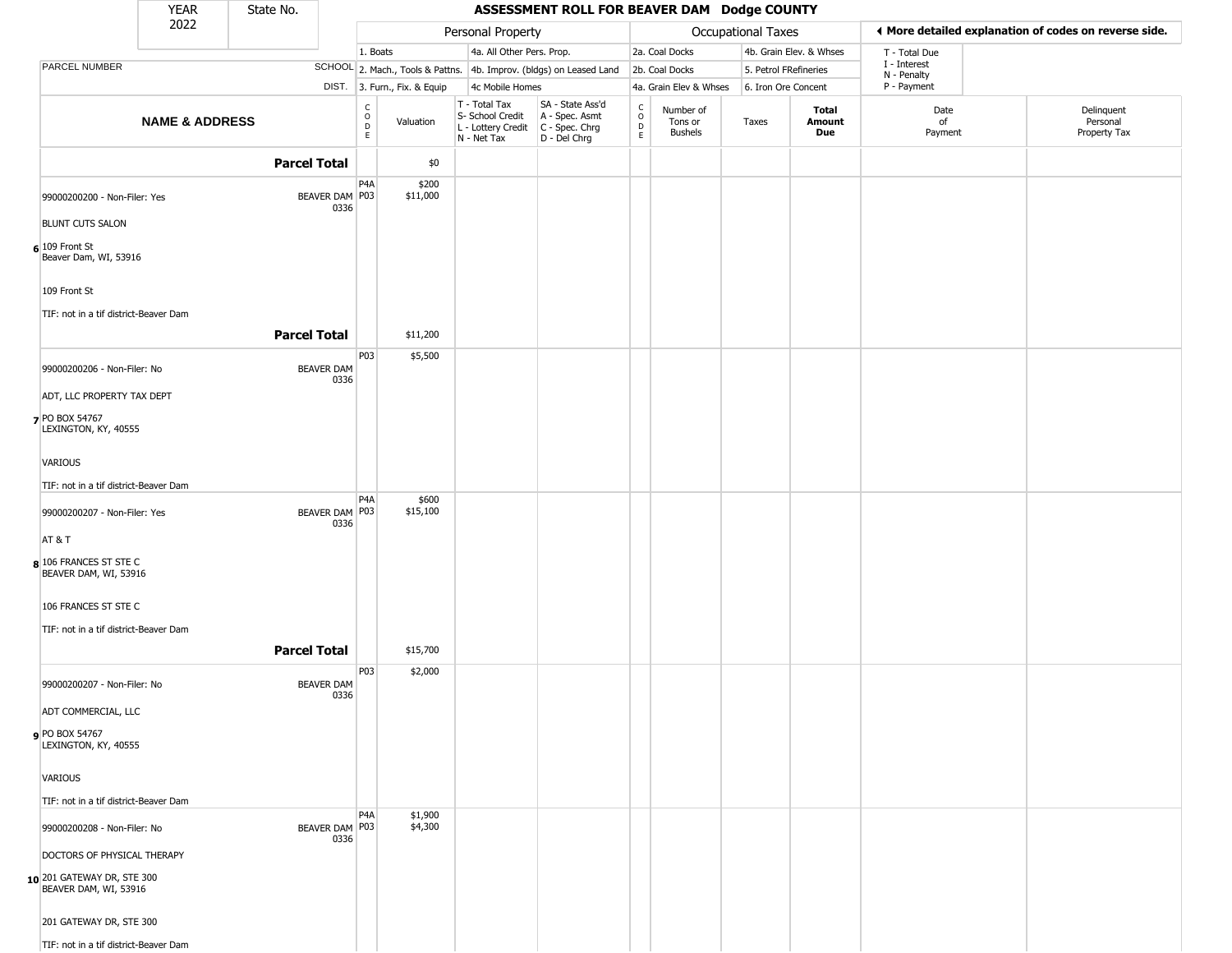|                                                     | <b>YEAR</b>               | State No.           |                           |                           |                              |                                                                                         | ASSESSMENT ROLL FOR BEAVER DAM Dodge COUNTY                         |                                                                    |                                 |                       |                         |                             |                                                       |
|-----------------------------------------------------|---------------------------|---------------------|---------------------------|---------------------------|------------------------------|-----------------------------------------------------------------------------------------|---------------------------------------------------------------------|--------------------------------------------------------------------|---------------------------------|-----------------------|-------------------------|-----------------------------|-------------------------------------------------------|
|                                                     | 2022                      |                     |                           |                           |                              | Personal Property                                                                       |                                                                     |                                                                    |                                 | Occupational Taxes    |                         |                             | ♦ More detailed explanation of codes on reverse side. |
|                                                     |                           |                     |                           | 1. Boats                  |                              | 4a. All Other Pers. Prop.                                                               |                                                                     |                                                                    | 2a. Coal Docks                  |                       | 4b. Grain Elev. & Whses | T - Total Due               |                                                       |
| PARCEL NUMBER                                       |                           |                     |                           |                           |                              |                                                                                         | SCHOOL 2. Mach., Tools & Pattns. 4b. Improv. (bldgs) on Leased Land |                                                                    | 2b. Coal Docks                  | 5. Petrol FRefineries |                         | I - Interest<br>N - Penalty |                                                       |
|                                                     |                           |                     |                           |                           | DIST. 3. Furn., Fix. & Equip | 4c Mobile Homes                                                                         |                                                                     |                                                                    | 4a. Grain Elev & Whses          | 6. Iron Ore Concent   |                         | P - Payment                 |                                                       |
|                                                     | <b>NAME &amp; ADDRESS</b> |                     |                           | $\rm _O^C$<br>$\mathsf E$ | Valuation                    | T - Total Tax<br>S- School Credit<br>L - Lottery Credit   C - Spec. Chrg<br>N - Net Tax | SA - State Ass'd<br>A - Spec. Asmt<br>D - Del Chrg                  | $\begin{smallmatrix} C \\ O \\ D \end{smallmatrix}$<br>$\mathsf E$ | Number of<br>Tons or<br>Bushels | Taxes                 | Total<br>Amount<br>Due  | Date<br>of<br>Payment       | Delinquent<br>Personal<br>Property Tax                |
|                                                     |                           | <b>Parcel Total</b> |                           |                           | \$0                          |                                                                                         |                                                                     |                                                                    |                                 |                       |                         |                             |                                                       |
| 99000200200 - Non-Filer: Yes                        |                           |                     | BEAVER DAM P03<br>0336    | P4A                       | \$200<br>\$11,000            |                                                                                         |                                                                     |                                                                    |                                 |                       |                         |                             |                                                       |
| <b>BLUNT CUTS SALON</b>                             |                           |                     |                           |                           |                              |                                                                                         |                                                                     |                                                                    |                                 |                       |                         |                             |                                                       |
| $6$ 109 Front St<br>Beaver Dam, WI, 53916           |                           |                     |                           |                           |                              |                                                                                         |                                                                     |                                                                    |                                 |                       |                         |                             |                                                       |
| 109 Front St                                        |                           |                     |                           |                           |                              |                                                                                         |                                                                     |                                                                    |                                 |                       |                         |                             |                                                       |
| TIF: not in a tif district-Beaver Dam               |                           |                     |                           |                           |                              |                                                                                         |                                                                     |                                                                    |                                 |                       |                         |                             |                                                       |
|                                                     |                           | <b>Parcel Total</b> |                           |                           | \$11,200                     |                                                                                         |                                                                     |                                                                    |                                 |                       |                         |                             |                                                       |
| 99000200206 - Non-Filer: No                         |                           |                     | <b>BEAVER DAM</b><br>0336 | P03                       | \$5,500                      |                                                                                         |                                                                     |                                                                    |                                 |                       |                         |                             |                                                       |
| ADT, LLC PROPERTY TAX DEPT                          |                           |                     |                           |                           |                              |                                                                                         |                                                                     |                                                                    |                                 |                       |                         |                             |                                                       |
| 7 PO BOX 54767<br>LEXINGTON, KY, 40555              |                           |                     |                           |                           |                              |                                                                                         |                                                                     |                                                                    |                                 |                       |                         |                             |                                                       |
| VARIOUS                                             |                           |                     |                           |                           |                              |                                                                                         |                                                                     |                                                                    |                                 |                       |                         |                             |                                                       |
| TIF: not in a tif district-Beaver Dam               |                           |                     |                           |                           |                              |                                                                                         |                                                                     |                                                                    |                                 |                       |                         |                             |                                                       |
| 99000200207 - Non-Filer: Yes                        |                           |                     | BEAVER DAM   P03<br>0336  | P4A                       | \$600<br>\$15,100            |                                                                                         |                                                                     |                                                                    |                                 |                       |                         |                             |                                                       |
| AT&T                                                |                           |                     |                           |                           |                              |                                                                                         |                                                                     |                                                                    |                                 |                       |                         |                             |                                                       |
| 8 106 FRANCES ST STE C<br>BEAVER DAM, WI, 53916     |                           |                     |                           |                           |                              |                                                                                         |                                                                     |                                                                    |                                 |                       |                         |                             |                                                       |
| 106 FRANCES ST STE C                                |                           |                     |                           |                           |                              |                                                                                         |                                                                     |                                                                    |                                 |                       |                         |                             |                                                       |
| TIF: not in a tif district-Beaver Dam               |                           |                     |                           |                           |                              |                                                                                         |                                                                     |                                                                    |                                 |                       |                         |                             |                                                       |
|                                                     |                           | <b>Parcel Total</b> |                           |                           | \$15,700                     |                                                                                         |                                                                     |                                                                    |                                 |                       |                         |                             |                                                       |
| 99000200207 - Non-Filer: No                         |                           |                     | <b>BEAVER DAM</b><br>0336 | P03                       | \$2,000                      |                                                                                         |                                                                     |                                                                    |                                 |                       |                         |                             |                                                       |
| ADT COMMERCIAL, LLC                                 |                           |                     |                           |                           |                              |                                                                                         |                                                                     |                                                                    |                                 |                       |                         |                             |                                                       |
| PO BOX 54767<br>LEXINGTON, KY, 40555                |                           |                     |                           |                           |                              |                                                                                         |                                                                     |                                                                    |                                 |                       |                         |                             |                                                       |
| VARIOUS                                             |                           |                     |                           |                           |                              |                                                                                         |                                                                     |                                                                    |                                 |                       |                         |                             |                                                       |
| TIF: not in a tif district-Beaver Dam               |                           |                     |                           |                           |                              |                                                                                         |                                                                     |                                                                    |                                 |                       |                         |                             |                                                       |
| 99000200208 - Non-Filer: No                         |                           |                     | BEAVER DAM P03<br>0336    | P4A                       | \$1,900<br>\$4,300           |                                                                                         |                                                                     |                                                                    |                                 |                       |                         |                             |                                                       |
| DOCTORS OF PHYSICAL THERAPY                         |                           |                     |                           |                           |                              |                                                                                         |                                                                     |                                                                    |                                 |                       |                         |                             |                                                       |
| 10 201 GATEWAY DR, STE 300<br>BEAVER DAM, WI, 53916 |                           |                     |                           |                           |                              |                                                                                         |                                                                     |                                                                    |                                 |                       |                         |                             |                                                       |
| 201 GATEWAY DR, STE 300                             |                           |                     |                           |                           |                              |                                                                                         |                                                                     |                                                                    |                                 |                       |                         |                             |                                                       |
| TIF: not in a tif district-Beaver Dam               |                           |                     |                           |                           |                              |                                                                                         |                                                                     |                                                                    |                                 |                       |                         |                             |                                                       |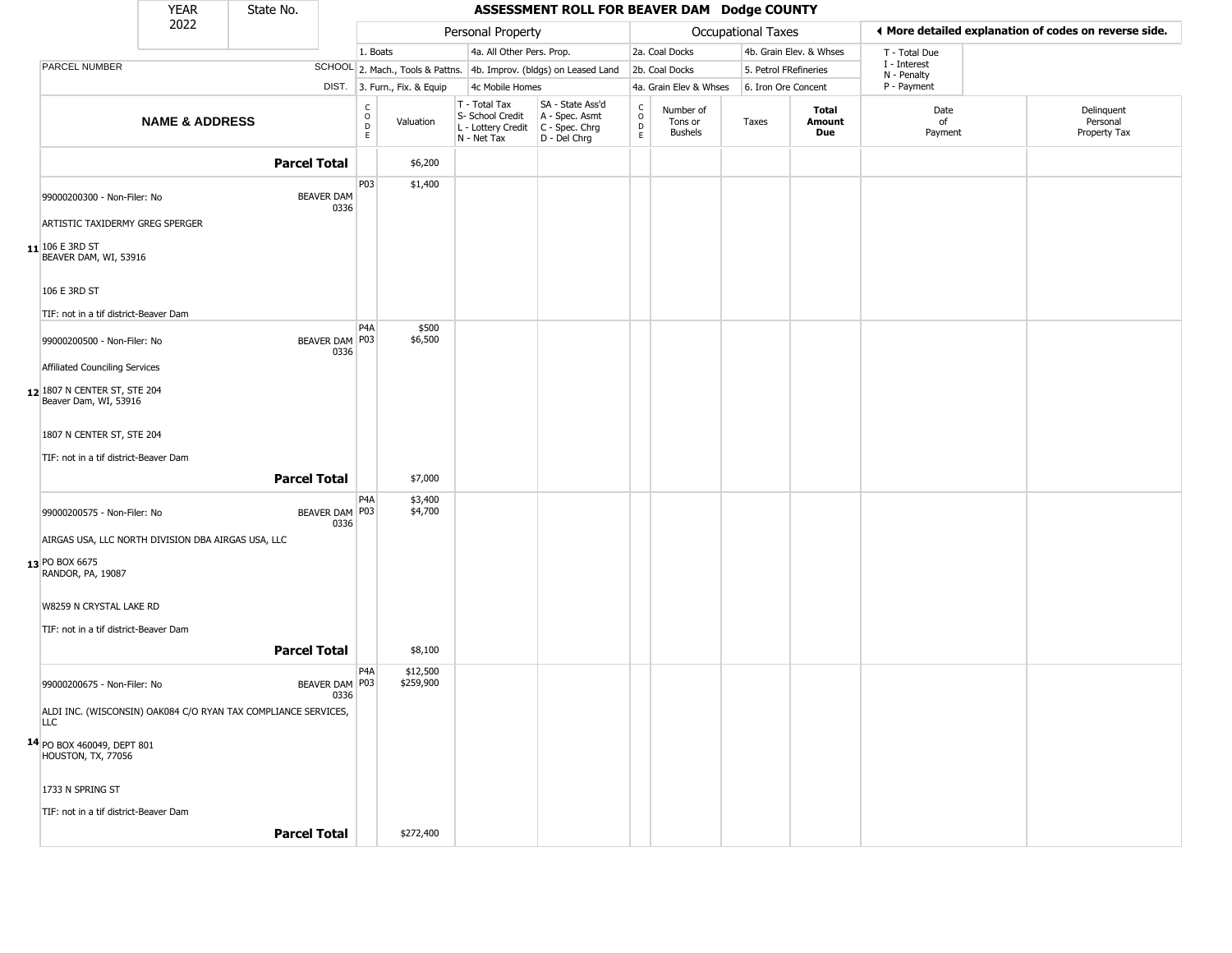|                                                                                           | <b>YEAR</b>               | State No.           |                           |                                                 |                                  |                                                                        | ASSESSMENT ROLL FOR BEAVER DAM Dodge COUNTY                            |                 |                                        |                     |                         |                             |                                                       |
|-------------------------------------------------------------------------------------------|---------------------------|---------------------|---------------------------|-------------------------------------------------|----------------------------------|------------------------------------------------------------------------|------------------------------------------------------------------------|-----------------|----------------------------------------|---------------------|-------------------------|-----------------------------|-------------------------------------------------------|
|                                                                                           | 2022                      |                     |                           |                                                 |                                  | Personal Property                                                      |                                                                        |                 |                                        | Occupational Taxes  |                         |                             | ♦ More detailed explanation of codes on reverse side. |
|                                                                                           |                           |                     |                           | 1. Boats                                        |                                  | 4a. All Other Pers. Prop.                                              |                                                                        |                 | 2a. Coal Docks                         |                     | 4b. Grain Elev. & Whses | T - Total Due               |                                                       |
| PARCEL NUMBER                                                                             |                           |                     |                           |                                                 | SCHOOL 2. Mach., Tools & Pattns. |                                                                        | 4b. Improv. (bldgs) on Leased Land                                     |                 | 2b. Coal Docks                         |                     | 5. Petrol FRefineries   | I - Interest<br>N - Penalty |                                                       |
|                                                                                           |                           |                     |                           |                                                 | DIST. 3. Furn., Fix. & Equip     | 4c Mobile Homes                                                        |                                                                        |                 | 4a. Grain Elev & Whses                 | 6. Iron Ore Concent |                         | P - Payment                 |                                                       |
|                                                                                           | <b>NAME &amp; ADDRESS</b> |                     |                           | $\begin{array}{c} C \\ O \\ D \\ E \end{array}$ | Valuation                        | T - Total Tax<br>S- School Credit<br>L - Lottery Credit<br>N - Net Tax | SA - State Ass'd<br>A - Spec. Asmt<br>C - Spec. Chrg<br>$D - Del Chrg$ | $0$<br>$0$<br>E | Number of<br>Tons or<br><b>Bushels</b> | Taxes               | Total<br>Amount<br>Due  | Date<br>of<br>Payment       | Delinquent<br>Personal<br>Property Tax                |
|                                                                                           |                           | <b>Parcel Total</b> |                           |                                                 | \$6,200                          |                                                                        |                                                                        |                 |                                        |                     |                         |                             |                                                       |
| 99000200300 - Non-Filer: No                                                               |                           |                     | <b>BEAVER DAM</b><br>0336 | P03                                             | \$1,400                          |                                                                        |                                                                        |                 |                                        |                     |                         |                             |                                                       |
| ARTISTIC TAXIDERMY GREG SPERGER<br>$11$ 106 E 3RD ST<br>BEAVER DAM, WI, 53916             |                           |                     |                           |                                                 |                                  |                                                                        |                                                                        |                 |                                        |                     |                         |                             |                                                       |
| 106 E 3RD ST<br>TIF: not in a tif district-Beaver Dam                                     |                           |                     |                           |                                                 |                                  |                                                                        |                                                                        |                 |                                        |                     |                         |                             |                                                       |
| 99000200500 - Non-Filer: No                                                               |                           |                     | BEAVER DAM P03<br>0336    | P4A                                             | \$500<br>\$6,500                 |                                                                        |                                                                        |                 |                                        |                     |                         |                             |                                                       |
| Affiliated Counciling Services<br>12 1807 N CENTER ST, STE 204<br>Beaver Dam, WI, 53916   |                           |                     |                           |                                                 |                                  |                                                                        |                                                                        |                 |                                        |                     |                         |                             |                                                       |
| 1807 N CENTER ST, STE 204                                                                 |                           |                     |                           |                                                 |                                  |                                                                        |                                                                        |                 |                                        |                     |                         |                             |                                                       |
| TIF: not in a tif district-Beaver Dam                                                     |                           | <b>Parcel Total</b> |                           |                                                 |                                  |                                                                        |                                                                        |                 |                                        |                     |                         |                             |                                                       |
|                                                                                           |                           |                     |                           | P4A                                             | \$7,000<br>\$3,400               |                                                                        |                                                                        |                 |                                        |                     |                         |                             |                                                       |
| 99000200575 - Non-Filer: No                                                               |                           |                     | BEAVER DAM   P03<br>0336  |                                                 | \$4,700                          |                                                                        |                                                                        |                 |                                        |                     |                         |                             |                                                       |
| AIRGAS USA, LLC NORTH DIVISION DBA AIRGAS USA, LLC<br>13 PO BOX 6675<br>RANDOR, PA, 19087 |                           |                     |                           |                                                 |                                  |                                                                        |                                                                        |                 |                                        |                     |                         |                             |                                                       |
| W8259 N CRYSTAL LAKE RD                                                                   |                           |                     |                           |                                                 |                                  |                                                                        |                                                                        |                 |                                        |                     |                         |                             |                                                       |
| TIF: not in a tif district-Beaver Dam                                                     |                           | <b>Parcel Total</b> |                           |                                                 | \$8,100                          |                                                                        |                                                                        |                 |                                        |                     |                         |                             |                                                       |
| 99000200675 - Non-Filer: No                                                               |                           |                     | BEAVER DAM P03<br>0336    | P4A                                             | \$12,500<br>\$259,900            |                                                                        |                                                                        |                 |                                        |                     |                         |                             |                                                       |
| ALDI INC. (WISCONSIN) OAK084 C/O RYAN TAX COMPLIANCE SERVICES,<br><b>LLC</b>              |                           |                     |                           |                                                 |                                  |                                                                        |                                                                        |                 |                                        |                     |                         |                             |                                                       |
| 14 PO BOX 460049, DEPT 801<br>HOUSTON, TX, 77056                                          |                           |                     |                           |                                                 |                                  |                                                                        |                                                                        |                 |                                        |                     |                         |                             |                                                       |
| 1733 N SPRING ST                                                                          |                           |                     |                           |                                                 |                                  |                                                                        |                                                                        |                 |                                        |                     |                         |                             |                                                       |
| TIF: not in a tif district-Beaver Dam                                                     |                           | <b>Parcel Total</b> |                           |                                                 | \$272,400                        |                                                                        |                                                                        |                 |                                        |                     |                         |                             |                                                       |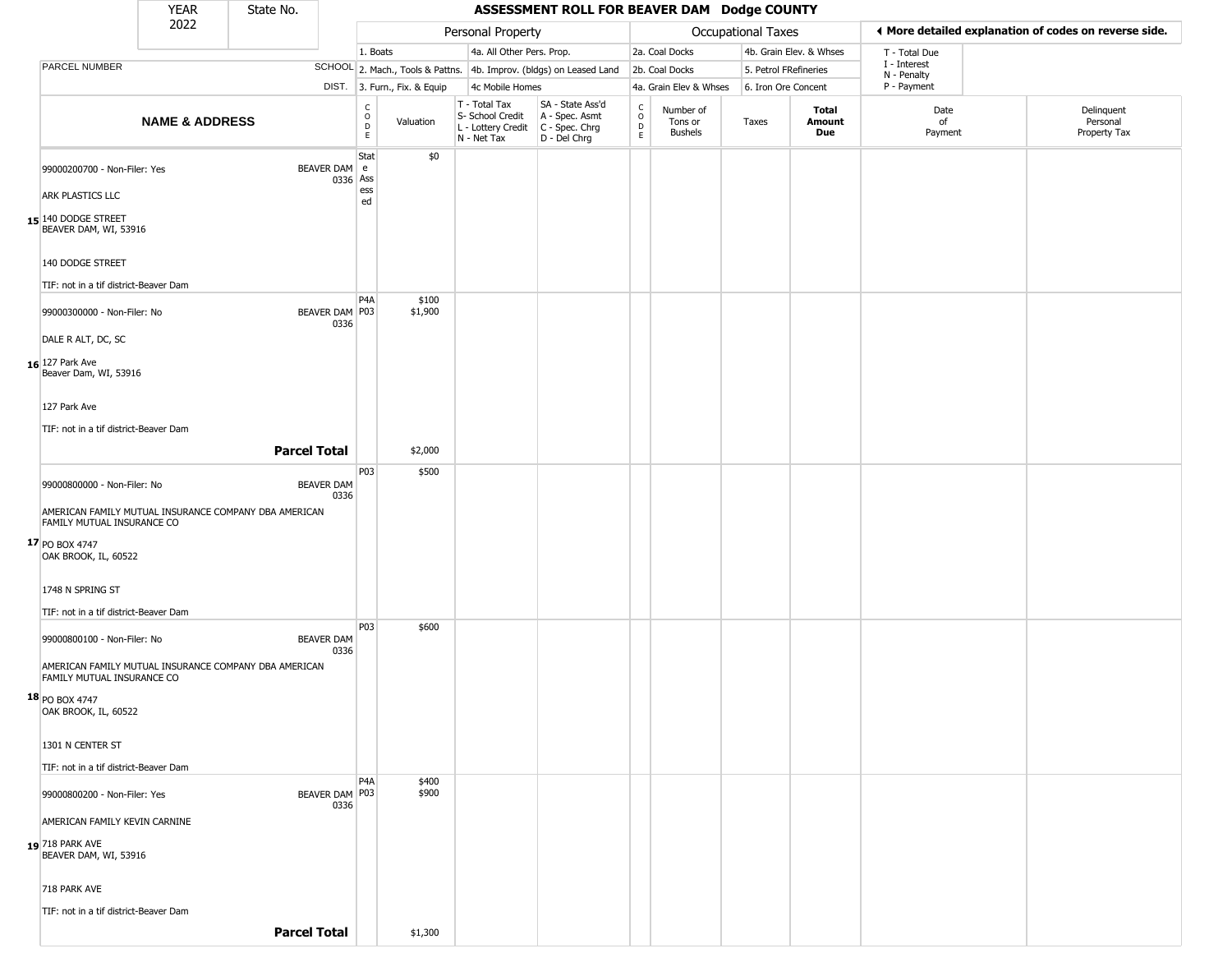|                                                                                                       | <b>YEAR</b>               | State No.           |                           |                                   |                              |                                                  | ASSESSMENT ROLL FOR BEAVER DAM Dodge COUNTY                                             |                                                 |                                        |                       |                         |                             |                                                       |
|-------------------------------------------------------------------------------------------------------|---------------------------|---------------------|---------------------------|-----------------------------------|------------------------------|--------------------------------------------------|-----------------------------------------------------------------------------------------|-------------------------------------------------|----------------------------------------|-----------------------|-------------------------|-----------------------------|-------------------------------------------------------|
|                                                                                                       | 2022                      |                     |                           |                                   |                              | Personal Property                                |                                                                                         |                                                 |                                        | Occupational Taxes    |                         |                             | ◀ More detailed explanation of codes on reverse side. |
|                                                                                                       |                           |                     |                           | 1. Boats                          |                              | 4a. All Other Pers. Prop.                        |                                                                                         |                                                 | 2a. Coal Docks                         |                       | 4b. Grain Elev. & Whses | T - Total Due               |                                                       |
| PARCEL NUMBER                                                                                         |                           |                     |                           |                                   |                              |                                                  | SCHOOL 2. Mach., Tools & Pattns. 4b. Improv. (bldgs) on Leased Land                     |                                                 | 2b. Coal Docks                         | 5. Petrol FRefineries |                         | I - Interest<br>N - Penalty |                                                       |
|                                                                                                       |                           |                     |                           |                                   | DIST. 3. Furn., Fix. & Equip | 4c Mobile Homes                                  |                                                                                         |                                                 | 4a. Grain Elev & Whses                 | 6. Iron Ore Concent   |                         | P - Payment                 |                                                       |
|                                                                                                       | <b>NAME &amp; ADDRESS</b> |                     |                           | $\frac{c}{0}$<br>$\mathsf D$<br>E | Valuation                    | T - Total Tax<br>S- School Credit<br>N - Net Tax | SA - State Ass'd<br>A - Spec. Asmt<br>L - Lottery Credit C - Spec. Chrg<br>D - Del Chrg | $\begin{array}{c} C \\ 0 \\ D \\ E \end{array}$ | Number of<br>Tons or<br><b>Bushels</b> | Taxes                 | Total<br>Amount<br>Due  | Date<br>of<br>Payment       | Delinquent<br>Personal<br>Property Tax                |
| 99000200700 - Non-Filer: Yes<br><b>ARK PLASTICS LLC</b>                                               |                           |                     | BEAVER DAM e              | Stat<br>0336 Ass<br>ess<br>ed     | \$0                          |                                                  |                                                                                         |                                                 |                                        |                       |                         |                             |                                                       |
| 15 140 DODGE STREET<br>BEAVER DAM, WI, 53916                                                          |                           |                     |                           |                                   |                              |                                                  |                                                                                         |                                                 |                                        |                       |                         |                             |                                                       |
| 140 DODGE STREET                                                                                      |                           |                     |                           |                                   |                              |                                                  |                                                                                         |                                                 |                                        |                       |                         |                             |                                                       |
| TIF: not in a tif district-Beaver Dam<br>99000300000 - Non-Filer: No                                  |                           |                     | BEAVER DAM P03<br>0336    | P4A                               | \$100<br>\$1,900             |                                                  |                                                                                         |                                                 |                                        |                       |                         |                             |                                                       |
| DALE R ALT, DC, SC<br>16 127 Park Ave<br>Beaver Dam, WI, 53916                                        |                           |                     |                           |                                   |                              |                                                  |                                                                                         |                                                 |                                        |                       |                         |                             |                                                       |
| 127 Park Ave<br>TIF: not in a tif district-Beaver Dam                                                 |                           |                     |                           |                                   |                              |                                                  |                                                                                         |                                                 |                                        |                       |                         |                             |                                                       |
|                                                                                                       |                           | <b>Parcel Total</b> |                           |                                   | \$2,000                      |                                                  |                                                                                         |                                                 |                                        |                       |                         |                             |                                                       |
| 99000800000 - Non-Filer: No                                                                           |                           |                     | <b>BEAVER DAM</b><br>0336 | P03                               | \$500                        |                                                  |                                                                                         |                                                 |                                        |                       |                         |                             |                                                       |
| AMERICAN FAMILY MUTUAL INSURANCE COMPANY DBA AMERICAN<br>FAMILY MUTUAL INSURANCE CO<br>17 PO BOX 4747 |                           |                     |                           |                                   |                              |                                                  |                                                                                         |                                                 |                                        |                       |                         |                             |                                                       |
| OAK BROOK, IL, 60522                                                                                  |                           |                     |                           |                                   |                              |                                                  |                                                                                         |                                                 |                                        |                       |                         |                             |                                                       |
| 1748 N SPRING ST<br>TIF: not in a tif district-Beaver Dam                                             |                           |                     |                           |                                   |                              |                                                  |                                                                                         |                                                 |                                        |                       |                         |                             |                                                       |
| 99000800100 - Non-Filer: No                                                                           |                           |                     | <b>BEAVER DAM</b><br>0336 | P03                               | \$600                        |                                                  |                                                                                         |                                                 |                                        |                       |                         |                             |                                                       |
| AMERICAN FAMILY MUTUAL INSURANCE COMPANY DBA AMERICAN<br>FAMILY MUTUAL INSURANCE CO                   |                           |                     |                           |                                   |                              |                                                  |                                                                                         |                                                 |                                        |                       |                         |                             |                                                       |
| 18 PO BOX 4747<br>OAK BROOK, IL, 60522                                                                |                           |                     |                           |                                   |                              |                                                  |                                                                                         |                                                 |                                        |                       |                         |                             |                                                       |
| 1301 N CENTER ST<br>TIF: not in a tif district-Beaver Dam                                             |                           |                     |                           |                                   |                              |                                                  |                                                                                         |                                                 |                                        |                       |                         |                             |                                                       |
| 99000800200 - Non-Filer: Yes                                                                          |                           |                     | BEAVER DAM P03<br>0336    | P <sub>4</sub> A                  | \$400<br>\$900               |                                                  |                                                                                         |                                                 |                                        |                       |                         |                             |                                                       |
| AMERICAN FAMILY KEVIN CARNINE                                                                         |                           |                     |                           |                                   |                              |                                                  |                                                                                         |                                                 |                                        |                       |                         |                             |                                                       |
| 19 718 PARK AVE<br>BEAVER DAM, WI, 53916                                                              |                           |                     |                           |                                   |                              |                                                  |                                                                                         |                                                 |                                        |                       |                         |                             |                                                       |
| 718 PARK AVE                                                                                          |                           |                     |                           |                                   |                              |                                                  |                                                                                         |                                                 |                                        |                       |                         |                             |                                                       |
| TIF: not in a tif district-Beaver Dam                                                                 |                           |                     |                           |                                   |                              |                                                  |                                                                                         |                                                 |                                        |                       |                         |                             |                                                       |
|                                                                                                       |                           | <b>Parcel Total</b> |                           |                                   | \$1,300                      |                                                  |                                                                                         |                                                 |                                        |                       |                         |                             |                                                       |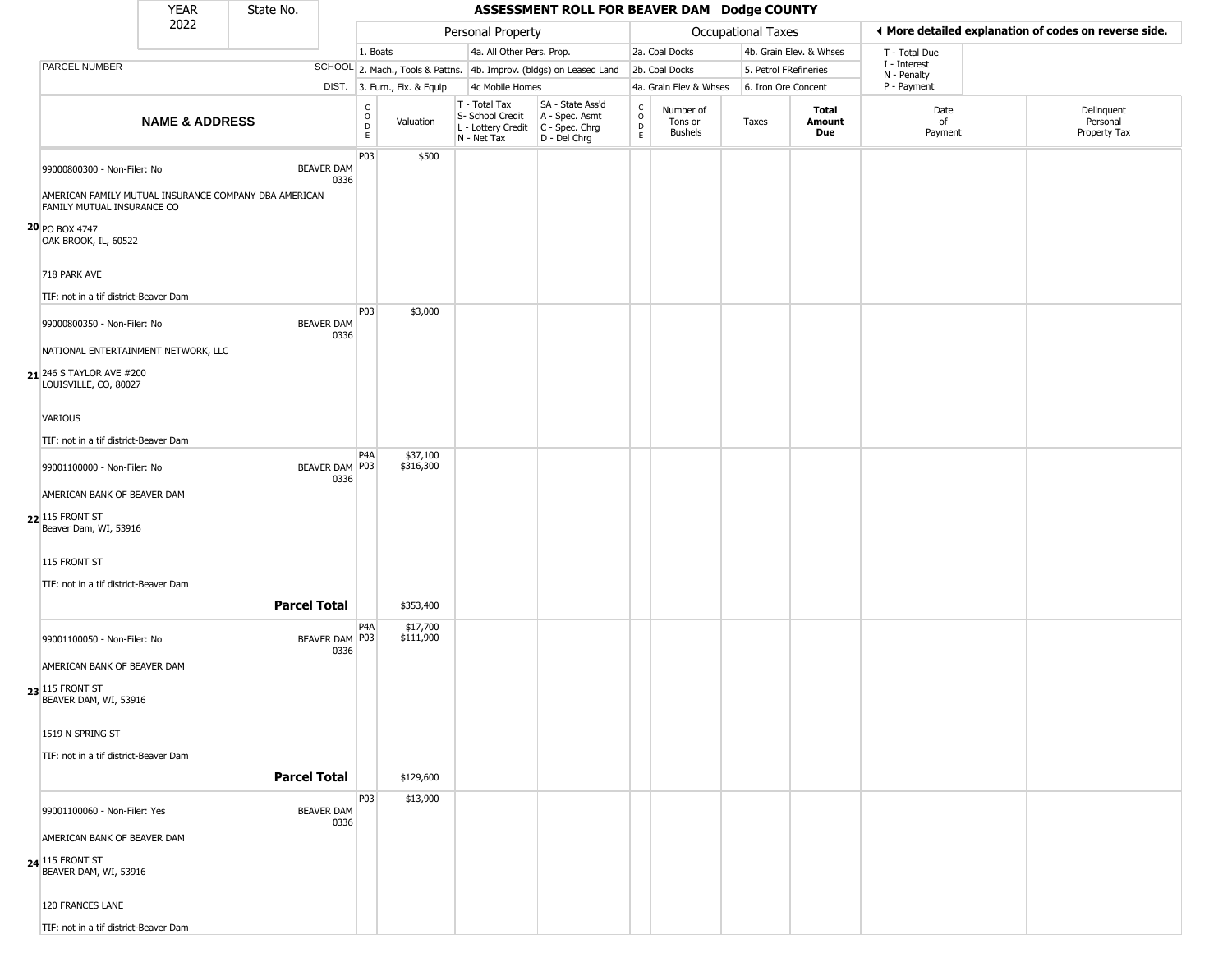|                                                                                                                    | <b>YEAR</b>               | State No.           |                           |                         |                              |                                                                                         | ASSESSMENT ROLL FOR BEAVER DAM Dodge COUNTY                         |                                  |                                        |                       |                         |                             |                                                       |
|--------------------------------------------------------------------------------------------------------------------|---------------------------|---------------------|---------------------------|-------------------------|------------------------------|-----------------------------------------------------------------------------------------|---------------------------------------------------------------------|----------------------------------|----------------------------------------|-----------------------|-------------------------|-----------------------------|-------------------------------------------------------|
|                                                                                                                    | 2022                      |                     |                           |                         |                              | Personal Property                                                                       |                                                                     |                                  |                                        | Occupational Taxes    |                         |                             | ◀ More detailed explanation of codes on reverse side. |
|                                                                                                                    |                           |                     |                           | 1. Boats                |                              | 4a. All Other Pers. Prop.                                                               |                                                                     |                                  | 2a. Coal Docks                         |                       | 4b. Grain Elev. & Whses | T - Total Due               |                                                       |
| PARCEL NUMBER                                                                                                      |                           |                     |                           |                         |                              |                                                                                         | SCHOOL 2. Mach., Tools & Pattns. 4b. Improv. (bldgs) on Leased Land |                                  | 2b. Coal Docks                         | 5. Petrol FRefineries |                         | I - Interest<br>N - Penalty |                                                       |
|                                                                                                                    |                           |                     |                           |                         | DIST. 3. Furn., Fix. & Equip | 4c Mobile Homes                                                                         |                                                                     |                                  | 4a. Grain Elev & Whses                 | 6. Iron Ore Concent   |                         | P - Payment                 |                                                       |
|                                                                                                                    | <b>NAME &amp; ADDRESS</b> |                     |                           | $\frac{c}{0}$<br>D<br>E | Valuation                    | T - Total Tax<br>S- School Credit<br>L - Lottery Credit   C - Spec. Chrg<br>N - Net Tax | SA - State Ass'd<br>A - Spec. Asmt<br>D - Del Chrg                  | C<br>$\circ$<br>$\mathsf D$<br>E | Number of<br>Tons or<br><b>Bushels</b> | Taxes                 | Total<br>Amount<br>Due  | Date<br>of<br>Payment       | Delinquent<br>Personal<br>Property Tax                |
| 99000800300 - Non-Filer: No<br>AMERICAN FAMILY MUTUAL INSURANCE COMPANY DBA AMERICAN<br>FAMILY MUTUAL INSURANCE CO |                           |                     | <b>BEAVER DAM</b><br>0336 | P03                     | \$500                        |                                                                                         |                                                                     |                                  |                                        |                       |                         |                             |                                                       |
| 20 PO BOX 4747<br>OAK BROOK, IL, 60522<br>718 PARK AVE                                                             |                           |                     |                           |                         |                              |                                                                                         |                                                                     |                                  |                                        |                       |                         |                             |                                                       |
| TIF: not in a tif district-Beaver Dam                                                                              |                           |                     |                           |                         |                              |                                                                                         |                                                                     |                                  |                                        |                       |                         |                             |                                                       |
| 99000800350 - Non-Filer: No<br>NATIONAL ENTERTAINMENT NETWORK, LLC                                                 |                           |                     | <b>BEAVER DAM</b><br>0336 | P03                     | \$3,000                      |                                                                                         |                                                                     |                                  |                                        |                       |                         |                             |                                                       |
| 21 246 S TAYLOR AVE #200<br>LOUISVILLE, CO, 80027                                                                  |                           |                     |                           |                         |                              |                                                                                         |                                                                     |                                  |                                        |                       |                         |                             |                                                       |
| VARIOUS                                                                                                            |                           |                     |                           |                         |                              |                                                                                         |                                                                     |                                  |                                        |                       |                         |                             |                                                       |
| TIF: not in a tif district-Beaver Dam                                                                              |                           |                     |                           |                         |                              |                                                                                         |                                                                     |                                  |                                        |                       |                         |                             |                                                       |
| 99001100000 - Non-Filer: No                                                                                        |                           |                     | BEAVER DAM P03<br>0336    | P <sub>4</sub> A        | \$37,100<br>\$316,300        |                                                                                         |                                                                     |                                  |                                        |                       |                         |                             |                                                       |
| AMERICAN BANK OF BEAVER DAM                                                                                        |                           |                     |                           |                         |                              |                                                                                         |                                                                     |                                  |                                        |                       |                         |                             |                                                       |
| $22$ 115 FRONT ST<br>Beaver Dam, WI, 53916                                                                         |                           |                     |                           |                         |                              |                                                                                         |                                                                     |                                  |                                        |                       |                         |                             |                                                       |
| 115 FRONT ST                                                                                                       |                           |                     |                           |                         |                              |                                                                                         |                                                                     |                                  |                                        |                       |                         |                             |                                                       |
| TIF: not in a tif district-Beaver Dam                                                                              |                           | <b>Parcel Total</b> |                           |                         | \$353,400                    |                                                                                         |                                                                     |                                  |                                        |                       |                         |                             |                                                       |
|                                                                                                                    |                           |                     |                           | P <sub>4</sub> A        | \$17,700                     |                                                                                         |                                                                     |                                  |                                        |                       |                         |                             |                                                       |
| 99001100050 - Non-Filer: No                                                                                        |                           |                     | BEAVER DAM P03<br>0336    |                         | \$111,900                    |                                                                                         |                                                                     |                                  |                                        |                       |                         |                             |                                                       |
| AMERICAN BANK OF BEAVER DAM                                                                                        |                           |                     |                           |                         |                              |                                                                                         |                                                                     |                                  |                                        |                       |                         |                             |                                                       |
| 23 115 FRONT ST<br>BEAVER DAM, WI, 53916                                                                           |                           |                     |                           |                         |                              |                                                                                         |                                                                     |                                  |                                        |                       |                         |                             |                                                       |
| 1519 N SPRING ST                                                                                                   |                           |                     |                           |                         |                              |                                                                                         |                                                                     |                                  |                                        |                       |                         |                             |                                                       |
| TIF: not in a tif district-Beaver Dam                                                                              |                           | <b>Parcel Total</b> |                           |                         | \$129,600                    |                                                                                         |                                                                     |                                  |                                        |                       |                         |                             |                                                       |
|                                                                                                                    |                           |                     |                           | P03                     | \$13,900                     |                                                                                         |                                                                     |                                  |                                        |                       |                         |                             |                                                       |
| 99001100060 - Non-Filer: Yes                                                                                       |                           |                     | <b>BEAVER DAM</b><br>0336 |                         |                              |                                                                                         |                                                                     |                                  |                                        |                       |                         |                             |                                                       |
| AMERICAN BANK OF BEAVER DAM<br><b>24 115 FRONT ST BEAVER DAM, WI, 53916</b>                                        |                           |                     |                           |                         |                              |                                                                                         |                                                                     |                                  |                                        |                       |                         |                             |                                                       |
| 120 FRANCES LANE                                                                                                   |                           |                     |                           |                         |                              |                                                                                         |                                                                     |                                  |                                        |                       |                         |                             |                                                       |
| TIF: not in a tif district-Beaver Dam                                                                              |                           |                     |                           |                         |                              |                                                                                         |                                                                     |                                  |                                        |                       |                         |                             |                                                       |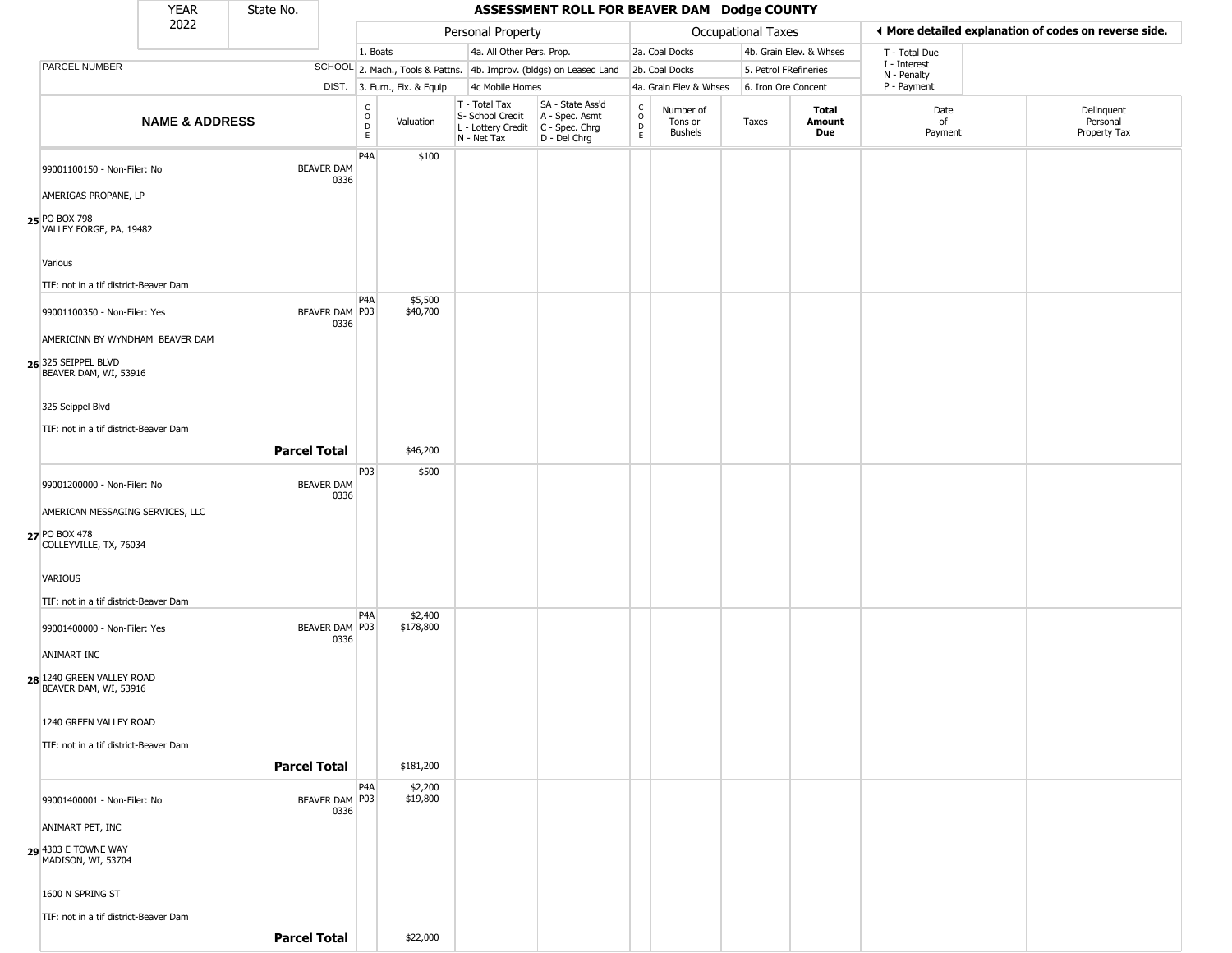|                                                                   | <b>YEAR</b>               | State No.           |                          |                              |                              |                                                                                         | ASSESSMENT ROLL FOR BEAVER DAM Dodge COUNTY                         |                                         |                                        |                       |                         |                             |                                                       |
|-------------------------------------------------------------------|---------------------------|---------------------|--------------------------|------------------------------|------------------------------|-----------------------------------------------------------------------------------------|---------------------------------------------------------------------|-----------------------------------------|----------------------------------------|-----------------------|-------------------------|-----------------------------|-------------------------------------------------------|
|                                                                   | 2022                      |                     |                          |                              |                              | Personal Property                                                                       |                                                                     |                                         |                                        | Occupational Taxes    |                         |                             | ◀ More detailed explanation of codes on reverse side. |
|                                                                   |                           |                     |                          | 1. Boats                     |                              | 4a. All Other Pers. Prop.                                                               |                                                                     |                                         | 2a. Coal Docks                         |                       | 4b. Grain Elev. & Whses | T - Total Due               |                                                       |
| PARCEL NUMBER                                                     |                           |                     |                          |                              |                              |                                                                                         | SCHOOL 2. Mach., Tools & Pattns. 4b. Improv. (bldgs) on Leased Land |                                         | 2b. Coal Docks                         | 5. Petrol FRefineries |                         | I - Interest<br>N - Penalty |                                                       |
|                                                                   |                           |                     |                          |                              | DIST. 3. Furn., Fix. & Equip | 4c Mobile Homes                                                                         |                                                                     |                                         | 4a. Grain Elev & Whses                 | 6. Iron Ore Concent   |                         | P - Payment                 |                                                       |
|                                                                   | <b>NAME &amp; ADDRESS</b> |                     |                          | $_{\rm o}^{\rm c}$<br>D<br>E | Valuation                    | T - Total Tax<br>S- School Credit<br>L - Lottery Credit   C - Spec. Chrg<br>N - Net Tax | SA - State Ass'd<br>A - Spec. Asmt<br>D - Del Chrg                  | $\rm _o^C$<br>$\mathsf{D}_{\mathsf{E}}$ | Number of<br>Tons or<br><b>Bushels</b> | Taxes                 | Total<br>Amount<br>Due  | Date<br>of<br>Payment       | Delinquent<br>Personal<br>Property Tax                |
| 99001100150 - Non-Filer: No<br>AMERIGAS PROPANE, LP               |                           | <b>BEAVER DAM</b>   | 0336                     | P <sub>4</sub> A             | \$100                        |                                                                                         |                                                                     |                                         |                                        |                       |                         |                             |                                                       |
| 25 PO BOX 798<br>VALLEY FORGE, PA, 19482                          |                           |                     |                          |                              |                              |                                                                                         |                                                                     |                                         |                                        |                       |                         |                             |                                                       |
| Various<br>TIF: not in a tif district-Beaver Dam                  |                           |                     |                          |                              |                              |                                                                                         |                                                                     |                                         |                                        |                       |                         |                             |                                                       |
| 99001100350 - Non-Filer: Yes<br>AMERICINN BY WYNDHAM BEAVER DAM   |                           |                     | BEAVER DAM P03<br>0336   | P4A                          | \$5,500<br>\$40,700          |                                                                                         |                                                                     |                                         |                                        |                       |                         |                             |                                                       |
| 26 325 SEIPPEL BLVD<br>BEAVER DAM, WI, 53916                      |                           |                     |                          |                              |                              |                                                                                         |                                                                     |                                         |                                        |                       |                         |                             |                                                       |
| 325 Seippel Blvd<br>TIF: not in a tif district-Beaver Dam         |                           |                     |                          |                              |                              |                                                                                         |                                                                     |                                         |                                        |                       |                         |                             |                                                       |
|                                                                   |                           | <b>Parcel Total</b> |                          | P <sub>0</sub> 3             | \$46,200<br>\$500            |                                                                                         |                                                                     |                                         |                                        |                       |                         |                             |                                                       |
| 99001200000 - Non-Filer: No<br>AMERICAN MESSAGING SERVICES, LLC   |                           | <b>BEAVER DAM</b>   | 0336                     |                              |                              |                                                                                         |                                                                     |                                         |                                        |                       |                         |                             |                                                       |
| 27 PO BOX 478<br>COLLEYVILLE, TX, 76034                           |                           |                     |                          |                              |                              |                                                                                         |                                                                     |                                         |                                        |                       |                         |                             |                                                       |
| VARIOUS<br>TIF: not in a tif district-Beaver Dam                  |                           |                     |                          |                              |                              |                                                                                         |                                                                     |                                         |                                        |                       |                         |                             |                                                       |
| 99001400000 - Non-Filer: Yes                                      |                           |                     | BEAVER DAM   P03<br>0336 | P4A                          | \$2,400<br>\$178,800         |                                                                                         |                                                                     |                                         |                                        |                       |                         |                             |                                                       |
| ANIMART INC<br>28 1240 GREEN VALLEY ROAD<br>BEAVER DAM, WI, 53916 |                           |                     |                          |                              |                              |                                                                                         |                                                                     |                                         |                                        |                       |                         |                             |                                                       |
| 1240 GREEN VALLEY ROAD                                            |                           |                     |                          |                              |                              |                                                                                         |                                                                     |                                         |                                        |                       |                         |                             |                                                       |
| TIF: not in a tif district-Beaver Dam                             |                           | <b>Parcel Total</b> |                          |                              | \$181,200                    |                                                                                         |                                                                     |                                         |                                        |                       |                         |                             |                                                       |
| 99001400001 - Non-Filer: No<br>ANIMART PET, INC                   |                           |                     | BEAVER DAM P03<br>0336   | P <sub>4</sub> A             | \$2,200<br>\$19,800          |                                                                                         |                                                                     |                                         |                                        |                       |                         |                             |                                                       |
| 29 4303 E TOWNE WAY<br>MADISON, WI, 53704                         |                           |                     |                          |                              |                              |                                                                                         |                                                                     |                                         |                                        |                       |                         |                             |                                                       |
| 1600 N SPRING ST                                                  |                           |                     |                          |                              |                              |                                                                                         |                                                                     |                                         |                                        |                       |                         |                             |                                                       |
| TIF: not in a tif district-Beaver Dam                             |                           | <b>Parcel Total</b> |                          |                              | \$22,000                     |                                                                                         |                                                                     |                                         |                                        |                       |                         |                             |                                                       |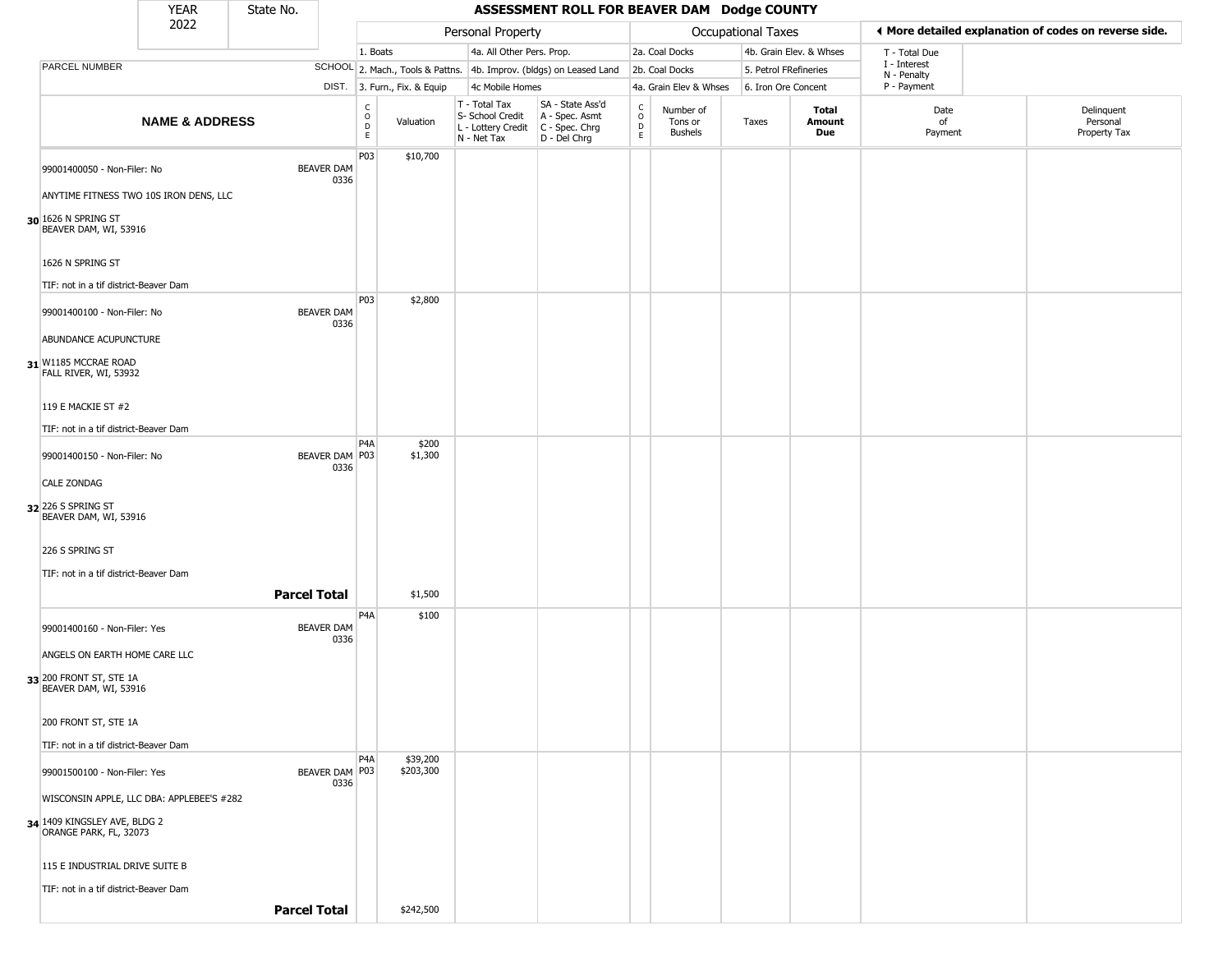|                                                          | <b>YEAR</b>                               | State No.                 |                         |                              |                                                  | ASSESSMENT ROLL FOR BEAVER DAM Dodge COUNTY                                                 |                                    |                                        |                     |                         |                             |                                                       |
|----------------------------------------------------------|-------------------------------------------|---------------------------|-------------------------|------------------------------|--------------------------------------------------|---------------------------------------------------------------------------------------------|------------------------------------|----------------------------------------|---------------------|-------------------------|-----------------------------|-------------------------------------------------------|
|                                                          | 2022                                      |                           |                         |                              | Personal Property                                |                                                                                             |                                    |                                        | Occupational Taxes  |                         |                             | ◀ More detailed explanation of codes on reverse side. |
|                                                          |                                           |                           | 1. Boats                |                              | 4a. All Other Pers. Prop.                        |                                                                                             |                                    | 2a. Coal Docks                         |                     | 4b. Grain Elev. & Whses | T - Total Due               |                                                       |
| PARCEL NUMBER                                            |                                           |                           |                         |                              |                                                  | SCHOOL 2. Mach., Tools & Pattns. 4b. Improv. (bldgs) on Leased Land                         |                                    | 2b. Coal Docks                         |                     | 5. Petrol FRefineries   | I - Interest<br>N - Penalty |                                                       |
|                                                          |                                           |                           |                         | DIST. 3. Furn., Fix. & Equip | 4c Mobile Homes                                  |                                                                                             |                                    | 4a. Grain Elev & Whses                 | 6. Iron Ore Concent |                         | P - Payment                 |                                                       |
|                                                          | <b>NAME &amp; ADDRESS</b>                 |                           | $\frac{C}{O}$<br>D<br>E | Valuation                    | T - Total Tax<br>S- School Credit<br>N - Net Tax | SA - State Ass'd<br>A - Spec. Asmt<br>$L$ - Lottery Credit $C$ - Spec. Chrg<br>D - Del Chrg | $\int_{0}^{c}$<br>$\mathsf D$<br>E | Number of<br>Tons or<br><b>Bushels</b> | Taxes               | Total<br>Amount<br>Due  | Date<br>of<br>Payment       | Delinquent<br>Personal<br>Property Tax                |
| 99001400050 - Non-Filer: No                              |                                           | <b>BEAVER DAM</b><br>0336 | P03                     | \$10,700                     |                                                  |                                                                                             |                                    |                                        |                     |                         |                             |                                                       |
|                                                          | ANYTIME FITNESS TWO 10S IRON DENS, LLC    |                           |                         |                              |                                                  |                                                                                             |                                    |                                        |                     |                         |                             |                                                       |
| 30 1626 N SPRING ST<br>BEAVER DAM, WI, 53916             |                                           |                           |                         |                              |                                                  |                                                                                             |                                    |                                        |                     |                         |                             |                                                       |
| 1626 N SPRING ST                                         |                                           |                           |                         |                              |                                                  |                                                                                             |                                    |                                        |                     |                         |                             |                                                       |
| TIF: not in a tif district-Beaver Dam                    |                                           |                           |                         |                              |                                                  |                                                                                             |                                    |                                        |                     |                         |                             |                                                       |
| 99001400100 - Non-Filer: No                              |                                           | <b>BEAVER DAM</b><br>0336 | P03                     | \$2,800                      |                                                  |                                                                                             |                                    |                                        |                     |                         |                             |                                                       |
| ABUNDANCE ACUPUNCTURE                                    |                                           |                           |                         |                              |                                                  |                                                                                             |                                    |                                        |                     |                         |                             |                                                       |
| $31$ W1185 MCCRAE ROAD<br>FALL RIVER, WI, 53932          |                                           |                           |                         |                              |                                                  |                                                                                             |                                    |                                        |                     |                         |                             |                                                       |
| 119 E MACKIE ST #2                                       |                                           |                           |                         |                              |                                                  |                                                                                             |                                    |                                        |                     |                         |                             |                                                       |
| TIF: not in a tif district-Beaver Dam                    |                                           |                           |                         |                              |                                                  |                                                                                             |                                    |                                        |                     |                         |                             |                                                       |
| 99001400150 - Non-Filer: No                              |                                           | BEAVER DAM P03<br>0336    | P <sub>4</sub> A        | \$200<br>\$1,300             |                                                  |                                                                                             |                                    |                                        |                     |                         |                             |                                                       |
| <b>CALE ZONDAG</b>                                       |                                           |                           |                         |                              |                                                  |                                                                                             |                                    |                                        |                     |                         |                             |                                                       |
| 32 226 S SPRING ST<br>BEAVER DAM, WI, 53916              |                                           |                           |                         |                              |                                                  |                                                                                             |                                    |                                        |                     |                         |                             |                                                       |
| 226 S SPRING ST                                          |                                           |                           |                         |                              |                                                  |                                                                                             |                                    |                                        |                     |                         |                             |                                                       |
| TIF: not in a tif district-Beaver Dam                    |                                           |                           |                         |                              |                                                  |                                                                                             |                                    |                                        |                     |                         |                             |                                                       |
|                                                          |                                           | <b>Parcel Total</b>       |                         | \$1,500                      |                                                  |                                                                                             |                                    |                                        |                     |                         |                             |                                                       |
| 99001400160 - Non-Filer: Yes                             |                                           | <b>BEAVER DAM</b><br>0336 | P <sub>4</sub> A        | \$100                        |                                                  |                                                                                             |                                    |                                        |                     |                         |                             |                                                       |
| ANGELS ON EARTH HOME CARE LLC                            |                                           |                           |                         |                              |                                                  |                                                                                             |                                    |                                        |                     |                         |                             |                                                       |
| 33 200 FRONT ST, STE 1A<br>BEAVER DAM, WI, 53916         |                                           |                           |                         |                              |                                                  |                                                                                             |                                    |                                        |                     |                         |                             |                                                       |
| 200 FRONT ST, STE 1A                                     |                                           |                           |                         |                              |                                                  |                                                                                             |                                    |                                        |                     |                         |                             |                                                       |
| TIF: not in a tif district-Beaver Dam                    |                                           |                           |                         |                              |                                                  |                                                                                             |                                    |                                        |                     |                         |                             |                                                       |
| 99001500100 - Non-Filer: Yes                             |                                           | BEAVER DAM P03<br>0336    | P <sub>4</sub> A        | \$39,200<br>\$203,300        |                                                  |                                                                                             |                                    |                                        |                     |                         |                             |                                                       |
|                                                          | WISCONSIN APPLE, LLC DBA: APPLEBEE'S #282 |                           |                         |                              |                                                  |                                                                                             |                                    |                                        |                     |                         |                             |                                                       |
| $34$ 1409 KINGSLEY AVE, BLDG 2<br>ORANGE PARK, FL, 32073 |                                           |                           |                         |                              |                                                  |                                                                                             |                                    |                                        |                     |                         |                             |                                                       |
| 115 E INDUSTRIAL DRIVE SUITE B                           |                                           |                           |                         |                              |                                                  |                                                                                             |                                    |                                        |                     |                         |                             |                                                       |
| TIF: not in a tif district-Beaver Dam                    |                                           |                           |                         |                              |                                                  |                                                                                             |                                    |                                        |                     |                         |                             |                                                       |
|                                                          |                                           | <b>Parcel Total</b>       |                         | \$242,500                    |                                                  |                                                                                             |                                    |                                        |                     |                         |                             |                                                       |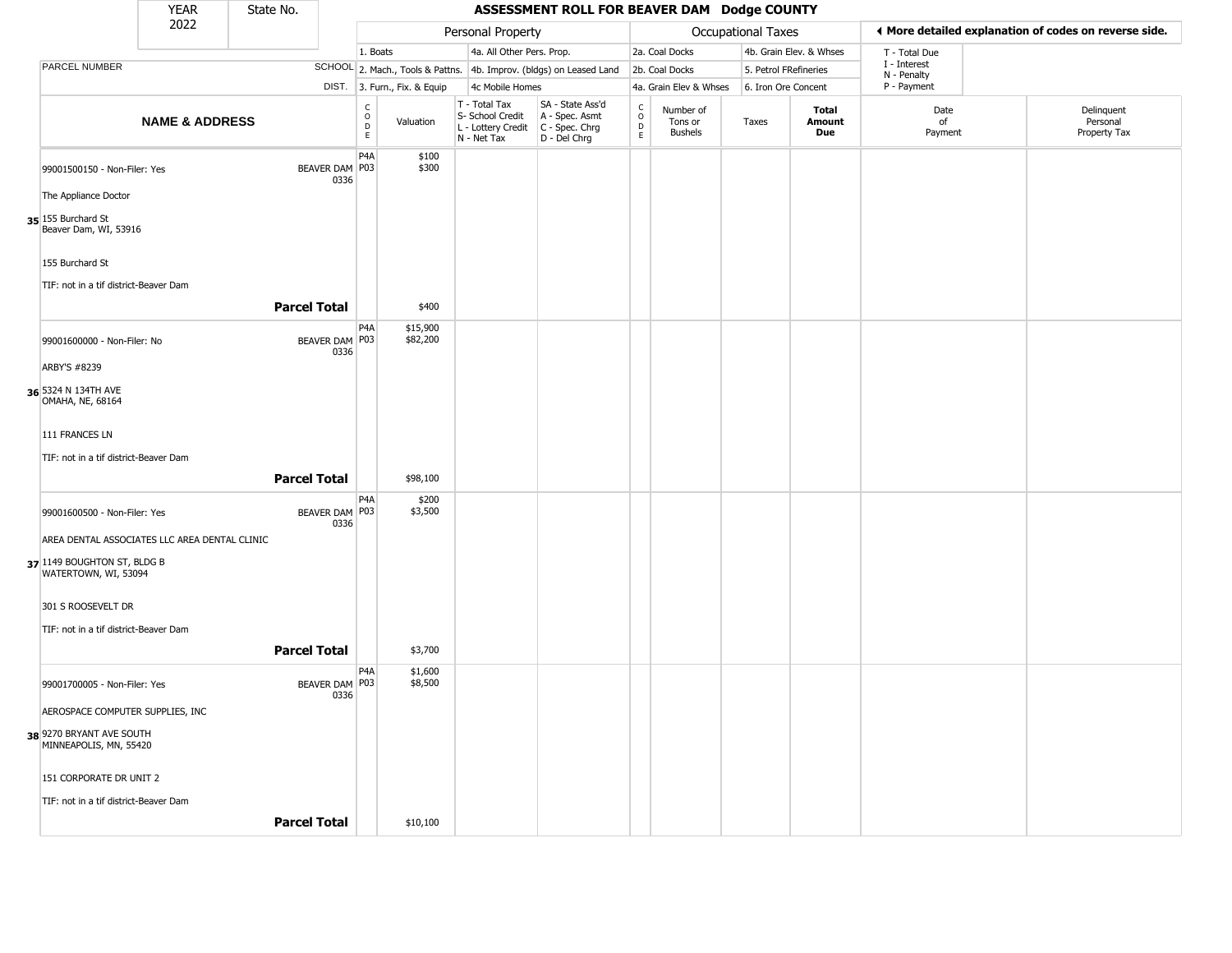|                                             | <b>YEAR</b>                                         | State No.           |                          |                         |                              |                                                                                         | ASSESSMENT ROLL FOR BEAVER DAM Dodge COUNTY                         |                          |                                        |                    |                         |                             |                                                       |
|---------------------------------------------|-----------------------------------------------------|---------------------|--------------------------|-------------------------|------------------------------|-----------------------------------------------------------------------------------------|---------------------------------------------------------------------|--------------------------|----------------------------------------|--------------------|-------------------------|-----------------------------|-------------------------------------------------------|
|                                             | 2022                                                |                     |                          |                         |                              | Personal Property                                                                       |                                                                     |                          |                                        | Occupational Taxes |                         |                             | ◀ More detailed explanation of codes on reverse side. |
|                                             |                                                     |                     |                          | 1. Boats                |                              | 4a. All Other Pers. Prop.                                                               |                                                                     |                          | 2a. Coal Docks                         |                    | 4b. Grain Elev. & Whses | T - Total Due               |                                                       |
| PARCEL NUMBER                               |                                                     |                     |                          |                         |                              |                                                                                         | SCHOOL 2. Mach., Tools & Pattns. 4b. Improv. (bldgs) on Leased Land |                          | 2b. Coal Docks                         |                    | 5. Petrol FRefineries   | I - Interest<br>N - Penalty |                                                       |
|                                             |                                                     |                     |                          |                         | DIST. 3. Furn., Fix. & Equip | 4c Mobile Homes                                                                         |                                                                     |                          | 4a. Grain Elev & Whses                 |                    | 6. Iron Ore Concent     | P - Payment                 |                                                       |
|                                             | <b>NAME &amp; ADDRESS</b>                           |                     |                          | $\frac{C}{O}$<br>D<br>E | Valuation                    | T - Total Tax<br>S- School Credit<br>L - Lottery Credit   C - Spec. Chrg<br>N - Net Tax | SA - State Ass'd<br>A - Spec. Asmt<br>D - Del Chrg                  | $\int_{0}^{c}$<br>D<br>E | Number of<br>Tons or<br><b>Bushels</b> | Taxes              | Total<br>Amount<br>Due  | Date<br>of<br>Payment       | Delinquent<br>Personal<br>Property Tax                |
|                                             | 99001500150 - Non-Filer: Yes                        |                     | BEAVER DAM P03<br>0336   | P <sub>4</sub> A        | \$100<br>\$300               |                                                                                         |                                                                     |                          |                                        |                    |                         |                             |                                                       |
| The Appliance Doctor                        |                                                     |                     |                          |                         |                              |                                                                                         |                                                                     |                          |                                        |                    |                         |                             |                                                       |
| 35 155 Burchard St<br>Beaver Dam, WI, 53916 |                                                     |                     |                          |                         |                              |                                                                                         |                                                                     |                          |                                        |                    |                         |                             |                                                       |
| 155 Burchard St                             |                                                     |                     |                          |                         |                              |                                                                                         |                                                                     |                          |                                        |                    |                         |                             |                                                       |
|                                             | TIF: not in a tif district-Beaver Dam               | <b>Parcel Total</b> |                          |                         | \$400                        |                                                                                         |                                                                     |                          |                                        |                    |                         |                             |                                                       |
|                                             |                                                     |                     |                          | P <sub>4</sub> A        |                              |                                                                                         |                                                                     |                          |                                        |                    |                         |                             |                                                       |
|                                             | 99001600000 - Non-Filer: No                         |                     | BEAVER DAM   P03<br>0336 |                         | \$15,900<br>\$82,200         |                                                                                         |                                                                     |                          |                                        |                    |                         |                             |                                                       |
| ARBY'S #8239                                |                                                     |                     |                          |                         |                              |                                                                                         |                                                                     |                          |                                        |                    |                         |                             |                                                       |
| 36 5324 N 134TH AVE<br>OMAHA, NE, 68164     |                                                     |                     |                          |                         |                              |                                                                                         |                                                                     |                          |                                        |                    |                         |                             |                                                       |
| 111 FRANCES LN                              |                                                     |                     |                          |                         |                              |                                                                                         |                                                                     |                          |                                        |                    |                         |                             |                                                       |
|                                             | TIF: not in a tif district-Beaver Dam               |                     |                          |                         |                              |                                                                                         |                                                                     |                          |                                        |                    |                         |                             |                                                       |
|                                             |                                                     | <b>Parcel Total</b> |                          |                         | \$98,100                     |                                                                                         |                                                                     |                          |                                        |                    |                         |                             |                                                       |
|                                             | 99001600500 - Non-Filer: Yes                        |                     | BEAVER DAM P03<br>0336   | P <sub>4</sub> A        | \$200<br>\$3,500             |                                                                                         |                                                                     |                          |                                        |                    |                         |                             |                                                       |
|                                             | AREA DENTAL ASSOCIATES LLC AREA DENTAL CLINIC       |                     |                          |                         |                              |                                                                                         |                                                                     |                          |                                        |                    |                         |                             |                                                       |
|                                             | 37 1149 BOUGHTON ST, BLDG B<br>WATERTOWN, WI, 53094 |                     |                          |                         |                              |                                                                                         |                                                                     |                          |                                        |                    |                         |                             |                                                       |
| 301 S ROOSEVELT DR                          |                                                     |                     |                          |                         |                              |                                                                                         |                                                                     |                          |                                        |                    |                         |                             |                                                       |
|                                             |                                                     |                     |                          |                         |                              |                                                                                         |                                                                     |                          |                                        |                    |                         |                             |                                                       |
|                                             | TIF: not in a tif district-Beaver Dam               |                     |                          |                         |                              |                                                                                         |                                                                     |                          |                                        |                    |                         |                             |                                                       |
|                                             |                                                     | <b>Parcel Total</b> |                          |                         | \$3,700                      |                                                                                         |                                                                     |                          |                                        |                    |                         |                             |                                                       |
|                                             | 99001700005 - Non-Filer: Yes                        |                     | BEAVER DAM P03<br>0336   | P <sub>4</sub> A        | \$1,600<br>\$8,500           |                                                                                         |                                                                     |                          |                                        |                    |                         |                             |                                                       |
|                                             | AEROSPACE COMPUTER SUPPLIES, INC                    |                     |                          |                         |                              |                                                                                         |                                                                     |                          |                                        |                    |                         |                             |                                                       |
| 38 9270 BRYANT AVE SOUTH                    | MINNEAPOLIS, MN, 55420                              |                     |                          |                         |                              |                                                                                         |                                                                     |                          |                                        |                    |                         |                             |                                                       |
|                                             | 151 CORPORATE DR UNIT 2                             |                     |                          |                         |                              |                                                                                         |                                                                     |                          |                                        |                    |                         |                             |                                                       |
|                                             | TIF: not in a tif district-Beaver Dam               |                     |                          |                         |                              |                                                                                         |                                                                     |                          |                                        |                    |                         |                             |                                                       |
|                                             |                                                     | <b>Parcel Total</b> |                          |                         | \$10,100                     |                                                                                         |                                                                     |                          |                                        |                    |                         |                             |                                                       |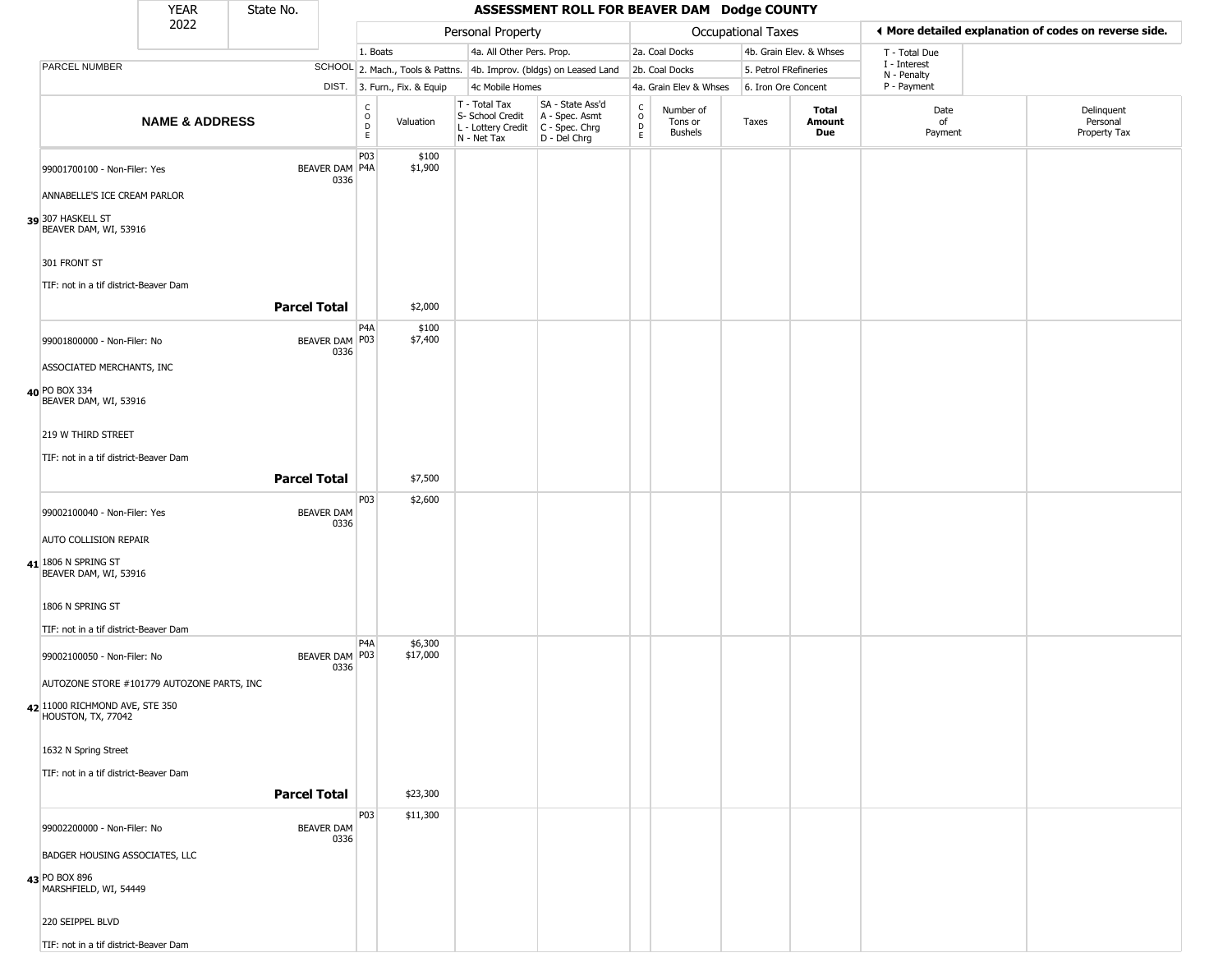|                                                                                                    | <b>YEAR</b>               | State No.           |                           |                                             |                              |                                                  | ASSESSMENT ROLL FOR BEAVER DAM Dodge COUNTY                                               |                        |                                        |                       |                         |                             |                                                       |
|----------------------------------------------------------------------------------------------------|---------------------------|---------------------|---------------------------|---------------------------------------------|------------------------------|--------------------------------------------------|-------------------------------------------------------------------------------------------|------------------------|----------------------------------------|-----------------------|-------------------------|-----------------------------|-------------------------------------------------------|
|                                                                                                    | 2022                      |                     |                           |                                             |                              | Personal Property                                |                                                                                           |                        |                                        | Occupational Taxes    |                         |                             | ♦ More detailed explanation of codes on reverse side. |
|                                                                                                    |                           |                     |                           | 1. Boats                                    |                              | 4a. All Other Pers. Prop.                        |                                                                                           |                        | 2a. Coal Docks                         |                       | 4b. Grain Elev. & Whses | T - Total Due               |                                                       |
| PARCEL NUMBER                                                                                      |                           |                     |                           |                                             |                              |                                                  | SCHOOL 2. Mach., Tools & Pattns. 4b. Improv. (bldgs) on Leased Land                       |                        | 2b. Coal Docks                         | 5. Petrol FRefineries |                         | I - Interest<br>N - Penalty |                                                       |
|                                                                                                    |                           |                     |                           |                                             | DIST. 3. Furn., Fix. & Equip | 4c Mobile Homes                                  |                                                                                           |                        | 4a. Grain Elev & Whses                 | 6. Iron Ore Concent   |                         | P - Payment                 |                                                       |
|                                                                                                    | <b>NAME &amp; ADDRESS</b> |                     |                           | $\frac{C}{O}$<br>$\mathsf D$<br>$\mathsf E$ | Valuation                    | T - Total Tax<br>S- School Credit<br>N - Net Tax | SA - State Ass'd<br>A - Spec. Asmt<br>L - Lottery Credit   C - Spec. Chrg<br>D - Del Chrg | C<br>$\circ$<br>D<br>E | Number of<br>Tons or<br><b>Bushels</b> | Taxes                 | Total<br>Amount<br>Due  | Date<br>of<br>Payment       | Delinquent<br>Personal<br>Property Tax                |
| 99001700100 - Non-Filer: Yes<br>ANNABELLE'S ICE CREAM PARLOR                                       |                           |                     | BEAVER DAM P4A<br>0336    | P03                                         | \$100<br>\$1,900             |                                                  |                                                                                           |                        |                                        |                       |                         |                             |                                                       |
| 39 307 HASKELL ST<br>BEAVER DAM, WI, 53916                                                         |                           |                     |                           |                                             |                              |                                                  |                                                                                           |                        |                                        |                       |                         |                             |                                                       |
| 301 FRONT ST<br>TIF: not in a tif district-Beaver Dam                                              |                           |                     |                           |                                             |                              |                                                  |                                                                                           |                        |                                        |                       |                         |                             |                                                       |
|                                                                                                    |                           | <b>Parcel Total</b> |                           |                                             | \$2,000                      |                                                  |                                                                                           |                        |                                        |                       |                         |                             |                                                       |
| 99001800000 - Non-Filer: No                                                                        |                           |                     | BEAVER DAM P03<br>0336    | P <sub>4</sub> A                            | \$100<br>\$7,400             |                                                  |                                                                                           |                        |                                        |                       |                         |                             |                                                       |
| ASSOCIATED MERCHANTS, INC<br>40 PO BOX 334<br>BEAVER DAM, WI, 53916                                |                           |                     |                           |                                             |                              |                                                  |                                                                                           |                        |                                        |                       |                         |                             |                                                       |
| 219 W THIRD STREET                                                                                 |                           |                     |                           |                                             |                              |                                                  |                                                                                           |                        |                                        |                       |                         |                             |                                                       |
| TIF: not in a tif district-Beaver Dam                                                              |                           | <b>Parcel Total</b> |                           |                                             | \$7,500                      |                                                  |                                                                                           |                        |                                        |                       |                         |                             |                                                       |
| 99002100040 - Non-Filer: Yes                                                                       |                           |                     | <b>BEAVER DAM</b><br>0336 | P03                                         | \$2,600                      |                                                  |                                                                                           |                        |                                        |                       |                         |                             |                                                       |
| <b>AUTO COLLISION REPAIR</b>                                                                       |                           |                     |                           |                                             |                              |                                                  |                                                                                           |                        |                                        |                       |                         |                             |                                                       |
| 41 1806 N SPRING ST<br>BEAVER DAM, WI, 53916                                                       |                           |                     |                           |                                             |                              |                                                  |                                                                                           |                        |                                        |                       |                         |                             |                                                       |
| 1806 N SPRING ST<br>TIF: not in a tif district-Beaver Dam                                          |                           |                     |                           |                                             |                              |                                                  |                                                                                           |                        |                                        |                       |                         |                             |                                                       |
| 99002100050 - Non-Filer: No                                                                        |                           |                     | BEAVER DAM P03<br>0336    | P <sub>4</sub> A                            | \$6,300<br>\$17,000          |                                                  |                                                                                           |                        |                                        |                       |                         |                             |                                                       |
| AUTOZONE STORE #101779 AUTOZONE PARTS, INC<br>42 11000 RICHMOND AVE, STE 350<br>HOUSTON, TX, 77042 |                           |                     |                           |                                             |                              |                                                  |                                                                                           |                        |                                        |                       |                         |                             |                                                       |
| 1632 N Spring Street                                                                               |                           |                     |                           |                                             |                              |                                                  |                                                                                           |                        |                                        |                       |                         |                             |                                                       |
| TIF: not in a tif district-Beaver Dam                                                              |                           | <b>Parcel Total</b> |                           |                                             | \$23,300                     |                                                  |                                                                                           |                        |                                        |                       |                         |                             |                                                       |
| 99002200000 - Non-Filer: No                                                                        |                           |                     | <b>BEAVER DAM</b><br>0336 | P03                                         | \$11,300                     |                                                  |                                                                                           |                        |                                        |                       |                         |                             |                                                       |
| BADGER HOUSING ASSOCIATES, LLC<br>43 PO BOX 896<br>MARSHFIELD, WI, 54449                           |                           |                     |                           |                                             |                              |                                                  |                                                                                           |                        |                                        |                       |                         |                             |                                                       |
| 220 SEIPPEL BLVD                                                                                   |                           |                     |                           |                                             |                              |                                                  |                                                                                           |                        |                                        |                       |                         |                             |                                                       |
| TIF: not in a tif district-Beaver Dam                                                              |                           |                     |                           |                                             |                              |                                                  |                                                                                           |                        |                                        |                       |                         |                             |                                                       |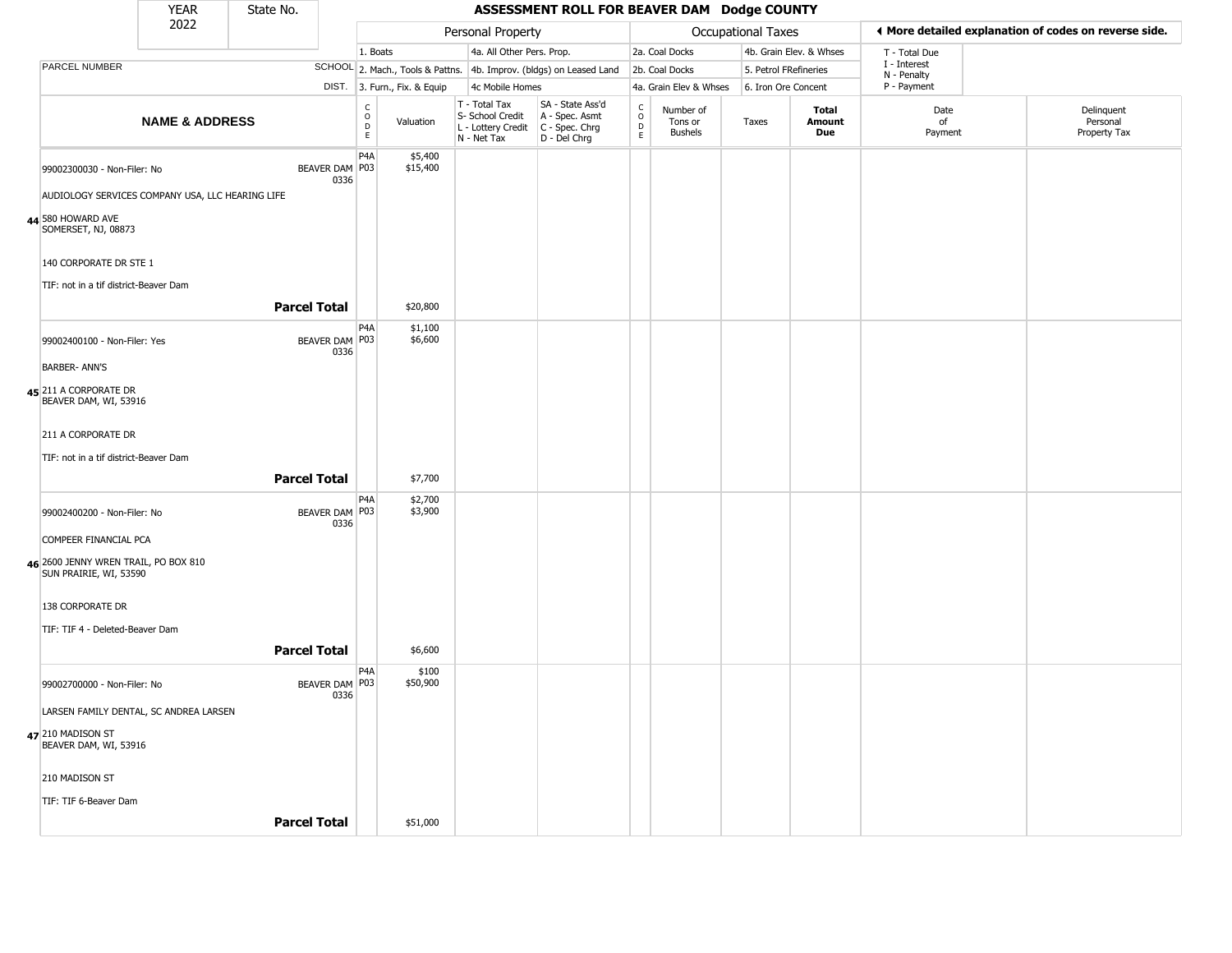|                                                                | <b>YEAR</b>               | State No.           |                        |                                                          |                              |                                                                        | ASSESSMENT ROLL FOR BEAVER DAM Dodge COUNTY                            |                                                          |                                        |                       |                         |                             |                                                       |
|----------------------------------------------------------------|---------------------------|---------------------|------------------------|----------------------------------------------------------|------------------------------|------------------------------------------------------------------------|------------------------------------------------------------------------|----------------------------------------------------------|----------------------------------------|-----------------------|-------------------------|-----------------------------|-------------------------------------------------------|
|                                                                | 2022                      |                     |                        |                                                          |                              | Personal Property                                                      |                                                                        |                                                          |                                        | Occupational Taxes    |                         |                             | ♦ More detailed explanation of codes on reverse side. |
|                                                                |                           |                     |                        | 1. Boats                                                 |                              | 4a. All Other Pers. Prop.                                              |                                                                        |                                                          | 2a. Coal Docks                         |                       | 4b. Grain Elev. & Whses | T - Total Due               |                                                       |
| PARCEL NUMBER                                                  |                           |                     |                        |                                                          |                              |                                                                        | SCHOOL 2. Mach., Tools & Pattns. 4b. Improv. (bldgs) on Leased Land    |                                                          | 2b. Coal Docks                         | 5. Petrol FRefineries |                         | I - Interest<br>N - Penalty |                                                       |
|                                                                |                           |                     |                        |                                                          | DIST. 3. Furn., Fix. & Equip | 4c Mobile Homes                                                        |                                                                        |                                                          | 4a. Grain Elev & Whses                 | 6. Iron Ore Concent   |                         | P - Payment                 |                                                       |
|                                                                | <b>NAME &amp; ADDRESS</b> |                     |                        | $\begin{smallmatrix} C \\ O \\ D \end{smallmatrix}$<br>E | Valuation                    | T - Total Tax<br>S- School Credit<br>L - Lottery Credit<br>N - Net Tax | SA - State Ass'd<br>A - Spec. Asmt<br>$C - Spec. Chrg$<br>D - Del Chrg | $\begin{matrix} 0 \\ 0 \\ 0 \end{matrix}$<br>$\mathsf E$ | Number of<br>Tons or<br><b>Bushels</b> | Taxes                 | Total<br>Amount<br>Due  | Date<br>of<br>Payment       | Delinquent<br>Personal<br>Property Tax                |
| 99002300030 - Non-Filer: No                                    |                           |                     | BEAVER DAM P03<br>0336 | P <sub>4</sub> A                                         | \$5,400<br>\$15,400          |                                                                        |                                                                        |                                                          |                                        |                       |                         |                             |                                                       |
| AUDIOLOGY SERVICES COMPANY USA, LLC HEARING LIFE               |                           |                     |                        |                                                          |                              |                                                                        |                                                                        |                                                          |                                        |                       |                         |                             |                                                       |
| 44 580 HOWARD AVE<br>SOMERSET, NJ, 08873                       |                           |                     |                        |                                                          |                              |                                                                        |                                                                        |                                                          |                                        |                       |                         |                             |                                                       |
| 140 CORPORATE DR STE 1                                         |                           |                     |                        |                                                          |                              |                                                                        |                                                                        |                                                          |                                        |                       |                         |                             |                                                       |
| TIF: not in a tif district-Beaver Dam                          |                           |                     |                        |                                                          |                              |                                                                        |                                                                        |                                                          |                                        |                       |                         |                             |                                                       |
|                                                                |                           | <b>Parcel Total</b> |                        |                                                          | \$20,800                     |                                                                        |                                                                        |                                                          |                                        |                       |                         |                             |                                                       |
| 99002400100 - Non-Filer: Yes                                   |                           |                     | BEAVER DAM P03<br>0336 | P <sub>4</sub> A                                         | \$1,100<br>\$6,600           |                                                                        |                                                                        |                                                          |                                        |                       |                         |                             |                                                       |
| <b>BARBER- ANN'S</b>                                           |                           |                     |                        |                                                          |                              |                                                                        |                                                                        |                                                          |                                        |                       |                         |                             |                                                       |
| 45 211 A CORPORATE DR<br>BEAVER DAM, WI, 53916                 |                           |                     |                        |                                                          |                              |                                                                        |                                                                        |                                                          |                                        |                       |                         |                             |                                                       |
| 211 A CORPORATE DR                                             |                           |                     |                        |                                                          |                              |                                                                        |                                                                        |                                                          |                                        |                       |                         |                             |                                                       |
| TIF: not in a tif district-Beaver Dam                          |                           |                     |                        |                                                          |                              |                                                                        |                                                                        |                                                          |                                        |                       |                         |                             |                                                       |
|                                                                |                           | <b>Parcel Total</b> |                        |                                                          | \$7,700                      |                                                                        |                                                                        |                                                          |                                        |                       |                         |                             |                                                       |
| 99002400200 - Non-Filer: No                                    |                           |                     | BEAVER DAM P03<br>0336 | P <sub>4</sub> A                                         | \$2,700<br>\$3,900           |                                                                        |                                                                        |                                                          |                                        |                       |                         |                             |                                                       |
| COMPEER FINANCIAL PCA                                          |                           |                     |                        |                                                          |                              |                                                                        |                                                                        |                                                          |                                        |                       |                         |                             |                                                       |
| 46 2600 JENNY WREN TRAIL, PO BOX 810<br>SUN PRAIRIE, WI, 53590 |                           |                     |                        |                                                          |                              |                                                                        |                                                                        |                                                          |                                        |                       |                         |                             |                                                       |
| 138 CORPORATE DR                                               |                           |                     |                        |                                                          |                              |                                                                        |                                                                        |                                                          |                                        |                       |                         |                             |                                                       |
| TIF: TIF 4 - Deleted-Beaver Dam                                |                           |                     |                        |                                                          |                              |                                                                        |                                                                        |                                                          |                                        |                       |                         |                             |                                                       |
|                                                                |                           | <b>Parcel Total</b> |                        |                                                          | \$6,600                      |                                                                        |                                                                        |                                                          |                                        |                       |                         |                             |                                                       |
| 99002700000 - Non-Filer: No                                    |                           |                     | BEAVER DAM P03<br>0336 | P <sub>4</sub> A                                         | \$100<br>\$50,900            |                                                                        |                                                                        |                                                          |                                        |                       |                         |                             |                                                       |
| LARSEN FAMILY DENTAL, SC ANDREA LARSEN                         |                           |                     |                        |                                                          |                              |                                                                        |                                                                        |                                                          |                                        |                       |                         |                             |                                                       |
| 47 210 MADISON ST<br>BEAVER DAM, WI, 53916                     |                           |                     |                        |                                                          |                              |                                                                        |                                                                        |                                                          |                                        |                       |                         |                             |                                                       |
| 210 MADISON ST                                                 |                           |                     |                        |                                                          |                              |                                                                        |                                                                        |                                                          |                                        |                       |                         |                             |                                                       |
| TIF: TIF 6-Beaver Dam                                          |                           |                     |                        |                                                          |                              |                                                                        |                                                                        |                                                          |                                        |                       |                         |                             |                                                       |
|                                                                |                           | <b>Parcel Total</b> |                        |                                                          | \$51,000                     |                                                                        |                                                                        |                                                          |                                        |                       |                         |                             |                                                       |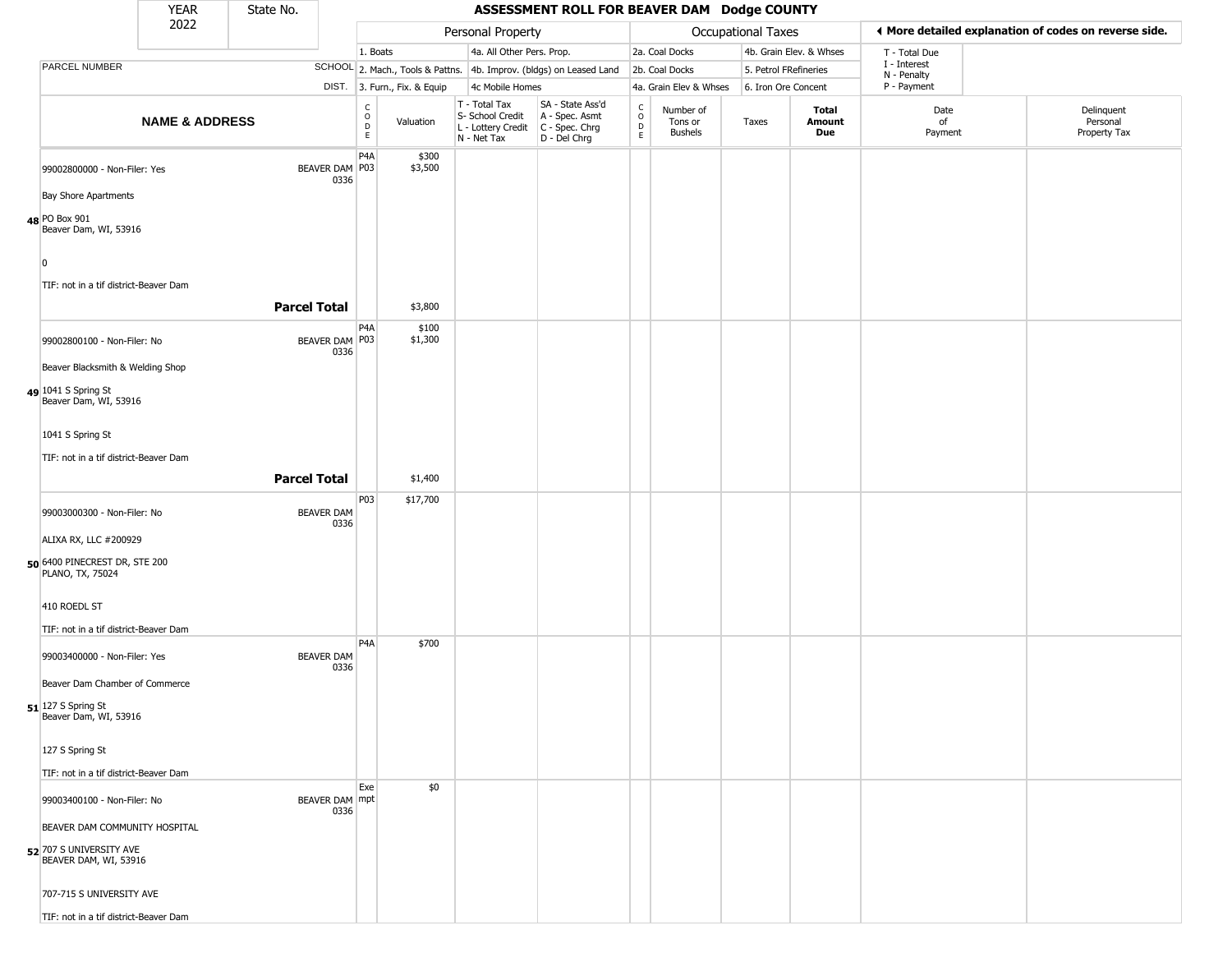|                                 | <b>YEAR</b>                                                                       | State No.                 |                                                 |                              |                                                                                       | ASSESSMENT ROLL FOR BEAVER DAM Dodge COUNTY                         |                                                |                                        |                       |                         |                             |                                                       |
|---------------------------------|-----------------------------------------------------------------------------------|---------------------------|-------------------------------------------------|------------------------------|---------------------------------------------------------------------------------------|---------------------------------------------------------------------|------------------------------------------------|----------------------------------------|-----------------------|-------------------------|-----------------------------|-------------------------------------------------------|
|                                 | 2022                                                                              |                           |                                                 |                              | Personal Property                                                                     |                                                                     |                                                |                                        | Occupational Taxes    |                         |                             | ◀ More detailed explanation of codes on reverse side. |
|                                 |                                                                                   |                           | 1. Boats                                        |                              | 4a. All Other Pers. Prop.                                                             |                                                                     |                                                | 2a. Coal Docks                         |                       | 4b. Grain Elev. & Whses | T - Total Due               |                                                       |
| PARCEL NUMBER                   |                                                                                   |                           |                                                 |                              |                                                                                       | SCHOOL 2. Mach., Tools & Pattns. 4b. Improv. (bldgs) on Leased Land |                                                | 2b. Coal Docks                         | 5. Petrol FRefineries |                         | I - Interest<br>N - Penalty |                                                       |
|                                 |                                                                                   |                           |                                                 | DIST. 3. Furn., Fix. & Equip | 4c Mobile Homes                                                                       |                                                                     |                                                | 4a. Grain Elev & Whses                 | 6. Iron Ore Concent   |                         | P - Payment                 |                                                       |
|                                 | <b>NAME &amp; ADDRESS</b>                                                         |                           | $\begin{array}{c} C \\ O \\ D \\ E \end{array}$ | Valuation                    | T - Total Tax<br>S- School Credit<br>L - Lottery Credit C - Spec. Chrg<br>N - Net Tax | SA - State Ass'd<br>A - Spec. Asmt<br>D - Del Chrg                  | $\begin{matrix} 0 \\ 0 \\ D \end{matrix}$<br>E | Number of<br>Tons or<br><b>Bushels</b> | Taxes                 | Total<br>Amount<br>Due  | Date<br>of<br>Payment       | Delinquent<br>Personal<br>Property Tax                |
|                                 | 99002800000 - Non-Filer: Yes<br><b>Bay Shore Apartments</b>                       | BEAVER DAM P03<br>0336    | P <sub>4</sub> A                                | \$300<br>\$3,500             |                                                                                       |                                                                     |                                                |                                        |                       |                         |                             |                                                       |
| 48 PO Box 901<br>$\overline{0}$ | Beaver Dam, WI, 53916                                                             |                           |                                                 |                              |                                                                                       |                                                                     |                                                |                                        |                       |                         |                             |                                                       |
|                                 | TIF: not in a tif district-Beaver Dam                                             | <b>Parcel Total</b>       |                                                 | \$3,800                      |                                                                                       |                                                                     |                                                |                                        |                       |                         |                             |                                                       |
|                                 | 99002800100 - Non-Filer: No<br>Beaver Blacksmith & Welding Shop                   | BEAVER DAM P03<br>0336    | P <sub>4</sub> A                                | \$100<br>\$1,300             |                                                                                       |                                                                     |                                                |                                        |                       |                         |                             |                                                       |
| 49 1041 S Spring St             | Beaver Dam, WI, 53916                                                             |                           |                                                 |                              |                                                                                       |                                                                     |                                                |                                        |                       |                         |                             |                                                       |
| 1041 S Spring St                |                                                                                   |                           |                                                 |                              |                                                                                       |                                                                     |                                                |                                        |                       |                         |                             |                                                       |
|                                 | TIF: not in a tif district-Beaver Dam                                             |                           |                                                 |                              |                                                                                       |                                                                     |                                                |                                        |                       |                         |                             |                                                       |
|                                 |                                                                                   | <b>Parcel Total</b>       |                                                 | \$1,400                      |                                                                                       |                                                                     |                                                |                                        |                       |                         |                             |                                                       |
|                                 |                                                                                   |                           | P03                                             | \$17,700                     |                                                                                       |                                                                     |                                                |                                        |                       |                         |                             |                                                       |
|                                 | 99003000300 - Non-Filer: No<br>ALIXA RX, LLC #200929                              | <b>BEAVER DAM</b><br>0336 |                                                 |                              |                                                                                       |                                                                     |                                                |                                        |                       |                         |                             |                                                       |
| PLANO, TX, 75024                | 50 6400 PINECREST DR, STE 200                                                     |                           |                                                 |                              |                                                                                       |                                                                     |                                                |                                        |                       |                         |                             |                                                       |
| 410 ROEDL ST                    | TIF: not in a tif district-Beaver Dam                                             |                           |                                                 |                              |                                                                                       |                                                                     |                                                |                                        |                       |                         |                             |                                                       |
|                                 | 99003400000 - Non-Filer: Yes                                                      | <b>BEAVER DAM</b><br>0336 | P <sub>4</sub> A                                | \$700                        |                                                                                       |                                                                     |                                                |                                        |                       |                         |                             |                                                       |
|                                 | Beaver Dam Chamber of Commerce                                                    |                           |                                                 |                              |                                                                                       |                                                                     |                                                |                                        |                       |                         |                             |                                                       |
| 51 127 S Spring St              | Beaver Dam, WI, 53916                                                             |                           |                                                 |                              |                                                                                       |                                                                     |                                                |                                        |                       |                         |                             |                                                       |
| 127 S Spring St                 |                                                                                   |                           |                                                 |                              |                                                                                       |                                                                     |                                                |                                        |                       |                         |                             |                                                       |
|                                 | TIF: not in a tif district-Beaver Dam                                             |                           |                                                 |                              |                                                                                       |                                                                     |                                                |                                        |                       |                         |                             |                                                       |
|                                 | 99003400100 - Non-Filer: No                                                       | BEAVER DAM mpt<br>0336    | Exe                                             | \$0                          |                                                                                       |                                                                     |                                                |                                        |                       |                         |                             |                                                       |
|                                 | BEAVER DAM COMMUNITY HOSPITAL<br>52 707 S UNIVERSITY AVE<br>BEAVER DAM, WI, 53916 |                           |                                                 |                              |                                                                                       |                                                                     |                                                |                                        |                       |                         |                             |                                                       |
|                                 | 707-715 S UNIVERSITY AVE                                                          |                           |                                                 |                              |                                                                                       |                                                                     |                                                |                                        |                       |                         |                             |                                                       |
|                                 | TIF: not in a tif district-Beaver Dam                                             |                           |                                                 |                              |                                                                                       |                                                                     |                                                |                                        |                       |                         |                             |                                                       |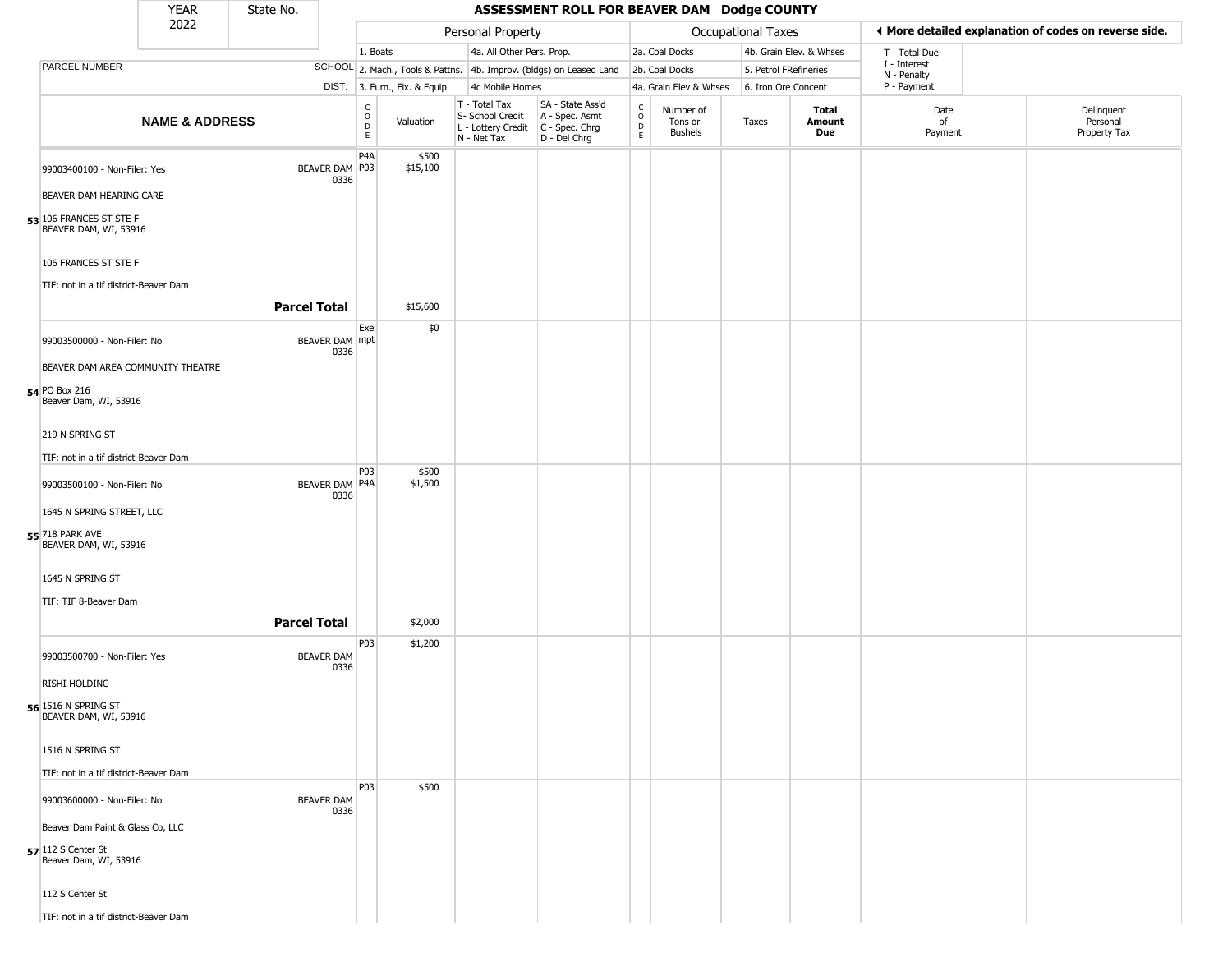|                                                                                 | <b>YEAR</b>               | State No.           |                           |                                                 |                              |                                                                        | ASSESSMENT ROLL FOR BEAVER DAM Dodge COUNTY                          |                                              |                                        |                     |                         |                             |                                                       |
|---------------------------------------------------------------------------------|---------------------------|---------------------|---------------------------|-------------------------------------------------|------------------------------|------------------------------------------------------------------------|----------------------------------------------------------------------|----------------------------------------------|----------------------------------------|---------------------|-------------------------|-----------------------------|-------------------------------------------------------|
|                                                                                 | 2022                      |                     |                           |                                                 |                              | Personal Property                                                      |                                                                      |                                              |                                        | Occupational Taxes  |                         |                             | ♦ More detailed explanation of codes on reverse side. |
|                                                                                 |                           |                     |                           | 1. Boats                                        |                              | 4a. All Other Pers. Prop.                                              |                                                                      |                                              | 2a. Coal Docks                         |                     | 4b. Grain Elev. & Whses | T - Total Due               |                                                       |
| PARCEL NUMBER                                                                   |                           |                     |                           |                                                 |                              |                                                                        | SCHOOL 2. Mach., Tools & Pattns. 4b. Improv. (bldgs) on Leased Land  |                                              | 2b. Coal Docks                         |                     | 5. Petrol FRefineries   | I - Interest<br>N - Penalty |                                                       |
|                                                                                 |                           |                     |                           |                                                 | DIST. 3. Furn., Fix. & Equip | 4c Mobile Homes                                                        |                                                                      |                                              | 4a. Grain Elev & Whses                 | 6. Iron Ore Concent |                         | P - Payment                 |                                                       |
|                                                                                 | <b>NAME &amp; ADDRESS</b> |                     |                           | $\begin{array}{c} C \\ O \\ D \\ E \end{array}$ | Valuation                    | T - Total Tax<br>S- School Credit<br>L - Lottery Credit<br>N - Net Tax | SA - State Ass'd<br>A - Spec. Asmt<br>C - Spec. Chrg<br>D - Del Chrg | $\begin{array}{c}\nC \\ O \\ D\n\end{array}$ | Number of<br>Tons or<br><b>Bushels</b> | Taxes               | Total<br>Amount<br>Due  | Date<br>of<br>Payment       | Delinquent<br>Personal<br>Property Tax                |
| 99003400100 - Non-Filer: Yes<br>BEAVER DAM HEARING CARE                         |                           |                     | BEAVER DAM P03<br>0336    | P <sub>4</sub> A                                | \$500<br>\$15,100            |                                                                        |                                                                      |                                              |                                        |                     |                         |                             |                                                       |
| 53 106 FRANCES ST STE F<br>BEAVER DAM, WI, 53916                                |                           |                     |                           |                                                 |                              |                                                                        |                                                                      |                                              |                                        |                     |                         |                             |                                                       |
| 106 FRANCES ST STE F<br>TIF: not in a tif district-Beaver Dam                   |                           | <b>Parcel Total</b> |                           |                                                 | \$15,600                     |                                                                        |                                                                      |                                              |                                        |                     |                         |                             |                                                       |
|                                                                                 |                           |                     |                           |                                                 |                              |                                                                        |                                                                      |                                              |                                        |                     |                         |                             |                                                       |
| 99003500000 - Non-Filer: No<br>BEAVER DAM AREA COMMUNITY THEATRE                |                           |                     | BEAVER DAM mpt<br>0336    | Exe                                             | \$0                          |                                                                        |                                                                      |                                              |                                        |                     |                         |                             |                                                       |
| 54 PO Box 216<br>Beaver Dam, WI, 53916                                          |                           |                     |                           |                                                 |                              |                                                                        |                                                                      |                                              |                                        |                     |                         |                             |                                                       |
| 219 N SPRING ST                                                                 |                           |                     |                           |                                                 |                              |                                                                        |                                                                      |                                              |                                        |                     |                         |                             |                                                       |
| TIF: not in a tif district-Beaver Dam                                           |                           |                     |                           |                                                 |                              |                                                                        |                                                                      |                                              |                                        |                     |                         |                             |                                                       |
| 99003500100 - Non-Filer: No                                                     |                           |                     | BEAVER DAM P4A<br>0336    | <b>P03</b>                                      | \$500<br>\$1,500             |                                                                        |                                                                      |                                              |                                        |                     |                         |                             |                                                       |
| 1645 N SPRING STREET, LLC                                                       |                           |                     |                           |                                                 |                              |                                                                        |                                                                      |                                              |                                        |                     |                         |                             |                                                       |
| <b>55</b> 718 PARK AVE<br>BEAVER DAM, WI, 53916                                 |                           |                     |                           |                                                 |                              |                                                                        |                                                                      |                                              |                                        |                     |                         |                             |                                                       |
| 1645 N SPRING ST                                                                |                           |                     |                           |                                                 |                              |                                                                        |                                                                      |                                              |                                        |                     |                         |                             |                                                       |
| TIF: TIF 8-Beaver Dam                                                           |                           |                     |                           |                                                 |                              |                                                                        |                                                                      |                                              |                                        |                     |                         |                             |                                                       |
|                                                                                 |                           | <b>Parcel Total</b> |                           | P03                                             | \$2,000<br>\$1,200           |                                                                        |                                                                      |                                              |                                        |                     |                         |                             |                                                       |
| 99003500700 - Non-Filer: Yes                                                    |                           |                     | <b>BEAVER DAM</b><br>0336 |                                                 |                              |                                                                        |                                                                      |                                              |                                        |                     |                         |                             |                                                       |
| <b>RISHI HOLDING</b>                                                            |                           |                     |                           |                                                 |                              |                                                                        |                                                                      |                                              |                                        |                     |                         |                             |                                                       |
| <b>56</b> 1516 N SPRING ST<br>BEAVER DAM, WI, 53916                             |                           |                     |                           |                                                 |                              |                                                                        |                                                                      |                                              |                                        |                     |                         |                             |                                                       |
| 1516 N SPRING ST                                                                |                           |                     |                           |                                                 |                              |                                                                        |                                                                      |                                              |                                        |                     |                         |                             |                                                       |
| TIF: not in a tif district-Beaver Dam                                           |                           |                     |                           |                                                 |                              |                                                                        |                                                                      |                                              |                                        |                     |                         |                             |                                                       |
| 99003600000 - Non-Filer: No                                                     |                           |                     | <b>BEAVER DAM</b><br>0336 | <b>P03</b>                                      | \$500                        |                                                                        |                                                                      |                                              |                                        |                     |                         |                             |                                                       |
| Beaver Dam Paint & Glass Co, LLC<br>57 112 S Center St<br>Beaver Dam, WI, 53916 |                           |                     |                           |                                                 |                              |                                                                        |                                                                      |                                              |                                        |                     |                         |                             |                                                       |
| 112 S Center St                                                                 |                           |                     |                           |                                                 |                              |                                                                        |                                                                      |                                              |                                        |                     |                         |                             |                                                       |
| TIF: not in a tif district-Beaver Dam                                           |                           |                     |                           |                                                 |                              |                                                                        |                                                                      |                                              |                                        |                     |                         |                             |                                                       |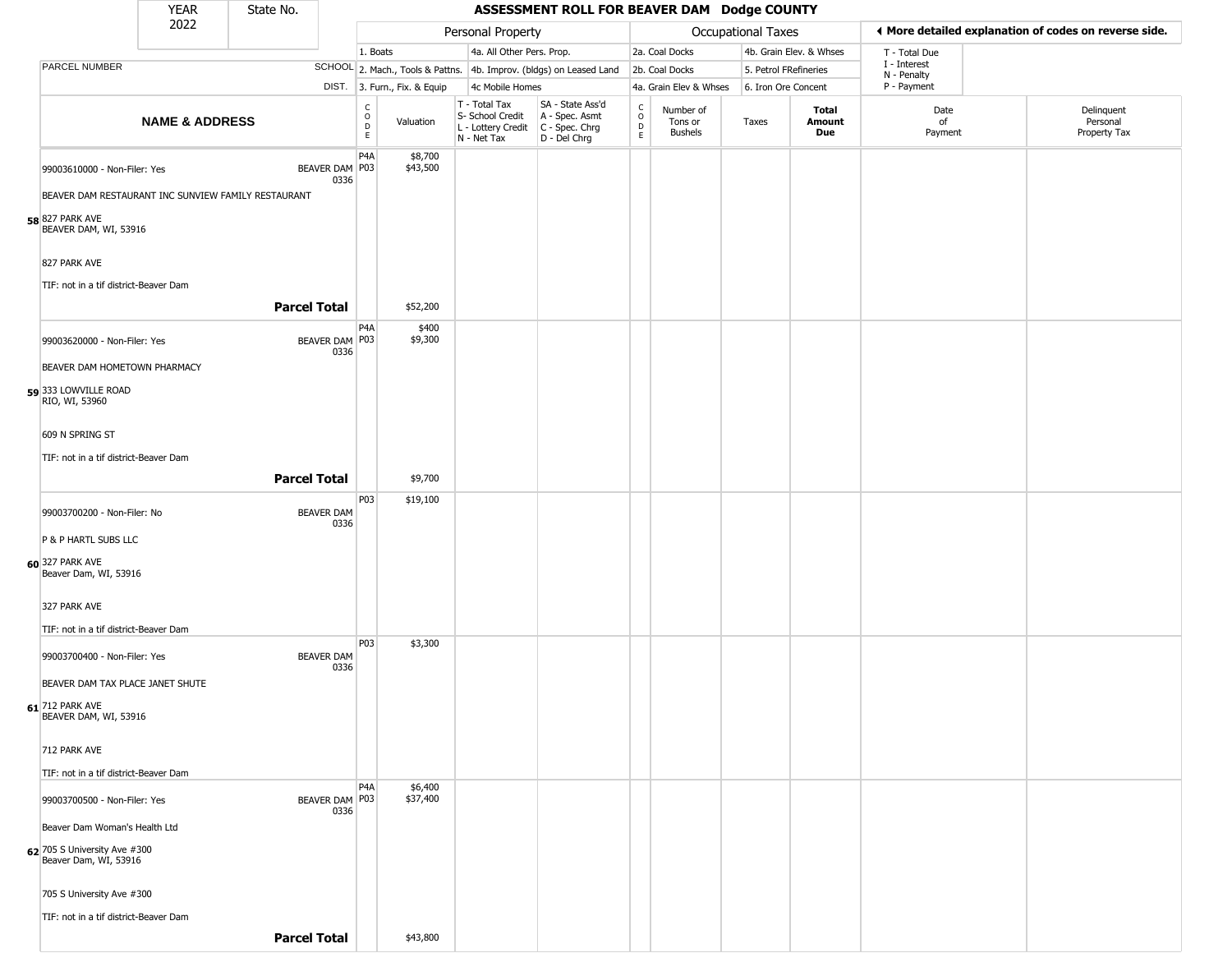|                                                       | <b>YEAR</b>               | State No.           |                           |                                            |                              |                                                                                         | ASSESSMENT ROLL FOR BEAVER DAM Dodge COUNTY                         |                         |                                        |                           |                         |                             |                                                       |
|-------------------------------------------------------|---------------------------|---------------------|---------------------------|--------------------------------------------|------------------------------|-----------------------------------------------------------------------------------------|---------------------------------------------------------------------|-------------------------|----------------------------------------|---------------------------|-------------------------|-----------------------------|-------------------------------------------------------|
|                                                       | 2022                      |                     |                           |                                            |                              | Personal Property                                                                       |                                                                     |                         |                                        | <b>Occupational Taxes</b> |                         |                             | ♦ More detailed explanation of codes on reverse side. |
|                                                       |                           |                     |                           | 1. Boats                                   |                              | 4a. All Other Pers. Prop.                                                               |                                                                     |                         | 2a. Coal Docks                         |                           | 4b. Grain Elev. & Whses | T - Total Due               |                                                       |
| PARCEL NUMBER                                         |                           |                     |                           |                                            |                              |                                                                                         | SCHOOL 2. Mach., Tools & Pattns. 4b. Improv. (bldgs) on Leased Land |                         | 2b. Coal Docks                         | 5. Petrol FRefineries     |                         | I - Interest<br>N - Penalty |                                                       |
|                                                       |                           |                     |                           |                                            | DIST. 3. Furn., Fix. & Equip | 4c Mobile Homes                                                                         |                                                                     |                         | 4a. Grain Elev & Whses                 | 6. Iron Ore Concent       |                         | P - Payment                 |                                                       |
|                                                       | <b>NAME &amp; ADDRESS</b> |                     |                           | $\frac{C}{O}$<br>$\mathsf{D}_{\mathsf{E}}$ | Valuation                    | T - Total Tax<br>S- School Credit<br>L - Lottery Credit   C - Spec. Chrg<br>N - Net Tax | SA - State Ass'd<br>A - Spec. Asmt<br>$D - Del Chrg$                | C<br>$\circ$<br>D<br>E. | Number of<br>Tons or<br><b>Bushels</b> | Taxes                     | Total<br>Amount<br>Due  | Date<br>of<br>Payment       | Delinquent<br>Personal<br>Property Tax                |
| 99003610000 - Non-Filer: Yes                          |                           |                     | BEAVER DAM P03<br>0336    | P4A                                        | \$8,700<br>\$43,500          |                                                                                         |                                                                     |                         |                                        |                           |                         |                             |                                                       |
| BEAVER DAM RESTAURANT INC SUNVIEW FAMILY RESTAURANT   |                           |                     |                           |                                            |                              |                                                                                         |                                                                     |                         |                                        |                           |                         |                             |                                                       |
| 58 827 PARK AVE<br>BEAVER DAM, WI, 53916              |                           |                     |                           |                                            |                              |                                                                                         |                                                                     |                         |                                        |                           |                         |                             |                                                       |
| 827 PARK AVE<br>TIF: not in a tif district-Beaver Dam |                           |                     |                           |                                            |                              |                                                                                         |                                                                     |                         |                                        |                           |                         |                             |                                                       |
|                                                       |                           | <b>Parcel Total</b> |                           |                                            | \$52,200                     |                                                                                         |                                                                     |                         |                                        |                           |                         |                             |                                                       |
| 99003620000 - Non-Filer: Yes                          |                           |                     | BEAVER DAM   P03<br>0336  | P <sub>4</sub> A                           | \$400<br>\$9,300             |                                                                                         |                                                                     |                         |                                        |                           |                         |                             |                                                       |
| BEAVER DAM HOMETOWN PHARMACY                          |                           |                     |                           |                                            |                              |                                                                                         |                                                                     |                         |                                        |                           |                         |                             |                                                       |
| 59 333 LOWVILLE ROAD<br>RIO, WI, 53960                |                           |                     |                           |                                            |                              |                                                                                         |                                                                     |                         |                                        |                           |                         |                             |                                                       |
| 609 N SPRING ST                                       |                           |                     |                           |                                            |                              |                                                                                         |                                                                     |                         |                                        |                           |                         |                             |                                                       |
| TIF: not in a tif district-Beaver Dam                 |                           |                     |                           |                                            |                              |                                                                                         |                                                                     |                         |                                        |                           |                         |                             |                                                       |
|                                                       |                           | <b>Parcel Total</b> |                           |                                            | \$9,700                      |                                                                                         |                                                                     |                         |                                        |                           |                         |                             |                                                       |
|                                                       |                           |                     |                           | P03                                        | \$19,100                     |                                                                                         |                                                                     |                         |                                        |                           |                         |                             |                                                       |
| 99003700200 - Non-Filer: No                           |                           |                     | <b>BEAVER DAM</b><br>0336 |                                            |                              |                                                                                         |                                                                     |                         |                                        |                           |                         |                             |                                                       |
| P & P HARTL SUBS LLC                                  |                           |                     |                           |                                            |                              |                                                                                         |                                                                     |                         |                                        |                           |                         |                             |                                                       |
| 60 327 PARK AVE<br>Beaver Dam, WI, 53916              |                           |                     |                           |                                            |                              |                                                                                         |                                                                     |                         |                                        |                           |                         |                             |                                                       |
| 327 PARK AVE                                          |                           |                     |                           |                                            |                              |                                                                                         |                                                                     |                         |                                        |                           |                         |                             |                                                       |
| TIF: not in a tif district-Beaver Dam                 |                           |                     |                           |                                            |                              |                                                                                         |                                                                     |                         |                                        |                           |                         |                             |                                                       |
| 99003700400 - Non-Filer: Yes                          |                           |                     | <b>BEAVER DAM</b><br>0336 | P03                                        | \$3,300                      |                                                                                         |                                                                     |                         |                                        |                           |                         |                             |                                                       |
| BEAVER DAM TAX PLACE JANET SHUTE                      |                           |                     |                           |                                            |                              |                                                                                         |                                                                     |                         |                                        |                           |                         |                             |                                                       |
| 61 712 PARK AVE<br>BEAVER DAM, WI, 53916              |                           |                     |                           |                                            |                              |                                                                                         |                                                                     |                         |                                        |                           |                         |                             |                                                       |
| 712 PARK AVE                                          |                           |                     |                           |                                            |                              |                                                                                         |                                                                     |                         |                                        |                           |                         |                             |                                                       |
| TIF: not in a tif district-Beaver Dam                 |                           |                     |                           |                                            |                              |                                                                                         |                                                                     |                         |                                        |                           |                         |                             |                                                       |
| 99003700500 - Non-Filer: Yes                          |                           |                     | BEAVER DAM P03<br>0336    | P <sub>4</sub> A                           | \$6,400<br>\$37,400          |                                                                                         |                                                                     |                         |                                        |                           |                         |                             |                                                       |
| Beaver Dam Woman's Health Ltd                         |                           |                     |                           |                                            |                              |                                                                                         |                                                                     |                         |                                        |                           |                         |                             |                                                       |
| 62 705 S University Ave #300<br>Beaver Dam, WI, 53916 |                           |                     |                           |                                            |                              |                                                                                         |                                                                     |                         |                                        |                           |                         |                             |                                                       |
| 705 S University Ave #300                             |                           |                     |                           |                                            |                              |                                                                                         |                                                                     |                         |                                        |                           |                         |                             |                                                       |
| TIF: not in a tif district-Beaver Dam                 |                           |                     |                           |                                            |                              |                                                                                         |                                                                     |                         |                                        |                           |                         |                             |                                                       |
|                                                       |                           | <b>Parcel Total</b> |                           |                                            | \$43,800                     |                                                                                         |                                                                     |                         |                                        |                           |                         |                             |                                                       |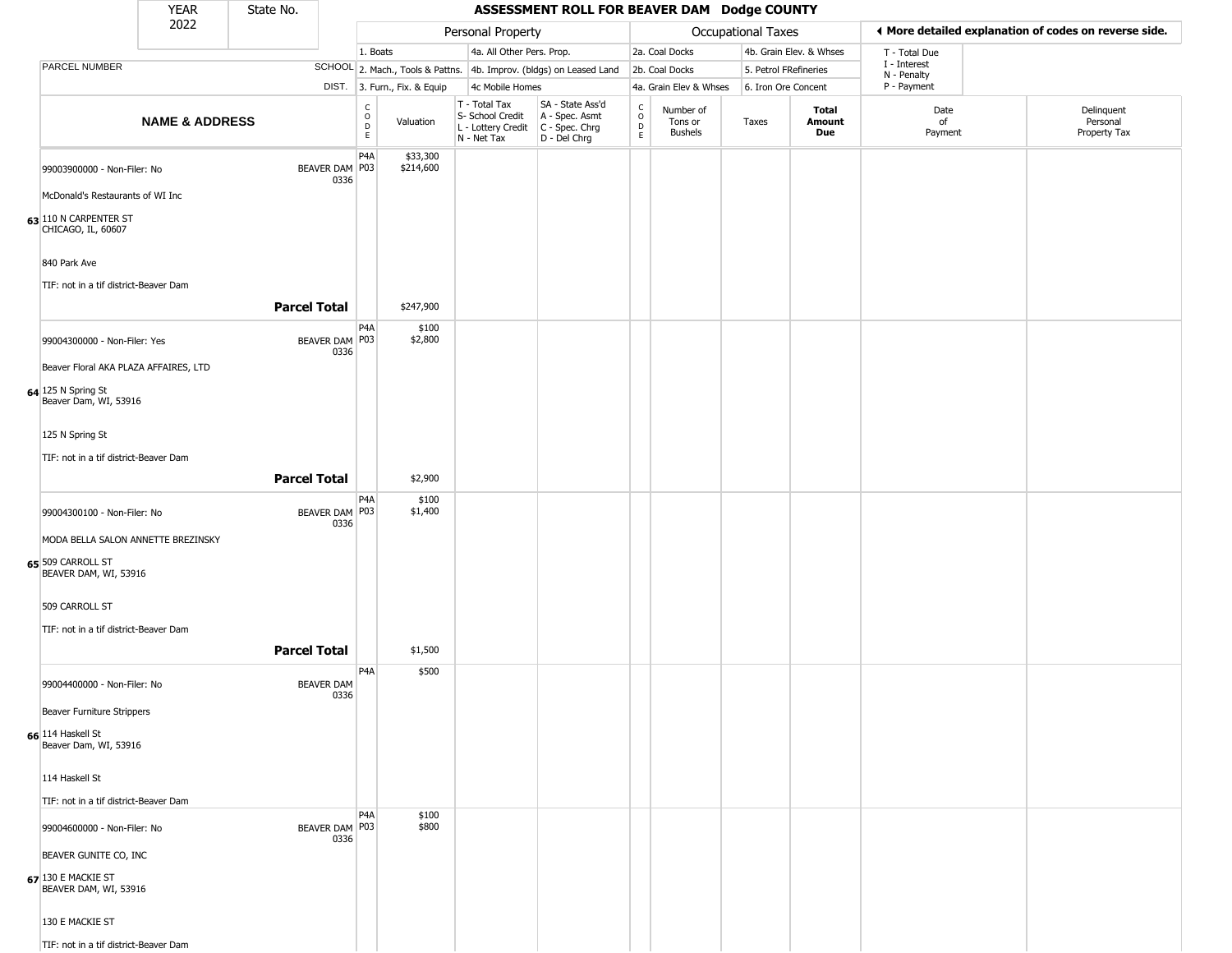|                                                                                      | <b>YEAR</b>               | State No.           |                           |                                   |                              |                                                                                         | ASSESSMENT ROLL FOR BEAVER DAM Dodge COUNTY                         |                                    |                                        |                       |                         |                             |                                                       |
|--------------------------------------------------------------------------------------|---------------------------|---------------------|---------------------------|-----------------------------------|------------------------------|-----------------------------------------------------------------------------------------|---------------------------------------------------------------------|------------------------------------|----------------------------------------|-----------------------|-------------------------|-----------------------------|-------------------------------------------------------|
|                                                                                      | 2022                      |                     |                           |                                   |                              | Personal Property                                                                       |                                                                     |                                    |                                        | Occupational Taxes    |                         |                             | ♦ More detailed explanation of codes on reverse side. |
|                                                                                      |                           |                     |                           | 1. Boats                          |                              | 4a. All Other Pers. Prop.                                                               |                                                                     |                                    | 2a. Coal Docks                         |                       | 4b. Grain Elev. & Whses | T - Total Due               |                                                       |
| PARCEL NUMBER                                                                        |                           |                     |                           |                                   |                              |                                                                                         | SCHOOL 2. Mach., Tools & Pattns. 4b. Improv. (bldgs) on Leased Land |                                    | 2b. Coal Docks                         | 5. Petrol FRefineries |                         | I - Interest<br>N - Penalty |                                                       |
|                                                                                      |                           |                     |                           |                                   | DIST. 3. Furn., Fix. & Equip | 4c Mobile Homes                                                                         |                                                                     |                                    | 4a. Grain Elev & Whses                 | 6. Iron Ore Concent   |                         | P - Payment                 |                                                       |
|                                                                                      | <b>NAME &amp; ADDRESS</b> |                     |                           | $\frac{C}{O}$<br>D<br>$\mathsf E$ | Valuation                    | T - Total Tax<br>S- School Credit<br>L - Lottery Credit   C - Spec. Chrg<br>N - Net Tax | SA - State Ass'd<br>A - Spec. Asmt<br>D - Del Chrg                  | C<br>$\circ$<br>$\mathsf{D}$<br>E. | Number of<br>Tons or<br><b>Bushels</b> | Taxes                 | Total<br>Amount<br>Due  | Date<br>of<br>Payment       | Delinquent<br>Personal<br>Property Tax                |
| 99003900000 - Non-Filer: No                                                          |                           |                     | BEAVER DAM P03<br>0336    | P4A                               | \$33,300<br>\$214,600        |                                                                                         |                                                                     |                                    |                                        |                       |                         |                             |                                                       |
| McDonald's Restaurants of WI Inc                                                     |                           |                     |                           |                                   |                              |                                                                                         |                                                                     |                                    |                                        |                       |                         |                             |                                                       |
| 63 110 N CARPENTER ST<br>CHICAGO, IL, 60607                                          |                           |                     |                           |                                   |                              |                                                                                         |                                                                     |                                    |                                        |                       |                         |                             |                                                       |
| 840 Park Ave<br>TIF: not in a tif district-Beaver Dam                                |                           |                     |                           |                                   |                              |                                                                                         |                                                                     |                                    |                                        |                       |                         |                             |                                                       |
|                                                                                      |                           | <b>Parcel Total</b> |                           | P4A                               | \$247,900                    |                                                                                         |                                                                     |                                    |                                        |                       |                         |                             |                                                       |
| 99004300000 - Non-Filer: Yes                                                         |                           |                     | BEAVER DAM   P03<br>0336  |                                   | \$100<br>\$2,800             |                                                                                         |                                                                     |                                    |                                        |                       |                         |                             |                                                       |
| Beaver Floral AKA PLAZA AFFAIRES, LTD<br>64 125 N Spring St<br>Beaver Dam, WI, 53916 |                           |                     |                           |                                   |                              |                                                                                         |                                                                     |                                    |                                        |                       |                         |                             |                                                       |
| 125 N Spring St                                                                      |                           |                     |                           |                                   |                              |                                                                                         |                                                                     |                                    |                                        |                       |                         |                             |                                                       |
| TIF: not in a tif district-Beaver Dam                                                |                           | <b>Parcel Total</b> |                           |                                   | \$2,900                      |                                                                                         |                                                                     |                                    |                                        |                       |                         |                             |                                                       |
| 99004300100 - Non-Filer: No                                                          |                           |                     | BEAVER DAM P03<br>0336    | P4A                               | \$100<br>\$1,400             |                                                                                         |                                                                     |                                    |                                        |                       |                         |                             |                                                       |
| MODA BELLA SALON ANNETTE BREZINSKY<br>65 509 CARROLL ST<br>BEAVER DAM, WI, 53916     |                           |                     |                           |                                   |                              |                                                                                         |                                                                     |                                    |                                        |                       |                         |                             |                                                       |
| 509 CARROLL ST                                                                       |                           |                     |                           |                                   |                              |                                                                                         |                                                                     |                                    |                                        |                       |                         |                             |                                                       |
| TIF: not in a tif district-Beaver Dam                                                |                           | <b>Parcel Total</b> |                           |                                   | \$1,500                      |                                                                                         |                                                                     |                                    |                                        |                       |                         |                             |                                                       |
| 99004400000 - Non-Filer: No                                                          |                           |                     | <b>BEAVER DAM</b><br>0336 | P4A                               | \$500                        |                                                                                         |                                                                     |                                    |                                        |                       |                         |                             |                                                       |
| Beaver Furniture Strippers                                                           |                           |                     |                           |                                   |                              |                                                                                         |                                                                     |                                    |                                        |                       |                         |                             |                                                       |
| 66 114 Haskell St<br>Beaver Dam, WI, 53916                                           |                           |                     |                           |                                   |                              |                                                                                         |                                                                     |                                    |                                        |                       |                         |                             |                                                       |
| 114 Haskell St<br>TIF: not in a tif district-Beaver Dam                              |                           |                     |                           |                                   |                              |                                                                                         |                                                                     |                                    |                                        |                       |                         |                             |                                                       |
| 99004600000 - Non-Filer: No                                                          |                           |                     | BEAVER DAM P03<br>0336    | P <sub>4</sub> A                  | \$100<br>\$800               |                                                                                         |                                                                     |                                    |                                        |                       |                         |                             |                                                       |
| BEAVER GUNITE CO, INC                                                                |                           |                     |                           |                                   |                              |                                                                                         |                                                                     |                                    |                                        |                       |                         |                             |                                                       |
| 67 130 E MACKIE ST<br>BEAVER DAM, WI, 53916                                          |                           |                     |                           |                                   |                              |                                                                                         |                                                                     |                                    |                                        |                       |                         |                             |                                                       |
| 130 E MACKIE ST                                                                      |                           |                     |                           |                                   |                              |                                                                                         |                                                                     |                                    |                                        |                       |                         |                             |                                                       |
| TIF: not in a tif district-Beaver Dam                                                |                           |                     |                           |                                   |                              |                                                                                         |                                                                     |                                    |                                        |                       |                         |                             |                                                       |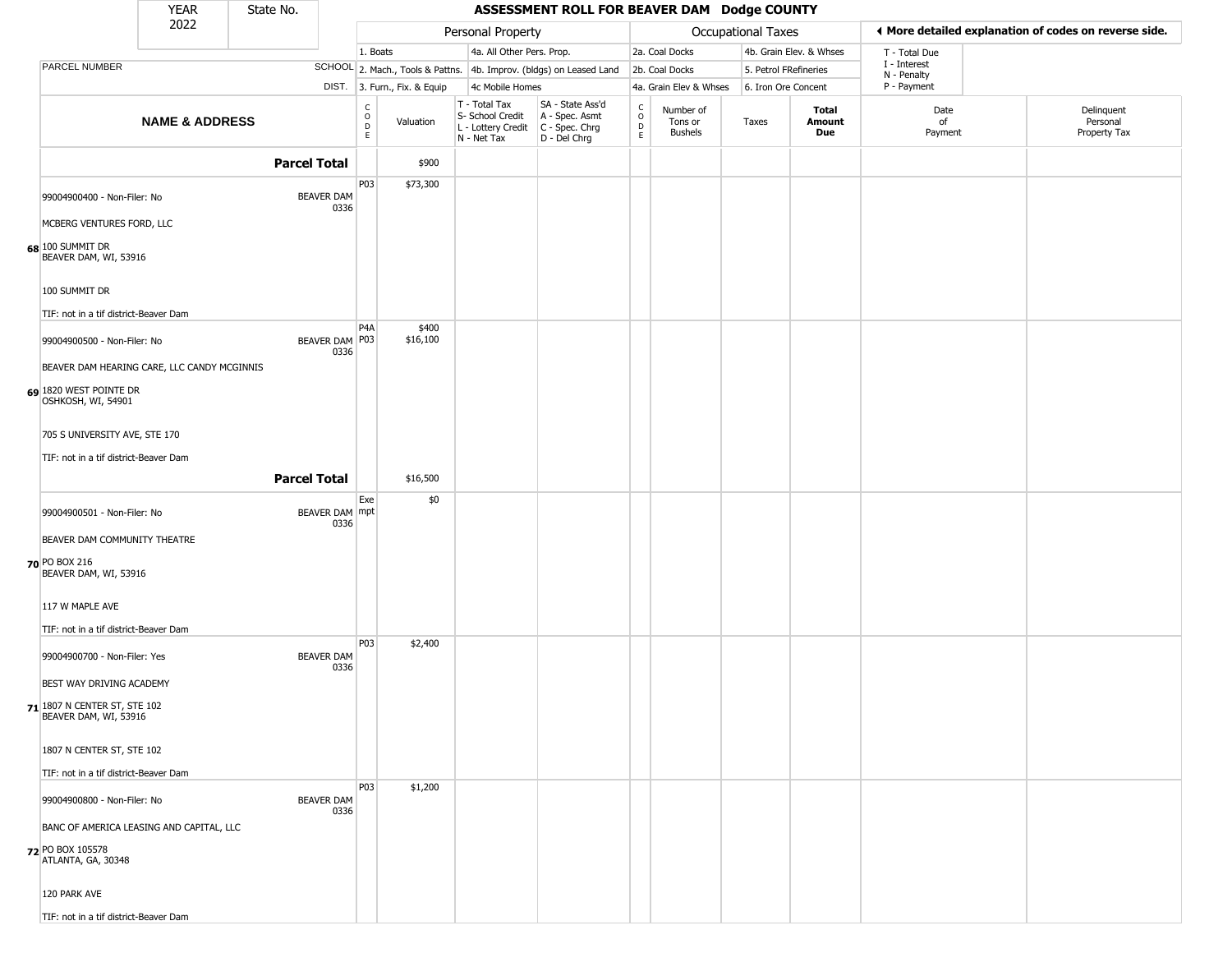|                                                       | <b>YEAR</b>                                                                | State No.                 |                                      |                              |                                                                        | ASSESSMENT ROLL FOR BEAVER DAM Dodge COUNTY                          |                                   |                                        |                           |                         |                             |                                                       |
|-------------------------------------------------------|----------------------------------------------------------------------------|---------------------------|--------------------------------------|------------------------------|------------------------------------------------------------------------|----------------------------------------------------------------------|-----------------------------------|----------------------------------------|---------------------------|-------------------------|-----------------------------|-------------------------------------------------------|
|                                                       | 2022                                                                       |                           |                                      |                              | Personal Property                                                      |                                                                      |                                   |                                        | <b>Occupational Taxes</b> |                         |                             | I More detailed explanation of codes on reverse side. |
|                                                       |                                                                            |                           | 1. Boats                             |                              | 4a. All Other Pers. Prop.                                              |                                                                      |                                   | 2a. Coal Docks                         |                           | 4b. Grain Elev. & Whses | T - Total Due               |                                                       |
| PARCEL NUMBER                                         |                                                                            |                           |                                      |                              |                                                                        | SCHOOL 2. Mach., Tools & Pattns. 4b. Improv. (bldgs) on Leased Land  |                                   | 2b. Coal Docks                         | 5. Petrol FRefineries     |                         | I - Interest<br>N - Penalty |                                                       |
|                                                       |                                                                            |                           |                                      | DIST. 3. Furn., Fix. & Equip | 4c Mobile Homes                                                        |                                                                      |                                   | 4a. Grain Elev & Whses                 | 6. Iron Ore Concent       |                         | P - Payment                 |                                                       |
|                                                       | <b>NAME &amp; ADDRESS</b>                                                  |                           | C<br>$\mathsf O$<br>$\mathsf D$<br>E | Valuation                    | T - Total Tax<br>S- School Credit<br>L - Lottery Credit<br>N - Net Tax | SA - State Ass'd<br>A - Spec. Asmt<br>C - Spec. Chrg<br>D - Del Chrg | C<br>$\circ$<br>$\mathsf{D}$<br>E | Number of<br>Tons or<br><b>Bushels</b> | Taxes                     | Total<br>Amount<br>Due  | Date<br>of<br>Payment       | Delinquent<br>Personal<br>Property Tax                |
|                                                       |                                                                            | <b>Parcel Total</b>       |                                      | \$900                        |                                                                        |                                                                      |                                   |                                        |                           |                         |                             |                                                       |
|                                                       | 99004900400 - Non-Filer: No<br>MCBERG VENTURES FORD, LLC                   | <b>BEAVER DAM</b><br>0336 | P03                                  | \$73,300                     |                                                                        |                                                                      |                                   |                                        |                           |                         |                             |                                                       |
| 68 100 SUMMIT DR<br>BEAVER DAM, WI, 53916             |                                                                            |                           |                                      |                              |                                                                        |                                                                      |                                   |                                        |                           |                         |                             |                                                       |
| 100 SUMMIT DR                                         | TIF: not in a tif district-Beaver Dam                                      |                           |                                      |                              |                                                                        |                                                                      |                                   |                                        |                           |                         |                             |                                                       |
|                                                       | 99004900500 - Non-Filer: No<br>BEAVER DAM HEARING CARE, LLC CANDY MCGINNIS | BEAVER DAM P03<br>0336    | P <sub>4</sub> A                     | \$400<br>\$16,100            |                                                                        |                                                                      |                                   |                                        |                           |                         |                             |                                                       |
| 69 1820 WEST POINTE DR<br>OSHKOSH, WI, 54901          |                                                                            |                           |                                      |                              |                                                                        |                                                                      |                                   |                                        |                           |                         |                             |                                                       |
|                                                       | 705 S UNIVERSITY AVE, STE 170<br>TIF: not in a tif district-Beaver Dam     |                           |                                      |                              |                                                                        |                                                                      |                                   |                                        |                           |                         |                             |                                                       |
|                                                       |                                                                            | <b>Parcel Total</b>       |                                      | \$16,500                     |                                                                        |                                                                      |                                   |                                        |                           |                         |                             |                                                       |
|                                                       | 99004900501 - Non-Filer: No                                                | BEAVER DAM mpt<br>0336    | Exe                                  | \$0                          |                                                                        |                                                                      |                                   |                                        |                           |                         |                             |                                                       |
| 70 PO BOX 216<br>BEAVER DAM, WI, 53916                | BEAVER DAM COMMUNITY THEATRE                                               |                           |                                      |                              |                                                                        |                                                                      |                                   |                                        |                           |                         |                             |                                                       |
| 117 W MAPLE AVE                                       | TIF: not in a tif district-Beaver Dam                                      |                           |                                      |                              |                                                                        |                                                                      |                                   |                                        |                           |                         |                             |                                                       |
|                                                       | 99004900700 - Non-Filer: Yes                                               | <b>BEAVER DAM</b><br>0336 | <b>P03</b>                           | \$2,400                      |                                                                        |                                                                      |                                   |                                        |                           |                         |                             |                                                       |
| 71 1807 N CENTER ST, STE 102<br>BEAVER DAM, WI, 53916 | BEST WAY DRIVING ACADEMY                                                   |                           |                                      |                              |                                                                        |                                                                      |                                   |                                        |                           |                         |                             |                                                       |
|                                                       | 1807 N CENTER ST, STE 102<br>TIF: not in a tif district-Beaver Dam         |                           |                                      |                              |                                                                        |                                                                      |                                   |                                        |                           |                         |                             |                                                       |
|                                                       | 99004900800 - Non-Filer: No                                                | <b>BEAVER DAM</b><br>0336 | <b>P03</b>                           | \$1,200                      |                                                                        |                                                                      |                                   |                                        |                           |                         |                             |                                                       |
| 72 PO BOX 105578<br>ATLANTA, GA, 30348                | BANC OF AMERICA LEASING AND CAPITAL, LLC                                   |                           |                                      |                              |                                                                        |                                                                      |                                   |                                        |                           |                         |                             |                                                       |
| 120 PARK AVE                                          |                                                                            |                           |                                      |                              |                                                                        |                                                                      |                                   |                                        |                           |                         |                             |                                                       |
|                                                       | TIF: not in a tif district-Beaver Dam                                      |                           |                                      |                              |                                                                        |                                                                      |                                   |                                        |                           |                         |                             |                                                       |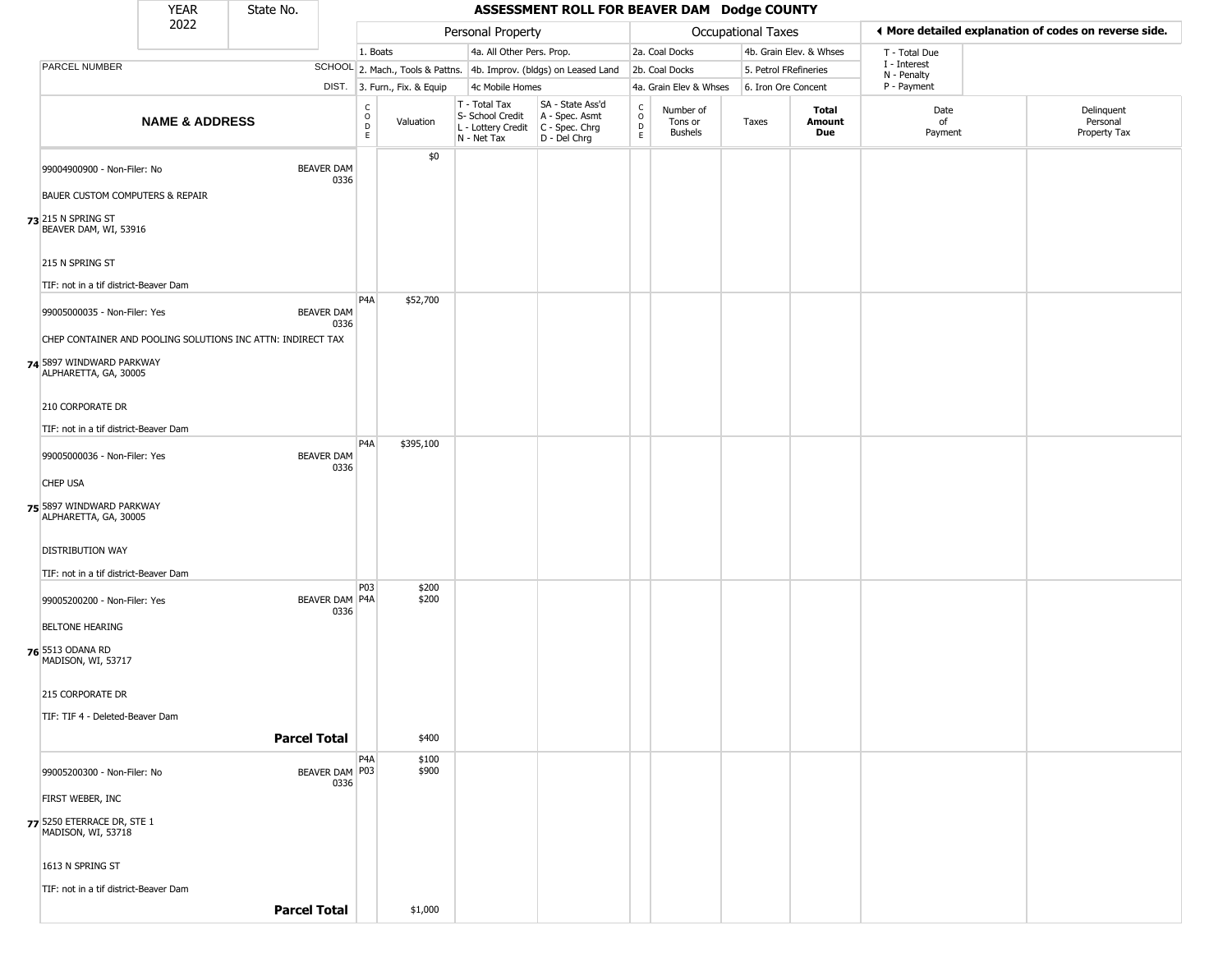|                                                                | <b>YEAR</b>               | State No.                                                                                |                          |                              |                                                  | ASSESSMENT ROLL FOR BEAVER DAM Dodge COUNTY                                               |                                   |                                        |                       |                         |                             |                                                       |
|----------------------------------------------------------------|---------------------------|------------------------------------------------------------------------------------------|--------------------------|------------------------------|--------------------------------------------------|-------------------------------------------------------------------------------------------|-----------------------------------|----------------------------------------|-----------------------|-------------------------|-----------------------------|-------------------------------------------------------|
|                                                                | 2022                      |                                                                                          |                          |                              | Personal Property                                |                                                                                           |                                   |                                        | Occupational Taxes    |                         |                             | ◀ More detailed explanation of codes on reverse side. |
|                                                                |                           |                                                                                          | 1. Boats                 |                              | 4a. All Other Pers. Prop.                        |                                                                                           |                                   | 2a. Coal Docks                         |                       | 4b. Grain Elev. & Whses | T - Total Due               |                                                       |
| <b>PARCEL NUMBER</b>                                           |                           |                                                                                          |                          |                              |                                                  | SCHOOL 2. Mach., Tools & Pattns. 4b. Improv. (bldgs) on Leased Land                       |                                   | 2b. Coal Docks                         | 5. Petrol FRefineries |                         | I - Interest<br>N - Penalty |                                                       |
|                                                                |                           |                                                                                          |                          | DIST. 3. Furn., Fix. & Equip | 4c Mobile Homes                                  |                                                                                           |                                   | 4a. Grain Elev & Whses                 | 6. Iron Ore Concent   |                         | P - Payment                 |                                                       |
|                                                                | <b>NAME &amp; ADDRESS</b> |                                                                                          | $\frac{C}{O}$<br>D<br>E. | Valuation                    | T - Total Tax<br>S- School Credit<br>N - Net Tax | SA - State Ass'd<br>A - Spec. Asmt<br>L - Lottery Credit   C - Spec. Chrg<br>D - Del Chrg | $\frac{c}{0}$<br>$\mathsf D$<br>E | Number of<br>Tons or<br><b>Bushels</b> | Taxes                 | Total<br>Amount<br>Due  | Date<br>of<br>Payment       | Delinquent<br>Personal<br>Property Tax                |
| 99004900900 - Non-Filer: No<br>BAUER CUSTOM COMPUTERS & REPAIR |                           | <b>BEAVER DAM</b><br>0336                                                                |                          | \$0                          |                                                  |                                                                                           |                                   |                                        |                       |                         |                             |                                                       |
| 73 215 N SPRING ST<br>BEAVER DAM, WI, 53916<br>215 N SPRING ST |                           |                                                                                          |                          |                              |                                                  |                                                                                           |                                   |                                        |                       |                         |                             |                                                       |
| TIF: not in a tif district-Beaver Dam                          |                           |                                                                                          |                          |                              |                                                  |                                                                                           |                                   |                                        |                       |                         |                             |                                                       |
| 99005000035 - Non-Filer: Yes                                   |                           | <b>BEAVER DAM</b><br>0336<br>CHEP CONTAINER AND POOLING SOLUTIONS INC ATTN: INDIRECT TAX | P <sub>4</sub> A         | \$52,700                     |                                                  |                                                                                           |                                   |                                        |                       |                         |                             |                                                       |
| 74 5897 WINDWARD PARKWAY<br>ALPHARETTA, GA, 30005              |                           |                                                                                          |                          |                              |                                                  |                                                                                           |                                   |                                        |                       |                         |                             |                                                       |
| 210 CORPORATE DR                                               |                           |                                                                                          |                          |                              |                                                  |                                                                                           |                                   |                                        |                       |                         |                             |                                                       |
| TIF: not in a tif district-Beaver Dam                          |                           |                                                                                          | P <sub>4</sub> A         | \$395,100                    |                                                  |                                                                                           |                                   |                                        |                       |                         |                             |                                                       |
| 99005000036 - Non-Filer: Yes                                   |                           | <b>BEAVER DAM</b><br>0336                                                                |                          |                              |                                                  |                                                                                           |                                   |                                        |                       |                         |                             |                                                       |
| <b>CHEP USA</b>                                                |                           |                                                                                          |                          |                              |                                                  |                                                                                           |                                   |                                        |                       |                         |                             |                                                       |
| 75 5897 WINDWARD PARKWAY<br>ALPHARETTA, GA, 30005              |                           |                                                                                          |                          |                              |                                                  |                                                                                           |                                   |                                        |                       |                         |                             |                                                       |
| <b>DISTRIBUTION WAY</b>                                        |                           |                                                                                          |                          |                              |                                                  |                                                                                           |                                   |                                        |                       |                         |                             |                                                       |
| TIF: not in a tif district-Beaver Dam                          |                           |                                                                                          |                          |                              |                                                  |                                                                                           |                                   |                                        |                       |                         |                             |                                                       |
| 99005200200 - Non-Filer: Yes                                   |                           | BEAVER DAM P4A<br>0336                                                                   | P <sub>03</sub>          | \$200<br>\$200               |                                                  |                                                                                           |                                   |                                        |                       |                         |                             |                                                       |
| <b>BELTONE HEARING</b>                                         |                           |                                                                                          |                          |                              |                                                  |                                                                                           |                                   |                                        |                       |                         |                             |                                                       |
| 76 5513 ODANA RD<br>MADISON, WI, 53717                         |                           |                                                                                          |                          |                              |                                                  |                                                                                           |                                   |                                        |                       |                         |                             |                                                       |
| 215 CORPORATE DR                                               |                           |                                                                                          |                          |                              |                                                  |                                                                                           |                                   |                                        |                       |                         |                             |                                                       |
| TIF: TIF 4 - Deleted-Beaver Dam                                |                           |                                                                                          |                          |                              |                                                  |                                                                                           |                                   |                                        |                       |                         |                             |                                                       |
|                                                                |                           | <b>Parcel Total</b>                                                                      |                          | \$400                        |                                                  |                                                                                           |                                   |                                        |                       |                         |                             |                                                       |
|                                                                |                           |                                                                                          | P <sub>4</sub> A         | \$100                        |                                                  |                                                                                           |                                   |                                        |                       |                         |                             |                                                       |
| 99005200300 - Non-Filer: No<br>FIRST WEBER, INC                |                           | BEAVER DAM P03<br>0336                                                                   |                          | \$900                        |                                                  |                                                                                           |                                   |                                        |                       |                         |                             |                                                       |
|                                                                |                           |                                                                                          |                          |                              |                                                  |                                                                                           |                                   |                                        |                       |                         |                             |                                                       |
| 77 5250 ETERRACE DR, STE 1<br>MADISON, WI, 53718               |                           |                                                                                          |                          |                              |                                                  |                                                                                           |                                   |                                        |                       |                         |                             |                                                       |
| 1613 N SPRING ST                                               |                           |                                                                                          |                          |                              |                                                  |                                                                                           |                                   |                                        |                       |                         |                             |                                                       |
| TIF: not in a tif district-Beaver Dam                          |                           |                                                                                          |                          |                              |                                                  |                                                                                           |                                   |                                        |                       |                         |                             |                                                       |
|                                                                |                           | <b>Parcel Total</b>                                                                      |                          | \$1,000                      |                                                  |                                                                                           |                                   |                                        |                       |                         |                             |                                                       |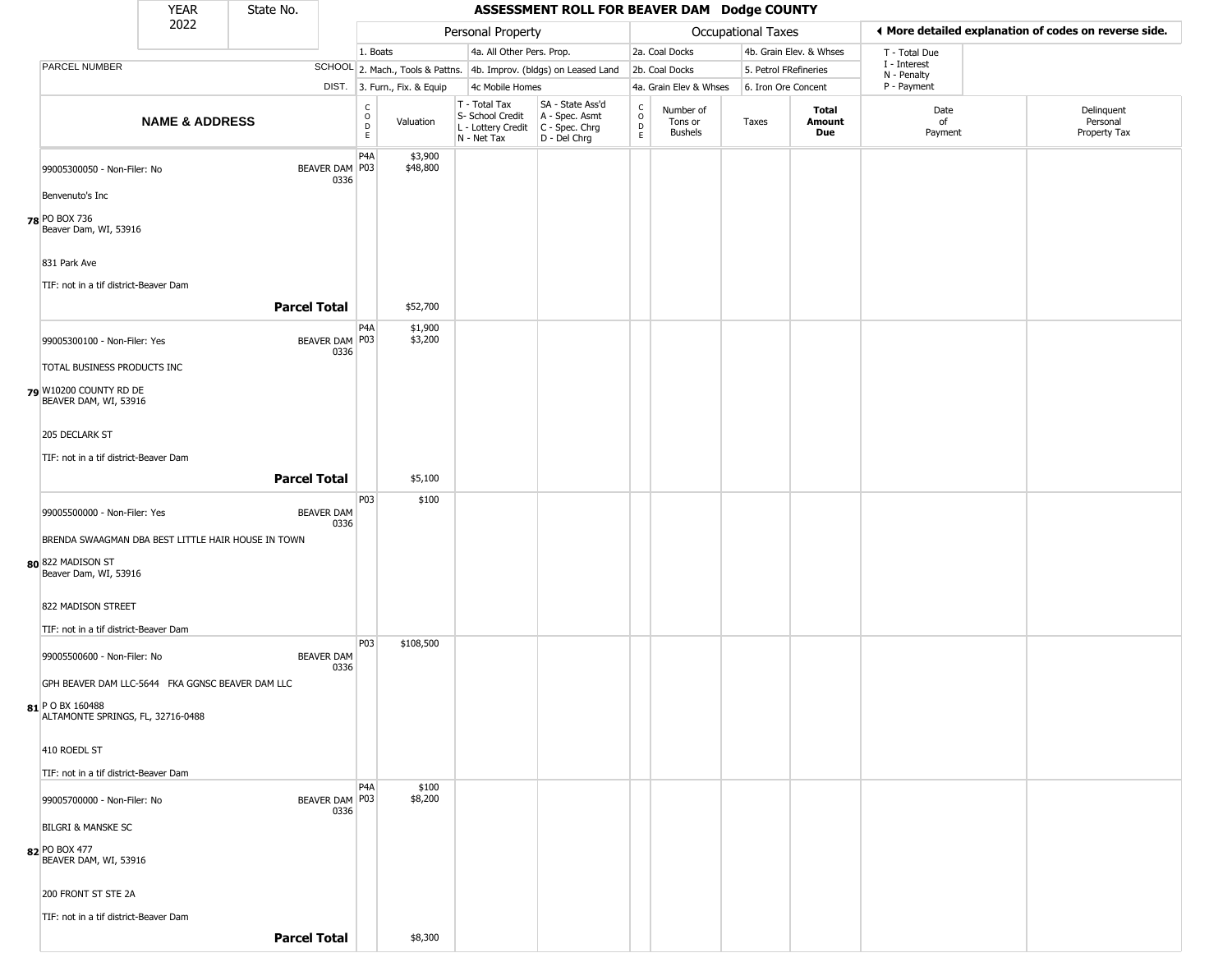|                                                 | <b>YEAR</b>                                                 | State No.           |                           |                                             |                              |                                                                                           | ASSESSMENT ROLL FOR BEAVER DAM Dodge COUNTY                         |                                       |                                        |                       |                         |                             |                                                       |
|-------------------------------------------------|-------------------------------------------------------------|---------------------|---------------------------|---------------------------------------------|------------------------------|-------------------------------------------------------------------------------------------|---------------------------------------------------------------------|---------------------------------------|----------------------------------------|-----------------------|-------------------------|-----------------------------|-------------------------------------------------------|
|                                                 | 2022                                                        |                     |                           |                                             |                              | Personal Property                                                                         |                                                                     |                                       |                                        | Occupational Taxes    |                         |                             | I More detailed explanation of codes on reverse side. |
|                                                 |                                                             |                     |                           | 1. Boats                                    |                              | 4a. All Other Pers. Prop.                                                                 |                                                                     |                                       | 2a. Coal Docks                         |                       | 4b. Grain Elev. & Whses | T - Total Due               |                                                       |
| <b>PARCEL NUMBER</b>                            |                                                             |                     |                           |                                             |                              |                                                                                           | SCHOOL 2. Mach., Tools & Pattns. 4b. Improv. (bldgs) on Leased Land |                                       | 2b. Coal Docks                         | 5. Petrol FRefineries |                         | I - Interest<br>N - Penalty |                                                       |
|                                                 |                                                             |                     |                           |                                             | DIST. 3. Furn., Fix. & Equip | 4c Mobile Homes                                                                           |                                                                     |                                       | 4a. Grain Elev & Whses                 | 6. Iron Ore Concent   |                         | P - Payment                 |                                                       |
|                                                 | <b>NAME &amp; ADDRESS</b>                                   |                     |                           | $\frac{c}{0}$<br>$\mathsf D$<br>$\mathsf E$ | Valuation                    | T - Total Tax<br>S- School Credit<br>$L$ - Lottery Credit $C$ - Spec. Chrg<br>N - Net Tax | SA - State Ass'd<br>A - Spec. Asmt<br>D - Del Chrg                  | C<br>$\mathsf{o}$<br>D<br>$\mathsf E$ | Number of<br>Tons or<br><b>Bushels</b> | Taxes                 | Total<br>Amount<br>Due  | Date<br>of<br>Payment       | Delinquent<br>Personal<br>Property Tax                |
|                                                 | 99005300050 - Non-Filer: No                                 |                     | BEAVER DAM P03<br>0336    | P4A                                         | \$3,900<br>\$48,800          |                                                                                           |                                                                     |                                       |                                        |                       |                         |                             |                                                       |
| Benvenuto's Inc                                 |                                                             |                     |                           |                                             |                              |                                                                                           |                                                                     |                                       |                                        |                       |                         |                             |                                                       |
| 78 PO BOX 736<br>Beaver Dam, WI, 53916          |                                                             |                     |                           |                                             |                              |                                                                                           |                                                                     |                                       |                                        |                       |                         |                             |                                                       |
| 831 Park Ave                                    |                                                             |                     |                           |                                             |                              |                                                                                           |                                                                     |                                       |                                        |                       |                         |                             |                                                       |
|                                                 | TIF: not in a tif district-Beaver Dam                       | <b>Parcel Total</b> |                           |                                             | \$52,700                     |                                                                                           |                                                                     |                                       |                                        |                       |                         |                             |                                                       |
|                                                 |                                                             |                     |                           | P4A                                         | \$1,900                      |                                                                                           |                                                                     |                                       |                                        |                       |                         |                             |                                                       |
|                                                 | 99005300100 - Non-Filer: Yes<br>TOTAL BUSINESS PRODUCTS INC |                     | BEAVER DAM P03<br>0336    |                                             | \$3,200                      |                                                                                           |                                                                     |                                       |                                        |                       |                         |                             |                                                       |
|                                                 |                                                             |                     |                           |                                             |                              |                                                                                           |                                                                     |                                       |                                        |                       |                         |                             |                                                       |
| 79 W10200 COUNTY RD DE<br>BEAVER DAM, WI, 53916 |                                                             |                     |                           |                                             |                              |                                                                                           |                                                                     |                                       |                                        |                       |                         |                             |                                                       |
| 205 DECLARK ST                                  |                                                             |                     |                           |                                             |                              |                                                                                           |                                                                     |                                       |                                        |                       |                         |                             |                                                       |
|                                                 | TIF: not in a tif district-Beaver Dam                       |                     |                           |                                             |                              |                                                                                           |                                                                     |                                       |                                        |                       |                         |                             |                                                       |
|                                                 |                                                             | <b>Parcel Total</b> |                           |                                             | \$5,100                      |                                                                                           |                                                                     |                                       |                                        |                       |                         |                             |                                                       |
|                                                 | 99005500000 - Non-Filer: Yes                                |                     | <b>BEAVER DAM</b><br>0336 | P03                                         | \$100                        |                                                                                           |                                                                     |                                       |                                        |                       |                         |                             |                                                       |
|                                                 | BRENDA SWAAGMAN DBA BEST LITTLE HAIR HOUSE IN TOWN          |                     |                           |                                             |                              |                                                                                           |                                                                     |                                       |                                        |                       |                         |                             |                                                       |
| 80 822 MADISON ST<br>Beaver Dam, WI, 53916      |                                                             |                     |                           |                                             |                              |                                                                                           |                                                                     |                                       |                                        |                       |                         |                             |                                                       |
| 822 MADISON STREET                              |                                                             |                     |                           |                                             |                              |                                                                                           |                                                                     |                                       |                                        |                       |                         |                             |                                                       |
|                                                 | TIF: not in a tif district-Beaver Dam                       |                     |                           |                                             |                              |                                                                                           |                                                                     |                                       |                                        |                       |                         |                             |                                                       |
|                                                 | 99005500600 - Non-Filer: No                                 |                     | <b>BEAVER DAM</b><br>0336 | P03                                         | \$108,500                    |                                                                                           |                                                                     |                                       |                                        |                       |                         |                             |                                                       |
|                                                 | GPH BEAVER DAM LLC-5644 FKA GGNSC BEAVER DAM LLC            |                     |                           |                                             |                              |                                                                                           |                                                                     |                                       |                                        |                       |                         |                             |                                                       |
| 81 P O BX 160488                                | ALTAMONTE SPRINGS, FL, 32716-0488                           |                     |                           |                                             |                              |                                                                                           |                                                                     |                                       |                                        |                       |                         |                             |                                                       |
| 410 ROEDL ST                                    |                                                             |                     |                           |                                             |                              |                                                                                           |                                                                     |                                       |                                        |                       |                         |                             |                                                       |
|                                                 | TIF: not in a tif district-Beaver Dam                       |                     |                           |                                             |                              |                                                                                           |                                                                     |                                       |                                        |                       |                         |                             |                                                       |
|                                                 | 99005700000 - Non-Filer: No                                 |                     | BEAVER DAM P03<br>0336    | P4A                                         | \$100<br>\$8,200             |                                                                                           |                                                                     |                                       |                                        |                       |                         |                             |                                                       |
| <b>BILGRI &amp; MANSKE SC</b>                   |                                                             |                     |                           |                                             |                              |                                                                                           |                                                                     |                                       |                                        |                       |                         |                             |                                                       |
| 82 PO BOX 477<br>BEAVER DAM, WI, 53916          |                                                             |                     |                           |                                             |                              |                                                                                           |                                                                     |                                       |                                        |                       |                         |                             |                                                       |
| 200 FRONT ST STE 2A                             |                                                             |                     |                           |                                             |                              |                                                                                           |                                                                     |                                       |                                        |                       |                         |                             |                                                       |
|                                                 | TIF: not in a tif district-Beaver Dam                       |                     |                           |                                             |                              |                                                                                           |                                                                     |                                       |                                        |                       |                         |                             |                                                       |
|                                                 |                                                             | <b>Parcel Total</b> |                           |                                             | \$8,300                      |                                                                                           |                                                                     |                                       |                                        |                       |                         |                             |                                                       |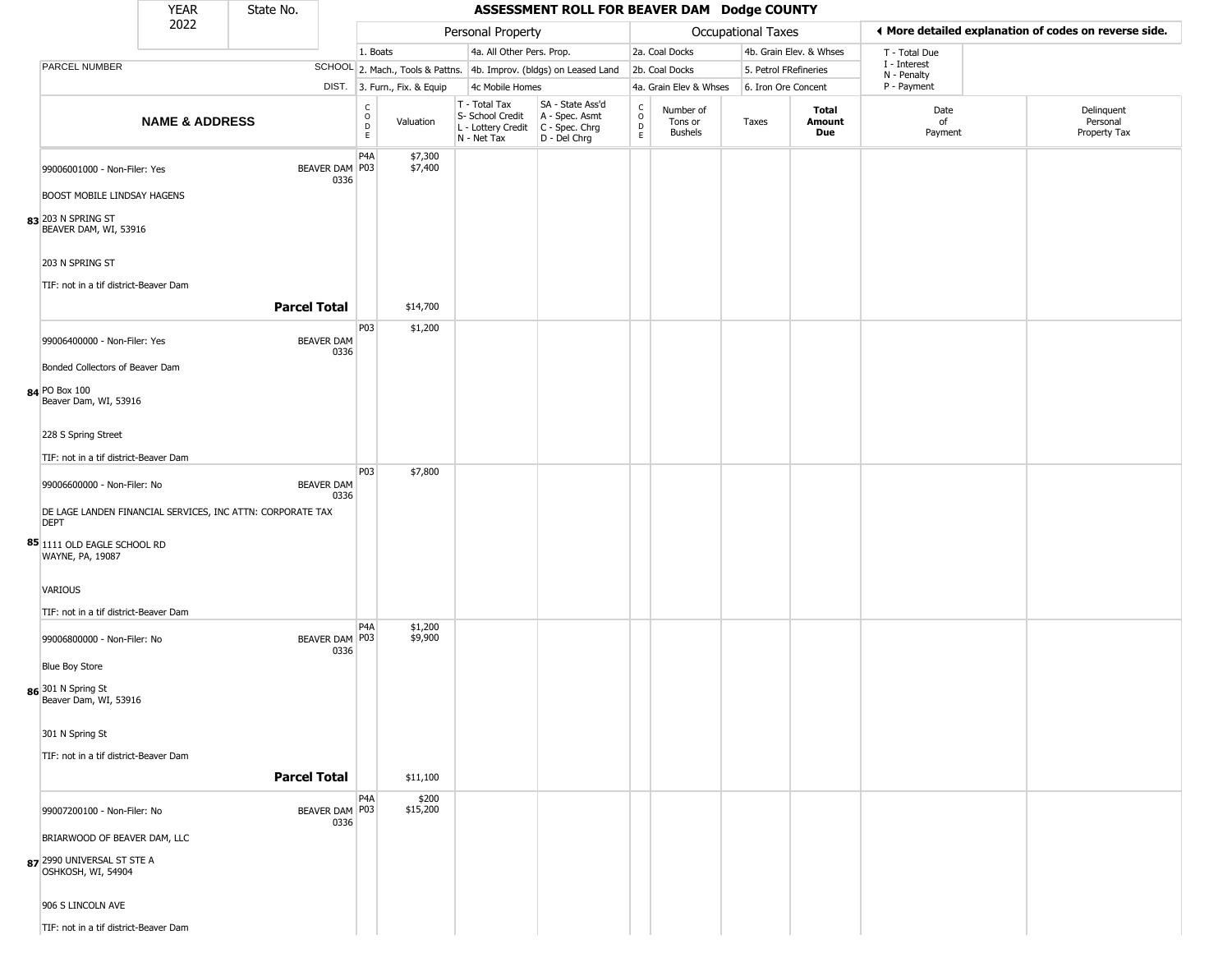|                                                                    | <b>YEAR</b>               | State No.                                                  |                          |                                  |                                                                                         | ASSESSMENT ROLL FOR BEAVER DAM Dodge COUNTY        |                         |                                        |                       |                         |                             |                                                       |
|--------------------------------------------------------------------|---------------------------|------------------------------------------------------------|--------------------------|----------------------------------|-----------------------------------------------------------------------------------------|----------------------------------------------------|-------------------------|----------------------------------------|-----------------------|-------------------------|-----------------------------|-------------------------------------------------------|
|                                                                    | 2022                      |                                                            |                          |                                  | Personal Property                                                                       |                                                    |                         |                                        | Occupational Taxes    |                         |                             | ◀ More detailed explanation of codes on reverse side. |
|                                                                    |                           |                                                            |                          | 1. Boats                         | 4a. All Other Pers. Prop.                                                               |                                                    |                         | 2a. Coal Docks                         |                       | 4b. Grain Elev. & Whses | T - Total Due               |                                                       |
| PARCEL NUMBER                                                      |                           |                                                            |                          | SCHOOL 2. Mach., Tools & Pattns. |                                                                                         | 4b. Improv. (bldgs) on Leased Land                 |                         | 2b. Coal Docks                         | 5. Petrol FRefineries |                         | I - Interest<br>N - Penalty |                                                       |
|                                                                    |                           |                                                            |                          | DIST. 3. Furn., Fix. & Equip     | 4c Mobile Homes                                                                         |                                                    |                         | 4a. Grain Elev & Whses                 | 6. Iron Ore Concent   |                         | P - Payment                 |                                                       |
|                                                                    | <b>NAME &amp; ADDRESS</b> |                                                            | C<br>O<br>D<br>E.        | Valuation                        | T - Total Tax<br>S- School Credit<br>L - Lottery Credit   C - Spec. Chrg<br>N - Net Tax | SA - State Ass'd<br>A - Spec. Asmt<br>D - Del Chrg | $\frac{c}{0}$<br>D<br>E | Number of<br>Tons or<br><b>Bushels</b> | Taxes                 | Total<br>Amount<br>Due  | Date<br>of<br>Payment       | Delinquent<br>Personal<br>Property Tax                |
| 99006001000 - Non-Filer: Yes<br><b>BOOST MOBILE LINDSAY HAGENS</b> |                           | BEAVER DAM P03                                             | P4A<br>0336              | \$7,300<br>\$7,400               |                                                                                         |                                                    |                         |                                        |                       |                         |                             |                                                       |
| 83 203 N SPRING ST<br>BEAVER DAM, WI, 53916                        |                           |                                                            |                          |                                  |                                                                                         |                                                    |                         |                                        |                       |                         |                             |                                                       |
| 203 N SPRING ST                                                    |                           |                                                            |                          |                                  |                                                                                         |                                                    |                         |                                        |                       |                         |                             |                                                       |
| TIF: not in a tif district-Beaver Dam                              |                           | <b>Parcel Total</b>                                        |                          | \$14,700                         |                                                                                         |                                                    |                         |                                        |                       |                         |                             |                                                       |
| 99006400000 - Non-Filer: Yes                                       |                           | <b>BEAVER DAM</b>                                          | P03<br>0336              | \$1,200                          |                                                                                         |                                                    |                         |                                        |                       |                         |                             |                                                       |
| Bonded Collectors of Beaver Dam                                    |                           |                                                            |                          |                                  |                                                                                         |                                                    |                         |                                        |                       |                         |                             |                                                       |
| 84 PO Box 100<br>Beaver Dam, WI, 53916                             |                           |                                                            |                          |                                  |                                                                                         |                                                    |                         |                                        |                       |                         |                             |                                                       |
| 228 S Spring Street                                                |                           |                                                            |                          |                                  |                                                                                         |                                                    |                         |                                        |                       |                         |                             |                                                       |
| TIF: not in a tif district-Beaver Dam                              |                           |                                                            |                          |                                  |                                                                                         |                                                    |                         |                                        |                       |                         |                             |                                                       |
| 99006600000 - Non-Filer: No                                        |                           | <b>BEAVER DAM</b>                                          | P <sub>0</sub> 3<br>0336 | \$7,800                          |                                                                                         |                                                    |                         |                                        |                       |                         |                             |                                                       |
| <b>DEPT</b>                                                        |                           | DE LAGE LANDEN FINANCIAL SERVICES, INC ATTN: CORPORATE TAX |                          |                                  |                                                                                         |                                                    |                         |                                        |                       |                         |                             |                                                       |
| 85 1111 OLD EAGLE SCHOOL RD<br>WAYNE, PA, 19087                    |                           |                                                            |                          |                                  |                                                                                         |                                                    |                         |                                        |                       |                         |                             |                                                       |
| VARIOUS                                                            |                           |                                                            |                          |                                  |                                                                                         |                                                    |                         |                                        |                       |                         |                             |                                                       |
| TIF: not in a tif district-Beaver Dam                              |                           |                                                            | P4A                      |                                  |                                                                                         |                                                    |                         |                                        |                       |                         |                             |                                                       |
| 99006800000 - Non-Filer: No                                        |                           | BEAVER DAM P03                                             | 0336                     | \$1,200<br>\$9,900               |                                                                                         |                                                    |                         |                                        |                       |                         |                             |                                                       |
| <b>Blue Boy Store</b>                                              |                           |                                                            |                          |                                  |                                                                                         |                                                    |                         |                                        |                       |                         |                             |                                                       |
| 86 301 N Spring St<br>Beaver Dam, WI, 53916                        |                           |                                                            |                          |                                  |                                                                                         |                                                    |                         |                                        |                       |                         |                             |                                                       |
| 301 N Spring St                                                    |                           |                                                            |                          |                                  |                                                                                         |                                                    |                         |                                        |                       |                         |                             |                                                       |
| TIF: not in a tif district-Beaver Dam                              |                           | <b>Parcel Total</b>                                        |                          | \$11,100                         |                                                                                         |                                                    |                         |                                        |                       |                         |                             |                                                       |
|                                                                    |                           |                                                            | P <sub>4</sub> A         | \$200                            |                                                                                         |                                                    |                         |                                        |                       |                         |                             |                                                       |
| 99007200100 - Non-Filer: No                                        |                           | BEAVER DAM P03                                             | 0336                     | \$15,200                         |                                                                                         |                                                    |                         |                                        |                       |                         |                             |                                                       |
| BRIARWOOD OF BEAVER DAM, LLC                                       |                           |                                                            |                          |                                  |                                                                                         |                                                    |                         |                                        |                       |                         |                             |                                                       |
| 87 2990 UNIVERSAL ST STE A<br>OSHKOSH, WI, 54904                   |                           |                                                            |                          |                                  |                                                                                         |                                                    |                         |                                        |                       |                         |                             |                                                       |
| 906 S LINCOLN AVE                                                  |                           |                                                            |                          |                                  |                                                                                         |                                                    |                         |                                        |                       |                         |                             |                                                       |
| TIF: not in a tif district-Beaver Dam                              |                           |                                                            |                          |                                  |                                                                                         |                                                    |                         |                                        |                       |                         |                             |                                                       |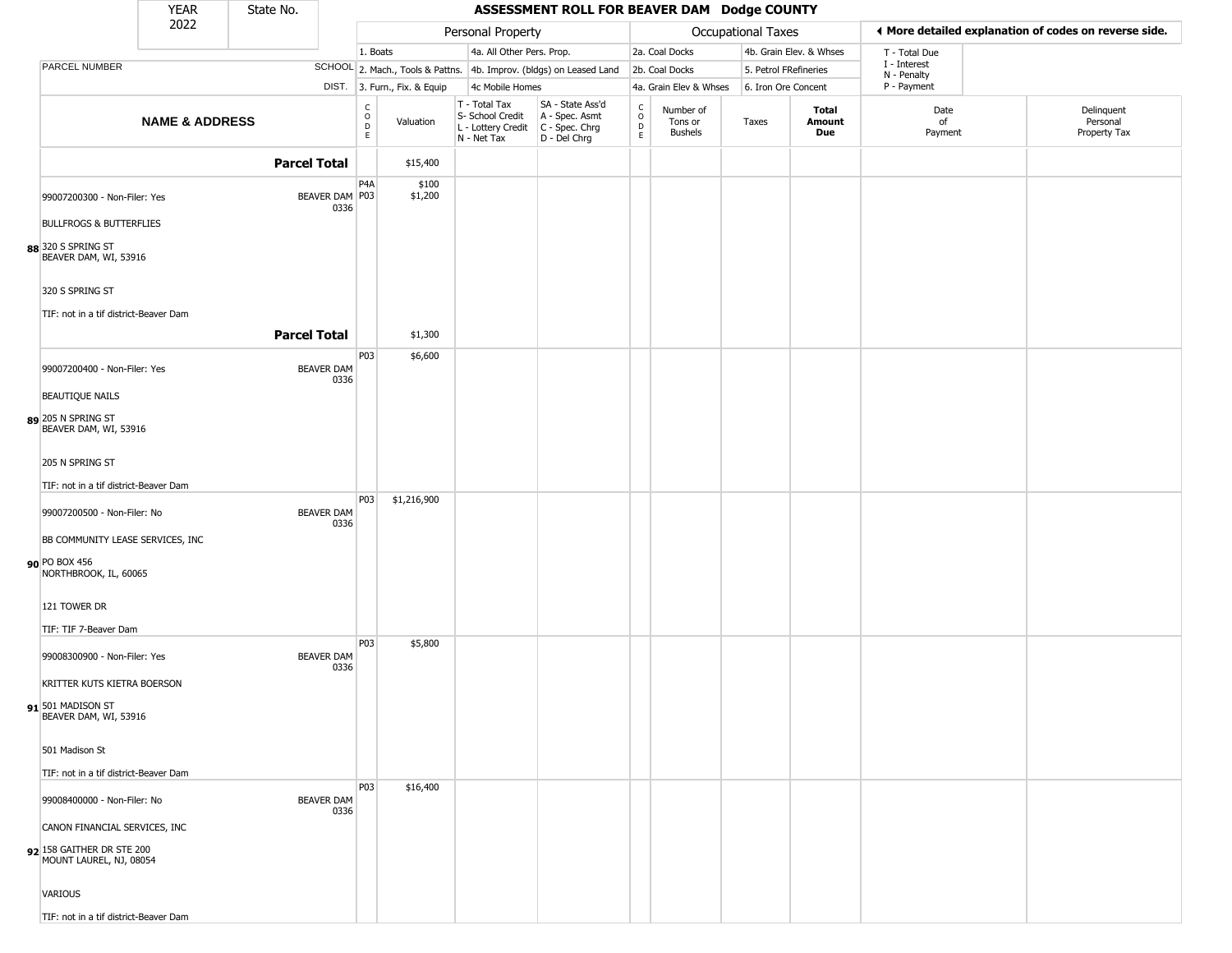|                                                                                       | <b>YEAR</b>               | State No.                 |                                                 |                                  |                                                                        | ASSESSMENT ROLL FOR BEAVER DAM Dodge COUNTY                          |                                                 |                                        |                           |                         |                             |                                                       |
|---------------------------------------------------------------------------------------|---------------------------|---------------------------|-------------------------------------------------|----------------------------------|------------------------------------------------------------------------|----------------------------------------------------------------------|-------------------------------------------------|----------------------------------------|---------------------------|-------------------------|-----------------------------|-------------------------------------------------------|
|                                                                                       | 2022                      |                           |                                                 |                                  | Personal Property                                                      |                                                                      |                                                 |                                        | <b>Occupational Taxes</b> |                         |                             | I More detailed explanation of codes on reverse side. |
|                                                                                       |                           |                           | 1. Boats                                        |                                  | 4a. All Other Pers. Prop.                                              |                                                                      |                                                 | 2a. Coal Docks                         |                           | 4b. Grain Elev. & Whses | T - Total Due               |                                                       |
| PARCEL NUMBER                                                                         |                           |                           |                                                 | SCHOOL 2. Mach., Tools & Pattns. |                                                                        | 4b. Improv. (bldgs) on Leased Land                                   |                                                 | 2b. Coal Docks                         |                           | 5. Petrol FRefineries   | I - Interest<br>N - Penalty |                                                       |
|                                                                                       |                           |                           |                                                 | DIST. 3. Furn., Fix. & Equip     | 4c Mobile Homes                                                        |                                                                      |                                                 | 4a. Grain Elev & Whses                 |                           | 6. Iron Ore Concent     | P - Payment                 |                                                       |
|                                                                                       | <b>NAME &amp; ADDRESS</b> |                           | $\begin{array}{c} C \\ O \\ D \\ E \end{array}$ | Valuation                        | T - Total Tax<br>S- School Credit<br>L - Lottery Credit<br>N - Net Tax | SA - State Ass'd<br>A - Spec. Asmt<br>C - Spec. Chrg<br>D - Del Chrg | $\begin{array}{c} C \\ O \\ D \\ E \end{array}$ | Number of<br>Tons or<br><b>Bushels</b> | Taxes                     | Total<br>Amount<br>Due  | Date<br>of<br>Payment       | Delinquent<br>Personal<br>Property Tax                |
|                                                                                       |                           | <b>Parcel Total</b>       |                                                 | \$15,400                         |                                                                        |                                                                      |                                                 |                                        |                           |                         |                             |                                                       |
| 99007200300 - Non-Filer: Yes                                                          |                           | BEAVER DAM   P03<br>0336  | P <sub>4</sub> A                                | \$100<br>\$1,200                 |                                                                        |                                                                      |                                                 |                                        |                           |                         |                             |                                                       |
| <b>BULLFROGS &amp; BUTTERFLIES</b>                                                    |                           |                           |                                                 |                                  |                                                                        |                                                                      |                                                 |                                        |                           |                         |                             |                                                       |
| 88 320 S SPRING ST<br>BEAVER DAM, WI, 53916                                           |                           |                           |                                                 |                                  |                                                                        |                                                                      |                                                 |                                        |                           |                         |                             |                                                       |
| 320 S SPRING ST                                                                       |                           |                           |                                                 |                                  |                                                                        |                                                                      |                                                 |                                        |                           |                         |                             |                                                       |
| TIF: not in a tif district-Beaver Dam                                                 |                           |                           |                                                 |                                  |                                                                        |                                                                      |                                                 |                                        |                           |                         |                             |                                                       |
|                                                                                       |                           | <b>Parcel Total</b>       |                                                 | \$1,300                          |                                                                        |                                                                      |                                                 |                                        |                           |                         |                             |                                                       |
| 99007200400 - Non-Filer: Yes                                                          |                           | <b>BEAVER DAM</b><br>0336 | P03                                             | \$6,600                          |                                                                        |                                                                      |                                                 |                                        |                           |                         |                             |                                                       |
| <b>BEAUTIQUE NAILS</b>                                                                |                           |                           |                                                 |                                  |                                                                        |                                                                      |                                                 |                                        |                           |                         |                             |                                                       |
| 89 205 N SPRING ST<br>BEAVER DAM, WI, 53916                                           |                           |                           |                                                 |                                  |                                                                        |                                                                      |                                                 |                                        |                           |                         |                             |                                                       |
| 205 N SPRING ST                                                                       |                           |                           |                                                 |                                  |                                                                        |                                                                      |                                                 |                                        |                           |                         |                             |                                                       |
| TIF: not in a tif district-Beaver Dam                                                 |                           |                           |                                                 |                                  |                                                                        |                                                                      |                                                 |                                        |                           |                         |                             |                                                       |
| 99007200500 - Non-Filer: No                                                           |                           | <b>BEAVER DAM</b><br>0336 | <b>P03</b>                                      | \$1,216,900                      |                                                                        |                                                                      |                                                 |                                        |                           |                         |                             |                                                       |
| BB COMMUNITY LEASE SERVICES, INC                                                      |                           |                           |                                                 |                                  |                                                                        |                                                                      |                                                 |                                        |                           |                         |                             |                                                       |
| 90 PO BOX 456<br>NORTHBROOK, IL, 60065                                                |                           |                           |                                                 |                                  |                                                                        |                                                                      |                                                 |                                        |                           |                         |                             |                                                       |
| 121 TOWER DR                                                                          |                           |                           |                                                 |                                  |                                                                        |                                                                      |                                                 |                                        |                           |                         |                             |                                                       |
| TIF: TIF 7-Beaver Dam                                                                 |                           |                           |                                                 |                                  |                                                                        |                                                                      |                                                 |                                        |                           |                         |                             |                                                       |
| 99008300900 - Non-Filer: Yes                                                          |                           | <b>BEAVER DAM</b><br>0336 | <b>P03</b>                                      | \$5,800                          |                                                                        |                                                                      |                                                 |                                        |                           |                         |                             |                                                       |
| KRITTER KUTS KIETRA BOERSON                                                           |                           |                           |                                                 |                                  |                                                                        |                                                                      |                                                 |                                        |                           |                         |                             |                                                       |
| 91 501 MADISON ST<br>BEAVER DAM, WI, 53916                                            |                           |                           |                                                 |                                  |                                                                        |                                                                      |                                                 |                                        |                           |                         |                             |                                                       |
| 501 Madison St                                                                        |                           |                           |                                                 |                                  |                                                                        |                                                                      |                                                 |                                        |                           |                         |                             |                                                       |
| TIF: not in a tif district-Beaver Dam                                                 |                           |                           |                                                 |                                  |                                                                        |                                                                      |                                                 |                                        |                           |                         |                             |                                                       |
| 99008400000 - Non-Filer: No                                                           |                           | <b>BEAVER DAM</b><br>0336 | P <sub>0</sub> 3                                | \$16,400                         |                                                                        |                                                                      |                                                 |                                        |                           |                         |                             |                                                       |
| CANON FINANCIAL SERVICES, INC<br>92 158 GAITHER DR STE 200<br>MOUNT LAUREL, NJ, 08054 |                           |                           |                                                 |                                  |                                                                        |                                                                      |                                                 |                                        |                           |                         |                             |                                                       |
| VARIOUS                                                                               |                           |                           |                                                 |                                  |                                                                        |                                                                      |                                                 |                                        |                           |                         |                             |                                                       |
| TIF: not in a tif district-Beaver Dam                                                 |                           |                           |                                                 |                                  |                                                                        |                                                                      |                                                 |                                        |                           |                         |                             |                                                       |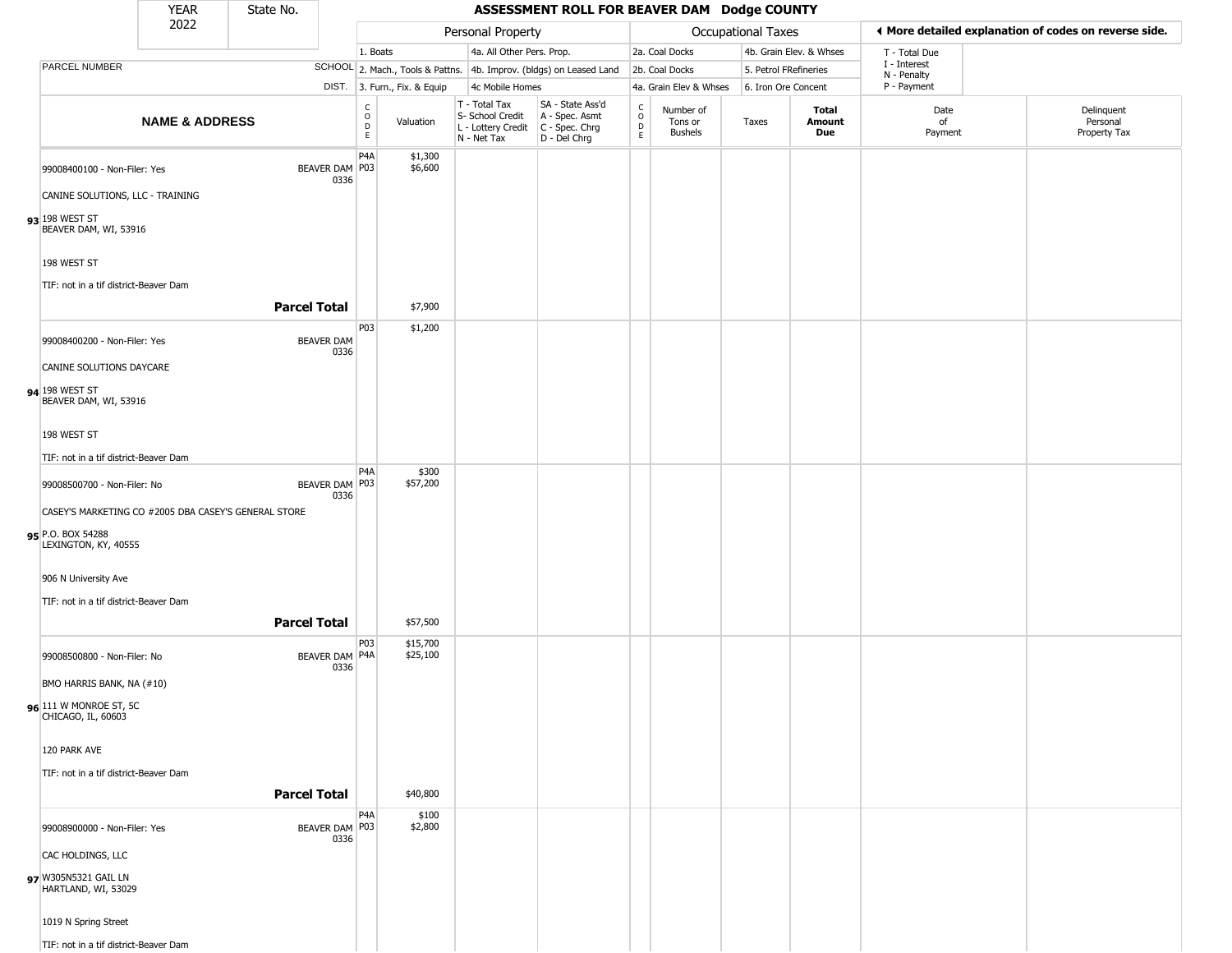|                                                                  | <b>YEAR</b>                                          | State No.           |                          |                              |                                                                                         | ASSESSMENT ROLL FOR BEAVER DAM Dodge COUNTY                         |                        |                                        |                       |                         |                            |                                                       |
|------------------------------------------------------------------|------------------------------------------------------|---------------------|--------------------------|------------------------------|-----------------------------------------------------------------------------------------|---------------------------------------------------------------------|------------------------|----------------------------------------|-----------------------|-------------------------|----------------------------|-------------------------------------------------------|
|                                                                  | 2022                                                 |                     |                          |                              | Personal Property                                                                       |                                                                     |                        |                                        | Occupational Taxes    |                         |                            | ♦ More detailed explanation of codes on reverse side. |
|                                                                  |                                                      |                     | 1. Boats                 |                              | 4a. All Other Pers. Prop.                                                               |                                                                     |                        | 2a. Coal Docks                         |                       | 4b. Grain Elev. & Whses | T - Total Due              |                                                       |
| PARCEL NUMBER                                                    |                                                      |                     |                          |                              |                                                                                         | SCHOOL 2. Mach., Tools & Pattns. 4b. Improv. (bldgs) on Leased Land |                        | 2b. Coal Docks                         | 5. Petrol FRefineries |                         | I - Interest               |                                                       |
|                                                                  |                                                      |                     |                          | DIST. 3. Furn., Fix. & Equip | 4c Mobile Homes                                                                         |                                                                     |                        | 4a. Grain Elev & Whses                 | 6. Iron Ore Concent   |                         | N - Penalty<br>P - Payment |                                                       |
|                                                                  | <b>NAME &amp; ADDRESS</b>                            |                     | $\rm _o^c$<br>D<br>E.    | Valuation                    | T - Total Tax<br>S- School Credit<br>L - Lottery Credit   C - Spec. Chrg<br>N - Net Tax | SA - State Ass'd<br>A - Spec. Asmt<br>D - Del Chrg                  | C<br>$\circ$<br>D<br>E | Number of<br>Tons or<br><b>Bushels</b> | Taxes                 | Total<br>Amount<br>Due  | Date<br>of<br>Payment      | Delinquent<br>Personal<br>Property Tax                |
|                                                                  |                                                      |                     | P4A                      | \$1,300                      |                                                                                         |                                                                     |                        |                                        |                       |                         |                            |                                                       |
| 99008400100 - Non-Filer: Yes<br>CANINE SOLUTIONS, LLC - TRAINING |                                                      | BEAVER DAM P03      | 0336                     | \$6,600                      |                                                                                         |                                                                     |                        |                                        |                       |                         |                            |                                                       |
|                                                                  |                                                      |                     |                          |                              |                                                                                         |                                                                     |                        |                                        |                       |                         |                            |                                                       |
| 93 198 WEST ST<br>BEAVER DAM, WI, 53916                          |                                                      |                     |                          |                              |                                                                                         |                                                                     |                        |                                        |                       |                         |                            |                                                       |
| 198 WEST ST                                                      |                                                      |                     |                          |                              |                                                                                         |                                                                     |                        |                                        |                       |                         |                            |                                                       |
| TIF: not in a tif district-Beaver Dam                            |                                                      | <b>Parcel Total</b> |                          | \$7,900                      |                                                                                         |                                                                     |                        |                                        |                       |                         |                            |                                                       |
|                                                                  |                                                      |                     |                          |                              |                                                                                         |                                                                     |                        |                                        |                       |                         |                            |                                                       |
| 99008400200 - Non-Filer: Yes                                     |                                                      | <b>BEAVER DAM</b>   | P03<br>0336              | \$1,200                      |                                                                                         |                                                                     |                        |                                        |                       |                         |                            |                                                       |
| CANINE SOLUTIONS DAYCARE                                         |                                                      |                     |                          |                              |                                                                                         |                                                                     |                        |                                        |                       |                         |                            |                                                       |
| 94 198 WEST ST<br>BEAVER DAM, WI, 53916                          |                                                      |                     |                          |                              |                                                                                         |                                                                     |                        |                                        |                       |                         |                            |                                                       |
| 198 WEST ST                                                      |                                                      |                     |                          |                              |                                                                                         |                                                                     |                        |                                        |                       |                         |                            |                                                       |
| TIF: not in a tif district-Beaver Dam                            |                                                      |                     |                          |                              |                                                                                         |                                                                     |                        |                                        |                       |                         |                            |                                                       |
| 99008500700 - Non-Filer: No                                      |                                                      | BEAVER DAM P03      | P <sub>4</sub> A         | \$300<br>\$57,200            |                                                                                         |                                                                     |                        |                                        |                       |                         |                            |                                                       |
|                                                                  | CASEY'S MARKETING CO #2005 DBA CASEY'S GENERAL STORE |                     | 0336                     |                              |                                                                                         |                                                                     |                        |                                        |                       |                         |                            |                                                       |
| 95 P.O. BOX 54288<br>LEXINGTON, KY, 40555                        |                                                      |                     |                          |                              |                                                                                         |                                                                     |                        |                                        |                       |                         |                            |                                                       |
| 906 N University Ave                                             |                                                      |                     |                          |                              |                                                                                         |                                                                     |                        |                                        |                       |                         |                            |                                                       |
| TIF: not in a tif district-Beaver Dam                            |                                                      |                     |                          |                              |                                                                                         |                                                                     |                        |                                        |                       |                         |                            |                                                       |
|                                                                  |                                                      | <b>Parcel Total</b> |                          | \$57,500                     |                                                                                         |                                                                     |                        |                                        |                       |                         |                            |                                                       |
| 99008500800 - Non-Filer: No                                      |                                                      | BEAVER DAM P4A      | P03<br>0336              | \$15,700<br>\$25,100         |                                                                                         |                                                                     |                        |                                        |                       |                         |                            |                                                       |
| BMO HARRIS BANK, NA (#10)                                        |                                                      |                     |                          |                              |                                                                                         |                                                                     |                        |                                        |                       |                         |                            |                                                       |
| 96 111 W MONROE ST, 5C<br>CHICAGO, IL, 60603                     |                                                      |                     |                          |                              |                                                                                         |                                                                     |                        |                                        |                       |                         |                            |                                                       |
| 120 PARK AVE                                                     |                                                      |                     |                          |                              |                                                                                         |                                                                     |                        |                                        |                       |                         |                            |                                                       |
| TIF: not in a tif district-Beaver Dam                            |                                                      |                     |                          |                              |                                                                                         |                                                                     |                        |                                        |                       |                         |                            |                                                       |
|                                                                  |                                                      | <b>Parcel Total</b> |                          | \$40,800                     |                                                                                         |                                                                     |                        |                                        |                       |                         |                            |                                                       |
| 99008900000 - Non-Filer: Yes                                     |                                                      | BEAVER DAM P03      | P <sub>4</sub> A<br>0336 | \$100<br>\$2,800             |                                                                                         |                                                                     |                        |                                        |                       |                         |                            |                                                       |
| CAC HOLDINGS, LLC                                                |                                                      |                     |                          |                              |                                                                                         |                                                                     |                        |                                        |                       |                         |                            |                                                       |
| 97 W305N5321 GAIL LN<br>HARTLAND, WI, 53029                      |                                                      |                     |                          |                              |                                                                                         |                                                                     |                        |                                        |                       |                         |                            |                                                       |
| 1019 N Spring Street                                             |                                                      |                     |                          |                              |                                                                                         |                                                                     |                        |                                        |                       |                         |                            |                                                       |
| TIF: not in a tif district-Beaver Dam                            |                                                      |                     |                          |                              |                                                                                         |                                                                     |                        |                                        |                       |                         |                            |                                                       |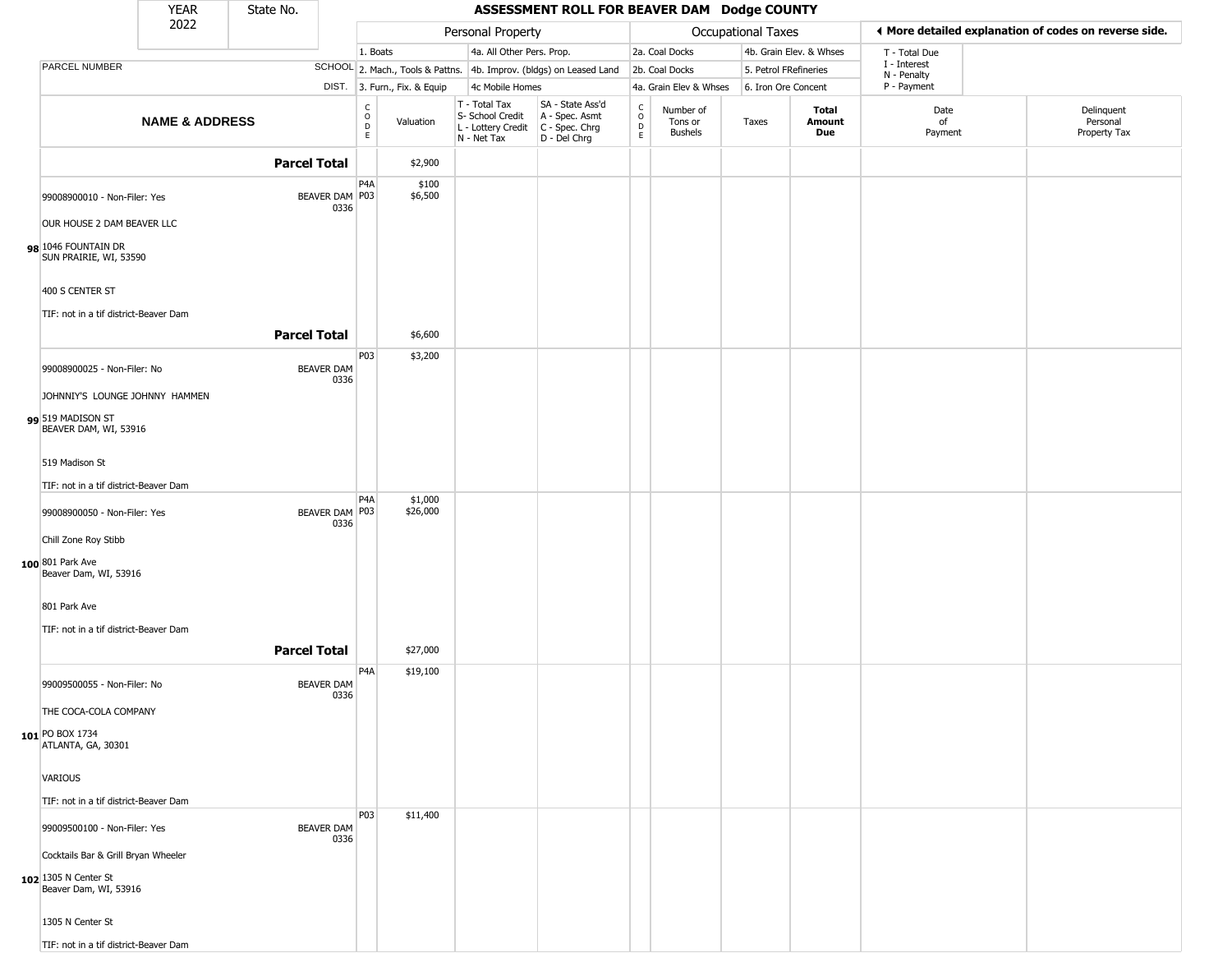|                                                          | <b>YEAR</b>               | State No.           |                           |                                            |                              |                                                                        | ASSESSMENT ROLL FOR BEAVER DAM Dodge COUNTY                          |                                                 |                                        |                           |                         |                             |                                                       |
|----------------------------------------------------------|---------------------------|---------------------|---------------------------|--------------------------------------------|------------------------------|------------------------------------------------------------------------|----------------------------------------------------------------------|-------------------------------------------------|----------------------------------------|---------------------------|-------------------------|-----------------------------|-------------------------------------------------------|
|                                                          | 2022                      |                     |                           |                                            |                              | Personal Property                                                      |                                                                      |                                                 |                                        | <b>Occupational Taxes</b> |                         |                             | ♦ More detailed explanation of codes on reverse side. |
|                                                          |                           |                     |                           | 1. Boats                                   |                              | 4a. All Other Pers. Prop.                                              |                                                                      |                                                 | 2a. Coal Docks                         |                           | 4b. Grain Elev. & Whses | T - Total Due               |                                                       |
| PARCEL NUMBER                                            |                           |                     |                           |                                            |                              |                                                                        | SCHOOL 2. Mach., Tools & Pattns. 4b. Improv. (bldgs) on Leased Land  |                                                 | 2b. Coal Docks                         | 5. Petrol FRefineries     |                         | I - Interest<br>N - Penalty |                                                       |
|                                                          |                           |                     |                           |                                            | DIST. 3. Furn., Fix. & Equip | 4c Mobile Homes                                                        |                                                                      |                                                 | 4a. Grain Elev & Whses                 | 6. Iron Ore Concent       |                         | P - Payment                 |                                                       |
|                                                          | <b>NAME &amp; ADDRESS</b> |                     |                           | $_{\rm o}^{\rm c}$<br>$\overline{D}$<br>E. | Valuation                    | T - Total Tax<br>S- School Credit<br>L - Lottery Credit<br>N - Net Tax | SA - State Ass'd<br>A - Spec. Asmt<br>C - Spec. Chrg<br>D - Del Chrg | $\begin{array}{c} C \\ O \\ D \\ E \end{array}$ | Number of<br>Tons or<br><b>Bushels</b> | Taxes                     | Total<br>Amount<br>Due  | Date<br>of<br>Payment       | Delinquent<br>Personal<br>Property Tax                |
|                                                          |                           | <b>Parcel Total</b> |                           |                                            | \$2,900                      |                                                                        |                                                                      |                                                 |                                        |                           |                         |                             |                                                       |
| 99008900010 - Non-Filer: Yes                             |                           |                     | BEAVER DAM P03<br>0336    | P <sub>4</sub> A                           | \$100<br>\$6,500             |                                                                        |                                                                      |                                                 |                                        |                           |                         |                             |                                                       |
| OUR HOUSE 2 DAM BEAVER LLC                               |                           |                     |                           |                                            |                              |                                                                        |                                                                      |                                                 |                                        |                           |                         |                             |                                                       |
| 98 1046 FOUNTAIN DR<br>SUN PRAIRIE, WI, 53590            |                           |                     |                           |                                            |                              |                                                                        |                                                                      |                                                 |                                        |                           |                         |                             |                                                       |
| 400 S CENTER ST<br>TIF: not in a tif district-Beaver Dam |                           |                     |                           |                                            |                              |                                                                        |                                                                      |                                                 |                                        |                           |                         |                             |                                                       |
|                                                          |                           | <b>Parcel Total</b> |                           |                                            | \$6,600                      |                                                                        |                                                                      |                                                 |                                        |                           |                         |                             |                                                       |
| 99008900025 - Non-Filer: No                              |                           |                     | <b>BEAVER DAM</b><br>0336 | P03                                        | \$3,200                      |                                                                        |                                                                      |                                                 |                                        |                           |                         |                             |                                                       |
| JOHNNIY'S LOUNGE JOHNNY HAMMEN                           |                           |                     |                           |                                            |                              |                                                                        |                                                                      |                                                 |                                        |                           |                         |                             |                                                       |
| 99 519 MADISON ST<br>BEAVER DAM, WI, 53916               |                           |                     |                           |                                            |                              |                                                                        |                                                                      |                                                 |                                        |                           |                         |                             |                                                       |
| 519 Madison St                                           |                           |                     |                           |                                            |                              |                                                                        |                                                                      |                                                 |                                        |                           |                         |                             |                                                       |
| TIF: not in a tif district-Beaver Dam                    |                           |                     |                           |                                            |                              |                                                                        |                                                                      |                                                 |                                        |                           |                         |                             |                                                       |
| 99008900050 - Non-Filer: Yes                             |                           |                     | BEAVER DAM   P03<br>0336  | P <sub>4</sub> A                           | \$1,000<br>\$26,000          |                                                                        |                                                                      |                                                 |                                        |                           |                         |                             |                                                       |
| Chill Zone Roy Stibb                                     |                           |                     |                           |                                            |                              |                                                                        |                                                                      |                                                 |                                        |                           |                         |                             |                                                       |
| 100 801 Park Ave<br>Beaver Dam, WI, 53916                |                           |                     |                           |                                            |                              |                                                                        |                                                                      |                                                 |                                        |                           |                         |                             |                                                       |
| 801 Park Ave                                             |                           |                     |                           |                                            |                              |                                                                        |                                                                      |                                                 |                                        |                           |                         |                             |                                                       |
| TIF: not in a tif district-Beaver Dam                    |                           |                     |                           |                                            |                              |                                                                        |                                                                      |                                                 |                                        |                           |                         |                             |                                                       |
|                                                          |                           | <b>Parcel Total</b> |                           |                                            | \$27,000                     |                                                                        |                                                                      |                                                 |                                        |                           |                         |                             |                                                       |
| 99009500055 - Non-Filer: No                              |                           |                     | <b>BEAVER DAM</b><br>0336 | P <sub>4</sub> A                           | \$19,100                     |                                                                        |                                                                      |                                                 |                                        |                           |                         |                             |                                                       |
| THE COCA-COLA COMPANY                                    |                           |                     |                           |                                            |                              |                                                                        |                                                                      |                                                 |                                        |                           |                         |                             |                                                       |
| $101$ PO BOX 1734<br>ATLANTA, GA, 30301                  |                           |                     |                           |                                            |                              |                                                                        |                                                                      |                                                 |                                        |                           |                         |                             |                                                       |
| <b>VARIOUS</b>                                           |                           |                     |                           |                                            |                              |                                                                        |                                                                      |                                                 |                                        |                           |                         |                             |                                                       |
| TIF: not in a tif district-Beaver Dam                    |                           |                     |                           |                                            |                              |                                                                        |                                                                      |                                                 |                                        |                           |                         |                             |                                                       |
| 99009500100 - Non-Filer: Yes                             |                           |                     | <b>BEAVER DAM</b><br>0336 | P03                                        | \$11,400                     |                                                                        |                                                                      |                                                 |                                        |                           |                         |                             |                                                       |
| Cocktails Bar & Grill Bryan Wheeler                      |                           |                     |                           |                                            |                              |                                                                        |                                                                      |                                                 |                                        |                           |                         |                             |                                                       |
| 102 1305 N Center St<br>Beaver Dam, WI, 53916            |                           |                     |                           |                                            |                              |                                                                        |                                                                      |                                                 |                                        |                           |                         |                             |                                                       |
| 1305 N Center St                                         |                           |                     |                           |                                            |                              |                                                                        |                                                                      |                                                 |                                        |                           |                         |                             |                                                       |
| TIF: not in a tif district-Beaver Dam                    |                           |                     |                           |                                            |                              |                                                                        |                                                                      |                                                 |                                        |                           |                         |                             |                                                       |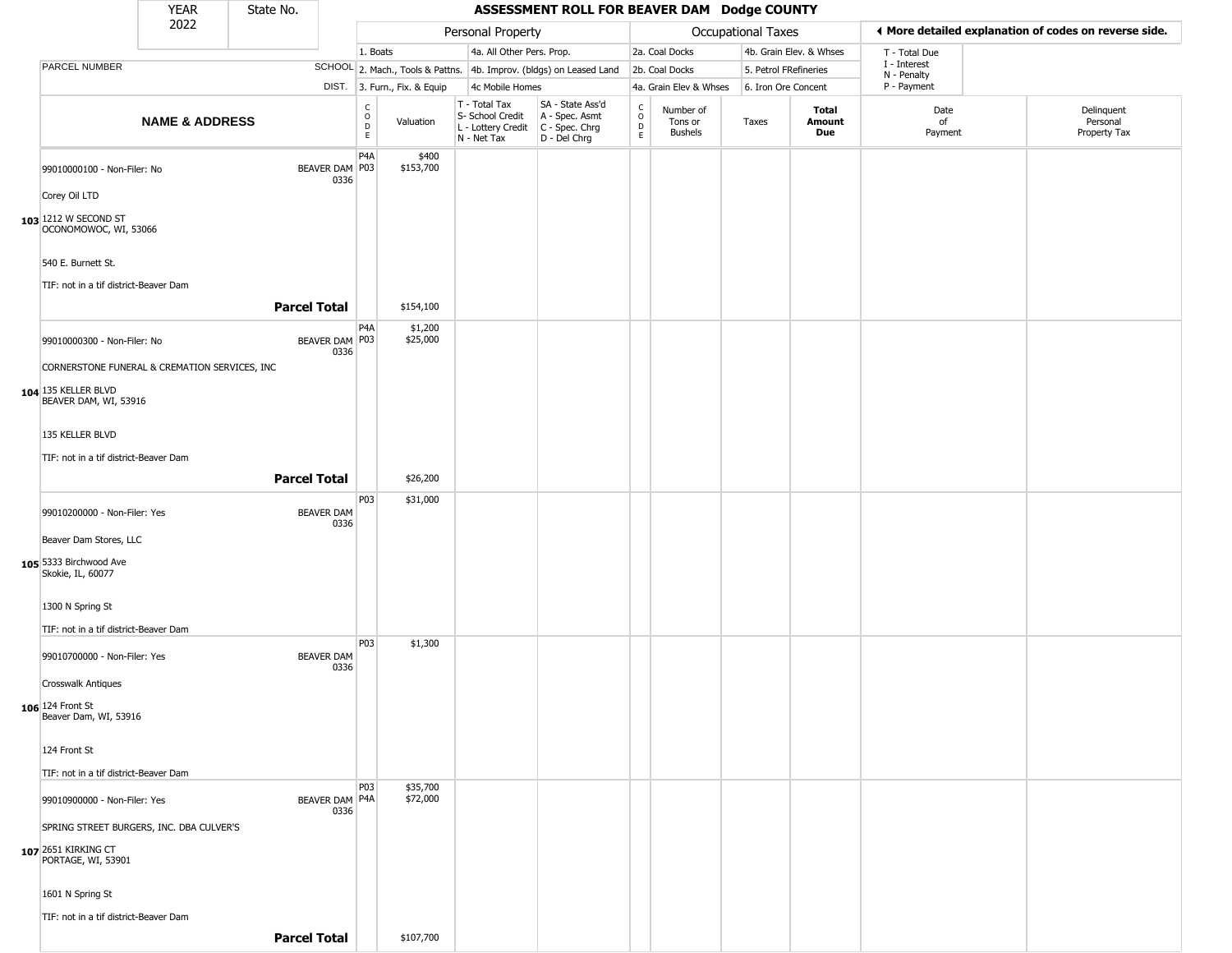|                                               | <b>YEAR</b>               | State No.                 |                                   |                              |                                                                                         | ASSESSMENT ROLL FOR BEAVER DAM Dodge COUNTY                         |                        |                                        |                       |                         |                             |                                                       |
|-----------------------------------------------|---------------------------|---------------------------|-----------------------------------|------------------------------|-----------------------------------------------------------------------------------------|---------------------------------------------------------------------|------------------------|----------------------------------------|-----------------------|-------------------------|-----------------------------|-------------------------------------------------------|
|                                               | 2022                      |                           |                                   |                              | Personal Property                                                                       |                                                                     |                        |                                        | Occupational Taxes    |                         |                             | ♦ More detailed explanation of codes on reverse side. |
|                                               |                           |                           | 1. Boats                          |                              | 4a. All Other Pers. Prop.                                                               |                                                                     |                        | 2a. Coal Docks                         |                       | 4b. Grain Elev. & Whses | T - Total Due               |                                                       |
| <b>PARCEL NUMBER</b>                          |                           |                           |                                   |                              |                                                                                         | SCHOOL 2. Mach., Tools & Pattns. 4b. Improv. (bldgs) on Leased Land |                        | 2b. Coal Docks                         | 5. Petrol FRefineries |                         | I - Interest<br>N - Penalty |                                                       |
|                                               |                           |                           |                                   | DIST. 3. Furn., Fix. & Equip | 4c Mobile Homes                                                                         |                                                                     |                        | 4a. Grain Elev & Whses                 | 6. Iron Ore Concent   |                         | P - Payment                 |                                                       |
|                                               | <b>NAME &amp; ADDRESS</b> |                           | $\frac{C}{O}$<br>$\mathsf D$<br>E | Valuation                    | T - Total Tax<br>S- School Credit<br>L - Lottery Credit   C - Spec. Chrg<br>N - Net Tax | SA - State Ass'd<br>A - Spec. Asmt<br>D - Del Chrg                  | C<br>$\circ$<br>D<br>E | Number of<br>Tons or<br><b>Bushels</b> | Taxes                 | Total<br>Amount<br>Due  | Date<br>of<br>Payment       | Delinquent<br>Personal<br>Property Tax                |
| 99010000100 - Non-Filer: No                   |                           | BEAVER DAM P03<br>0336    | P4A                               | \$400<br>\$153,700           |                                                                                         |                                                                     |                        |                                        |                       |                         |                             |                                                       |
| Corey Oil LTD                                 |                           |                           |                                   |                              |                                                                                         |                                                                     |                        |                                        |                       |                         |                             |                                                       |
| 103 1212 W SECOND ST<br>OCONOMOWOC, WI, 53066 |                           |                           |                                   |                              |                                                                                         |                                                                     |                        |                                        |                       |                         |                             |                                                       |
| 540 E. Burnett St.                            |                           |                           |                                   |                              |                                                                                         |                                                                     |                        |                                        |                       |                         |                             |                                                       |
| TIF: not in a tif district-Beaver Dam         |                           | <b>Parcel Total</b>       |                                   | \$154,100                    |                                                                                         |                                                                     |                        |                                        |                       |                         |                             |                                                       |
| 99010000300 - Non-Filer: No                   |                           | BEAVER DAM P03<br>0336    | P4A                               | \$1,200<br>\$25,000          |                                                                                         |                                                                     |                        |                                        |                       |                         |                             |                                                       |
| CORNERSTONE FUNERAL & CREMATION SERVICES, INC |                           |                           |                                   |                              |                                                                                         |                                                                     |                        |                                        |                       |                         |                             |                                                       |
| 104 135 KELLER BLVD<br>BEAVER DAM, WI, 53916  |                           |                           |                                   |                              |                                                                                         |                                                                     |                        |                                        |                       |                         |                             |                                                       |
| 135 KELLER BLVD                               |                           |                           |                                   |                              |                                                                                         |                                                                     |                        |                                        |                       |                         |                             |                                                       |
| TIF: not in a tif district-Beaver Dam         |                           |                           |                                   |                              |                                                                                         |                                                                     |                        |                                        |                       |                         |                             |                                                       |
|                                               |                           | <b>Parcel Total</b>       |                                   | \$26,200                     |                                                                                         |                                                                     |                        |                                        |                       |                         |                             |                                                       |
|                                               |                           |                           | P03                               | \$31,000                     |                                                                                         |                                                                     |                        |                                        |                       |                         |                             |                                                       |
| 99010200000 - Non-Filer: Yes                  |                           | <b>BEAVER DAM</b><br>0336 |                                   |                              |                                                                                         |                                                                     |                        |                                        |                       |                         |                             |                                                       |
| Beaver Dam Stores, LLC                        |                           |                           |                                   |                              |                                                                                         |                                                                     |                        |                                        |                       |                         |                             |                                                       |
| 105 5333 Birchwood Ave<br>Skokie, IL, 60077   |                           |                           |                                   |                              |                                                                                         |                                                                     |                        |                                        |                       |                         |                             |                                                       |
| 1300 N Spring St                              |                           |                           |                                   |                              |                                                                                         |                                                                     |                        |                                        |                       |                         |                             |                                                       |
| TIF: not in a tif district-Beaver Dam         |                           |                           |                                   |                              |                                                                                         |                                                                     |                        |                                        |                       |                         |                             |                                                       |
| 99010700000 - Non-Filer: Yes                  |                           | <b>BEAVER DAM</b><br>0336 | P03                               | \$1,300                      |                                                                                         |                                                                     |                        |                                        |                       |                         |                             |                                                       |
| <b>Crosswalk Antiques</b>                     |                           |                           |                                   |                              |                                                                                         |                                                                     |                        |                                        |                       |                         |                             |                                                       |
| 106 124 Front St<br>Beaver Dam, WI, 53916     |                           |                           |                                   |                              |                                                                                         |                                                                     |                        |                                        |                       |                         |                             |                                                       |
| 124 Front St                                  |                           |                           |                                   |                              |                                                                                         |                                                                     |                        |                                        |                       |                         |                             |                                                       |
| TIF: not in a tif district-Beaver Dam         |                           |                           |                                   |                              |                                                                                         |                                                                     |                        |                                        |                       |                         |                             |                                                       |
| 99010900000 - Non-Filer: Yes                  |                           | BEAVER DAM P4A            | P03                               | \$35,700<br>\$72,000         |                                                                                         |                                                                     |                        |                                        |                       |                         |                             |                                                       |
| SPRING STREET BURGERS, INC. DBA CULVER'S      |                           | 0336                      |                                   |                              |                                                                                         |                                                                     |                        |                                        |                       |                         |                             |                                                       |
| 107 2651 KIRKING CT<br>PORTAGE, WI, 53901     |                           |                           |                                   |                              |                                                                                         |                                                                     |                        |                                        |                       |                         |                             |                                                       |
| 1601 N Spring St                              |                           |                           |                                   |                              |                                                                                         |                                                                     |                        |                                        |                       |                         |                             |                                                       |
| TIF: not in a tif district-Beaver Dam         |                           |                           |                                   |                              |                                                                                         |                                                                     |                        |                                        |                       |                         |                             |                                                       |
|                                               |                           | <b>Parcel Total</b>       |                                   | \$107,700                    |                                                                                         |                                                                     |                        |                                        |                       |                         |                             |                                                       |
|                                               |                           |                           |                                   |                              |                                                                                         |                                                                     |                        |                                        |                       |                         |                             |                                                       |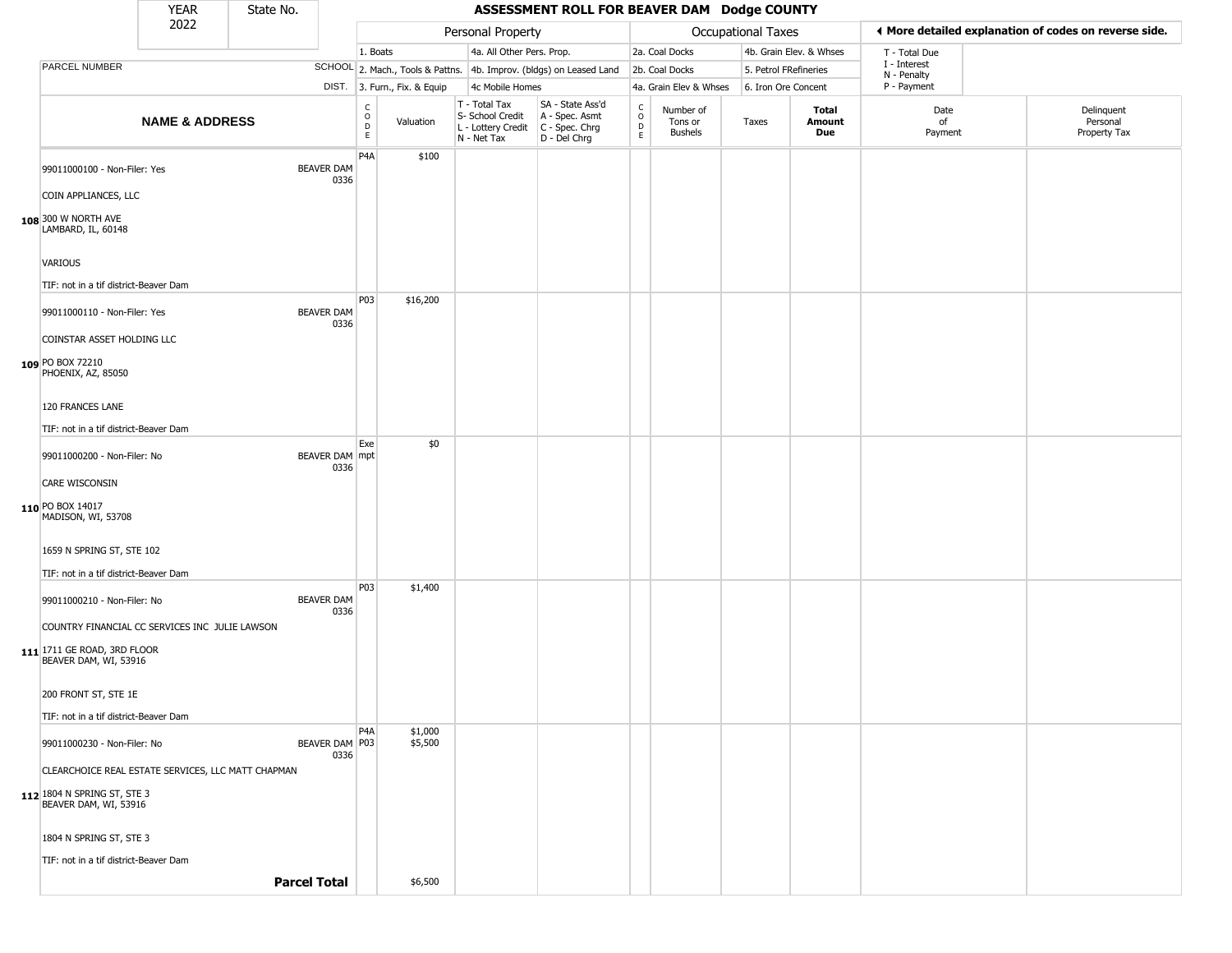|                                                      | <b>YEAR</b>               | State No. |                          |                                   |                              |                                                                        | ASSESSMENT ROLL FOR BEAVER DAM Dodge COUNTY                            |                                              |                                        |                       |                         |                             |                                                       |
|------------------------------------------------------|---------------------------|-----------|--------------------------|-----------------------------------|------------------------------|------------------------------------------------------------------------|------------------------------------------------------------------------|----------------------------------------------|----------------------------------------|-----------------------|-------------------------|-----------------------------|-------------------------------------------------------|
|                                                      | 2022                      |           |                          |                                   |                              | Personal Property                                                      |                                                                        |                                              |                                        | Occupational Taxes    |                         |                             | ◀ More detailed explanation of codes on reverse side. |
|                                                      |                           |           |                          | 1. Boats                          |                              | 4a. All Other Pers. Prop.                                              |                                                                        |                                              | 2a. Coal Docks                         |                       | 4b. Grain Elev. & Whses | T - Total Due               |                                                       |
| PARCEL NUMBER                                        |                           |           |                          |                                   |                              |                                                                        | SCHOOL 2. Mach., Tools & Pattns. 4b. Improv. (bldgs) on Leased Land    |                                              | 2b. Coal Docks                         | 5. Petrol FRefineries |                         | I - Interest<br>N - Penalty |                                                       |
|                                                      |                           |           |                          |                                   | DIST. 3. Furn., Fix. & Equip | 4c Mobile Homes                                                        |                                                                        |                                              | 4a. Grain Elev & Whses                 | 6. Iron Ore Concent   |                         | P - Payment                 |                                                       |
|                                                      | <b>NAME &amp; ADDRESS</b> |           |                          | $\frac{C}{O}$<br>D<br>$\mathsf E$ | Valuation                    | T - Total Tax<br>S- School Credit<br>L - Lottery Credit<br>N - Net Tax | SA - State Ass'd<br>A - Spec. Asmt<br>$C - Spec. Chrg$<br>D - Del Chrg | $\int_{0}^{c}$<br>$\mathsf D$<br>$\mathsf E$ | Number of<br>Tons or<br><b>Bushels</b> | Taxes                 | Total<br>Amount<br>Due  | Date<br>of<br>Payment       | Delinquent<br>Personal<br>Property Tax                |
| 99011000100 - Non-Filer: Yes                         |                           |           | BEAVER DAM<br>0336       | P <sub>4</sub> A                  | \$100                        |                                                                        |                                                                        |                                              |                                        |                       |                         |                             |                                                       |
| COIN APPLIANCES, LLC                                 |                           |           |                          |                                   |                              |                                                                        |                                                                        |                                              |                                        |                       |                         |                             |                                                       |
| 108 300 W NORTH AVE<br>LAMBARD, IL, 60148            |                           |           |                          |                                   |                              |                                                                        |                                                                        |                                              |                                        |                       |                         |                             |                                                       |
| VARIOUS                                              |                           |           |                          |                                   |                              |                                                                        |                                                                        |                                              |                                        |                       |                         |                             |                                                       |
| TIF: not in a tif district-Beaver Dam                |                           |           |                          |                                   |                              |                                                                        |                                                                        |                                              |                                        |                       |                         |                             |                                                       |
| 99011000110 - Non-Filer: Yes                         |                           |           | BEAVER DAM<br>0336       | P03                               | \$16,200                     |                                                                        |                                                                        |                                              |                                        |                       |                         |                             |                                                       |
| COINSTAR ASSET HOLDING LLC                           |                           |           |                          |                                   |                              |                                                                        |                                                                        |                                              |                                        |                       |                         |                             |                                                       |
| 109 PO BOX 72210<br>PHOENIX, AZ, 85050               |                           |           |                          |                                   |                              |                                                                        |                                                                        |                                              |                                        |                       |                         |                             |                                                       |
| 120 FRANCES LANE                                     |                           |           |                          |                                   |                              |                                                                        |                                                                        |                                              |                                        |                       |                         |                             |                                                       |
| TIF: not in a tif district-Beaver Dam                |                           |           |                          |                                   |                              |                                                                        |                                                                        |                                              |                                        |                       |                         |                             |                                                       |
| 99011000200 - Non-Filer: No                          |                           |           | BEAVER DAM mpt<br>0336   | Exe                               | \$0                          |                                                                        |                                                                        |                                              |                                        |                       |                         |                             |                                                       |
| CARE WISCONSIN                                       |                           |           |                          |                                   |                              |                                                                        |                                                                        |                                              |                                        |                       |                         |                             |                                                       |
| 110 PO BOX 14017<br>MADISON, WI, 53708               |                           |           |                          |                                   |                              |                                                                        |                                                                        |                                              |                                        |                       |                         |                             |                                                       |
| 1659 N SPRING ST, STE 102                            |                           |           |                          |                                   |                              |                                                                        |                                                                        |                                              |                                        |                       |                         |                             |                                                       |
| TIF: not in a tif district-Beaver Dam                |                           |           |                          |                                   |                              |                                                                        |                                                                        |                                              |                                        |                       |                         |                             |                                                       |
| 99011000210 - Non-Filer: No                          |                           |           | BEAVER DAM<br>0336       | P03                               | \$1,400                      |                                                                        |                                                                        |                                              |                                        |                       |                         |                             |                                                       |
| COUNTRY FINANCIAL CC SERVICES INC JULIE LAWSON       |                           |           |                          |                                   |                              |                                                                        |                                                                        |                                              |                                        |                       |                         |                             |                                                       |
| 111 1711 GE ROAD, 3RD FLOOR<br>BEAVER DAM, WI, 53916 |                           |           |                          |                                   |                              |                                                                        |                                                                        |                                              |                                        |                       |                         |                             |                                                       |
| 200 FRONT ST, STE 1E                                 |                           |           |                          |                                   |                              |                                                                        |                                                                        |                                              |                                        |                       |                         |                             |                                                       |
| TIF: not in a tif district-Beaver Dam                |                           |           |                          |                                   |                              |                                                                        |                                                                        |                                              |                                        |                       |                         |                             |                                                       |
| 99011000230 - Non-Filer: No                          |                           |           | BEAVER DAM   P03<br>0336 | P <sub>4</sub> A                  | \$1,000<br>\$5,500           |                                                                        |                                                                        |                                              |                                        |                       |                         |                             |                                                       |
| CLEARCHOICE REAL ESTATE SERVICES, LLC MATT CHAPMAN   |                           |           |                          |                                   |                              |                                                                        |                                                                        |                                              |                                        |                       |                         |                             |                                                       |
| 112 1804 N SPRING ST, STE 3<br>BEAVER DAM, WI, 53916 |                           |           |                          |                                   |                              |                                                                        |                                                                        |                                              |                                        |                       |                         |                             |                                                       |
| 1804 N SPRING ST, STE 3                              |                           |           |                          |                                   |                              |                                                                        |                                                                        |                                              |                                        |                       |                         |                             |                                                       |
| TIF: not in a tif district-Beaver Dam                |                           |           |                          |                                   |                              |                                                                        |                                                                        |                                              |                                        |                       |                         |                             |                                                       |
|                                                      |                           |           | <b>Parcel Total</b>      |                                   | \$6,500                      |                                                                        |                                                                        |                                              |                                        |                       |                         |                             |                                                       |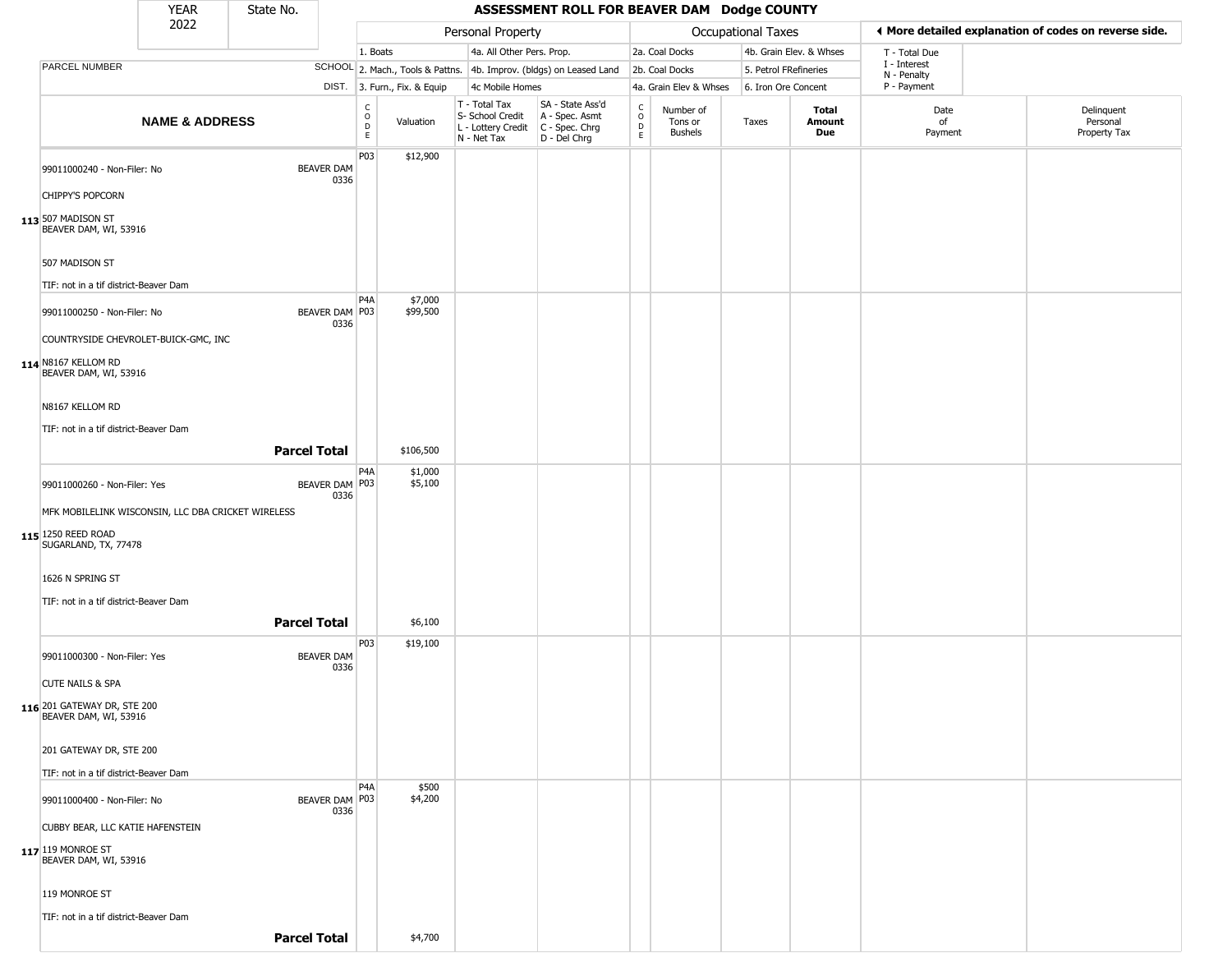|                                                                                                | <b>YEAR</b>               | State No.           |                           |                                                   |                              |                                                                        | ASSESSMENT ROLL FOR BEAVER DAM Dodge COUNTY                            |                                                 |                                        |                           |                         |               |                             |                                                       |
|------------------------------------------------------------------------------------------------|---------------------------|---------------------|---------------------------|---------------------------------------------------|------------------------------|------------------------------------------------------------------------|------------------------------------------------------------------------|-------------------------------------------------|----------------------------------------|---------------------------|-------------------------|---------------|-----------------------------|-------------------------------------------------------|
|                                                                                                | 2022                      |                     |                           |                                                   |                              | Personal Property                                                      |                                                                        |                                                 |                                        | <b>Occupational Taxes</b> |                         |               |                             | ◀ More detailed explanation of codes on reverse side. |
|                                                                                                |                           |                     |                           | 1. Boats                                          |                              | 4a. All Other Pers. Prop.                                              |                                                                        |                                                 | 2a. Coal Docks                         |                           | 4b. Grain Elev. & Whses |               | T - Total Due               |                                                       |
| PARCEL NUMBER                                                                                  |                           |                     |                           |                                                   |                              |                                                                        | SCHOOL 2. Mach., Tools & Pattns. 4b. Improv. (bldgs) on Leased Land    |                                                 | 2b. Coal Docks                         |                           | 5. Petrol FRefineries   |               | I - Interest<br>N - Penalty |                                                       |
|                                                                                                |                           |                     |                           |                                                   | DIST. 3. Furn., Fix. & Equip | 4c Mobile Homes                                                        |                                                                        |                                                 | 4a. Grain Elev & Whses                 |                           | 6. Iron Ore Concent     |               | P - Payment                 |                                                       |
|                                                                                                | <b>NAME &amp; ADDRESS</b> |                     |                           | $\begin{array}{c}\nC \\ O \\ D \\ E\n\end{array}$ | Valuation                    | T - Total Tax<br>S- School Credit<br>L - Lottery Credit<br>N - Net Tax | SA - State Ass'd<br>A - Spec. Asmt<br>$C - Spec. Chrg$<br>D - Del Chrg | $\begin{array}{c} C \\ O \\ D \\ E \end{array}$ | Number of<br>Tons or<br><b>Bushels</b> | Taxes                     | Total                   | Amount<br>Due | Date<br>of<br>Payment       | Delinquent<br>Personal<br>Property Tax                |
| 99011000240 - Non-Filer: No<br>CHIPPY'S POPCORN<br>113 507 MADISON ST<br>BEAVER DAM, WI, 53916 |                           |                     | <b>BEAVER DAM</b><br>0336 | P03                                               | \$12,900                     |                                                                        |                                                                        |                                                 |                                        |                           |                         |               |                             |                                                       |
| 507 MADISON ST<br>TIF: not in a tif district-Beaver Dam                                        |                           |                     |                           |                                                   |                              |                                                                        |                                                                        |                                                 |                                        |                           |                         |               |                             |                                                       |
| 99011000250 - Non-Filer: No<br>COUNTRYSIDE CHEVROLET-BUICK-GMC, INC                            |                           |                     | BEAVER DAM   P03<br>0336  | P <sub>4</sub> A                                  | \$7,000<br>\$99,500          |                                                                        |                                                                        |                                                 |                                        |                           |                         |               |                             |                                                       |
| 114 N8167 KELLOM RD<br>BEAVER DAM, WI, 53916                                                   |                           |                     |                           |                                                   |                              |                                                                        |                                                                        |                                                 |                                        |                           |                         |               |                             |                                                       |
| N8167 KELLOM RD<br>TIF: not in a tif district-Beaver Dam                                       |                           | <b>Parcel Total</b> |                           |                                                   | \$106,500                    |                                                                        |                                                                        |                                                 |                                        |                           |                         |               |                             |                                                       |
|                                                                                                |                           |                     |                           |                                                   |                              |                                                                        |                                                                        |                                                 |                                        |                           |                         |               |                             |                                                       |
| 99011000260 - Non-Filer: Yes<br>MFK MOBILELINK WISCONSIN, LLC DBA CRICKET WIRELESS             |                           |                     | BEAVER DAM   P03<br>0336  | P4A                                               | \$1,000<br>\$5,100           |                                                                        |                                                                        |                                                 |                                        |                           |                         |               |                             |                                                       |
| 115 1250 REED ROAD<br>SUGARLAND, TX, 77478                                                     |                           |                     |                           |                                                   |                              |                                                                        |                                                                        |                                                 |                                        |                           |                         |               |                             |                                                       |
| 1626 N SPRING ST                                                                               |                           |                     |                           |                                                   |                              |                                                                        |                                                                        |                                                 |                                        |                           |                         |               |                             |                                                       |
| TIF: not in a tif district-Beaver Dam                                                          |                           | <b>Parcel Total</b> |                           |                                                   | \$6,100                      |                                                                        |                                                                        |                                                 |                                        |                           |                         |               |                             |                                                       |
| 99011000300 - Non-Filer: Yes                                                                   |                           |                     | <b>BEAVER DAM</b><br>0336 | P03                                               | \$19,100                     |                                                                        |                                                                        |                                                 |                                        |                           |                         |               |                             |                                                       |
| <b>CUTE NAILS &amp; SPA</b><br>116 201 GATEWAY DR, STE 200<br>BEAVER DAM, WI, 53916            |                           |                     |                           |                                                   |                              |                                                                        |                                                                        |                                                 |                                        |                           |                         |               |                             |                                                       |
| 201 GATEWAY DR, STE 200<br>TIF: not in a tif district-Beaver Dam                               |                           |                     |                           |                                                   |                              |                                                                        |                                                                        |                                                 |                                        |                           |                         |               |                             |                                                       |
|                                                                                                |                           |                     |                           | P <sub>4</sub> A                                  | \$500                        |                                                                        |                                                                        |                                                 |                                        |                           |                         |               |                             |                                                       |
| 99011000400 - Non-Filer: No<br>CUBBY BEAR, LLC KATIE HAFENSTEIN                                |                           |                     | BEAVER DAM P03<br>0336    |                                                   | \$4,200                      |                                                                        |                                                                        |                                                 |                                        |                           |                         |               |                             |                                                       |
| 117 119 MONROE ST<br>BEAVER DAM, WI, 53916                                                     |                           |                     |                           |                                                   |                              |                                                                        |                                                                        |                                                 |                                        |                           |                         |               |                             |                                                       |
| 119 MONROE ST                                                                                  |                           |                     |                           |                                                   |                              |                                                                        |                                                                        |                                                 |                                        |                           |                         |               |                             |                                                       |
| TIF: not in a tif district-Beaver Dam                                                          |                           |                     |                           |                                                   |                              |                                                                        |                                                                        |                                                 |                                        |                           |                         |               |                             |                                                       |
|                                                                                                |                           | <b>Parcel Total</b> |                           |                                                   | \$4,700                      |                                                                        |                                                                        |                                                 |                                        |                           |                         |               |                             |                                                       |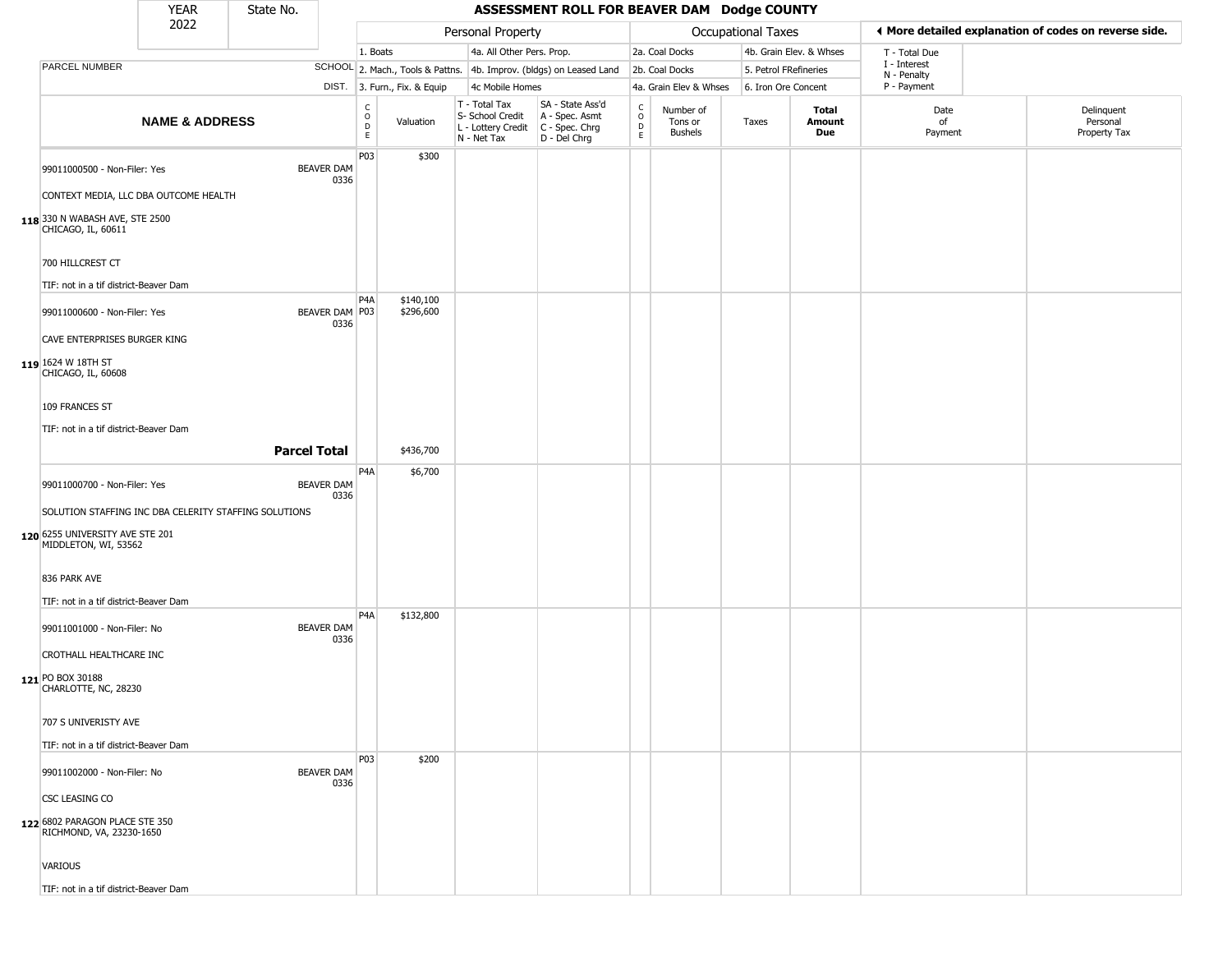|                                                                                               | <b>YEAR</b>               | State No.           |                           |                                   |                              |                                                                        | ASSESSMENT ROLL FOR BEAVER DAM Dodge COUNTY                          |                  |                                        |                    |                               |                             |                                                       |
|-----------------------------------------------------------------------------------------------|---------------------------|---------------------|---------------------------|-----------------------------------|------------------------------|------------------------------------------------------------------------|----------------------------------------------------------------------|------------------|----------------------------------------|--------------------|-------------------------------|-----------------------------|-------------------------------------------------------|
|                                                                                               | 2022                      |                     |                           |                                   |                              | Personal Property                                                      |                                                                      |                  |                                        | Occupational Taxes |                               |                             | ◀ More detailed explanation of codes on reverse side. |
|                                                                                               |                           |                     |                           | 1. Boats                          |                              | 4a. All Other Pers. Prop.                                              |                                                                      |                  | 2a. Coal Docks                         |                    | 4b. Grain Elev. & Whses       | T - Total Due               |                                                       |
| PARCEL NUMBER                                                                                 |                           |                     |                           |                                   |                              |                                                                        | SCHOOL 2. Mach., Tools & Pattns. 4b. Improv. (bldgs) on Leased Land  |                  | 2b. Coal Docks                         |                    | 5. Petrol FRefineries         | I - Interest<br>N - Penalty |                                                       |
|                                                                                               |                           |                     |                           |                                   | DIST. 3. Furn., Fix. & Equip | 4c Mobile Homes                                                        |                                                                      |                  | 4a. Grain Elev & Whses                 |                    | 6. Iron Ore Concent           | P - Payment                 |                                                       |
|                                                                                               | <b>NAME &amp; ADDRESS</b> |                     |                           | C<br>$\circ$<br>$\mathsf{D}$<br>E | Valuation                    | T - Total Tax<br>S- School Credit<br>L - Lottery Credit<br>N - Net Tax | SA - State Ass'd<br>A - Spec. Asmt<br>C - Spec. Chrg<br>D - Del Chrg | C<br>D<br>E<br>E | Number of<br>Tons or<br><b>Bushels</b> | Taxes              | Total<br><b>Amount</b><br>Due | Date<br>of<br>Payment       | Delinquent<br>Personal<br>Property Tax                |
| 99011000500 - Non-Filer: Yes                                                                  |                           |                     | <b>BEAVER DAM</b><br>0336 | P03                               | \$300                        |                                                                        |                                                                      |                  |                                        |                    |                               |                             |                                                       |
| CONTEXT MEDIA, LLC DBA OUTCOME HEALTH<br>118 330 N WABASH AVE, STE 2500<br>CHICAGO, IL, 60611 |                           |                     |                           |                                   |                              |                                                                        |                                                                      |                  |                                        |                    |                               |                             |                                                       |
|                                                                                               |                           |                     |                           |                                   |                              |                                                                        |                                                                      |                  |                                        |                    |                               |                             |                                                       |
| 700 HILLCREST CT<br>TIF: not in a tif district-Beaver Dam                                     |                           |                     |                           |                                   |                              |                                                                        |                                                                      |                  |                                        |                    |                               |                             |                                                       |
| 99011000600 - Non-Filer: Yes                                                                  |                           |                     | BEAVER DAM P03<br>0336    | P4A                               | \$140,100<br>\$296,600       |                                                                        |                                                                      |                  |                                        |                    |                               |                             |                                                       |
| CAVE ENTERPRISES BURGER KING                                                                  |                           |                     |                           |                                   |                              |                                                                        |                                                                      |                  |                                        |                    |                               |                             |                                                       |
| 119 1624 W 18TH ST<br>CHICAGO, IL, 60608                                                      |                           |                     |                           |                                   |                              |                                                                        |                                                                      |                  |                                        |                    |                               |                             |                                                       |
| 109 FRANCES ST                                                                                |                           |                     |                           |                                   |                              |                                                                        |                                                                      |                  |                                        |                    |                               |                             |                                                       |
| TIF: not in a tif district-Beaver Dam                                                         |                           |                     |                           |                                   |                              |                                                                        |                                                                      |                  |                                        |                    |                               |                             |                                                       |
|                                                                                               |                           | <b>Parcel Total</b> |                           |                                   | \$436,700                    |                                                                        |                                                                      |                  |                                        |                    |                               |                             |                                                       |
| 99011000700 - Non-Filer: Yes                                                                  |                           |                     | <b>BEAVER DAM</b><br>0336 | P <sub>4</sub> A                  | \$6,700                      |                                                                        |                                                                      |                  |                                        |                    |                               |                             |                                                       |
| SOLUTION STAFFING INC DBA CELERITY STAFFING SOLUTIONS                                         |                           |                     |                           |                                   |                              |                                                                        |                                                                      |                  |                                        |                    |                               |                             |                                                       |
| 120 6255 UNIVERSITY AVE STE 201<br>MIDDLETON, WI, 53562                                       |                           |                     |                           |                                   |                              |                                                                        |                                                                      |                  |                                        |                    |                               |                             |                                                       |
| 836 PARK AVE<br>TIF: not in a tif district-Beaver Dam                                         |                           |                     |                           |                                   |                              |                                                                        |                                                                      |                  |                                        |                    |                               |                             |                                                       |
|                                                                                               |                           |                     | <b>BEAVER DAM</b>         | P <sub>4</sub> A                  | \$132,800                    |                                                                        |                                                                      |                  |                                        |                    |                               |                             |                                                       |
| 99011001000 - Non-Filer: No<br>CROTHALL HEALTHCARE INC                                        |                           |                     | 0336                      |                                   |                              |                                                                        |                                                                      |                  |                                        |                    |                               |                             |                                                       |
| 121 PO BOX 30188<br>CHARLOTTE, NC, 28230                                                      |                           |                     |                           |                                   |                              |                                                                        |                                                                      |                  |                                        |                    |                               |                             |                                                       |
| 707 S UNIVERISTY AVE                                                                          |                           |                     |                           |                                   |                              |                                                                        |                                                                      |                  |                                        |                    |                               |                             |                                                       |
| TIF: not in a tif district-Beaver Dam                                                         |                           |                     |                           |                                   |                              |                                                                        |                                                                      |                  |                                        |                    |                               |                             |                                                       |
| 99011002000 - Non-Filer: No                                                                   |                           |                     | <b>BEAVER DAM</b><br>0336 | <b>P03</b>                        | \$200                        |                                                                        |                                                                      |                  |                                        |                    |                               |                             |                                                       |
| CSC LEASING CO                                                                                |                           |                     |                           |                                   |                              |                                                                        |                                                                      |                  |                                        |                    |                               |                             |                                                       |
| 122 6802 PARAGON PLACE STE 350<br>RICHMOND, VA, 23230-1650                                    |                           |                     |                           |                                   |                              |                                                                        |                                                                      |                  |                                        |                    |                               |                             |                                                       |
| VARIOUS                                                                                       |                           |                     |                           |                                   |                              |                                                                        |                                                                      |                  |                                        |                    |                               |                             |                                                       |
| TIF: not in a tif district-Beaver Dam                                                         |                           |                     |                           |                                   |                              |                                                                        |                                                                      |                  |                                        |                    |                               |                             |                                                       |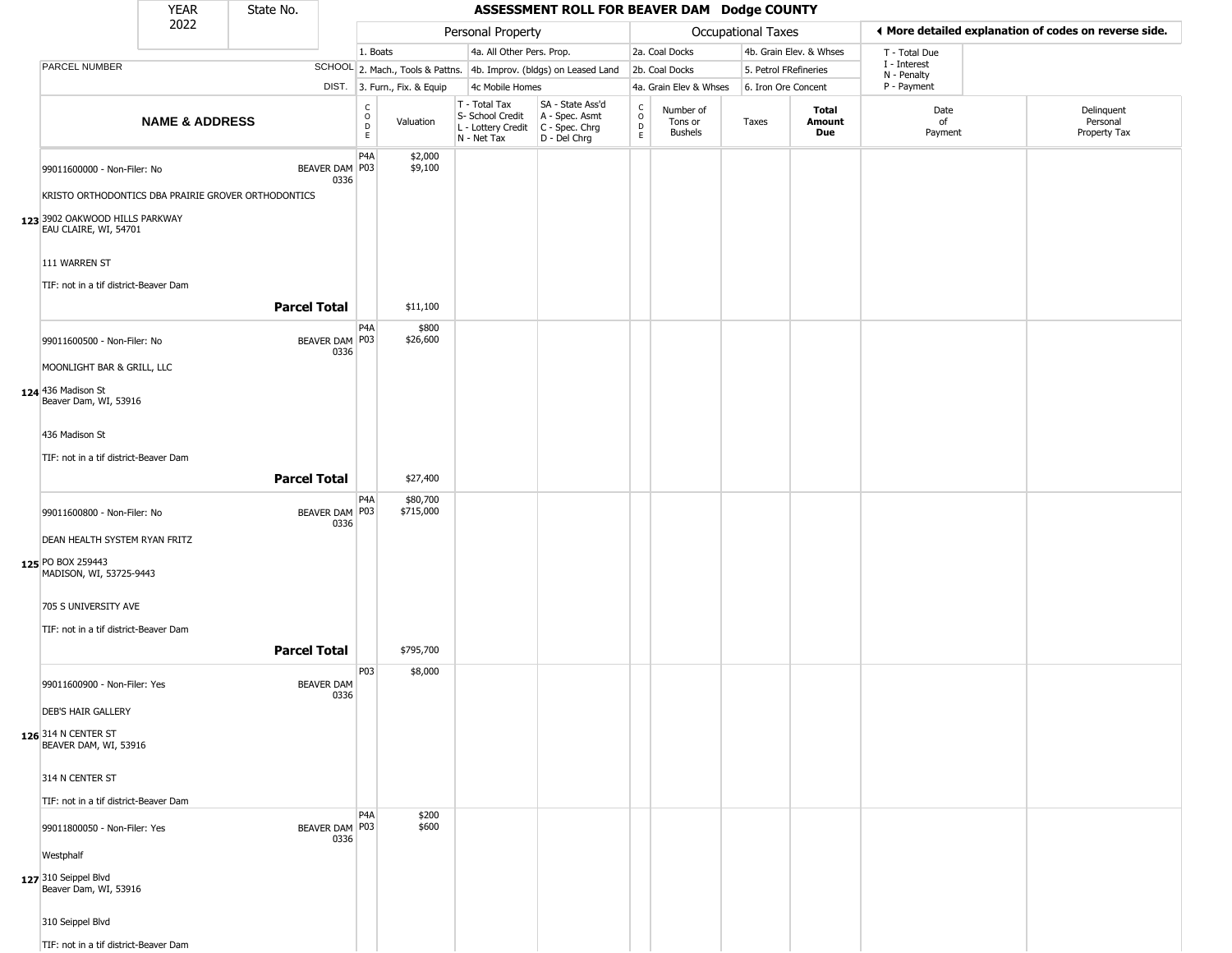|                                                                               | YEAR                      | State No.           |                           |                                                  |                              |                                                                                       | ASSESSMENT ROLL FOR BEAVER DAM Dodge COUNTY                         |                                   |                                        |                       |                         |                             |                                                       |
|-------------------------------------------------------------------------------|---------------------------|---------------------|---------------------------|--------------------------------------------------|------------------------------|---------------------------------------------------------------------------------------|---------------------------------------------------------------------|-----------------------------------|----------------------------------------|-----------------------|-------------------------|-----------------------------|-------------------------------------------------------|
|                                                                               | 2022                      |                     |                           |                                                  |                              | Personal Property                                                                     |                                                                     |                                   |                                        | Occupational Taxes    |                         |                             | ♦ More detailed explanation of codes on reverse side. |
|                                                                               |                           |                     |                           | 1. Boats                                         |                              | 4a. All Other Pers. Prop.                                                             |                                                                     |                                   | 2a. Coal Docks                         |                       | 4b. Grain Elev. & Whses | T - Total Due               |                                                       |
| PARCEL NUMBER                                                                 |                           |                     |                           |                                                  |                              |                                                                                       | SCHOOL 2. Mach., Tools & Pattns. 4b. Improv. (bldgs) on Leased Land |                                   | 2b. Coal Docks                         | 5. Petrol FRefineries |                         | I - Interest<br>N - Penalty |                                                       |
|                                                                               |                           |                     |                           |                                                  | DIST. 3. Furn., Fix. & Equip | 4c Mobile Homes                                                                       |                                                                     |                                   | 4a. Grain Elev & Whses                 | 6. Iron Ore Concent   |                         | P - Payment                 |                                                       |
|                                                                               | <b>NAME &amp; ADDRESS</b> |                     |                           | $_{\rm o}^{\rm c}$<br>$\mathsf D$<br>$\mathsf E$ | Valuation                    | T - Total Tax<br>S- School Credit<br>L - Lottery Credit C - Spec. Chrg<br>N - Net Tax | SA - State Ass'd<br>A - Spec. Asmt<br>D - Del Chrg                  | $\frac{c}{0}$<br>$\mathsf D$<br>E | Number of<br>Tons or<br><b>Bushels</b> | Taxes                 | Total<br>Amount<br>Due  | Date<br>of<br>Payment       | Delinquent<br>Personal<br>Property Tax                |
| 99011600000 - Non-Filer: No                                                   |                           |                     | BEAVER DAM   P03<br>0336  | P <sub>4</sub> A                                 | \$2,000<br>\$9,100           |                                                                                       |                                                                     |                                   |                                        |                       |                         |                             |                                                       |
| KRISTO ORTHODONTICS DBA PRAIRIE GROVER ORTHODONTICS                           |                           |                     |                           |                                                  |                              |                                                                                       |                                                                     |                                   |                                        |                       |                         |                             |                                                       |
| 123 3902 OAKWOOD HILLS PARKWAY<br>EAU CLAIRE, WI, 54701                       |                           |                     |                           |                                                  |                              |                                                                                       |                                                                     |                                   |                                        |                       |                         |                             |                                                       |
| 111 WARREN ST                                                                 |                           |                     |                           |                                                  |                              |                                                                                       |                                                                     |                                   |                                        |                       |                         |                             |                                                       |
| TIF: not in a tif district-Beaver Dam                                         |                           | <b>Parcel Total</b> |                           |                                                  | \$11,100                     |                                                                                       |                                                                     |                                   |                                        |                       |                         |                             |                                                       |
| 99011600500 - Non-Filer: No                                                   |                           |                     | BEAVER DAM P03<br>0336    | P <sub>4</sub> A                                 | \$800<br>\$26,600            |                                                                                       |                                                                     |                                   |                                        |                       |                         |                             |                                                       |
| MOONLIGHT BAR & GRILL, LLC                                                    |                           |                     |                           |                                                  |                              |                                                                                       |                                                                     |                                   |                                        |                       |                         |                             |                                                       |
| 124 436 Madison St<br>Beaver Dam, WI, 53916                                   |                           |                     |                           |                                                  |                              |                                                                                       |                                                                     |                                   |                                        |                       |                         |                             |                                                       |
| 436 Madison St                                                                |                           |                     |                           |                                                  |                              |                                                                                       |                                                                     |                                   |                                        |                       |                         |                             |                                                       |
| TIF: not in a tif district-Beaver Dam                                         |                           |                     |                           |                                                  |                              |                                                                                       |                                                                     |                                   |                                        |                       |                         |                             |                                                       |
|                                                                               |                           | <b>Parcel Total</b> |                           |                                                  | \$27,400                     |                                                                                       |                                                                     |                                   |                                        |                       |                         |                             |                                                       |
| 99011600800 - Non-Filer: No                                                   |                           |                     | BEAVER DAM P03<br>0336    | P <sub>4</sub> A                                 | \$80,700<br>\$715,000        |                                                                                       |                                                                     |                                   |                                        |                       |                         |                             |                                                       |
| DEAN HEALTH SYSTEM RYAN FRITZ<br>125 PO BOX 259443<br>MADISON, WI, 53725-9443 |                           |                     |                           |                                                  |                              |                                                                                       |                                                                     |                                   |                                        |                       |                         |                             |                                                       |
| 705 S UNIVERSITY AVE                                                          |                           |                     |                           |                                                  |                              |                                                                                       |                                                                     |                                   |                                        |                       |                         |                             |                                                       |
| TIF: not in a tif district-Beaver Dam                                         |                           |                     |                           |                                                  |                              |                                                                                       |                                                                     |                                   |                                        |                       |                         |                             |                                                       |
|                                                                               |                           | <b>Parcel Total</b> |                           |                                                  | \$795,700                    |                                                                                       |                                                                     |                                   |                                        |                       |                         |                             |                                                       |
| 99011600900 - Non-Filer: Yes                                                  |                           |                     | <b>BEAVER DAM</b><br>0336 | P03                                              | \$8,000                      |                                                                                       |                                                                     |                                   |                                        |                       |                         |                             |                                                       |
| <b>DEB'S HAIR GALLERY</b>                                                     |                           |                     |                           |                                                  |                              |                                                                                       |                                                                     |                                   |                                        |                       |                         |                             |                                                       |
| 126 314 N CENTER ST<br>BEAVER DAM, WI, 53916                                  |                           |                     |                           |                                                  |                              |                                                                                       |                                                                     |                                   |                                        |                       |                         |                             |                                                       |
| 314 N CENTER ST                                                               |                           |                     |                           |                                                  |                              |                                                                                       |                                                                     |                                   |                                        |                       |                         |                             |                                                       |
| TIF: not in a tif district-Beaver Dam                                         |                           |                     |                           | P <sub>4</sub> A                                 | \$200                        |                                                                                       |                                                                     |                                   |                                        |                       |                         |                             |                                                       |
| 99011800050 - Non-Filer: Yes                                                  |                           |                     | BEAVER DAM   P03<br>0336  |                                                  | \$600                        |                                                                                       |                                                                     |                                   |                                        |                       |                         |                             |                                                       |
| Westphalf                                                                     |                           |                     |                           |                                                  |                              |                                                                                       |                                                                     |                                   |                                        |                       |                         |                             |                                                       |
| 127 310 Seippel Blvd<br>Beaver Dam, WI, 53916                                 |                           |                     |                           |                                                  |                              |                                                                                       |                                                                     |                                   |                                        |                       |                         |                             |                                                       |
| 310 Seippel Blvd                                                              |                           |                     |                           |                                                  |                              |                                                                                       |                                                                     |                                   |                                        |                       |                         |                             |                                                       |
| TIF: not in a tif district-Beaver Dam                                         |                           |                     |                           |                                                  |                              |                                                                                       |                                                                     |                                   |                                        |                       |                         |                             |                                                       |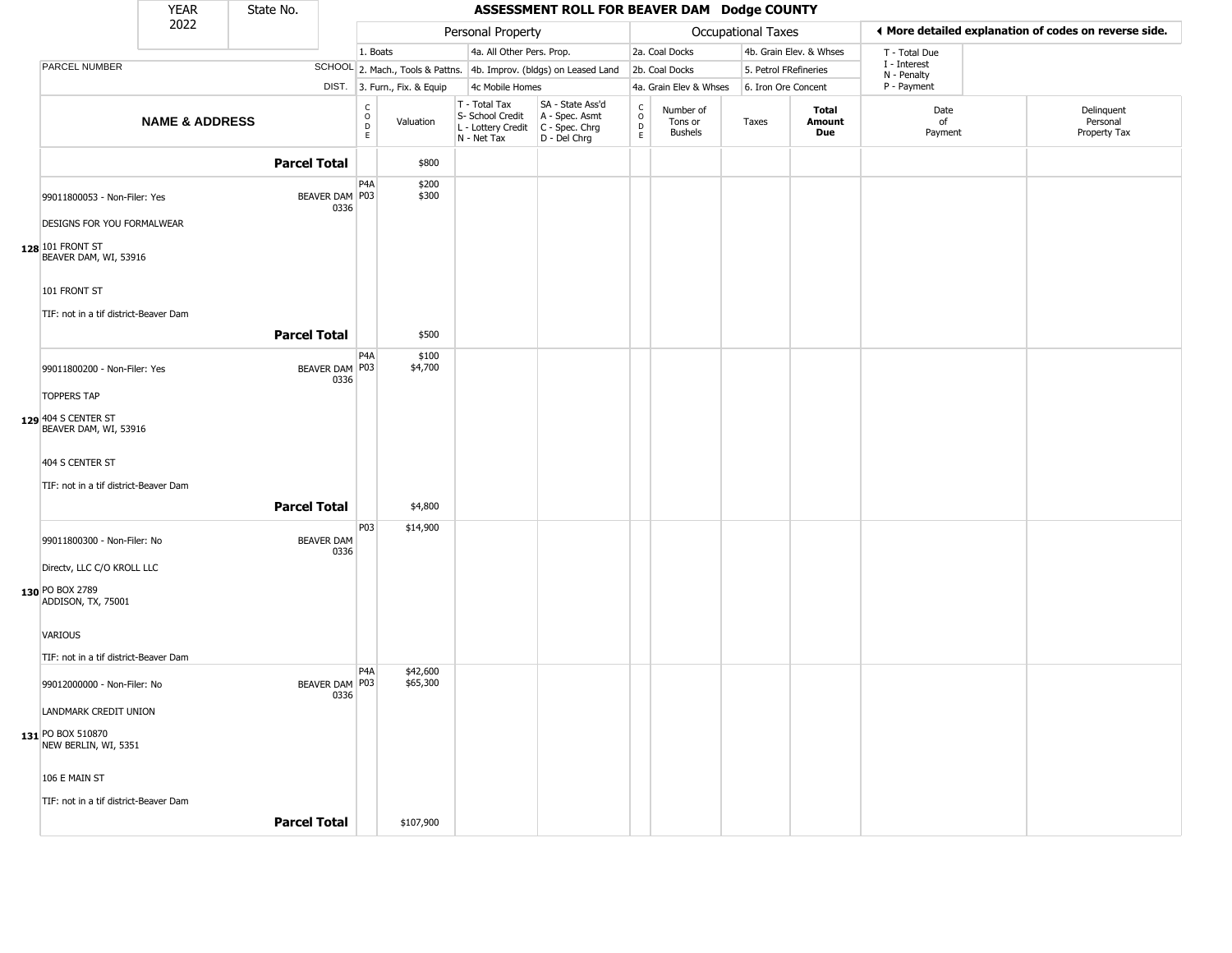|                                                            | <b>YEAR</b>               | State No.           |                           |                                   |                              |                                                                        | ASSESSMENT ROLL FOR BEAVER DAM Dodge COUNTY                          |                                     |                                        |                       |                         |                             |                                                       |
|------------------------------------------------------------|---------------------------|---------------------|---------------------------|-----------------------------------|------------------------------|------------------------------------------------------------------------|----------------------------------------------------------------------|-------------------------------------|----------------------------------------|-----------------------|-------------------------|-----------------------------|-------------------------------------------------------|
|                                                            | 2022                      |                     |                           |                                   |                              | Personal Property                                                      |                                                                      |                                     |                                        | Occupational Taxes    |                         |                             | ◀ More detailed explanation of codes on reverse side. |
|                                                            |                           |                     |                           | 1. Boats                          |                              | 4a. All Other Pers. Prop.                                              |                                                                      |                                     | 2a. Coal Docks                         |                       | 4b. Grain Elev. & Whses | T - Total Due               |                                                       |
| PARCEL NUMBER                                              |                           |                     |                           |                                   |                              |                                                                        | SCHOOL 2. Mach., Tools & Pattns. 4b. Improv. (bldgs) on Leased Land  |                                     | 2b. Coal Docks                         | 5. Petrol FRefineries |                         | I - Interest<br>N - Penalty |                                                       |
|                                                            |                           |                     |                           |                                   | DIST. 3. Furn., Fix. & Equip | 4c Mobile Homes                                                        |                                                                      |                                     | 4a. Grain Elev & Whses                 | 6. Iron Ore Concent   |                         | P - Payment                 |                                                       |
|                                                            | <b>NAME &amp; ADDRESS</b> |                     |                           | $\frac{c}{0}$<br>$\mathsf D$<br>E | Valuation                    | T - Total Tax<br>S- School Credit<br>L - Lottery Credit<br>N - Net Tax | SA - State Ass'd<br>A - Spec. Asmt<br>C - Spec. Chrg<br>D - Del Chrg | $\frac{c}{0}$<br>$_{\rm E}^{\rm D}$ | Number of<br>Tons or<br><b>Bushels</b> | Taxes                 | Total<br>Amount<br>Due  | Date<br>of<br>Payment       | Delinquent<br>Personal<br>Property Tax                |
|                                                            |                           | <b>Parcel Total</b> |                           |                                   | \$800                        |                                                                        |                                                                      |                                     |                                        |                       |                         |                             |                                                       |
| 99011800053 - Non-Filer: Yes<br>DESIGNS FOR YOU FORMALWEAR |                           |                     | BEAVER DAM P03<br>0336    | P4A                               | \$200<br>\$300               |                                                                        |                                                                      |                                     |                                        |                       |                         |                             |                                                       |
| 128 101 FRONT ST<br>BEAVER DAM, WI, 53916                  |                           |                     |                           |                                   |                              |                                                                        |                                                                      |                                     |                                        |                       |                         |                             |                                                       |
| 101 FRONT ST<br>TIF: not in a tif district-Beaver Dam      |                           |                     |                           |                                   |                              |                                                                        |                                                                      |                                     |                                        |                       |                         |                             |                                                       |
|                                                            |                           | <b>Parcel Total</b> |                           |                                   | \$500                        |                                                                        |                                                                      |                                     |                                        |                       |                         |                             |                                                       |
| 99011800200 - Non-Filer: Yes                               |                           |                     | BEAVER DAM P03<br>0336    | P4A                               | \$100<br>\$4,700             |                                                                        |                                                                      |                                     |                                        |                       |                         |                             |                                                       |
| <b>TOPPERS TAP</b>                                         |                           |                     |                           |                                   |                              |                                                                        |                                                                      |                                     |                                        |                       |                         |                             |                                                       |
| 129 404 S CENTER ST<br>BEAVER DAM, WI, 53916               |                           |                     |                           |                                   |                              |                                                                        |                                                                      |                                     |                                        |                       |                         |                             |                                                       |
| 404 S CENTER ST<br>TIF: not in a tif district-Beaver Dam   |                           |                     |                           |                                   |                              |                                                                        |                                                                      |                                     |                                        |                       |                         |                             |                                                       |
|                                                            |                           | <b>Parcel Total</b> |                           |                                   | \$4,800                      |                                                                        |                                                                      |                                     |                                        |                       |                         |                             |                                                       |
| 99011800300 - Non-Filer: No                                |                           |                     | <b>BEAVER DAM</b><br>0336 | P <sub>0</sub> 3                  | \$14,900                     |                                                                        |                                                                      |                                     |                                        |                       |                         |                             |                                                       |
| Directv, LLC C/O KROLL LLC<br>130 PO BOX 2789              |                           |                     |                           |                                   |                              |                                                                        |                                                                      |                                     |                                        |                       |                         |                             |                                                       |
| ADDISON, TX, 75001                                         |                           |                     |                           |                                   |                              |                                                                        |                                                                      |                                     |                                        |                       |                         |                             |                                                       |
| VARIOUS<br>TIF: not in a tif district-Beaver Dam           |                           |                     |                           |                                   |                              |                                                                        |                                                                      |                                     |                                        |                       |                         |                             |                                                       |
| 99012000000 - Non-Filer: No                                |                           |                     | BEAVER DAM P03            | P <sub>4</sub> A                  | \$42,600<br>\$65,300         |                                                                        |                                                                      |                                     |                                        |                       |                         |                             |                                                       |
| LANDMARK CREDIT UNION                                      |                           |                     | 0336                      |                                   |                              |                                                                        |                                                                      |                                     |                                        |                       |                         |                             |                                                       |
| 131 PO BOX 510870<br>NEW BERLIN, WI, 5351                  |                           |                     |                           |                                   |                              |                                                                        |                                                                      |                                     |                                        |                       |                         |                             |                                                       |
| 106 E MAIN ST                                              |                           |                     |                           |                                   |                              |                                                                        |                                                                      |                                     |                                        |                       |                         |                             |                                                       |
| TIF: not in a tif district-Beaver Dam                      |                           |                     |                           |                                   |                              |                                                                        |                                                                      |                                     |                                        |                       |                         |                             |                                                       |
|                                                            |                           | <b>Parcel Total</b> |                           |                                   | \$107,900                    |                                                                        |                                                                      |                                     |                                        |                       |                         |                             |                                                       |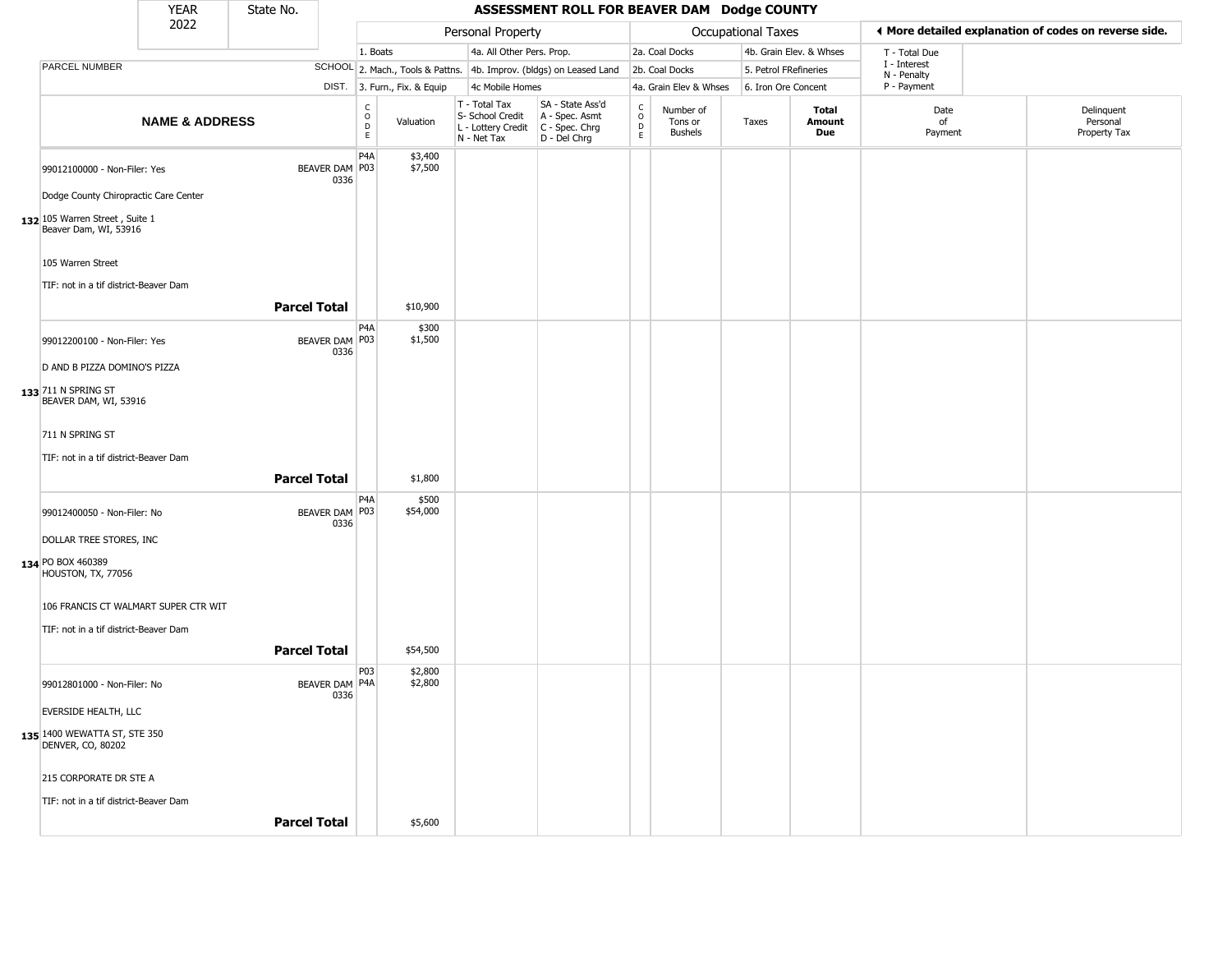|                                                                               | <b>YEAR</b>               | State No.           |                        |                                               |                              |                                                                                         | ASSESSMENT ROLL FOR BEAVER DAM Dodge COUNTY                         |                                    |                                 |                    |                         |                             |                                                       |
|-------------------------------------------------------------------------------|---------------------------|---------------------|------------------------|-----------------------------------------------|------------------------------|-----------------------------------------------------------------------------------------|---------------------------------------------------------------------|------------------------------------|---------------------------------|--------------------|-------------------------|-----------------------------|-------------------------------------------------------|
|                                                                               | 2022                      |                     |                        |                                               |                              | Personal Property                                                                       |                                                                     |                                    |                                 | Occupational Taxes |                         |                             | I More detailed explanation of codes on reverse side. |
|                                                                               |                           |                     |                        | 1. Boats                                      |                              | 4a. All Other Pers. Prop.                                                               |                                                                     |                                    | 2a. Coal Docks                  |                    | 4b. Grain Elev. & Whses | T - Total Due               |                                                       |
| PARCEL NUMBER                                                                 |                           |                     |                        |                                               |                              |                                                                                         | SCHOOL 2. Mach., Tools & Pattns. 4b. Improv. (bldgs) on Leased Land |                                    | 2b. Coal Docks                  |                    | 5. Petrol FRefineries   | I - Interest<br>N - Penalty |                                                       |
|                                                                               |                           |                     |                        |                                               | DIST. 3. Furn., Fix. & Equip | 4c Mobile Homes                                                                         |                                                                     |                                    | 4a. Grain Elev & Whses          |                    | 6. Iron Ore Concent     | P - Payment                 |                                                       |
|                                                                               | <b>NAME &amp; ADDRESS</b> |                     |                        | $\mathsf{C}$<br>$\overline{0}$<br>$\mathsf E$ | Valuation                    | T - Total Tax<br>S- School Credit<br>L - Lottery Credit   C - Spec. Chrg<br>N - Net Tax | SA - State Ass'd<br>A - Spec. Asmt<br>D - Del Chrg                  | $\int_{0}^{c}$<br>$\mathsf D$<br>E | Number of<br>Tons or<br>Bushels | Taxes              | Total<br>Amount<br>Due  | Date<br>of<br>Payment       | Delinquent<br>Personal<br>Property Tax                |
| 99012100000 - Non-Filer: Yes                                                  |                           |                     | BEAVER DAM P03<br>0336 | P <sub>4</sub> A                              | \$3,400<br>\$7,500           |                                                                                         |                                                                     |                                    |                                 |                    |                         |                             |                                                       |
| Dodge County Chiropractic Care Center                                         |                           |                     |                        |                                               |                              |                                                                                         |                                                                     |                                    |                                 |                    |                         |                             |                                                       |
| $132$ 105 Warren Street, Suite 1<br>Beaver Dam, WI, 53916                     |                           |                     |                        |                                               |                              |                                                                                         |                                                                     |                                    |                                 |                    |                         |                             |                                                       |
| 105 Warren Street                                                             |                           |                     |                        |                                               |                              |                                                                                         |                                                                     |                                    |                                 |                    |                         |                             |                                                       |
| TIF: not in a tif district-Beaver Dam                                         |                           | <b>Parcel Total</b> |                        |                                               | \$10,900                     |                                                                                         |                                                                     |                                    |                                 |                    |                         |                             |                                                       |
| 99012200100 - Non-Filer: Yes                                                  |                           |                     | BEAVER DAM   P03       | P <sub>4</sub> A                              | \$300<br>\$1,500             |                                                                                         |                                                                     |                                    |                                 |                    |                         |                             |                                                       |
| D AND B PIZZA DOMINO'S PIZZA                                                  |                           |                     | 0336                   |                                               |                              |                                                                                         |                                                                     |                                    |                                 |                    |                         |                             |                                                       |
| 133 711 N SPRING ST<br>BEAVER DAM, WI, 53916                                  |                           |                     |                        |                                               |                              |                                                                                         |                                                                     |                                    |                                 |                    |                         |                             |                                                       |
| 711 N SPRING ST<br>TIF: not in a tif district-Beaver Dam                      |                           | <b>Parcel Total</b> |                        |                                               | \$1,800                      |                                                                                         |                                                                     |                                    |                                 |                    |                         |                             |                                                       |
| 99012400050 - Non-Filer: No                                                   |                           |                     | BEAVER DAM   P03       | P4A                                           | \$500<br>\$54,000            |                                                                                         |                                                                     |                                    |                                 |                    |                         |                             |                                                       |
| DOLLAR TREE STORES, INC                                                       |                           |                     | 0336                   |                                               |                              |                                                                                         |                                                                     |                                    |                                 |                    |                         |                             |                                                       |
| 134 PO BOX 460389<br>HOUSTON, TX, 77056                                       |                           |                     |                        |                                               |                              |                                                                                         |                                                                     |                                    |                                 |                    |                         |                             |                                                       |
| 106 FRANCIS CT WALMART SUPER CTR WIT<br>TIF: not in a tif district-Beaver Dam |                           |                     |                        |                                               |                              |                                                                                         |                                                                     |                                    |                                 |                    |                         |                             |                                                       |
|                                                                               |                           | <b>Parcel Total</b> |                        |                                               | \$54,500                     |                                                                                         |                                                                     |                                    |                                 |                    |                         |                             |                                                       |
| 99012801000 - Non-Filer: No                                                   |                           |                     | BEAVER DAM P4A<br>0336 | <b>P03</b>                                    | \$2,800<br>\$2,800           |                                                                                         |                                                                     |                                    |                                 |                    |                         |                             |                                                       |
| EVERSIDE HEALTH, LLC                                                          |                           |                     |                        |                                               |                              |                                                                                         |                                                                     |                                    |                                 |                    |                         |                             |                                                       |
| 135 1400 WEWATTA ST, STE 350<br><b>DENVER, CO, 80202</b>                      |                           |                     |                        |                                               |                              |                                                                                         |                                                                     |                                    |                                 |                    |                         |                             |                                                       |
| 215 CORPORATE DR STE A                                                        |                           |                     |                        |                                               |                              |                                                                                         |                                                                     |                                    |                                 |                    |                         |                             |                                                       |
| TIF: not in a tif district-Beaver Dam                                         |                           |                     |                        |                                               |                              |                                                                                         |                                                                     |                                    |                                 |                    |                         |                             |                                                       |
|                                                                               |                           | <b>Parcel Total</b> |                        |                                               | \$5,600                      |                                                                                         |                                                                     |                                    |                                 |                    |                         |                             |                                                       |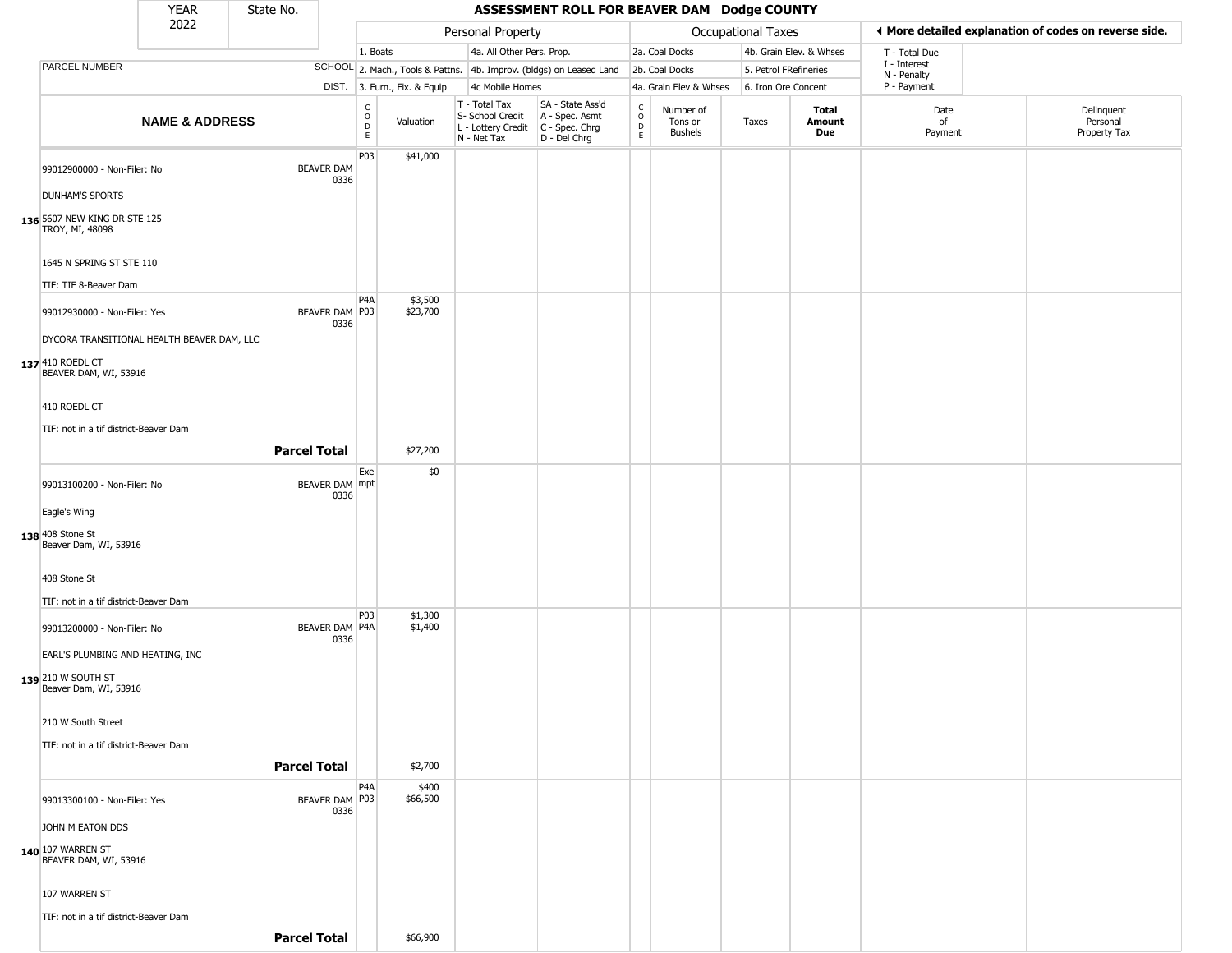|                                                                            | <b>YEAR</b>               | State No.           |                           |                                         |                              |                                                                        | ASSESSMENT ROLL FOR BEAVER DAM Dodge COUNTY                          |                                                 |                                 |                       |                               |                             |                                                       |
|----------------------------------------------------------------------------|---------------------------|---------------------|---------------------------|-----------------------------------------|------------------------------|------------------------------------------------------------------------|----------------------------------------------------------------------|-------------------------------------------------|---------------------------------|-----------------------|-------------------------------|-----------------------------|-------------------------------------------------------|
|                                                                            | 2022                      |                     |                           |                                         |                              | Personal Property                                                      |                                                                      |                                                 |                                 | Occupational Taxes    |                               |                             | ♦ More detailed explanation of codes on reverse side. |
|                                                                            |                           |                     |                           | 1. Boats                                |                              | 4a. All Other Pers. Prop.                                              |                                                                      |                                                 | 2a. Coal Docks                  |                       | 4b. Grain Elev. & Whses       | T - Total Due               |                                                       |
| PARCEL NUMBER                                                              |                           |                     |                           |                                         |                              |                                                                        | SCHOOL 2. Mach., Tools & Pattns. 4b. Improv. (bldgs) on Leased Land  |                                                 | 2b. Coal Docks                  | 5. Petrol FRefineries |                               | I - Interest<br>N - Penalty |                                                       |
|                                                                            |                           |                     |                           |                                         | DIST. 3. Furn., Fix. & Equip | 4c Mobile Homes                                                        |                                                                      |                                                 | 4a. Grain Elev & Whses          | 6. Iron Ore Concent   |                               | P - Payment                 |                                                       |
|                                                                            | <b>NAME &amp; ADDRESS</b> |                     |                           | $_{\rm o}^{\rm c}$<br>$\mathsf D$<br>E. | Valuation                    | T - Total Tax<br>S- School Credit<br>L - Lottery Credit<br>N - Net Tax | SA - State Ass'd<br>A - Spec. Asmt<br>C - Spec. Chrg<br>D - Del Chrg | $\begin{array}{c} C \\ O \\ D \\ E \end{array}$ | Number of<br>Tons or<br>Bushels | Taxes                 | <b>Total</b><br>Amount<br>Due | Date<br>of<br>Payment       | Delinquent<br>Personal<br>Property Tax                |
| 99012900000 - Non-Filer: No<br><b>DUNHAM'S SPORTS</b>                      |                           |                     | <b>BEAVER DAM</b><br>0336 | P03                                     | \$41,000                     |                                                                        |                                                                      |                                                 |                                 |                       |                               |                             |                                                       |
| 136 5607 NEW KING DR STE 125<br>TROY, MI, 48098                            |                           |                     |                           |                                         |                              |                                                                        |                                                                      |                                                 |                                 |                       |                               |                             |                                                       |
| 1645 N SPRING ST STE 110<br>TIF: TIF 8-Beaver Dam                          |                           |                     |                           |                                         |                              |                                                                        |                                                                      |                                                 |                                 |                       |                               |                             |                                                       |
| 99012930000 - Non-Filer: Yes<br>DYCORA TRANSITIONAL HEALTH BEAVER DAM, LLC |                           |                     | BEAVER DAM   P03<br>0336  | P <sub>4</sub> A                        | \$3,500<br>\$23,700          |                                                                        |                                                                      |                                                 |                                 |                       |                               |                             |                                                       |
| 137 410 ROEDL CT<br>BEAVER DAM, WI, 53916                                  |                           |                     |                           |                                         |                              |                                                                        |                                                                      |                                                 |                                 |                       |                               |                             |                                                       |
| 410 ROEDL CT                                                               |                           |                     |                           |                                         |                              |                                                                        |                                                                      |                                                 |                                 |                       |                               |                             |                                                       |
| TIF: not in a tif district-Beaver Dam                                      |                           | <b>Parcel Total</b> |                           |                                         | \$27,200                     |                                                                        |                                                                      |                                                 |                                 |                       |                               |                             |                                                       |
|                                                                            |                           |                     |                           | Exe                                     | \$0                          |                                                                        |                                                                      |                                                 |                                 |                       |                               |                             |                                                       |
| 99013100200 - Non-Filer: No                                                |                           |                     | BEAVER DAM mpt<br>0336    |                                         |                              |                                                                        |                                                                      |                                                 |                                 |                       |                               |                             |                                                       |
| Eagle's Wing<br>138 408 Stone St<br>Beaver Dam, WI, 53916                  |                           |                     |                           |                                         |                              |                                                                        |                                                                      |                                                 |                                 |                       |                               |                             |                                                       |
| 408 Stone St                                                               |                           |                     |                           |                                         |                              |                                                                        |                                                                      |                                                 |                                 |                       |                               |                             |                                                       |
| TIF: not in a tif district-Beaver Dam                                      |                           |                     |                           | P <sub>0</sub> 3                        | \$1,300                      |                                                                        |                                                                      |                                                 |                                 |                       |                               |                             |                                                       |
| 99013200000 - Non-Filer: No<br>EARL'S PLUMBING AND HEATING, INC            |                           |                     | BEAVER DAM P4A<br>0336    |                                         | \$1,400                      |                                                                        |                                                                      |                                                 |                                 |                       |                               |                             |                                                       |
| 139 210 W SOUTH ST<br>Beaver Dam, WI, 53916                                |                           |                     |                           |                                         |                              |                                                                        |                                                                      |                                                 |                                 |                       |                               |                             |                                                       |
| 210 W South Street                                                         |                           |                     |                           |                                         |                              |                                                                        |                                                                      |                                                 |                                 |                       |                               |                             |                                                       |
| TIF: not in a tif district-Beaver Dam                                      |                           | <b>Parcel Total</b> |                           |                                         | \$2,700                      |                                                                        |                                                                      |                                                 |                                 |                       |                               |                             |                                                       |
| 99013300100 - Non-Filer: Yes                                               |                           |                     | BEAVER DAM P03            | P <sub>4</sub> A                        | \$400<br>\$66,500            |                                                                        |                                                                      |                                                 |                                 |                       |                               |                             |                                                       |
| JOHN M EATON DDS                                                           |                           |                     | 0336                      |                                         |                              |                                                                        |                                                                      |                                                 |                                 |                       |                               |                             |                                                       |
| 140 107 WARREN ST<br>BEAVER DAM, WI, 53916                                 |                           |                     |                           |                                         |                              |                                                                        |                                                                      |                                                 |                                 |                       |                               |                             |                                                       |
| 107 WARREN ST                                                              |                           |                     |                           |                                         |                              |                                                                        |                                                                      |                                                 |                                 |                       |                               |                             |                                                       |
| TIF: not in a tif district-Beaver Dam                                      |                           | <b>Parcel Total</b> |                           |                                         | \$66,900                     |                                                                        |                                                                      |                                                 |                                 |                       |                               |                             |                                                       |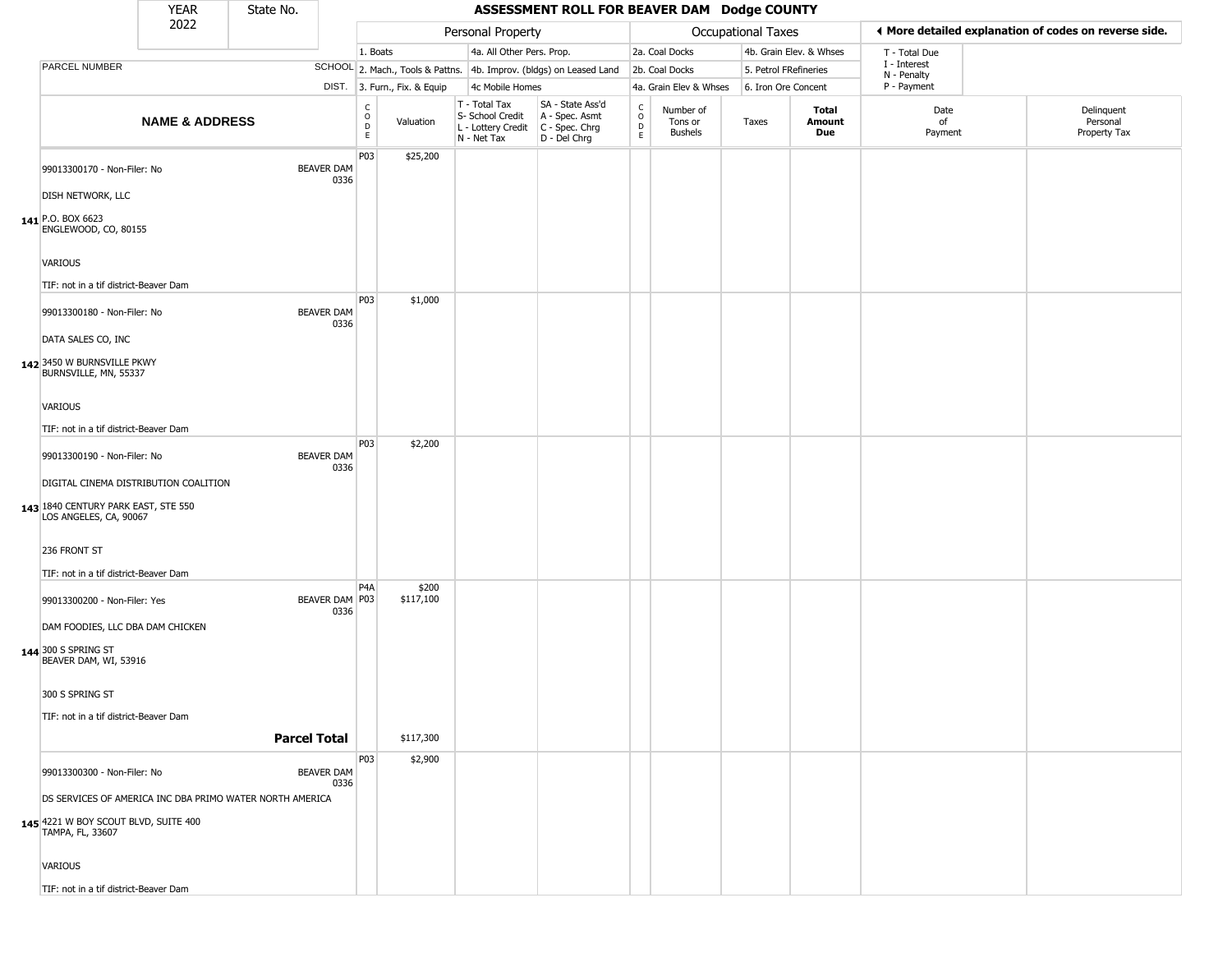|                                                                                                        | <b>YEAR</b>               | State No.           |                           |                                              |                              |                                                                                         | ASSESSMENT ROLL FOR BEAVER DAM Dodge COUNTY                         |                                             |                                        |                       |                         |                             |                                                       |
|--------------------------------------------------------------------------------------------------------|---------------------------|---------------------|---------------------------|----------------------------------------------|------------------------------|-----------------------------------------------------------------------------------------|---------------------------------------------------------------------|---------------------------------------------|----------------------------------------|-----------------------|-------------------------|-----------------------------|-------------------------------------------------------|
|                                                                                                        | 2022                      |                     |                           |                                              |                              | Personal Property                                                                       |                                                                     |                                             |                                        | Occupational Taxes    |                         |                             | ♦ More detailed explanation of codes on reverse side. |
|                                                                                                        |                           |                     |                           | 1. Boats                                     |                              | 4a. All Other Pers. Prop.                                                               |                                                                     |                                             | 2a. Coal Docks                         |                       | 4b. Grain Elev. & Whses | T - Total Due               |                                                       |
| PARCEL NUMBER                                                                                          |                           |                     |                           |                                              |                              |                                                                                         | SCHOOL 2. Mach., Tools & Pattns. 4b. Improv. (bldgs) on Leased Land |                                             | 2b. Coal Docks                         | 5. Petrol FRefineries |                         | I - Interest<br>N - Penalty |                                                       |
|                                                                                                        |                           |                     |                           |                                              | DIST. 3. Furn., Fix. & Equip | 4c Mobile Homes                                                                         |                                                                     |                                             | 4a. Grain Elev & Whses                 | 6. Iron Ore Concent   |                         | P - Payment                 |                                                       |
|                                                                                                        | <b>NAME &amp; ADDRESS</b> |                     |                           | $\begin{array}{c}\nC \\ O \\ D\n\end{array}$ | Valuation                    | T - Total Tax<br>S- School Credit<br>L - Lottery Credit   C - Spec. Chrg<br>N - Net Tax | SA - State Ass'd<br>A - Spec. Asmt<br>D - Del Chrg                  | $\mathsf{C}$<br>$\circ$<br>D<br>$\mathsf E$ | Number of<br>Tons or<br><b>Bushels</b> | Taxes                 | Total<br>Amount<br>Due  | Date<br>of<br>Payment       | Delinquent<br>Personal<br>Property Tax                |
| 99013300170 - Non-Filer: No                                                                            |                           |                     | <b>BEAVER DAM</b><br>0336 | P03                                          | \$25,200                     |                                                                                         |                                                                     |                                             |                                        |                       |                         |                             |                                                       |
| DISH NETWORK, LLC<br>141 P.O. BOX 6623<br>ENGLEWOOD, CO, 80155                                         |                           |                     |                           |                                              |                              |                                                                                         |                                                                     |                                             |                                        |                       |                         |                             |                                                       |
| <b>VARIOUS</b>                                                                                         |                           |                     |                           |                                              |                              |                                                                                         |                                                                     |                                             |                                        |                       |                         |                             |                                                       |
| TIF: not in a tif district-Beaver Dam                                                                  |                           |                     |                           | P03                                          |                              |                                                                                         |                                                                     |                                             |                                        |                       |                         |                             |                                                       |
| 99013300180 - Non-Filer: No                                                                            |                           |                     | <b>BEAVER DAM</b><br>0336 |                                              | \$1,000                      |                                                                                         |                                                                     |                                             |                                        |                       |                         |                             |                                                       |
| DATA SALES CO, INC<br>142 3450 W BURNSVILLE PKWY<br>BURNSVILLE, MN, 55337                              |                           |                     |                           |                                              |                              |                                                                                         |                                                                     |                                             |                                        |                       |                         |                             |                                                       |
| <b>VARIOUS</b>                                                                                         |                           |                     |                           |                                              |                              |                                                                                         |                                                                     |                                             |                                        |                       |                         |                             |                                                       |
| TIF: not in a tif district-Beaver Dam                                                                  |                           |                     |                           |                                              |                              |                                                                                         |                                                                     |                                             |                                        |                       |                         |                             |                                                       |
| 99013300190 - Non-Filer: No                                                                            |                           |                     | <b>BEAVER DAM</b><br>0336 | P03                                          | \$2,200                      |                                                                                         |                                                                     |                                             |                                        |                       |                         |                             |                                                       |
| DIGITAL CINEMA DISTRIBUTION COALITION<br>143 1840 CENTURY PARK EAST, STE 550<br>LOS ANGELES, CA, 90067 |                           |                     |                           |                                              |                              |                                                                                         |                                                                     |                                             |                                        |                       |                         |                             |                                                       |
| 236 FRONT ST                                                                                           |                           |                     |                           |                                              |                              |                                                                                         |                                                                     |                                             |                                        |                       |                         |                             |                                                       |
| TIF: not in a tif district-Beaver Dam                                                                  |                           |                     |                           | P4A                                          | \$200                        |                                                                                         |                                                                     |                                             |                                        |                       |                         |                             |                                                       |
| 99013300200 - Non-Filer: Yes<br>DAM FOODIES, LLC DBA DAM CHICKEN                                       |                           |                     | BEAVER DAM P03<br>0336    |                                              | \$117,100                    |                                                                                         |                                                                     |                                             |                                        |                       |                         |                             |                                                       |
| 144 300 S SPRING ST<br>BEAVER DAM, WI, 53916                                                           |                           |                     |                           |                                              |                              |                                                                                         |                                                                     |                                             |                                        |                       |                         |                             |                                                       |
| 300 S SPRING ST                                                                                        |                           |                     |                           |                                              |                              |                                                                                         |                                                                     |                                             |                                        |                       |                         |                             |                                                       |
| TIF: not in a tif district-Beaver Dam                                                                  |                           |                     |                           |                                              |                              |                                                                                         |                                                                     |                                             |                                        |                       |                         |                             |                                                       |
|                                                                                                        |                           | <b>Parcel Total</b> |                           |                                              | \$117,300                    |                                                                                         |                                                                     |                                             |                                        |                       |                         |                             |                                                       |
| 99013300300 - Non-Filer: No                                                                            |                           |                     | <b>BEAVER DAM</b><br>0336 | P03                                          | \$2,900                      |                                                                                         |                                                                     |                                             |                                        |                       |                         |                             |                                                       |
| DS SERVICES OF AMERICA INC DBA PRIMO WATER NORTH AMERICA                                               |                           |                     |                           |                                              |                              |                                                                                         |                                                                     |                                             |                                        |                       |                         |                             |                                                       |
| 145 4221 W BOY SCOUT BLVD, SUITE 400<br>TAMPA, FL, 33607                                               |                           |                     |                           |                                              |                              |                                                                                         |                                                                     |                                             |                                        |                       |                         |                             |                                                       |
| VARIOUS                                                                                                |                           |                     |                           |                                              |                              |                                                                                         |                                                                     |                                             |                                        |                       |                         |                             |                                                       |
| TIF: not in a tif district-Beaver Dam                                                                  |                           |                     |                           |                                              |                              |                                                                                         |                                                                     |                                             |                                        |                       |                         |                             |                                                       |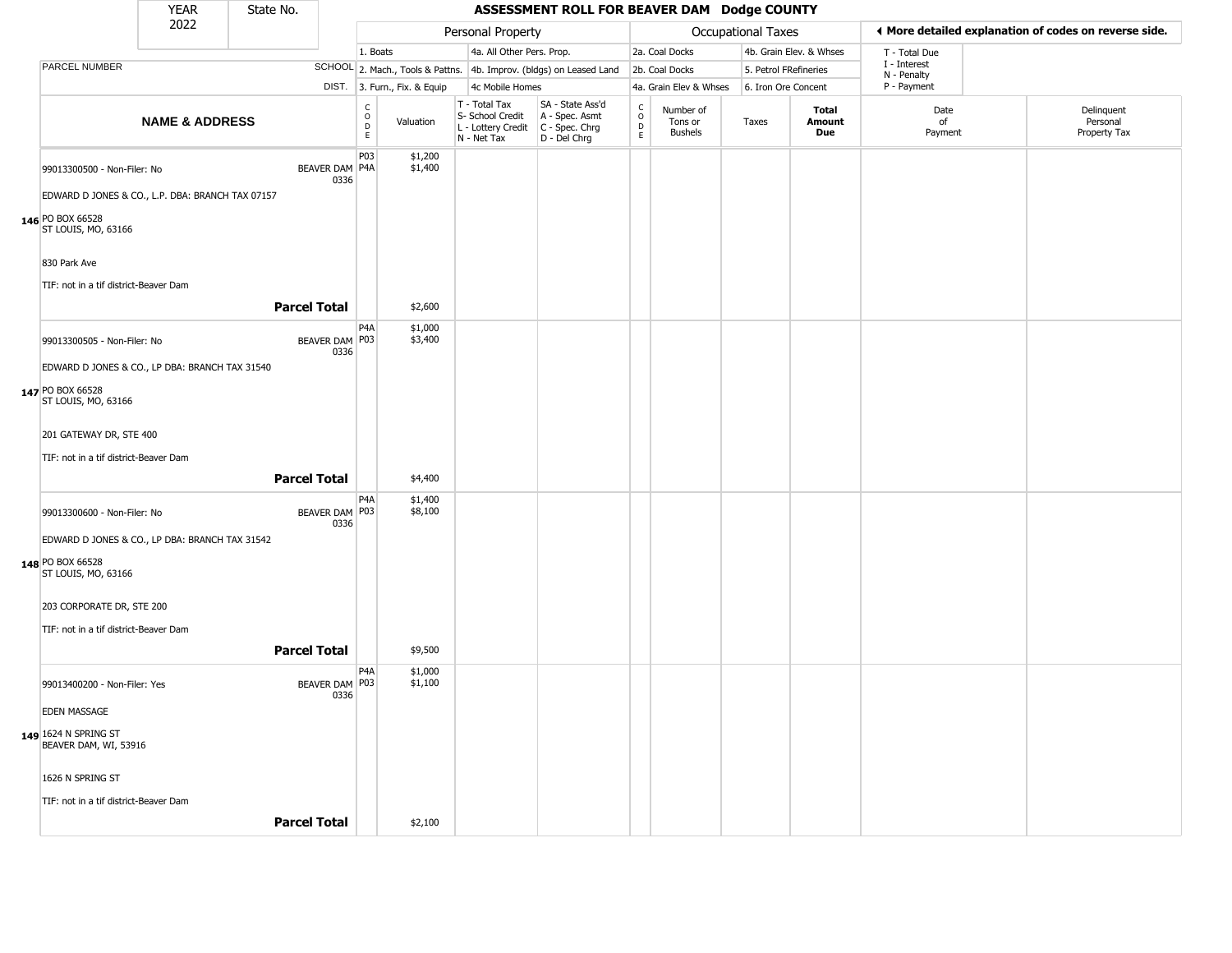|                                                  | <b>YEAR</b>               | State No. |                               |                                    |                              |                                                                        | ASSESSMENT ROLL FOR BEAVER DAM Dodge COUNTY                            |                                            |                                        |                       |                         |                             |                                                       |
|--------------------------------------------------|---------------------------|-----------|-------------------------------|------------------------------------|------------------------------|------------------------------------------------------------------------|------------------------------------------------------------------------|--------------------------------------------|----------------------------------------|-----------------------|-------------------------|-----------------------------|-------------------------------------------------------|
|                                                  | 2022                      |           |                               |                                    |                              | Personal Property                                                      |                                                                        |                                            |                                        | Occupational Taxes    |                         |                             | ◀ More detailed explanation of codes on reverse side. |
|                                                  |                           |           |                               | 1. Boats                           |                              | 4a. All Other Pers. Prop.                                              |                                                                        |                                            | 2a. Coal Docks                         |                       | 4b. Grain Elev. & Whses | T - Total Due               |                                                       |
| PARCEL NUMBER                                    |                           |           |                               |                                    |                              |                                                                        | SCHOOL 2. Mach., Tools & Pattns. 4b. Improv. (bldgs) on Leased Land    |                                            | 2b. Coal Docks                         | 5. Petrol FRefineries |                         | I - Interest<br>N - Penalty |                                                       |
|                                                  |                           |           |                               |                                    | DIST. 3. Furn., Fix. & Equip | 4c Mobile Homes                                                        |                                                                        |                                            | 4a. Grain Elev & Whses                 | 6. Iron Ore Concent   |                         | P - Payment                 |                                                       |
|                                                  | <b>NAME &amp; ADDRESS</b> |           |                               | $\frac{c}{0}$<br>$\mathsf{D}$<br>E | Valuation                    | T - Total Tax<br>S- School Credit<br>L - Lottery Credit<br>N - Net Tax | SA - State Ass'd<br>A - Spec. Asmt<br>$C - Spec. Chrg$<br>D - Del Chrg | $\begin{array}{c} C \\ O \\ E \end{array}$ | Number of<br>Tons or<br><b>Bushels</b> | Taxes                 | Total<br>Amount<br>Due  | Date<br>of<br>Payment       | Delinquent<br>Personal<br>Property Tax                |
| 99013300500 - Non-Filer: No                      |                           |           | <b>BEAVER DAM P4A</b><br>0336 | P03                                | \$1,200<br>\$1,400           |                                                                        |                                                                        |                                            |                                        |                       |                         |                             |                                                       |
| EDWARD D JONES & CO., L.P. DBA: BRANCH TAX 07157 |                           |           |                               |                                    |                              |                                                                        |                                                                        |                                            |                                        |                       |                         |                             |                                                       |
| 146 PO BOX 66528<br>ST LOUIS, MO, 63166          |                           |           |                               |                                    |                              |                                                                        |                                                                        |                                            |                                        |                       |                         |                             |                                                       |
| 830 Park Ave                                     |                           |           |                               |                                    |                              |                                                                        |                                                                        |                                            |                                        |                       |                         |                             |                                                       |
| TIF: not in a tif district-Beaver Dam            |                           |           |                               |                                    |                              |                                                                        |                                                                        |                                            |                                        |                       |                         |                             |                                                       |
|                                                  |                           |           | <b>Parcel Total</b>           |                                    | \$2,600                      |                                                                        |                                                                        |                                            |                                        |                       |                         |                             |                                                       |
| 99013300505 - Non-Filer: No                      |                           |           | BEAVER DAM   P03<br>0336      | P <sub>4</sub> A                   | \$1,000<br>\$3,400           |                                                                        |                                                                        |                                            |                                        |                       |                         |                             |                                                       |
| EDWARD D JONES & CO., LP DBA: BRANCH TAX 31540   |                           |           |                               |                                    |                              |                                                                        |                                                                        |                                            |                                        |                       |                         |                             |                                                       |
| 147 PO BOX 66528<br>ST LOUIS, MO, 63166          |                           |           |                               |                                    |                              |                                                                        |                                                                        |                                            |                                        |                       |                         |                             |                                                       |
| 201 GATEWAY DR, STE 400                          |                           |           |                               |                                    |                              |                                                                        |                                                                        |                                            |                                        |                       |                         |                             |                                                       |
| TIF: not in a tif district-Beaver Dam            |                           |           |                               |                                    |                              |                                                                        |                                                                        |                                            |                                        |                       |                         |                             |                                                       |
|                                                  |                           |           | <b>Parcel Total</b>           |                                    | \$4,400                      |                                                                        |                                                                        |                                            |                                        |                       |                         |                             |                                                       |
| 99013300600 - Non-Filer: No                      |                           |           | BEAVER DAM P03<br>0336        | P <sub>4</sub> A                   | \$1,400<br>\$8,100           |                                                                        |                                                                        |                                            |                                        |                       |                         |                             |                                                       |
| EDWARD D JONES & CO., LP DBA: BRANCH TAX 31542   |                           |           |                               |                                    |                              |                                                                        |                                                                        |                                            |                                        |                       |                         |                             |                                                       |
| 148 PO BOX 66528<br>ST LOUIS, MO, 63166          |                           |           |                               |                                    |                              |                                                                        |                                                                        |                                            |                                        |                       |                         |                             |                                                       |
| 203 CORPORATE DR, STE 200                        |                           |           |                               |                                    |                              |                                                                        |                                                                        |                                            |                                        |                       |                         |                             |                                                       |
| TIF: not in a tif district-Beaver Dam            |                           |           |                               |                                    |                              |                                                                        |                                                                        |                                            |                                        |                       |                         |                             |                                                       |
|                                                  |                           |           | <b>Parcel Total</b>           |                                    | \$9,500                      |                                                                        |                                                                        |                                            |                                        |                       |                         |                             |                                                       |
| 99013400200 - Non-Filer: Yes                     |                           |           | BEAVER DAM P03<br>0336        | P <sub>4</sub> A                   | \$1,000<br>\$1,100           |                                                                        |                                                                        |                                            |                                        |                       |                         |                             |                                                       |
| <b>EDEN MASSAGE</b>                              |                           |           |                               |                                    |                              |                                                                        |                                                                        |                                            |                                        |                       |                         |                             |                                                       |
| 149 1624 N SPRING ST<br>BEAVER DAM, WI, 53916    |                           |           |                               |                                    |                              |                                                                        |                                                                        |                                            |                                        |                       |                         |                             |                                                       |
| 1626 N SPRING ST                                 |                           |           |                               |                                    |                              |                                                                        |                                                                        |                                            |                                        |                       |                         |                             |                                                       |
| TIF: not in a tif district-Beaver Dam            |                           |           |                               |                                    |                              |                                                                        |                                                                        |                                            |                                        |                       |                         |                             |                                                       |
|                                                  |                           |           | <b>Parcel Total</b>           |                                    | \$2,100                      |                                                                        |                                                                        |                                            |                                        |                       |                         |                             |                                                       |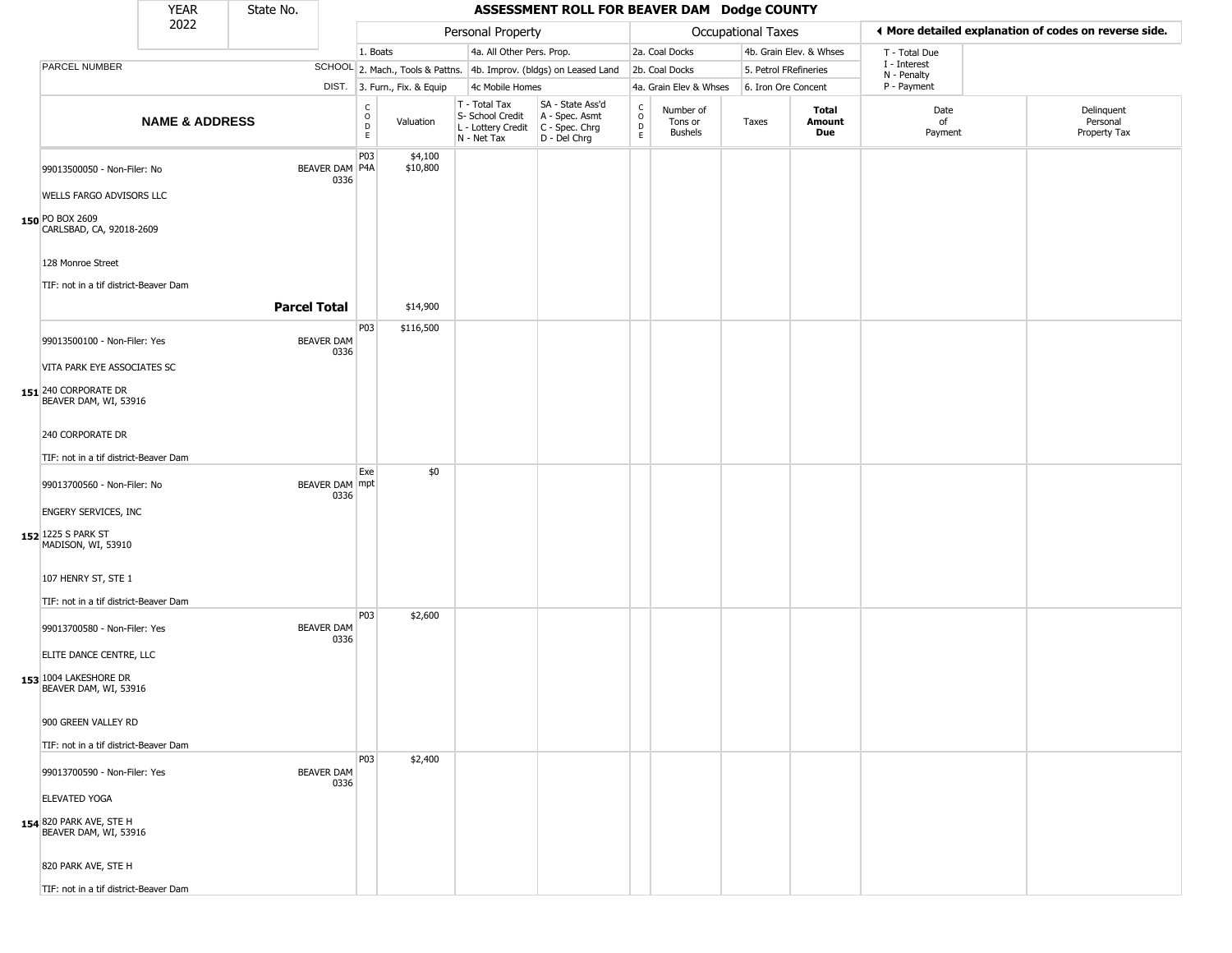|                                                  | <b>YEAR</b>               | State No.           |                           |                                                          |                              |                                                  | ASSESSMENT ROLL FOR BEAVER DAM Dodge COUNTY                                               |                            |                                        |                           |                         |                             |                                                       |
|--------------------------------------------------|---------------------------|---------------------|---------------------------|----------------------------------------------------------|------------------------------|--------------------------------------------------|-------------------------------------------------------------------------------------------|----------------------------|----------------------------------------|---------------------------|-------------------------|-----------------------------|-------------------------------------------------------|
|                                                  | 2022                      |                     |                           |                                                          |                              | Personal Property                                |                                                                                           |                            |                                        | <b>Occupational Taxes</b> |                         |                             | ♦ More detailed explanation of codes on reverse side. |
|                                                  |                           |                     |                           | 1. Boats                                                 |                              | 4a. All Other Pers. Prop.                        |                                                                                           |                            | 2a. Coal Docks                         |                           | 4b. Grain Elev. & Whses | T - Total Due               |                                                       |
| PARCEL NUMBER                                    |                           |                     |                           |                                                          |                              |                                                  | SCHOOL 2. Mach., Tools & Pattns. 4b. Improv. (bldgs) on Leased Land                       |                            | 2b. Coal Docks                         | 5. Petrol FRefineries     |                         | I - Interest<br>N - Penalty |                                                       |
|                                                  |                           |                     |                           |                                                          | DIST. 3. Furn., Fix. & Equip | 4c Mobile Homes                                  |                                                                                           |                            | 4a. Grain Elev & Whses                 | 6. Iron Ore Concent       |                         | P - Payment                 |                                                       |
|                                                  | <b>NAME &amp; ADDRESS</b> |                     |                           | $\begin{matrix} 0 \\ 0 \\ D \end{matrix}$<br>$\mathsf E$ | Valuation                    | T - Total Tax<br>S- School Credit<br>N - Net Tax | SA - State Ass'd<br>A - Spec. Asmt<br>L - Lottery Credit   C - Spec. Chrg<br>D - Del Chrg | C<br>$\mathsf O$<br>D<br>E | Number of<br>Tons or<br><b>Bushels</b> | Taxes                     | Total<br>Amount<br>Due  | Date<br>of<br>Payment       | Delinquent<br>Personal<br>Property Tax                |
| 99013500050 - Non-Filer: No                      |                           |                     | BEAVER DAM P4A<br>0336    | P <sub>0</sub> 3                                         | \$4,100<br>\$10,800          |                                                  |                                                                                           |                            |                                        |                           |                         |                             |                                                       |
| WELLS FARGO ADVISORS LLC                         |                           |                     |                           |                                                          |                              |                                                  |                                                                                           |                            |                                        |                           |                         |                             |                                                       |
| 150 PO BOX 2609<br>CARLSBAD, CA, 92018-2609      |                           |                     |                           |                                                          |                              |                                                  |                                                                                           |                            |                                        |                           |                         |                             |                                                       |
| 128 Monroe Street                                |                           |                     |                           |                                                          |                              |                                                  |                                                                                           |                            |                                        |                           |                         |                             |                                                       |
| TIF: not in a tif district-Beaver Dam            |                           |                     |                           |                                                          |                              |                                                  |                                                                                           |                            |                                        |                           |                         |                             |                                                       |
|                                                  |                           | <b>Parcel Total</b> |                           |                                                          | \$14,900                     |                                                  |                                                                                           |                            |                                        |                           |                         |                             |                                                       |
| 99013500100 - Non-Filer: Yes                     |                           |                     | <b>BEAVER DAM</b><br>0336 | P03                                                      | \$116,500                    |                                                  |                                                                                           |                            |                                        |                           |                         |                             |                                                       |
| VITA PARK EYE ASSOCIATES SC                      |                           |                     |                           |                                                          |                              |                                                  |                                                                                           |                            |                                        |                           |                         |                             |                                                       |
| 151 240 CORPORATE DR<br>BEAVER DAM, WI, 53916    |                           |                     |                           |                                                          |                              |                                                  |                                                                                           |                            |                                        |                           |                         |                             |                                                       |
| 240 CORPORATE DR                                 |                           |                     |                           |                                                          |                              |                                                  |                                                                                           |                            |                                        |                           |                         |                             |                                                       |
| TIF: not in a tif district-Beaver Dam            |                           |                     |                           |                                                          |                              |                                                  |                                                                                           |                            |                                        |                           |                         |                             |                                                       |
| 99013700560 - Non-Filer: No                      |                           |                     | BEAVER DAM mpt<br>0336    | Exe                                                      | \$0                          |                                                  |                                                                                           |                            |                                        |                           |                         |                             |                                                       |
| <b>ENGERY SERVICES, INC</b>                      |                           |                     |                           |                                                          |                              |                                                  |                                                                                           |                            |                                        |                           |                         |                             |                                                       |
| 152 1225 S PARK ST<br>MADISON, WI, 53910         |                           |                     |                           |                                                          |                              |                                                  |                                                                                           |                            |                                        |                           |                         |                             |                                                       |
| 107 HENRY ST, STE 1                              |                           |                     |                           |                                                          |                              |                                                  |                                                                                           |                            |                                        |                           |                         |                             |                                                       |
| TIF: not in a tif district-Beaver Dam            |                           |                     |                           |                                                          |                              |                                                  |                                                                                           |                            |                                        |                           |                         |                             |                                                       |
| 99013700580 - Non-Filer: Yes                     |                           |                     | <b>BEAVER DAM</b><br>0336 | P03                                                      | \$2,600                      |                                                  |                                                                                           |                            |                                        |                           |                         |                             |                                                       |
| ELITE DANCE CENTRE, LLC                          |                           |                     |                           |                                                          |                              |                                                  |                                                                                           |                            |                                        |                           |                         |                             |                                                       |
| 153 1004 LAKESHORE DR<br>BEAVER DAM, WI, 53916   |                           |                     |                           |                                                          |                              |                                                  |                                                                                           |                            |                                        |                           |                         |                             |                                                       |
| 900 GREEN VALLEY RD                              |                           |                     |                           |                                                          |                              |                                                  |                                                                                           |                            |                                        |                           |                         |                             |                                                       |
| TIF: not in a tif district-Beaver Dam            |                           |                     |                           |                                                          |                              |                                                  |                                                                                           |                            |                                        |                           |                         |                             |                                                       |
| 99013700590 - Non-Filer: Yes                     |                           |                     | <b>BEAVER DAM</b><br>0336 | <b>P03</b>                                               | \$2,400                      |                                                  |                                                                                           |                            |                                        |                           |                         |                             |                                                       |
| <b>ELEVATED YOGA</b>                             |                           |                     |                           |                                                          |                              |                                                  |                                                                                           |                            |                                        |                           |                         |                             |                                                       |
| 154 820 PARK AVE, STE H<br>BEAVER DAM, WI, 53916 |                           |                     |                           |                                                          |                              |                                                  |                                                                                           |                            |                                        |                           |                         |                             |                                                       |
| 820 PARK AVE, STE H                              |                           |                     |                           |                                                          |                              |                                                  |                                                                                           |                            |                                        |                           |                         |                             |                                                       |
| TIF: not in a tif district-Beaver Dam            |                           |                     |                           |                                                          |                              |                                                  |                                                                                           |                            |                                        |                           |                         |                             |                                                       |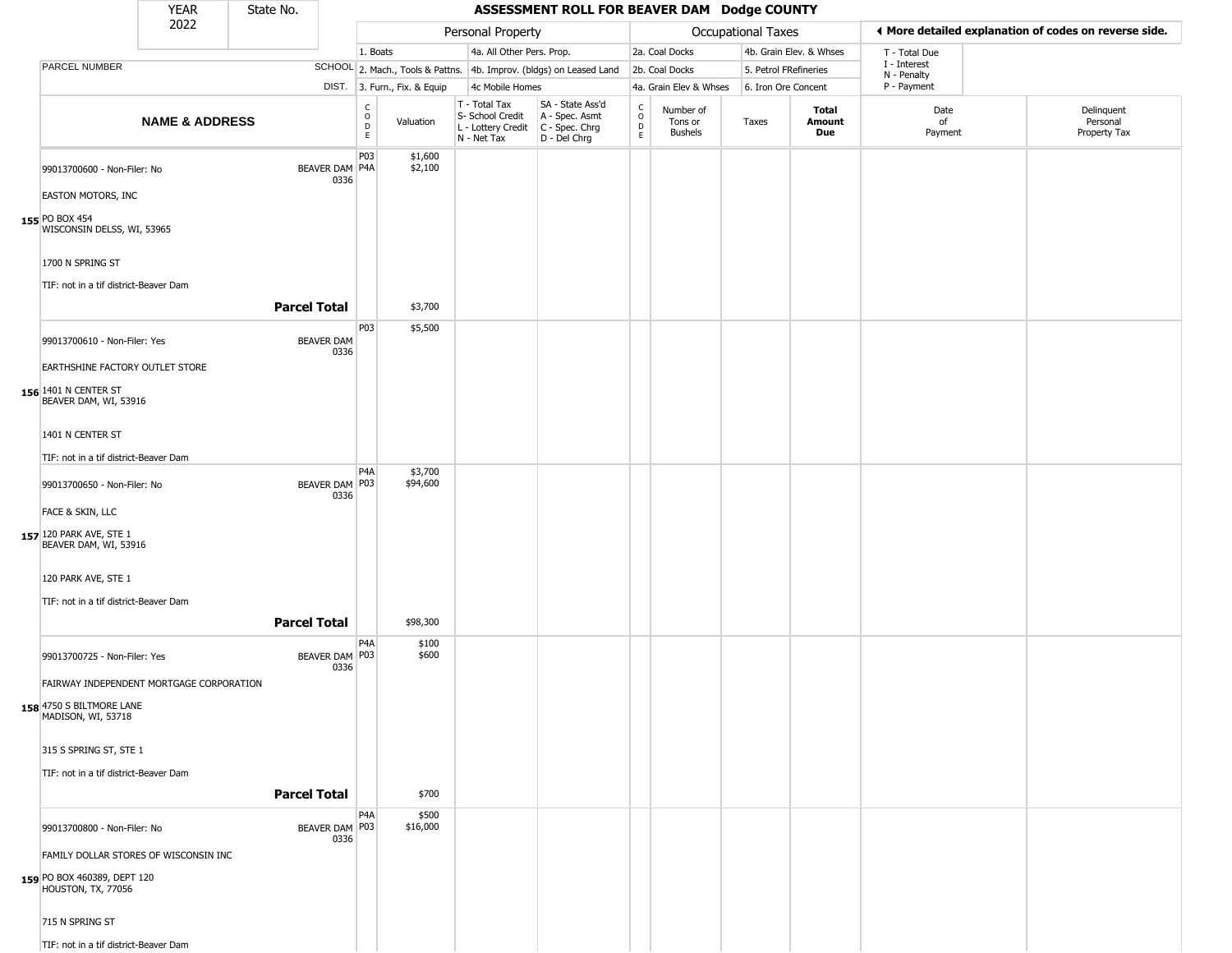|                                                   | <b>YEAR</b>               | State No.                 |                                                |                              |                                                                                         | ASSESSMENT ROLL FOR BEAVER DAM Dodge COUNTY                         |                              |                                        |                       |                         |                             |                                                       |
|---------------------------------------------------|---------------------------|---------------------------|------------------------------------------------|------------------------------|-----------------------------------------------------------------------------------------|---------------------------------------------------------------------|------------------------------|----------------------------------------|-----------------------|-------------------------|-----------------------------|-------------------------------------------------------|
|                                                   | 2022                      |                           |                                                |                              | Personal Property                                                                       |                                                                     |                              |                                        | Occupational Taxes    |                         |                             | ♦ More detailed explanation of codes on reverse side. |
|                                                   |                           |                           | 1. Boats                                       |                              | 4a. All Other Pers. Prop.                                                               |                                                                     |                              | 2a. Coal Docks                         |                       | 4b. Grain Elev. & Whses | T - Total Due               |                                                       |
| <b>PARCEL NUMBER</b>                              |                           |                           |                                                |                              |                                                                                         | SCHOOL 2. Mach., Tools & Pattns. 4b. Improv. (bldgs) on Leased Land |                              | 2b. Coal Docks                         | 5. Petrol FRefineries |                         | I - Interest<br>N - Penalty |                                                       |
|                                                   |                           |                           |                                                | DIST. 3. Furn., Fix. & Equip | 4c Mobile Homes                                                                         |                                                                     |                              | 4a. Grain Elev & Whses                 | 6. Iron Ore Concent   |                         | P - Payment                 |                                                       |
|                                                   | <b>NAME &amp; ADDRESS</b> |                           | $\begin{matrix} 0 \\ 0 \\ D \end{matrix}$<br>E | Valuation                    | T - Total Tax<br>S- School Credit<br>L - Lottery Credit   C - Spec. Chrg<br>N - Net Tax | SA - State Ass'd<br>A - Spec. Asmt<br>D - Del Chrg                  | $_{\rm o}^{\rm c}$<br>D<br>E | Number of<br>Tons or<br><b>Bushels</b> | Taxes                 | Total<br>Amount<br>Due  | Date<br>of<br>Payment       | Delinquent<br>Personal<br>Property Tax                |
| 99013700600 - Non-Filer: No                       |                           | BEAVER DAM P4A<br>0336    | P03                                            | \$1,600<br>\$2,100           |                                                                                         |                                                                     |                              |                                        |                       |                         |                             |                                                       |
| <b>EASTON MOTORS, INC</b>                         |                           |                           |                                                |                              |                                                                                         |                                                                     |                              |                                        |                       |                         |                             |                                                       |
| 155 PO BOX 454<br>WISCONSIN DELSS, WI, 53965      |                           |                           |                                                |                              |                                                                                         |                                                                     |                              |                                        |                       |                         |                             |                                                       |
| 1700 N SPRING ST                                  |                           |                           |                                                |                              |                                                                                         |                                                                     |                              |                                        |                       |                         |                             |                                                       |
| TIF: not in a tif district-Beaver Dam             |                           | <b>Parcel Total</b>       |                                                | \$3,700                      |                                                                                         |                                                                     |                              |                                        |                       |                         |                             |                                                       |
| 99013700610 - Non-Filer: Yes                      |                           | <b>BEAVER DAM</b><br>0336 | P03                                            | \$5,500                      |                                                                                         |                                                                     |                              |                                        |                       |                         |                             |                                                       |
| EARTHSHINE FACTORY OUTLET STORE                   |                           |                           |                                                |                              |                                                                                         |                                                                     |                              |                                        |                       |                         |                             |                                                       |
| 156 1401 N CENTER ST<br>BEAVER DAM, WI, 53916     |                           |                           |                                                |                              |                                                                                         |                                                                     |                              |                                        |                       |                         |                             |                                                       |
| 1401 N CENTER ST                                  |                           |                           |                                                |                              |                                                                                         |                                                                     |                              |                                        |                       |                         |                             |                                                       |
| TIF: not in a tif district-Beaver Dam             |                           |                           |                                                |                              |                                                                                         |                                                                     |                              |                                        |                       |                         |                             |                                                       |
| 99013700650 - Non-Filer: No                       |                           | BEAVER DAM P03<br>0336    | P <sub>4</sub> A                               | \$3,700<br>\$94,600          |                                                                                         |                                                                     |                              |                                        |                       |                         |                             |                                                       |
| FACE & SKIN, LLC                                  |                           |                           |                                                |                              |                                                                                         |                                                                     |                              |                                        |                       |                         |                             |                                                       |
| 157 120 PARK AVE, STE 1<br>BEAVER DAM, WI, 53916  |                           |                           |                                                |                              |                                                                                         |                                                                     |                              |                                        |                       |                         |                             |                                                       |
| 120 PARK AVE, STE 1                               |                           |                           |                                                |                              |                                                                                         |                                                                     |                              |                                        |                       |                         |                             |                                                       |
| TIF: not in a tif district-Beaver Dam             |                           |                           |                                                |                              |                                                                                         |                                                                     |                              |                                        |                       |                         |                             |                                                       |
|                                                   |                           | <b>Parcel Total</b>       |                                                | \$98,300                     |                                                                                         |                                                                     |                              |                                        |                       |                         |                             |                                                       |
| 99013700725 - Non-Filer: Yes                      |                           | BEAVER DAM P03<br>0336    | P <sub>4</sub> A                               | \$100<br>\$600               |                                                                                         |                                                                     |                              |                                        |                       |                         |                             |                                                       |
| FAIRWAY INDEPENDENT MORTGAGE CORPORATION          |                           |                           |                                                |                              |                                                                                         |                                                                     |                              |                                        |                       |                         |                             |                                                       |
| 158 4750 S BILTMORE LANE<br>MADISON, WI, 53718    |                           |                           |                                                |                              |                                                                                         |                                                                     |                              |                                        |                       |                         |                             |                                                       |
| 315 S SPRING ST, STE 1                            |                           |                           |                                                |                              |                                                                                         |                                                                     |                              |                                        |                       |                         |                             |                                                       |
| TIF: not in a tif district-Beaver Dam             |                           |                           |                                                |                              |                                                                                         |                                                                     |                              |                                        |                       |                         |                             |                                                       |
|                                                   |                           | <b>Parcel Total</b>       |                                                | \$700                        |                                                                                         |                                                                     |                              |                                        |                       |                         |                             |                                                       |
| 99013700800 - Non-Filer: No                       |                           | BEAVER DAM P03<br>0336    | P4A                                            | \$500<br>\$16,000            |                                                                                         |                                                                     |                              |                                        |                       |                         |                             |                                                       |
| FAMILY DOLLAR STORES OF WISCONSIN INC             |                           |                           |                                                |                              |                                                                                         |                                                                     |                              |                                        |                       |                         |                             |                                                       |
| 159 PO BOX 460389, DEPT 120<br>HOUSTON, TX, 77056 |                           |                           |                                                |                              |                                                                                         |                                                                     |                              |                                        |                       |                         |                             |                                                       |
| 715 N SPRING ST                                   |                           |                           |                                                |                              |                                                                                         |                                                                     |                              |                                        |                       |                         |                             |                                                       |
| TIF: not in a tif district-Beaver Dam             |                           |                           |                                                |                              |                                                                                         |                                                                     |                              |                                        |                       |                         |                             |                                                       |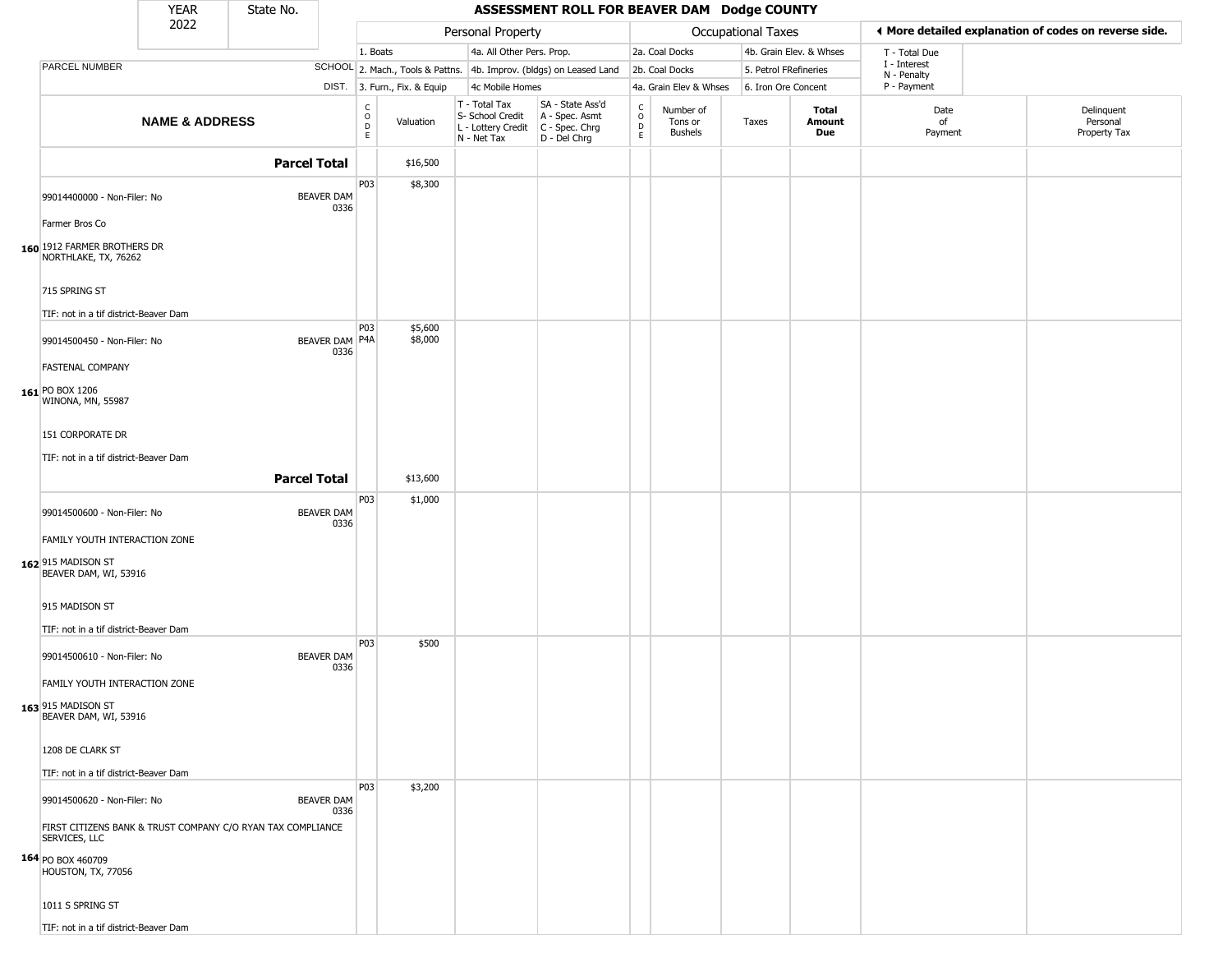|                                                                              | <b>YEAR</b>               | State No.           |                           |                                                  |                              |                                                                        | ASSESSMENT ROLL FOR BEAVER DAM Dodge COUNTY                          |                                    |                                        |                           |                         |                             |                                                       |
|------------------------------------------------------------------------------|---------------------------|---------------------|---------------------------|--------------------------------------------------|------------------------------|------------------------------------------------------------------------|----------------------------------------------------------------------|------------------------------------|----------------------------------------|---------------------------|-------------------------|-----------------------------|-------------------------------------------------------|
|                                                                              | 2022                      |                     |                           |                                                  |                              | Personal Property                                                      |                                                                      |                                    |                                        | <b>Occupational Taxes</b> |                         |                             | ♦ More detailed explanation of codes on reverse side. |
|                                                                              |                           |                     |                           | 1. Boats                                         |                              | 4a. All Other Pers. Prop.                                              |                                                                      |                                    | 2a. Coal Docks                         |                           | 4b. Grain Elev. & Whses | T - Total Due               |                                                       |
| PARCEL NUMBER                                                                |                           |                     |                           |                                                  |                              |                                                                        | SCHOOL 2. Mach., Tools & Pattns. 4b. Improv. (bldgs) on Leased Land  |                                    | 2b. Coal Docks                         |                           | 5. Petrol FRefineries   | I - Interest<br>N - Penalty |                                                       |
|                                                                              |                           |                     |                           |                                                  | DIST. 3. Furn., Fix. & Equip | 4c Mobile Homes                                                        |                                                                      |                                    | 4a. Grain Elev & Whses                 |                           | 6. Iron Ore Concent     | P - Payment                 |                                                       |
|                                                                              | <b>NAME &amp; ADDRESS</b> |                     |                           | $\mathsf{C}$<br>$\mathsf O$<br>$\mathsf{D}$<br>E | Valuation                    | T - Total Tax<br>S- School Credit<br>L - Lottery Credit<br>N - Net Tax | SA - State Ass'd<br>A - Spec. Asmt<br>C - Spec. Chrg<br>D - Del Chrg | $\rm_{o}^{c}$<br>$\mathsf{D}$<br>E | Number of<br>Tons or<br><b>Bushels</b> | Taxes                     | Total<br>Amount<br>Due  | Date<br>of<br>Payment       | Delinquent<br>Personal<br>Property Tax                |
|                                                                              |                           | <b>Parcel Total</b> |                           |                                                  | \$16,500                     |                                                                        |                                                                      |                                    |                                        |                           |                         |                             |                                                       |
| 99014400000 - Non-Filer: No                                                  |                           |                     | BEAVER DAM<br>0336        | P03                                              | \$8,300                      |                                                                        |                                                                      |                                    |                                        |                           |                         |                             |                                                       |
| Farmer Bros Co                                                               |                           |                     |                           |                                                  |                              |                                                                        |                                                                      |                                    |                                        |                           |                         |                             |                                                       |
| 160 1912 FARMER BROTHERS DR<br>NORTHLAKE, TX, 76262                          |                           |                     |                           |                                                  |                              |                                                                        |                                                                      |                                    |                                        |                           |                         |                             |                                                       |
| 715 SPRING ST<br>TIF: not in a tif district-Beaver Dam                       |                           |                     |                           |                                                  |                              |                                                                        |                                                                      |                                    |                                        |                           |                         |                             |                                                       |
| 99014500450 - Non-Filer: No                                                  |                           |                     | BEAVER DAM   P4A<br>0336  | <b>P03</b>                                       | \$5,600<br>\$8,000           |                                                                        |                                                                      |                                    |                                        |                           |                         |                             |                                                       |
| <b>FASTENAL COMPANY</b><br>161 PO BOX 1206<br>WINONA, MN, 55987              |                           |                     |                           |                                                  |                              |                                                                        |                                                                      |                                    |                                        |                           |                         |                             |                                                       |
| 151 CORPORATE DR                                                             |                           |                     |                           |                                                  |                              |                                                                        |                                                                      |                                    |                                        |                           |                         |                             |                                                       |
| TIF: not in a tif district-Beaver Dam                                        |                           |                     |                           |                                                  |                              |                                                                        |                                                                      |                                    |                                        |                           |                         |                             |                                                       |
|                                                                              |                           | <b>Parcel Total</b> |                           |                                                  | \$13,600                     |                                                                        |                                                                      |                                    |                                        |                           |                         |                             |                                                       |
| 99014500600 - Non-Filer: No                                                  |                           |                     | <b>BEAVER DAM</b><br>0336 | P03                                              | \$1,000                      |                                                                        |                                                                      |                                    |                                        |                           |                         |                             |                                                       |
| FAMILY YOUTH INTERACTION ZONE<br>162 915 MADISON ST<br>BEAVER DAM, WI, 53916 |                           |                     |                           |                                                  |                              |                                                                        |                                                                      |                                    |                                        |                           |                         |                             |                                                       |
| 915 MADISON ST                                                               |                           |                     |                           |                                                  |                              |                                                                        |                                                                      |                                    |                                        |                           |                         |                             |                                                       |
| TIF: not in a tif district-Beaver Dam                                        |                           |                     |                           |                                                  |                              |                                                                        |                                                                      |                                    |                                        |                           |                         |                             |                                                       |
| 99014500610 - Non-Filer: No                                                  |                           |                     | <b>BEAVER DAM</b><br>0336 | P03                                              | \$500                        |                                                                        |                                                                      |                                    |                                        |                           |                         |                             |                                                       |
| FAMILY YOUTH INTERACTION ZONE<br>163 915 MADISON ST<br>BEAVER DAM, WI, 53916 |                           |                     |                           |                                                  |                              |                                                                        |                                                                      |                                    |                                        |                           |                         |                             |                                                       |
| 1208 DE CLARK ST<br>TIF: not in a tif district-Beaver Dam                    |                           |                     |                           |                                                  |                              |                                                                        |                                                                      |                                    |                                        |                           |                         |                             |                                                       |
| 99014500620 - Non-Filer: No                                                  |                           |                     | <b>BEAVER DAM</b><br>0336 | <b>P03</b>                                       | \$3,200                      |                                                                        |                                                                      |                                    |                                        |                           |                         |                             |                                                       |
| FIRST CITIZENS BANK & TRUST COMPANY C/O RYAN TAX COMPLIANCE<br>SERVICES, LLC |                           |                     |                           |                                                  |                              |                                                                        |                                                                      |                                    |                                        |                           |                         |                             |                                                       |
| 164 PO BOX 460709<br>HOUSTON, TX, 77056                                      |                           |                     |                           |                                                  |                              |                                                                        |                                                                      |                                    |                                        |                           |                         |                             |                                                       |
| 1011 S SPRING ST                                                             |                           |                     |                           |                                                  |                              |                                                                        |                                                                      |                                    |                                        |                           |                         |                             |                                                       |
| TIF: not in a tif district-Beaver Dam                                        |                           |                     |                           |                                                  |                              |                                                                        |                                                                      |                                    |                                        |                           |                         |                             |                                                       |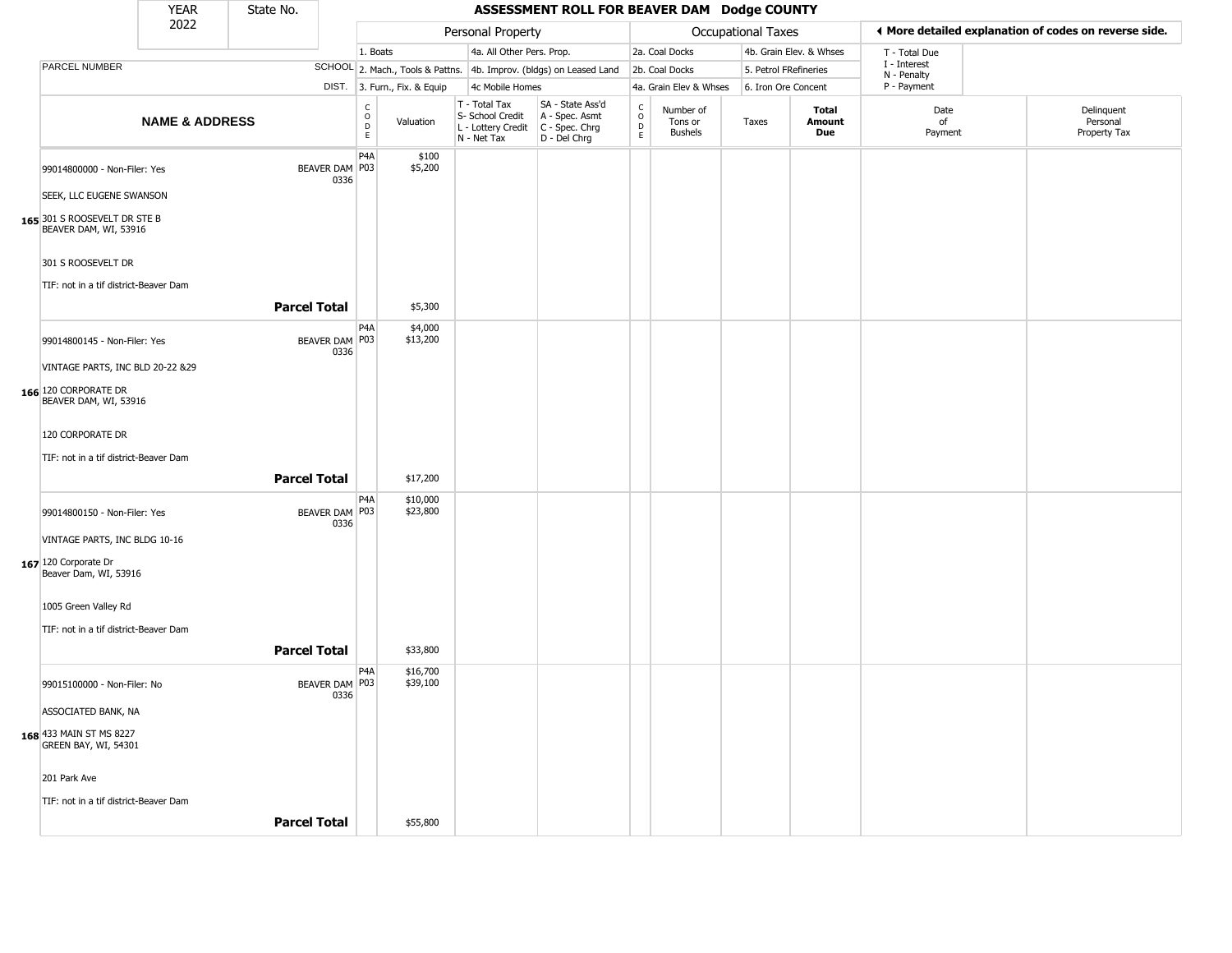|                                                       | <b>YEAR</b>               | State No.           |                                 |                                         |                              |                                                                        | ASSESSMENT ROLL FOR BEAVER DAM Dodge COUNTY                          |                                   |                                 |                    |                         |                             |                                                       |
|-------------------------------------------------------|---------------------------|---------------------|---------------------------------|-----------------------------------------|------------------------------|------------------------------------------------------------------------|----------------------------------------------------------------------|-----------------------------------|---------------------------------|--------------------|-------------------------|-----------------------------|-------------------------------------------------------|
|                                                       | 2022                      |                     |                                 |                                         |                              | Personal Property                                                      |                                                                      |                                   |                                 | Occupational Taxes |                         |                             | ◀ More detailed explanation of codes on reverse side. |
|                                                       |                           |                     |                                 | 1. Boats                                |                              | 4a. All Other Pers. Prop.                                              |                                                                      |                                   | 2a. Coal Docks                  |                    | 4b. Grain Elev. & Whses | T - Total Due               |                                                       |
| PARCEL NUMBER                                         |                           |                     |                                 |                                         |                              |                                                                        | SCHOOL 2. Mach., Tools & Pattns. 4b. Improv. (bldgs) on Leased Land  |                                   | 2b. Coal Docks                  |                    | 5. Petrol FRefineries   | I - Interest<br>N - Penalty |                                                       |
|                                                       |                           |                     |                                 |                                         | DIST. 3. Furn., Fix. & Equip | 4c Mobile Homes                                                        |                                                                      |                                   | 4a. Grain Elev & Whses          |                    | 6. Iron Ore Concent     | P - Payment                 |                                                       |
|                                                       | <b>NAME &amp; ADDRESS</b> |                     |                                 | $\mathsf{C}$<br>$_{\rm D}^{\rm O}$<br>E | Valuation                    | T - Total Tax<br>S- School Credit<br>L - Lottery Credit<br>N - Net Tax | SA - State Ass'd<br>A - Spec. Asmt<br>C - Spec. Chrg<br>D - Del Chrg | $\frac{c}{0}$<br>$\mathsf D$<br>E | Number of<br>Tons or<br>Bushels | Taxes              | Total<br>Amount<br>Due  | Date<br>of<br>Payment       | Delinquent<br>Personal<br>Property Tax                |
| 99014800000 - Non-Filer: Yes                          |                           |                     | BEAVER DAM   P03<br>0336        | P <sub>4</sub> A                        | \$100<br>\$5,200             |                                                                        |                                                                      |                                   |                                 |                    |                         |                             |                                                       |
| SEEK, LLC EUGENE SWANSON                              |                           |                     |                                 |                                         |                              |                                                                        |                                                                      |                                   |                                 |                    |                         |                             |                                                       |
| 165 301 S ROOSEVELT DR STE B<br>BEAVER DAM, WI, 53916 |                           |                     |                                 |                                         |                              |                                                                        |                                                                      |                                   |                                 |                    |                         |                             |                                                       |
| 301 S ROOSEVELT DR                                    |                           |                     |                                 |                                         |                              |                                                                        |                                                                      |                                   |                                 |                    |                         |                             |                                                       |
| TIF: not in a tif district-Beaver Dam                 |                           | <b>Parcel Total</b> |                                 |                                         | \$5,300                      |                                                                        |                                                                      |                                   |                                 |                    |                         |                             |                                                       |
| 99014800145 - Non-Filer: Yes                          |                           |                     | BEAVER DAM   P03                | P <sub>4</sub> A                        | \$4,000<br>\$13,200          |                                                                        |                                                                      |                                   |                                 |                    |                         |                             |                                                       |
| VINTAGE PARTS, INC BLD 20-22 &29                      |                           |                     | 0336                            |                                         |                              |                                                                        |                                                                      |                                   |                                 |                    |                         |                             |                                                       |
| 166 120 CORPORATE DR<br>BEAVER DAM, WI, 53916         |                           |                     |                                 |                                         |                              |                                                                        |                                                                      |                                   |                                 |                    |                         |                             |                                                       |
| 120 CORPORATE DR                                      |                           |                     |                                 |                                         |                              |                                                                        |                                                                      |                                   |                                 |                    |                         |                             |                                                       |
| TIF: not in a tif district-Beaver Dam                 |                           |                     |                                 |                                         |                              |                                                                        |                                                                      |                                   |                                 |                    |                         |                             |                                                       |
|                                                       |                           | <b>Parcel Total</b> |                                 |                                         | \$17,200                     |                                                                        |                                                                      |                                   |                                 |                    |                         |                             |                                                       |
| 99014800150 - Non-Filer: Yes                          |                           |                     | BEAVER DAM P03<br>0336          | P4A                                     | \$10,000<br>\$23,800         |                                                                        |                                                                      |                                   |                                 |                    |                         |                             |                                                       |
| VINTAGE PARTS, INC BLDG 10-16                         |                           |                     |                                 |                                         |                              |                                                                        |                                                                      |                                   |                                 |                    |                         |                             |                                                       |
| 167 120 Corporate Dr<br>Beaver Dam, WI, 53916         |                           |                     |                                 |                                         |                              |                                                                        |                                                                      |                                   |                                 |                    |                         |                             |                                                       |
| 1005 Green Valley Rd                                  |                           |                     |                                 |                                         |                              |                                                                        |                                                                      |                                   |                                 |                    |                         |                             |                                                       |
| TIF: not in a tif district-Beaver Dam                 |                           |                     |                                 |                                         |                              |                                                                        |                                                                      |                                   |                                 |                    |                         |                             |                                                       |
|                                                       |                           | <b>Parcel Total</b> |                                 |                                         | \$33,800                     |                                                                        |                                                                      |                                   |                                 |                    |                         |                             |                                                       |
|                                                       |                           |                     |                                 | P4A                                     | \$16,700                     |                                                                        |                                                                      |                                   |                                 |                    |                         |                             |                                                       |
| 99015100000 - Non-Filer: No                           |                           |                     | BEAVER DAM   P03<br><b>U336</b> |                                         | \$39,100                     |                                                                        |                                                                      |                                   |                                 |                    |                         |                             |                                                       |
| ASSOCIATED BANK, NA                                   |                           |                     |                                 |                                         |                              |                                                                        |                                                                      |                                   |                                 |                    |                         |                             |                                                       |
| 168 433 MAIN ST MS 8227<br>GREEN BAY, WI, 54301       |                           |                     |                                 |                                         |                              |                                                                        |                                                                      |                                   |                                 |                    |                         |                             |                                                       |
| 201 Park Ave                                          |                           |                     |                                 |                                         |                              |                                                                        |                                                                      |                                   |                                 |                    |                         |                             |                                                       |
| TIF: not in a tif district-Beaver Dam                 |                           |                     |                                 |                                         |                              |                                                                        |                                                                      |                                   |                                 |                    |                         |                             |                                                       |
|                                                       |                           | <b>Parcel Total</b> |                                 |                                         | \$55,800                     |                                                                        |                                                                      |                                   |                                 |                    |                         |                             |                                                       |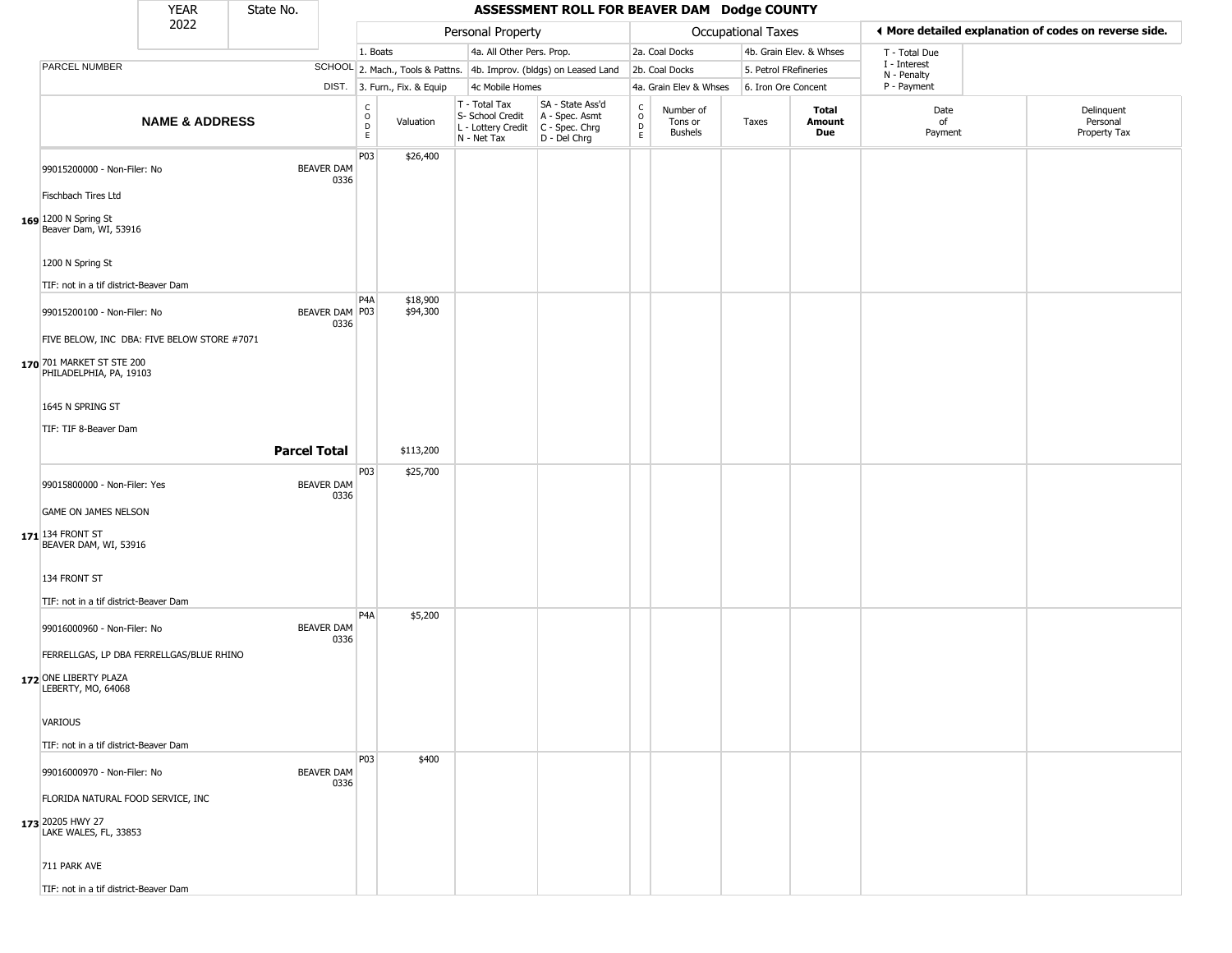|                                                        | <b>YEAR</b>               | State No. |                           |                                                          |                                                                     |                                                                        | ASSESSMENT ROLL FOR BEAVER DAM Dodge COUNTY                            |                                |                                 |                       |                         |                             |                                                       |
|--------------------------------------------------------|---------------------------|-----------|---------------------------|----------------------------------------------------------|---------------------------------------------------------------------|------------------------------------------------------------------------|------------------------------------------------------------------------|--------------------------------|---------------------------------|-----------------------|-------------------------|-----------------------------|-------------------------------------------------------|
|                                                        | 2022                      |           |                           |                                                          |                                                                     | Personal Property                                                      |                                                                        |                                |                                 | Occupational Taxes    |                         |                             | ◀ More detailed explanation of codes on reverse side. |
|                                                        |                           |           |                           | 1. Boats                                                 |                                                                     | 4a. All Other Pers. Prop.                                              |                                                                        |                                | 2a. Coal Docks                  |                       | 4b. Grain Elev. & Whses | T - Total Due               |                                                       |
| PARCEL NUMBER                                          |                           |           |                           |                                                          | SCHOOL 2. Mach., Tools & Pattns. 4b. Improv. (bldgs) on Leased Land |                                                                        |                                                                        |                                | 2b. Coal Docks                  | 5. Petrol FRefineries |                         | I - Interest<br>N - Penalty |                                                       |
|                                                        |                           |           |                           |                                                          | DIST. 3. Furn., Fix. & Equip                                        | 4c Mobile Homes                                                        |                                                                        |                                | 4a. Grain Elev & Whses          | 6. Iron Ore Concent   |                         | P - Payment                 |                                                       |
|                                                        | <b>NAME &amp; ADDRESS</b> |           |                           | $\begin{smallmatrix} C \\ O \\ D \end{smallmatrix}$<br>E | Valuation                                                           | T - Total Tax<br>S- School Credit<br>L - Lottery Credit<br>N - Net Tax | SA - State Ass'd<br>A - Spec. Asmt<br>$C - Spec. Chrg$<br>D - Del Chrg | $\rm _o^c$<br>D<br>$\mathsf E$ | Number of<br>Tons or<br>Bushels | Taxes                 | Total<br>Amount<br>Due  | Date<br>of<br>Payment       | Delinquent<br>Personal<br>Property Tax                |
| 99015200000 - Non-Filer: No                            |                           |           | <b>BEAVER DAM</b><br>0336 | P03                                                      | \$26,400                                                            |                                                                        |                                                                        |                                |                                 |                       |                         |                             |                                                       |
| Fischbach Tires Ltd                                    |                           |           |                           |                                                          |                                                                     |                                                                        |                                                                        |                                |                                 |                       |                         |                             |                                                       |
| 169 1200 N Spring St<br>Beaver Dam, WI, 53916          |                           |           |                           |                                                          |                                                                     |                                                                        |                                                                        |                                |                                 |                       |                         |                             |                                                       |
| 1200 N Spring St                                       |                           |           |                           |                                                          |                                                                     |                                                                        |                                                                        |                                |                                 |                       |                         |                             |                                                       |
| TIF: not in a tif district-Beaver Dam                  |                           |           |                           |                                                          |                                                                     |                                                                        |                                                                        |                                |                                 |                       |                         |                             |                                                       |
| 99015200100 - Non-Filer: No                            |                           |           | BEAVER DAM P03<br>0336    | P4A                                                      | \$18,900<br>\$94,300                                                |                                                                        |                                                                        |                                |                                 |                       |                         |                             |                                                       |
| FIVE BELOW, INC DBA: FIVE BELOW STORE #7071            |                           |           |                           |                                                          |                                                                     |                                                                        |                                                                        |                                |                                 |                       |                         |                             |                                                       |
| 170 701 MARKET ST STE 200<br>PHILADELPHIA, PA, 19103   |                           |           |                           |                                                          |                                                                     |                                                                        |                                                                        |                                |                                 |                       |                         |                             |                                                       |
| 1645 N SPRING ST                                       |                           |           |                           |                                                          |                                                                     |                                                                        |                                                                        |                                |                                 |                       |                         |                             |                                                       |
| TIF: TIF 8-Beaver Dam                                  |                           |           |                           |                                                          |                                                                     |                                                                        |                                                                        |                                |                                 |                       |                         |                             |                                                       |
|                                                        |                           |           | <b>Parcel Total</b>       |                                                          | \$113,200                                                           |                                                                        |                                                                        |                                |                                 |                       |                         |                             |                                                       |
|                                                        |                           |           |                           | P03                                                      | \$25,700                                                            |                                                                        |                                                                        |                                |                                 |                       |                         |                             |                                                       |
| 99015800000 - Non-Filer: Yes                           |                           |           | <b>BEAVER DAM</b><br>0336 |                                                          |                                                                     |                                                                        |                                                                        |                                |                                 |                       |                         |                             |                                                       |
| GAME ON JAMES NELSON                                   |                           |           |                           |                                                          |                                                                     |                                                                        |                                                                        |                                |                                 |                       |                         |                             |                                                       |
| $171$ <sup>134</sup> FRONT ST<br>BEAVER DAM, WI, 53916 |                           |           |                           |                                                          |                                                                     |                                                                        |                                                                        |                                |                                 |                       |                         |                             |                                                       |
| 134 FRONT ST                                           |                           |           |                           |                                                          |                                                                     |                                                                        |                                                                        |                                |                                 |                       |                         |                             |                                                       |
| TIF: not in a tif district-Beaver Dam                  |                           |           |                           |                                                          |                                                                     |                                                                        |                                                                        |                                |                                 |                       |                         |                             |                                                       |
| 99016000960 - Non-Filer: No                            |                           |           | <b>BEAVER DAM</b><br>0336 | P4A                                                      | \$5,200                                                             |                                                                        |                                                                        |                                |                                 |                       |                         |                             |                                                       |
| FERRELLGAS, LP DBA FERRELLGAS/BLUE RHINO               |                           |           |                           |                                                          |                                                                     |                                                                        |                                                                        |                                |                                 |                       |                         |                             |                                                       |
| 172 ONE LIBERTY PLAZA<br>LEBERTY, MO, 64068            |                           |           |                           |                                                          |                                                                     |                                                                        |                                                                        |                                |                                 |                       |                         |                             |                                                       |
| <b>VARIOUS</b>                                         |                           |           |                           |                                                          |                                                                     |                                                                        |                                                                        |                                |                                 |                       |                         |                             |                                                       |
| TIF: not in a tif district-Beaver Dam                  |                           |           |                           |                                                          |                                                                     |                                                                        |                                                                        |                                |                                 |                       |                         |                             |                                                       |
| 99016000970 - Non-Filer: No                            |                           |           | <b>BEAVER DAM</b><br>0336 | P03                                                      | \$400                                                               |                                                                        |                                                                        |                                |                                 |                       |                         |                             |                                                       |
| FLORIDA NATURAL FOOD SERVICE, INC                      |                           |           |                           |                                                          |                                                                     |                                                                        |                                                                        |                                |                                 |                       |                         |                             |                                                       |
| 173 20205 HWY 27<br>LAKE WALES, FL, 33853              |                           |           |                           |                                                          |                                                                     |                                                                        |                                                                        |                                |                                 |                       |                         |                             |                                                       |
| 711 PARK AVE                                           |                           |           |                           |                                                          |                                                                     |                                                                        |                                                                        |                                |                                 |                       |                         |                             |                                                       |
| TIF: not in a tif district-Beaver Dam                  |                           |           |                           |                                                          |                                                                     |                                                                        |                                                                        |                                |                                 |                       |                         |                             |                                                       |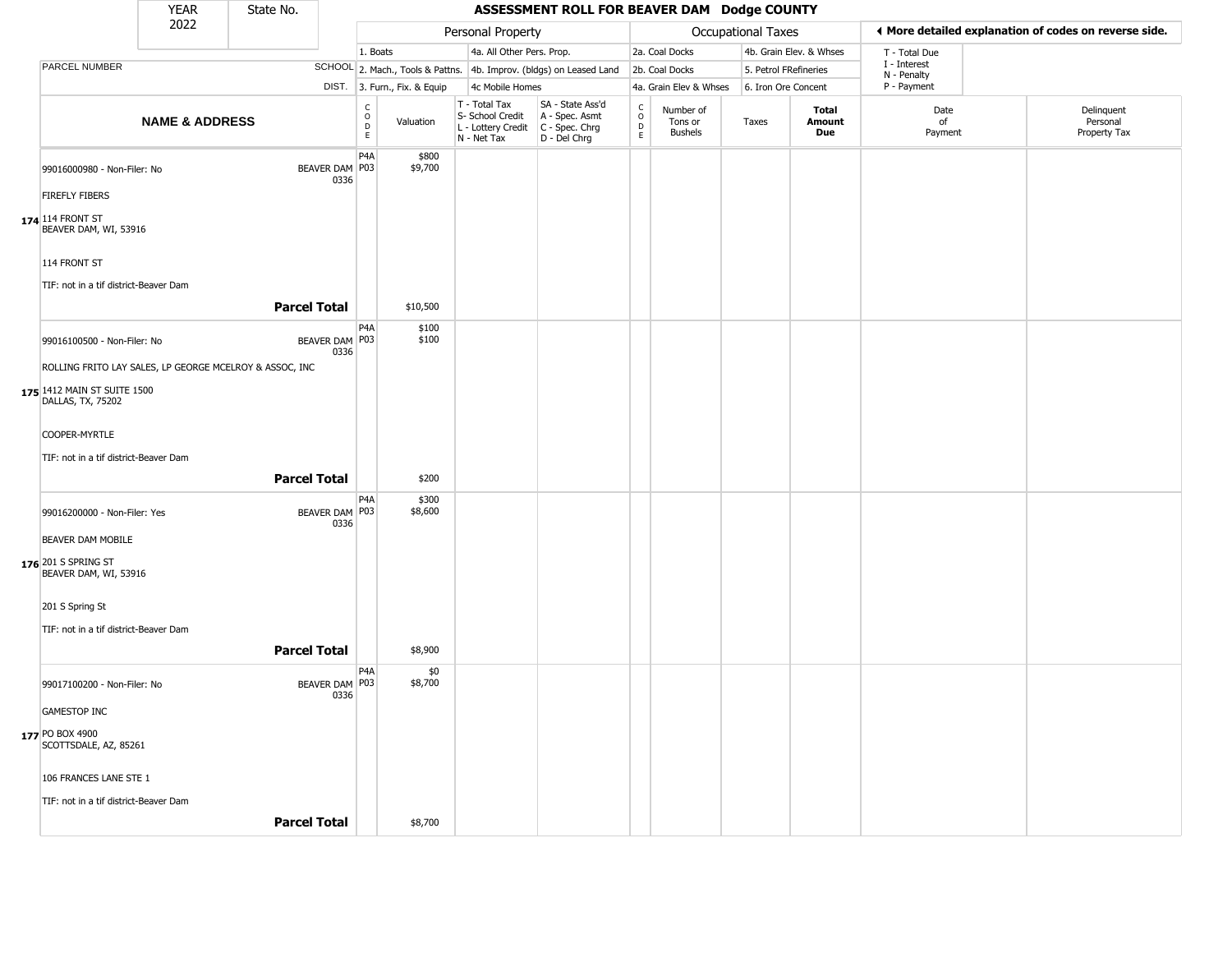|                                                                   | <b>YEAR</b>               | State No.           |                          |                                          |                                                                        | ASSESSMENT ROLL FOR BEAVER DAM Dodge COUNTY                          |                                   |                                        |                           |                         |                             |                                                       |
|-------------------------------------------------------------------|---------------------------|---------------------|--------------------------|------------------------------------------|------------------------------------------------------------------------|----------------------------------------------------------------------|-----------------------------------|----------------------------------------|---------------------------|-------------------------|-----------------------------|-------------------------------------------------------|
|                                                                   | 2022                      |                     |                          |                                          | Personal Property                                                      |                                                                      |                                   |                                        | <b>Occupational Taxes</b> |                         |                             | ♦ More detailed explanation of codes on reverse side. |
|                                                                   |                           |                     |                          | 1. Boats                                 | 4a. All Other Pers. Prop.                                              |                                                                      |                                   | 2a. Coal Docks                         |                           | 4b. Grain Elev. & Whses | T - Total Due               |                                                       |
| PARCEL NUMBER                                                     |                           |                     |                          |                                          |                                                                        | SCHOOL 2. Mach., Tools & Pattns. 4b. Improv. (bldgs) on Leased Land  |                                   | 2b. Coal Docks                         |                           | 5. Petrol FRefineries   | I - Interest<br>N - Penalty |                                                       |
|                                                                   |                           |                     |                          | DIST. 3. Furn., Fix. & Equip             | 4c Mobile Homes                                                        |                                                                      |                                   | 4a. Grain Elev & Whses                 | 6. Iron Ore Concent       |                         | P - Payment                 |                                                       |
|                                                                   | <b>NAME &amp; ADDRESS</b> |                     |                          | $\rm _o^c$<br>Valuation<br>$\frac{D}{E}$ | T - Total Tax<br>S- School Credit<br>L - Lottery Credit<br>N - Net Tax | SA - State Ass'd<br>A - Spec. Asmt<br>C - Spec. Chrg<br>D - Del Chrg | $\rm_{o}^{c}$<br>$\mathsf D$<br>E | Number of<br>Tons or<br><b>Bushels</b> | Taxes                     | Total<br>Amount<br>Due  | Date<br>of<br>Payment       | Delinquent<br>Personal<br>Property Tax                |
| 99016000980 - Non-Filer: No                                       |                           |                     | BEAVER DAM P03<br>0336   | P <sub>4</sub> A<br>\$800<br>\$9,700     |                                                                        |                                                                      |                                   |                                        |                           |                         |                             |                                                       |
| <b>FIREFLY FIBERS</b>                                             |                           |                     |                          |                                          |                                                                        |                                                                      |                                   |                                        |                           |                         |                             |                                                       |
| $174$ 114 FRONT ST<br>BEAVER DAM, WI, 53916                       |                           |                     |                          |                                          |                                                                        |                                                                      |                                   |                                        |                           |                         |                             |                                                       |
| 114 FRONT ST                                                      |                           |                     |                          |                                          |                                                                        |                                                                      |                                   |                                        |                           |                         |                             |                                                       |
| TIF: not in a tif district-Beaver Dam                             |                           |                     |                          |                                          |                                                                        |                                                                      |                                   |                                        |                           |                         |                             |                                                       |
|                                                                   |                           | <b>Parcel Total</b> |                          | \$10,500                                 |                                                                        |                                                                      |                                   |                                        |                           |                         |                             |                                                       |
| 99016100500 - Non-Filer: No                                       |                           |                     | BEAVER DAM   P03<br>0336 | P <sub>4</sub> A<br>\$100<br>\$100       |                                                                        |                                                                      |                                   |                                        |                           |                         |                             |                                                       |
| ROLLING FRITO LAY SALES, LP GEORGE MCELROY & ASSOC, INC           |                           |                     |                          |                                          |                                                                        |                                                                      |                                   |                                        |                           |                         |                             |                                                       |
| 175 1412 MAIN ST SUITE 1500<br>DALLAS, TX, 75202                  |                           |                     |                          |                                          |                                                                        |                                                                      |                                   |                                        |                           |                         |                             |                                                       |
| COOPER-MYRTLE                                                     |                           |                     |                          |                                          |                                                                        |                                                                      |                                   |                                        |                           |                         |                             |                                                       |
| TIF: not in a tif district-Beaver Dam                             |                           |                     |                          |                                          |                                                                        |                                                                      |                                   |                                        |                           |                         |                             |                                                       |
|                                                                   |                           | <b>Parcel Total</b> |                          | \$200                                    |                                                                        |                                                                      |                                   |                                        |                           |                         |                             |                                                       |
| 99016200000 - Non-Filer: Yes                                      |                           |                     | BEAVER DAM P03<br>0336   | P <sub>4</sub> A<br>\$300<br>\$8,600     |                                                                        |                                                                      |                                   |                                        |                           |                         |                             |                                                       |
| BEAVER DAM MOBILE<br>176 201 S SPRING ST<br>BEAVER DAM, WI, 53916 |                           |                     |                          |                                          |                                                                        |                                                                      |                                   |                                        |                           |                         |                             |                                                       |
| 201 S Spring St                                                   |                           |                     |                          |                                          |                                                                        |                                                                      |                                   |                                        |                           |                         |                             |                                                       |
| TIF: not in a tif district-Beaver Dam                             |                           | <b>Parcel Total</b> |                          | \$8,900                                  |                                                                        |                                                                      |                                   |                                        |                           |                         |                             |                                                       |
| 99017100200 - Non-Filer: No                                       |                           |                     | BEAVER DAM   P03<br>0336 | P <sub>4</sub> A<br>\$0<br>\$8,700       |                                                                        |                                                                      |                                   |                                        |                           |                         |                             |                                                       |
| <b>GAMESTOP INC</b>                                               |                           |                     |                          |                                          |                                                                        |                                                                      |                                   |                                        |                           |                         |                             |                                                       |
| 177 PO BOX 4900<br>SCOTTSDALE, AZ, 85261                          |                           |                     |                          |                                          |                                                                        |                                                                      |                                   |                                        |                           |                         |                             |                                                       |
| 106 FRANCES LANE STE 1                                            |                           |                     |                          |                                          |                                                                        |                                                                      |                                   |                                        |                           |                         |                             |                                                       |
| TIF: not in a tif district-Beaver Dam                             |                           |                     |                          |                                          |                                                                        |                                                                      |                                   |                                        |                           |                         |                             |                                                       |
|                                                                   |                           | <b>Parcel Total</b> |                          | \$8,700                                  |                                                                        |                                                                      |                                   |                                        |                           |                         |                             |                                                       |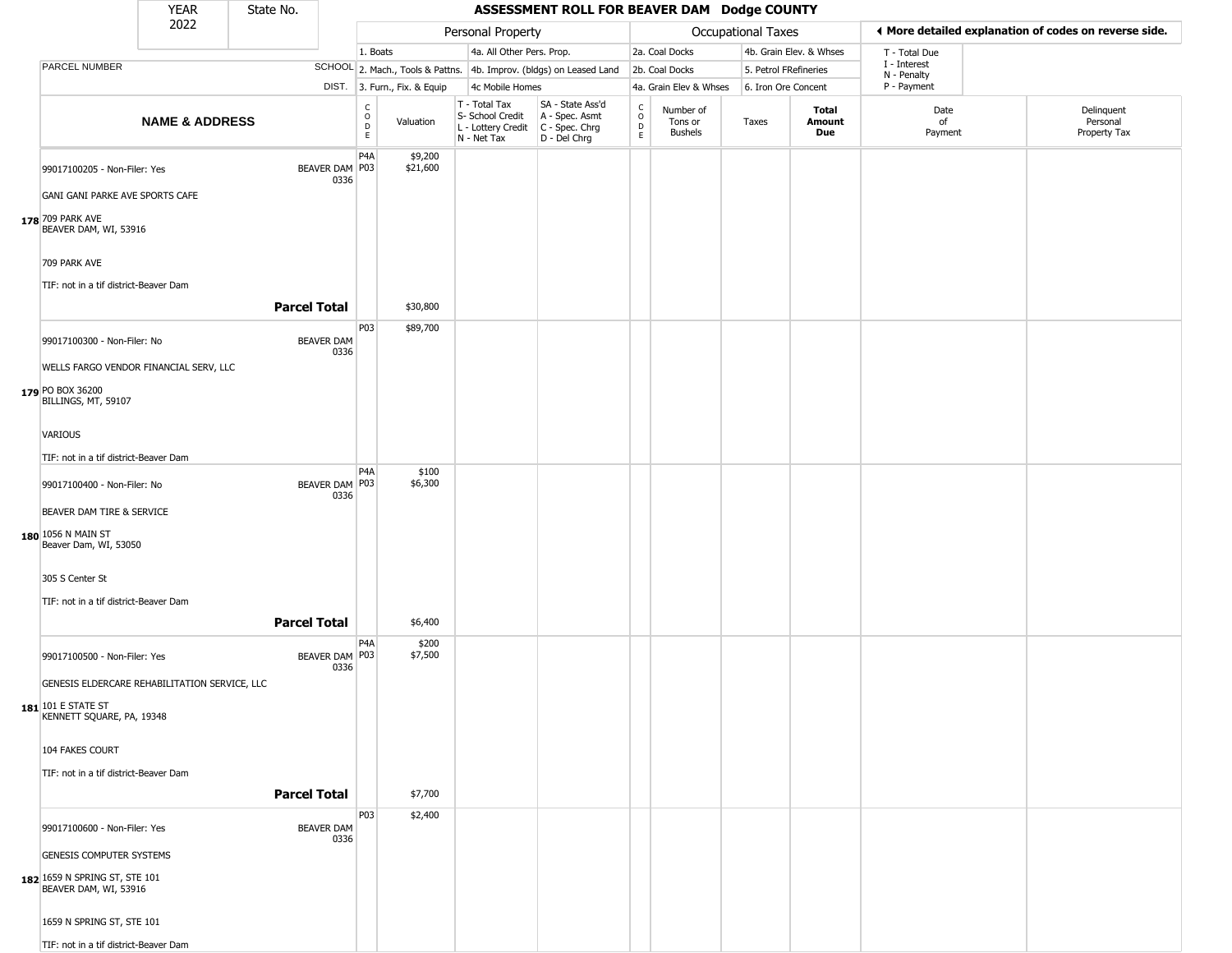|                                                                 | <b>YEAR</b>               | State No.           |                           |                  |                              |                                                                                         | ASSESSMENT ROLL FOR BEAVER DAM Dodge COUNTY                         |                                                 |                                        |                       |                         |                             |                                                       |
|-----------------------------------------------------------------|---------------------------|---------------------|---------------------------|------------------|------------------------------|-----------------------------------------------------------------------------------------|---------------------------------------------------------------------|-------------------------------------------------|----------------------------------------|-----------------------|-------------------------|-----------------------------|-------------------------------------------------------|
|                                                                 | 2022                      |                     |                           |                  |                              | Personal Property                                                                       |                                                                     |                                                 |                                        | Occupational Taxes    |                         |                             | ◀ More detailed explanation of codes on reverse side. |
|                                                                 |                           |                     |                           | 1. Boats         |                              | 4a. All Other Pers. Prop.                                                               |                                                                     |                                                 | 2a. Coal Docks                         |                       | 4b. Grain Elev. & Whses | T - Total Due               |                                                       |
| PARCEL NUMBER                                                   |                           |                     |                           |                  |                              |                                                                                         | SCHOOL 2. Mach., Tools & Pattns. 4b. Improv. (bldgs) on Leased Land |                                                 | 2b. Coal Docks                         | 5. Petrol FRefineries |                         | I - Interest<br>N - Penalty |                                                       |
|                                                                 |                           |                     |                           |                  | DIST. 3. Furn., Fix. & Equip | 4c Mobile Homes                                                                         |                                                                     |                                                 | 4a. Grain Elev & Whses                 | 6. Iron Ore Concent   |                         | P - Payment                 |                                                       |
|                                                                 | <b>NAME &amp; ADDRESS</b> |                     |                           | C<br>0<br>D<br>E | Valuation                    | T - Total Tax<br>S- School Credit<br>L - Lottery Credit   C - Spec. Chrg<br>N - Net Tax | SA - State Ass'd<br>A - Spec. Asmt<br>D - Del Chrg                  | $\begin{array}{c} C \\ O \\ D \\ E \end{array}$ | Number of<br>Tons or<br><b>Bushels</b> | Taxes                 | Total<br>Amount<br>Due  | Date<br>of<br>Payment       | Delinquent<br>Personal<br>Property Tax                |
| 99017100205 - Non-Filer: Yes<br>GANI GANI PARKE AVE SPORTS CAFE |                           |                     | BEAVER DAM P03<br>0336    | P4A              | \$9,200<br>\$21,600          |                                                                                         |                                                                     |                                                 |                                        |                       |                         |                             |                                                       |
| 178 709 PARK AVE<br>BEAVER DAM, WI, 53916                       |                           |                     |                           |                  |                              |                                                                                         |                                                                     |                                                 |                                        |                       |                         |                             |                                                       |
| 709 PARK AVE<br>TIF: not in a tif district-Beaver Dam           |                           |                     |                           |                  |                              |                                                                                         |                                                                     |                                                 |                                        |                       |                         |                             |                                                       |
|                                                                 |                           | <b>Parcel Total</b> |                           |                  | \$30,800                     |                                                                                         |                                                                     |                                                 |                                        |                       |                         |                             |                                                       |
| 99017100300 - Non-Filer: No                                     |                           |                     | <b>BEAVER DAM</b><br>0336 | P03              | \$89,700                     |                                                                                         |                                                                     |                                                 |                                        |                       |                         |                             |                                                       |
| WELLS FARGO VENDOR FINANCIAL SERV, LLC                          |                           |                     |                           |                  |                              |                                                                                         |                                                                     |                                                 |                                        |                       |                         |                             |                                                       |
| 179 PO BOX 36200<br>BILLINGS, MT, 59107                         |                           |                     |                           |                  |                              |                                                                                         |                                                                     |                                                 |                                        |                       |                         |                             |                                                       |
| VARIOUS                                                         |                           |                     |                           |                  |                              |                                                                                         |                                                                     |                                                 |                                        |                       |                         |                             |                                                       |
| TIF: not in a tif district-Beaver Dam                           |                           |                     |                           |                  |                              |                                                                                         |                                                                     |                                                 |                                        |                       |                         |                             |                                                       |
|                                                                 |                           |                     | BEAVER DAM   P03          | P4A              | \$100<br>\$6,300             |                                                                                         |                                                                     |                                                 |                                        |                       |                         |                             |                                                       |
| 99017100400 - Non-Filer: No<br>BEAVER DAM TIRE & SERVICE        |                           |                     | 0336                      |                  |                              |                                                                                         |                                                                     |                                                 |                                        |                       |                         |                             |                                                       |
| 180 1056 N MAIN ST<br>Beaver Dam, WI, 53050                     |                           |                     |                           |                  |                              |                                                                                         |                                                                     |                                                 |                                        |                       |                         |                             |                                                       |
| 305 S Center St<br>TIF: not in a tif district-Beaver Dam        |                           |                     |                           |                  |                              |                                                                                         |                                                                     |                                                 |                                        |                       |                         |                             |                                                       |
|                                                                 |                           | <b>Parcel Total</b> |                           |                  |                              |                                                                                         |                                                                     |                                                 |                                        |                       |                         |                             |                                                       |
| 99017100500 - Non-Filer: Yes                                    |                           |                     | BEAVER DAM   P03          | P <sub>4</sub> A | \$6,400<br>\$200<br>\$7,500  |                                                                                         |                                                                     |                                                 |                                        |                       |                         |                             |                                                       |
|                                                                 |                           |                     | 0336                      |                  |                              |                                                                                         |                                                                     |                                                 |                                        |                       |                         |                             |                                                       |
| GENESIS ELDERCARE REHABILITATION SERVICE, LLC                   |                           |                     |                           |                  |                              |                                                                                         |                                                                     |                                                 |                                        |                       |                         |                             |                                                       |
| 181 101 E STATE ST<br>KENNETT SQUARE, PA, 19348                 |                           |                     |                           |                  |                              |                                                                                         |                                                                     |                                                 |                                        |                       |                         |                             |                                                       |
| 104 FAKES COURT                                                 |                           |                     |                           |                  |                              |                                                                                         |                                                                     |                                                 |                                        |                       |                         |                             |                                                       |
| TIF: not in a tif district-Beaver Dam                           |                           |                     |                           |                  |                              |                                                                                         |                                                                     |                                                 |                                        |                       |                         |                             |                                                       |
|                                                                 |                           | <b>Parcel Total</b> |                           |                  | \$7,700                      |                                                                                         |                                                                     |                                                 |                                        |                       |                         |                             |                                                       |
| 99017100600 - Non-Filer: Yes                                    |                           |                     | <b>BEAVER DAM</b>         | P03              | \$2,400                      |                                                                                         |                                                                     |                                                 |                                        |                       |                         |                             |                                                       |
| <b>GENESIS COMPUTER SYSTEMS</b>                                 |                           |                     | 0336                      |                  |                              |                                                                                         |                                                                     |                                                 |                                        |                       |                         |                             |                                                       |
| 182 1659 N SPRING ST, STE 101<br>BEAVER DAM, WI, 53916          |                           |                     |                           |                  |                              |                                                                                         |                                                                     |                                                 |                                        |                       |                         |                             |                                                       |
| 1659 N SPRING ST, STE 101                                       |                           |                     |                           |                  |                              |                                                                                         |                                                                     |                                                 |                                        |                       |                         |                             |                                                       |
| TIF: not in a tif district-Beaver Dam                           |                           |                     |                           |                  |                              |                                                                                         |                                                                     |                                                 |                                        |                       |                         |                             |                                                       |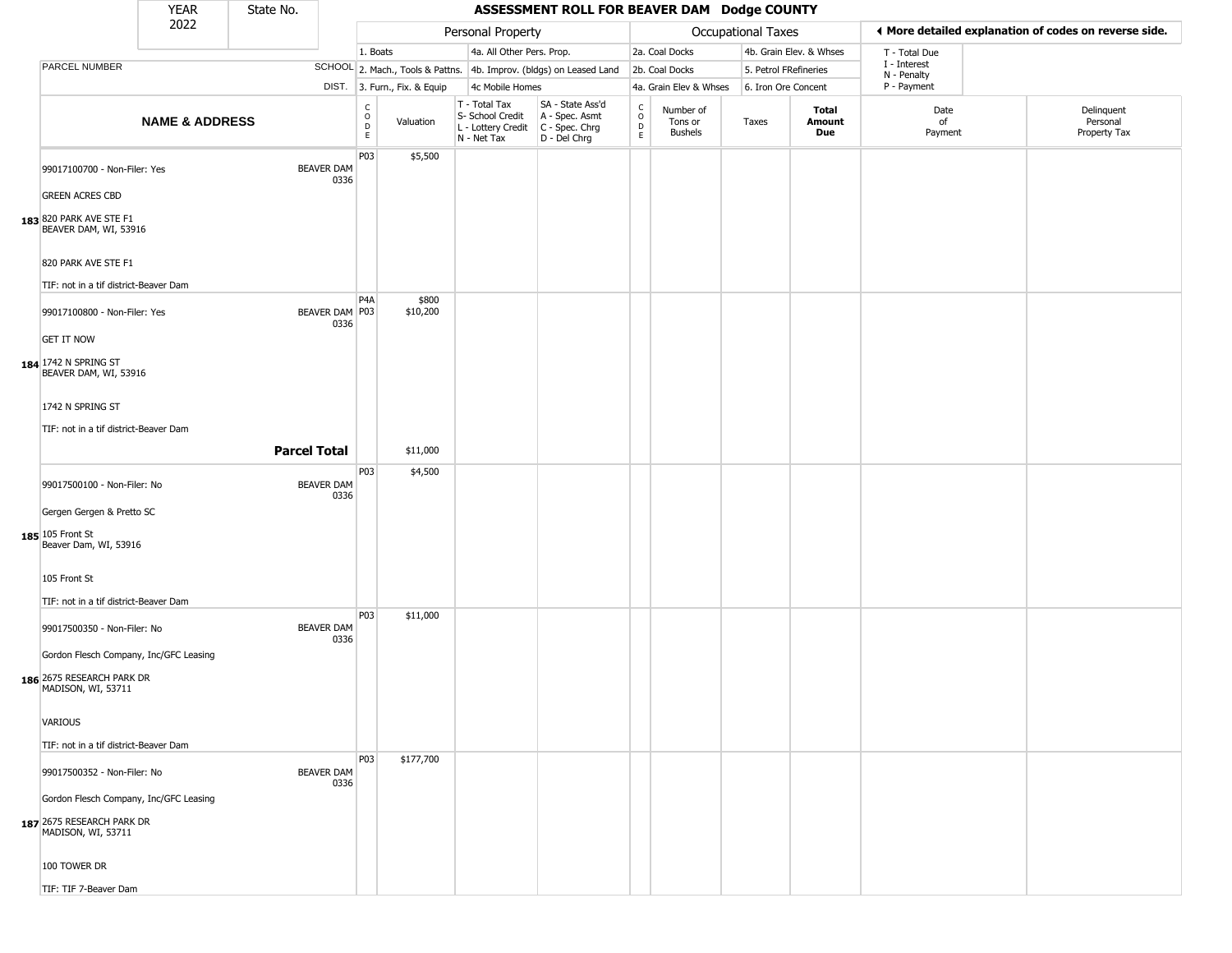|                                                                                           | <b>YEAR</b>               | State No.           |                           |                                |                              |                                                                        | ASSESSMENT ROLL FOR BEAVER DAM Dodge COUNTY                          |                                             |                                        |                           |                         |                             |                                                       |
|-------------------------------------------------------------------------------------------|---------------------------|---------------------|---------------------------|--------------------------------|------------------------------|------------------------------------------------------------------------|----------------------------------------------------------------------|---------------------------------------------|----------------------------------------|---------------------------|-------------------------|-----------------------------|-------------------------------------------------------|
|                                                                                           | 2022                      |                     |                           |                                |                              | Personal Property                                                      |                                                                      |                                             |                                        | <b>Occupational Taxes</b> |                         |                             | ◀ More detailed explanation of codes on reverse side. |
|                                                                                           |                           |                     |                           | 1. Boats                       |                              | 4a. All Other Pers. Prop.                                              |                                                                      |                                             | 2a. Coal Docks                         |                           | 4b. Grain Elev. & Whses | T - Total Due               |                                                       |
| PARCEL NUMBER                                                                             |                           |                     |                           |                                |                              |                                                                        | SCHOOL 2. Mach., Tools & Pattns. 4b. Improv. (bldgs) on Leased Land  |                                             | 2b. Coal Docks                         | 5. Petrol FRefineries     |                         | I - Interest<br>N - Penalty |                                                       |
|                                                                                           |                           |                     |                           |                                | DIST. 3. Furn., Fix. & Equip | 4c Mobile Homes                                                        |                                                                      |                                             | 4a. Grain Elev & Whses                 | 6. Iron Ore Concent       |                         | P - Payment                 |                                                       |
|                                                                                           | <b>NAME &amp; ADDRESS</b> |                     |                           | $\rm _o^C$<br>$\mathsf D$<br>E | Valuation                    | T - Total Tax<br>S- School Credit<br>L - Lottery Credit<br>N - Net Tax | SA - State Ass'd<br>A - Spec. Asmt<br>C - Spec. Chrg<br>D - Del Chrg | $\frac{c}{0}$<br>$\mathsf D$<br>$\mathsf E$ | Number of<br>Tons or<br><b>Bushels</b> | Taxes                     | Total<br>Amount<br>Due  | Date<br>of<br>Payment       | Delinquent<br>Personal<br>Property Tax                |
| 99017100700 - Non-Filer: Yes                                                              |                           |                     | <b>BEAVER DAM</b><br>0336 | P <sub>03</sub>                | \$5,500                      |                                                                        |                                                                      |                                             |                                        |                           |                         |                             |                                                       |
| <b>GREEN ACRES CBD</b>                                                                    |                           |                     |                           |                                |                              |                                                                        |                                                                      |                                             |                                        |                           |                         |                             |                                                       |
| 183 820 PARK AVE STE F1<br>BEAVER DAM, WI, 53916                                          |                           |                     |                           |                                |                              |                                                                        |                                                                      |                                             |                                        |                           |                         |                             |                                                       |
| 820 PARK AVE STE F1                                                                       |                           |                     |                           |                                |                              |                                                                        |                                                                      |                                             |                                        |                           |                         |                             |                                                       |
| TIF: not in a tif district-Beaver Dam                                                     |                           |                     |                           |                                |                              |                                                                        |                                                                      |                                             |                                        |                           |                         |                             |                                                       |
| 99017100800 - Non-Filer: Yes                                                              |                           |                     | BEAVER DAM P03<br>0336    | P4A                            | \$800<br>\$10,200            |                                                                        |                                                                      |                                             |                                        |                           |                         |                             |                                                       |
| <b>GET IT NOW</b>                                                                         |                           |                     |                           |                                |                              |                                                                        |                                                                      |                                             |                                        |                           |                         |                             |                                                       |
| 184 1742 N SPRING ST<br>BEAVER DAM, WI, 53916                                             |                           |                     |                           |                                |                              |                                                                        |                                                                      |                                             |                                        |                           |                         |                             |                                                       |
| 1742 N SPRING ST                                                                          |                           |                     |                           |                                |                              |                                                                        |                                                                      |                                             |                                        |                           |                         |                             |                                                       |
| TIF: not in a tif district-Beaver Dam                                                     |                           |                     |                           |                                |                              |                                                                        |                                                                      |                                             |                                        |                           |                         |                             |                                                       |
|                                                                                           |                           | <b>Parcel Total</b> |                           |                                | \$11,000                     |                                                                        |                                                                      |                                             |                                        |                           |                         |                             |                                                       |
|                                                                                           |                           |                     |                           | P <sub>0</sub> 3               | \$4,500                      |                                                                        |                                                                      |                                             |                                        |                           |                         |                             |                                                       |
| 99017500100 - Non-Filer: No                                                               |                           |                     | <b>BEAVER DAM</b><br>0336 |                                |                              |                                                                        |                                                                      |                                             |                                        |                           |                         |                             |                                                       |
| Gergen Gergen & Pretto SC                                                                 |                           |                     |                           |                                |                              |                                                                        |                                                                      |                                             |                                        |                           |                         |                             |                                                       |
| 185 105 Front St<br>Beaver Dam, WI, 53916                                                 |                           |                     |                           |                                |                              |                                                                        |                                                                      |                                             |                                        |                           |                         |                             |                                                       |
| 105 Front St                                                                              |                           |                     |                           |                                |                              |                                                                        |                                                                      |                                             |                                        |                           |                         |                             |                                                       |
| TIF: not in a tif district-Beaver Dam                                                     |                           |                     |                           | P <sub>0</sub> 3               | \$11,000                     |                                                                        |                                                                      |                                             |                                        |                           |                         |                             |                                                       |
| 99017500350 - Non-Filer: No                                                               |                           |                     | <b>BEAVER DAM</b><br>0336 |                                |                              |                                                                        |                                                                      |                                             |                                        |                           |                         |                             |                                                       |
| Gordon Flesch Company, Inc/GFC Leasing                                                    |                           |                     |                           |                                |                              |                                                                        |                                                                      |                                             |                                        |                           |                         |                             |                                                       |
| 186 2675 RESEARCH PARK DR<br>MADISON, WI, 53711                                           |                           |                     |                           |                                |                              |                                                                        |                                                                      |                                             |                                        |                           |                         |                             |                                                       |
| <b>VARIOUS</b>                                                                            |                           |                     |                           |                                |                              |                                                                        |                                                                      |                                             |                                        |                           |                         |                             |                                                       |
| TIF: not in a tif district-Beaver Dam                                                     |                           |                     |                           |                                |                              |                                                                        |                                                                      |                                             |                                        |                           |                         |                             |                                                       |
| 99017500352 - Non-Filer: No                                                               |                           |                     | <b>BEAVER DAM</b><br>0336 | P03                            | \$177,700                    |                                                                        |                                                                      |                                             |                                        |                           |                         |                             |                                                       |
| Gordon Flesch Company, Inc/GFC Leasing<br>187 2675 RESEARCH PARK DR<br>MADISON, WI, 53711 |                           |                     |                           |                                |                              |                                                                        |                                                                      |                                             |                                        |                           |                         |                             |                                                       |
| 100 TOWER DR                                                                              |                           |                     |                           |                                |                              |                                                                        |                                                                      |                                             |                                        |                           |                         |                             |                                                       |
| TIF: TIF 7-Beaver Dam                                                                     |                           |                     |                           |                                |                              |                                                                        |                                                                      |                                             |                                        |                           |                         |                             |                                                       |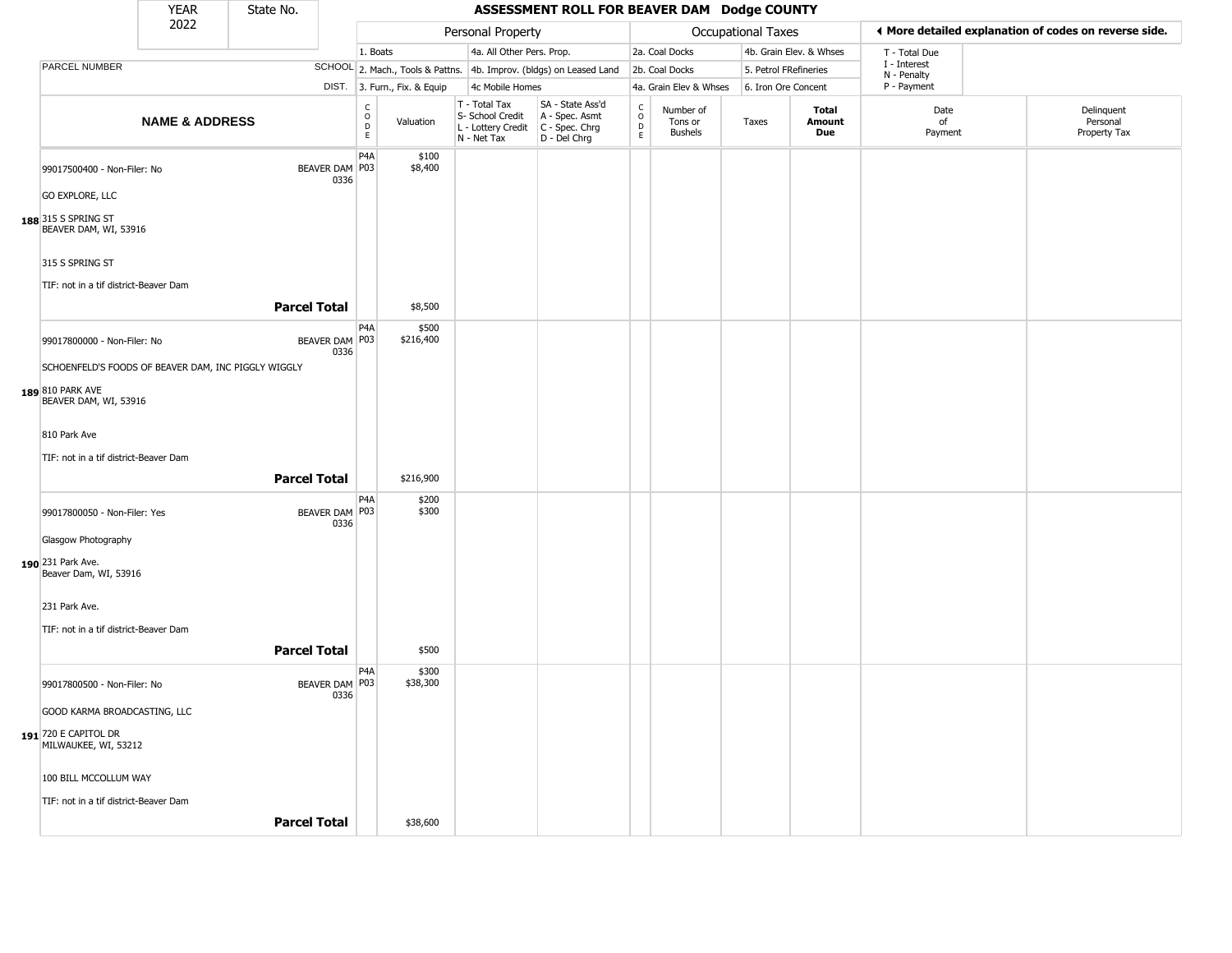|                                                     | <b>YEAR</b>               | State No.           |                        |                                                          |                                                                        | ASSESSMENT ROLL FOR BEAVER DAM Dodge COUNTY                            |                                          |                                        |                       |                         |                             |                                                       |
|-----------------------------------------------------|---------------------------|---------------------|------------------------|----------------------------------------------------------|------------------------------------------------------------------------|------------------------------------------------------------------------|------------------------------------------|----------------------------------------|-----------------------|-------------------------|-----------------------------|-------------------------------------------------------|
|                                                     | 2022                      |                     |                        |                                                          | Personal Property                                                      |                                                                        |                                          |                                        | Occupational Taxes    |                         |                             | ♦ More detailed explanation of codes on reverse side. |
|                                                     |                           |                     |                        | 1. Boats                                                 | 4a. All Other Pers. Prop.                                              |                                                                        |                                          | 2a. Coal Docks                         |                       | 4b. Grain Elev. & Whses | T - Total Due               |                                                       |
| PARCEL NUMBER                                       |                           |                     |                        |                                                          |                                                                        | SCHOOL 2. Mach., Tools & Pattns. 4b. Improv. (bldgs) on Leased Land    |                                          | 2b. Coal Docks                         | 5. Petrol FRefineries |                         | I - Interest<br>N - Penalty |                                                       |
|                                                     |                           |                     |                        | DIST. 3. Furn., Fix. & Equip                             | 4c Mobile Homes                                                        |                                                                        |                                          | 4a. Grain Elev & Whses                 | 6. Iron Ore Concent   |                         | P - Payment                 |                                                       |
|                                                     | <b>NAME &amp; ADDRESS</b> |                     |                        | $\frac{c}{0}$<br>Valuation<br>$\mathsf D$<br>$\mathsf E$ | T - Total Tax<br>S- School Credit<br>L - Lottery Credit<br>N - Net Tax | SA - State Ass'd<br>A - Spec. Asmt<br>$C - Spec. Chrg$<br>D - Del Chrg | $\rm _o^C$<br>$\mathsf D$<br>$\mathsf E$ | Number of<br>Tons or<br><b>Bushels</b> | Taxes                 | Total<br>Amount<br>Due  | Date<br>of<br>Payment       | Delinquent<br>Personal<br>Property Tax                |
| 99017500400 - Non-Filer: No                         |                           |                     | BEAVER DAM P03<br>0336 | P <sub>4</sub> A<br>\$100<br>\$8,400                     |                                                                        |                                                                        |                                          |                                        |                       |                         |                             |                                                       |
| <b>GO EXPLORE, LLC</b>                              |                           |                     |                        |                                                          |                                                                        |                                                                        |                                          |                                        |                       |                         |                             |                                                       |
| 188 315 S SPRING ST<br>BEAVER DAM, WI, 53916        |                           |                     |                        |                                                          |                                                                        |                                                                        |                                          |                                        |                       |                         |                             |                                                       |
| 315 S SPRING ST                                     |                           |                     |                        |                                                          |                                                                        |                                                                        |                                          |                                        |                       |                         |                             |                                                       |
| TIF: not in a tif district-Beaver Dam               |                           |                     |                        |                                                          |                                                                        |                                                                        |                                          |                                        |                       |                         |                             |                                                       |
|                                                     |                           | <b>Parcel Total</b> |                        | \$8,500                                                  |                                                                        |                                                                        |                                          |                                        |                       |                         |                             |                                                       |
| 99017800000 - Non-Filer: No                         |                           |                     | BEAVER DAM P03<br>0336 | P <sub>4</sub> A<br>\$500<br>\$216,400                   |                                                                        |                                                                        |                                          |                                        |                       |                         |                             |                                                       |
| SCHOENFELD'S FOODS OF BEAVER DAM, INC PIGGLY WIGGLY |                           |                     |                        |                                                          |                                                                        |                                                                        |                                          |                                        |                       |                         |                             |                                                       |
| 189 810 PARK AVE<br>BEAVER DAM, WI, 53916           |                           |                     |                        |                                                          |                                                                        |                                                                        |                                          |                                        |                       |                         |                             |                                                       |
| 810 Park Ave                                        |                           |                     |                        |                                                          |                                                                        |                                                                        |                                          |                                        |                       |                         |                             |                                                       |
| TIF: not in a tif district-Beaver Dam               |                           |                     |                        |                                                          |                                                                        |                                                                        |                                          |                                        |                       |                         |                             |                                                       |
|                                                     |                           | <b>Parcel Total</b> |                        | \$216,900                                                |                                                                        |                                                                        |                                          |                                        |                       |                         |                             |                                                       |
| 99017800050 - Non-Filer: Yes                        |                           |                     | BEAVER DAM P03<br>0336 | P <sub>4</sub> A<br>\$200<br>\$300                       |                                                                        |                                                                        |                                          |                                        |                       |                         |                             |                                                       |
| Glasgow Photography                                 |                           |                     |                        |                                                          |                                                                        |                                                                        |                                          |                                        |                       |                         |                             |                                                       |
| 190 231 Park Ave.<br>Beaver Dam, WI, 53916          |                           |                     |                        |                                                          |                                                                        |                                                                        |                                          |                                        |                       |                         |                             |                                                       |
| 231 Park Ave.                                       |                           |                     |                        |                                                          |                                                                        |                                                                        |                                          |                                        |                       |                         |                             |                                                       |
| TIF: not in a tif district-Beaver Dam               |                           |                     |                        |                                                          |                                                                        |                                                                        |                                          |                                        |                       |                         |                             |                                                       |
|                                                     |                           | <b>Parcel Total</b> |                        | \$500                                                    |                                                                        |                                                                        |                                          |                                        |                       |                         |                             |                                                       |
| 99017800500 - Non-Filer: No                         |                           |                     | BEAVER DAM P03<br>0336 | P <sub>4</sub> A<br>\$300<br>\$38,300                    |                                                                        |                                                                        |                                          |                                        |                       |                         |                             |                                                       |
| GOOD KARMA BROADCASTING, LLC                        |                           |                     |                        |                                                          |                                                                        |                                                                        |                                          |                                        |                       |                         |                             |                                                       |
| 191 720 E CAPITOL DR<br>MILWAUKEE, WI, 53212        |                           |                     |                        |                                                          |                                                                        |                                                                        |                                          |                                        |                       |                         |                             |                                                       |
| 100 BILL MCCOLLUM WAY                               |                           |                     |                        |                                                          |                                                                        |                                                                        |                                          |                                        |                       |                         |                             |                                                       |
| TIF: not in a tif district-Beaver Dam               |                           |                     |                        |                                                          |                                                                        |                                                                        |                                          |                                        |                       |                         |                             |                                                       |
|                                                     |                           | <b>Parcel Total</b> |                        | \$38,600                                                 |                                                                        |                                                                        |                                          |                                        |                       |                         |                             |                                                       |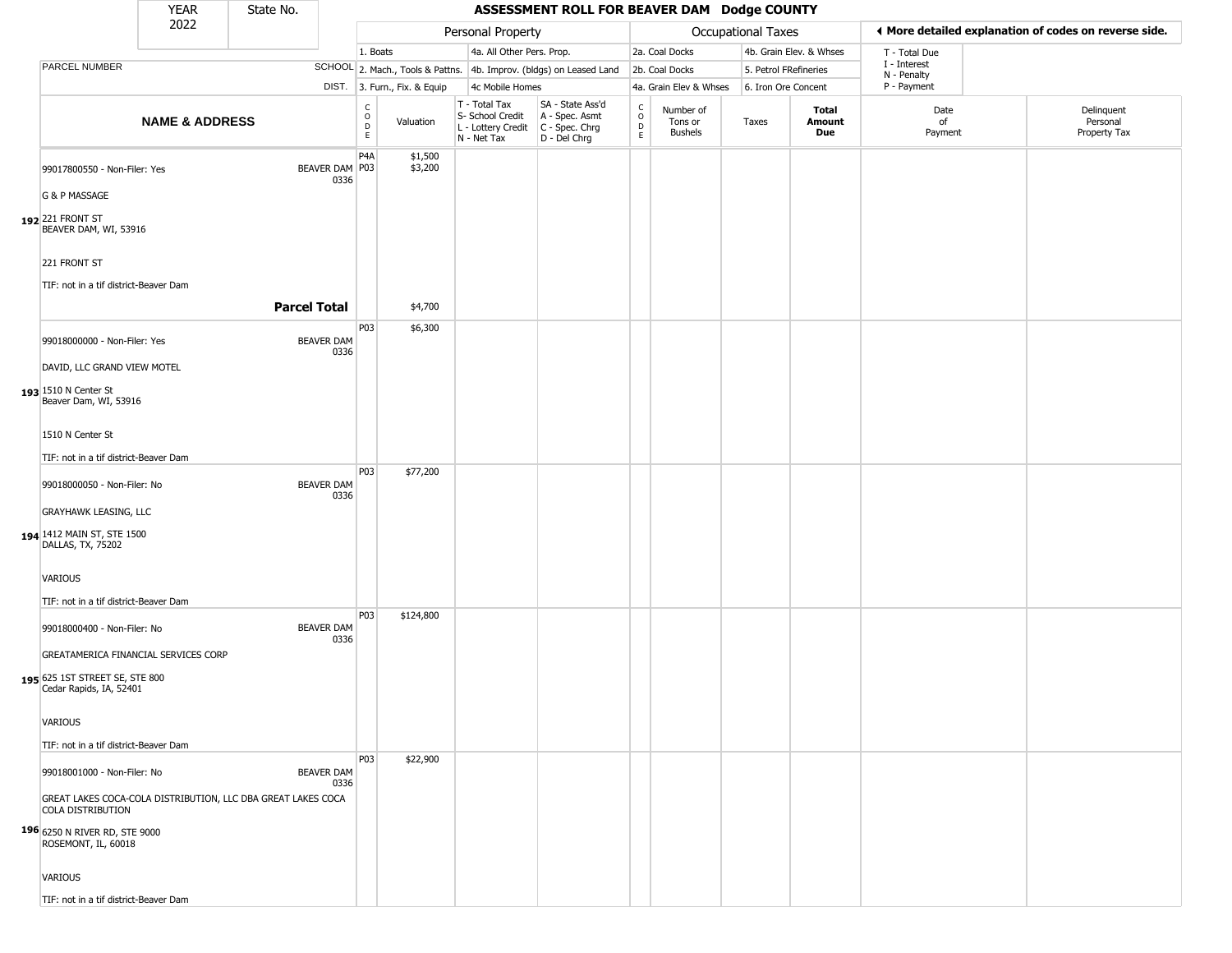|                                                           | <b>YEAR</b>               | State No.                                                    |                           |                                    |                              |                                                                        | ASSESSMENT ROLL FOR BEAVER DAM Dodge COUNTY                          |                        |                                        |                       |                         |                             |                                                       |
|-----------------------------------------------------------|---------------------------|--------------------------------------------------------------|---------------------------|------------------------------------|------------------------------|------------------------------------------------------------------------|----------------------------------------------------------------------|------------------------|----------------------------------------|-----------------------|-------------------------|-----------------------------|-------------------------------------------------------|
|                                                           | 2022                      |                                                              |                           |                                    |                              | Personal Property                                                      |                                                                      |                        |                                        | Occupational Taxes    |                         |                             | ♦ More detailed explanation of codes on reverse side. |
|                                                           |                           |                                                              |                           | 1. Boats                           |                              | 4a. All Other Pers. Prop.                                              |                                                                      |                        | 2a. Coal Docks                         |                       | 4b. Grain Elev. & Whses | T - Total Due               |                                                       |
| PARCEL NUMBER                                             |                           |                                                              |                           |                                    |                              |                                                                        | SCHOOL 2. Mach., Tools & Pattns. 4b. Improv. (bldgs) on Leased Land  |                        | 2b. Coal Docks                         | 5. Petrol FRefineries |                         | I - Interest<br>N - Penalty |                                                       |
|                                                           |                           |                                                              |                           |                                    | DIST. 3. Furn., Fix. & Equip | 4c Mobile Homes                                                        |                                                                      |                        | 4a. Grain Elev & Whses                 | 6. Iron Ore Concent   |                         | P - Payment                 |                                                       |
|                                                           | <b>NAME &amp; ADDRESS</b> |                                                              |                           | $\int_{0}^{c}$<br>$\mathsf D$<br>E | Valuation                    | T - Total Tax<br>S- School Credit<br>L - Lottery Credit<br>N - Net Tax | SA - State Ass'd<br>A - Spec. Asmt<br>C - Spec. Chrg<br>D - Del Chrg | C<br>$\circ$<br>D<br>E | Number of<br>Tons or<br><b>Bushels</b> | Taxes                 | Total<br>Amount<br>Due  | Date<br>of<br>Payment       | Delinquent<br>Personal<br>Property Tax                |
| 99017800550 - Non-Filer: Yes                              |                           |                                                              | BEAVER DAM P03<br>0336    | P <sub>4</sub> A                   | \$1,500<br>\$3,200           |                                                                        |                                                                      |                        |                                        |                       |                         |                             |                                                       |
| G & P MASSAGE                                             |                           |                                                              |                           |                                    |                              |                                                                        |                                                                      |                        |                                        |                       |                         |                             |                                                       |
| 192 221 FRONT ST<br>BEAVER DAM, WI, 53916                 |                           |                                                              |                           |                                    |                              |                                                                        |                                                                      |                        |                                        |                       |                         |                             |                                                       |
| 221 FRONT ST                                              |                           |                                                              |                           |                                    |                              |                                                                        |                                                                      |                        |                                        |                       |                         |                             |                                                       |
| TIF: not in a tif district-Beaver Dam                     |                           |                                                              |                           |                                    |                              |                                                                        |                                                                      |                        |                                        |                       |                         |                             |                                                       |
|                                                           |                           | <b>Parcel Total</b>                                          |                           |                                    | \$4,700                      |                                                                        |                                                                      |                        |                                        |                       |                         |                             |                                                       |
| 99018000000 - Non-Filer: Yes                              |                           |                                                              | <b>BEAVER DAM</b>         | P03                                | \$6,300                      |                                                                        |                                                                      |                        |                                        |                       |                         |                             |                                                       |
| DAVID, LLC GRAND VIEW MOTEL                               |                           |                                                              | 0336                      |                                    |                              |                                                                        |                                                                      |                        |                                        |                       |                         |                             |                                                       |
| 193 1510 N Center St<br>Beaver Dam, WI, 53916             |                           |                                                              |                           |                                    |                              |                                                                        |                                                                      |                        |                                        |                       |                         |                             |                                                       |
| 1510 N Center St                                          |                           |                                                              |                           |                                    |                              |                                                                        |                                                                      |                        |                                        |                       |                         |                             |                                                       |
| TIF: not in a tif district-Beaver Dam                     |                           |                                                              |                           |                                    |                              |                                                                        |                                                                      |                        |                                        |                       |                         |                             |                                                       |
| 99018000050 - Non-Filer: No                               |                           |                                                              | <b>BEAVER DAM</b><br>0336 | P03                                | \$77,200                     |                                                                        |                                                                      |                        |                                        |                       |                         |                             |                                                       |
| <b>GRAYHAWK LEASING, LLC</b>                              |                           |                                                              |                           |                                    |                              |                                                                        |                                                                      |                        |                                        |                       |                         |                             |                                                       |
| 194 1412 MAIN ST, STE 1500<br>DALLAS, TX, 75202           |                           |                                                              |                           |                                    |                              |                                                                        |                                                                      |                        |                                        |                       |                         |                             |                                                       |
| <b>VARIOUS</b>                                            |                           |                                                              |                           |                                    |                              |                                                                        |                                                                      |                        |                                        |                       |                         |                             |                                                       |
| TIF: not in a tif district-Beaver Dam                     |                           |                                                              |                           |                                    |                              |                                                                        |                                                                      |                        |                                        |                       |                         |                             |                                                       |
| 99018000400 - Non-Filer: No                               |                           |                                                              | <b>BEAVER DAM</b><br>0336 | P03                                | \$124,800                    |                                                                        |                                                                      |                        |                                        |                       |                         |                             |                                                       |
| GREATAMERICA FINANCIAL SERVICES CORP                      |                           |                                                              |                           |                                    |                              |                                                                        |                                                                      |                        |                                        |                       |                         |                             |                                                       |
| 195 625 1ST STREET SE, STE 800<br>Cedar Rapids, IA, 52401 |                           |                                                              |                           |                                    |                              |                                                                        |                                                                      |                        |                                        |                       |                         |                             |                                                       |
| VARIOUS                                                   |                           |                                                              |                           |                                    |                              |                                                                        |                                                                      |                        |                                        |                       |                         |                             |                                                       |
| TIF: not in a tif district-Beaver Dam                     |                           |                                                              |                           |                                    |                              |                                                                        |                                                                      |                        |                                        |                       |                         |                             |                                                       |
| 99018001000 - Non-Filer: No                               |                           |                                                              | <b>BEAVER DAM</b><br>0336 | P03                                | \$22,900                     |                                                                        |                                                                      |                        |                                        |                       |                         |                             |                                                       |
| <b>COLA DISTRIBUTION</b>                                  |                           | GREAT LAKES COCA-COLA DISTRIBUTION, LLC DBA GREAT LAKES COCA |                           |                                    |                              |                                                                        |                                                                      |                        |                                        |                       |                         |                             |                                                       |
| 196 6250 N RIVER RD, STE 9000<br>ROSEMONT, IL, 60018      |                           |                                                              |                           |                                    |                              |                                                                        |                                                                      |                        |                                        |                       |                         |                             |                                                       |
| VARIOUS                                                   |                           |                                                              |                           |                                    |                              |                                                                        |                                                                      |                        |                                        |                       |                         |                             |                                                       |
| TIF: not in a tif district-Beaver Dam                     |                           |                                                              |                           |                                    |                              |                                                                        |                                                                      |                        |                                        |                       |                         |                             |                                                       |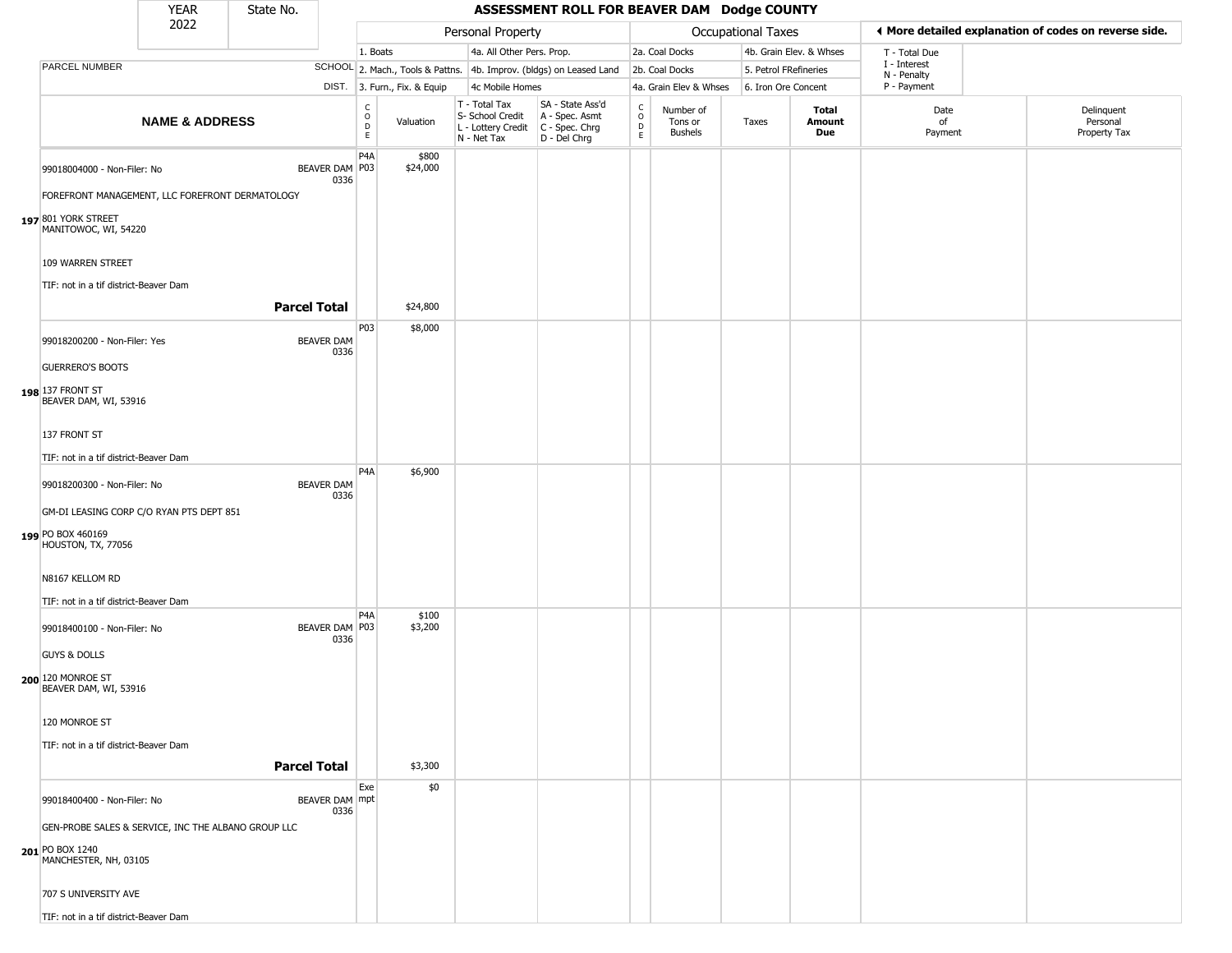|                                                                                | <b>YEAR</b>               | State No.           |                           |                                                          |                              |                                                  | ASSESSMENT ROLL FOR BEAVER DAM Dodge COUNTY                                               |                        |                                        |                           |                               |                             |                                                       |
|--------------------------------------------------------------------------------|---------------------------|---------------------|---------------------------|----------------------------------------------------------|------------------------------|--------------------------------------------------|-------------------------------------------------------------------------------------------|------------------------|----------------------------------------|---------------------------|-------------------------------|-----------------------------|-------------------------------------------------------|
|                                                                                | 2022                      |                     |                           |                                                          |                              | Personal Property                                |                                                                                           |                        |                                        | <b>Occupational Taxes</b> |                               |                             | ♦ More detailed explanation of codes on reverse side. |
|                                                                                |                           |                     |                           | 1. Boats                                                 |                              | 4a. All Other Pers. Prop.                        |                                                                                           |                        | 2a. Coal Docks                         |                           | 4b. Grain Elev. & Whses       | T - Total Due               |                                                       |
| PARCEL NUMBER                                                                  |                           |                     |                           |                                                          |                              |                                                  | SCHOOL 2. Mach., Tools & Pattns. 4b. Improv. (bldgs) on Leased Land                       |                        | 2b. Coal Docks                         | 5. Petrol FRefineries     |                               | I - Interest<br>N - Penalty |                                                       |
|                                                                                |                           |                     |                           |                                                          | DIST. 3. Furn., Fix. & Equip | 4c Mobile Homes                                  |                                                                                           |                        | 4a. Grain Elev & Whses                 | 6. Iron Ore Concent       |                               | P - Payment                 |                                                       |
|                                                                                | <b>NAME &amp; ADDRESS</b> |                     |                           | $\begin{matrix} 0 \\ 0 \\ D \end{matrix}$<br>$\mathsf E$ | Valuation                    | T - Total Tax<br>S- School Credit<br>N - Net Tax | SA - State Ass'd<br>A - Spec. Asmt<br>L - Lottery Credit   C - Spec. Chrg<br>D - Del Chrg | C<br>$\circ$<br>D<br>E | Number of<br>Tons or<br><b>Bushels</b> | Taxes                     | Total<br><b>Amount</b><br>Due | Date<br>of<br>Payment       | Delinquent<br>Personal<br>Property Tax                |
| 99018004000 - Non-Filer: No<br>FOREFRONT MANAGEMENT, LLC FOREFRONT DERMATOLOGY |                           |                     | BEAVER DAM P03<br>0336    | P <sub>4</sub> A                                         | \$800<br>\$24,000            |                                                  |                                                                                           |                        |                                        |                           |                               |                             |                                                       |
|                                                                                |                           |                     |                           |                                                          |                              |                                                  |                                                                                           |                        |                                        |                           |                               |                             |                                                       |
| 197 801 YORK STREET<br>MANITOWOC, WI, 54220                                    |                           |                     |                           |                                                          |                              |                                                  |                                                                                           |                        |                                        |                           |                               |                             |                                                       |
| 109 WARREN STREET                                                              |                           |                     |                           |                                                          |                              |                                                  |                                                                                           |                        |                                        |                           |                               |                             |                                                       |
| TIF: not in a tif district-Beaver Dam                                          |                           | <b>Parcel Total</b> |                           |                                                          | \$24,800                     |                                                  |                                                                                           |                        |                                        |                           |                               |                             |                                                       |
| 99018200200 - Non-Filer: Yes                                                   |                           |                     | <b>BEAVER DAM</b><br>0336 | P03                                                      | \$8,000                      |                                                  |                                                                                           |                        |                                        |                           |                               |                             |                                                       |
| <b>GUERRERO'S BOOTS</b>                                                        |                           |                     |                           |                                                          |                              |                                                  |                                                                                           |                        |                                        |                           |                               |                             |                                                       |
| 198 137 FRONT ST<br>BEAVER DAM, WI, 53916                                      |                           |                     |                           |                                                          |                              |                                                  |                                                                                           |                        |                                        |                           |                               |                             |                                                       |
| 137 FRONT ST                                                                   |                           |                     |                           |                                                          |                              |                                                  |                                                                                           |                        |                                        |                           |                               |                             |                                                       |
| TIF: not in a tif district-Beaver Dam                                          |                           |                     |                           |                                                          |                              |                                                  |                                                                                           |                        |                                        |                           |                               |                             |                                                       |
| 99018200300 - Non-Filer: No                                                    |                           |                     | <b>BEAVER DAM</b><br>0336 | P <sub>4</sub> A                                         | \$6,900                      |                                                  |                                                                                           |                        |                                        |                           |                               |                             |                                                       |
| GM-DI LEASING CORP C/O RYAN PTS DEPT 851                                       |                           |                     |                           |                                                          |                              |                                                  |                                                                                           |                        |                                        |                           |                               |                             |                                                       |
| 199 PO BOX 460169<br>HOUSTON, TX, 77056                                        |                           |                     |                           |                                                          |                              |                                                  |                                                                                           |                        |                                        |                           |                               |                             |                                                       |
| N8167 KELLOM RD                                                                |                           |                     |                           |                                                          |                              |                                                  |                                                                                           |                        |                                        |                           |                               |                             |                                                       |
| TIF: not in a tif district-Beaver Dam                                          |                           |                     |                           |                                                          |                              |                                                  |                                                                                           |                        |                                        |                           |                               |                             |                                                       |
| 99018400100 - Non-Filer: No                                                    |                           |                     | BEAVER DAM P03<br>0336    | P4A                                                      | \$100<br>\$3,200             |                                                  |                                                                                           |                        |                                        |                           |                               |                             |                                                       |
| <b>GUYS &amp; DOLLS</b>                                                        |                           |                     |                           |                                                          |                              |                                                  |                                                                                           |                        |                                        |                           |                               |                             |                                                       |
| 200 120 MONROE ST<br>BEAVER DAM, WI, 53916                                     |                           |                     |                           |                                                          |                              |                                                  |                                                                                           |                        |                                        |                           |                               |                             |                                                       |
| 120 MONROE ST                                                                  |                           |                     |                           |                                                          |                              |                                                  |                                                                                           |                        |                                        |                           |                               |                             |                                                       |
| TIF: not in a tif district-Beaver Dam                                          |                           |                     |                           |                                                          |                              |                                                  |                                                                                           |                        |                                        |                           |                               |                             |                                                       |
|                                                                                |                           | <b>Parcel Total</b> |                           |                                                          | \$3,300                      |                                                  |                                                                                           |                        |                                        |                           |                               |                             |                                                       |
| 99018400400 - Non-Filer: No                                                    |                           |                     | BEAVER DAM mpt<br>0336    | Exe                                                      | \$0                          |                                                  |                                                                                           |                        |                                        |                           |                               |                             |                                                       |
| GEN-PROBE SALES & SERVICE, INC THE ALBANO GROUP LLC                            |                           |                     |                           |                                                          |                              |                                                  |                                                                                           |                        |                                        |                           |                               |                             |                                                       |
| <b>201</b> PO BOX 1240<br>MANCHESTER, NH, 03105                                |                           |                     |                           |                                                          |                              |                                                  |                                                                                           |                        |                                        |                           |                               |                             |                                                       |
| 707 S UNIVERSITY AVE                                                           |                           |                     |                           |                                                          |                              |                                                  |                                                                                           |                        |                                        |                           |                               |                             |                                                       |
| TIF: not in a tif district-Beaver Dam                                          |                           |                     |                           |                                                          |                              |                                                  |                                                                                           |                        |                                        |                           |                               |                             |                                                       |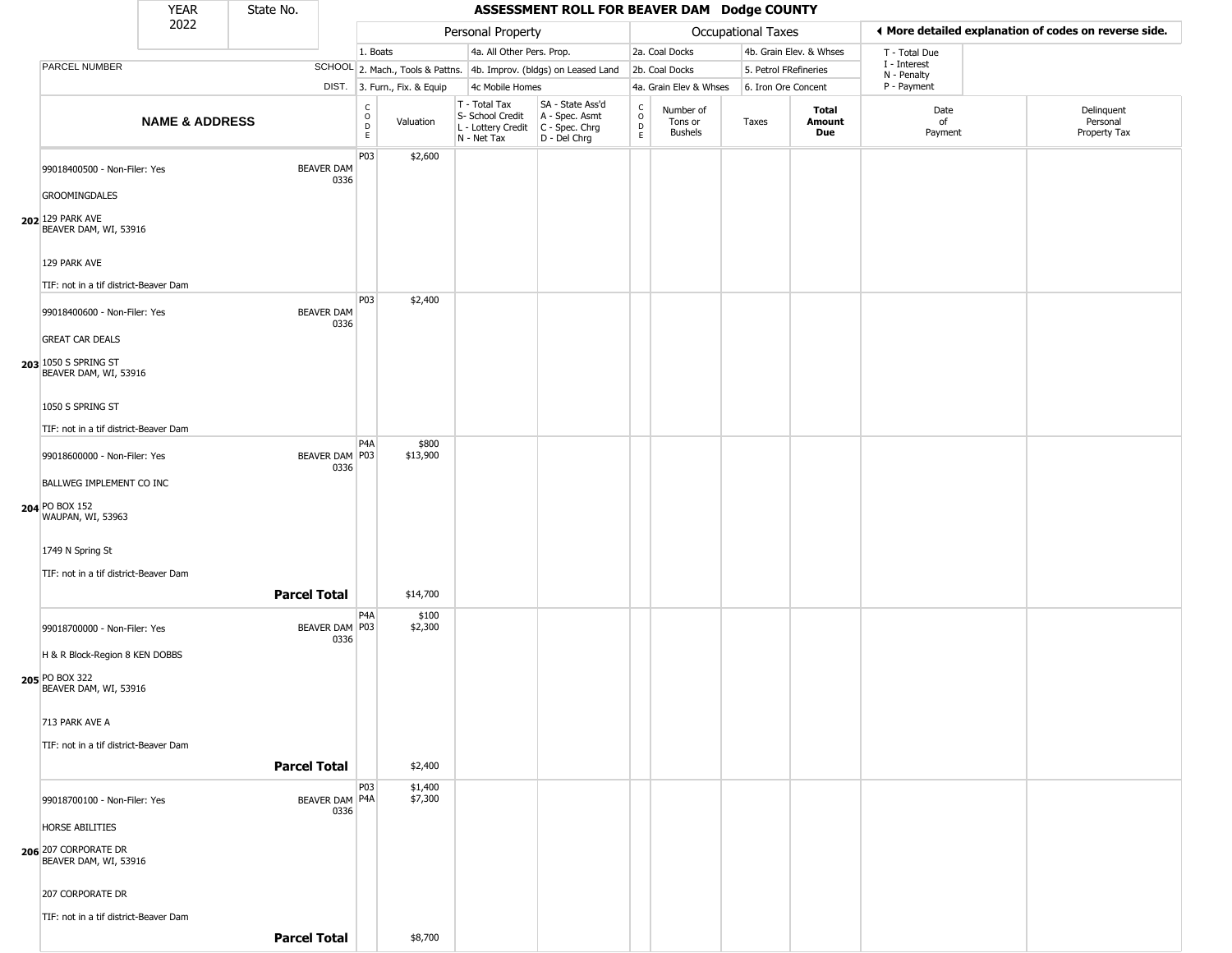|                                                                         | <b>YEAR</b>               | State No.           |                           |                                                                    |                              |                                                                        | ASSESSMENT ROLL FOR BEAVER DAM Dodge COUNTY                          |                                                 |                                        |                           |                         |                             |                                                       |
|-------------------------------------------------------------------------|---------------------------|---------------------|---------------------------|--------------------------------------------------------------------|------------------------------|------------------------------------------------------------------------|----------------------------------------------------------------------|-------------------------------------------------|----------------------------------------|---------------------------|-------------------------|-----------------------------|-------------------------------------------------------|
|                                                                         | 2022                      |                     |                           |                                                                    |                              | Personal Property                                                      |                                                                      |                                                 |                                        | <b>Occupational Taxes</b> |                         |                             | ◀ More detailed explanation of codes on reverse side. |
|                                                                         |                           |                     |                           | 1. Boats                                                           |                              | 4a. All Other Pers. Prop.                                              |                                                                      |                                                 | 2a. Coal Docks                         |                           | 4b. Grain Elev. & Whses | T - Total Due               |                                                       |
| PARCEL NUMBER                                                           |                           |                     |                           |                                                                    |                              |                                                                        | SCHOOL 2. Mach., Tools & Pattns. 4b. Improv. (bldgs) on Leased Land  |                                                 | 2b. Coal Docks                         | 5. Petrol FRefineries     |                         | I - Interest<br>N - Penalty |                                                       |
|                                                                         |                           |                     |                           |                                                                    | DIST. 3. Furn., Fix. & Equip | 4c Mobile Homes                                                        |                                                                      |                                                 | 4a. Grain Elev & Whses                 | 6. Iron Ore Concent       |                         | P - Payment                 |                                                       |
|                                                                         | <b>NAME &amp; ADDRESS</b> |                     |                           | $\begin{smallmatrix} C \\ O \\ D \end{smallmatrix}$<br>$\mathsf E$ | Valuation                    | T - Total Tax<br>S- School Credit<br>L - Lottery Credit<br>N - Net Tax | SA - State Ass'd<br>A - Spec. Asmt<br>C - Spec. Chrg<br>D - Del Chrg | $\begin{array}{c} C \\ O \\ D \\ E \end{array}$ | Number of<br>Tons or<br><b>Bushels</b> | Taxes                     | Total<br>Amount<br>Due  | Date<br>of<br>Payment       | Delinquent<br>Personal<br>Property Tax                |
| 99018400500 - Non-Filer: Yes<br><b>GROOMINGDALES</b>                    |                           |                     | <b>BEAVER DAM</b><br>0336 | P03                                                                | \$2,600                      |                                                                        |                                                                      |                                                 |                                        |                           |                         |                             |                                                       |
| 202 129 PARK AVE<br>BEAVER DAM, WI, 53916                               |                           |                     |                           |                                                                    |                              |                                                                        |                                                                      |                                                 |                                        |                           |                         |                             |                                                       |
| 129 PARK AVE                                                            |                           |                     |                           |                                                                    |                              |                                                                        |                                                                      |                                                 |                                        |                           |                         |                             |                                                       |
| TIF: not in a tif district-Beaver Dam<br>99018400600 - Non-Filer: Yes   |                           |                     | <b>BEAVER DAM</b><br>0336 | P <sub>0</sub> 3                                                   | \$2,400                      |                                                                        |                                                                      |                                                 |                                        |                           |                         |                             |                                                       |
| <b>GREAT CAR DEALS</b><br>203 1050 S SPRING ST<br>BEAVER DAM, WI, 53916 |                           |                     |                           |                                                                    |                              |                                                                        |                                                                      |                                                 |                                        |                           |                         |                             |                                                       |
| 1050 S SPRING ST<br>TIF: not in a tif district-Beaver Dam               |                           |                     |                           |                                                                    |                              |                                                                        |                                                                      |                                                 |                                        |                           |                         |                             |                                                       |
| 99018600000 - Non-Filer: Yes                                            |                           |                     | BEAVER DAM P03<br>0336    | P4A                                                                | \$800<br>\$13,900            |                                                                        |                                                                      |                                                 |                                        |                           |                         |                             |                                                       |
| BALLWEG IMPLEMENT CO INC                                                |                           |                     |                           |                                                                    |                              |                                                                        |                                                                      |                                                 |                                        |                           |                         |                             |                                                       |
| 204 PO BOX 152<br>WAUPAN, WI, 53963                                     |                           |                     |                           |                                                                    |                              |                                                                        |                                                                      |                                                 |                                        |                           |                         |                             |                                                       |
| 1749 N Spring St<br>TIF: not in a tif district-Beaver Dam               |                           |                     |                           |                                                                    |                              |                                                                        |                                                                      |                                                 |                                        |                           |                         |                             |                                                       |
|                                                                         |                           | <b>Parcel Total</b> |                           |                                                                    | \$14,700                     |                                                                        |                                                                      |                                                 |                                        |                           |                         |                             |                                                       |
| 99018700000 - Non-Filer: Yes<br>H & R Block-Region 8 KEN DOBBS          |                           |                     | BEAVER DAM P03<br>0336    | P4A                                                                | \$100<br>\$2,300             |                                                                        |                                                                      |                                                 |                                        |                           |                         |                             |                                                       |
| 205 PO BOX 322<br>BEAVER DAM, WI, 53916                                 |                           |                     |                           |                                                                    |                              |                                                                        |                                                                      |                                                 |                                        |                           |                         |                             |                                                       |
| 713 PARK AVE A<br>TIF: not in a tif district-Beaver Dam                 |                           |                     |                           |                                                                    |                              |                                                                        |                                                                      |                                                 |                                        |                           |                         |                             |                                                       |
|                                                                         |                           |                     | <b>Parcel Total</b>       |                                                                    | \$2,400                      |                                                                        |                                                                      |                                                 |                                        |                           |                         |                             |                                                       |
| 99018700100 - Non-Filer: Yes                                            |                           |                     | BEAVER DAM P4A<br>0336    | P03                                                                | \$1,400<br>\$7,300           |                                                                        |                                                                      |                                                 |                                        |                           |                         |                             |                                                       |
| HORSE ABILITIES<br>206 207 CORPORATE DR<br>BEAVER DAM, WI, 53916        |                           |                     |                           |                                                                    |                              |                                                                        |                                                                      |                                                 |                                        |                           |                         |                             |                                                       |
| 207 CORPORATE DR                                                        |                           |                     |                           |                                                                    |                              |                                                                        |                                                                      |                                                 |                                        |                           |                         |                             |                                                       |
| TIF: not in a tif district-Beaver Dam                                   |                           |                     | <b>Parcel Total</b>       |                                                                    | \$8,700                      |                                                                        |                                                                      |                                                 |                                        |                           |                         |                             |                                                       |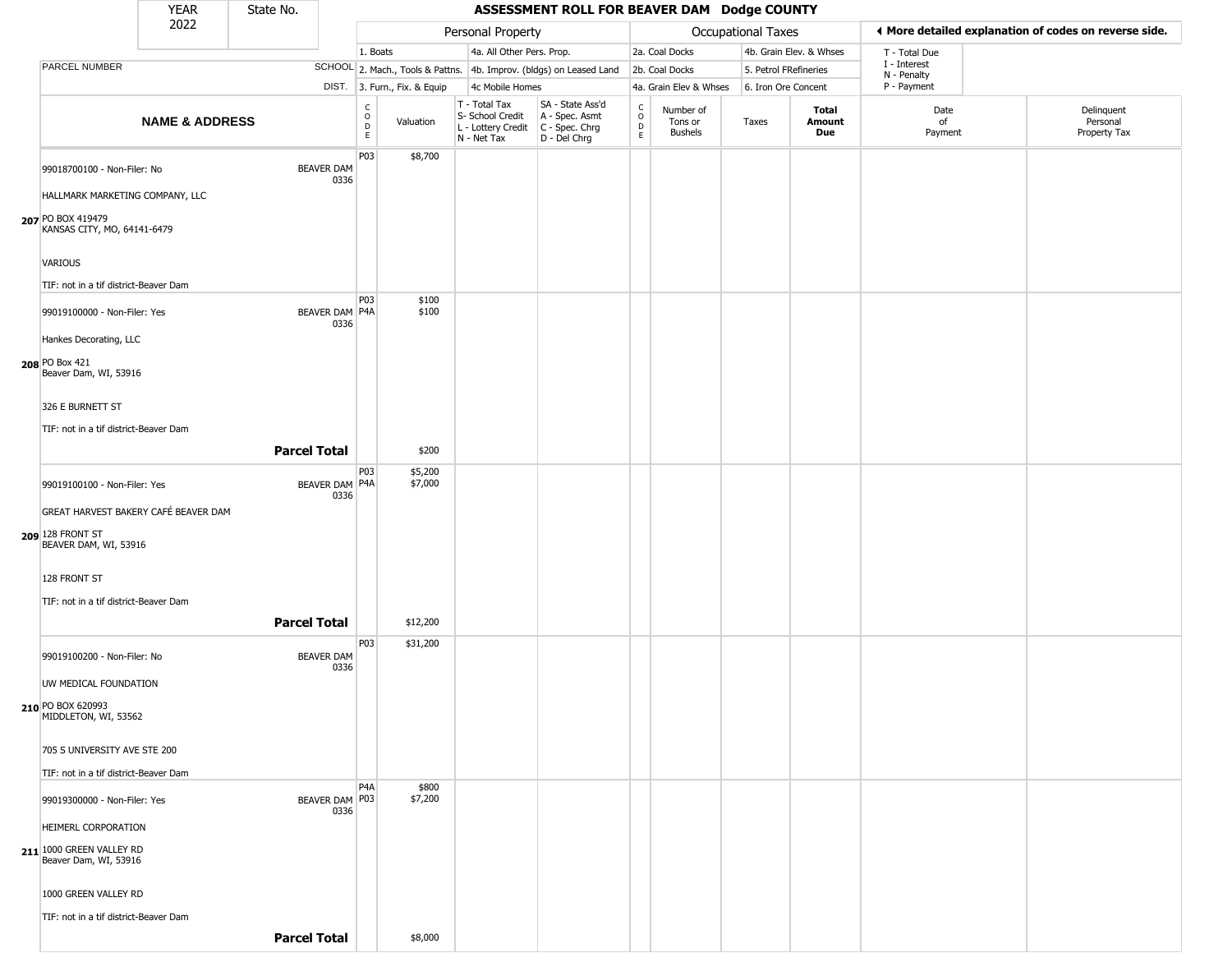|                                                                                   | <b>YEAR</b>               | State No.           |                               |                                        |                              |                                                                        | ASSESSMENT ROLL FOR BEAVER DAM Dodge COUNTY                            |                                                          |                                        |                           |                         |                             |                                                       |
|-----------------------------------------------------------------------------------|---------------------------|---------------------|-------------------------------|----------------------------------------|------------------------------|------------------------------------------------------------------------|------------------------------------------------------------------------|----------------------------------------------------------|----------------------------------------|---------------------------|-------------------------|-----------------------------|-------------------------------------------------------|
|                                                                                   | 2022                      |                     |                               |                                        |                              | Personal Property                                                      |                                                                        |                                                          |                                        | <b>Occupational Taxes</b> |                         |                             | ♦ More detailed explanation of codes on reverse side. |
|                                                                                   |                           |                     |                               | 1. Boats                               |                              | 4a. All Other Pers. Prop.                                              |                                                                        |                                                          | 2a. Coal Docks                         |                           | 4b. Grain Elev. & Whses | T - Total Due               |                                                       |
| PARCEL NUMBER                                                                     |                           |                     |                               |                                        |                              |                                                                        | SCHOOL 2. Mach., Tools & Pattns. 4b. Improv. (bldgs) on Leased Land    |                                                          | 2b. Coal Docks                         |                           | 5. Petrol FRefineries   | I - Interest<br>N - Penalty |                                                       |
|                                                                                   |                           |                     |                               |                                        | DIST. 3. Furn., Fix. & Equip | 4c Mobile Homes                                                        |                                                                        |                                                          | 4a. Grain Elev & Whses                 |                           | 6. Iron Ore Concent     | P - Payment                 |                                                       |
|                                                                                   | <b>NAME &amp; ADDRESS</b> |                     |                               | $_{\rm o}^{\rm c}$<br>$\mathsf D$<br>E | Valuation                    | T - Total Tax<br>S- School Credit<br>L - Lottery Credit<br>N - Net Tax | SA - State Ass'd<br>A - Spec. Asmt<br>$C - Spec. Chrg$<br>D - Del Chrg | $\begin{matrix} 0 \\ 0 \\ D \end{matrix}$<br>$\mathsf E$ | Number of<br>Tons or<br><b>Bushels</b> | Taxes                     | Total<br>Amount<br>Due  | Date<br>of<br>Payment       | Delinquent<br>Personal<br>Property Tax                |
| 99018700100 - Non-Filer: No<br>HALLMARK MARKETING COMPANY, LLC                    |                           |                     | <b>BEAVER DAM</b><br>0336     | P03                                    | \$8,700                      |                                                                        |                                                                        |                                                          |                                        |                           |                         |                             |                                                       |
| 207 PO BOX 419479<br>KANSAS CITY, MO, 64141-6479                                  |                           |                     |                               |                                        |                              |                                                                        |                                                                        |                                                          |                                        |                           |                         |                             |                                                       |
| <b>VARIOUS</b><br>TIF: not in a tif district-Beaver Dam                           |                           |                     |                               |                                        |                              |                                                                        |                                                                        |                                                          |                                        |                           |                         |                             |                                                       |
| 99019100000 - Non-Filer: Yes<br>Hankes Decorating, LLC                            |                           |                     | <b>BEAVER DAM P4A</b><br>0336 | P03                                    | \$100<br>\$100               |                                                                        |                                                                        |                                                          |                                        |                           |                         |                             |                                                       |
| 208 PO Box 421<br>Beaver Dam, WI, 53916                                           |                           |                     |                               |                                        |                              |                                                                        |                                                                        |                                                          |                                        |                           |                         |                             |                                                       |
| 326 E BURNETT ST                                                                  |                           |                     |                               |                                        |                              |                                                                        |                                                                        |                                                          |                                        |                           |                         |                             |                                                       |
| TIF: not in a tif district-Beaver Dam                                             |                           |                     |                               |                                        |                              |                                                                        |                                                                        |                                                          |                                        |                           |                         |                             |                                                       |
|                                                                                   |                           | <b>Parcel Total</b> |                               |                                        | \$200                        |                                                                        |                                                                        |                                                          |                                        |                           |                         |                             |                                                       |
| 99019100100 - Non-Filer: Yes                                                      |                           |                     | BEAVER DAM P4A<br>0336        | P03                                    | \$5,200<br>\$7,000           |                                                                        |                                                                        |                                                          |                                        |                           |                         |                             |                                                       |
| GREAT HARVEST BAKERY CAFÉ BEAVER DAM<br>209 128 FRONT ST<br>BEAVER DAM, WI, 53916 |                           |                     |                               |                                        |                              |                                                                        |                                                                        |                                                          |                                        |                           |                         |                             |                                                       |
| 128 FRONT ST<br>TIF: not in a tif district-Beaver Dam                             |                           |                     |                               |                                        |                              |                                                                        |                                                                        |                                                          |                                        |                           |                         |                             |                                                       |
|                                                                                   |                           | <b>Parcel Total</b> |                               |                                        | \$12,200                     |                                                                        |                                                                        |                                                          |                                        |                           |                         |                             |                                                       |
| 99019100200 - Non-Filer: No<br>UW MEDICAL FOUNDATION                              |                           |                     | <b>BEAVER DAM</b><br>0336     | P03                                    | \$31,200                     |                                                                        |                                                                        |                                                          |                                        |                           |                         |                             |                                                       |
| 210 PO BOX 620993<br>MIDDLETON, WI, 53562                                         |                           |                     |                               |                                        |                              |                                                                        |                                                                        |                                                          |                                        |                           |                         |                             |                                                       |
| 705 S UNIVERSITY AVE STE 200                                                      |                           |                     |                               |                                        |                              |                                                                        |                                                                        |                                                          |                                        |                           |                         |                             |                                                       |
| TIF: not in a tif district-Beaver Dam                                             |                           |                     |                               | P <sub>4</sub> A                       |                              |                                                                        |                                                                        |                                                          |                                        |                           |                         |                             |                                                       |
| 99019300000 - Non-Filer: Yes                                                      |                           |                     | BEAVER DAM P03<br>0336        |                                        | \$800<br>\$7,200             |                                                                        |                                                                        |                                                          |                                        |                           |                         |                             |                                                       |
| HEIMERL CORPORATION<br>211 1000 GREEN VALLEY RD<br>Beaver Dam, WI, 53916          |                           |                     |                               |                                        |                              |                                                                        |                                                                        |                                                          |                                        |                           |                         |                             |                                                       |
| 1000 GREEN VALLEY RD                                                              |                           |                     |                               |                                        |                              |                                                                        |                                                                        |                                                          |                                        |                           |                         |                             |                                                       |
| TIF: not in a tif district-Beaver Dam                                             |                           |                     |                               |                                        |                              |                                                                        |                                                                        |                                                          |                                        |                           |                         |                             |                                                       |

**Parcel Total | \$8,000**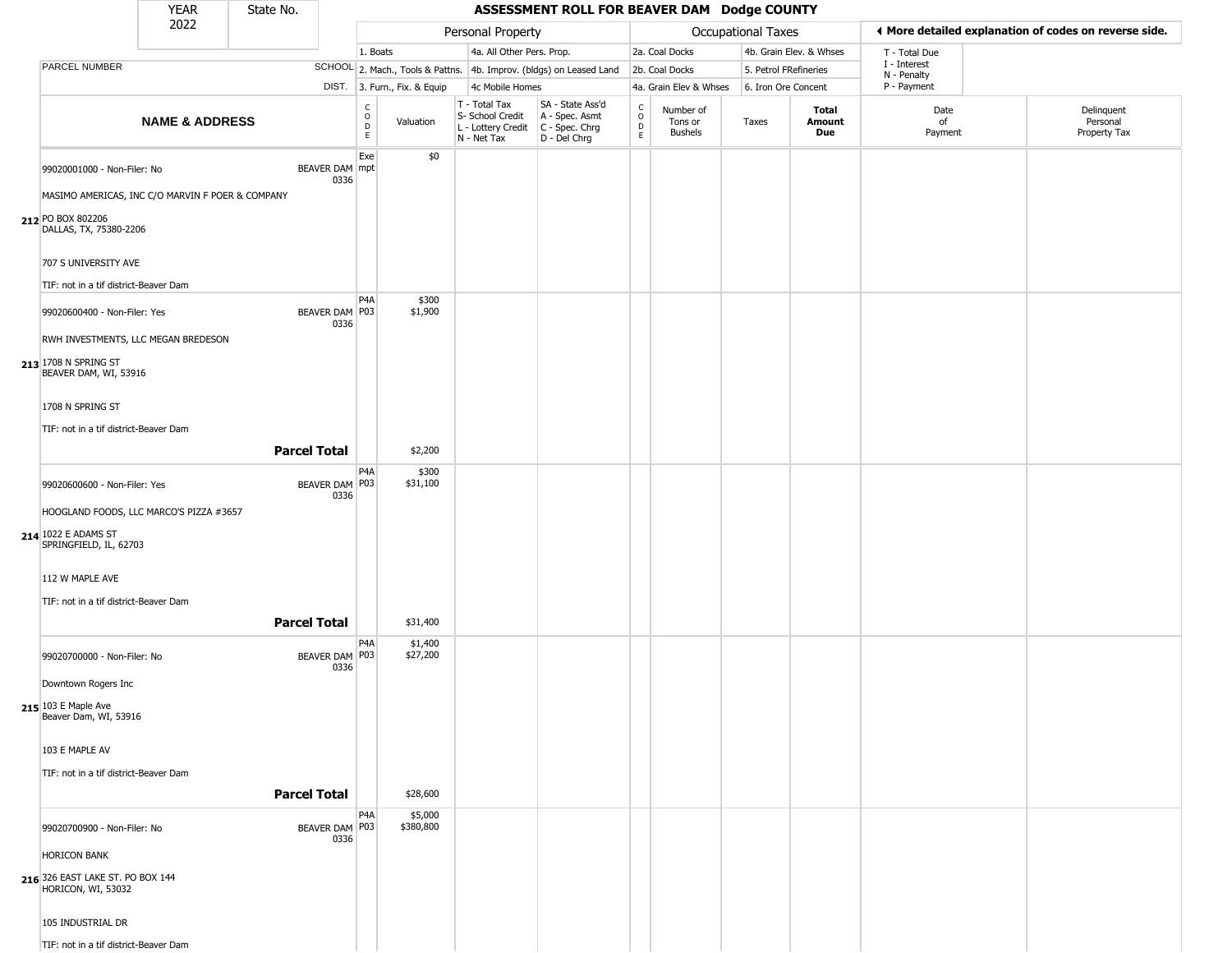|                                                        | <b>YEAR</b>                                      | State No.           |                        |                                      |                              |                                                                                         | ASSESSMENT ROLL FOR BEAVER DAM Dodge COUNTY                         |                                      |                                        |                       |                         |                             |                                                       |
|--------------------------------------------------------|--------------------------------------------------|---------------------|------------------------|--------------------------------------|------------------------------|-----------------------------------------------------------------------------------------|---------------------------------------------------------------------|--------------------------------------|----------------------------------------|-----------------------|-------------------------|-----------------------------|-------------------------------------------------------|
|                                                        | 2022                                             |                     |                        |                                      |                              | Personal Property                                                                       |                                                                     |                                      |                                        | Occupational Taxes    |                         |                             | ♦ More detailed explanation of codes on reverse side. |
|                                                        |                                                  |                     |                        | 1. Boats                             |                              | 4a. All Other Pers. Prop.                                                               |                                                                     |                                      | 2a. Coal Docks                         |                       | 4b. Grain Elev. & Whses | T - Total Due               |                                                       |
| PARCEL NUMBER                                          |                                                  |                     |                        |                                      |                              |                                                                                         | SCHOOL 2. Mach., Tools & Pattns. 4b. Improv. (bldgs) on Leased Land |                                      | 2b. Coal Docks                         | 5. Petrol FRefineries |                         | I - Interest<br>N - Penalty |                                                       |
|                                                        |                                                  |                     |                        |                                      | DIST. 3. Furn., Fix. & Equip | 4c Mobile Homes                                                                         |                                                                     |                                      | 4a. Grain Elev & Whses                 | 6. Iron Ore Concent   |                         | P - Payment                 |                                                       |
|                                                        | <b>NAME &amp; ADDRESS</b>                        |                     |                        | C<br>$\mathsf O$<br>D<br>$\mathsf E$ | Valuation                    | T - Total Tax<br>S- School Credit<br>L - Lottery Credit   C - Spec. Chrg<br>N - Net Tax | SA - State Ass'd<br>A - Spec. Asmt<br>D - Del Chrg                  | $\int_{0}^{c}$<br>$_{\rm E}^{\rm D}$ | Number of<br>Tons or<br><b>Bushels</b> | Taxes                 | Total<br>Amount<br>Due  | Date<br>of<br>Payment       | Delinquent<br>Personal<br>Property Tax                |
| 99020001000 - Non-Filer: No                            |                                                  |                     | BEAVER DAM mpt<br>0336 | Exe                                  | \$0                          |                                                                                         |                                                                     |                                      |                                        |                       |                         |                             |                                                       |
|                                                        | MASIMO AMERICAS, INC C/O MARVIN F POER & COMPANY |                     |                        |                                      |                              |                                                                                         |                                                                     |                                      |                                        |                       |                         |                             |                                                       |
| 212 PO BOX 802206<br>DALLAS, TX, 75380-2206            |                                                  |                     |                        |                                      |                              |                                                                                         |                                                                     |                                      |                                        |                       |                         |                             |                                                       |
| 707 S UNIVERSITY AVE                                   |                                                  |                     |                        |                                      |                              |                                                                                         |                                                                     |                                      |                                        |                       |                         |                             |                                                       |
| TIF: not in a tif district-Beaver Dam                  |                                                  |                     |                        | P <sub>4</sub> A                     | \$300                        |                                                                                         |                                                                     |                                      |                                        |                       |                         |                             |                                                       |
| 99020600400 - Non-Filer: Yes                           | RWH INVESTMENTS, LLC MEGAN BREDESON              |                     | BEAVER DAM P03<br>0336 |                                      | \$1,900                      |                                                                                         |                                                                     |                                      |                                        |                       |                         |                             |                                                       |
| 213 1708 N SPRING ST<br>BEAVER DAM, WI, 53916          |                                                  |                     |                        |                                      |                              |                                                                                         |                                                                     |                                      |                                        |                       |                         |                             |                                                       |
| 1708 N SPRING ST                                       |                                                  |                     |                        |                                      |                              |                                                                                         |                                                                     |                                      |                                        |                       |                         |                             |                                                       |
| TIF: not in a tif district-Beaver Dam                  |                                                  |                     |                        |                                      |                              |                                                                                         |                                                                     |                                      |                                        |                       |                         |                             |                                                       |
|                                                        |                                                  | <b>Parcel Total</b> |                        |                                      | \$2,200                      |                                                                                         |                                                                     |                                      |                                        |                       |                         |                             |                                                       |
|                                                        |                                                  |                     |                        | P <sub>4</sub> A                     | \$300                        |                                                                                         |                                                                     |                                      |                                        |                       |                         |                             |                                                       |
| 99020600600 - Non-Filer: Yes                           |                                                  |                     | BEAVER DAM P03<br>0336 |                                      | \$31,100                     |                                                                                         |                                                                     |                                      |                                        |                       |                         |                             |                                                       |
|                                                        | HOOGLAND FOODS, LLC MARCO'S PIZZA #3657          |                     |                        |                                      |                              |                                                                                         |                                                                     |                                      |                                        |                       |                         |                             |                                                       |
| 214 1022 E ADAMS ST<br>SPRINGFIELD, IL, 62703          |                                                  |                     |                        |                                      |                              |                                                                                         |                                                                     |                                      |                                        |                       |                         |                             |                                                       |
| 112 W MAPLE AVE                                        |                                                  |                     |                        |                                      |                              |                                                                                         |                                                                     |                                      |                                        |                       |                         |                             |                                                       |
| TIF: not in a tif district-Beaver Dam                  |                                                  |                     |                        |                                      |                              |                                                                                         |                                                                     |                                      |                                        |                       |                         |                             |                                                       |
|                                                        |                                                  | <b>Parcel Total</b> |                        |                                      | \$31,400                     |                                                                                         |                                                                     |                                      |                                        |                       |                         |                             |                                                       |
| 99020700000 - Non-Filer: No                            |                                                  |                     | BEAVER DAM P03<br>0336 | P4A                                  | \$1,400<br>\$27,200          |                                                                                         |                                                                     |                                      |                                        |                       |                         |                             |                                                       |
| Downtown Rogers Inc                                    |                                                  |                     |                        |                                      |                              |                                                                                         |                                                                     |                                      |                                        |                       |                         |                             |                                                       |
| 215 103 E Maple Ave<br>Beaver Dam, WI, 53916           |                                                  |                     |                        |                                      |                              |                                                                                         |                                                                     |                                      |                                        |                       |                         |                             |                                                       |
| 103 E MAPLE AV                                         |                                                  |                     |                        |                                      |                              |                                                                                         |                                                                     |                                      |                                        |                       |                         |                             |                                                       |
| TIF: not in a tif district-Beaver Dam                  |                                                  |                     |                        |                                      |                              |                                                                                         |                                                                     |                                      |                                        |                       |                         |                             |                                                       |
|                                                        |                                                  | <b>Parcel Total</b> |                        |                                      | \$28,600                     |                                                                                         |                                                                     |                                      |                                        |                       |                         |                             |                                                       |
| 99020700900 - Non-Filer: No                            |                                                  |                     | BEAVER DAM P03<br>0336 | P <sub>4</sub> A                     | \$5,000<br>\$380,800         |                                                                                         |                                                                     |                                      |                                        |                       |                         |                             |                                                       |
| <b>HORICON BANK</b>                                    |                                                  |                     |                        |                                      |                              |                                                                                         |                                                                     |                                      |                                        |                       |                         |                             |                                                       |
| 216 326 EAST LAKE ST. PO BOX 144<br>HORICON, WI, 53032 |                                                  |                     |                        |                                      |                              |                                                                                         |                                                                     |                                      |                                        |                       |                         |                             |                                                       |
| 105 INDUSTRIAL DR                                      |                                                  |                     |                        |                                      |                              |                                                                                         |                                                                     |                                      |                                        |                       |                         |                             |                                                       |
| TIF: not in a tif district-Beaver Dam                  |                                                  |                     |                        |                                      |                              |                                                                                         |                                                                     |                                      |                                        |                       |                         |                             |                                                       |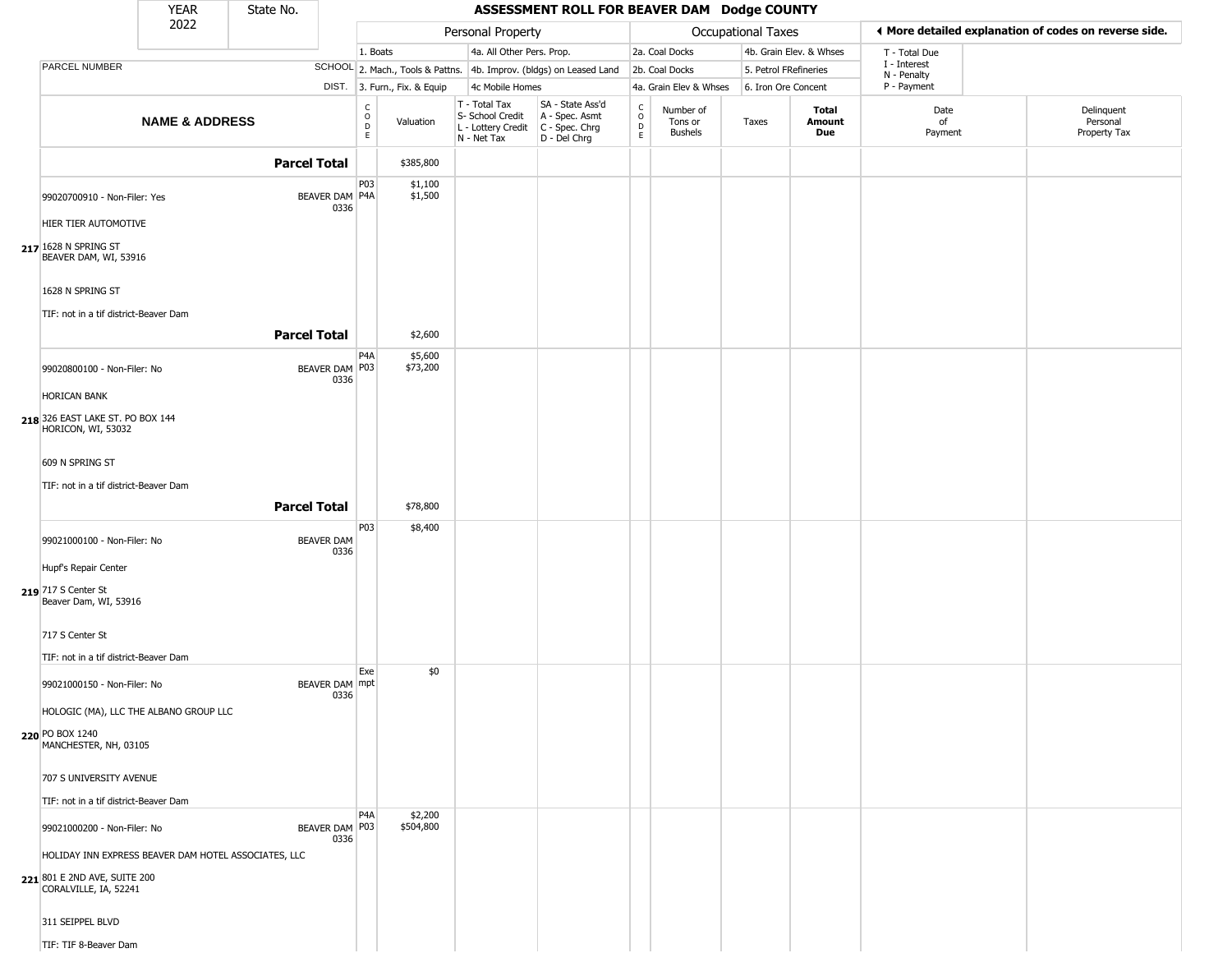|                                                                                                              | <b>YEAR</b>               | State No.           |                           |                                                |                              |                                                                                         | ASSESSMENT ROLL FOR BEAVER DAM Dodge COUNTY                         |                      |                                 |                       |                         |                            |                                                       |
|--------------------------------------------------------------------------------------------------------------|---------------------------|---------------------|---------------------------|------------------------------------------------|------------------------------|-----------------------------------------------------------------------------------------|---------------------------------------------------------------------|----------------------|---------------------------------|-----------------------|-------------------------|----------------------------|-------------------------------------------------------|
|                                                                                                              | 2022                      |                     |                           |                                                |                              | Personal Property                                                                       |                                                                     |                      |                                 | Occupational Taxes    |                         |                            | ♦ More detailed explanation of codes on reverse side. |
|                                                                                                              |                           |                     |                           | 1. Boats                                       |                              | 4a. All Other Pers. Prop.                                                               |                                                                     |                      | 2a. Coal Docks                  |                       | 4b. Grain Elev. & Whses | T - Total Due              |                                                       |
| PARCEL NUMBER                                                                                                |                           |                     |                           |                                                |                              |                                                                                         | SCHOOL 2. Mach., Tools & Pattns. 4b. Improv. (bldgs) on Leased Land |                      | 2b. Coal Docks                  | 5. Petrol FRefineries |                         | I - Interest               |                                                       |
|                                                                                                              |                           |                     |                           |                                                | DIST. 3. Furn., Fix. & Equip | 4c Mobile Homes                                                                         |                                                                     |                      | 4a. Grain Elev & Whses          | 6. Iron Ore Concent   |                         | N - Penalty<br>P - Payment |                                                       |
|                                                                                                              | <b>NAME &amp; ADDRESS</b> |                     |                           | $\begin{matrix} 0 \\ 0 \\ D \end{matrix}$<br>E | Valuation                    | T - Total Tax<br>S- School Credit<br>L - Lottery Credit   C - Spec. Chrg<br>N - Net Tax | SA - State Ass'd<br>A - Spec. Asmt<br>D - Del Chrg                  | $\rm _o^C$<br>D<br>E | Number of<br>Tons or<br>Bushels | Taxes                 | Total<br>Amount<br>Due  | Date<br>of<br>Payment      | Delinquent<br>Personal<br>Property Tax                |
|                                                                                                              |                           | <b>Parcel Total</b> |                           |                                                | \$385,800                    |                                                                                         |                                                                     |                      |                                 |                       |                         |                            |                                                       |
| 99020700910 - Non-Filer: Yes<br>HIER TIER AUTOMOTIVE<br>217 1628 N SPRING ST                                 |                           |                     | BEAVER DAM P4A<br>0336    | P03                                            | \$1,100<br>\$1,500           |                                                                                         |                                                                     |                      |                                 |                       |                         |                            |                                                       |
| BEAVER DAM, WI, 53916<br>1628 N SPRING ST<br>TIF: not in a tif district-Beaver Dam                           |                           | <b>Parcel Total</b> |                           |                                                | \$2,600                      |                                                                                         |                                                                     |                      |                                 |                       |                         |                            |                                                       |
|                                                                                                              |                           |                     |                           | P <sub>4</sub> A                               | \$5,600                      |                                                                                         |                                                                     |                      |                                 |                       |                         |                            |                                                       |
| 99020800100 - Non-Filer: No<br><b>HORICAN BANK</b><br>218 326 EAST LAKE ST. PO BOX 144<br>HORICON, WI, 53032 |                           |                     | BEAVER DAM P03<br>0336    |                                                | \$73,200                     |                                                                                         |                                                                     |                      |                                 |                       |                         |                            |                                                       |
| 609 N SPRING ST                                                                                              |                           |                     |                           |                                                |                              |                                                                                         |                                                                     |                      |                                 |                       |                         |                            |                                                       |
| TIF: not in a tif district-Beaver Dam                                                                        |                           | <b>Parcel Total</b> |                           |                                                | \$78,800                     |                                                                                         |                                                                     |                      |                                 |                       |                         |                            |                                                       |
|                                                                                                              |                           |                     |                           |                                                |                              |                                                                                         |                                                                     |                      |                                 |                       |                         |                            |                                                       |
| 99021000100 - Non-Filer: No                                                                                  |                           |                     | <b>BEAVER DAM</b><br>0336 | P03                                            | \$8,400                      |                                                                                         |                                                                     |                      |                                 |                       |                         |                            |                                                       |
| Hupf's Repair Center                                                                                         |                           |                     |                           |                                                |                              |                                                                                         |                                                                     |                      |                                 |                       |                         |                            |                                                       |
| 219 717 S Center St<br>Beaver Dam, WI, 53916                                                                 |                           |                     |                           |                                                |                              |                                                                                         |                                                                     |                      |                                 |                       |                         |                            |                                                       |
| 717 S Center St                                                                                              |                           |                     |                           |                                                |                              |                                                                                         |                                                                     |                      |                                 |                       |                         |                            |                                                       |
| TIF: not in a tif district-Beaver Dam                                                                        |                           |                     |                           |                                                |                              |                                                                                         |                                                                     |                      |                                 |                       |                         |                            |                                                       |
| 99021000150 - Non-Filer: No                                                                                  |                           |                     | BEAVER DAM mpt<br>0336    | Exe                                            | \$0                          |                                                                                         |                                                                     |                      |                                 |                       |                         |                            |                                                       |
| HOLOGIC (MA), LLC THE ALBANO GROUP LLC                                                                       |                           |                     |                           |                                                |                              |                                                                                         |                                                                     |                      |                                 |                       |                         |                            |                                                       |
| 220 PO BOX 1240<br>MANCHESTER, NH, 03105                                                                     |                           |                     |                           |                                                |                              |                                                                                         |                                                                     |                      |                                 |                       |                         |                            |                                                       |
| 707 S UNIVERSITY AVENUE                                                                                      |                           |                     |                           |                                                |                              |                                                                                         |                                                                     |                      |                                 |                       |                         |                            |                                                       |
| TIF: not in a tif district-Beaver Dam                                                                        |                           |                     |                           |                                                |                              |                                                                                         |                                                                     |                      |                                 |                       |                         |                            |                                                       |
|                                                                                                              |                           |                     |                           | P <sub>4</sub> A                               | \$2,200                      |                                                                                         |                                                                     |                      |                                 |                       |                         |                            |                                                       |
| 99021000200 - Non-Filer: No                                                                                  |                           |                     | BEAVER DAM P03<br>0336    |                                                | \$504,800                    |                                                                                         |                                                                     |                      |                                 |                       |                         |                            |                                                       |
| HOLIDAY INN EXPRESS BEAVER DAM HOTEL ASSOCIATES, LLC                                                         |                           |                     |                           |                                                |                              |                                                                                         |                                                                     |                      |                                 |                       |                         |                            |                                                       |
| 221 801 E 2ND AVE, SUITE 200<br>CORALVILLE, IA, 52241                                                        |                           |                     |                           |                                                |                              |                                                                                         |                                                                     |                      |                                 |                       |                         |                            |                                                       |
| 311 SEIPPEL BLVD                                                                                             |                           |                     |                           |                                                |                              |                                                                                         |                                                                     |                      |                                 |                       |                         |                            |                                                       |
| TIF: TIF 8-Beaver Dam                                                                                        |                           |                     |                           |                                                |                              |                                                                                         |                                                                     |                      |                                 |                       |                         |                            |                                                       |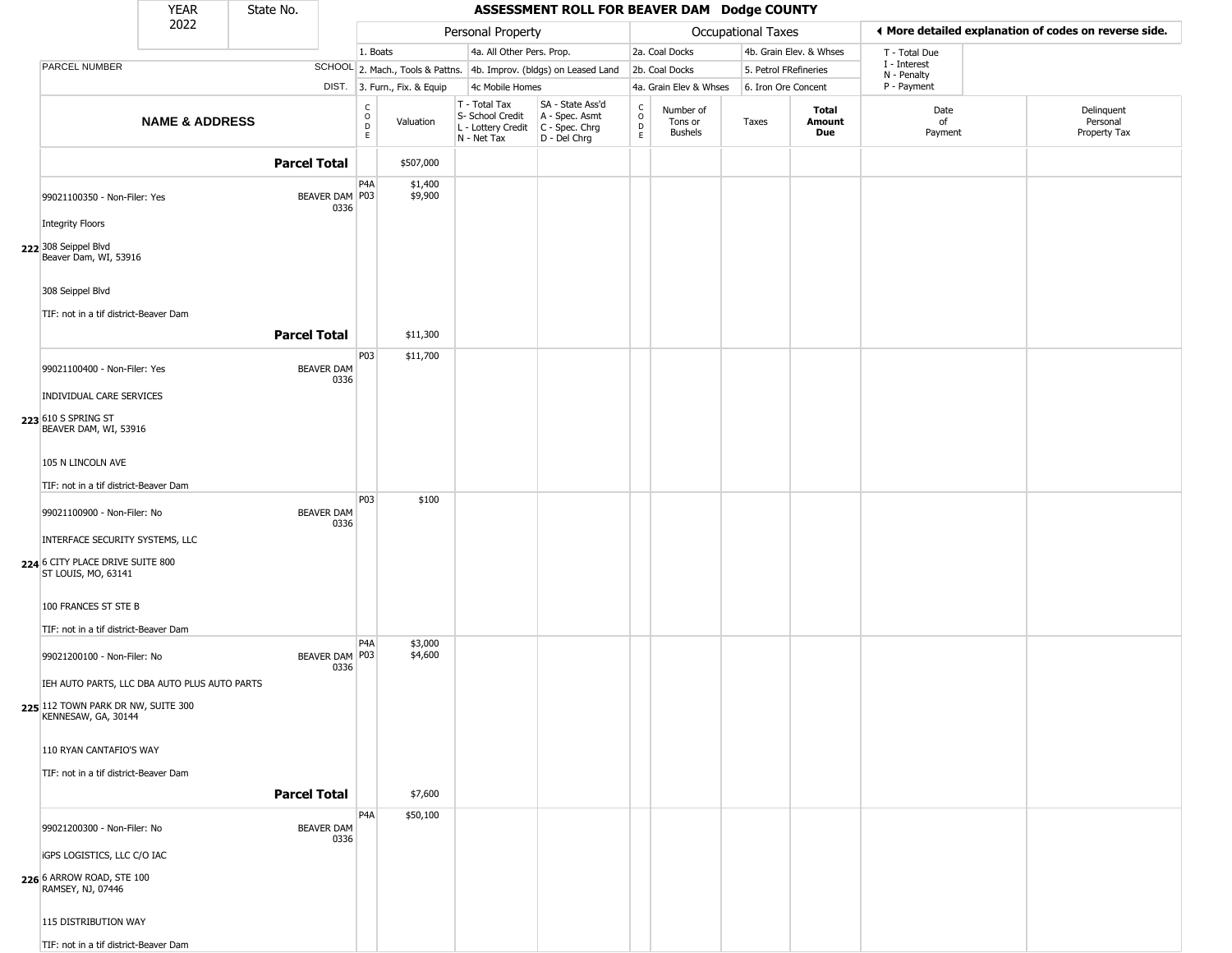|                                                                                            | <b>YEAR</b>               | State No.           |                           |                                                |                              |                                                                                         | ASSESSMENT ROLL FOR BEAVER DAM Dodge COUNTY                         |                                 |                                        |                     |                         |                            |                                                       |
|--------------------------------------------------------------------------------------------|---------------------------|---------------------|---------------------------|------------------------------------------------|------------------------------|-----------------------------------------------------------------------------------------|---------------------------------------------------------------------|---------------------------------|----------------------------------------|---------------------|-------------------------|----------------------------|-------------------------------------------------------|
|                                                                                            | 2022                      |                     |                           |                                                |                              | Personal Property                                                                       |                                                                     |                                 |                                        | Occupational Taxes  |                         |                            | ♦ More detailed explanation of codes on reverse side. |
|                                                                                            |                           |                     |                           | 1. Boats                                       |                              | 4a. All Other Pers. Prop.                                                               |                                                                     |                                 | 2a. Coal Docks                         |                     | 4b. Grain Elev. & Whses | T - Total Due              |                                                       |
| <b>PARCEL NUMBER</b>                                                                       |                           |                     |                           |                                                |                              |                                                                                         | SCHOOL 2. Mach., Tools & Pattns. 4b. Improv. (bldgs) on Leased Land |                                 | 2b. Coal Docks                         |                     | 5. Petrol FRefineries   | I - Interest               |                                                       |
|                                                                                            |                           |                     |                           |                                                | DIST. 3. Furn., Fix. & Equip | 4c Mobile Homes                                                                         |                                                                     |                                 | 4a. Grain Elev & Whses                 | 6. Iron Ore Concent |                         | N - Penalty<br>P - Payment |                                                       |
|                                                                                            | <b>NAME &amp; ADDRESS</b> |                     |                           | $\begin{matrix} 0 \\ 0 \\ D \end{matrix}$<br>E | Valuation                    | T - Total Tax<br>S- School Credit<br>L - Lottery Credit   C - Spec. Chrg<br>N - Net Tax | SA - State Ass'd<br>A - Spec. Asmt<br>D - Del Chrg                  | $\rm _o^C$<br>$\mathsf{D}$<br>E | Number of<br>Tons or<br><b>Bushels</b> | Taxes               | Total<br>Amount<br>Due  | Date<br>of<br>Payment      | Delinquent<br>Personal<br>Property Tax                |
|                                                                                            |                           | <b>Parcel Total</b> |                           |                                                | \$507,000                    |                                                                                         |                                                                     |                                 |                                        |                     |                         |                            |                                                       |
| 99021100350 - Non-Filer: Yes                                                               |                           |                     | BEAVER DAM P03<br>0336    | P <sub>4</sub> A                               | \$1,400<br>\$9,900           |                                                                                         |                                                                     |                                 |                                        |                     |                         |                            |                                                       |
| <b>Integrity Floors</b>                                                                    |                           |                     |                           |                                                |                              |                                                                                         |                                                                     |                                 |                                        |                     |                         |                            |                                                       |
| 222 308 Seippel Blvd<br>Beaver Dam, WI, 53916                                              |                           |                     |                           |                                                |                              |                                                                                         |                                                                     |                                 |                                        |                     |                         |                            |                                                       |
| 308 Seippel Blvd<br>TIF: not in a tif district-Beaver Dam                                  |                           |                     |                           |                                                |                              |                                                                                         |                                                                     |                                 |                                        |                     |                         |                            |                                                       |
|                                                                                            |                           | <b>Parcel Total</b> |                           |                                                | \$11,300                     |                                                                                         |                                                                     |                                 |                                        |                     |                         |                            |                                                       |
| 99021100400 - Non-Filer: Yes                                                               |                           |                     | <b>BEAVER DAM</b><br>0336 | P03                                            | \$11,700                     |                                                                                         |                                                                     |                                 |                                        |                     |                         |                            |                                                       |
| INDIVIDUAL CARE SERVICES                                                                   |                           |                     |                           |                                                |                              |                                                                                         |                                                                     |                                 |                                        |                     |                         |                            |                                                       |
| 223 610 S SPRING ST<br>BEAVER DAM, WI, 53916                                               |                           |                     |                           |                                                |                              |                                                                                         |                                                                     |                                 |                                        |                     |                         |                            |                                                       |
| 105 N LINCOLN AVE                                                                          |                           |                     |                           |                                                |                              |                                                                                         |                                                                     |                                 |                                        |                     |                         |                            |                                                       |
| TIF: not in a tif district-Beaver Dam                                                      |                           |                     |                           |                                                |                              |                                                                                         |                                                                     |                                 |                                        |                     |                         |                            |                                                       |
| 99021100900 - Non-Filer: No                                                                |                           |                     | <b>BEAVER DAM</b><br>0336 | P03                                            | \$100                        |                                                                                         |                                                                     |                                 |                                        |                     |                         |                            |                                                       |
| INTERFACE SECURITY SYSTEMS, LLC<br>224 6 CITY PLACE DRIVE SUITE 800<br>ST LOUIS, MO, 63141 |                           |                     |                           |                                                |                              |                                                                                         |                                                                     |                                 |                                        |                     |                         |                            |                                                       |
| 100 FRANCES ST STE B                                                                       |                           |                     |                           |                                                |                              |                                                                                         |                                                                     |                                 |                                        |                     |                         |                            |                                                       |
| TIF: not in a tif district-Beaver Dam<br>99021200100 - Non-Filer: No                       |                           |                     | BEAVER DAM P03<br>0336    | P <sub>4</sub> A                               | \$3,000<br>\$4,600           |                                                                                         |                                                                     |                                 |                                        |                     |                         |                            |                                                       |
| IEH AUTO PARTS, LLC DBA AUTO PLUS AUTO PARTS                                               |                           |                     |                           |                                                |                              |                                                                                         |                                                                     |                                 |                                        |                     |                         |                            |                                                       |
| 225 112 TOWN PARK DR NW, SUITE 300<br>KENNESAW, GA, 30144                                  |                           |                     |                           |                                                |                              |                                                                                         |                                                                     |                                 |                                        |                     |                         |                            |                                                       |
| 110 RYAN CANTAFIO'S WAY                                                                    |                           |                     |                           |                                                |                              |                                                                                         |                                                                     |                                 |                                        |                     |                         |                            |                                                       |
| TIF: not in a tif district-Beaver Dam                                                      |                           | <b>Parcel Total</b> |                           |                                                | \$7,600                      |                                                                                         |                                                                     |                                 |                                        |                     |                         |                            |                                                       |
|                                                                                            |                           |                     |                           | P <sub>4</sub> A                               | \$50,100                     |                                                                                         |                                                                     |                                 |                                        |                     |                         |                            |                                                       |
| 99021200300 - Non-Filer: No                                                                |                           |                     | <b>BEAVER DAM</b><br>0336 |                                                |                              |                                                                                         |                                                                     |                                 |                                        |                     |                         |                            |                                                       |
| <b>iGPS LOGISTICS, LLC C/O IAC</b><br>226 6 ARROW ROAD, STE 100<br>RAMSEY, NJ, 07446       |                           |                     |                           |                                                |                              |                                                                                         |                                                                     |                                 |                                        |                     |                         |                            |                                                       |
| 115 DISTRIBUTION WAY                                                                       |                           |                     |                           |                                                |                              |                                                                                         |                                                                     |                                 |                                        |                     |                         |                            |                                                       |
| TIF: not in a tif district-Beaver Dam                                                      |                           |                     |                           |                                                |                              |                                                                                         |                                                                     |                                 |                                        |                     |                         |                            |                                                       |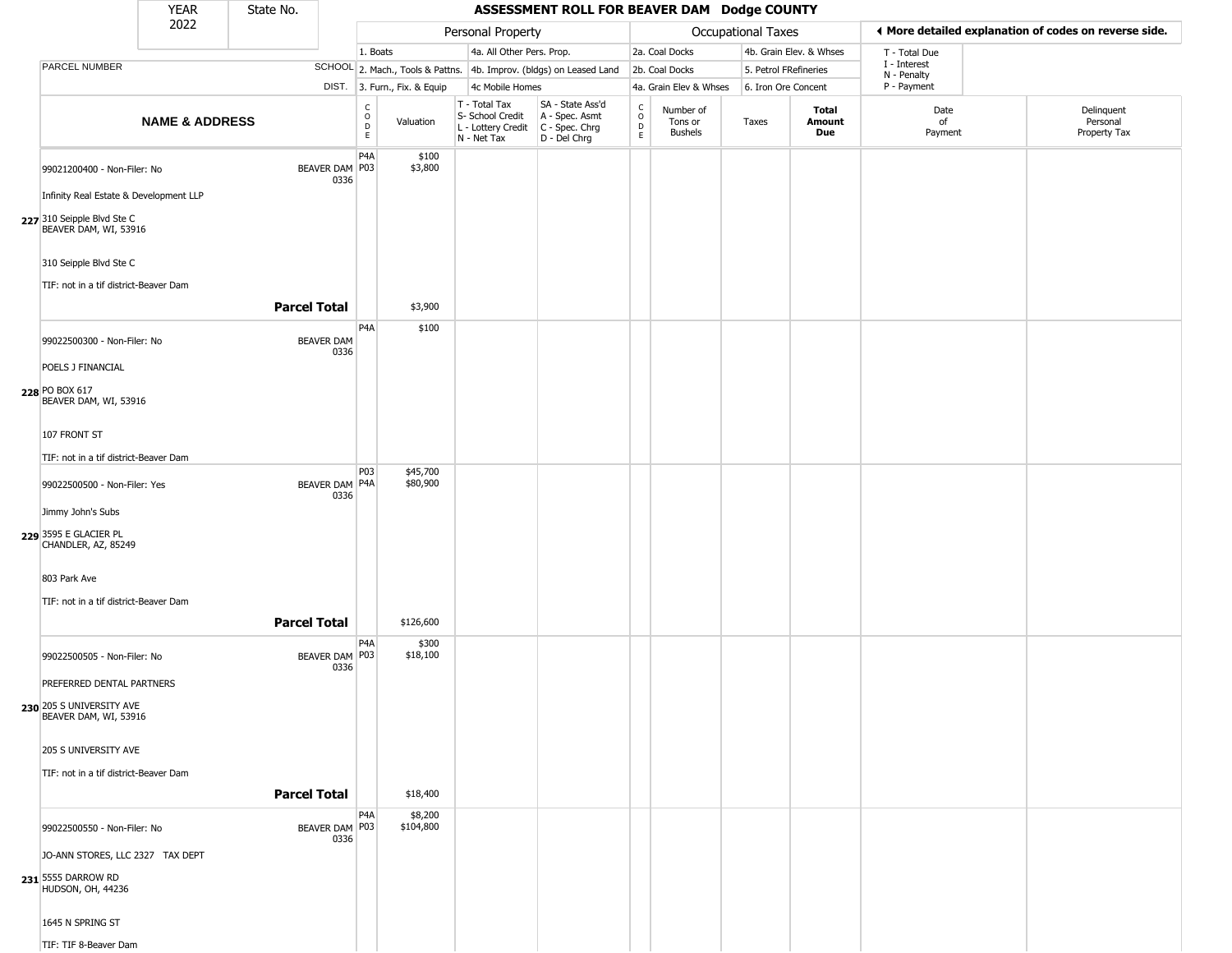|                                                                 | YEAR                      | State No.           |                           |                            |                              |                                                                        | ASSESSMENT ROLL FOR BEAVER DAM Dodge COUNTY                          |                                                 |                                        |                       |                         |                             |                                                       |
|-----------------------------------------------------------------|---------------------------|---------------------|---------------------------|----------------------------|------------------------------|------------------------------------------------------------------------|----------------------------------------------------------------------|-------------------------------------------------|----------------------------------------|-----------------------|-------------------------|-----------------------------|-------------------------------------------------------|
|                                                                 | 2022                      |                     |                           |                            |                              | Personal Property                                                      |                                                                      |                                                 |                                        | Occupational Taxes    |                         |                             | ♦ More detailed explanation of codes on reverse side. |
|                                                                 |                           |                     |                           | 1. Boats                   |                              | 4a. All Other Pers. Prop.                                              |                                                                      |                                                 | 2a. Coal Docks                         |                       | 4b. Grain Elev. & Whses | T - Total Due               |                                                       |
| PARCEL NUMBER                                                   |                           |                     |                           |                            |                              |                                                                        | SCHOOL 2. Mach., Tools & Pattns. 4b. Improv. (bldgs) on Leased Land  |                                                 | 2b. Coal Docks                         | 5. Petrol FRefineries |                         | I - Interest<br>N - Penalty |                                                       |
|                                                                 |                           |                     |                           |                            | DIST. 3. Furn., Fix. & Equip | 4c Mobile Homes                                                        |                                                                      |                                                 | 4a. Grain Elev & Whses                 | 6. Iron Ore Concent   |                         | P - Payment                 |                                                       |
|                                                                 | <b>NAME &amp; ADDRESS</b> |                     |                           | С<br>$\mathsf O$<br>D<br>E | Valuation                    | T - Total Tax<br>S- School Credit<br>L - Lottery Credit<br>N - Net Tax | SA - State Ass'd<br>A - Spec. Asmt<br>C - Spec. Chrg<br>D - Del Chrg | $\begin{array}{c} C \\ O \\ D \\ E \end{array}$ | Number of<br>Tons or<br><b>Bushels</b> | Taxes                 | Total<br>Amount<br>Due  | Date<br>of<br>Payment       | Delinquent<br>Personal<br>Property Tax                |
| 99021200400 - Non-Filer: No                                     |                           |                     | BEAVER DAM P03<br>0336    | P <sub>4</sub> A           | \$100<br>\$3,800             |                                                                        |                                                                      |                                                 |                                        |                       |                         |                             |                                                       |
| Infinity Real Estate & Development LLP                          |                           |                     |                           |                            |                              |                                                                        |                                                                      |                                                 |                                        |                       |                         |                             |                                                       |
| 227 310 Seipple Blvd Ste C<br>BEAVER DAM, WI, 53916             |                           |                     |                           |                            |                              |                                                                        |                                                                      |                                                 |                                        |                       |                         |                             |                                                       |
| 310 Seipple Blvd Ste C<br>TIF: not in a tif district-Beaver Dam |                           |                     |                           |                            |                              |                                                                        |                                                                      |                                                 |                                        |                       |                         |                             |                                                       |
|                                                                 |                           | <b>Parcel Total</b> |                           |                            | \$3,900                      |                                                                        |                                                                      |                                                 |                                        |                       |                         |                             |                                                       |
| 99022500300 - Non-Filer: No                                     |                           |                     | <b>BEAVER DAM</b><br>0336 | P4A                        | \$100                        |                                                                        |                                                                      |                                                 |                                        |                       |                         |                             |                                                       |
| POELS J FINANCIAL                                               |                           |                     |                           |                            |                              |                                                                        |                                                                      |                                                 |                                        |                       |                         |                             |                                                       |
| 228 PO BOX 617<br>BEAVER DAM, WI, 53916                         |                           |                     |                           |                            |                              |                                                                        |                                                                      |                                                 |                                        |                       |                         |                             |                                                       |
| 107 FRONT ST                                                    |                           |                     |                           |                            |                              |                                                                        |                                                                      |                                                 |                                        |                       |                         |                             |                                                       |
| TIF: not in a tif district-Beaver Dam                           |                           |                     |                           |                            |                              |                                                                        |                                                                      |                                                 |                                        |                       |                         |                             |                                                       |
| 99022500500 - Non-Filer: Yes                                    |                           |                     | BEAVER DAM P4A            | P03                        | \$45,700<br>\$80,900         |                                                                        |                                                                      |                                                 |                                        |                       |                         |                             |                                                       |
| Jimmy John's Subs                                               |                           |                     | 0336                      |                            |                              |                                                                        |                                                                      |                                                 |                                        |                       |                         |                             |                                                       |
| 229 3595 E GLACIER PL<br>CHANDLER, AZ, 85249                    |                           |                     |                           |                            |                              |                                                                        |                                                                      |                                                 |                                        |                       |                         |                             |                                                       |
| 803 Park Ave                                                    |                           |                     |                           |                            |                              |                                                                        |                                                                      |                                                 |                                        |                       |                         |                             |                                                       |
| TIF: not in a tif district-Beaver Dam                           |                           |                     |                           |                            |                              |                                                                        |                                                                      |                                                 |                                        |                       |                         |                             |                                                       |
|                                                                 |                           | <b>Parcel Total</b> |                           |                            | \$126,600                    |                                                                        |                                                                      |                                                 |                                        |                       |                         |                             |                                                       |
| 99022500505 - Non-Filer: No                                     |                           |                     | BEAVER DAM   P03<br>0336  | P <sub>4</sub> A           | \$300<br>\$18,100            |                                                                        |                                                                      |                                                 |                                        |                       |                         |                             |                                                       |
| PREFERRED DENTAL PARTNERS                                       |                           |                     |                           |                            |                              |                                                                        |                                                                      |                                                 |                                        |                       |                         |                             |                                                       |
| 230 205 S UNIVERSITY AVE<br>BEAVER DAM, WI, 53916               |                           |                     |                           |                            |                              |                                                                        |                                                                      |                                                 |                                        |                       |                         |                             |                                                       |
| 205 S UNIVERSITY AVE                                            |                           |                     |                           |                            |                              |                                                                        |                                                                      |                                                 |                                        |                       |                         |                             |                                                       |
| TIF: not in a tif district-Beaver Dam                           |                           |                     |                           |                            |                              |                                                                        |                                                                      |                                                 |                                        |                       |                         |                             |                                                       |
|                                                                 |                           | <b>Parcel Total</b> |                           |                            | \$18,400                     |                                                                        |                                                                      |                                                 |                                        |                       |                         |                             |                                                       |
| 99022500550 - Non-Filer: No                                     |                           |                     | BEAVER DAM   P03<br>0336  | P <sub>4</sub> A           | \$8,200<br>\$104,800         |                                                                        |                                                                      |                                                 |                                        |                       |                         |                             |                                                       |
| JO-ANN STORES, LLC 2327 TAX DEPT                                |                           |                     |                           |                            |                              |                                                                        |                                                                      |                                                 |                                        |                       |                         |                             |                                                       |
| 231 5555 DARROW RD<br>HUDSON, OH, 44236                         |                           |                     |                           |                            |                              |                                                                        |                                                                      |                                                 |                                        |                       |                         |                             |                                                       |
| 1645 N SPRING ST                                                |                           |                     |                           |                            |                              |                                                                        |                                                                      |                                                 |                                        |                       |                         |                             |                                                       |
| TIF: TIF 8-Beaver Dam                                           |                           |                     |                           |                            |                              |                                                                        |                                                                      |                                                 |                                        |                       |                         |                             |                                                       |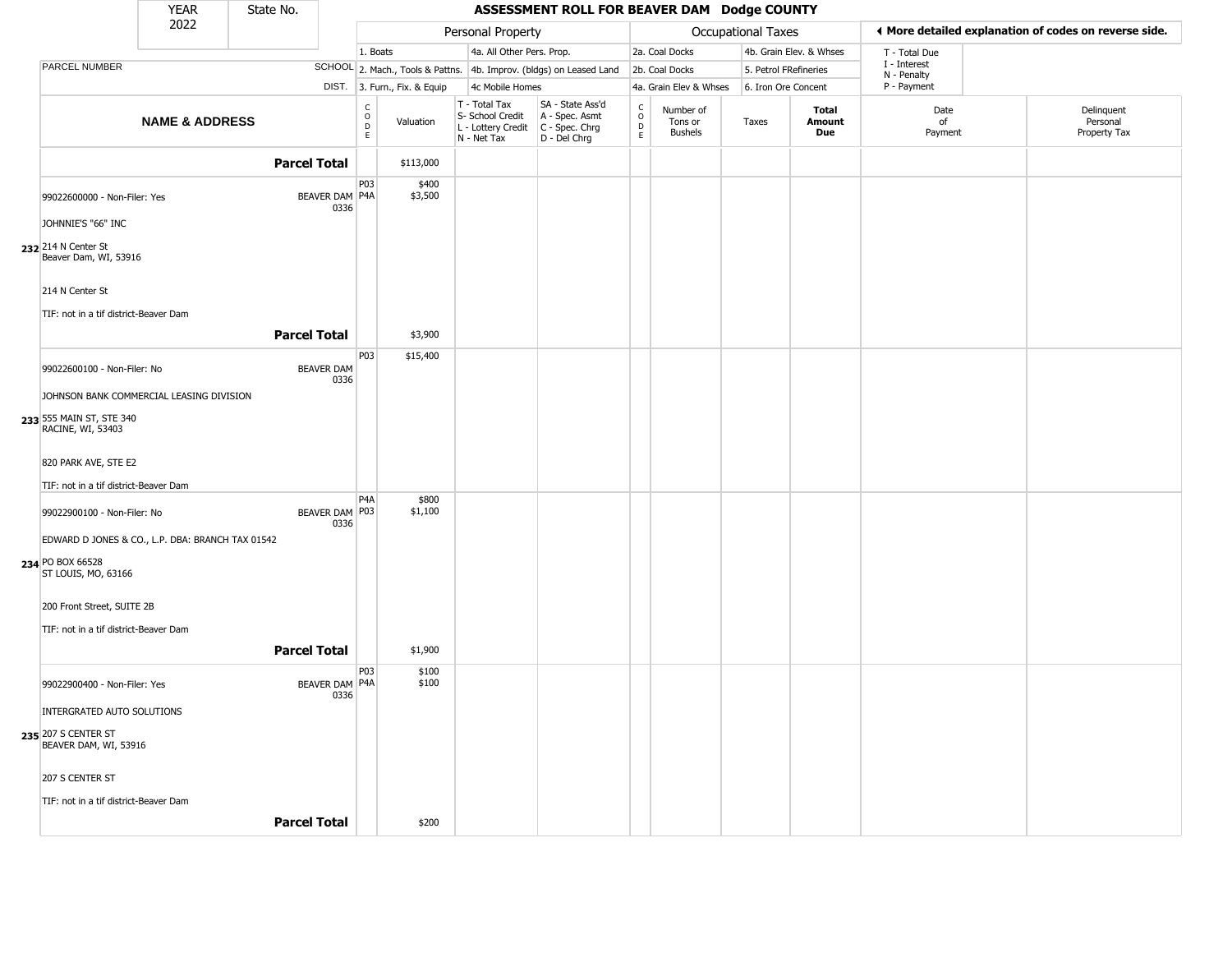|                                                  | <b>YEAR</b>               | State No.           |                               |                                                |                              |                                        | ASSESSMENT ROLL FOR BEAVER DAM Dodge COUNTY                          |                                             |                                        |                    |                         |                             |                                                       |
|--------------------------------------------------|---------------------------|---------------------|-------------------------------|------------------------------------------------|------------------------------|----------------------------------------|----------------------------------------------------------------------|---------------------------------------------|----------------------------------------|--------------------|-------------------------|-----------------------------|-------------------------------------------------------|
|                                                  | 2022                      |                     |                               |                                                | Personal Property            |                                        |                                                                      |                                             |                                        | Occupational Taxes |                         |                             | ◀ More detailed explanation of codes on reverse side. |
|                                                  |                           |                     |                               | 1. Boats                                       |                              | 4a. All Other Pers. Prop.              |                                                                      |                                             | 2a. Coal Docks                         |                    | 4b. Grain Elev. & Whses | T - Total Due               |                                                       |
| PARCEL NUMBER                                    |                           |                     |                               |                                                |                              |                                        | SCHOOL 2. Mach., Tools & Pattns. 4b. Improv. (bldgs) on Leased Land  |                                             | 2b. Coal Docks                         |                    | 5. Petrol FRefineries   | I - Interest<br>N - Penalty |                                                       |
|                                                  |                           |                     |                               | DIST. 3. Furn., Fix. & Equip                   |                              | 4c Mobile Homes                        |                                                                      |                                             | 4a. Grain Elev & Whses                 |                    | 6. Iron Ore Concent     | P - Payment                 |                                                       |
|                                                  | <b>NAME &amp; ADDRESS</b> |                     |                               | $\frac{c}{0}$<br>Valuation<br>$\mathsf D$<br>E | T - Total Tax<br>N - Net Tax | S- School Credit<br>L - Lottery Credit | SA - State Ass'd<br>A - Spec. Asmt<br>C - Spec. Chrg<br>D - Del Chrg | $\frac{c}{0}$<br>$\mathsf D$<br>$\mathsf E$ | Number of<br>Tons or<br><b>Bushels</b> | Taxes              | Total<br>Amount<br>Due  | Date<br>of<br>Payment       | Delinquent<br>Personal<br>Property Tax                |
|                                                  |                           | <b>Parcel Total</b> |                               | \$113,000                                      |                              |                                        |                                                                      |                                             |                                        |                    |                         |                             |                                                       |
| 99022600000 - Non-Filer: Yes                     |                           |                     | <b>BEAVER DAM P4A</b><br>0336 | P <sub>0</sub> 3<br>\$400<br>\$3,500           |                              |                                        |                                                                      |                                             |                                        |                    |                         |                             |                                                       |
| JOHNNIE'S "66" INC                               |                           |                     |                               |                                                |                              |                                        |                                                                      |                                             |                                        |                    |                         |                             |                                                       |
| 232 214 N Center St<br>Beaver Dam, WI, 53916     |                           |                     |                               |                                                |                              |                                        |                                                                      |                                             |                                        |                    |                         |                             |                                                       |
| 214 N Center St                                  |                           |                     |                               |                                                |                              |                                        |                                                                      |                                             |                                        |                    |                         |                             |                                                       |
| TIF: not in a tif district-Beaver Dam            |                           |                     |                               |                                                |                              |                                        |                                                                      |                                             |                                        |                    |                         |                             |                                                       |
|                                                  |                           | <b>Parcel Total</b> |                               | \$3,900                                        |                              |                                        |                                                                      |                                             |                                        |                    |                         |                             |                                                       |
| 99022600100 - Non-Filer: No                      |                           |                     | <b>BEAVER DAM</b><br>0336     | P03<br>\$15,400                                |                              |                                        |                                                                      |                                             |                                        |                    |                         |                             |                                                       |
| JOHNSON BANK COMMERCIAL LEASING DIVISION         |                           |                     |                               |                                                |                              |                                        |                                                                      |                                             |                                        |                    |                         |                             |                                                       |
| 233 555 MAIN ST, STE 340<br>RACINE, WI, 53403    |                           |                     |                               |                                                |                              |                                        |                                                                      |                                             |                                        |                    |                         |                             |                                                       |
| 820 PARK AVE, STE E2                             |                           |                     |                               |                                                |                              |                                        |                                                                      |                                             |                                        |                    |                         |                             |                                                       |
| TIF: not in a tif district-Beaver Dam            |                           |                     |                               |                                                |                              |                                        |                                                                      |                                             |                                        |                    |                         |                             |                                                       |
| 99022900100 - Non-Filer: No                      |                           |                     | BEAVER DAM P03<br>0336        | P4A<br>\$800<br>\$1,100                        |                              |                                        |                                                                      |                                             |                                        |                    |                         |                             |                                                       |
| EDWARD D JONES & CO., L.P. DBA: BRANCH TAX 01542 |                           |                     |                               |                                                |                              |                                        |                                                                      |                                             |                                        |                    |                         |                             |                                                       |
| 234 PO BOX 66528<br>ST LOUIS, MO, 63166          |                           |                     |                               |                                                |                              |                                        |                                                                      |                                             |                                        |                    |                         |                             |                                                       |
| 200 Front Street, SUITE 2B                       |                           |                     |                               |                                                |                              |                                        |                                                                      |                                             |                                        |                    |                         |                             |                                                       |
| TIF: not in a tif district-Beaver Dam            |                           |                     |                               |                                                |                              |                                        |                                                                      |                                             |                                        |                    |                         |                             |                                                       |
|                                                  |                           | <b>Parcel Total</b> |                               | \$1,900                                        |                              |                                        |                                                                      |                                             |                                        |                    |                         |                             |                                                       |
| 99022900400 - Non-Filer: Yes                     |                           |                     | BEAVER DAM P4A                | P <sub>03</sub><br>\$100<br>\$100              |                              |                                        |                                                                      |                                             |                                        |                    |                         |                             |                                                       |
| INTERGRATED AUTO SOLUTIONS                       |                           |                     | 0336                          |                                                |                              |                                        |                                                                      |                                             |                                        |                    |                         |                             |                                                       |
| 235 207 S CENTER ST<br>BEAVER DAM, WI, 53916     |                           |                     |                               |                                                |                              |                                        |                                                                      |                                             |                                        |                    |                         |                             |                                                       |
| 207 S CENTER ST                                  |                           |                     |                               |                                                |                              |                                        |                                                                      |                                             |                                        |                    |                         |                             |                                                       |
| TIF: not in a tif district-Beaver Dam            |                           |                     |                               |                                                |                              |                                        |                                                                      |                                             |                                        |                    |                         |                             |                                                       |
|                                                  |                           | <b>Parcel Total</b> |                               | \$200                                          |                              |                                        |                                                                      |                                             |                                        |                    |                         |                             |                                                       |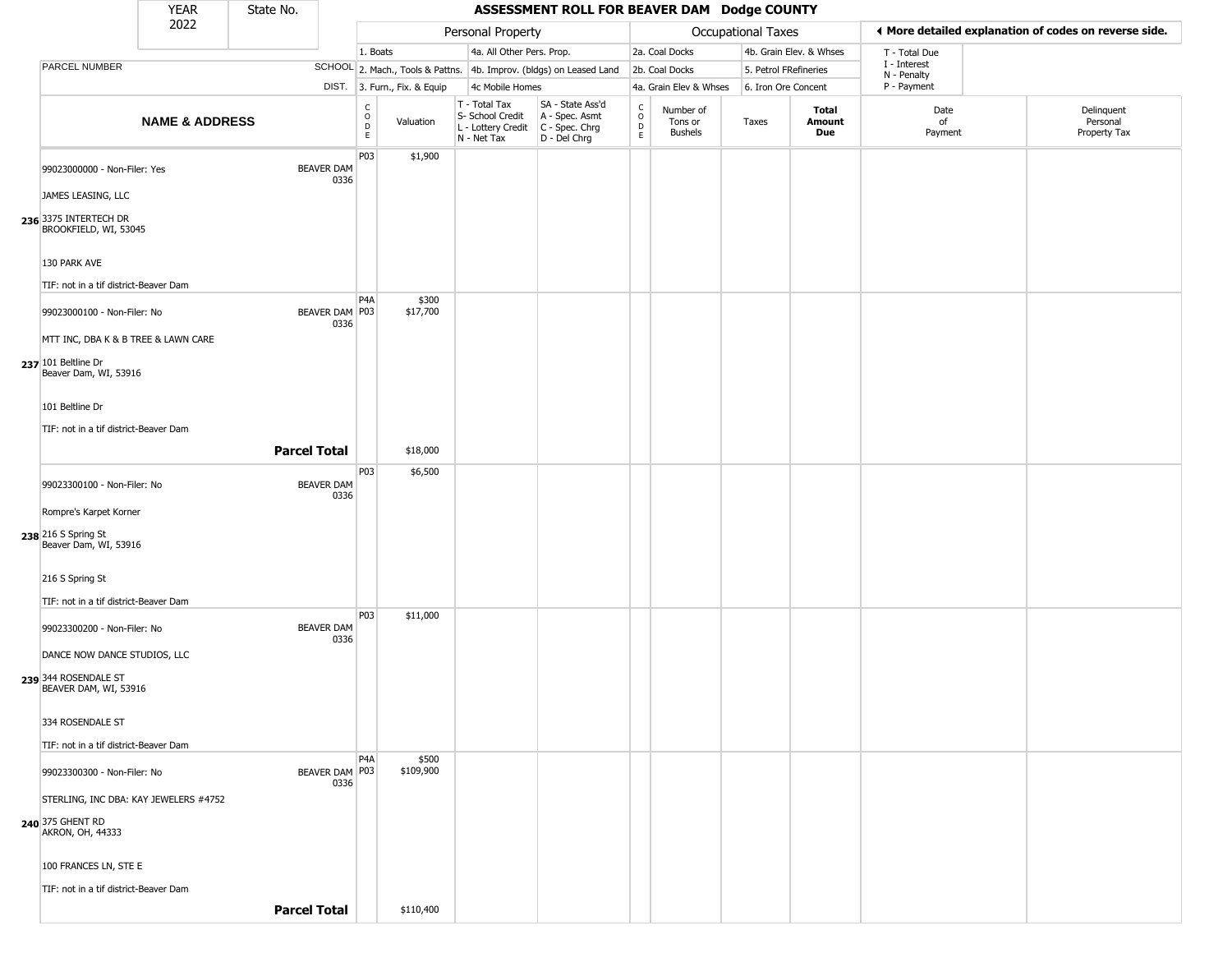|                                                                    | <b>YEAR</b>               | State No. |                           |                                    |                              |                                                                        | ASSESSMENT ROLL FOR BEAVER DAM Dodge COUNTY                          |                                             |                                 |                           |                         |                             |                                                       |
|--------------------------------------------------------------------|---------------------------|-----------|---------------------------|------------------------------------|------------------------------|------------------------------------------------------------------------|----------------------------------------------------------------------|---------------------------------------------|---------------------------------|---------------------------|-------------------------|-----------------------------|-------------------------------------------------------|
|                                                                    | 2022                      |           |                           |                                    |                              | Personal Property                                                      |                                                                      |                                             |                                 | <b>Occupational Taxes</b> |                         |                             | ♦ More detailed explanation of codes on reverse side. |
|                                                                    |                           |           |                           | 1. Boats                           |                              | 4a. All Other Pers. Prop.                                              |                                                                      |                                             | 2a. Coal Docks                  |                           | 4b. Grain Elev. & Whses | T - Total Due               |                                                       |
| PARCEL NUMBER                                                      |                           |           |                           |                                    |                              |                                                                        | SCHOOL 2. Mach., Tools & Pattns. 4b. Improv. (bldgs) on Leased Land  |                                             | 2b. Coal Docks                  | 5. Petrol FRefineries     |                         | I - Interest<br>N - Penalty |                                                       |
|                                                                    |                           |           |                           |                                    | DIST. 3. Furn., Fix. & Equip | 4c Mobile Homes                                                        |                                                                      |                                             | 4a. Grain Elev & Whses          | 6. Iron Ore Concent       |                         | P - Payment                 |                                                       |
|                                                                    | <b>NAME &amp; ADDRESS</b> |           |                           | C<br>$\ddot{\mathbf{O}}$<br>D<br>E | Valuation                    | T - Total Tax<br>S- School Credit<br>L - Lottery Credit<br>N - Net Tax | SA - State Ass'd<br>A - Spec. Asmt<br>C - Spec. Chrg<br>D - Del Chrg | $\frac{C}{O}$<br>$\mathsf D$<br>$\mathsf E$ | Number of<br>Tons or<br>Bushels | Taxes                     | Total<br>Amount<br>Due  | Date<br>of<br>Payment       | Delinquent<br>Personal<br>Property Tax                |
| 99023000000 - Non-Filer: Yes<br>JAMES LEASING, LLC                 |                           |           | <b>BEAVER DAM</b><br>0336 | P03                                | \$1,900                      |                                                                        |                                                                      |                                             |                                 |                           |                         |                             |                                                       |
| 236 3375 INTERTECH DR<br>BROOKFIELD, WI, 53045                     |                           |           |                           |                                    |                              |                                                                        |                                                                      |                                             |                                 |                           |                         |                             |                                                       |
| 130 PARK AVE<br>TIF: not in a tif district-Beaver Dam              |                           |           |                           |                                    |                              |                                                                        |                                                                      |                                             |                                 |                           |                         |                             |                                                       |
|                                                                    |                           |           | BEAVER DAM P03            | P <sub>4</sub> A                   | \$300<br>\$17,700            |                                                                        |                                                                      |                                             |                                 |                           |                         |                             |                                                       |
| 99023000100 - Non-Filer: No<br>MTT INC, DBA K & B TREE & LAWN CARE |                           |           | 0336                      |                                    |                              |                                                                        |                                                                      |                                             |                                 |                           |                         |                             |                                                       |
| $237$ 101 Beltline Dr<br>Beaver Dam, WI, 53916                     |                           |           |                           |                                    |                              |                                                                        |                                                                      |                                             |                                 |                           |                         |                             |                                                       |
| 101 Beltline Dr                                                    |                           |           |                           |                                    |                              |                                                                        |                                                                      |                                             |                                 |                           |                         |                             |                                                       |
| TIF: not in a tif district-Beaver Dam                              |                           |           |                           |                                    |                              |                                                                        |                                                                      |                                             |                                 |                           |                         |                             |                                                       |
|                                                                    |                           |           | <b>Parcel Total</b>       |                                    | \$18,000                     |                                                                        |                                                                      |                                             |                                 |                           |                         |                             |                                                       |
| 99023300100 - Non-Filer: No                                        |                           |           | <b>BEAVER DAM</b><br>0336 | P03                                | \$6,500                      |                                                                        |                                                                      |                                             |                                 |                           |                         |                             |                                                       |
| Rompre's Karpet Korner                                             |                           |           |                           |                                    |                              |                                                                        |                                                                      |                                             |                                 |                           |                         |                             |                                                       |
| 238 216 S Spring St<br>Beaver Dam, WI, 53916                       |                           |           |                           |                                    |                              |                                                                        |                                                                      |                                             |                                 |                           |                         |                             |                                                       |
| 216 S Spring St<br>TIF: not in a tif district-Beaver Dam           |                           |           |                           |                                    |                              |                                                                        |                                                                      |                                             |                                 |                           |                         |                             |                                                       |
|                                                                    |                           |           |                           | P <sub>0</sub> 3                   | \$11,000                     |                                                                        |                                                                      |                                             |                                 |                           |                         |                             |                                                       |
| 99023300200 - Non-Filer: No<br>DANCE NOW DANCE STUDIOS, LLC        |                           |           | <b>BEAVER DAM</b><br>0336 |                                    |                              |                                                                        |                                                                      |                                             |                                 |                           |                         |                             |                                                       |
| 239 344 ROSENDALE ST<br>BEAVER DAM, WI, 53916                      |                           |           |                           |                                    |                              |                                                                        |                                                                      |                                             |                                 |                           |                         |                             |                                                       |
| 334 ROSENDALE ST                                                   |                           |           |                           |                                    |                              |                                                                        |                                                                      |                                             |                                 |                           |                         |                             |                                                       |
| TIF: not in a tif district-Beaver Dam                              |                           |           |                           | P <sub>4</sub> A                   | \$500                        |                                                                        |                                                                      |                                             |                                 |                           |                         |                             |                                                       |
| 99023300300 - Non-Filer: No                                        |                           |           | BEAVER DAM P03<br>0336    |                                    | \$109,900                    |                                                                        |                                                                      |                                             |                                 |                           |                         |                             |                                                       |
| STERLING, INC DBA: KAY JEWELERS #4752                              |                           |           |                           |                                    |                              |                                                                        |                                                                      |                                             |                                 |                           |                         |                             |                                                       |
| 240 375 GHENT RD<br>AKRON, OH, 44333                               |                           |           |                           |                                    |                              |                                                                        |                                                                      |                                             |                                 |                           |                         |                             |                                                       |
| 100 FRANCES LN, STE E                                              |                           |           |                           |                                    |                              |                                                                        |                                                                      |                                             |                                 |                           |                         |                             |                                                       |
| TIF: not in a tif district-Beaver Dam                              |                           |           |                           |                                    |                              |                                                                        |                                                                      |                                             |                                 |                           |                         |                             |                                                       |
|                                                                    |                           |           | <b>Parcel Total</b>       |                                    | \$110,400                    |                                                                        |                                                                      |                                             |                                 |                           |                         |                             |                                                       |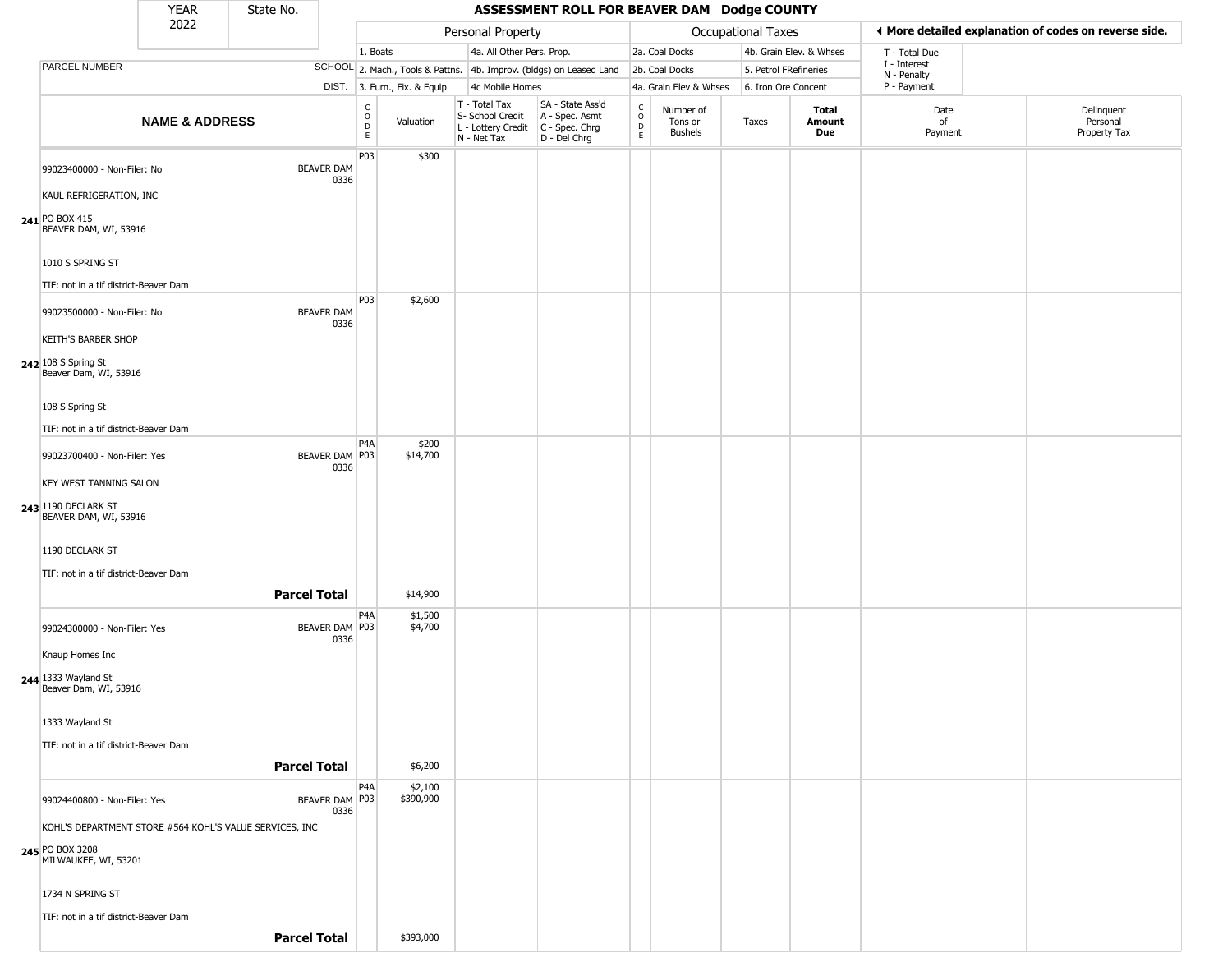|                                                                                                    | YEAR                      | State No.           |                           |                                                 |                              |                                                                        | ASSESSMENT ROLL FOR BEAVER DAM Dodge COUNTY                            |                                            |                                        |       |                         |                             |                                                       |
|----------------------------------------------------------------------------------------------------|---------------------------|---------------------|---------------------------|-------------------------------------------------|------------------------------|------------------------------------------------------------------------|------------------------------------------------------------------------|--------------------------------------------|----------------------------------------|-------|-------------------------|-----------------------------|-------------------------------------------------------|
|                                                                                                    | 2022                      |                     |                           |                                                 |                              | Personal Property                                                      |                                                                        |                                            | <b>Occupational Taxes</b>              |       |                         |                             | ♦ More detailed explanation of codes on reverse side. |
|                                                                                                    |                           |                     |                           | 1. Boats                                        |                              | 4a. All Other Pers. Prop.                                              |                                                                        |                                            | 2a. Coal Docks                         |       | 4b. Grain Elev. & Whses | T - Total Due               |                                                       |
| PARCEL NUMBER                                                                                      |                           |                     |                           |                                                 |                              |                                                                        | SCHOOL 2. Mach., Tools & Pattns. 4b. Improv. (bldgs) on Leased Land    |                                            | 2b. Coal Docks                         |       | 5. Petrol FRefineries   | I - Interest<br>N - Penalty |                                                       |
|                                                                                                    |                           |                     |                           |                                                 | DIST. 3. Furn., Fix. & Equip | 4c Mobile Homes                                                        |                                                                        |                                            | 4a. Grain Elev & Whses                 |       | 6. Iron Ore Concent     | P - Payment                 |                                                       |
|                                                                                                    | <b>NAME &amp; ADDRESS</b> |                     |                           | $\begin{array}{c} C \\ O \\ D \\ E \end{array}$ | Valuation                    | T - Total Tax<br>S- School Credit<br>L - Lottery Credit<br>N - Net Tax | SA - State Ass'd<br>A - Spec. Asmt<br>$C - Spec. Chrg$<br>D - Del Chrg | $\begin{array}{c} C \\ 0 \\ E \end{array}$ | Number of<br>Tons or<br><b>Bushels</b> | Taxes | Total<br>Amount<br>Due  | Date<br>of<br>Payment       | Delinquent<br>Personal<br>Property Tax                |
| 99023400000 - Non-Filer: No<br>KAUL REFRIGERATION, INC                                             |                           |                     | <b>BEAVER DAM</b><br>0336 | P03                                             | \$300                        |                                                                        |                                                                        |                                            |                                        |       |                         |                             |                                                       |
| 241 PO BOX 415<br>BEAVER DAM, WI, 53916                                                            |                           |                     |                           |                                                 |                              |                                                                        |                                                                        |                                            |                                        |       |                         |                             |                                                       |
| 1010 S SPRING ST                                                                                   |                           |                     |                           |                                                 |                              |                                                                        |                                                                        |                                            |                                        |       |                         |                             |                                                       |
| TIF: not in a tif district-Beaver Dam<br>99023500000 - Non-Filer: No<br><b>KEITH'S BARBER SHOP</b> |                           |                     | <b>BEAVER DAM</b><br>0336 | P03                                             | \$2,600                      |                                                                        |                                                                        |                                            |                                        |       |                         |                             |                                                       |
| 242 108 S Spring St<br>Beaver Dam, WI, 53916                                                       |                           |                     |                           |                                                 |                              |                                                                        |                                                                        |                                            |                                        |       |                         |                             |                                                       |
| 108 S Spring St<br>TIF: not in a tif district-Beaver Dam                                           |                           |                     |                           |                                                 |                              |                                                                        |                                                                        |                                            |                                        |       |                         |                             |                                                       |
| 99023700400 - Non-Filer: Yes                                                                       |                           |                     | BEAVER DAM   P03<br>0336  | P <sub>4</sub> A                                | \$200<br>\$14,700            |                                                                        |                                                                        |                                            |                                        |       |                         |                             |                                                       |
| KEY WEST TANNING SALON                                                                             |                           |                     |                           |                                                 |                              |                                                                        |                                                                        |                                            |                                        |       |                         |                             |                                                       |
| 243 1190 DECLARK ST<br>BEAVER DAM, WI, 53916                                                       |                           |                     |                           |                                                 |                              |                                                                        |                                                                        |                                            |                                        |       |                         |                             |                                                       |
| 1190 DECLARK ST<br>TIF: not in a tif district-Beaver Dam                                           |                           |                     |                           |                                                 |                              |                                                                        |                                                                        |                                            |                                        |       |                         |                             |                                                       |
|                                                                                                    |                           | <b>Parcel Total</b> |                           |                                                 | \$14,900                     |                                                                        |                                                                        |                                            |                                        |       |                         |                             |                                                       |
| 99024300000 - Non-Filer: Yes<br>Knaup Homes Inc                                                    |                           |                     | BEAVER DAM P03<br>0336    | P4A                                             | \$1,500<br>\$4,700           |                                                                        |                                                                        |                                            |                                        |       |                         |                             |                                                       |
| 244 1333 Wayland St<br>Beaver Dam, WI, 53916                                                       |                           |                     |                           |                                                 |                              |                                                                        |                                                                        |                                            |                                        |       |                         |                             |                                                       |
| 1333 Wayland St<br>TIF: not in a tif district-Beaver Dam                                           |                           |                     |                           |                                                 |                              |                                                                        |                                                                        |                                            |                                        |       |                         |                             |                                                       |
|                                                                                                    |                           | <b>Parcel Total</b> |                           |                                                 | \$6,200                      |                                                                        |                                                                        |                                            |                                        |       |                         |                             |                                                       |
| 99024400800 - Non-Filer: Yes                                                                       |                           |                     | BEAVER DAM P03<br>0336    | P4A                                             | \$2,100<br>\$390,900         |                                                                        |                                                                        |                                            |                                        |       |                         |                             |                                                       |
| KOHL'S DEPARTMENT STORE #564 KOHL'S VALUE SERVICES, INC<br>245 PO BOX 3208<br>MILWAUKEE, WI, 53201 |                           |                     |                           |                                                 |                              |                                                                        |                                                                        |                                            |                                        |       |                         |                             |                                                       |
| 1734 N SPRING ST                                                                                   |                           |                     |                           |                                                 |                              |                                                                        |                                                                        |                                            |                                        |       |                         |                             |                                                       |
| TIF: not in a tif district-Beaver Dam                                                              |                           | <b>Parcel Total</b> |                           |                                                 | \$393,000                    |                                                                        |                                                                        |                                            |                                        |       |                         |                             |                                                       |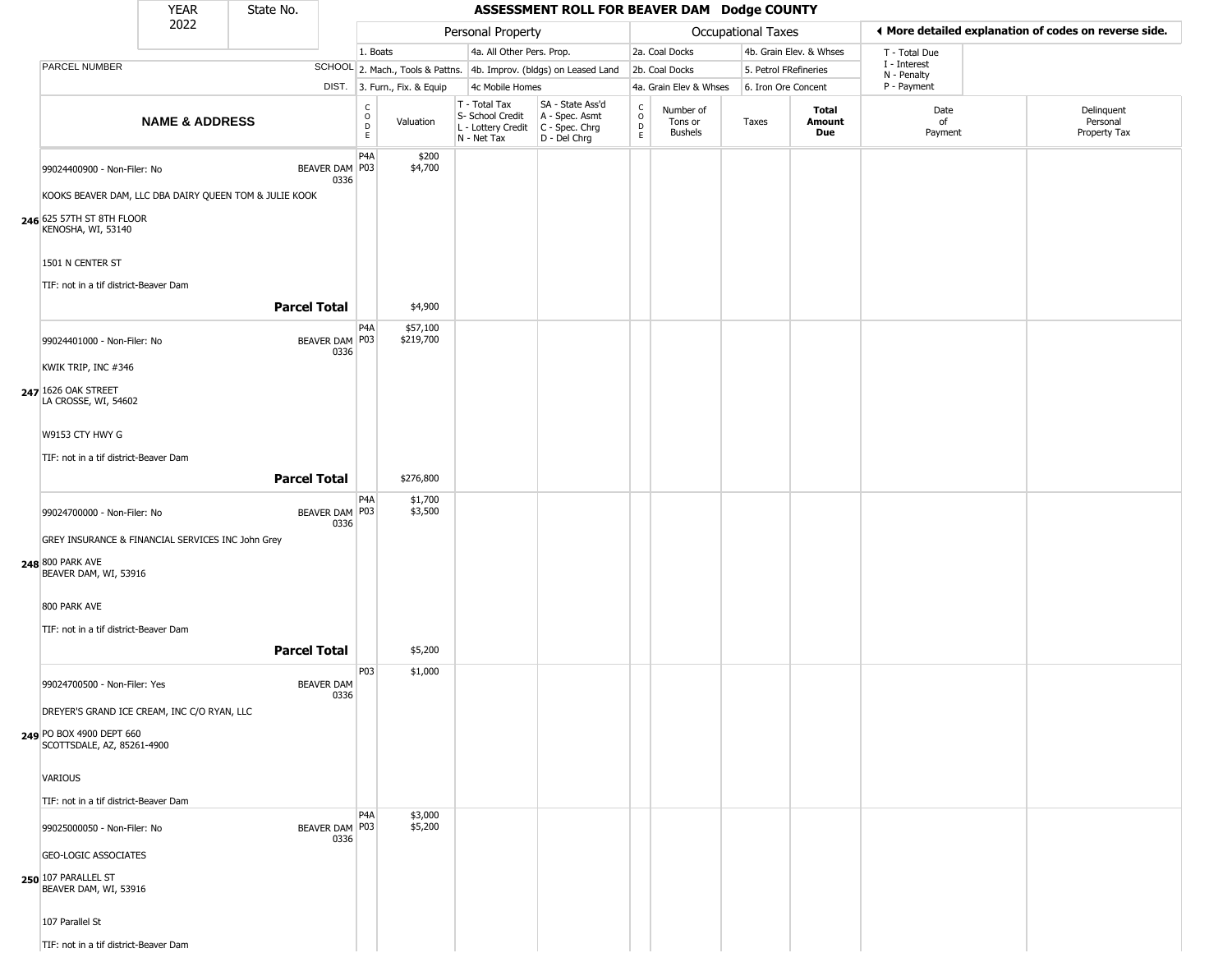|                                                           | <b>YEAR</b>               | State No.           |                           |                                          |                              |                                                                                         | ASSESSMENT ROLL FOR BEAVER DAM Dodge COUNTY                         |                         |                                        |                           |                         |                             |                                                       |
|-----------------------------------------------------------|---------------------------|---------------------|---------------------------|------------------------------------------|------------------------------|-----------------------------------------------------------------------------------------|---------------------------------------------------------------------|-------------------------|----------------------------------------|---------------------------|-------------------------|-----------------------------|-------------------------------------------------------|
|                                                           | 2022                      |                     |                           |                                          |                              | Personal Property                                                                       |                                                                     |                         |                                        | <b>Occupational Taxes</b> |                         |                             | ◀ More detailed explanation of codes on reverse side. |
|                                                           |                           |                     |                           | 1. Boats                                 |                              | 4a. All Other Pers. Prop.                                                               |                                                                     |                         | 2a. Coal Docks                         |                           | 4b. Grain Elev. & Whses | T - Total Due               |                                                       |
| PARCEL NUMBER                                             |                           |                     |                           |                                          |                              |                                                                                         | SCHOOL 2. Mach., Tools & Pattns. 4b. Improv. (bldgs) on Leased Land |                         | 2b. Coal Docks                         | 5. Petrol FRefineries     |                         | I - Interest<br>N - Penalty |                                                       |
|                                                           |                           |                     |                           |                                          | DIST. 3. Furn., Fix. & Equip | 4c Mobile Homes                                                                         |                                                                     |                         | 4a. Grain Elev & Whses                 | 6. Iron Ore Concent       |                         | P - Payment                 |                                                       |
|                                                           | <b>NAME &amp; ADDRESS</b> |                     |                           | $\rm _o^C$<br>$\mathsf D$<br>$\mathsf E$ | Valuation                    | $T - Total Tax$<br>S- School Credit<br>L - Lottery Credit C - Spec. Chrg<br>N - Net Tax | SA - State Ass'd<br>A - Spec. Asmt<br>D - Del Chrg                  | $\frac{c}{0}$<br>D<br>E | Number of<br>Tons or<br><b>Bushels</b> | Taxes                     | Total<br>Amount<br>Due  | Date<br>of<br>Payment       | Delinquent<br>Personal<br>Property Tax                |
| 99024400900 - Non-Filer: No                               |                           |                     | BEAVER DAM   P03<br>0336  | P <sub>4</sub> A                         | \$200<br>\$4,700             |                                                                                         |                                                                     |                         |                                        |                           |                         |                             |                                                       |
| KOOKS BEAVER DAM, LLC DBA DAIRY QUEEN TOM & JULIE KOOK    |                           |                     |                           |                                          |                              |                                                                                         |                                                                     |                         |                                        |                           |                         |                             |                                                       |
| 246 625 57TH ST 8TH FLOOR<br>KENOSHA, WI, 53140           |                           |                     |                           |                                          |                              |                                                                                         |                                                                     |                         |                                        |                           |                         |                             |                                                       |
| 1501 N CENTER ST<br>TIF: not in a tif district-Beaver Dam |                           |                     |                           |                                          |                              |                                                                                         |                                                                     |                         |                                        |                           |                         |                             |                                                       |
|                                                           |                           | <b>Parcel Total</b> |                           |                                          | \$4,900                      |                                                                                         |                                                                     |                         |                                        |                           |                         |                             |                                                       |
| 99024401000 - Non-Filer: No                               |                           |                     | BEAVER DAM P03<br>0336    | P <sub>4</sub> A                         | \$57,100<br>\$219,700        |                                                                                         |                                                                     |                         |                                        |                           |                         |                             |                                                       |
| KWIK TRIP, INC #346                                       |                           |                     |                           |                                          |                              |                                                                                         |                                                                     |                         |                                        |                           |                         |                             |                                                       |
| 247 1626 OAK STREET<br>LA CROSSE, WI, 54602               |                           |                     |                           |                                          |                              |                                                                                         |                                                                     |                         |                                        |                           |                         |                             |                                                       |
| W9153 CTY HWY G                                           |                           |                     |                           |                                          |                              |                                                                                         |                                                                     |                         |                                        |                           |                         |                             |                                                       |
| TIF: not in a tif district-Beaver Dam                     |                           |                     |                           |                                          |                              |                                                                                         |                                                                     |                         |                                        |                           |                         |                             |                                                       |
|                                                           |                           | <b>Parcel Total</b> |                           |                                          | \$276,800                    |                                                                                         |                                                                     |                         |                                        |                           |                         |                             |                                                       |
| 99024700000 - Non-Filer: No                               |                           |                     | BEAVER DAM P03<br>0336    | P <sub>4</sub> A                         | \$1,700<br>\$3,500           |                                                                                         |                                                                     |                         |                                        |                           |                         |                             |                                                       |
| GREY INSURANCE & FINANCIAL SERVICES INC John Grey         |                           |                     |                           |                                          |                              |                                                                                         |                                                                     |                         |                                        |                           |                         |                             |                                                       |
| 248 800 PARK AVE<br>BEAVER DAM, WI, 53916                 |                           |                     |                           |                                          |                              |                                                                                         |                                                                     |                         |                                        |                           |                         |                             |                                                       |
| 800 PARK AVE                                              |                           |                     |                           |                                          |                              |                                                                                         |                                                                     |                         |                                        |                           |                         |                             |                                                       |
| TIF: not in a tif district-Beaver Dam                     |                           |                     |                           |                                          |                              |                                                                                         |                                                                     |                         |                                        |                           |                         |                             |                                                       |
|                                                           |                           | <b>Parcel Total</b> |                           |                                          | \$5,200                      |                                                                                         |                                                                     |                         |                                        |                           |                         |                             |                                                       |
| 99024700500 - Non-Filer: Yes                              |                           |                     | <b>BEAVER DAM</b><br>0336 | P03                                      | \$1,000                      |                                                                                         |                                                                     |                         |                                        |                           |                         |                             |                                                       |
| DREYER'S GRAND ICE CREAM, INC C/O RYAN, LLC               |                           |                     |                           |                                          |                              |                                                                                         |                                                                     |                         |                                        |                           |                         |                             |                                                       |
| 249 PO BOX 4900 DEPT 660<br>SCOTTSDALE, AZ, 85261-4900    |                           |                     |                           |                                          |                              |                                                                                         |                                                                     |                         |                                        |                           |                         |                             |                                                       |
| VARIOUS                                                   |                           |                     |                           |                                          |                              |                                                                                         |                                                                     |                         |                                        |                           |                         |                             |                                                       |
| TIF: not in a tif district-Beaver Dam                     |                           |                     |                           |                                          |                              |                                                                                         |                                                                     |                         |                                        |                           |                         |                             |                                                       |
| 99025000050 - Non-Filer: No                               |                           |                     | BEAVER DAM P03<br>0336    | P <sub>4</sub> A                         | \$3,000<br>\$5,200           |                                                                                         |                                                                     |                         |                                        |                           |                         |                             |                                                       |
| <b>GEO-LOGIC ASSOCIATES</b>                               |                           |                     |                           |                                          |                              |                                                                                         |                                                                     |                         |                                        |                           |                         |                             |                                                       |
| 250 107 PARALLEL ST<br>BEAVER DAM, WI, 53916              |                           |                     |                           |                                          |                              |                                                                                         |                                                                     |                         |                                        |                           |                         |                             |                                                       |
| 107 Parallel St                                           |                           |                     |                           |                                          |                              |                                                                                         |                                                                     |                         |                                        |                           |                         |                             |                                                       |
| TIF: not in a tif district-Beaver Dam                     |                           |                     |                           |                                          |                              |                                                                                         |                                                                     |                         |                                        |                           |                         |                             |                                                       |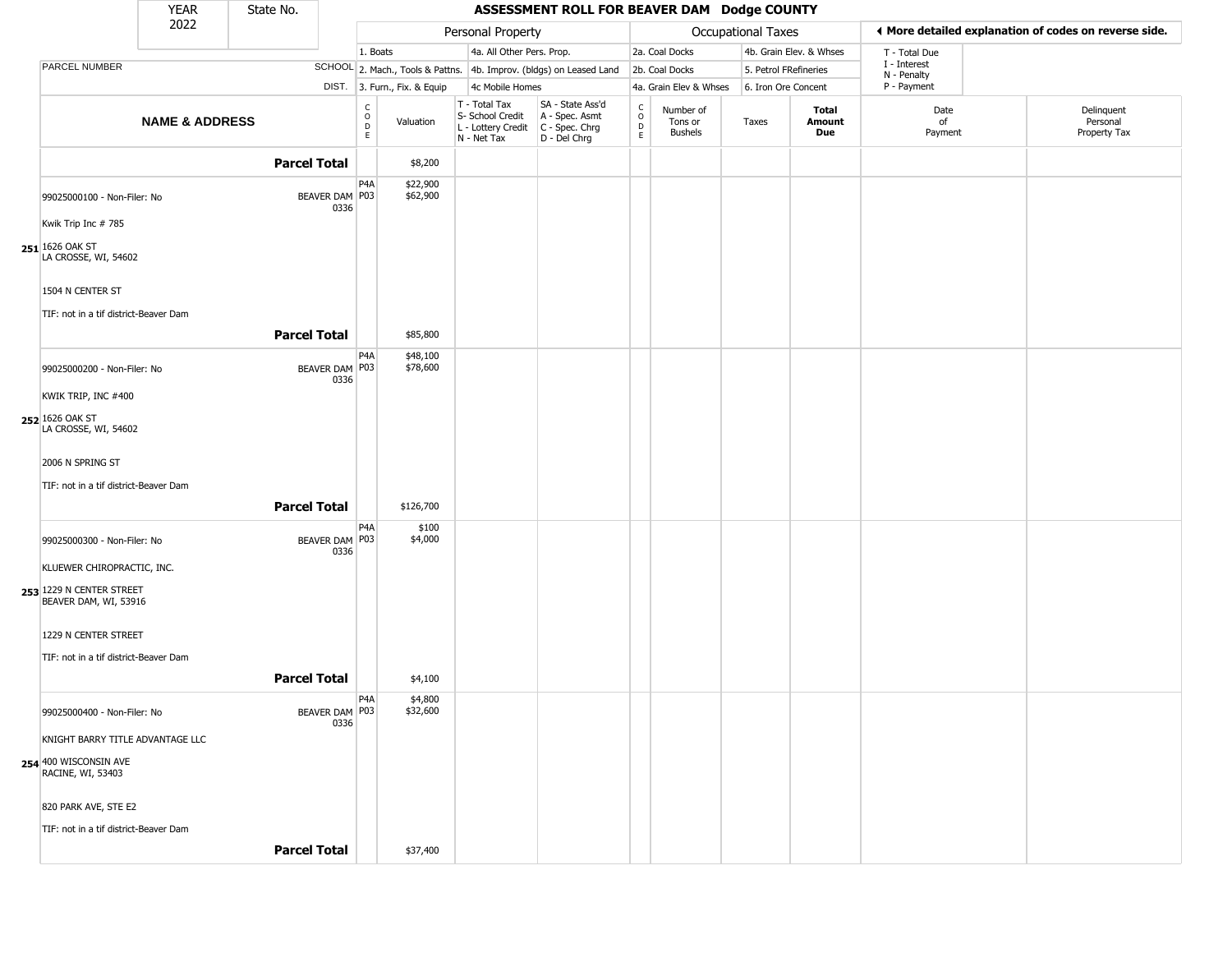|                                                             | <b>YEAR</b>               | State No.           |                        |                                        |                              |                                                                        | ASSESSMENT ROLL FOR BEAVER DAM Dodge COUNTY                          |                                                   |                                 |                           |                         |                             |                                                       |
|-------------------------------------------------------------|---------------------------|---------------------|------------------------|----------------------------------------|------------------------------|------------------------------------------------------------------------|----------------------------------------------------------------------|---------------------------------------------------|---------------------------------|---------------------------|-------------------------|-----------------------------|-------------------------------------------------------|
|                                                             | 2022                      |                     |                        |                                        |                              | Personal Property                                                      |                                                                      |                                                   |                                 | <b>Occupational Taxes</b> |                         |                             | ◀ More detailed explanation of codes on reverse side. |
|                                                             |                           |                     |                        | 1. Boats                               |                              | 4a. All Other Pers. Prop.                                              |                                                                      |                                                   | 2a. Coal Docks                  |                           | 4b. Grain Elev. & Whses | T - Total Due               |                                                       |
| PARCEL NUMBER                                               |                           |                     |                        |                                        |                              |                                                                        | SCHOOL 2. Mach., Tools & Pattns. 4b. Improv. (bldgs) on Leased Land  |                                                   | 2b. Coal Docks                  | 5. Petrol FRefineries     |                         | I - Interest<br>N - Penalty |                                                       |
|                                                             |                           |                     |                        |                                        | DIST. 3. Furn., Fix. & Equip | 4c Mobile Homes                                                        |                                                                      |                                                   | 4a. Grain Elev & Whses          | 6. Iron Ore Concent       |                         | P - Payment                 |                                                       |
|                                                             | <b>NAME &amp; ADDRESS</b> |                     |                        | C<br>$_{\rm D}^{\rm O}$<br>$\mathsf E$ | Valuation                    | T - Total Tax<br>S- School Credit<br>L - Lottery Credit<br>N - Net Tax | SA - State Ass'd<br>A - Spec. Asmt<br>C - Spec. Chrg<br>D - Del Chrg | $\begin{array}{c}\nC \\ O \\ D \\ E\n\end{array}$ | Number of<br>Tons or<br>Bushels | Taxes                     | Total<br>Amount<br>Due  | Date<br>of<br>Payment       | Delinquent<br>Personal<br>Property Tax                |
|                                                             |                           | <b>Parcel Total</b> |                        |                                        | \$8,200                      |                                                                        |                                                                      |                                                   |                                 |                           |                         |                             |                                                       |
| 99025000100 - Non-Filer: No<br>Kwik Trip Inc # 785          |                           |                     | BEAVER DAM P03<br>0336 | P <sub>4</sub> A                       | \$22,900<br>\$62,900         |                                                                        |                                                                      |                                                   |                                 |                           |                         |                             |                                                       |
| 251 1626 OAK ST<br>LA CROSSE, WI, 54602<br>1504 N CENTER ST |                           |                     |                        |                                        |                              |                                                                        |                                                                      |                                                   |                                 |                           |                         |                             |                                                       |
|                                                             |                           |                     |                        |                                        |                              |                                                                        |                                                                      |                                                   |                                 |                           |                         |                             |                                                       |
| TIF: not in a tif district-Beaver Dam                       |                           | <b>Parcel Total</b> |                        |                                        | \$85,800                     |                                                                        |                                                                      |                                                   |                                 |                           |                         |                             |                                                       |
|                                                             |                           |                     |                        | P <sub>4</sub> A                       | \$48,100                     |                                                                        |                                                                      |                                                   |                                 |                           |                         |                             |                                                       |
| 99025000200 - Non-Filer: No                                 |                           |                     | BEAVER DAM P03<br>0336 |                                        | \$78,600                     |                                                                        |                                                                      |                                                   |                                 |                           |                         |                             |                                                       |
| KWIK TRIP, INC #400                                         |                           |                     |                        |                                        |                              |                                                                        |                                                                      |                                                   |                                 |                           |                         |                             |                                                       |
| 252 1626 OAK ST<br>LA CROSSE, WI, 54602                     |                           |                     |                        |                                        |                              |                                                                        |                                                                      |                                                   |                                 |                           |                         |                             |                                                       |
| 2006 N SPRING ST                                            |                           |                     |                        |                                        |                              |                                                                        |                                                                      |                                                   |                                 |                           |                         |                             |                                                       |
| TIF: not in a tif district-Beaver Dam                       |                           |                     |                        |                                        |                              |                                                                        |                                                                      |                                                   |                                 |                           |                         |                             |                                                       |
|                                                             |                           | <b>Parcel Total</b> |                        |                                        | \$126,700                    |                                                                        |                                                                      |                                                   |                                 |                           |                         |                             |                                                       |
|                                                             |                           |                     |                        | P <sub>4</sub> A                       | \$100                        |                                                                        |                                                                      |                                                   |                                 |                           |                         |                             |                                                       |
| 99025000300 - Non-Filer: No                                 |                           |                     | BEAVER DAM P03<br>0336 |                                        | \$4,000                      |                                                                        |                                                                      |                                                   |                                 |                           |                         |                             |                                                       |
| KLUEWER CHIROPRACTIC, INC.                                  |                           |                     |                        |                                        |                              |                                                                        |                                                                      |                                                   |                                 |                           |                         |                             |                                                       |
| 253 1229 N CENTER STREET<br>BEAVER DAM, WI, 53916           |                           |                     |                        |                                        |                              |                                                                        |                                                                      |                                                   |                                 |                           |                         |                             |                                                       |
| 1229 N CENTER STREET                                        |                           |                     |                        |                                        |                              |                                                                        |                                                                      |                                                   |                                 |                           |                         |                             |                                                       |
| TIF: not in a tif district-Beaver Dam                       |                           |                     |                        |                                        |                              |                                                                        |                                                                      |                                                   |                                 |                           |                         |                             |                                                       |
|                                                             |                           | <b>Parcel Total</b> |                        |                                        | \$4,100                      |                                                                        |                                                                      |                                                   |                                 |                           |                         |                             |                                                       |
| 99025000400 - Non-Filer: No                                 |                           |                     | BEAVER DAM P03         | P4A                                    | \$4,800<br>\$32,600          |                                                                        |                                                                      |                                                   |                                 |                           |                         |                             |                                                       |
| KNIGHT BARRY TITLE ADVANTAGE LLC                            |                           |                     | 0336                   |                                        |                              |                                                                        |                                                                      |                                                   |                                 |                           |                         |                             |                                                       |
| 254 400 WISCONSIN AVE<br>RACINE, WI, 53403                  |                           |                     |                        |                                        |                              |                                                                        |                                                                      |                                                   |                                 |                           |                         |                             |                                                       |
| 820 PARK AVE, STE E2                                        |                           |                     |                        |                                        |                              |                                                                        |                                                                      |                                                   |                                 |                           |                         |                             |                                                       |
| TIF: not in a tif district-Beaver Dam                       |                           |                     |                        |                                        |                              |                                                                        |                                                                      |                                                   |                                 |                           |                         |                             |                                                       |
|                                                             |                           | <b>Parcel Total</b> |                        |                                        | \$37,400                     |                                                                        |                                                                      |                                                   |                                 |                           |                         |                             |                                                       |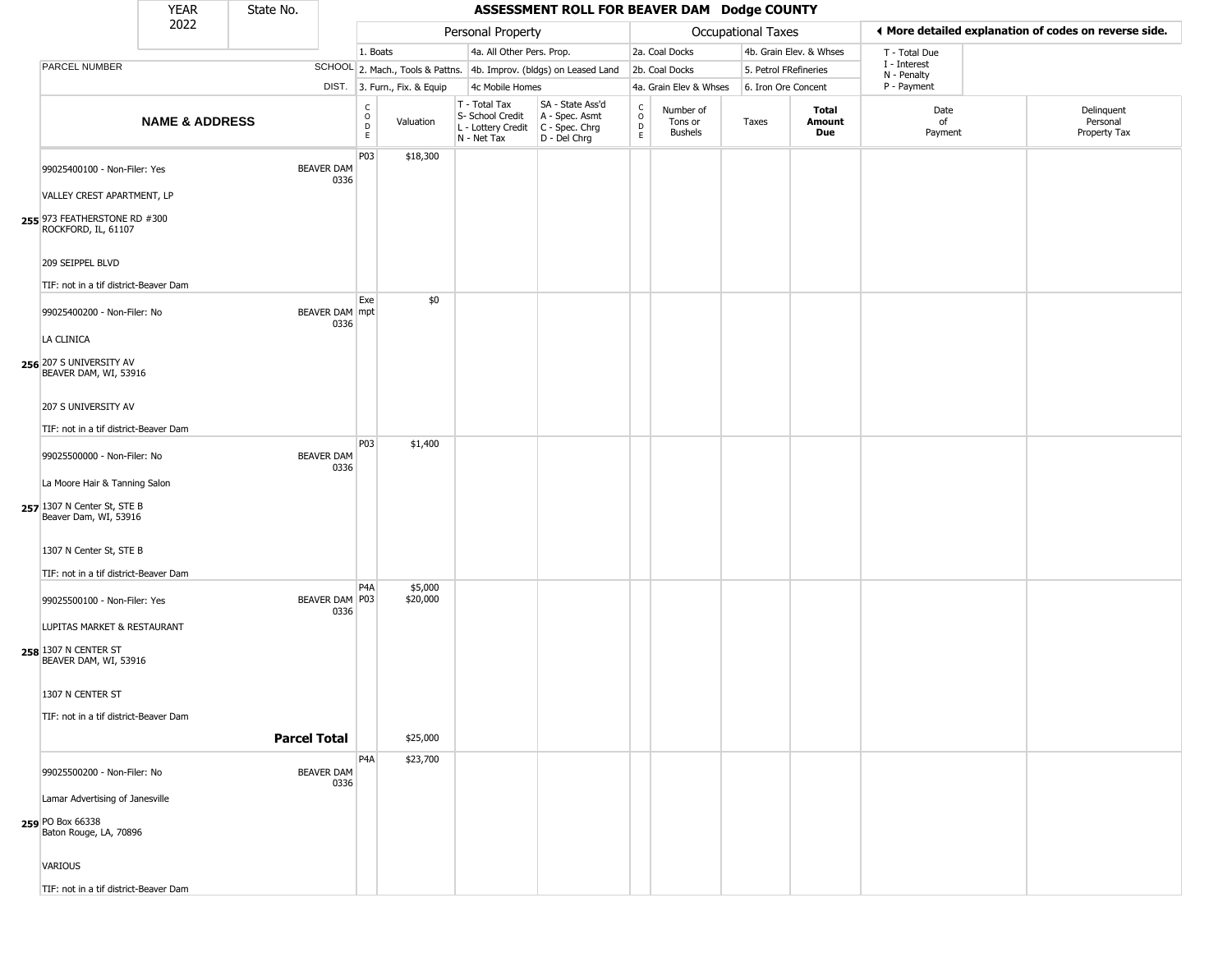|                                                      | <b>YEAR</b>               | State No. |                               |                                                |                              |                                                                        | ASSESSMENT ROLL FOR BEAVER DAM Dodge COUNTY                          |                                |                                        |                       |                         |                             |                                                       |
|------------------------------------------------------|---------------------------|-----------|-------------------------------|------------------------------------------------|------------------------------|------------------------------------------------------------------------|----------------------------------------------------------------------|--------------------------------|----------------------------------------|-----------------------|-------------------------|-----------------------------|-------------------------------------------------------|
|                                                      | 2022                      |           |                               |                                                |                              | Personal Property                                                      |                                                                      |                                |                                        | Occupational Taxes    |                         |                             | ◀ More detailed explanation of codes on reverse side. |
|                                                      |                           |           |                               | 1. Boats                                       |                              | 4a. All Other Pers. Prop.                                              |                                                                      |                                | 2a. Coal Docks                         |                       | 4b. Grain Elev. & Whses | T - Total Due               |                                                       |
| <b>PARCEL NUMBER</b>                                 |                           |           |                               |                                                |                              |                                                                        | SCHOOL 2. Mach., Tools & Pattns. 4b. Improv. (bldgs) on Leased Land  |                                | 2b. Coal Docks                         | 5. Petrol FRefineries |                         | I - Interest<br>N - Penalty |                                                       |
|                                                      |                           |           |                               |                                                | DIST. 3. Furn., Fix. & Equip | 4c Mobile Homes                                                        |                                                                      |                                | 4a. Grain Elev & Whses                 | 6. Iron Ore Concent   |                         | P - Payment                 |                                                       |
|                                                      | <b>NAME &amp; ADDRESS</b> |           |                               | $\begin{matrix} 0 \\ 0 \\ D \end{matrix}$<br>E | Valuation                    | T - Total Tax<br>S- School Credit<br>L - Lottery Credit<br>N - Net Tax | SA - State Ass'd<br>A - Spec. Asmt<br>C - Spec. Chrg<br>D - Del Chrg | $\rm _o^c$<br>D<br>$\mathsf E$ | Number of<br>Tons or<br><b>Bushels</b> | Taxes                 | Total<br>Amount<br>Due  | Date<br>of<br>Payment       | Delinquent<br>Personal<br>Property Tax                |
| 99025400100 - Non-Filer: Yes                         |                           |           | <b>BEAVER DAM</b><br>0336     | P03                                            | \$18,300                     |                                                                        |                                                                      |                                |                                        |                       |                         |                             |                                                       |
| VALLEY CREST APARTMENT, LP                           |                           |           |                               |                                                |                              |                                                                        |                                                                      |                                |                                        |                       |                         |                             |                                                       |
| 255 973 FEATHERSTONE RD #300<br>ROCKFORD, IL, 61107  |                           |           |                               |                                                |                              |                                                                        |                                                                      |                                |                                        |                       |                         |                             |                                                       |
| 209 SEIPPEL BLVD                                     |                           |           |                               |                                                |                              |                                                                        |                                                                      |                                |                                        |                       |                         |                             |                                                       |
| TIF: not in a tif district-Beaver Dam                |                           |           |                               |                                                |                              |                                                                        |                                                                      |                                |                                        |                       |                         |                             |                                                       |
| 99025400200 - Non-Filer: No                          |                           |           | <b>BEAVER DAM mpt</b><br>0336 | Exe                                            | \$0                          |                                                                        |                                                                      |                                |                                        |                       |                         |                             |                                                       |
| LA CLINICA                                           |                           |           |                               |                                                |                              |                                                                        |                                                                      |                                |                                        |                       |                         |                             |                                                       |
| 256 207 S UNIVERSITY AV<br>BEAVER DAM, WI, 53916     |                           |           |                               |                                                |                              |                                                                        |                                                                      |                                |                                        |                       |                         |                             |                                                       |
| 207 S UNIVERSITY AV                                  |                           |           |                               |                                                |                              |                                                                        |                                                                      |                                |                                        |                       |                         |                             |                                                       |
| TIF: not in a tif district-Beaver Dam                |                           |           |                               |                                                |                              |                                                                        |                                                                      |                                |                                        |                       |                         |                             |                                                       |
| 99025500000 - Non-Filer: No                          |                           |           | <b>BEAVER DAM</b><br>0336     | P03                                            | \$1,400                      |                                                                        |                                                                      |                                |                                        |                       |                         |                             |                                                       |
| La Moore Hair & Tanning Salon                        |                           |           |                               |                                                |                              |                                                                        |                                                                      |                                |                                        |                       |                         |                             |                                                       |
| 257 1307 N Center St, STE B<br>Beaver Dam, WI, 53916 |                           |           |                               |                                                |                              |                                                                        |                                                                      |                                |                                        |                       |                         |                             |                                                       |
| 1307 N Center St, STE B                              |                           |           |                               |                                                |                              |                                                                        |                                                                      |                                |                                        |                       |                         |                             |                                                       |
| TIF: not in a tif district-Beaver Dam                |                           |           |                               | P <sub>4</sub> A                               |                              |                                                                        |                                                                      |                                |                                        |                       |                         |                             |                                                       |
| 99025500100 - Non-Filer: Yes                         |                           |           | BEAVER DAM P03<br>0336        |                                                | \$5,000<br>\$20,000          |                                                                        |                                                                      |                                |                                        |                       |                         |                             |                                                       |
| LUPITAS MARKET & RESTAURANT                          |                           |           |                               |                                                |                              |                                                                        |                                                                      |                                |                                        |                       |                         |                             |                                                       |
| 258 1307 N CENTER ST<br>BEAVER DAM, WI, 53916        |                           |           |                               |                                                |                              |                                                                        |                                                                      |                                |                                        |                       |                         |                             |                                                       |
| 1307 N CENTER ST                                     |                           |           |                               |                                                |                              |                                                                        |                                                                      |                                |                                        |                       |                         |                             |                                                       |
| TIF: not in a tif district-Beaver Dam                |                           |           |                               |                                                |                              |                                                                        |                                                                      |                                |                                        |                       |                         |                             |                                                       |
|                                                      |                           |           | <b>Parcel Total</b>           |                                                | \$25,000                     |                                                                        |                                                                      |                                |                                        |                       |                         |                             |                                                       |
| 99025500200 - Non-Filer: No                          |                           |           | <b>BEAVER DAM</b><br>0336     | P4A                                            | \$23,700                     |                                                                        |                                                                      |                                |                                        |                       |                         |                             |                                                       |
| Lamar Advertising of Janesville                      |                           |           |                               |                                                |                              |                                                                        |                                                                      |                                |                                        |                       |                         |                             |                                                       |
| 259 PO Box 66338<br>Baton Rouge, LA, 70896           |                           |           |                               |                                                |                              |                                                                        |                                                                      |                                |                                        |                       |                         |                             |                                                       |
| VARIOUS                                              |                           |           |                               |                                                |                              |                                                                        |                                                                      |                                |                                        |                       |                         |                             |                                                       |
| TIF: not in a tif district-Beaver Dam                |                           |           |                               |                                                |                              |                                                                        |                                                                      |                                |                                        |                       |                         |                             |                                                       |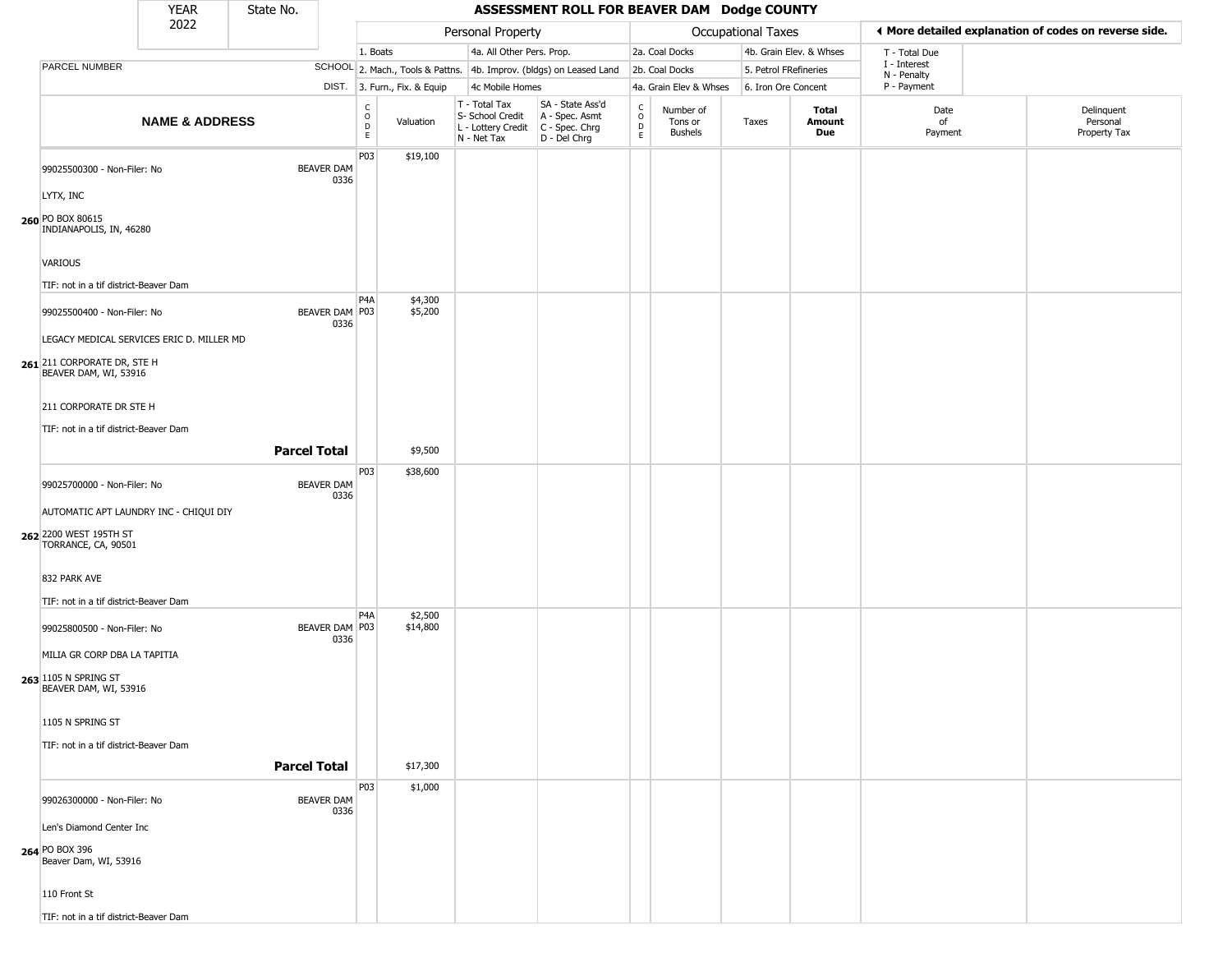|                                                      | <b>YEAR</b>               | State No.           |                           |                                   |                              |                                                                        | ASSESSMENT ROLL FOR BEAVER DAM Dodge COUNTY                            |                                |                                        |                    |                         |                             |                                                       |
|------------------------------------------------------|---------------------------|---------------------|---------------------------|-----------------------------------|------------------------------|------------------------------------------------------------------------|------------------------------------------------------------------------|--------------------------------|----------------------------------------|--------------------|-------------------------|-----------------------------|-------------------------------------------------------|
|                                                      | 2022                      |                     |                           |                                   |                              | Personal Property                                                      |                                                                        |                                |                                        | Occupational Taxes |                         |                             | ◀ More detailed explanation of codes on reverse side. |
|                                                      |                           |                     |                           | 1. Boats                          |                              | 4a. All Other Pers. Prop.                                              |                                                                        |                                | 2a. Coal Docks                         |                    | 4b. Grain Elev. & Whses | T - Total Due               |                                                       |
| PARCEL NUMBER                                        |                           |                     |                           |                                   |                              |                                                                        | SCHOOL 2. Mach., Tools & Pattns. 4b. Improv. (bldgs) on Leased Land    |                                | 2b. Coal Docks                         |                    | 5. Petrol FRefineries   | I - Interest<br>N - Penalty |                                                       |
|                                                      |                           |                     |                           |                                   | DIST. 3. Furn., Fix. & Equip | 4c Mobile Homes                                                        |                                                                        |                                | 4a. Grain Elev & Whses                 |                    | 6. Iron Ore Concent     | P - Payment                 |                                                       |
|                                                      | <b>NAME &amp; ADDRESS</b> |                     |                           | $\mathsf{C}$<br>$\circ$<br>D<br>E | Valuation                    | T - Total Tax<br>S- School Credit<br>L - Lottery Credit<br>N - Net Tax | SA - State Ass'd<br>A - Spec. Asmt<br>$C - Spec. Chrg$<br>D - Del Chrg | $\frac{c}{0}$<br>$\frac{D}{E}$ | Number of<br>Tons or<br><b>Bushels</b> | Taxes              | Total<br>Amount<br>Due  | Date<br>of<br>Payment       | Delinquent<br>Personal<br>Property Tax                |
| 99025500300 - Non-Filer: No                          |                           |                     | <b>BEAVER DAM</b><br>0336 | P <sub>0</sub> 3                  | \$19,100                     |                                                                        |                                                                        |                                |                                        |                    |                         |                             |                                                       |
| LYTX, INC                                            |                           |                     |                           |                                   |                              |                                                                        |                                                                        |                                |                                        |                    |                         |                             |                                                       |
| 260 PO BOX 80615<br>INDIANAPOLIS, IN, 46280          |                           |                     |                           |                                   |                              |                                                                        |                                                                        |                                |                                        |                    |                         |                             |                                                       |
| VARIOUS                                              |                           |                     |                           |                                   |                              |                                                                        |                                                                        |                                |                                        |                    |                         |                             |                                                       |
| TIF: not in a tif district-Beaver Dam                |                           |                     |                           |                                   |                              |                                                                        |                                                                        |                                |                                        |                    |                         |                             |                                                       |
| 99025500400 - Non-Filer: No                          |                           |                     | BEAVER DAM P03<br>0336    | P <sub>4</sub> A                  | \$4,300<br>\$5,200           |                                                                        |                                                                        |                                |                                        |                    |                         |                             |                                                       |
| LEGACY MEDICAL SERVICES ERIC D. MILLER MD            |                           |                     |                           |                                   |                              |                                                                        |                                                                        |                                |                                        |                    |                         |                             |                                                       |
| 261 211 CORPORATE DR, STE H<br>BEAVER DAM, WI, 53916 |                           |                     |                           |                                   |                              |                                                                        |                                                                        |                                |                                        |                    |                         |                             |                                                       |
| 211 CORPORATE DR STE H                               |                           |                     |                           |                                   |                              |                                                                        |                                                                        |                                |                                        |                    |                         |                             |                                                       |
| TIF: not in a tif district-Beaver Dam                |                           |                     |                           |                                   |                              |                                                                        |                                                                        |                                |                                        |                    |                         |                             |                                                       |
|                                                      |                           | <b>Parcel Total</b> |                           |                                   | \$9,500                      |                                                                        |                                                                        |                                |                                        |                    |                         |                             |                                                       |
|                                                      |                           |                     |                           | P03                               | \$38,600                     |                                                                        |                                                                        |                                |                                        |                    |                         |                             |                                                       |
| 99025700000 - Non-Filer: No                          |                           |                     | <b>BEAVER DAM</b><br>0336 |                                   |                              |                                                                        |                                                                        |                                |                                        |                    |                         |                             |                                                       |
| AUTOMATIC APT LAUNDRY INC - CHIQUI DIY               |                           |                     |                           |                                   |                              |                                                                        |                                                                        |                                |                                        |                    |                         |                             |                                                       |
| 262 2200 WEST 195TH ST<br>TORRANCE, CA, 90501        |                           |                     |                           |                                   |                              |                                                                        |                                                                        |                                |                                        |                    |                         |                             |                                                       |
| 832 PARK AVE                                         |                           |                     |                           |                                   |                              |                                                                        |                                                                        |                                |                                        |                    |                         |                             |                                                       |
| TIF: not in a tif district-Beaver Dam                |                           |                     |                           |                                   |                              |                                                                        |                                                                        |                                |                                        |                    |                         |                             |                                                       |
| 99025800500 - Non-Filer: No                          |                           |                     | BEAVER DAM P03<br>0336    | P <sub>4</sub> A                  | \$2,500<br>\$14,800          |                                                                        |                                                                        |                                |                                        |                    |                         |                             |                                                       |
| MILIA GR CORP DBA LA TAPITIA                         |                           |                     |                           |                                   |                              |                                                                        |                                                                        |                                |                                        |                    |                         |                             |                                                       |
| 263 1105 N SPRING ST<br>BEAVER DAM, WI, 53916        |                           |                     |                           |                                   |                              |                                                                        |                                                                        |                                |                                        |                    |                         |                             |                                                       |
| 1105 N SPRING ST                                     |                           |                     |                           |                                   |                              |                                                                        |                                                                        |                                |                                        |                    |                         |                             |                                                       |
| TIF: not in a tif district-Beaver Dam                |                           |                     |                           |                                   |                              |                                                                        |                                                                        |                                |                                        |                    |                         |                             |                                                       |
|                                                      |                           | <b>Parcel Total</b> |                           |                                   | \$17,300                     |                                                                        |                                                                        |                                |                                        |                    |                         |                             |                                                       |
| 99026300000 - Non-Filer: No                          |                           |                     | <b>BEAVER DAM</b>         | P03                               | \$1,000                      |                                                                        |                                                                        |                                |                                        |                    |                         |                             |                                                       |
| Len's Diamond Center Inc                             |                           |                     | 0336                      |                                   |                              |                                                                        |                                                                        |                                |                                        |                    |                         |                             |                                                       |
| 264 PO BOX 396<br>Beaver Dam, WI, 53916              |                           |                     |                           |                                   |                              |                                                                        |                                                                        |                                |                                        |                    |                         |                             |                                                       |
| 110 Front St                                         |                           |                     |                           |                                   |                              |                                                                        |                                                                        |                                |                                        |                    |                         |                             |                                                       |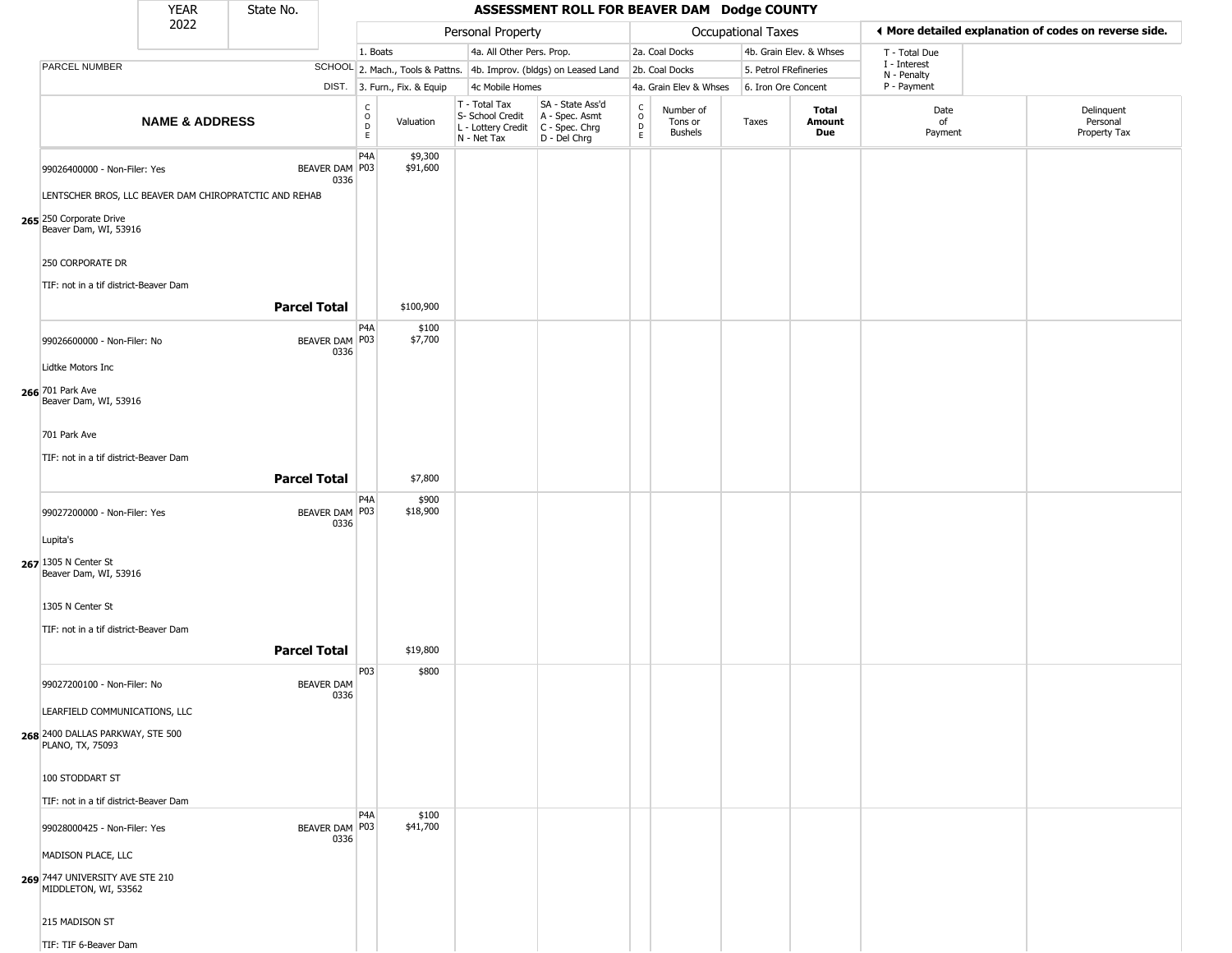|                                                                                  | <b>YEAR</b>               | State No.                                              |                           |                              |                              |                                                                                         | ASSESSMENT ROLL FOR BEAVER DAM Dodge COUNTY                         |                                            |                                 |                       |                         |                                                       |                                        |
|----------------------------------------------------------------------------------|---------------------------|--------------------------------------------------------|---------------------------|------------------------------|------------------------------|-----------------------------------------------------------------------------------------|---------------------------------------------------------------------|--------------------------------------------|---------------------------------|-----------------------|-------------------------|-------------------------------------------------------|----------------------------------------|
|                                                                                  | 2022                      |                                                        |                           |                              |                              | Personal Property                                                                       |                                                                     |                                            |                                 | Occupational Taxes    |                         | ♦ More detailed explanation of codes on reverse side. |                                        |
|                                                                                  |                           |                                                        |                           | 1. Boats                     |                              | 4a. All Other Pers. Prop.                                                               |                                                                     |                                            | 2a. Coal Docks                  |                       | 4b. Grain Elev. & Whses | T - Total Due                                         |                                        |
| PARCEL NUMBER                                                                    |                           |                                                        |                           |                              |                              |                                                                                         | SCHOOL 2. Mach., Tools & Pattns. 4b. Improv. (bldgs) on Leased Land |                                            | 2b. Coal Docks                  | 5. Petrol FRefineries |                         | I - Interest                                          |                                        |
|                                                                                  |                           |                                                        |                           |                              | DIST. 3. Furn., Fix. & Equip | 4c Mobile Homes                                                                         |                                                                     |                                            | 4a. Grain Elev & Whses          | 6. Iron Ore Concent   |                         | N - Penalty<br>P - Payment                            |                                        |
|                                                                                  | <b>NAME &amp; ADDRESS</b> |                                                        |                           | $_{\rm o}^{\rm c}$<br>D<br>E | Valuation                    | T - Total Tax<br>S- School Credit<br>L - Lottery Credit   C - Spec. Chrg<br>N - Net Tax | SA - State Ass'd<br>A - Spec. Asmt<br>D - Del Chrg                  | $\begin{array}{c} C \\ 0 \\ E \end{array}$ | Number of<br>Tons or<br>Bushels | Taxes                 | Total<br>Amount<br>Due  | Date<br>of<br>Payment                                 | Delinquent<br>Personal<br>Property Tax |
| 99026400000 - Non-Filer: Yes<br>265 250 Corporate Drive<br>Beaver Dam, WI, 53916 |                           | LENTSCHER BROS, LLC BEAVER DAM CHIROPRATCTIC AND REHAB | BEAVER DAM P03<br>0336    | P4A                          | \$9,300<br>\$91,600          |                                                                                         |                                                                     |                                            |                                 |                       |                         |                                                       |                                        |
| 250 CORPORATE DR<br>TIF: not in a tif district-Beaver Dam                        |                           | <b>Parcel Total</b>                                    |                           |                              | \$100,900                    |                                                                                         |                                                                     |                                            |                                 |                       |                         |                                                       |                                        |
|                                                                                  |                           |                                                        |                           |                              |                              |                                                                                         |                                                                     |                                            |                                 |                       |                         |                                                       |                                        |
| 99026600000 - Non-Filer: No                                                      |                           |                                                        | BEAVER DAM P03<br>0336    | P4A                          | \$100<br>\$7,700             |                                                                                         |                                                                     |                                            |                                 |                       |                         |                                                       |                                        |
| Lidtke Motors Inc                                                                |                           |                                                        |                           |                              |                              |                                                                                         |                                                                     |                                            |                                 |                       |                         |                                                       |                                        |
| 266 701 Park Ave<br>Beaver Dam, WI, 53916                                        |                           |                                                        |                           |                              |                              |                                                                                         |                                                                     |                                            |                                 |                       |                         |                                                       |                                        |
| 701 Park Ave                                                                     |                           |                                                        |                           |                              |                              |                                                                                         |                                                                     |                                            |                                 |                       |                         |                                                       |                                        |
|                                                                                  |                           |                                                        |                           |                              |                              |                                                                                         |                                                                     |                                            |                                 |                       |                         |                                                       |                                        |
| TIF: not in a tif district-Beaver Dam                                            |                           |                                                        |                           |                              |                              |                                                                                         |                                                                     |                                            |                                 |                       |                         |                                                       |                                        |
|                                                                                  |                           | <b>Parcel Total</b>                                    |                           |                              | \$7,800                      |                                                                                         |                                                                     |                                            |                                 |                       |                         |                                                       |                                        |
| 99027200000 - Non-Filer: Yes                                                     |                           |                                                        | BEAVER DAM P03<br>0336    | P <sub>4</sub> A             | \$900<br>\$18,900            |                                                                                         |                                                                     |                                            |                                 |                       |                         |                                                       |                                        |
| Lupita's                                                                         |                           |                                                        |                           |                              |                              |                                                                                         |                                                                     |                                            |                                 |                       |                         |                                                       |                                        |
| 267 1305 N Center St<br>Beaver Dam, WI, 53916                                    |                           |                                                        |                           |                              |                              |                                                                                         |                                                                     |                                            |                                 |                       |                         |                                                       |                                        |
| 1305 N Center St                                                                 |                           |                                                        |                           |                              |                              |                                                                                         |                                                                     |                                            |                                 |                       |                         |                                                       |                                        |
|                                                                                  |                           |                                                        |                           |                              |                              |                                                                                         |                                                                     |                                            |                                 |                       |                         |                                                       |                                        |
| TIF: not in a tif district-Beaver Dam                                            |                           |                                                        |                           |                              |                              |                                                                                         |                                                                     |                                            |                                 |                       |                         |                                                       |                                        |
|                                                                                  |                           | <b>Parcel Total</b>                                    |                           |                              | \$19,800                     |                                                                                         |                                                                     |                                            |                                 |                       |                         |                                                       |                                        |
| 99027200100 - Non-Filer: No                                                      |                           |                                                        | <b>BEAVER DAM</b><br>0336 | P03                          | \$800                        |                                                                                         |                                                                     |                                            |                                 |                       |                         |                                                       |                                        |
| LEARFIELD COMMUNICATIONS, LLC                                                    |                           |                                                        |                           |                              |                              |                                                                                         |                                                                     |                                            |                                 |                       |                         |                                                       |                                        |
| 268 2400 DALLAS PARKWAY, STE 500<br>PLANO, TX, 75093                             |                           |                                                        |                           |                              |                              |                                                                                         |                                                                     |                                            |                                 |                       |                         |                                                       |                                        |
| 100 STODDART ST                                                                  |                           |                                                        |                           |                              |                              |                                                                                         |                                                                     |                                            |                                 |                       |                         |                                                       |                                        |
| TIF: not in a tif district-Beaver Dam                                            |                           |                                                        |                           | P <sub>4</sub> A             | \$100                        |                                                                                         |                                                                     |                                            |                                 |                       |                         |                                                       |                                        |
| 99028000425 - Non-Filer: Yes                                                     |                           |                                                        | BEAVER DAM   P03<br>0336  |                              | \$41,700                     |                                                                                         |                                                                     |                                            |                                 |                       |                         |                                                       |                                        |
| MADISON PLACE, LLC                                                               |                           |                                                        |                           |                              |                              |                                                                                         |                                                                     |                                            |                                 |                       |                         |                                                       |                                        |
| 269 7447 UNIVERSITY AVE STE 210<br>MIDDLETON, WI, 53562                          |                           |                                                        |                           |                              |                              |                                                                                         |                                                                     |                                            |                                 |                       |                         |                                                       |                                        |
| 215 MADISON ST                                                                   |                           |                                                        |                           |                              |                              |                                                                                         |                                                                     |                                            |                                 |                       |                         |                                                       |                                        |
| TIF: TIF 6-Beaver Dam                                                            |                           |                                                        |                           |                              |                              |                                                                                         |                                                                     |                                            |                                 |                       |                         |                                                       |                                        |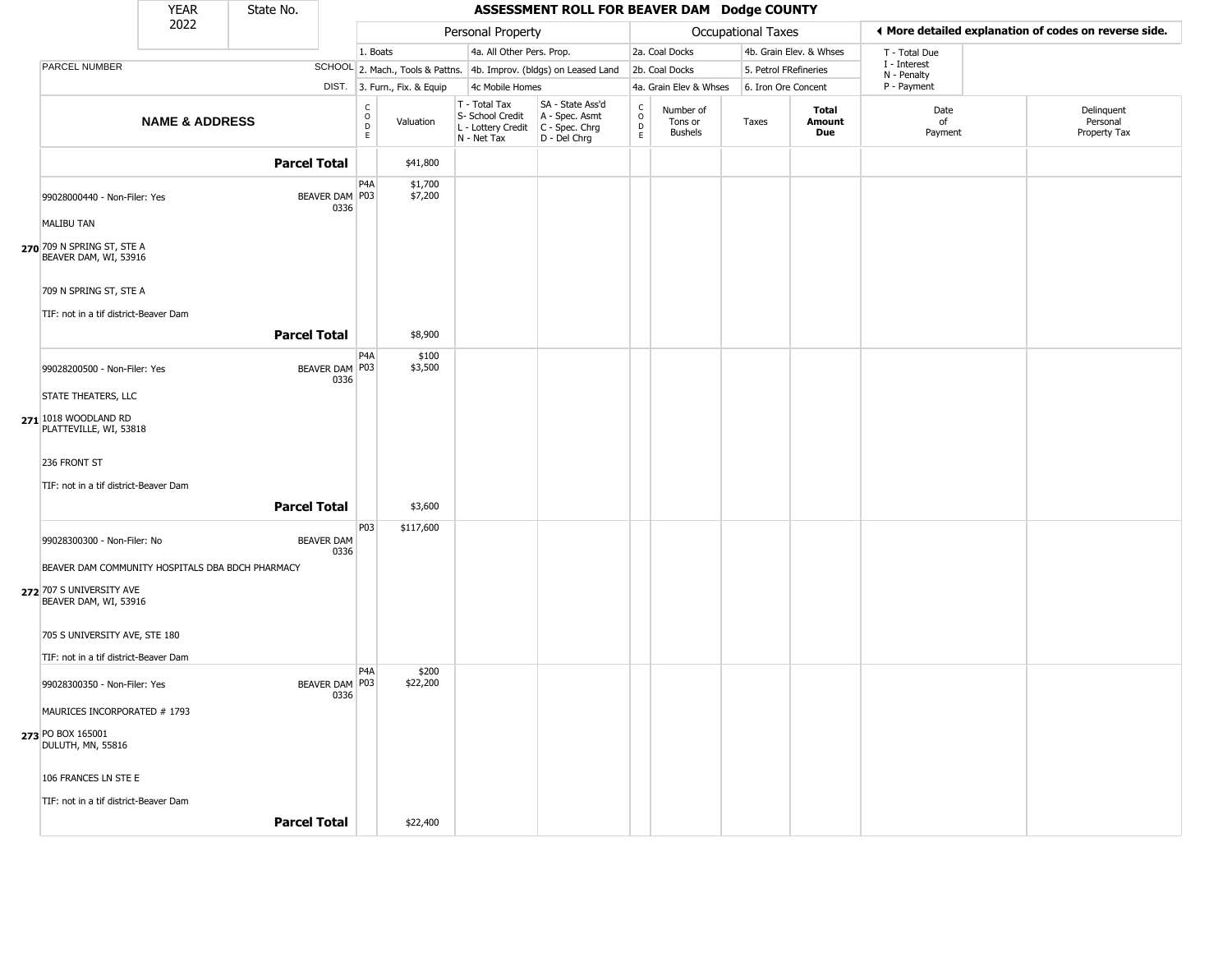|                                                     | <b>YEAR</b>               | State No.           |                           |                                    |                              |                                                                        | ASSESSMENT ROLL FOR BEAVER DAM Dodge COUNTY                          |                                              |                                        |                       |                         |                             |                                                       |
|-----------------------------------------------------|---------------------------|---------------------|---------------------------|------------------------------------|------------------------------|------------------------------------------------------------------------|----------------------------------------------------------------------|----------------------------------------------|----------------------------------------|-----------------------|-------------------------|-----------------------------|-------------------------------------------------------|
|                                                     | 2022                      |                     |                           |                                    |                              | Personal Property                                                      |                                                                      |                                              |                                        | Occupational Taxes    |                         |                             | ◀ More detailed explanation of codes on reverse side. |
|                                                     |                           |                     |                           | 1. Boats                           |                              | 4a. All Other Pers. Prop.                                              |                                                                      |                                              | 2a. Coal Docks                         |                       | 4b. Grain Elev. & Whses | T - Total Due               |                                                       |
| PARCEL NUMBER                                       |                           |                     |                           |                                    |                              |                                                                        | SCHOOL 2. Mach., Tools & Pattns. 4b. Improv. (bldgs) on Leased Land  |                                              | 2b. Coal Docks                         | 5. Petrol FRefineries |                         | I - Interest<br>N - Penalty |                                                       |
|                                                     |                           |                     |                           |                                    | DIST. 3. Furn., Fix. & Equip | 4c Mobile Homes                                                        |                                                                      |                                              | 4a. Grain Elev & Whses                 | 6. Iron Ore Concent   |                         | P - Payment                 |                                                       |
|                                                     | <b>NAME &amp; ADDRESS</b> |                     |                           | C<br>$\overline{0}$<br>$\mathsf E$ | Valuation                    | T - Total Tax<br>S- School Credit<br>L - Lottery Credit<br>N - Net Tax | SA - State Ass'd<br>A - Spec. Asmt<br>C - Spec. Chrg<br>D - Del Chrg | $\int_{0}^{c}$<br>$\mathsf D$<br>$\mathsf E$ | Number of<br>Tons or<br><b>Bushels</b> | Taxes                 | Total<br>Amount<br>Due  | Date<br>of<br>Payment       | Delinquent<br>Personal<br>Property Tax                |
|                                                     |                           | <b>Parcel Total</b> |                           |                                    | \$41,800                     |                                                                        |                                                                      |                                              |                                        |                       |                         |                             |                                                       |
| 99028000440 - Non-Filer: Yes                        |                           |                     | BEAVER DAM P03<br>0336    | P4A                                | \$1,700<br>\$7,200           |                                                                        |                                                                      |                                              |                                        |                       |                         |                             |                                                       |
| <b>MALIBU TAN</b>                                   |                           |                     |                           |                                    |                              |                                                                        |                                                                      |                                              |                                        |                       |                         |                             |                                                       |
| 270 709 N SPRING ST, STE A<br>BEAVER DAM, WI, 53916 |                           |                     |                           |                                    |                              |                                                                        |                                                                      |                                              |                                        |                       |                         |                             |                                                       |
| 709 N SPRING ST, STE A                              |                           |                     |                           |                                    |                              |                                                                        |                                                                      |                                              |                                        |                       |                         |                             |                                                       |
| TIF: not in a tif district-Beaver Dam               |                           |                     |                           |                                    |                              |                                                                        |                                                                      |                                              |                                        |                       |                         |                             |                                                       |
|                                                     |                           | <b>Parcel Total</b> |                           |                                    | \$8,900                      |                                                                        |                                                                      |                                              |                                        |                       |                         |                             |                                                       |
| 99028200500 - Non-Filer: Yes                        |                           |                     | BEAVER DAM P03<br>0336    | P <sub>4</sub> A                   | \$100<br>\$3,500             |                                                                        |                                                                      |                                              |                                        |                       |                         |                             |                                                       |
| <b>STATE THEATERS, LLC</b>                          |                           |                     |                           |                                    |                              |                                                                        |                                                                      |                                              |                                        |                       |                         |                             |                                                       |
| 271 1018 WOODLAND RD<br>PLATTEVILLE, WI, 53818      |                           |                     |                           |                                    |                              |                                                                        |                                                                      |                                              |                                        |                       |                         |                             |                                                       |
| 236 FRONT ST                                        |                           |                     |                           |                                    |                              |                                                                        |                                                                      |                                              |                                        |                       |                         |                             |                                                       |
| TIF: not in a tif district-Beaver Dam               |                           |                     |                           |                                    |                              |                                                                        |                                                                      |                                              |                                        |                       |                         |                             |                                                       |
|                                                     |                           | <b>Parcel Total</b> |                           |                                    | \$3,600                      |                                                                        |                                                                      |                                              |                                        |                       |                         |                             |                                                       |
| 99028300300 - Non-Filer: No                         |                           |                     | <b>BEAVER DAM</b><br>0336 | P03                                | \$117,600                    |                                                                        |                                                                      |                                              |                                        |                       |                         |                             |                                                       |
| BEAVER DAM COMMUNITY HOSPITALS DBA BDCH PHARMACY    |                           |                     |                           |                                    |                              |                                                                        |                                                                      |                                              |                                        |                       |                         |                             |                                                       |
| 272 707 S UNIVERSITY AVE<br>BEAVER DAM, WI, 53916   |                           |                     |                           |                                    |                              |                                                                        |                                                                      |                                              |                                        |                       |                         |                             |                                                       |
| 705 S UNIVERSITY AVE, STE 180                       |                           |                     |                           |                                    |                              |                                                                        |                                                                      |                                              |                                        |                       |                         |                             |                                                       |
| TIF: not in a tif district-Beaver Dam               |                           |                     |                           |                                    |                              |                                                                        |                                                                      |                                              |                                        |                       |                         |                             |                                                       |
| 99028300350 - Non-Filer: Yes                        |                           |                     | BEAVER DAM P03<br>0336    | P4A                                | \$200<br>\$22,200            |                                                                        |                                                                      |                                              |                                        |                       |                         |                             |                                                       |
| MAURICES INCORPORATED # 1793                        |                           |                     |                           |                                    |                              |                                                                        |                                                                      |                                              |                                        |                       |                         |                             |                                                       |
| 273 PO BOX 165001<br>DULUTH, MN, 55816              |                           |                     |                           |                                    |                              |                                                                        |                                                                      |                                              |                                        |                       |                         |                             |                                                       |
| 106 FRANCES LN STE E                                |                           |                     |                           |                                    |                              |                                                                        |                                                                      |                                              |                                        |                       |                         |                             |                                                       |
| TIF: not in a tif district-Beaver Dam               |                           |                     |                           |                                    |                              |                                                                        |                                                                      |                                              |                                        |                       |                         |                             |                                                       |
|                                                     |                           | <b>Parcel Total</b> |                           |                                    | \$22,400                     |                                                                        |                                                                      |                                              |                                        |                       |                         |                             |                                                       |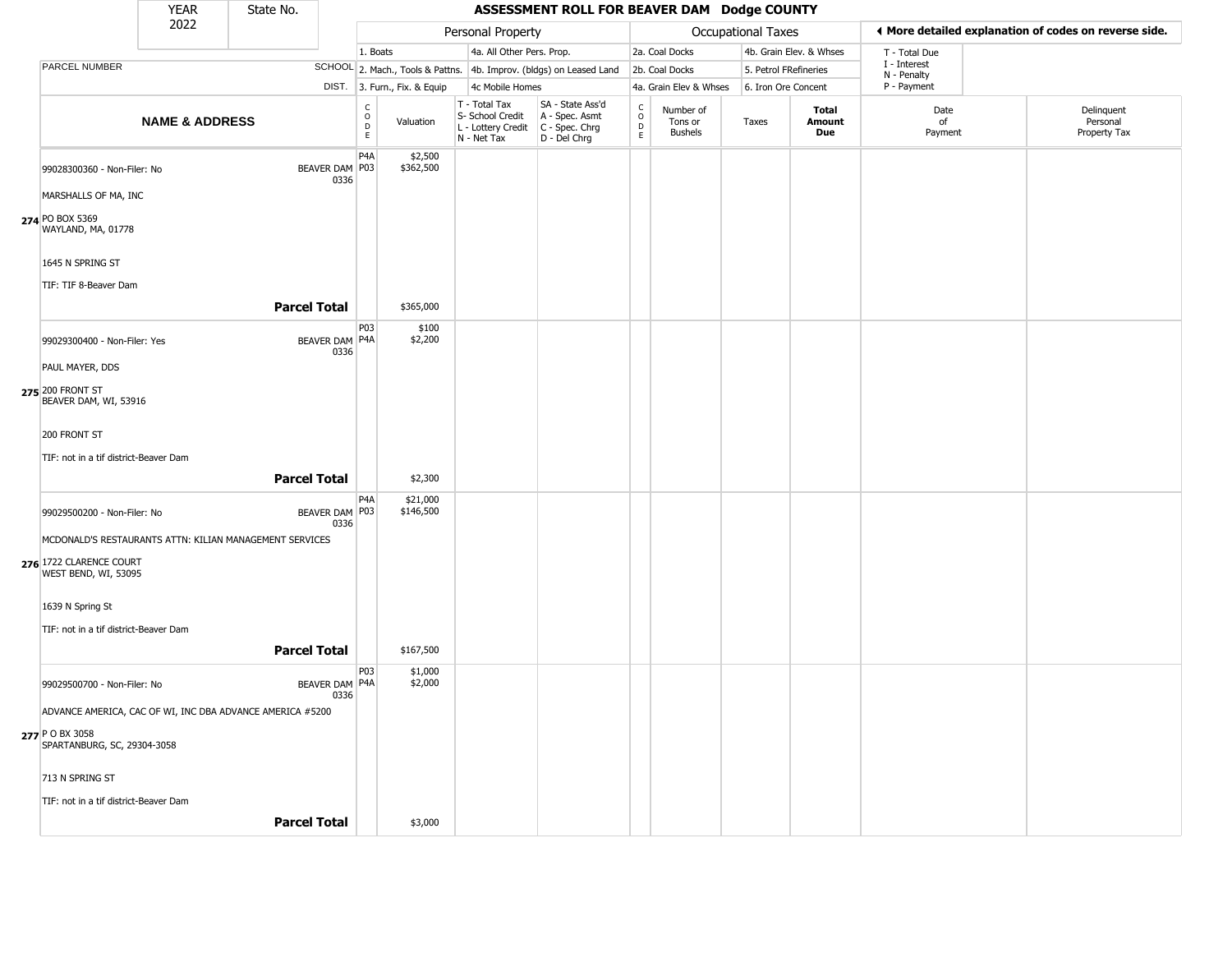|                                                           | <b>YEAR</b>               | State No.           |                          |                                            |                              |                                                                                             | ASSESSMENT ROLL FOR BEAVER DAM Dodge COUNTY                         |                                |                                        |                           |                         |                             |                                                       |
|-----------------------------------------------------------|---------------------------|---------------------|--------------------------|--------------------------------------------|------------------------------|---------------------------------------------------------------------------------------------|---------------------------------------------------------------------|--------------------------------|----------------------------------------|---------------------------|-------------------------|-----------------------------|-------------------------------------------------------|
|                                                           | 2022                      |                     |                          |                                            |                              | Personal Property                                                                           |                                                                     |                                |                                        | <b>Occupational Taxes</b> |                         |                             | ♦ More detailed explanation of codes on reverse side. |
|                                                           |                           |                     |                          | 1. Boats                                   |                              | 4a. All Other Pers. Prop.                                                                   |                                                                     |                                | 2a. Coal Docks                         |                           | 4b. Grain Elev. & Whses | T - Total Due               |                                                       |
| PARCEL NUMBER                                             |                           |                     |                          |                                            |                              |                                                                                             | SCHOOL 2. Mach., Tools & Pattns. 4b. Improv. (bldgs) on Leased Land |                                | 2b. Coal Docks                         |                           | 5. Petrol FRefineries   | I - Interest<br>N - Penalty |                                                       |
|                                                           |                           |                     |                          |                                            | DIST. 3. Furn., Fix. & Equip | 4c Mobile Homes                                                                             |                                                                     |                                | 4a. Grain Elev & Whses                 |                           | 6. Iron Ore Concent     | P - Payment                 |                                                       |
|                                                           | <b>NAME &amp; ADDRESS</b> |                     |                          | $\begin{array}{c} C \\ 0 \\ E \end{array}$ | Valuation                    | T - Total Tax<br>S- School Credit<br>$ L -$ Lottery Credit $ C -$ Spec. Chrg<br>N - Net Tax | SA - State Ass'd<br>A - Spec. Asmt<br>D - Del Chrg                  | $\rm _o^C$<br>$\mathsf D$<br>E | Number of<br>Tons or<br><b>Bushels</b> | Taxes                     | Total<br>Amount<br>Due  | Date<br>οf<br>Payment       | Delinquent<br>Personal<br>Property Tax                |
| 99028300360 - Non-Filer: No                               |                           |                     | BEAVER DAM   P03<br>0336 | P <sub>4</sub> A                           | \$2,500<br>\$362,500         |                                                                                             |                                                                     |                                |                                        |                           |                         |                             |                                                       |
| MARSHALLS OF MA, INC                                      |                           |                     |                          |                                            |                              |                                                                                             |                                                                     |                                |                                        |                           |                         |                             |                                                       |
| 274 PO BOX 5369<br>WAYLAND, MA, 01778                     |                           |                     |                          |                                            |                              |                                                                                             |                                                                     |                                |                                        |                           |                         |                             |                                                       |
| 1645 N SPRING ST                                          |                           |                     |                          |                                            |                              |                                                                                             |                                                                     |                                |                                        |                           |                         |                             |                                                       |
| TIF: TIF 8-Beaver Dam                                     |                           |                     |                          |                                            |                              |                                                                                             |                                                                     |                                |                                        |                           |                         |                             |                                                       |
|                                                           |                           | <b>Parcel Total</b> |                          |                                            | \$365,000                    |                                                                                             |                                                                     |                                |                                        |                           |                         |                             |                                                       |
| 99029300400 - Non-Filer: Yes                              |                           |                     | BEAVER DAM   P4A<br>0336 | P03                                        | \$100<br>\$2,200             |                                                                                             |                                                                     |                                |                                        |                           |                         |                             |                                                       |
| PAUL MAYER, DDS                                           |                           |                     |                          |                                            |                              |                                                                                             |                                                                     |                                |                                        |                           |                         |                             |                                                       |
| 275 200 FRONT ST<br>BEAVER DAM, WI, 53916                 |                           |                     |                          |                                            |                              |                                                                                             |                                                                     |                                |                                        |                           |                         |                             |                                                       |
| 200 FRONT ST                                              |                           |                     |                          |                                            |                              |                                                                                             |                                                                     |                                |                                        |                           |                         |                             |                                                       |
| TIF: not in a tif district-Beaver Dam                     |                           |                     |                          |                                            |                              |                                                                                             |                                                                     |                                |                                        |                           |                         |                             |                                                       |
|                                                           |                           | <b>Parcel Total</b> |                          |                                            | \$2,300                      |                                                                                             |                                                                     |                                |                                        |                           |                         |                             |                                                       |
| 99029500200 - Non-Filer: No                               |                           |                     | BEAVER DAM   P03<br>0336 | P <sub>4</sub> A                           | \$21,000<br>\$146,500        |                                                                                             |                                                                     |                                |                                        |                           |                         |                             |                                                       |
| MCDONALD'S RESTAURANTS ATTN: KILIAN MANAGEMENT SERVICES   |                           |                     |                          |                                            |                              |                                                                                             |                                                                     |                                |                                        |                           |                         |                             |                                                       |
| 276 1722 CLARENCE COURT<br>WEST BEND, WI, 53095           |                           |                     |                          |                                            |                              |                                                                                             |                                                                     |                                |                                        |                           |                         |                             |                                                       |
| 1639 N Spring St                                          |                           |                     |                          |                                            |                              |                                                                                             |                                                                     |                                |                                        |                           |                         |                             |                                                       |
| TIF: not in a tif district-Beaver Dam                     |                           |                     |                          |                                            |                              |                                                                                             |                                                                     |                                |                                        |                           |                         |                             |                                                       |
|                                                           |                           | <b>Parcel Total</b> |                          |                                            | \$167,500                    |                                                                                             |                                                                     |                                |                                        |                           |                         |                             |                                                       |
|                                                           |                           |                     |                          | <b>P03</b>                                 | \$1,000                      |                                                                                             |                                                                     |                                |                                        |                           |                         |                             |                                                       |
| 99029500700 - Non-Filer: No                               |                           |                     | BEAVER DAM   P4A<br>0336 |                                            | \$2,000                      |                                                                                             |                                                                     |                                |                                        |                           |                         |                             |                                                       |
| ADVANCE AMERICA, CAC OF WI, INC DBA ADVANCE AMERICA #5200 |                           |                     |                          |                                            |                              |                                                                                             |                                                                     |                                |                                        |                           |                         |                             |                                                       |
| 277 P O BX 3058<br>SPARTANBURG, SC, 29304-3058            |                           |                     |                          |                                            |                              |                                                                                             |                                                                     |                                |                                        |                           |                         |                             |                                                       |
| 713 N SPRING ST                                           |                           |                     |                          |                                            |                              |                                                                                             |                                                                     |                                |                                        |                           |                         |                             |                                                       |
| TIF: not in a tif district-Beaver Dam                     |                           |                     |                          |                                            |                              |                                                                                             |                                                                     |                                |                                        |                           |                         |                             |                                                       |
|                                                           |                           | <b>Parcel Total</b> |                          |                                            | \$3,000                      |                                                                                             |                                                                     |                                |                                        |                           |                         |                             |                                                       |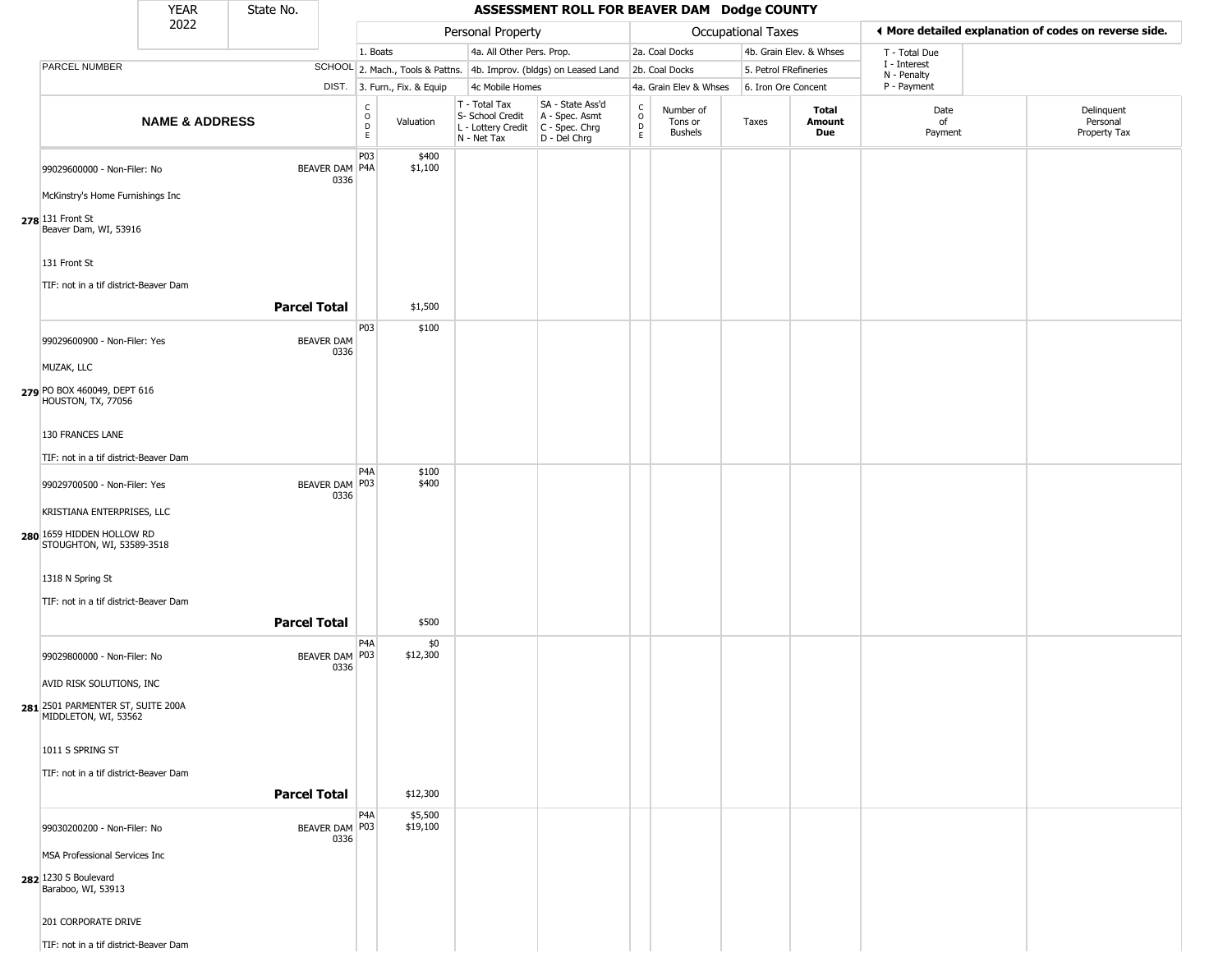|                                                           | <b>YEAR</b>               | State No.           |                           |                                  |                              |                                                                                         | ASSESSMENT ROLL FOR BEAVER DAM Dodge COUNTY                         |                                             |                                        |                       |                         |                             |                                                       |
|-----------------------------------------------------------|---------------------------|---------------------|---------------------------|----------------------------------|------------------------------|-----------------------------------------------------------------------------------------|---------------------------------------------------------------------|---------------------------------------------|----------------------------------------|-----------------------|-------------------------|-----------------------------|-------------------------------------------------------|
|                                                           | 2022                      |                     |                           |                                  |                              | Personal Property                                                                       |                                                                     |                                             |                                        | Occupational Taxes    |                         |                             | ◀ More detailed explanation of codes on reverse side. |
|                                                           |                           |                     |                           | 1. Boats                         |                              | 4a. All Other Pers. Prop.                                                               |                                                                     |                                             | 2a. Coal Docks                         |                       | 4b. Grain Elev. & Whses | T - Total Due               |                                                       |
| PARCEL NUMBER                                             |                           |                     |                           |                                  |                              |                                                                                         | SCHOOL 2. Mach., Tools & Pattns. 4b. Improv. (bldgs) on Leased Land |                                             | 2b. Coal Docks                         | 5. Petrol FRefineries |                         | I - Interest<br>N - Penalty |                                                       |
|                                                           |                           |                     |                           |                                  | DIST. 3. Furn., Fix. & Equip | 4c Mobile Homes                                                                         |                                                                     |                                             | 4a. Grain Elev & Whses                 | 6. Iron Ore Concent   |                         | P - Payment                 |                                                       |
|                                                           | <b>NAME &amp; ADDRESS</b> |                     |                           | c<br>$\circ$<br>$\mathsf D$<br>E | Valuation                    | T - Total Tax<br>S- School Credit<br>L - Lottery Credit   C - Spec. Chrg<br>N - Net Tax | SA - State Ass'd<br>A - Spec. Asmt<br>D - Del Chrg                  | $\frac{c}{0}$<br>$\mathsf D$<br>$\mathsf E$ | Number of<br>Tons or<br><b>Bushels</b> | Taxes                 | Total<br>Amount<br>Due  | Date<br>of<br>Payment       | Delinquent<br>Personal<br>Property Tax                |
| 99029600000 - Non-Filer: No                               |                           |                     | BEAVER DAM P4A<br>0336    | P03                              | \$400<br>\$1,100             |                                                                                         |                                                                     |                                             |                                        |                       |                         |                             |                                                       |
| McKinstry's Home Furnishings Inc                          |                           |                     |                           |                                  |                              |                                                                                         |                                                                     |                                             |                                        |                       |                         |                             |                                                       |
| 278 131 Front St<br>Beaver Dam, WI, 53916                 |                           |                     |                           |                                  |                              |                                                                                         |                                                                     |                                             |                                        |                       |                         |                             |                                                       |
| 131 Front St                                              |                           |                     |                           |                                  |                              |                                                                                         |                                                                     |                                             |                                        |                       |                         |                             |                                                       |
| TIF: not in a tif district-Beaver Dam                     |                           | <b>Parcel Total</b> |                           |                                  | \$1,500                      |                                                                                         |                                                                     |                                             |                                        |                       |                         |                             |                                                       |
| 99029600900 - Non-Filer: Yes                              |                           |                     | <b>BEAVER DAM</b><br>0336 | P03                              | \$100                        |                                                                                         |                                                                     |                                             |                                        |                       |                         |                             |                                                       |
| MUZAK, LLC                                                |                           |                     |                           |                                  |                              |                                                                                         |                                                                     |                                             |                                        |                       |                         |                             |                                                       |
| 279 PO BOX 460049, DEPT 616<br>HOUSTON, TX, 77056         |                           |                     |                           |                                  |                              |                                                                                         |                                                                     |                                             |                                        |                       |                         |                             |                                                       |
| 130 FRANCES LANE                                          |                           |                     |                           |                                  |                              |                                                                                         |                                                                     |                                             |                                        |                       |                         |                             |                                                       |
| TIF: not in a tif district-Beaver Dam                     |                           |                     |                           |                                  |                              |                                                                                         |                                                                     |                                             |                                        |                       |                         |                             |                                                       |
|                                                           |                           |                     |                           | P <sub>4</sub> A                 | \$100                        |                                                                                         |                                                                     |                                             |                                        |                       |                         |                             |                                                       |
| 99029700500 - Non-Filer: Yes                              |                           |                     | BEAVER DAM P03<br>0336    |                                  | \$400                        |                                                                                         |                                                                     |                                             |                                        |                       |                         |                             |                                                       |
| KRISTIANA ENTERPRISES, LLC                                |                           |                     |                           |                                  |                              |                                                                                         |                                                                     |                                             |                                        |                       |                         |                             |                                                       |
| 280 1659 HIDDEN HOLLOW RD<br>STOUGHTON, WI, 53589-3518    |                           |                     |                           |                                  |                              |                                                                                         |                                                                     |                                             |                                        |                       |                         |                             |                                                       |
| 1318 N Spring St                                          |                           |                     |                           |                                  |                              |                                                                                         |                                                                     |                                             |                                        |                       |                         |                             |                                                       |
| TIF: not in a tif district-Beaver Dam                     |                           |                     |                           |                                  |                              |                                                                                         |                                                                     |                                             |                                        |                       |                         |                             |                                                       |
|                                                           |                           | <b>Parcel Total</b> |                           |                                  | \$500                        |                                                                                         |                                                                     |                                             |                                        |                       |                         |                             |                                                       |
| 99029800000 - Non-Filer: No                               |                           |                     | BEAVER DAM P03<br>0336    | P <sub>4</sub> A                 | \$0<br>\$12,300              |                                                                                         |                                                                     |                                             |                                        |                       |                         |                             |                                                       |
| AVID RISK SOLUTIONS, INC                                  |                           |                     |                           |                                  |                              |                                                                                         |                                                                     |                                             |                                        |                       |                         |                             |                                                       |
| 281 2501 PARMENTER ST, SUITE 200A<br>MIDDLETON, WI, 53562 |                           |                     |                           |                                  |                              |                                                                                         |                                                                     |                                             |                                        |                       |                         |                             |                                                       |
| 1011 S SPRING ST                                          |                           |                     |                           |                                  |                              |                                                                                         |                                                                     |                                             |                                        |                       |                         |                             |                                                       |
| TIF: not in a tif district-Beaver Dam                     |                           |                     |                           |                                  |                              |                                                                                         |                                                                     |                                             |                                        |                       |                         |                             |                                                       |
|                                                           |                           | <b>Parcel Total</b> |                           |                                  | \$12,300                     |                                                                                         |                                                                     |                                             |                                        |                       |                         |                             |                                                       |
|                                                           |                           |                     |                           | P <sub>4</sub> A                 | \$5,500                      |                                                                                         |                                                                     |                                             |                                        |                       |                         |                             |                                                       |
| 99030200200 - Non-Filer: No                               |                           |                     | BEAVER DAM P03<br>0336    |                                  | \$19,100                     |                                                                                         |                                                                     |                                             |                                        |                       |                         |                             |                                                       |
| MSA Professional Services Inc                             |                           |                     |                           |                                  |                              |                                                                                         |                                                                     |                                             |                                        |                       |                         |                             |                                                       |
| 282 1230 S Boulevard<br>Baraboo, WI, 53913                |                           |                     |                           |                                  |                              |                                                                                         |                                                                     |                                             |                                        |                       |                         |                             |                                                       |
| 201 CORPORATE DRIVE                                       |                           |                     |                           |                                  |                              |                                                                                         |                                                                     |                                             |                                        |                       |                         |                             |                                                       |
| TIF: not in a tif district-Beaver Dam                     |                           |                     |                           |                                  |                              |                                                                                         |                                                                     |                                             |                                        |                       |                         |                             |                                                       |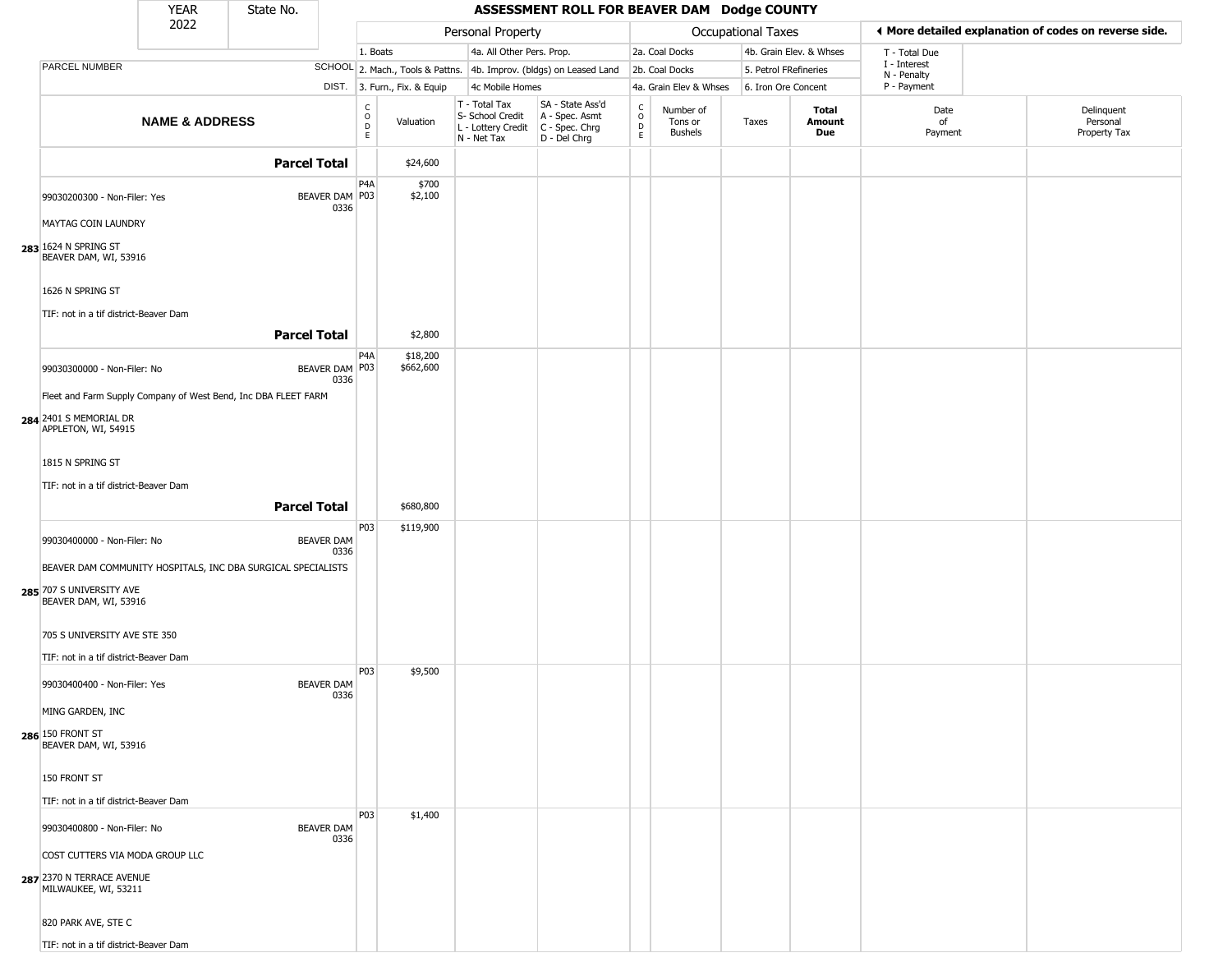|                                                                | <b>YEAR</b>               | State No.           |                           |                                                |                              |                                                                                         | ASSESSMENT ROLL FOR BEAVER DAM Dodge COUNTY                         |                      |                                 |                     |                         |                            |                                                       |
|----------------------------------------------------------------|---------------------------|---------------------|---------------------------|------------------------------------------------|------------------------------|-----------------------------------------------------------------------------------------|---------------------------------------------------------------------|----------------------|---------------------------------|---------------------|-------------------------|----------------------------|-------------------------------------------------------|
|                                                                | 2022                      |                     |                           |                                                |                              | Personal Property                                                                       |                                                                     |                      |                                 | Occupational Taxes  |                         |                            | ◀ More detailed explanation of codes on reverse side. |
|                                                                |                           |                     |                           | 1. Boats                                       |                              | 4a. All Other Pers. Prop.                                                               |                                                                     |                      | 2a. Coal Docks                  |                     | 4b. Grain Elev. & Whses | T - Total Due              |                                                       |
| <b>PARCEL NUMBER</b>                                           |                           |                     |                           |                                                |                              |                                                                                         | SCHOOL 2. Mach., Tools & Pattns. 4b. Improv. (bldgs) on Leased Land |                      | 2b. Coal Docks                  |                     | 5. Petrol FRefineries   | I - Interest               |                                                       |
|                                                                |                           |                     |                           |                                                | DIST. 3. Furn., Fix. & Equip | 4c Mobile Homes                                                                         |                                                                     |                      | 4a. Grain Elev & Whses          | 6. Iron Ore Concent |                         | N - Penalty<br>P - Payment |                                                       |
|                                                                | <b>NAME &amp; ADDRESS</b> |                     |                           | $\begin{matrix} 0 \\ 0 \\ D \end{matrix}$<br>E | Valuation                    | T - Total Tax<br>S- School Credit<br>L - Lottery Credit   C - Spec. Chrg<br>N - Net Tax | SA - State Ass'd<br>A - Spec. Asmt<br>D - Del Chrg                  | $\rm _o^C$<br>D<br>E | Number of<br>Tons or<br>Bushels | Taxes               | Total<br>Amount<br>Due  | Date<br>of<br>Payment      | Delinquent<br>Personal<br>Property Tax                |
|                                                                |                           | <b>Parcel Total</b> |                           |                                                | \$24,600                     |                                                                                         |                                                                     |                      |                                 |                     |                         |                            |                                                       |
| 99030200300 - Non-Filer: Yes                                   |                           |                     | BEAVER DAM P03<br>0336    | P <sub>4</sub> A                               | \$700<br>\$2,100             |                                                                                         |                                                                     |                      |                                 |                     |                         |                            |                                                       |
| MAYTAG COIN LAUNDRY<br>283 1624 N SPRING ST                    |                           |                     |                           |                                                |                              |                                                                                         |                                                                     |                      |                                 |                     |                         |                            |                                                       |
| BEAVER DAM, WI, 53916                                          |                           |                     |                           |                                                |                              |                                                                                         |                                                                     |                      |                                 |                     |                         |                            |                                                       |
| 1626 N SPRING ST<br>TIF: not in a tif district-Beaver Dam      |                           |                     |                           |                                                |                              |                                                                                         |                                                                     |                      |                                 |                     |                         |                            |                                                       |
|                                                                |                           | <b>Parcel Total</b> |                           |                                                | \$2,800                      |                                                                                         |                                                                     |                      |                                 |                     |                         |                            |                                                       |
| 99030300000 - Non-Filer: No                                    |                           |                     | BEAVER DAM P03<br>0336    | P <sub>4</sub> A                               | \$18,200<br>\$662,600        |                                                                                         |                                                                     |                      |                                 |                     |                         |                            |                                                       |
| Fleet and Farm Supply Company of West Bend, Inc DBA FLEET FARM |                           |                     |                           |                                                |                              |                                                                                         |                                                                     |                      |                                 |                     |                         |                            |                                                       |
| 284 2401 S MEMORIAL DR<br>APPLETON, WI, 54915                  |                           |                     |                           |                                                |                              |                                                                                         |                                                                     |                      |                                 |                     |                         |                            |                                                       |
| 1815 N SPRING ST                                               |                           |                     |                           |                                                |                              |                                                                                         |                                                                     |                      |                                 |                     |                         |                            |                                                       |
| TIF: not in a tif district-Beaver Dam                          |                           |                     |                           |                                                |                              |                                                                                         |                                                                     |                      |                                 |                     |                         |                            |                                                       |
|                                                                |                           | <b>Parcel Total</b> |                           |                                                | \$680,800                    |                                                                                         |                                                                     |                      |                                 |                     |                         |                            |                                                       |
| 99030400000 - Non-Filer: No                                    |                           |                     | <b>BEAVER DAM</b><br>0336 | P03                                            | \$119,900                    |                                                                                         |                                                                     |                      |                                 |                     |                         |                            |                                                       |
| BEAVER DAM COMMUNITY HOSPITALS, INC DBA SURGICAL SPECIALISTS   |                           |                     |                           |                                                |                              |                                                                                         |                                                                     |                      |                                 |                     |                         |                            |                                                       |
| 285 707 S UNIVERSITY AVE<br>BEAVER DAM, WI, 53916              |                           |                     |                           |                                                |                              |                                                                                         |                                                                     |                      |                                 |                     |                         |                            |                                                       |
| 705 S UNIVERSITY AVE STE 350                                   |                           |                     |                           |                                                |                              |                                                                                         |                                                                     |                      |                                 |                     |                         |                            |                                                       |
| TIF: not in a tif district-Beaver Dam                          |                           |                     |                           |                                                |                              |                                                                                         |                                                                     |                      |                                 |                     |                         |                            |                                                       |
| 99030400400 - Non-Filer: Yes                                   |                           |                     | <b>BEAVER DAM</b><br>0336 | P03                                            | \$9,500                      |                                                                                         |                                                                     |                      |                                 |                     |                         |                            |                                                       |
| MING GARDEN, INC                                               |                           |                     |                           |                                                |                              |                                                                                         |                                                                     |                      |                                 |                     |                         |                            |                                                       |
| 286 150 FRONT ST<br>BEAVER DAM, WI, 53916                      |                           |                     |                           |                                                |                              |                                                                                         |                                                                     |                      |                                 |                     |                         |                            |                                                       |
| 150 FRONT ST                                                   |                           |                     |                           |                                                |                              |                                                                                         |                                                                     |                      |                                 |                     |                         |                            |                                                       |
| TIF: not in a tif district-Beaver Dam                          |                           |                     |                           |                                                |                              |                                                                                         |                                                                     |                      |                                 |                     |                         |                            |                                                       |
| 99030400800 - Non-Filer: No                                    |                           |                     | <b>BEAVER DAM</b><br>0336 | P03                                            | \$1,400                      |                                                                                         |                                                                     |                      |                                 |                     |                         |                            |                                                       |
| COST CUTTERS VIA MODA GROUP LLC                                |                           |                     |                           |                                                |                              |                                                                                         |                                                                     |                      |                                 |                     |                         |                            |                                                       |
| 287 2370 N TERRACE AVENUE<br>MILWAUKEE, WI, 53211              |                           |                     |                           |                                                |                              |                                                                                         |                                                                     |                      |                                 |                     |                         |                            |                                                       |
| 820 PARK AVE, STE C                                            |                           |                     |                           |                                                |                              |                                                                                         |                                                                     |                      |                                 |                     |                         |                            |                                                       |
| TIF: not in a tif district-Beaver Dam                          |                           |                     |                           |                                                |                              |                                                                                         |                                                                     |                      |                                 |                     |                         |                            |                                                       |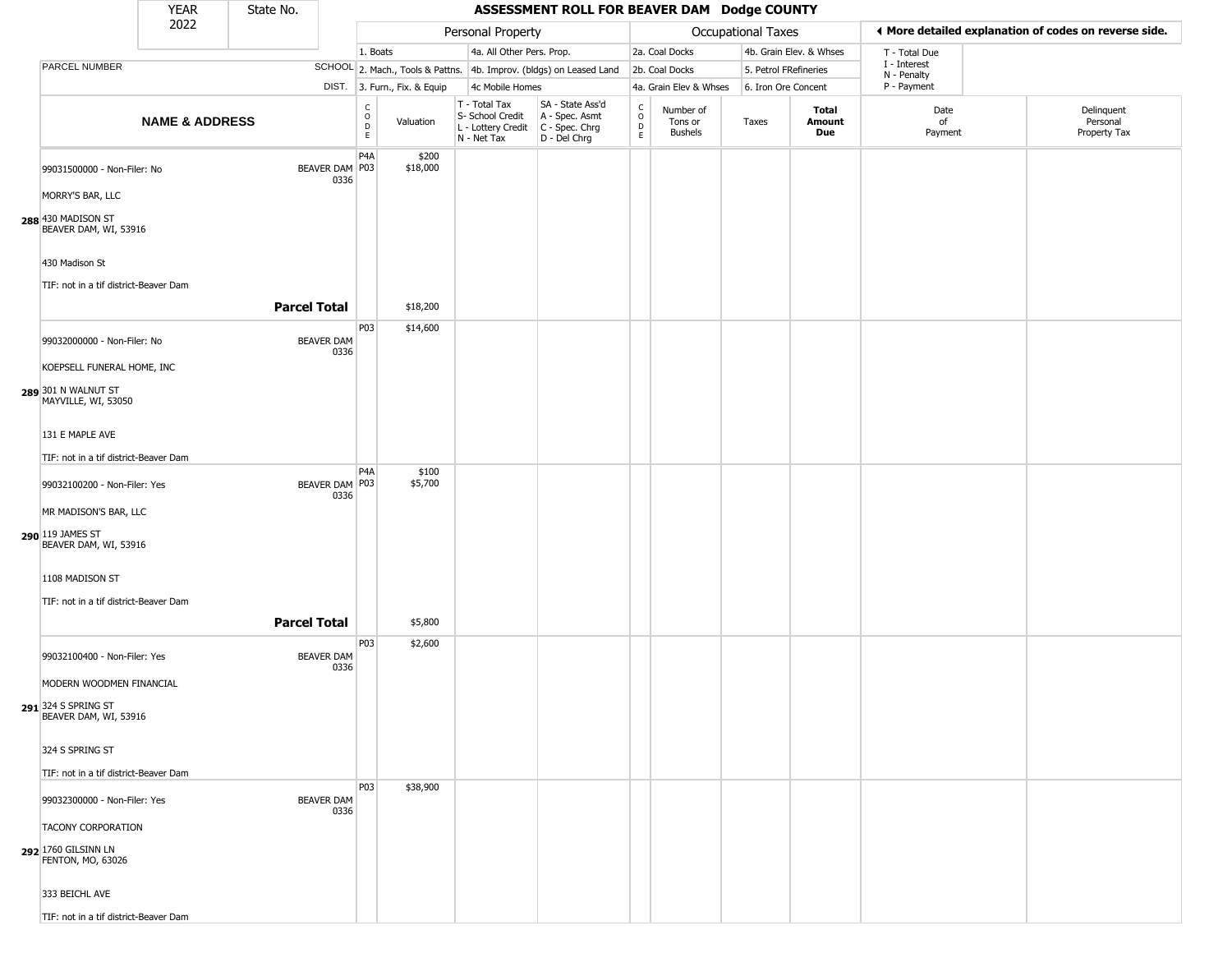|                                                                                                                         | <b>YEAR</b>               | State No.           |                           |                                      |                              |                                                                        | ASSESSMENT ROLL FOR BEAVER DAM Dodge COUNTY                          |                                            |                                        |                           |                               |                             |                                                       |
|-------------------------------------------------------------------------------------------------------------------------|---------------------------|---------------------|---------------------------|--------------------------------------|------------------------------|------------------------------------------------------------------------|----------------------------------------------------------------------|--------------------------------------------|----------------------------------------|---------------------------|-------------------------------|-----------------------------|-------------------------------------------------------|
|                                                                                                                         | 2022                      |                     |                           |                                      |                              | Personal Property                                                      |                                                                      |                                            |                                        | <b>Occupational Taxes</b> |                               |                             | ♦ More detailed explanation of codes on reverse side. |
|                                                                                                                         |                           |                     |                           | 1. Boats                             |                              | 4a. All Other Pers. Prop.                                              |                                                                      |                                            | 2a. Coal Docks                         |                           | 4b. Grain Elev. & Whses       | T - Total Due               |                                                       |
| PARCEL NUMBER                                                                                                           |                           |                     |                           |                                      |                              |                                                                        | SCHOOL 2. Mach., Tools & Pattns. 4b. Improv. (bldgs) on Leased Land  |                                            | 2b. Coal Docks                         | 5. Petrol FRefineries     |                               | I - Interest<br>N - Penalty |                                                       |
|                                                                                                                         |                           |                     |                           |                                      | DIST. 3. Furn., Fix. & Equip | 4c Mobile Homes                                                        |                                                                      |                                            | 4a. Grain Elev & Whses                 | 6. Iron Ore Concent       |                               | P - Payment                 |                                                       |
|                                                                                                                         | <b>NAME &amp; ADDRESS</b> |                     |                           | C<br>$\circ$<br>$\overline{D}$<br>E. | Valuation                    | T - Total Tax<br>S- School Credit<br>L - Lottery Credit<br>N - Net Tax | SA - State Ass'd<br>A - Spec. Asmt<br>C - Spec. Chrg<br>D - Del Chrg | $\begin{array}{c} C \\ O \\ E \end{array}$ | Number of<br>Tons or<br><b>Bushels</b> | Taxes                     | <b>Total</b><br>Amount<br>Due | Date<br>of<br>Payment       | Delinquent<br>Personal<br>Property Tax                |
| 99031500000 - Non-Filer: No<br>MORRY'S BAR, LLC<br>288 430 MADISON ST<br>BEAVER DAM, WI, 53916                          |                           |                     | BEAVER DAM P03<br>0336    | P <sub>4</sub> A                     | \$200<br>\$18,000            |                                                                        |                                                                      |                                            |                                        |                           |                               |                             |                                                       |
| 430 Madison St                                                                                                          |                           |                     |                           |                                      |                              |                                                                        |                                                                      |                                            |                                        |                           |                               |                             |                                                       |
| TIF: not in a tif district-Beaver Dam                                                                                   |                           | <b>Parcel Total</b> |                           |                                      | \$18,200                     |                                                                        |                                                                      |                                            |                                        |                           |                               |                             |                                                       |
| 99032000000 - Non-Filer: No<br>KOEPSELL FUNERAL HOME, INC<br>289 301 N WALNUT ST<br>MAYVILLE, WI, 53050                 |                           |                     | <b>BEAVER DAM</b><br>0336 | P03                                  | \$14,600                     |                                                                        |                                                                      |                                            |                                        |                           |                               |                             |                                                       |
| 131 E MAPLE AVE<br>TIF: not in a tif district-Beaver Dam                                                                |                           |                     |                           |                                      |                              |                                                                        |                                                                      |                                            |                                        |                           |                               |                             |                                                       |
| 99032100200 - Non-Filer: Yes<br>MR MADISON'S BAR, LLC<br>290 119 JAMES ST<br>BEAVER DAM, WI, 53916                      |                           |                     | BEAVER DAM P03<br>0336    | P <sub>4</sub> A                     | \$100<br>\$5,700             |                                                                        |                                                                      |                                            |                                        |                           |                               |                             |                                                       |
| 1108 MADISON ST<br>TIF: not in a tif district-Beaver Dam                                                                |                           | <b>Parcel Total</b> |                           |                                      | \$5,800                      |                                                                        |                                                                      |                                            |                                        |                           |                               |                             |                                                       |
| 99032100400 - Non-Filer: Yes<br>MODERN WOODMEN FINANCIAL<br>291 324 S SPRING ST<br>BEAVER DAM, WI, 53916                |                           |                     | <b>BEAVER DAM</b><br>0336 | P03                                  | \$2,600                      |                                                                        |                                                                      |                                            |                                        |                           |                               |                             |                                                       |
| 324 S SPRING ST<br>TIF: not in a tif district-Beaver Dam                                                                |                           |                     |                           |                                      |                              |                                                                        |                                                                      |                                            |                                        |                           |                               |                             |                                                       |
| 99032300000 - Non-Filer: Yes<br><b>TACONY CORPORATION</b><br>292 1760 GILSINN LN<br>FENTON, MO, 63026<br>333 BEICHL AVE |                           |                     | <b>BEAVER DAM</b><br>0336 | P03                                  | \$38,900                     |                                                                        |                                                                      |                                            |                                        |                           |                               |                             |                                                       |
| TIF: not in a tif district-Beaver Dam                                                                                   |                           |                     |                           |                                      |                              |                                                                        |                                                                      |                                            |                                        |                           |                               |                             |                                                       |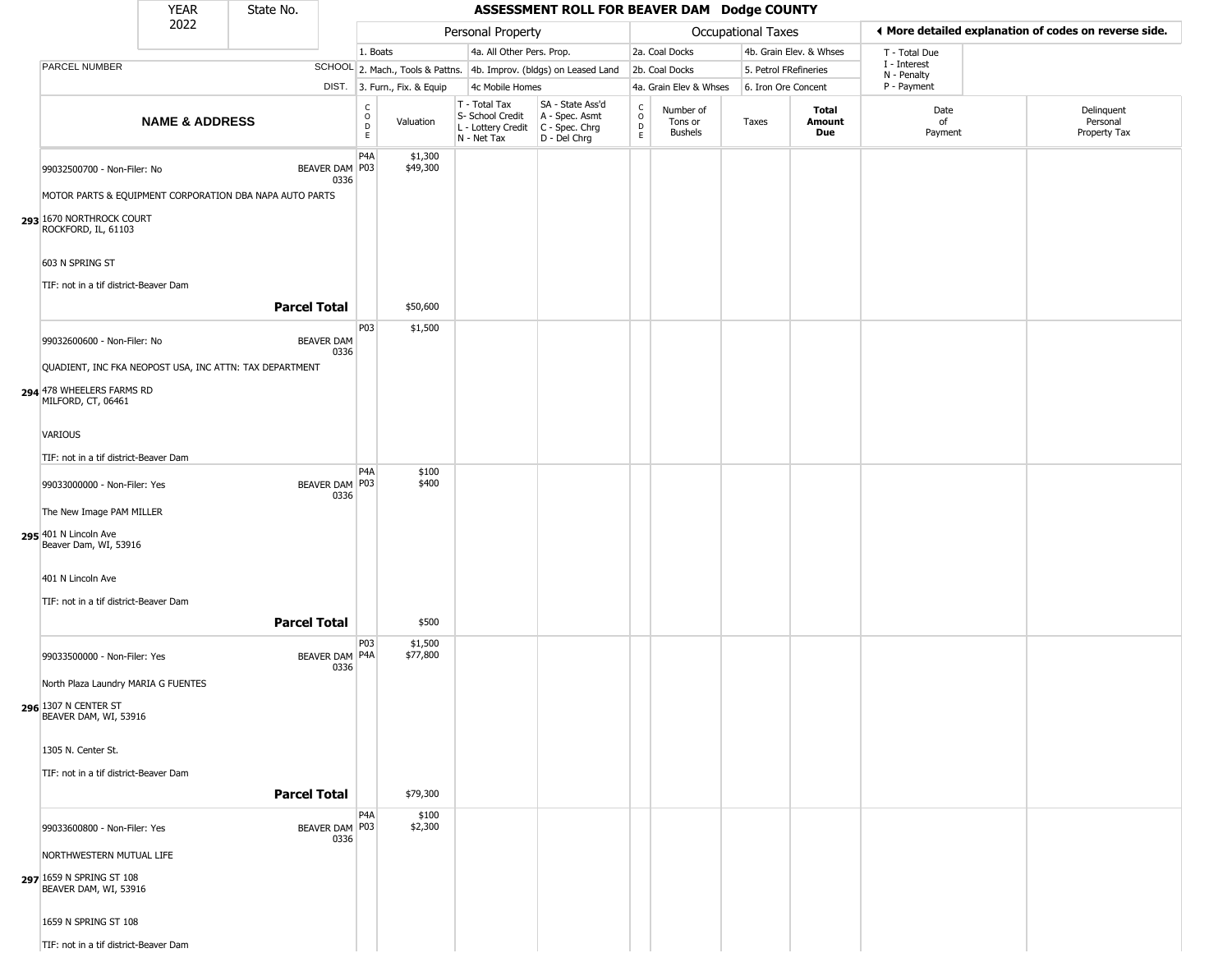|                                                      | <b>YEAR</b>               | State No.                                               |                           |                                          |                              |                                                                                         | ASSESSMENT ROLL FOR BEAVER DAM Dodge COUNTY                         |                         |                                        |                           |                         |                             |                                                       |
|------------------------------------------------------|---------------------------|---------------------------------------------------------|---------------------------|------------------------------------------|------------------------------|-----------------------------------------------------------------------------------------|---------------------------------------------------------------------|-------------------------|----------------------------------------|---------------------------|-------------------------|-----------------------------|-------------------------------------------------------|
|                                                      | 2022                      |                                                         |                           |                                          |                              | Personal Property                                                                       |                                                                     |                         |                                        | <b>Occupational Taxes</b> |                         |                             | ◀ More detailed explanation of codes on reverse side. |
|                                                      |                           |                                                         |                           | 1. Boats                                 |                              | 4a. All Other Pers. Prop.                                                               |                                                                     |                         | 2a. Coal Docks                         |                           | 4b. Grain Elev. & Whses | T - Total Due               |                                                       |
| PARCEL NUMBER                                        |                           |                                                         |                           |                                          |                              |                                                                                         | SCHOOL 2. Mach., Tools & Pattns. 4b. Improv. (bldgs) on Leased Land |                         | 2b. Coal Docks                         | 5. Petrol FRefineries     |                         | I - Interest<br>N - Penalty |                                                       |
|                                                      |                           |                                                         |                           |                                          | DIST. 3. Furn., Fix. & Equip | 4c Mobile Homes                                                                         |                                                                     |                         | 4a. Grain Elev & Whses                 | 6. Iron Ore Concent       |                         | P - Payment                 |                                                       |
|                                                      | <b>NAME &amp; ADDRESS</b> |                                                         |                           | $\rm _o^C$<br>$\mathsf D$<br>$\mathsf E$ | Valuation                    | $T - Total Tax$<br>S- School Credit<br>L - Lottery Credit C - Spec. Chrg<br>N - Net Tax | SA - State Ass'd<br>A - Spec. Asmt<br>D - Del Chrg                  | $\frac{c}{0}$<br>D<br>E | Number of<br>Tons or<br><b>Bushels</b> | Taxes                     | Total<br>Amount<br>Due  | Date<br>of<br>Payment       | Delinquent<br>Personal<br>Property Tax                |
| 99032500700 - Non-Filer: No                          |                           |                                                         | BEAVER DAM   P03<br>0336  | P <sub>4</sub> A                         | \$1,300<br>\$49,300          |                                                                                         |                                                                     |                         |                                        |                           |                         |                             |                                                       |
|                                                      |                           | MOTOR PARTS & EQUIPMENT CORPORATION DBA NAPA AUTO PARTS |                           |                                          |                              |                                                                                         |                                                                     |                         |                                        |                           |                         |                             |                                                       |
| 293 1670 NORTHROCK COURT<br>ROCKFORD, IL, 61103      |                           |                                                         |                           |                                          |                              |                                                                                         |                                                                     |                         |                                        |                           |                         |                             |                                                       |
| 603 N SPRING ST                                      |                           |                                                         |                           |                                          |                              |                                                                                         |                                                                     |                         |                                        |                           |                         |                             |                                                       |
| TIF: not in a tif district-Beaver Dam                |                           |                                                         |                           |                                          |                              |                                                                                         |                                                                     |                         |                                        |                           |                         |                             |                                                       |
|                                                      |                           | <b>Parcel Total</b>                                     |                           |                                          | \$50,600                     |                                                                                         |                                                                     |                         |                                        |                           |                         |                             |                                                       |
| 99032600600 - Non-Filer: No                          |                           |                                                         | <b>BEAVER DAM</b><br>0336 | P03                                      | \$1,500                      |                                                                                         |                                                                     |                         |                                        |                           |                         |                             |                                                       |
|                                                      |                           | QUADIENT, INC FKA NEOPOST USA, INC ATTN: TAX DEPARTMENT |                           |                                          |                              |                                                                                         |                                                                     |                         |                                        |                           |                         |                             |                                                       |
| 294 478 WHEELERS FARMS RD<br>MILFORD, CT, 06461      |                           |                                                         |                           |                                          |                              |                                                                                         |                                                                     |                         |                                        |                           |                         |                             |                                                       |
| <b>VARIOUS</b>                                       |                           |                                                         |                           |                                          |                              |                                                                                         |                                                                     |                         |                                        |                           |                         |                             |                                                       |
| TIF: not in a tif district-Beaver Dam                |                           |                                                         |                           |                                          |                              |                                                                                         |                                                                     |                         |                                        |                           |                         |                             |                                                       |
|                                                      |                           |                                                         |                           | P <sub>4</sub> A                         | \$100<br>\$400               |                                                                                         |                                                                     |                         |                                        |                           |                         |                             |                                                       |
| 99033000000 - Non-Filer: Yes                         |                           |                                                         | BEAVER DAM P03<br>0336    |                                          |                              |                                                                                         |                                                                     |                         |                                        |                           |                         |                             |                                                       |
| The New Image PAM MILLER                             |                           |                                                         |                           |                                          |                              |                                                                                         |                                                                     |                         |                                        |                           |                         |                             |                                                       |
| 295 401 N Lincoln Ave<br>Beaver Dam, WI, 53916       |                           |                                                         |                           |                                          |                              |                                                                                         |                                                                     |                         |                                        |                           |                         |                             |                                                       |
| 401 N Lincoln Ave                                    |                           |                                                         |                           |                                          |                              |                                                                                         |                                                                     |                         |                                        |                           |                         |                             |                                                       |
| TIF: not in a tif district-Beaver Dam                |                           |                                                         |                           |                                          |                              |                                                                                         |                                                                     |                         |                                        |                           |                         |                             |                                                       |
|                                                      |                           | <b>Parcel Total</b>                                     |                           |                                          | \$500                        |                                                                                         |                                                                     |                         |                                        |                           |                         |                             |                                                       |
| 99033500000 - Non-Filer: Yes                         |                           |                                                         | BEAVER DAM P4A<br>0336    | P03                                      | \$1,500<br>\$77,800          |                                                                                         |                                                                     |                         |                                        |                           |                         |                             |                                                       |
| North Plaza Laundry MARIA G FUENTES                  |                           |                                                         |                           |                                          |                              |                                                                                         |                                                                     |                         |                                        |                           |                         |                             |                                                       |
| <b>296</b> 1307 N CENTER ST<br>BEAVER DAM, WI, 53916 |                           |                                                         |                           |                                          |                              |                                                                                         |                                                                     |                         |                                        |                           |                         |                             |                                                       |
| 1305 N. Center St.                                   |                           |                                                         |                           |                                          |                              |                                                                                         |                                                                     |                         |                                        |                           |                         |                             |                                                       |
| TIF: not in a tif district-Beaver Dam                |                           |                                                         |                           |                                          |                              |                                                                                         |                                                                     |                         |                                        |                           |                         |                             |                                                       |
|                                                      |                           | <b>Parcel Total</b>                                     |                           |                                          | \$79,300                     |                                                                                         |                                                                     |                         |                                        |                           |                         |                             |                                                       |
| 99033600800 - Non-Filer: Yes                         |                           |                                                         | BEAVER DAM   P03<br>0336  | P <sub>4</sub> A                         | \$100<br>\$2,300             |                                                                                         |                                                                     |                         |                                        |                           |                         |                             |                                                       |
| NORTHWESTERN MUTUAL LIFE                             |                           |                                                         |                           |                                          |                              |                                                                                         |                                                                     |                         |                                        |                           |                         |                             |                                                       |
| 297 1659 N SPRING ST 108<br>BEAVER DAM, WI, 53916    |                           |                                                         |                           |                                          |                              |                                                                                         |                                                                     |                         |                                        |                           |                         |                             |                                                       |
| 1659 N SPRING ST 108                                 |                           |                                                         |                           |                                          |                              |                                                                                         |                                                                     |                         |                                        |                           |                         |                             |                                                       |
| TIF: not in a tif district-Beaver Dam                |                           |                                                         |                           |                                          |                              |                                                                                         |                                                                     |                         |                                        |                           |                         |                             |                                                       |

\_\_\_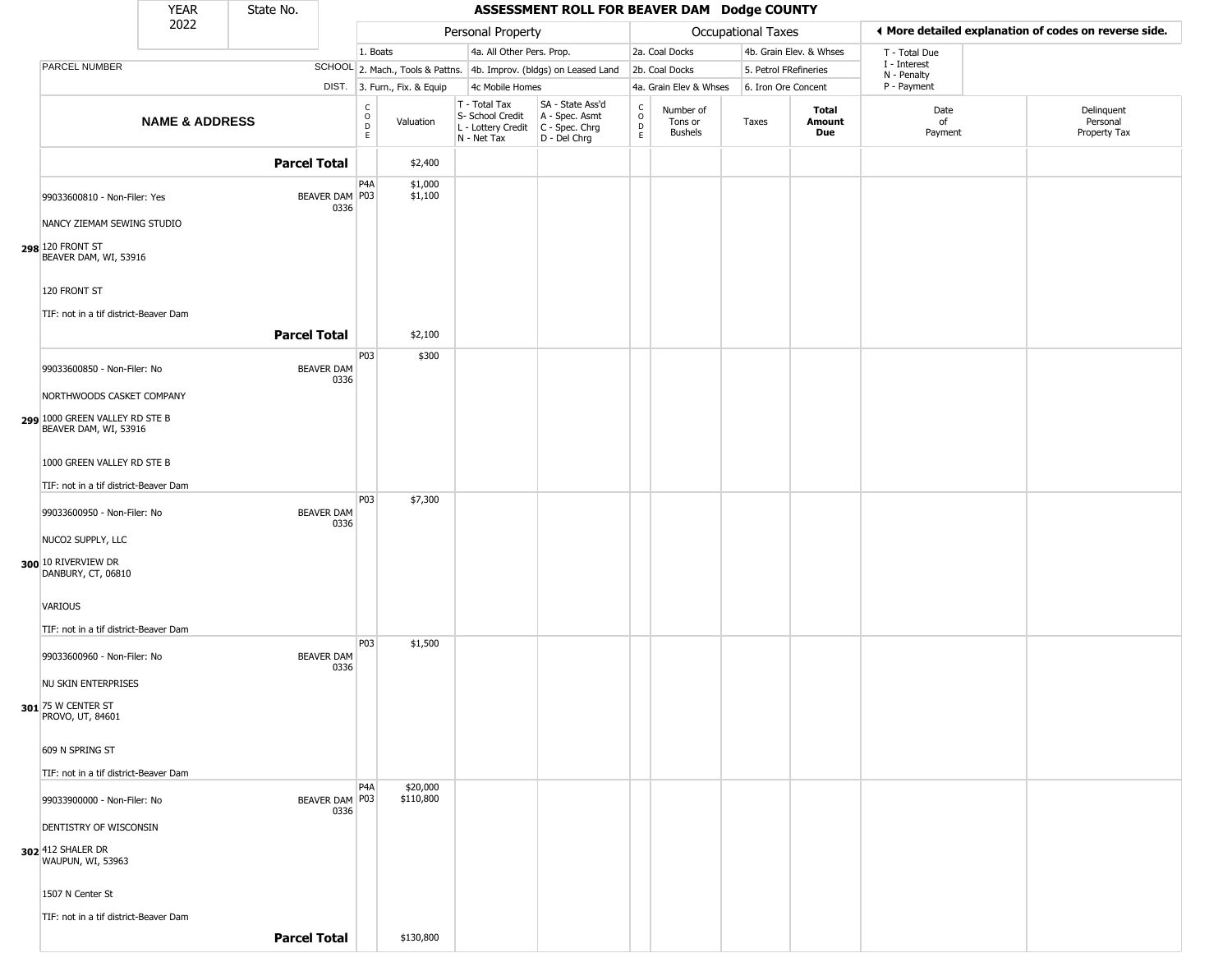|                                                                         | <b>YEAR</b>               | State No.           |                               |                              |                                                                        | ASSESSMENT ROLL FOR BEAVER DAM Dodge COUNTY                          |                  |                                        |                    |                         |                             |                                                       |
|-------------------------------------------------------------------------|---------------------------|---------------------|-------------------------------|------------------------------|------------------------------------------------------------------------|----------------------------------------------------------------------|------------------|----------------------------------------|--------------------|-------------------------|-----------------------------|-------------------------------------------------------|
|                                                                         | 2022                      |                     |                               |                              | Personal Property                                                      |                                                                      |                  |                                        | Occupational Taxes |                         |                             | ◀ More detailed explanation of codes on reverse side. |
|                                                                         |                           |                     |                               | 1. Boats                     | 4a. All Other Pers. Prop.                                              |                                                                      |                  | 2a. Coal Docks                         |                    | 4b. Grain Elev. & Whses | T - Total Due               |                                                       |
| PARCEL NUMBER                                                           |                           |                     |                               |                              |                                                                        | SCHOOL 2. Mach., Tools & Pattns. 4b. Improv. (bldgs) on Leased Land  |                  | 2b. Coal Docks                         |                    | 5. Petrol FRefineries   | I - Interest<br>N - Penalty |                                                       |
|                                                                         |                           |                     |                               | DIST. 3. Furn., Fix. & Equip | 4c Mobile Homes                                                        |                                                                      |                  | 4a. Grain Elev & Whses                 |                    | 6. Iron Ore Concent     | P - Payment                 |                                                       |
|                                                                         | <b>NAME &amp; ADDRESS</b> |                     | c<br>$\circ$<br>D<br>E        | Valuation                    | T - Total Tax<br>S- School Credit<br>L - Lottery Credit<br>N - Net Tax | SA - State Ass'd<br>A - Spec. Asmt<br>C - Spec. Chrg<br>D - Del Chrg | C<br>D<br>E<br>E | Number of<br>Tons or<br><b>Bushels</b> | Taxes              | Total<br>Amount<br>Due  | Date<br>of<br>Payment       | Delinquent<br>Personal<br>Property Tax                |
|                                                                         |                           | <b>Parcel Total</b> |                               | \$2,400                      |                                                                        |                                                                      |                  |                                        |                    |                         |                             |                                                       |
| 99033600810 - Non-Filer: Yes                                            |                           |                     | P4A<br>BEAVER DAM P03<br>0336 | \$1,000<br>\$1,100           |                                                                        |                                                                      |                  |                                        |                    |                         |                             |                                                       |
| NANCY ZIEMAM SEWING STUDIO<br>298 120 FRONT ST<br>BEAVER DAM, WI, 53916 |                           |                     |                               |                              |                                                                        |                                                                      |                  |                                        |                    |                         |                             |                                                       |
| 120 FRONT ST                                                            |                           |                     |                               |                              |                                                                        |                                                                      |                  |                                        |                    |                         |                             |                                                       |
| TIF: not in a tif district-Beaver Dam                                   |                           | <b>Parcel Total</b> |                               | \$2,100                      |                                                                        |                                                                      |                  |                                        |                    |                         |                             |                                                       |
| 99033600850 - Non-Filer: No                                             |                           |                     | P03<br>BEAVER DAM<br>0336     | \$300                        |                                                                        |                                                                      |                  |                                        |                    |                         |                             |                                                       |
| NORTHWOODS CASKET COMPANY                                               |                           |                     |                               |                              |                                                                        |                                                                      |                  |                                        |                    |                         |                             |                                                       |
| 299 1000 GREEN VALLEY RD STE B<br>BEAVER DAM, WI, 53916                 |                           |                     |                               |                              |                                                                        |                                                                      |                  |                                        |                    |                         |                             |                                                       |
| 1000 GREEN VALLEY RD STE B                                              |                           |                     |                               |                              |                                                                        |                                                                      |                  |                                        |                    |                         |                             |                                                       |
| TIF: not in a tif district-Beaver Dam                                   |                           |                     | P03                           |                              |                                                                        |                                                                      |                  |                                        |                    |                         |                             |                                                       |
| 99033600950 - Non-Filer: No                                             |                           |                     | <b>BEAVER DAM</b><br>0336     | \$7,300                      |                                                                        |                                                                      |                  |                                        |                    |                         |                             |                                                       |
| NUCO2 SUPPLY, LLC                                                       |                           |                     |                               |                              |                                                                        |                                                                      |                  |                                        |                    |                         |                             |                                                       |
| 300 10 RIVERVIEW DR<br>DANBURY, CT, 06810                               |                           |                     |                               |                              |                                                                        |                                                                      |                  |                                        |                    |                         |                             |                                                       |
| VARIOUS                                                                 |                           |                     |                               |                              |                                                                        |                                                                      |                  |                                        |                    |                         |                             |                                                       |
| TIF: not in a tif district-Beaver Dam<br>99033600960 - Non-Filer: No    |                           |                     | P03<br><b>BEAVER DAM</b>      | \$1,500                      |                                                                        |                                                                      |                  |                                        |                    |                         |                             |                                                       |
| NU SKIN ENTERPRISES                                                     |                           |                     | 0336                          |                              |                                                                        |                                                                      |                  |                                        |                    |                         |                             |                                                       |
| 301 $\scriptstyle\rm I$ 75 W center ST<br>PROVO, UT, 84601              |                           |                     |                               |                              |                                                                        |                                                                      |                  |                                        |                    |                         |                             |                                                       |
| 609 N SPRING ST                                                         |                           |                     |                               |                              |                                                                        |                                                                      |                  |                                        |                    |                         |                             |                                                       |
| TIF: not in a tif district-Beaver Dam                                   |                           |                     | P4A                           |                              |                                                                        |                                                                      |                  |                                        |                    |                         |                             |                                                       |
| 99033900000 - Non-Filer: No                                             |                           |                     | BEAVER DAM   P03<br>0336      | \$20,000<br>\$110,800        |                                                                        |                                                                      |                  |                                        |                    |                         |                             |                                                       |
| DENTISTRY OF WISCONSIN                                                  |                           |                     |                               |                              |                                                                        |                                                                      |                  |                                        |                    |                         |                             |                                                       |
| 302 412 SHALER DR<br>WAUPUN, WI, 53963                                  |                           |                     |                               |                              |                                                                        |                                                                      |                  |                                        |                    |                         |                             |                                                       |
| 1507 N Center St                                                        |                           |                     |                               |                              |                                                                        |                                                                      |                  |                                        |                    |                         |                             |                                                       |
| TIF: not in a tif district-Beaver Dam                                   |                           |                     |                               |                              |                                                                        |                                                                      |                  |                                        |                    |                         |                             |                                                       |
|                                                                         |                           | <b>Parcel Total</b> |                               | \$130,800                    |                                                                        |                                                                      |                  |                                        |                    |                         |                             |                                                       |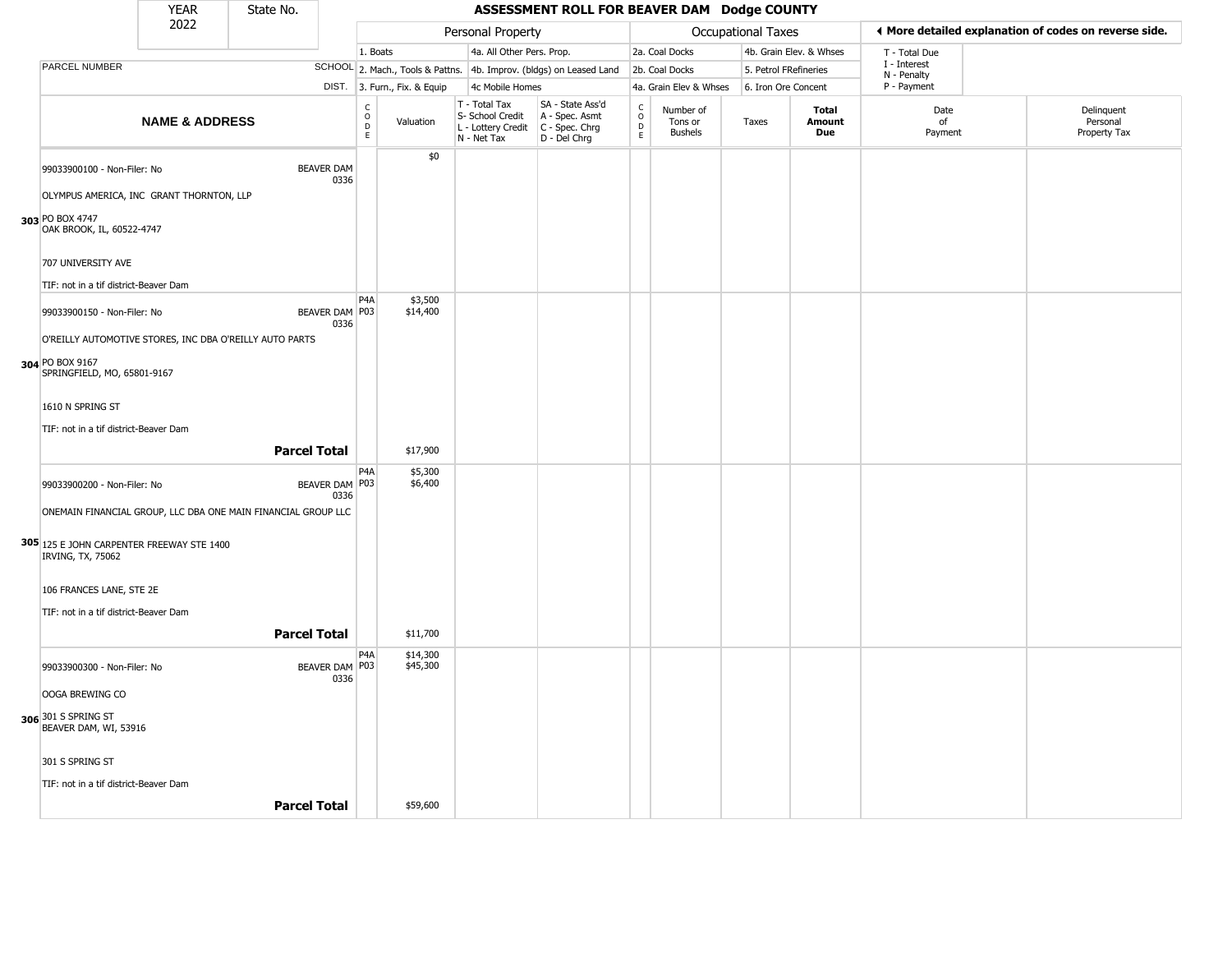|                                                                         | <b>YEAR</b>               | State No.                                                     |                           |                                                |                              |                                                                        | ASSESSMENT ROLL FOR BEAVER DAM Dodge COUNTY                            |                                              |                                        |                           |                               |                             |                                                       |
|-------------------------------------------------------------------------|---------------------------|---------------------------------------------------------------|---------------------------|------------------------------------------------|------------------------------|------------------------------------------------------------------------|------------------------------------------------------------------------|----------------------------------------------|----------------------------------------|---------------------------|-------------------------------|-----------------------------|-------------------------------------------------------|
|                                                                         | 2022                      |                                                               |                           |                                                |                              | Personal Property                                                      |                                                                        |                                              |                                        | <b>Occupational Taxes</b> |                               |                             | ♦ More detailed explanation of codes on reverse side. |
|                                                                         |                           |                                                               |                           | 1. Boats                                       |                              | 4a. All Other Pers. Prop.                                              |                                                                        |                                              | 2a. Coal Docks                         |                           | 4b. Grain Elev. & Whses       | T - Total Due               |                                                       |
| PARCEL NUMBER                                                           |                           |                                                               |                           |                                                |                              |                                                                        | SCHOOL 2. Mach., Tools & Pattns. 4b. Improv. (bldgs) on Leased Land    |                                              | 2b. Coal Docks                         | 5. Petrol FRefineries     |                               | I - Interest<br>N - Penalty |                                                       |
|                                                                         |                           |                                                               |                           |                                                | DIST. 3. Furn., Fix. & Equip | 4c Mobile Homes                                                        |                                                                        |                                              | 4a. Grain Elev & Whses                 | 6. Iron Ore Concent       |                               | P - Payment                 |                                                       |
|                                                                         | <b>NAME &amp; ADDRESS</b> |                                                               |                           | $\begin{matrix} 0 \\ 0 \\ 0 \end{matrix}$<br>E | Valuation                    | T - Total Tax<br>S- School Credit<br>L - Lottery Credit<br>N - Net Tax | SA - State Ass'd<br>A - Spec. Asmt<br>$C - Spec. Chrg$<br>D - Del Chrg | $\mathsf{C}$<br>$\circ$<br>$\mathsf D$<br>E. | Number of<br>Tons or<br><b>Bushels</b> | Taxes                     | <b>Total</b><br>Amount<br>Due | Date<br>of<br>Payment       | Delinquent<br>Personal<br>Property Tax                |
| 99033900100 - Non-Filer: No<br>OLYMPUS AMERICA, INC GRANT THORNTON, LLP |                           |                                                               | <b>BEAVER DAM</b><br>0336 |                                                | \$0                          |                                                                        |                                                                        |                                              |                                        |                           |                               |                             |                                                       |
| 303 PO BOX 4747<br>OAK BROOK, IL, 60522-4747                            |                           |                                                               |                           |                                                |                              |                                                                        |                                                                        |                                              |                                        |                           |                               |                             |                                                       |
| 707 UNIVERSITY AVE                                                      |                           |                                                               |                           |                                                |                              |                                                                        |                                                                        |                                              |                                        |                           |                               |                             |                                                       |
| TIF: not in a tif district-Beaver Dam                                   |                           |                                                               |                           | P <sub>4</sub> A                               |                              |                                                                        |                                                                        |                                              |                                        |                           |                               |                             |                                                       |
| 99033900150 - Non-Filer: No                                             |                           |                                                               | BEAVER DAM P03<br>0336    |                                                | \$3,500<br>\$14,400          |                                                                        |                                                                        |                                              |                                        |                           |                               |                             |                                                       |
|                                                                         |                           | O'REILLY AUTOMOTIVE STORES, INC DBA O'REILLY AUTO PARTS       |                           |                                                |                              |                                                                        |                                                                        |                                              |                                        |                           |                               |                             |                                                       |
| 304 PO BOX 9167<br>SPRINGFIELD, MO, 65801-9167                          |                           |                                                               |                           |                                                |                              |                                                                        |                                                                        |                                              |                                        |                           |                               |                             |                                                       |
| 1610 N SPRING ST                                                        |                           |                                                               |                           |                                                |                              |                                                                        |                                                                        |                                              |                                        |                           |                               |                             |                                                       |
| TIF: not in a tif district-Beaver Dam                                   |                           | <b>Parcel Total</b>                                           |                           |                                                | \$17,900                     |                                                                        |                                                                        |                                              |                                        |                           |                               |                             |                                                       |
| 99033900200 - Non-Filer: No                                             |                           |                                                               | BEAVER DAM P03            | P4A                                            | \$5,300<br>\$6,400           |                                                                        |                                                                        |                                              |                                        |                           |                               |                             |                                                       |
|                                                                         |                           | ONEMAIN FINANCIAL GROUP, LLC DBA ONE MAIN FINANCIAL GROUP LLC | 0336                      |                                                |                              |                                                                        |                                                                        |                                              |                                        |                           |                               |                             |                                                       |
| 305 125 E JOHN CARPENTER FREEWAY STE 1400<br>IRVING, TX, 75062          |                           |                                                               |                           |                                                |                              |                                                                        |                                                                        |                                              |                                        |                           |                               |                             |                                                       |
| 106 FRANCES LANE, STE 2E                                                |                           |                                                               |                           |                                                |                              |                                                                        |                                                                        |                                              |                                        |                           |                               |                             |                                                       |
| TIF: not in a tif district-Beaver Dam                                   |                           | <b>Parcel Total</b>                                           |                           |                                                | \$11,700                     |                                                                        |                                                                        |                                              |                                        |                           |                               |                             |                                                       |
|                                                                         |                           |                                                               |                           |                                                |                              |                                                                        |                                                                        |                                              |                                        |                           |                               |                             |                                                       |
| 99033900300 - Non-Filer: No                                             |                           |                                                               | BEAVER DAM P03<br>0336    | P4A                                            | \$14,300<br>\$45,300         |                                                                        |                                                                        |                                              |                                        |                           |                               |                             |                                                       |
| OOGA BREWING CO                                                         |                           |                                                               |                           |                                                |                              |                                                                        |                                                                        |                                              |                                        |                           |                               |                             |                                                       |
| 306 301 S SPRING ST<br>BEAVER DAM, WI, 53916                            |                           |                                                               |                           |                                                |                              |                                                                        |                                                                        |                                              |                                        |                           |                               |                             |                                                       |
| 301 S SPRING ST                                                         |                           |                                                               |                           |                                                |                              |                                                                        |                                                                        |                                              |                                        |                           |                               |                             |                                                       |

**Parcel Total | \$59,600**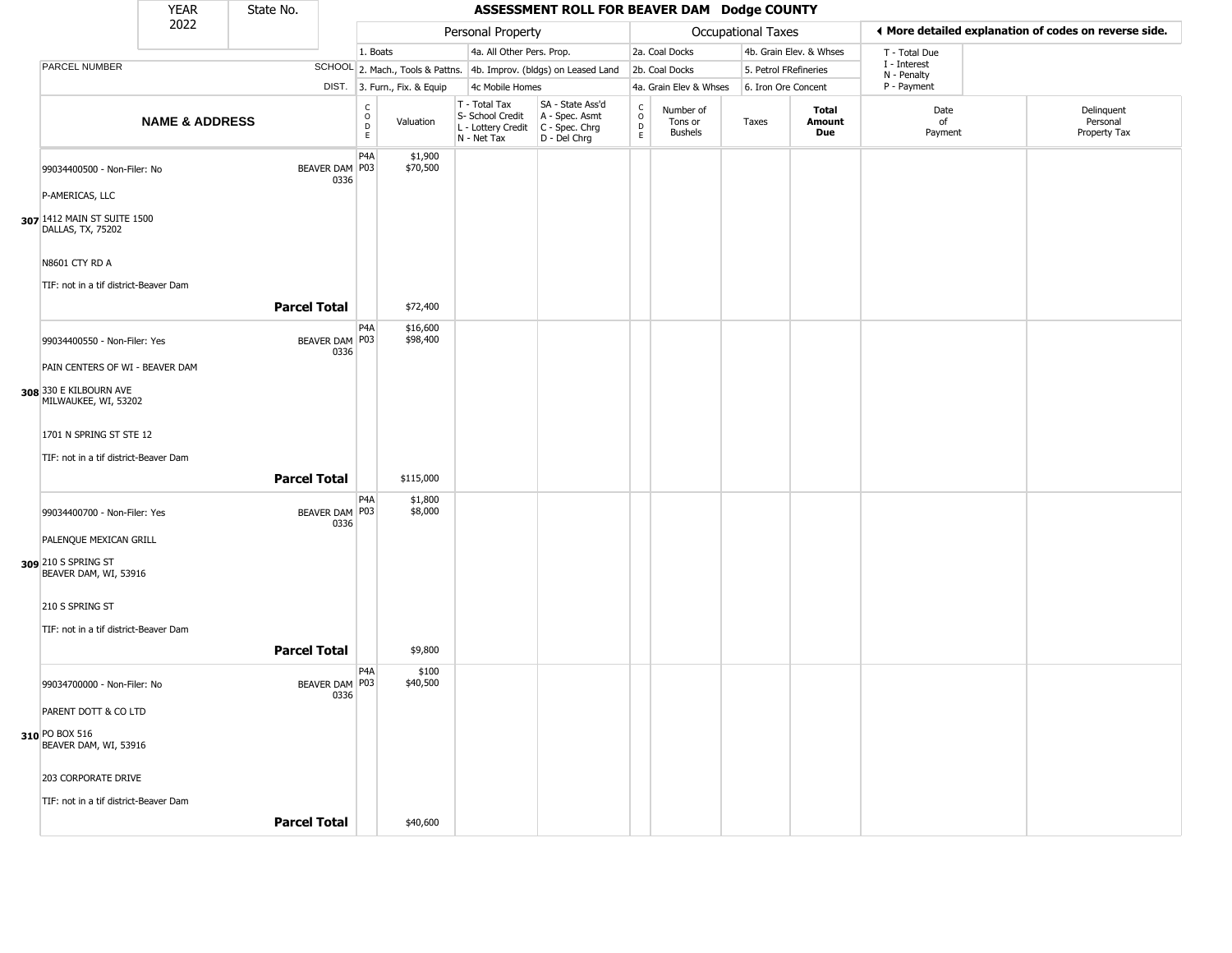|                                                                        | <b>YEAR</b>               | State No.           |                        |                                             |                              |                                                                                           | ASSESSMENT ROLL FOR BEAVER DAM Dodge COUNTY                                        |                                                          |                                        |                    |                         |                             |                                                       |
|------------------------------------------------------------------------|---------------------------|---------------------|------------------------|---------------------------------------------|------------------------------|-------------------------------------------------------------------------------------------|------------------------------------------------------------------------------------|----------------------------------------------------------|----------------------------------------|--------------------|-------------------------|-----------------------------|-------------------------------------------------------|
|                                                                        | 2022                      |                     |                        |                                             |                              | Personal Property                                                                         |                                                                                    |                                                          |                                        | Occupational Taxes |                         |                             | ♦ More detailed explanation of codes on reverse side. |
|                                                                        |                           |                     |                        | 1. Boats                                    |                              | 4a. All Other Pers. Prop.                                                                 |                                                                                    |                                                          | 2a. Coal Docks                         |                    | 4b. Grain Elev. & Whses | T - Total Due               |                                                       |
| PARCEL NUMBER                                                          |                           |                     |                        |                                             |                              |                                                                                           | SCHOOL 2. Mach., Tools & Pattns. 4b. Improv. (bldgs) on Leased Land 2b. Coal Docks |                                                          |                                        |                    | 5. Petrol FRefineries   | I - Interest<br>N - Penalty |                                                       |
|                                                                        |                           |                     |                        |                                             | DIST. 3. Furn., Fix. & Equip | 4c Mobile Homes                                                                           |                                                                                    |                                                          | 4a. Grain Elev & Whses                 |                    | 6. Iron Ore Concent     | P - Payment                 |                                                       |
|                                                                        | <b>NAME &amp; ADDRESS</b> |                     |                        | $\frac{c}{0}$<br>$\mathsf D$<br>$\mathsf E$ | Valuation                    | T - Total Tax<br>S- School Credit<br>$L$ - Lottery Credit $C$ - Spec. Chrg<br>N - Net Tax | SA - State Ass'd<br>A - Spec. Asmt<br>$D - Del Chrg$                               | $\begin{smallmatrix} C \\ O \\ D \end{smallmatrix}$<br>E | Number of<br>Tons or<br><b>Bushels</b> | Taxes              | Total<br>Amount<br>Due  | Date<br>of<br>Payment       | Delinquent<br>Personal<br>Property Tax                |
| 99034400500 - Non-Filer: No                                            |                           |                     | BEAVER DAM P03<br>0336 | P4A                                         | \$1,900<br>\$70,500          |                                                                                           |                                                                                    |                                                          |                                        |                    |                         |                             |                                                       |
| P-AMERICAS, LLC                                                        |                           |                     |                        |                                             |                              |                                                                                           |                                                                                    |                                                          |                                        |                    |                         |                             |                                                       |
| 307 1412 MAIN ST SUITE 1500<br>DALLAS, TX, 75202                       |                           |                     |                        |                                             |                              |                                                                                           |                                                                                    |                                                          |                                        |                    |                         |                             |                                                       |
| N8601 CTY RD A                                                         |                           |                     |                        |                                             |                              |                                                                                           |                                                                                    |                                                          |                                        |                    |                         |                             |                                                       |
| TIF: not in a tif district-Beaver Dam                                  |                           | <b>Parcel Total</b> |                        |                                             | \$72,400                     |                                                                                           |                                                                                    |                                                          |                                        |                    |                         |                             |                                                       |
| 99034400550 - Non-Filer: Yes                                           |                           |                     | BEAVER DAM P03         | P4A                                         | \$16,600<br>\$98,400         |                                                                                           |                                                                                    |                                                          |                                        |                    |                         |                             |                                                       |
| PAIN CENTERS OF WI - BEAVER DAM                                        |                           |                     | 0336                   |                                             |                              |                                                                                           |                                                                                    |                                                          |                                        |                    |                         |                             |                                                       |
| 308 330 E KILBOURN AVE<br>MILWAUKEE, WI, 53202                         |                           |                     |                        |                                             |                              |                                                                                           |                                                                                    |                                                          |                                        |                    |                         |                             |                                                       |
| 1701 N SPRING ST STE 12<br>TIF: not in a tif district-Beaver Dam       |                           |                     |                        |                                             |                              |                                                                                           |                                                                                    |                                                          |                                        |                    |                         |                             |                                                       |
|                                                                        |                           | <b>Parcel Total</b> |                        |                                             | \$115,000                    |                                                                                           |                                                                                    |                                                          |                                        |                    |                         |                             |                                                       |
| 99034400700 - Non-Filer: Yes                                           |                           |                     | BEAVER DAM P03<br>0336 | P4A                                         | \$1,800<br>\$8,000           |                                                                                           |                                                                                    |                                                          |                                        |                    |                         |                             |                                                       |
| PALENQUE MEXICAN GRILL<br>309 210 S SPRING ST<br>BEAVER DAM, WI, 53916 |                           |                     |                        |                                             |                              |                                                                                           |                                                                                    |                                                          |                                        |                    |                         |                             |                                                       |
| 210 S SPRING ST                                                        |                           |                     |                        |                                             |                              |                                                                                           |                                                                                    |                                                          |                                        |                    |                         |                             |                                                       |
| TIF: not in a tif district-Beaver Dam                                  |                           | <b>Parcel Total</b> |                        |                                             | \$9,800                      |                                                                                           |                                                                                    |                                                          |                                        |                    |                         |                             |                                                       |
| 99034700000 - Non-Filer: No                                            |                           |                     | BEAVER DAM P03<br>0336 | P4A                                         | \$100<br>\$40,500            |                                                                                           |                                                                                    |                                                          |                                        |                    |                         |                             |                                                       |
| PARENT DOTT & CO LTD                                                   |                           |                     |                        |                                             |                              |                                                                                           |                                                                                    |                                                          |                                        |                    |                         |                             |                                                       |
| 310 PO BOX 516<br>BEAVER DAM, WI, 53916                                |                           |                     |                        |                                             |                              |                                                                                           |                                                                                    |                                                          |                                        |                    |                         |                             |                                                       |
| 203 CORPORATE DRIVE                                                    |                           |                     |                        |                                             |                              |                                                                                           |                                                                                    |                                                          |                                        |                    |                         |                             |                                                       |
| TIF: not in a tif district-Beaver Dam                                  |                           |                     |                        |                                             |                              |                                                                                           |                                                                                    |                                                          |                                        |                    |                         |                             |                                                       |
|                                                                        |                           | <b>Parcel Total</b> |                        |                                             | \$40,600                     |                                                                                           |                                                                                    |                                                          |                                        |                    |                         |                             |                                                       |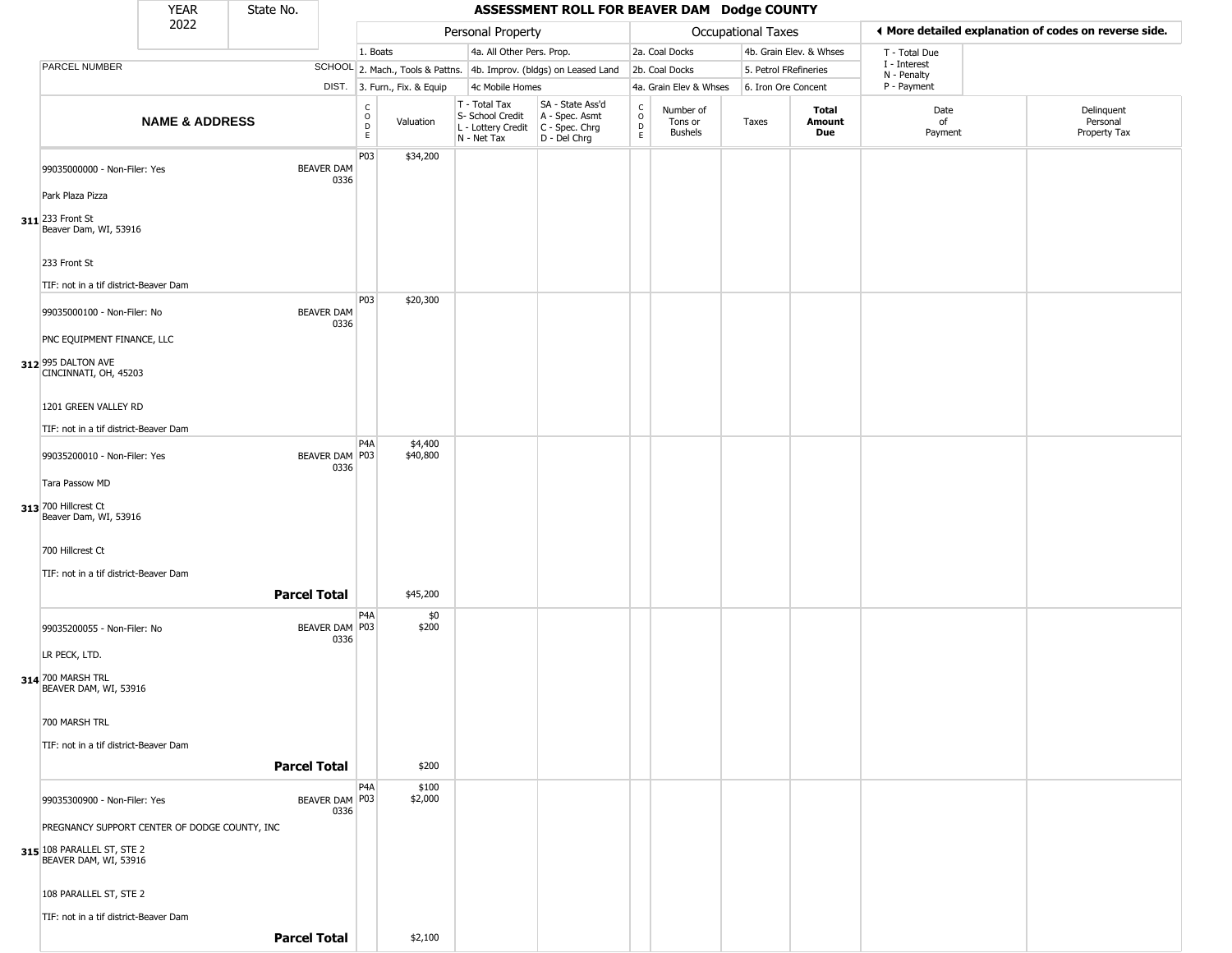|                                                                                                      | <b>YEAR</b>               | State No.           |                           |                                                 |                              |                                                                        | ASSESSMENT ROLL FOR BEAVER DAM Dodge COUNTY                          |                                          |                                 |                           |                         |                             |                                                       |
|------------------------------------------------------------------------------------------------------|---------------------------|---------------------|---------------------------|-------------------------------------------------|------------------------------|------------------------------------------------------------------------|----------------------------------------------------------------------|------------------------------------------|---------------------------------|---------------------------|-------------------------|-----------------------------|-------------------------------------------------------|
|                                                                                                      | 2022                      |                     |                           |                                                 |                              | Personal Property                                                      |                                                                      |                                          |                                 | <b>Occupational Taxes</b> |                         |                             | I More detailed explanation of codes on reverse side. |
|                                                                                                      |                           |                     |                           | 1. Boats                                        |                              | 4a. All Other Pers. Prop.                                              |                                                                      |                                          | 2a. Coal Docks                  |                           | 4b. Grain Elev. & Whses | T - Total Due               |                                                       |
| PARCEL NUMBER                                                                                        |                           |                     |                           |                                                 |                              |                                                                        | SCHOOL 2. Mach., Tools & Pattns. 4b. Improv. (bldgs) on Leased Land  |                                          | 2b. Coal Docks                  | 5. Petrol FRefineries     |                         | I - Interest<br>N - Penalty |                                                       |
|                                                                                                      |                           |                     |                           |                                                 | DIST. 3. Furn., Fix. & Equip | 4c Mobile Homes                                                        |                                                                      |                                          | 4a. Grain Elev & Whses          | 6. Iron Ore Concent       |                         | P - Payment                 |                                                       |
|                                                                                                      | <b>NAME &amp; ADDRESS</b> |                     |                           | $\mathsf{C}$<br>$\mathsf O$<br>D<br>$\mathsf E$ | Valuation                    | T - Total Tax<br>S- School Credit<br>L - Lottery Credit<br>N - Net Tax | SA - State Ass'd<br>A - Spec. Asmt<br>C - Spec. Chrg<br>D - Del Chrg | $\rm _o^C$<br>$\mathsf D$<br>$\mathsf E$ | Number of<br>Tons or<br>Bushels | Taxes                     | Total<br>Amount<br>Due  | Date<br>of<br>Payment       | Delinquent<br>Personal<br>Property Tax                |
| 99035000000 - Non-Filer: Yes<br>Park Plaza Pizza                                                     |                           |                     | <b>BEAVER DAM</b><br>0336 | P03                                             | \$34,200                     |                                                                        |                                                                      |                                          |                                 |                           |                         |                             |                                                       |
| 311 233 Front St<br>Beaver Dam, WI, 53916                                                            |                           |                     |                           |                                                 |                              |                                                                        |                                                                      |                                          |                                 |                           |                         |                             |                                                       |
| 233 Front St<br>TIF: not in a tif district-Beaver Dam                                                |                           |                     |                           |                                                 |                              |                                                                        |                                                                      |                                          |                                 |                           |                         |                             |                                                       |
| 99035000100 - Non-Filer: No<br>PNC EQUIPMENT FINANCE, LLC                                            |                           |                     | <b>BEAVER DAM</b><br>0336 | P03                                             | \$20,300                     |                                                                        |                                                                      |                                          |                                 |                           |                         |                             |                                                       |
| 312 995 DALTON AVE<br>CINCINNATI, OH, 45203                                                          |                           |                     |                           |                                                 |                              |                                                                        |                                                                      |                                          |                                 |                           |                         |                             |                                                       |
| 1201 GREEN VALLEY RD<br>TIF: not in a tif district-Beaver Dam                                        |                           |                     |                           |                                                 |                              |                                                                        |                                                                      |                                          |                                 |                           |                         |                             |                                                       |
| 99035200010 - Non-Filer: Yes                                                                         |                           |                     | BEAVER DAM   P03<br>0336  | P4A                                             | \$4,400<br>\$40,800          |                                                                        |                                                                      |                                          |                                 |                           |                         |                             |                                                       |
| Tara Passow MD                                                                                       |                           |                     |                           |                                                 |                              |                                                                        |                                                                      |                                          |                                 |                           |                         |                             |                                                       |
| 313 700 Hillcrest Ct<br>Beaver Dam, WI, 53916                                                        |                           |                     |                           |                                                 |                              |                                                                        |                                                                      |                                          |                                 |                           |                         |                             |                                                       |
| 700 Hillcrest Ct<br>TIF: not in a tif district-Beaver Dam                                            |                           |                     |                           |                                                 |                              |                                                                        |                                                                      |                                          |                                 |                           |                         |                             |                                                       |
|                                                                                                      |                           | <b>Parcel Total</b> |                           |                                                 | \$45,200                     |                                                                        |                                                                      |                                          |                                 |                           |                         |                             |                                                       |
| 99035200055 - Non-Filer: No<br>LR PECK, LTD.                                                         |                           |                     | BEAVER DAM P03<br>0336    | P4A                                             | \$0<br>\$200                 |                                                                        |                                                                      |                                          |                                 |                           |                         |                             |                                                       |
| 314 700 MARSH TRL<br>BEAVER DAM, WI, 53916                                                           |                           |                     |                           |                                                 |                              |                                                                        |                                                                      |                                          |                                 |                           |                         |                             |                                                       |
| 700 MARSH TRL<br>TIF: not in a tif district-Beaver Dam                                               |                           |                     |                           |                                                 |                              |                                                                        |                                                                      |                                          |                                 |                           |                         |                             |                                                       |
|                                                                                                      |                           | <b>Parcel Total</b> |                           |                                                 | \$200                        |                                                                        |                                                                      |                                          |                                 |                           |                         |                             |                                                       |
| 99035300900 - Non-Filer: Yes                                                                         |                           |                     | BEAVER DAM P03<br>0336    | P4A                                             | \$100<br>\$2,000             |                                                                        |                                                                      |                                          |                                 |                           |                         |                             |                                                       |
| PREGNANCY SUPPORT CENTER OF DODGE COUNTY, INC<br>315 108 PARALLEL ST, STE 2<br>BEAVER DAM, WI, 53916 |                           |                     |                           |                                                 |                              |                                                                        |                                                                      |                                          |                                 |                           |                         |                             |                                                       |
| 108 PARALLEL ST, STE 2                                                                               |                           |                     |                           |                                                 |                              |                                                                        |                                                                      |                                          |                                 |                           |                         |                             |                                                       |
| TIF: not in a tif district-Beaver Dam                                                                |                           | <b>Parcel Total</b> |                           |                                                 | \$2,100                      |                                                                        |                                                                      |                                          |                                 |                           |                         |                             |                                                       |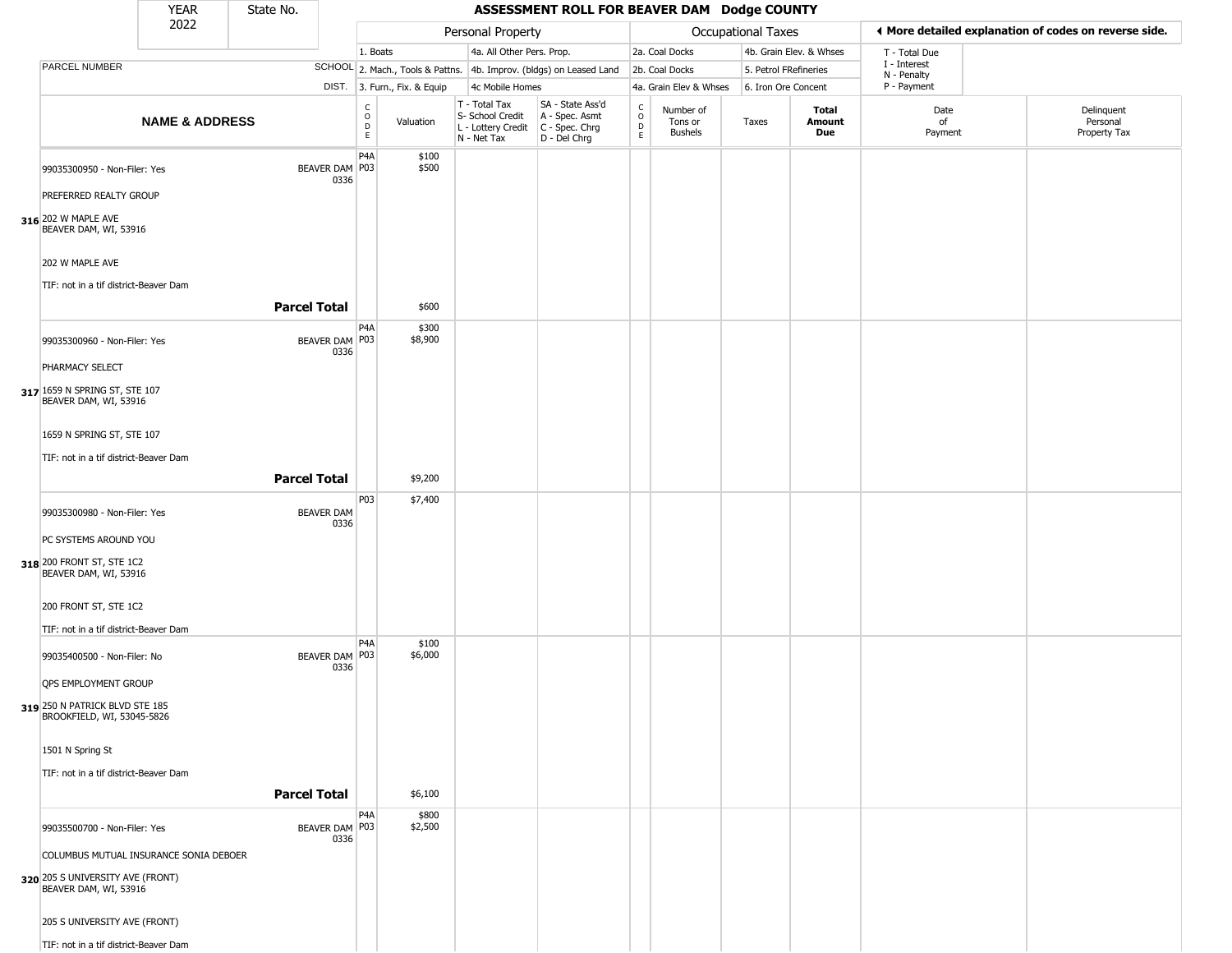|                                                              | <b>YEAR</b>               | State No.           |                           |                         |                              |                                                                                         | ASSESSMENT ROLL FOR BEAVER DAM Dodge COUNTY                         |                                            |                                        |                       |                         |                             |                                                       |
|--------------------------------------------------------------|---------------------------|---------------------|---------------------------|-------------------------|------------------------------|-----------------------------------------------------------------------------------------|---------------------------------------------------------------------|--------------------------------------------|----------------------------------------|-----------------------|-------------------------|-----------------------------|-------------------------------------------------------|
|                                                              | 2022                      |                     |                           |                         |                              | Personal Property                                                                       |                                                                     |                                            |                                        | Occupational Taxes    |                         |                             | ◀ More detailed explanation of codes on reverse side. |
|                                                              |                           |                     |                           | 1. Boats                |                              | 4a. All Other Pers. Prop.                                                               |                                                                     |                                            | 2a. Coal Docks                         |                       | 4b. Grain Elev. & Whses | T - Total Due               |                                                       |
| PARCEL NUMBER                                                |                           |                     |                           |                         |                              |                                                                                         | SCHOOL 2. Mach., Tools & Pattns. 4b. Improv. (bldgs) on Leased Land |                                            | 2b. Coal Docks                         | 5. Petrol FRefineries |                         | I - Interest<br>N - Penalty |                                                       |
|                                                              |                           |                     |                           |                         | DIST. 3. Furn., Fix. & Equip | 4c Mobile Homes                                                                         |                                                                     |                                            | 4a. Grain Elev & Whses                 | 6. Iron Ore Concent   |                         | P - Payment                 |                                                       |
|                                                              | <b>NAME &amp; ADDRESS</b> |                     |                           | c<br>$\circ$<br>D<br>E. | Valuation                    | T - Total Tax<br>S- School Credit<br>L - Lottery Credit   C - Spec. Chrg<br>N - Net Tax | SA - State Ass'd<br>A - Spec. Asmt<br>D - Del Chrg                  | $\begin{array}{c} C \\ 0 \\ E \end{array}$ | Number of<br>Tons or<br><b>Bushels</b> | Taxes                 | Total<br>Amount<br>Due  | Date<br>of<br>Payment       | Delinquent<br>Personal<br>Property Tax                |
| 99035300950 - Non-Filer: Yes<br>PREFERRED REALTY GROUP       |                           |                     | BEAVER DAM   P03<br>0336  | P <sub>4</sub> A        | \$100<br>\$500               |                                                                                         |                                                                     |                                            |                                        |                       |                         |                             |                                                       |
|                                                              |                           |                     |                           |                         |                              |                                                                                         |                                                                     |                                            |                                        |                       |                         |                             |                                                       |
| 316 202 W MAPLE AVE<br>BEAVER DAM, WI, 53916                 |                           |                     |                           |                         |                              |                                                                                         |                                                                     |                                            |                                        |                       |                         |                             |                                                       |
| 202 W MAPLE AVE<br>TIF: not in a tif district-Beaver Dam     |                           |                     |                           |                         |                              |                                                                                         |                                                                     |                                            |                                        |                       |                         |                             |                                                       |
|                                                              |                           | <b>Parcel Total</b> |                           |                         | \$600                        |                                                                                         |                                                                     |                                            |                                        |                       |                         |                             |                                                       |
| 99035300960 - Non-Filer: Yes                                 |                           |                     | BEAVER DAM P03<br>0336    | P <sub>4</sub> A        | \$300<br>\$8,900             |                                                                                         |                                                                     |                                            |                                        |                       |                         |                             |                                                       |
| PHARMACY SELECT                                              |                           |                     |                           |                         |                              |                                                                                         |                                                                     |                                            |                                        |                       |                         |                             |                                                       |
| 317 1659 N SPRING ST, STE 107<br>BEAVER DAM, WI, 53916       |                           |                     |                           |                         |                              |                                                                                         |                                                                     |                                            |                                        |                       |                         |                             |                                                       |
| 1659 N SPRING ST, STE 107                                    |                           |                     |                           |                         |                              |                                                                                         |                                                                     |                                            |                                        |                       |                         |                             |                                                       |
| TIF: not in a tif district-Beaver Dam                        |                           | <b>Parcel Total</b> |                           |                         | \$9,200                      |                                                                                         |                                                                     |                                            |                                        |                       |                         |                             |                                                       |
|                                                              |                           |                     |                           | P03                     | \$7,400                      |                                                                                         |                                                                     |                                            |                                        |                       |                         |                             |                                                       |
| 99035300980 - Non-Filer: Yes                                 |                           |                     | <b>BEAVER DAM</b><br>0336 |                         |                              |                                                                                         |                                                                     |                                            |                                        |                       |                         |                             |                                                       |
| PC SYSTEMS AROUND YOU                                        |                           |                     |                           |                         |                              |                                                                                         |                                                                     |                                            |                                        |                       |                         |                             |                                                       |
| 318 200 FRONT ST, STE 1C2<br>BEAVER DAM, WI, 53916           |                           |                     |                           |                         |                              |                                                                                         |                                                                     |                                            |                                        |                       |                         |                             |                                                       |
| 200 FRONT ST, STE 1C2                                        |                           |                     |                           |                         |                              |                                                                                         |                                                                     |                                            |                                        |                       |                         |                             |                                                       |
| TIF: not in a tif district-Beaver Dam                        |                           |                     |                           |                         |                              |                                                                                         |                                                                     |                                            |                                        |                       |                         |                             |                                                       |
| 99035400500 - Non-Filer: No                                  |                           |                     | BEAVER DAM P03<br>0336    | P4A                     | \$100<br>\$6,000             |                                                                                         |                                                                     |                                            |                                        |                       |                         |                             |                                                       |
| QPS EMPLOYMENT GROUP                                         |                           |                     |                           |                         |                              |                                                                                         |                                                                     |                                            |                                        |                       |                         |                             |                                                       |
| 319 250 N PATRICK BLVD STE 185<br>BROOKFIELD, WI, 53045-5826 |                           |                     |                           |                         |                              |                                                                                         |                                                                     |                                            |                                        |                       |                         |                             |                                                       |
| 1501 N Spring St                                             |                           |                     |                           |                         |                              |                                                                                         |                                                                     |                                            |                                        |                       |                         |                             |                                                       |
| TIF: not in a tif district-Beaver Dam                        |                           |                     |                           |                         |                              |                                                                                         |                                                                     |                                            |                                        |                       |                         |                             |                                                       |
|                                                              |                           | <b>Parcel Total</b> |                           |                         | \$6,100                      |                                                                                         |                                                                     |                                            |                                        |                       |                         |                             |                                                       |
| 99035500700 - Non-Filer: Yes                                 |                           |                     | BEAVER DAM   P03<br>0336  | P4A                     | \$800<br>\$2,500             |                                                                                         |                                                                     |                                            |                                        |                       |                         |                             |                                                       |
| COLUMBUS MUTUAL INSURANCE SONIA DEBOER                       |                           |                     |                           |                         |                              |                                                                                         |                                                                     |                                            |                                        |                       |                         |                             |                                                       |
| 320 205 S UNIVERSITY AVE (FRONT)<br>BEAVER DAM, WI, 53916    |                           |                     |                           |                         |                              |                                                                                         |                                                                     |                                            |                                        |                       |                         |                             |                                                       |
| 205 S UNIVERSITY AVE (FRONT)                                 |                           |                     |                           |                         |                              |                                                                                         |                                                                     |                                            |                                        |                       |                         |                             |                                                       |
| TIF: not in a tif district-Beaver Dam                        |                           |                     |                           |                         |                              |                                                                                         |                                                                     |                                            |                                        |                       |                         |                             |                                                       |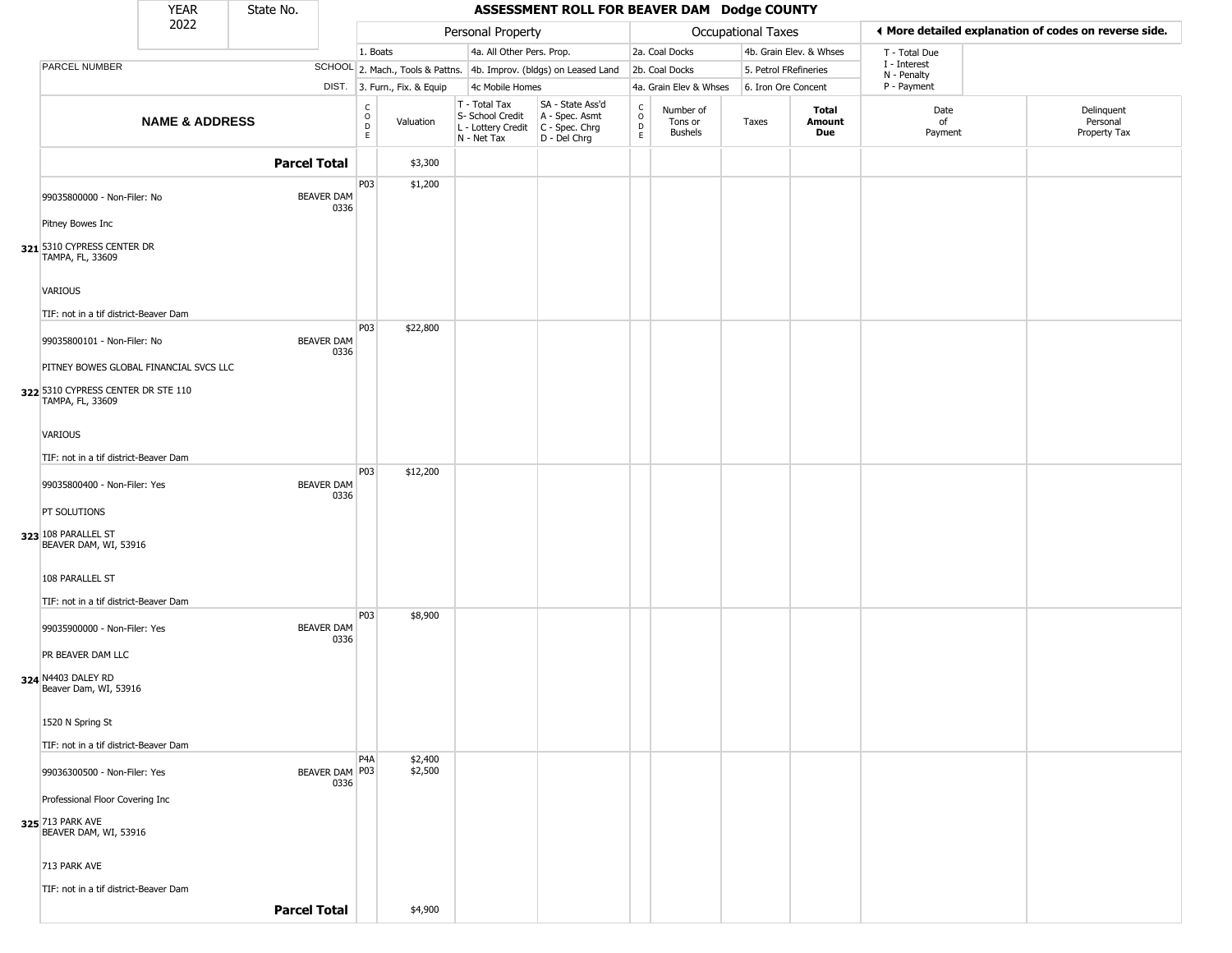|                                                                               | <b>YEAR</b>               | State No.           |                           |                                    |                              |                                                                        | ASSESSMENT ROLL FOR BEAVER DAM Dodge COUNTY                          |                                                   |                                        |                           |                         |                             |                                                       |
|-------------------------------------------------------------------------------|---------------------------|---------------------|---------------------------|------------------------------------|------------------------------|------------------------------------------------------------------------|----------------------------------------------------------------------|---------------------------------------------------|----------------------------------------|---------------------------|-------------------------|-----------------------------|-------------------------------------------------------|
|                                                                               | 2022                      |                     |                           |                                    |                              | Personal Property                                                      |                                                                      |                                                   |                                        | <b>Occupational Taxes</b> |                         |                             | ◀ More detailed explanation of codes on reverse side. |
|                                                                               |                           |                     |                           | 1. Boats                           |                              | 4a. All Other Pers. Prop.                                              |                                                                      |                                                   | 2a. Coal Docks                         |                           | 4b. Grain Elev. & Whses | T - Total Due               |                                                       |
| PARCEL NUMBER                                                                 |                           |                     |                           |                                    |                              |                                                                        | SCHOOL 2. Mach., Tools & Pattns. 4b. Improv. (bldgs) on Leased Land  |                                                   | 2b. Coal Docks                         | 5. Petrol FRefineries     |                         | I - Interest<br>N - Penalty |                                                       |
|                                                                               |                           |                     |                           |                                    | DIST. 3. Furn., Fix. & Equip | 4c Mobile Homes                                                        |                                                                      |                                                   | 4a. Grain Elev & Whses                 | 6. Iron Ore Concent       |                         | P - Payment                 |                                                       |
|                                                                               | <b>NAME &amp; ADDRESS</b> |                     |                           | $\mathsf{C}$<br>$\circ$<br>D<br>E. | Valuation                    | T - Total Tax<br>S- School Credit<br>L - Lottery Credit<br>N - Net Tax | SA - State Ass'd<br>A - Spec. Asmt<br>C - Spec. Chrg<br>D - Del Chrg | $\begin{array}{c}\nC \\ O \\ D \\ E\n\end{array}$ | Number of<br>Tons or<br><b>Bushels</b> | Taxes                     | Total<br>Amount<br>Due  | Date<br>of<br>Payment       | Delinquent<br>Personal<br>Property Tax                |
|                                                                               |                           | <b>Parcel Total</b> |                           |                                    | \$3,300                      |                                                                        |                                                                      |                                                   |                                        |                           |                         |                             |                                                       |
| 99035800000 - Non-Filer: No<br>Pitney Bowes Inc<br>321 5310 CYPRESS CENTER DR |                           |                     | <b>BEAVER DAM</b><br>0336 | P03                                | \$1,200                      |                                                                        |                                                                      |                                                   |                                        |                           |                         |                             |                                                       |
| TAMPA, FL, 33609<br><b>VARIOUS</b><br>TIF: not in a tif district-Beaver Dam   |                           |                     |                           |                                    |                              |                                                                        |                                                                      |                                                   |                                        |                           |                         |                             |                                                       |
| 99035800101 - Non-Filer: No<br>PITNEY BOWES GLOBAL FINANCIAL SVCS LLC         |                           |                     | <b>BEAVER DAM</b><br>0336 | P03                                | \$22,800                     |                                                                        |                                                                      |                                                   |                                        |                           |                         |                             |                                                       |
| 322 5310 CYPRESS CENTER DR STE 110<br>TAMPA, FL, 33609<br>VARIOUS             |                           |                     |                           |                                    |                              |                                                                        |                                                                      |                                                   |                                        |                           |                         |                             |                                                       |
| TIF: not in a tif district-Beaver Dam                                         |                           |                     |                           |                                    |                              |                                                                        |                                                                      |                                                   |                                        |                           |                         |                             |                                                       |
| 99035800400 - Non-Filer: Yes                                                  |                           |                     | BEAVER DAM<br>0336        | P03                                | \$12,200                     |                                                                        |                                                                      |                                                   |                                        |                           |                         |                             |                                                       |
| PT SOLUTIONS<br>323 108 PARALLEL ST<br>BEAVER DAM, WI, 53916                  |                           |                     |                           |                                    |                              |                                                                        |                                                                      |                                                   |                                        |                           |                         |                             |                                                       |
| 108 PARALLEL ST<br>TIF: not in a tif district-Beaver Dam                      |                           |                     |                           |                                    |                              |                                                                        |                                                                      |                                                   |                                        |                           |                         |                             |                                                       |
| 99035900000 - Non-Filer: Yes<br>PR BEAVER DAM LLC                             |                           |                     | BEAVER DAM<br>0336        | P03                                | \$8,900                      |                                                                        |                                                                      |                                                   |                                        |                           |                         |                             |                                                       |
| 324 N4403 DALEY RD<br>Beaver Dam, WI, 53916                                   |                           |                     |                           |                                    |                              |                                                                        |                                                                      |                                                   |                                        |                           |                         |                             |                                                       |
| 1520 N Spring St                                                              |                           |                     |                           |                                    |                              |                                                                        |                                                                      |                                                   |                                        |                           |                         |                             |                                                       |
| TIF: not in a tif district-Beaver Dam                                         |                           |                     |                           | P <sub>4</sub> A                   | \$2,400                      |                                                                        |                                                                      |                                                   |                                        |                           |                         |                             |                                                       |
| 99036300500 - Non-Filer: Yes<br>Professional Floor Covering Inc               |                           |                     | BEAVER DAM P03<br>0336    |                                    | \$2,500                      |                                                                        |                                                                      |                                                   |                                        |                           |                         |                             |                                                       |
| 325 713 PARK AVE<br>BEAVER DAM, WI, 53916                                     |                           |                     |                           |                                    |                              |                                                                        |                                                                      |                                                   |                                        |                           |                         |                             |                                                       |
| 713 PARK AVE                                                                  |                           |                     |                           |                                    |                              |                                                                        |                                                                      |                                                   |                                        |                           |                         |                             |                                                       |
| TIF: not in a tif district-Beaver Dam                                         |                           | <b>Parcel Total</b> |                           |                                    | \$4,900                      |                                                                        |                                                                      |                                                   |                                        |                           |                         |                             |                                                       |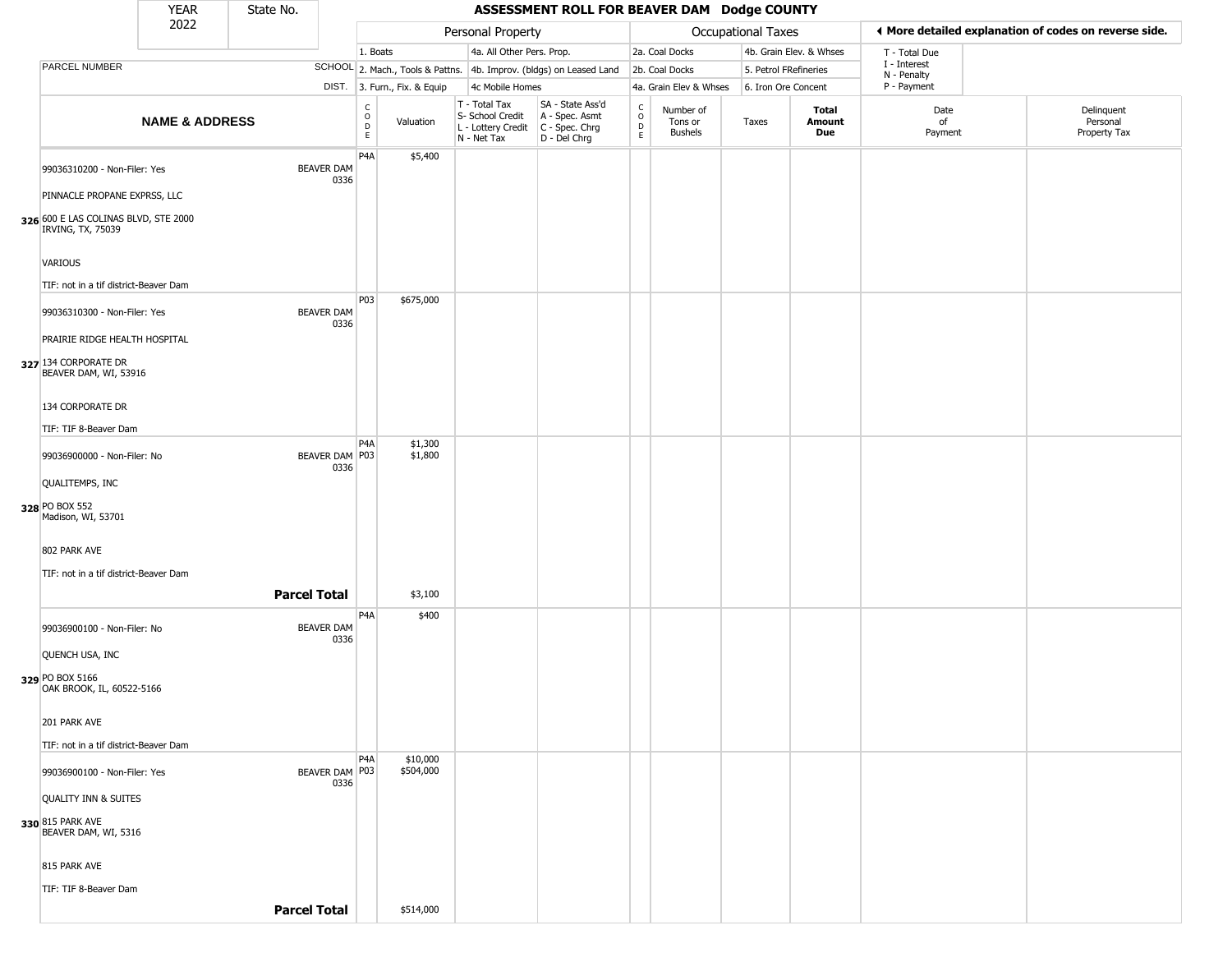|                                                                                | <b>YEAR</b>               | State No.           |                           |                        |                              |                                                                        | ASSESSMENT ROLL FOR BEAVER DAM Dodge COUNTY                          |                                              |                                        |       |                         |                        |                             |                                                       |
|--------------------------------------------------------------------------------|---------------------------|---------------------|---------------------------|------------------------|------------------------------|------------------------------------------------------------------------|----------------------------------------------------------------------|----------------------------------------------|----------------------------------------|-------|-------------------------|------------------------|-----------------------------|-------------------------------------------------------|
|                                                                                | 2022                      |                     |                           |                        |                              | Personal Property                                                      |                                                                      |                                              | Occupational Taxes                     |       |                         |                        |                             | I More detailed explanation of codes on reverse side. |
|                                                                                |                           |                     |                           | 1. Boats               |                              | 4a. All Other Pers. Prop.                                              |                                                                      |                                              | 2a. Coal Docks                         |       | 4b. Grain Elev. & Whses |                        | T - Total Due               |                                                       |
| PARCEL NUMBER                                                                  |                           |                     |                           |                        |                              |                                                                        | SCHOOL 2. Mach., Tools & Pattns. 4b. Improv. (bldgs) on Leased Land  |                                              | 2b. Coal Docks                         |       | 5. Petrol FRefineries   |                        | I - Interest<br>N - Penalty |                                                       |
|                                                                                |                           |                     |                           |                        | DIST. 3. Furn., Fix. & Equip | 4c Mobile Homes                                                        |                                                                      |                                              | 4a. Grain Elev & Whses                 |       | 6. Iron Ore Concent     |                        | P - Payment                 |                                                       |
|                                                                                | <b>NAME &amp; ADDRESS</b> |                     |                           | C<br>$\circ$<br>D<br>E | Valuation                    | T - Total Tax<br>S- School Credit<br>L - Lottery Credit<br>N - Net Tax | SA - State Ass'd<br>A - Spec. Asmt<br>C - Spec. Chrg<br>D - Del Chrg | $\frac{c}{0}$<br>$\mathsf{D}$<br>$\mathsf E$ | Number of<br>Tons or<br><b>Bushels</b> | Taxes |                         | Total<br>Amount<br>Due | Date<br>of<br>Payment       | Delinquent<br>Personal<br>Property Tax                |
| 99036310200 - Non-Filer: Yes<br>PINNACLE PROPANE EXPRSS, LLC                   |                           |                     | <b>BEAVER DAM</b><br>0336 | P4A                    | \$5,400                      |                                                                        |                                                                      |                                              |                                        |       |                         |                        |                             |                                                       |
| 326 600 E LAS COLINAS BLVD, STE 2000<br>IRVING, TX, 75039                      |                           |                     |                           |                        |                              |                                                                        |                                                                      |                                              |                                        |       |                         |                        |                             |                                                       |
| VARIOUS<br>TIF: not in a tif district-Beaver Dam                               |                           |                     |                           |                        |                              |                                                                        |                                                                      |                                              |                                        |       |                         |                        |                             |                                                       |
| 99036310300 - Non-Filer: Yes                                                   |                           |                     | <b>BEAVER DAM</b><br>0336 | P <sub>0</sub> 3       | \$675,000                    |                                                                        |                                                                      |                                              |                                        |       |                         |                        |                             |                                                       |
| PRAIRIE RIDGE HEALTH HOSPITAL<br>327 134 CORPORATE DR<br>BEAVER DAM, WI, 53916 |                           |                     |                           |                        |                              |                                                                        |                                                                      |                                              |                                        |       |                         |                        |                             |                                                       |
| 134 CORPORATE DR<br>TIF: TIF 8-Beaver Dam                                      |                           |                     |                           |                        |                              |                                                                        |                                                                      |                                              |                                        |       |                         |                        |                             |                                                       |
| 99036900000 - Non-Filer: No                                                    |                           |                     | BEAVER DAM P03<br>0336    | P4A                    | \$1,300<br>\$1,800           |                                                                        |                                                                      |                                              |                                        |       |                         |                        |                             |                                                       |
| QUALITEMPS, INC<br>328 PO BOX 552                                              |                           |                     |                           |                        |                              |                                                                        |                                                                      |                                              |                                        |       |                         |                        |                             |                                                       |
| Madison, WI, 53701<br>802 PARK AVE                                             |                           |                     |                           |                        |                              |                                                                        |                                                                      |                                              |                                        |       |                         |                        |                             |                                                       |
| TIF: not in a tif district-Beaver Dam                                          |                           |                     |                           |                        |                              |                                                                        |                                                                      |                                              |                                        |       |                         |                        |                             |                                                       |
|                                                                                |                           | <b>Parcel Total</b> |                           |                        | \$3,100                      |                                                                        |                                                                      |                                              |                                        |       |                         |                        |                             |                                                       |
| 99036900100 - Non-Filer: No                                                    |                           |                     | <b>BEAVER DAM</b><br>0336 | P4A                    | \$400                        |                                                                        |                                                                      |                                              |                                        |       |                         |                        |                             |                                                       |
| QUENCH USA, INC<br>329 PO BOX 5166<br>OAK BROOK, IL, 60522-5166                |                           |                     |                           |                        |                              |                                                                        |                                                                      |                                              |                                        |       |                         |                        |                             |                                                       |
| 201 PARK AVE                                                                   |                           |                     |                           |                        |                              |                                                                        |                                                                      |                                              |                                        |       |                         |                        |                             |                                                       |
| TIF: not in a tif district-Beaver Dam<br>99036900100 - Non-Filer: Yes          |                           |                     | BEAVER DAM   P03<br>0336  | P4A                    | \$10,000<br>\$504,000        |                                                                        |                                                                      |                                              |                                        |       |                         |                        |                             |                                                       |
| QUALITY INN & SUITES                                                           |                           |                     |                           |                        |                              |                                                                        |                                                                      |                                              |                                        |       |                         |                        |                             |                                                       |
| 330 815 PARK AVE<br>BEAVER DAM, WI, 5316                                       |                           |                     |                           |                        |                              |                                                                        |                                                                      |                                              |                                        |       |                         |                        |                             |                                                       |
| 815 PARK AVE                                                                   |                           |                     |                           |                        |                              |                                                                        |                                                                      |                                              |                                        |       |                         |                        |                             |                                                       |
| TIF: TIF 8-Beaver Dam                                                          |                           | <b>Parcel Total</b> |                           |                        | \$514,000                    |                                                                        |                                                                      |                                              |                                        |       |                         |                        |                             |                                                       |
|                                                                                |                           |                     |                           |                        |                              |                                                                        |                                                                      |                                              |                                        |       |                         |                        |                             |                                                       |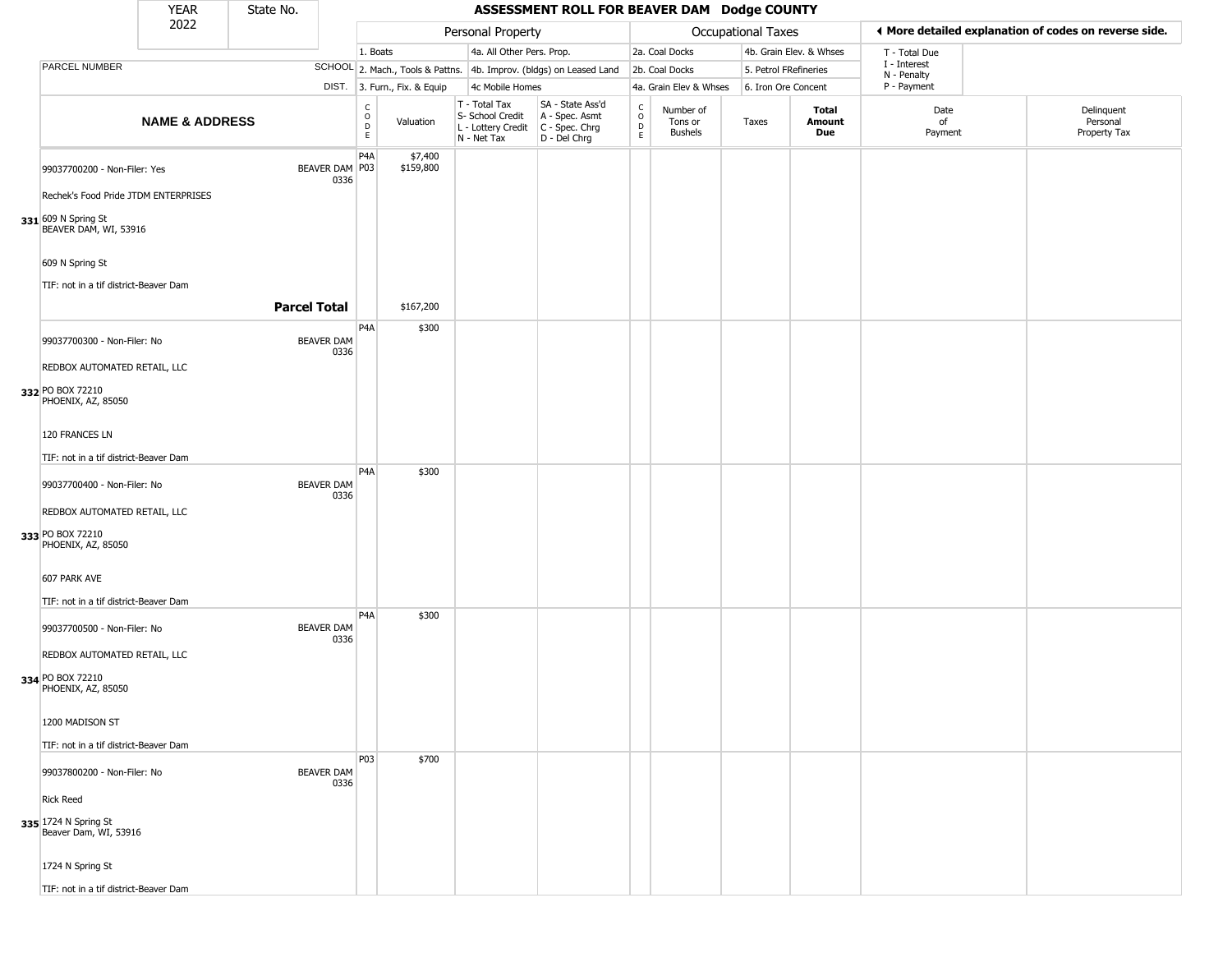|                                               | <b>YEAR</b>               | State No.           |                           |                                                |                              |                                                                                         | ASSESSMENT ROLL FOR BEAVER DAM Dodge COUNTY                         |                        |                                        |                           |                         |                             |                                                       |
|-----------------------------------------------|---------------------------|---------------------|---------------------------|------------------------------------------------|------------------------------|-----------------------------------------------------------------------------------------|---------------------------------------------------------------------|------------------------|----------------------------------------|---------------------------|-------------------------|-----------------------------|-------------------------------------------------------|
|                                               | 2022                      |                     |                           |                                                |                              | Personal Property                                                                       |                                                                     |                        |                                        | <b>Occupational Taxes</b> |                         |                             | ◀ More detailed explanation of codes on reverse side. |
|                                               |                           |                     |                           | 1. Boats                                       |                              | 4a. All Other Pers. Prop.                                                               |                                                                     |                        | 2a. Coal Docks                         |                           | 4b. Grain Elev. & Whses | T - Total Due               |                                                       |
| PARCEL NUMBER                                 |                           |                     |                           |                                                |                              |                                                                                         | SCHOOL 2. Mach., Tools & Pattns. 4b. Improv. (bldgs) on Leased Land |                        | 2b. Coal Docks                         | 5. Petrol FRefineries     |                         | I - Interest<br>N - Penalty |                                                       |
|                                               |                           |                     |                           |                                                | DIST. 3. Furn., Fix. & Equip | 4c Mobile Homes                                                                         |                                                                     |                        | 4a. Grain Elev & Whses                 | 6. Iron Ore Concent       |                         | P - Payment                 |                                                       |
|                                               | <b>NAME &amp; ADDRESS</b> |                     |                           | $\begin{matrix} 0 \\ 0 \\ D \end{matrix}$<br>E | Valuation                    | T - Total Tax<br>S- School Credit<br>L - Lottery Credit   C - Spec. Chrg<br>N - Net Tax | SA - State Ass'd<br>A - Spec. Asmt<br>D - Del Chrg                  | C<br>$\circ$<br>D<br>E | Number of<br>Tons or<br><b>Bushels</b> | Taxes                     | Total<br>Amount<br>Due  | Date<br>of<br>Payment       | Delinquent<br>Personal<br>Property Tax                |
| 99037700200 - Non-Filer: Yes                  |                           |                     | BEAVER DAM P03<br>0336    | P <sub>4</sub> A                               | \$7,400<br>\$159,800         |                                                                                         |                                                                     |                        |                                        |                           |                         |                             |                                                       |
| Rechek's Food Pride JTDM ENTERPRISES          |                           |                     |                           |                                                |                              |                                                                                         |                                                                     |                        |                                        |                           |                         |                             |                                                       |
| 331 609 N Spring St<br>BEAVER DAM, WI, 53916  |                           |                     |                           |                                                |                              |                                                                                         |                                                                     |                        |                                        |                           |                         |                             |                                                       |
| 609 N Spring St                               |                           |                     |                           |                                                |                              |                                                                                         |                                                                     |                        |                                        |                           |                         |                             |                                                       |
| TIF: not in a tif district-Beaver Dam         |                           |                     |                           |                                                |                              |                                                                                         |                                                                     |                        |                                        |                           |                         |                             |                                                       |
|                                               |                           | <b>Parcel Total</b> |                           |                                                | \$167,200                    |                                                                                         |                                                                     |                        |                                        |                           |                         |                             |                                                       |
| 99037700300 - Non-Filer: No                   |                           |                     | <b>BEAVER DAM</b><br>0336 | P <sub>4</sub> A                               | \$300                        |                                                                                         |                                                                     |                        |                                        |                           |                         |                             |                                                       |
| REDBOX AUTOMATED RETAIL, LLC                  |                           |                     |                           |                                                |                              |                                                                                         |                                                                     |                        |                                        |                           |                         |                             |                                                       |
| 332 PO BOX 72210<br>PHOENIX, AZ, 85050        |                           |                     |                           |                                                |                              |                                                                                         |                                                                     |                        |                                        |                           |                         |                             |                                                       |
| 120 FRANCES LN                                |                           |                     |                           |                                                |                              |                                                                                         |                                                                     |                        |                                        |                           |                         |                             |                                                       |
| TIF: not in a tif district-Beaver Dam         |                           |                     |                           |                                                |                              |                                                                                         |                                                                     |                        |                                        |                           |                         |                             |                                                       |
| 99037700400 - Non-Filer: No                   |                           |                     | <b>BEAVER DAM</b><br>0336 | P <sub>4</sub> A                               | \$300                        |                                                                                         |                                                                     |                        |                                        |                           |                         |                             |                                                       |
| REDBOX AUTOMATED RETAIL, LLC                  |                           |                     |                           |                                                |                              |                                                                                         |                                                                     |                        |                                        |                           |                         |                             |                                                       |
| 333 PO BOX 72210<br>PHOENIX, AZ, 85050        |                           |                     |                           |                                                |                              |                                                                                         |                                                                     |                        |                                        |                           |                         |                             |                                                       |
| 607 PARK AVE                                  |                           |                     |                           |                                                |                              |                                                                                         |                                                                     |                        |                                        |                           |                         |                             |                                                       |
| TIF: not in a tif district-Beaver Dam         |                           |                     |                           | P <sub>4</sub> A                               | \$300                        |                                                                                         |                                                                     |                        |                                        |                           |                         |                             |                                                       |
| 99037700500 - Non-Filer: No                   |                           |                     | <b>BEAVER DAM</b><br>0336 |                                                |                              |                                                                                         |                                                                     |                        |                                        |                           |                         |                             |                                                       |
| REDBOX AUTOMATED RETAIL, LLC                  |                           |                     |                           |                                                |                              |                                                                                         |                                                                     |                        |                                        |                           |                         |                             |                                                       |
| 334 PO BOX 72210<br>PHOENIX, AZ, 85050        |                           |                     |                           |                                                |                              |                                                                                         |                                                                     |                        |                                        |                           |                         |                             |                                                       |
| 1200 MADISON ST                               |                           |                     |                           |                                                |                              |                                                                                         |                                                                     |                        |                                        |                           |                         |                             |                                                       |
| TIF: not in a tif district-Beaver Dam         |                           |                     |                           |                                                |                              |                                                                                         |                                                                     |                        |                                        |                           |                         |                             |                                                       |
| 99037800200 - Non-Filer: No                   |                           |                     | <b>BEAVER DAM</b><br>0336 | P03                                            | \$700                        |                                                                                         |                                                                     |                        |                                        |                           |                         |                             |                                                       |
| <b>Rick Reed</b>                              |                           |                     |                           |                                                |                              |                                                                                         |                                                                     |                        |                                        |                           |                         |                             |                                                       |
| 335 1724 N Spring St<br>Beaver Dam, WI, 53916 |                           |                     |                           |                                                |                              |                                                                                         |                                                                     |                        |                                        |                           |                         |                             |                                                       |
| 1724 N Spring St                              |                           |                     |                           |                                                |                              |                                                                                         |                                                                     |                        |                                        |                           |                         |                             |                                                       |
| TIF: not in a tif district-Beaver Dam         |                           |                     |                           |                                                |                              |                                                                                         |                                                                     |                        |                                        |                           |                         |                             |                                                       |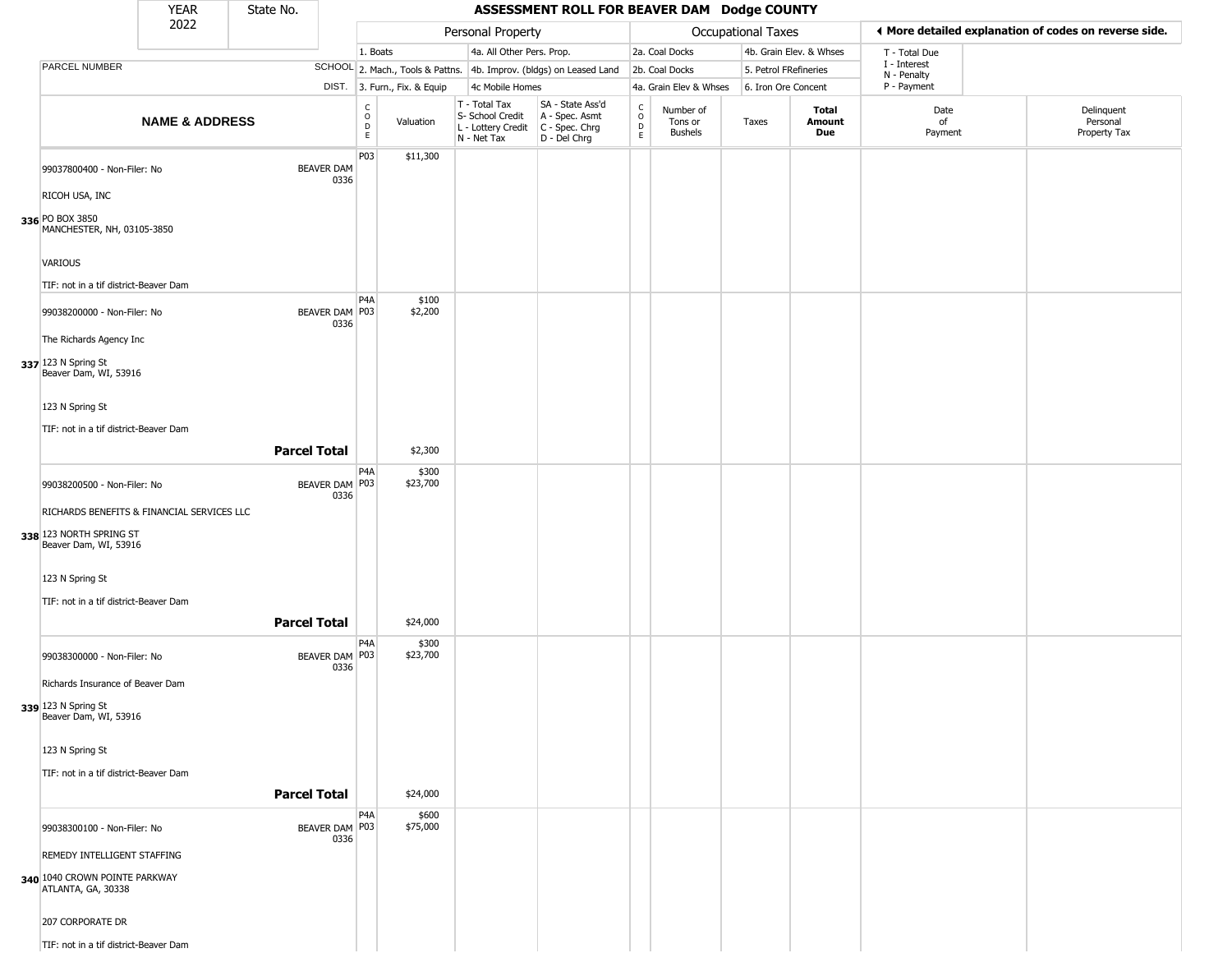|                                                     | <b>YEAR</b>               | State No.           |                           |                          |                              |                                                                        | ASSESSMENT ROLL FOR BEAVER DAM Dodge COUNTY                          |                                                 |                                        |                           |                         |                             |                                                       |
|-----------------------------------------------------|---------------------------|---------------------|---------------------------|--------------------------|------------------------------|------------------------------------------------------------------------|----------------------------------------------------------------------|-------------------------------------------------|----------------------------------------|---------------------------|-------------------------|-----------------------------|-------------------------------------------------------|
|                                                     | 2022                      |                     |                           |                          |                              | Personal Property                                                      |                                                                      |                                                 |                                        | <b>Occupational Taxes</b> |                         |                             | ◀ More detailed explanation of codes on reverse side. |
|                                                     |                           |                     |                           | 1. Boats                 |                              | 4a. All Other Pers. Prop.                                              |                                                                      |                                                 | 2a. Coal Docks                         |                           | 4b. Grain Elev. & Whses | T - Total Due               |                                                       |
| PARCEL NUMBER                                       |                           |                     |                           |                          |                              |                                                                        | SCHOOL 2. Mach., Tools & Pattns. 4b. Improv. (bldgs) on Leased Land  |                                                 | 2b. Coal Docks                         |                           | 5. Petrol FRefineries   | I - Interest<br>N - Penalty |                                                       |
|                                                     |                           |                     |                           |                          | DIST. 3. Furn., Fix. & Equip | 4c Mobile Homes                                                        |                                                                      |                                                 | 4a. Grain Elev & Whses                 |                           | 6. Iron Ore Concent     | P - Payment                 |                                                       |
|                                                     | <b>NAME &amp; ADDRESS</b> |                     |                           | C<br>$\int_{D}^{O}$<br>E | Valuation                    | T - Total Tax<br>S- School Credit<br>L - Lottery Credit<br>N - Net Tax | SA - State Ass'd<br>A - Spec. Asmt<br>C - Spec. Chrg<br>D - Del Chrg | $\begin{array}{c} C \\ O \\ D \\ E \end{array}$ | Number of<br>Tons or<br><b>Bushels</b> | Taxes                     | Total<br>Amount<br>Due  | Date<br>of<br>Payment       | Delinquent<br>Personal<br>Property Tax                |
| 99037800400 - Non-Filer: No<br>RICOH USA, INC       |                           |                     | <b>BEAVER DAM</b><br>0336 | P03                      | \$11,300                     |                                                                        |                                                                      |                                                 |                                        |                           |                         |                             |                                                       |
| 336 PO BOX 3850<br>MANCHESTER, NH, 03105-3850       |                           |                     |                           |                          |                              |                                                                        |                                                                      |                                                 |                                        |                           |                         |                             |                                                       |
| <b>VARIOUS</b>                                      |                           |                     |                           |                          |                              |                                                                        |                                                                      |                                                 |                                        |                           |                         |                             |                                                       |
| TIF: not in a tif district-Beaver Dam               |                           |                     |                           | P4A                      | \$100                        |                                                                        |                                                                      |                                                 |                                        |                           |                         |                             |                                                       |
| 99038200000 - Non-Filer: No                         |                           |                     | BEAVER DAM P03<br>0336    |                          | \$2,200                      |                                                                        |                                                                      |                                                 |                                        |                           |                         |                             |                                                       |
| The Richards Agency Inc                             |                           |                     |                           |                          |                              |                                                                        |                                                                      |                                                 |                                        |                           |                         |                             |                                                       |
| 337 123 N Spring St<br>Beaver Dam, WI, 53916        |                           |                     |                           |                          |                              |                                                                        |                                                                      |                                                 |                                        |                           |                         |                             |                                                       |
| 123 N Spring St                                     |                           |                     |                           |                          |                              |                                                                        |                                                                      |                                                 |                                        |                           |                         |                             |                                                       |
| TIF: not in a tif district-Beaver Dam               |                           |                     |                           |                          |                              |                                                                        |                                                                      |                                                 |                                        |                           |                         |                             |                                                       |
|                                                     |                           | <b>Parcel Total</b> |                           |                          | \$2,300                      |                                                                        |                                                                      |                                                 |                                        |                           |                         |                             |                                                       |
| 99038200500 - Non-Filer: No                         |                           |                     | BEAVER DAM P03<br>0336    | P4A                      | \$300<br>\$23,700            |                                                                        |                                                                      |                                                 |                                        |                           |                         |                             |                                                       |
| RICHARDS BENEFITS & FINANCIAL SERVICES LLC          |                           |                     |                           |                          |                              |                                                                        |                                                                      |                                                 |                                        |                           |                         |                             |                                                       |
| 338 123 NORTH SPRING ST<br>Beaver Dam, WI, 53916    |                           |                     |                           |                          |                              |                                                                        |                                                                      |                                                 |                                        |                           |                         |                             |                                                       |
| 123 N Spring St                                     |                           |                     |                           |                          |                              |                                                                        |                                                                      |                                                 |                                        |                           |                         |                             |                                                       |
| TIF: not in a tif district-Beaver Dam               |                           |                     |                           |                          |                              |                                                                        |                                                                      |                                                 |                                        |                           |                         |                             |                                                       |
|                                                     |                           | <b>Parcel Total</b> |                           |                          | \$24,000                     |                                                                        |                                                                      |                                                 |                                        |                           |                         |                             |                                                       |
| 99038300000 - Non-Filer: No                         |                           |                     | BEAVER DAM P03<br>0336    | P4A                      | \$300<br>\$23,700            |                                                                        |                                                                      |                                                 |                                        |                           |                         |                             |                                                       |
| Richards Insurance of Beaver Dam                    |                           |                     |                           |                          |                              |                                                                        |                                                                      |                                                 |                                        |                           |                         |                             |                                                       |
| 339 123 N Spring St<br>Beaver Dam, WI, 53916        |                           |                     |                           |                          |                              |                                                                        |                                                                      |                                                 |                                        |                           |                         |                             |                                                       |
| 123 N Spring St                                     |                           |                     |                           |                          |                              |                                                                        |                                                                      |                                                 |                                        |                           |                         |                             |                                                       |
| TIF: not in a tif district-Beaver Dam               |                           |                     |                           |                          |                              |                                                                        |                                                                      |                                                 |                                        |                           |                         |                             |                                                       |
|                                                     |                           | <b>Parcel Total</b> |                           |                          | \$24,000                     |                                                                        |                                                                      |                                                 |                                        |                           |                         |                             |                                                       |
|                                                     |                           |                     | BEAVER DAM P03            | P4A                      | \$600<br>\$75,000            |                                                                        |                                                                      |                                                 |                                        |                           |                         |                             |                                                       |
| 99038300100 - Non-Filer: No                         |                           |                     | 0336                      |                          |                              |                                                                        |                                                                      |                                                 |                                        |                           |                         |                             |                                                       |
| REMEDY INTELLIGENT STAFFING                         |                           |                     |                           |                          |                              |                                                                        |                                                                      |                                                 |                                        |                           |                         |                             |                                                       |
| 340 1040 CROWN POINTE PARKWAY<br>ATLANTA, GA, 30338 |                           |                     |                           |                          |                              |                                                                        |                                                                      |                                                 |                                        |                           |                         |                             |                                                       |
| 207 CORPORATE DR                                    |                           |                     |                           |                          |                              |                                                                        |                                                                      |                                                 |                                        |                           |                         |                             |                                                       |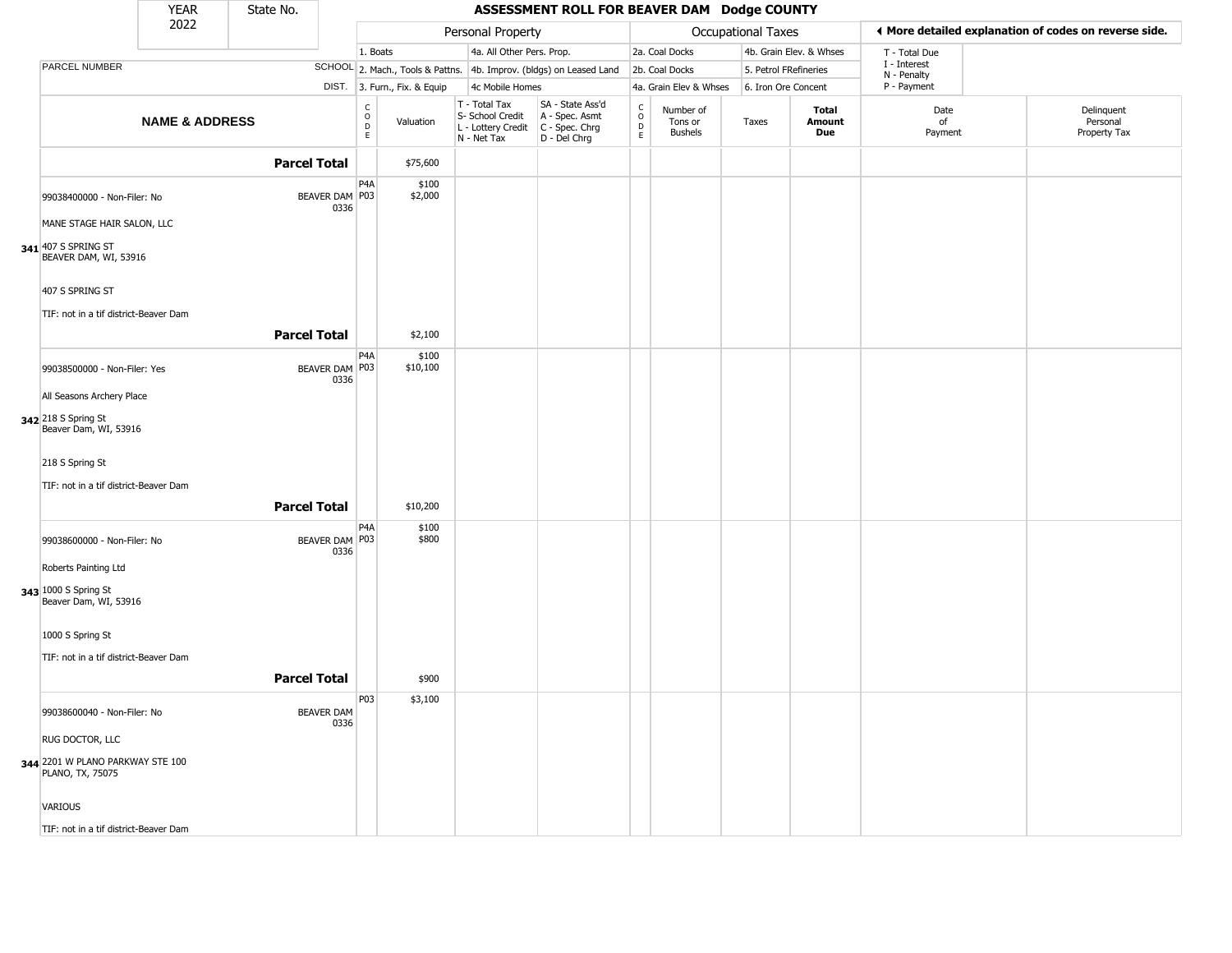|                                                          | <b>YEAR</b>               | State No.           |                           |                                                          |                              |                                                                        | ASSESSMENT ROLL FOR BEAVER DAM Dodge COUNTY                          |                                              |                                        |                       |                         |                             |                                                       |
|----------------------------------------------------------|---------------------------|---------------------|---------------------------|----------------------------------------------------------|------------------------------|------------------------------------------------------------------------|----------------------------------------------------------------------|----------------------------------------------|----------------------------------------|-----------------------|-------------------------|-----------------------------|-------------------------------------------------------|
|                                                          | 2022                      |                     |                           |                                                          |                              | Personal Property                                                      |                                                                      |                                              |                                        | Occupational Taxes    |                         |                             | ◀ More detailed explanation of codes on reverse side. |
|                                                          |                           |                     |                           | 1. Boats                                                 |                              | 4a. All Other Pers. Prop.                                              |                                                                      |                                              | 2a. Coal Docks                         |                       | 4b. Grain Elev. & Whses | T - Total Due               |                                                       |
| PARCEL NUMBER                                            |                           |                     |                           |                                                          |                              |                                                                        | SCHOOL 2. Mach., Tools & Pattns. 4b. Improv. (bldgs) on Leased Land  |                                              | 2b. Coal Docks                         | 5. Petrol FRefineries |                         | I - Interest<br>N - Penalty |                                                       |
|                                                          |                           |                     |                           |                                                          | DIST. 3. Furn., Fix. & Equip | 4c Mobile Homes                                                        |                                                                      |                                              | 4a. Grain Elev & Whses                 | 6. Iron Ore Concent   |                         | P - Payment                 |                                                       |
|                                                          | <b>NAME &amp; ADDRESS</b> |                     |                           | $\begin{matrix} C \\ O \\ D \end{matrix}$<br>$\mathsf E$ | Valuation                    | T - Total Tax<br>S- School Credit<br>L - Lottery Credit<br>N - Net Tax | SA - State Ass'd<br>A - Spec. Asmt<br>C - Spec. Chrg<br>D - Del Chrg | $\int_{0}^{c}$<br>$\mathsf D$<br>$\mathsf E$ | Number of<br>Tons or<br><b>Bushels</b> | Taxes                 | Total<br>Amount<br>Due  | Date<br>of<br>Payment       | Delinquent<br>Personal<br>Property Tax                |
|                                                          |                           | <b>Parcel Total</b> |                           |                                                          | \$75,600                     |                                                                        |                                                                      |                                              |                                        |                       |                         |                             |                                                       |
| 99038400000 - Non-Filer: No                              |                           |                     | BEAVER DAM P03<br>0336    | P4A                                                      | \$100<br>\$2,000             |                                                                        |                                                                      |                                              |                                        |                       |                         |                             |                                                       |
| MANE STAGE HAIR SALON, LLC                               |                           |                     |                           |                                                          |                              |                                                                        |                                                                      |                                              |                                        |                       |                         |                             |                                                       |
| 341 407 S SPRING ST<br>BEAVER DAM, WI, 53916             |                           |                     |                           |                                                          |                              |                                                                        |                                                                      |                                              |                                        |                       |                         |                             |                                                       |
| 407 S SPRING ST                                          |                           |                     |                           |                                                          |                              |                                                                        |                                                                      |                                              |                                        |                       |                         |                             |                                                       |
| TIF: not in a tif district-Beaver Dam                    |                           |                     |                           |                                                          |                              |                                                                        |                                                                      |                                              |                                        |                       |                         |                             |                                                       |
|                                                          |                           | <b>Parcel Total</b> |                           |                                                          | \$2,100                      |                                                                        |                                                                      |                                              |                                        |                       |                         |                             |                                                       |
|                                                          |                           |                     |                           |                                                          |                              |                                                                        |                                                                      |                                              |                                        |                       |                         |                             |                                                       |
| 99038500000 - Non-Filer: Yes                             |                           |                     | BEAVER DAM P03<br>0336    | P4A                                                      | \$100<br>\$10,100            |                                                                        |                                                                      |                                              |                                        |                       |                         |                             |                                                       |
| All Seasons Archery Place                                |                           |                     |                           |                                                          |                              |                                                                        |                                                                      |                                              |                                        |                       |                         |                             |                                                       |
| 342 218 S Spring St<br>Beaver Dam, WI, 53916             |                           |                     |                           |                                                          |                              |                                                                        |                                                                      |                                              |                                        |                       |                         |                             |                                                       |
| 218 S Spring St<br>TIF: not in a tif district-Beaver Dam |                           |                     |                           |                                                          |                              |                                                                        |                                                                      |                                              |                                        |                       |                         |                             |                                                       |
|                                                          |                           |                     |                           |                                                          |                              |                                                                        |                                                                      |                                              |                                        |                       |                         |                             |                                                       |
|                                                          |                           | <b>Parcel Total</b> |                           |                                                          | \$10,200                     |                                                                        |                                                                      |                                              |                                        |                       |                         |                             |                                                       |
| 99038600000 - Non-Filer: No                              |                           |                     | BEAVER DAM P03<br>0336    | P <sub>4</sub> A                                         | \$100<br>\$800               |                                                                        |                                                                      |                                              |                                        |                       |                         |                             |                                                       |
| Roberts Painting Ltd                                     |                           |                     |                           |                                                          |                              |                                                                        |                                                                      |                                              |                                        |                       |                         |                             |                                                       |
| 343 1000 S Spring St<br>Beaver Dam, WI, 53916            |                           |                     |                           |                                                          |                              |                                                                        |                                                                      |                                              |                                        |                       |                         |                             |                                                       |
| 1000 S Spring St                                         |                           |                     |                           |                                                          |                              |                                                                        |                                                                      |                                              |                                        |                       |                         |                             |                                                       |
| TIF: not in a tif district-Beaver Dam                    |                           |                     |                           |                                                          |                              |                                                                        |                                                                      |                                              |                                        |                       |                         |                             |                                                       |
|                                                          |                           | <b>Parcel Total</b> |                           |                                                          | \$900                        |                                                                        |                                                                      |                                              |                                        |                       |                         |                             |                                                       |
|                                                          |                           |                     |                           | P03                                                      | \$3,100                      |                                                                        |                                                                      |                                              |                                        |                       |                         |                             |                                                       |
| 99038600040 - Non-Filer: No                              |                           |                     | <b>BEAVER DAM</b><br>0336 |                                                          |                              |                                                                        |                                                                      |                                              |                                        |                       |                         |                             |                                                       |
| RUG DOCTOR, LLC                                          |                           |                     |                           |                                                          |                              |                                                                        |                                                                      |                                              |                                        |                       |                         |                             |                                                       |
| 344 2201 W PLANO PARKWAY STE 100<br>PLANO, TX, 75075     |                           |                     |                           |                                                          |                              |                                                                        |                                                                      |                                              |                                        |                       |                         |                             |                                                       |
| VARIOUS                                                  |                           |                     |                           |                                                          |                              |                                                                        |                                                                      |                                              |                                        |                       |                         |                             |                                                       |
| TIF: not in a tif district-Beaver Dam                    |                           |                     |                           |                                                          |                              |                                                                        |                                                                      |                                              |                                        |                       |                         |                             |                                                       |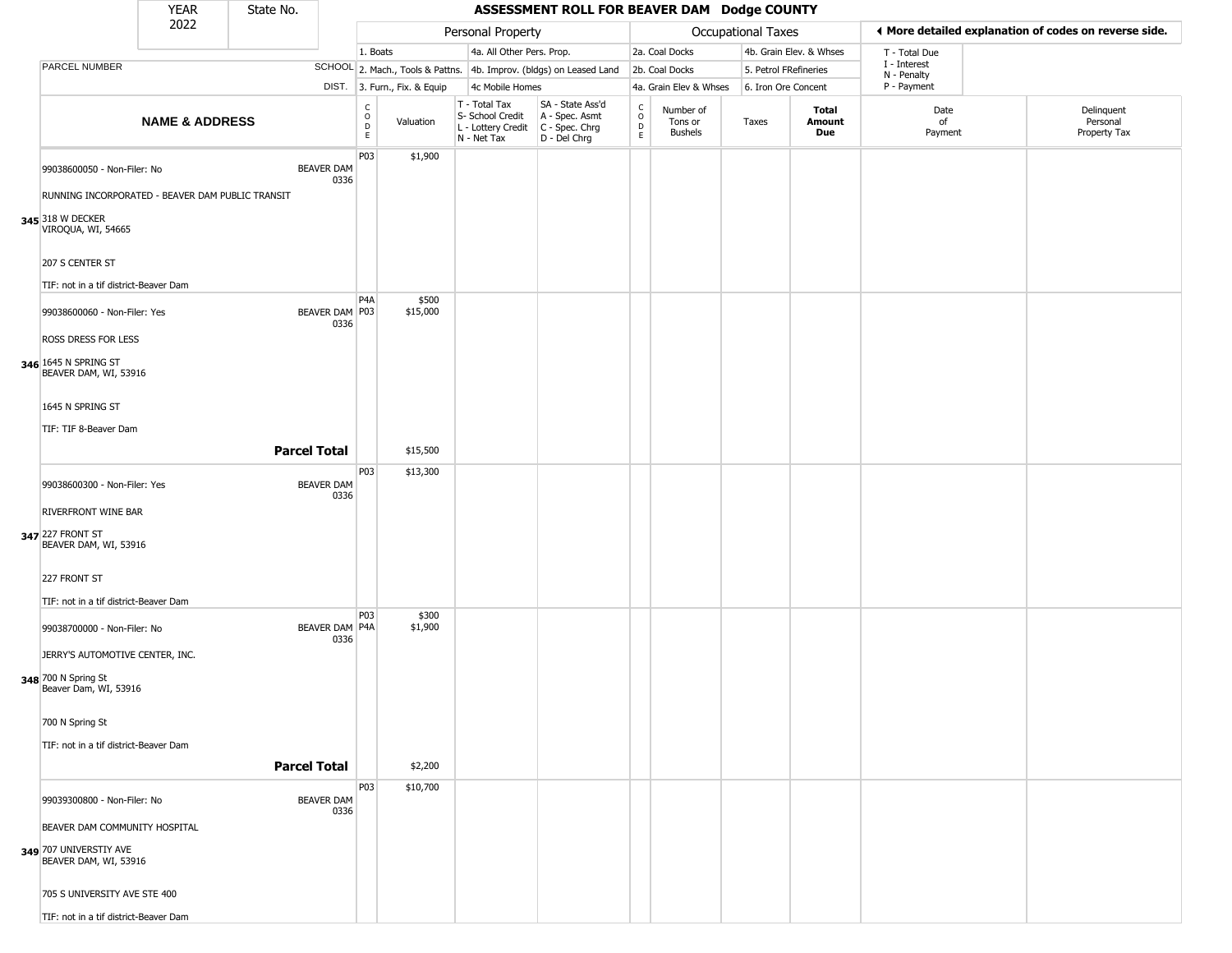|                                                                                            | <b>YEAR</b>               | State No.           |                           |                                             |                              |                                                                        | ASSESSMENT ROLL FOR BEAVER DAM Dodge COUNTY                          |                                         |                                        |                       |                         |                                                       |                                        |
|--------------------------------------------------------------------------------------------|---------------------------|---------------------|---------------------------|---------------------------------------------|------------------------------|------------------------------------------------------------------------|----------------------------------------------------------------------|-----------------------------------------|----------------------------------------|-----------------------|-------------------------|-------------------------------------------------------|----------------------------------------|
|                                                                                            | 2022                      |                     |                           |                                             |                              | Personal Property                                                      |                                                                      |                                         |                                        | Occupational Taxes    |                         | ♦ More detailed explanation of codes on reverse side. |                                        |
|                                                                                            |                           |                     |                           | 1. Boats                                    |                              | 4a. All Other Pers. Prop.                                              |                                                                      |                                         | 2a. Coal Docks                         |                       | 4b. Grain Elev. & Whses | T - Total Due                                         |                                        |
| PARCEL NUMBER                                                                              |                           |                     |                           |                                             |                              |                                                                        | SCHOOL 2. Mach., Tools & Pattns. 4b. Improv. (bldgs) on Leased Land  |                                         | 2b. Coal Docks                         | 5. Petrol FRefineries |                         | I - Interest<br>N - Penalty                           |                                        |
|                                                                                            |                           |                     |                           |                                             | DIST. 3. Furn., Fix. & Equip | 4c Mobile Homes                                                        |                                                                      |                                         | 4a. Grain Elev & Whses                 | 6. Iron Ore Concent   |                         | P - Payment                                           |                                        |
|                                                                                            | <b>NAME &amp; ADDRESS</b> |                     |                           | $\mathsf{C}$<br>$\circ$<br>$\mathsf D$<br>E | Valuation                    | T - Total Tax<br>S- School Credit<br>L - Lottery Credit<br>N - Net Tax | SA - State Ass'd<br>A - Spec. Asmt<br>C - Spec. Chrg<br>D - Del Chrg | $\overset{\mathsf{C}}{\mathsf{D}}$<br>E | Number of<br>Tons or<br><b>Bushels</b> | Taxes                 | Total<br>Amount<br>Due  | Date<br>of<br>Payment                                 | Delinquent<br>Personal<br>Property Tax |
| 99038600050 - Non-Filer: No                                                                |                           |                     | <b>BEAVER DAM</b><br>0336 | P03                                         | \$1,900                      |                                                                        |                                                                      |                                         |                                        |                       |                         |                                                       |                                        |
| RUNNING INCORPORATED - BEAVER DAM PUBLIC TRANSIT<br>345 318 W DECKER<br>VIROQUA, WI, 54665 |                           |                     |                           |                                             |                              |                                                                        |                                                                      |                                         |                                        |                       |                         |                                                       |                                        |
| 207 S CENTER ST<br>TIF: not in a tif district-Beaver Dam                                   |                           |                     |                           |                                             |                              |                                                                        |                                                                      |                                         |                                        |                       |                         |                                                       |                                        |
| 99038600060 - Non-Filer: Yes                                                               |                           |                     | BEAVER DAM   P03          | P <sub>4</sub> A                            | \$500<br>\$15,000            |                                                                        |                                                                      |                                         |                                        |                       |                         |                                                       |                                        |
|                                                                                            |                           |                     | 0336                      |                                             |                              |                                                                        |                                                                      |                                         |                                        |                       |                         |                                                       |                                        |
| ROSS DRESS FOR LESS<br>346 1645 N SPRING ST<br>BEAVER DAM, WI, 53916                       |                           |                     |                           |                                             |                              |                                                                        |                                                                      |                                         |                                        |                       |                         |                                                       |                                        |
| 1645 N SPRING ST                                                                           |                           |                     |                           |                                             |                              |                                                                        |                                                                      |                                         |                                        |                       |                         |                                                       |                                        |
| TIF: TIF 8-Beaver Dam                                                                      |                           |                     |                           |                                             |                              |                                                                        |                                                                      |                                         |                                        |                       |                         |                                                       |                                        |
|                                                                                            |                           | <b>Parcel Total</b> |                           |                                             | \$15,500                     |                                                                        |                                                                      |                                         |                                        |                       |                         |                                                       |                                        |
| 99038600300 - Non-Filer: Yes                                                               |                           |                     | <b>BEAVER DAM</b><br>0336 | P03                                         | \$13,300                     |                                                                        |                                                                      |                                         |                                        |                       |                         |                                                       |                                        |
| RIVERFRONT WINE BAR                                                                        |                           |                     |                           |                                             |                              |                                                                        |                                                                      |                                         |                                        |                       |                         |                                                       |                                        |
| 347 227 FRONT ST<br>BEAVER DAM, WI, 53916                                                  |                           |                     |                           |                                             |                              |                                                                        |                                                                      |                                         |                                        |                       |                         |                                                       |                                        |
| 227 FRONT ST                                                                               |                           |                     |                           |                                             |                              |                                                                        |                                                                      |                                         |                                        |                       |                         |                                                       |                                        |
| TIF: not in a tif district-Beaver Dam                                                      |                           |                     |                           |                                             |                              |                                                                        |                                                                      |                                         |                                        |                       |                         |                                                       |                                        |
| 99038700000 - Non-Filer: No                                                                |                           |                     | BEAVER DAM P4A<br>0336    | P03                                         | \$300<br>\$1,900             |                                                                        |                                                                      |                                         |                                        |                       |                         |                                                       |                                        |
| JERRY'S AUTOMOTIVE CENTER, INC.<br>348 700 N Spring St<br>Beaver Dam, WI, 53916            |                           |                     |                           |                                             |                              |                                                                        |                                                                      |                                         |                                        |                       |                         |                                                       |                                        |
| 700 N Spring St                                                                            |                           |                     |                           |                                             |                              |                                                                        |                                                                      |                                         |                                        |                       |                         |                                                       |                                        |
| TIF: not in a tif district-Beaver Dam                                                      |                           | <b>Parcel Total</b> |                           |                                             | \$2,200                      |                                                                        |                                                                      |                                         |                                        |                       |                         |                                                       |                                        |
|                                                                                            |                           |                     |                           | P03                                         | \$10,700                     |                                                                        |                                                                      |                                         |                                        |                       |                         |                                                       |                                        |
| 99039300800 - Non-Filer: No                                                                |                           |                     | <b>BEAVER DAM</b><br>0336 |                                             |                              |                                                                        |                                                                      |                                         |                                        |                       |                         |                                                       |                                        |
| BEAVER DAM COMMUNITY HOSPITAL<br>349 707 UNIVERSTIY AVE<br>BEAVER DAM, WI, 53916           |                           |                     |                           |                                             |                              |                                                                        |                                                                      |                                         |                                        |                       |                         |                                                       |                                        |
| 705 S UNIVERSITY AVE STE 400                                                               |                           |                     |                           |                                             |                              |                                                                        |                                                                      |                                         |                                        |                       |                         |                                                       |                                        |
| TIF: not in a tif district-Beaver Dam                                                      |                           |                     |                           |                                             |                              |                                                                        |                                                                      |                                         |                                        |                       |                         |                                                       |                                        |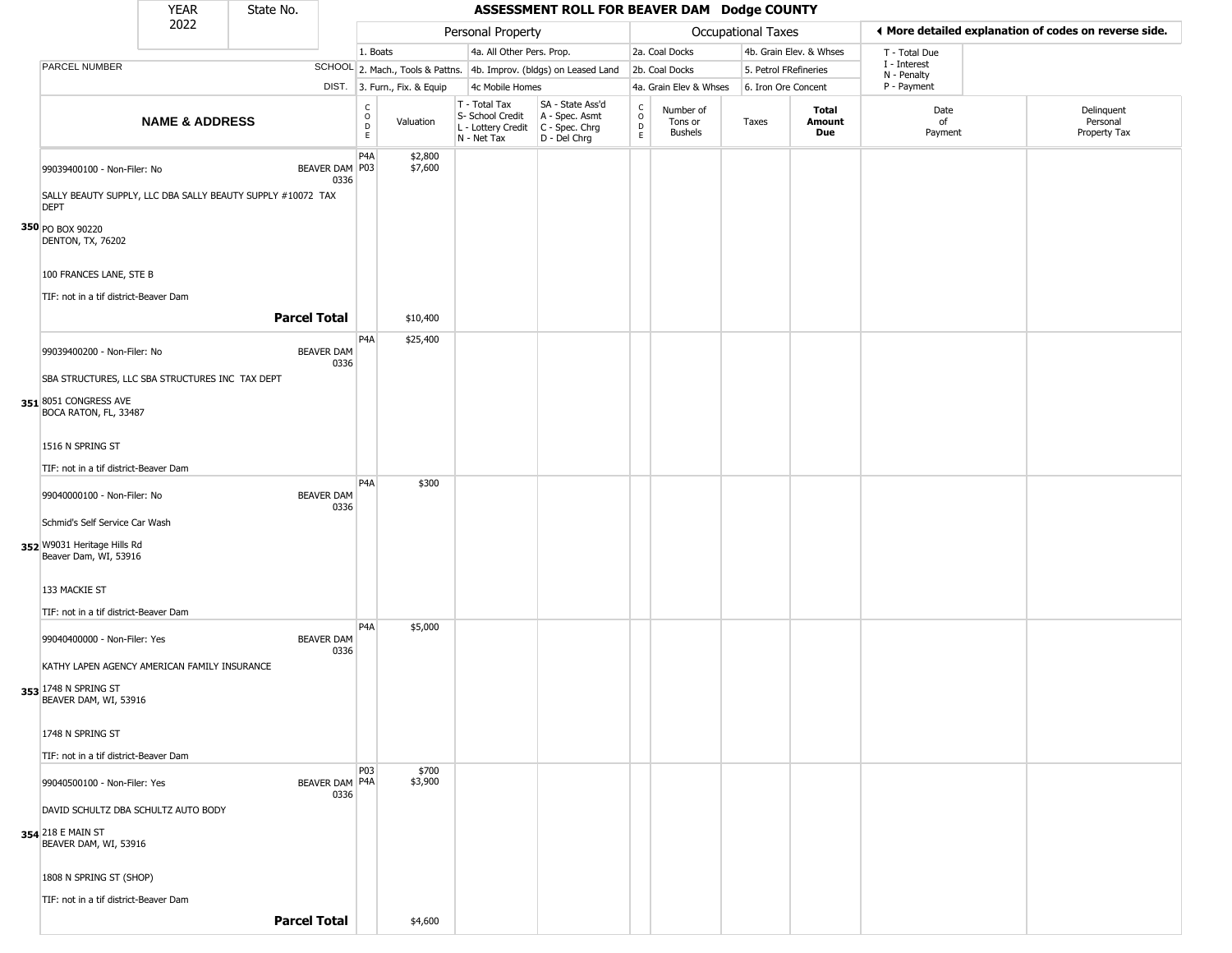|                                                                                                           | <b>YEAR</b>               | State No.           |                           |                                             |                              |                                                                                         | ASSESSMENT ROLL FOR BEAVER DAM Dodge COUNTY                         |                                            |                                 |                       |                         |                             |                                                       |
|-----------------------------------------------------------------------------------------------------------|---------------------------|---------------------|---------------------------|---------------------------------------------|------------------------------|-----------------------------------------------------------------------------------------|---------------------------------------------------------------------|--------------------------------------------|---------------------------------|-----------------------|-------------------------|-----------------------------|-------------------------------------------------------|
|                                                                                                           | 2022                      |                     |                           |                                             |                              | Personal Property                                                                       |                                                                     |                                            |                                 | Occupational Taxes    |                         |                             | ♦ More detailed explanation of codes on reverse side. |
|                                                                                                           |                           |                     |                           | 1. Boats                                    |                              | 4a. All Other Pers. Prop.                                                               |                                                                     |                                            | 2a. Coal Docks                  |                       | 4b. Grain Elev. & Whses | T - Total Due               |                                                       |
| PARCEL NUMBER                                                                                             |                           |                     |                           |                                             |                              |                                                                                         | SCHOOL 2. Mach., Tools & Pattns. 4b. Improv. (bldgs) on Leased Land |                                            | 2b. Coal Docks                  | 5. Petrol FRefineries |                         | I - Interest<br>N - Penalty |                                                       |
|                                                                                                           |                           |                     |                           |                                             | DIST. 3. Furn., Fix. & Equip | 4c Mobile Homes                                                                         |                                                                     |                                            | 4a. Grain Elev & Whses          | 6. Iron Ore Concent   |                         | P - Payment                 |                                                       |
|                                                                                                           | <b>NAME &amp; ADDRESS</b> |                     |                           | $\mathsf{C}$<br>$\circ$<br>$\mathsf D$<br>E | Valuation                    | T - Total Tax<br>S- School Credit<br>L - Lottery Credit   C - Spec. Chrg<br>N - Net Tax | SA - State Ass'd<br>A - Spec. Asmt<br>D - Del Chrg                  | $\begin{array}{c} C \\ 0 \\ E \end{array}$ | Number of<br>Tons or<br>Bushels | Taxes                 | Total<br>Amount<br>Due  | Date<br>of<br>Payment       | Delinquent<br>Personal<br>Property Tax                |
| 99039400100 - Non-Filer: No<br>SALLY BEAUTY SUPPLY, LLC DBA SALLY BEAUTY SUPPLY #10072 TAX<br><b>DEPT</b> |                           |                     | BEAVER DAM P03<br>0336    | P4A                                         | \$2,800<br>\$7,600           |                                                                                         |                                                                     |                                            |                                 |                       |                         |                             |                                                       |
| 350 PO BOX 90220<br>DENTON, TX, 76202                                                                     |                           |                     |                           |                                             |                              |                                                                                         |                                                                     |                                            |                                 |                       |                         |                             |                                                       |
| 100 FRANCES LANE, STE B<br>TIF: not in a tif district-Beaver Dam                                          |                           |                     |                           |                                             |                              |                                                                                         |                                                                     |                                            |                                 |                       |                         |                             |                                                       |
|                                                                                                           |                           | <b>Parcel Total</b> |                           |                                             | \$10,400                     |                                                                                         |                                                                     |                                            |                                 |                       |                         |                             |                                                       |
| 99039400200 - Non-Filer: No                                                                               |                           |                     | <b>BEAVER DAM</b><br>0336 | P <sub>4</sub> A                            | \$25,400                     |                                                                                         |                                                                     |                                            |                                 |                       |                         |                             |                                                       |
| SBA STRUCTURES, LLC SBA STRUCTURES INC TAX DEPT<br>351 8051 CONGRESS AVE                                  |                           |                     |                           |                                             |                              |                                                                                         |                                                                     |                                            |                                 |                       |                         |                             |                                                       |
| BOCA RATON, FL, 33487                                                                                     |                           |                     |                           |                                             |                              |                                                                                         |                                                                     |                                            |                                 |                       |                         |                             |                                                       |
| 1516 N SPRING ST                                                                                          |                           |                     |                           |                                             |                              |                                                                                         |                                                                     |                                            |                                 |                       |                         |                             |                                                       |
| TIF: not in a tif district-Beaver Dam                                                                     |                           |                     |                           | P <sub>4</sub> A                            | \$300                        |                                                                                         |                                                                     |                                            |                                 |                       |                         |                             |                                                       |
| 99040000100 - Non-Filer: No                                                                               |                           |                     | <b>BEAVER DAM</b><br>0336 |                                             |                              |                                                                                         |                                                                     |                                            |                                 |                       |                         |                             |                                                       |
| Schmid's Self Service Car Wash<br>352 W9031 Heritage Hills Rd<br>Beaver Dam, WI, 53916                    |                           |                     |                           |                                             |                              |                                                                                         |                                                                     |                                            |                                 |                       |                         |                             |                                                       |
| 133 MACKIE ST<br>TIF: not in a tif district-Beaver Dam                                                    |                           |                     |                           |                                             |                              |                                                                                         |                                                                     |                                            |                                 |                       |                         |                             |                                                       |
| 99040400000 - Non-Filer: Yes                                                                              |                           |                     | <b>BEAVER DAM</b><br>0336 | P <sub>4</sub> A                            | \$5,000                      |                                                                                         |                                                                     |                                            |                                 |                       |                         |                             |                                                       |
| KATHY LAPEN AGENCY AMERICAN FAMILY INSURANCE<br>353 1748 N SPRING ST                                      |                           |                     |                           |                                             |                              |                                                                                         |                                                                     |                                            |                                 |                       |                         |                             |                                                       |
| BEAVER DAM, WI, 53916                                                                                     |                           |                     |                           |                                             |                              |                                                                                         |                                                                     |                                            |                                 |                       |                         |                             |                                                       |
| 1748 N SPRING ST                                                                                          |                           |                     |                           |                                             |                              |                                                                                         |                                                                     |                                            |                                 |                       |                         |                             |                                                       |
| TIF: not in a tif district-Beaver Dam                                                                     |                           |                     |                           | <b>P03</b>                                  | \$700                        |                                                                                         |                                                                     |                                            |                                 |                       |                         |                             |                                                       |
| 99040500100 - Non-Filer: Yes                                                                              |                           |                     | BEAVER DAM   P4A<br>0336  |                                             | \$3,900                      |                                                                                         |                                                                     |                                            |                                 |                       |                         |                             |                                                       |
| DAVID SCHULTZ DBA SCHULTZ AUTO BODY<br>354 218 E MAIN ST<br>BEAVER DAM, WI, 53916                         |                           |                     |                           |                                             |                              |                                                                                         |                                                                     |                                            |                                 |                       |                         |                             |                                                       |
| 1808 N SPRING ST (SHOP)                                                                                   |                           |                     |                           |                                             |                              |                                                                                         |                                                                     |                                            |                                 |                       |                         |                             |                                                       |
| TIF: not in a tif district-Beaver Dam                                                                     |                           | <b>Parcel Total</b> |                           |                                             | \$4,600                      |                                                                                         |                                                                     |                                            |                                 |                       |                         |                             |                                                       |
|                                                                                                           |                           |                     |                           |                                             |                              |                                                                                         |                                                                     |                                            |                                 |                       |                         |                             |                                                       |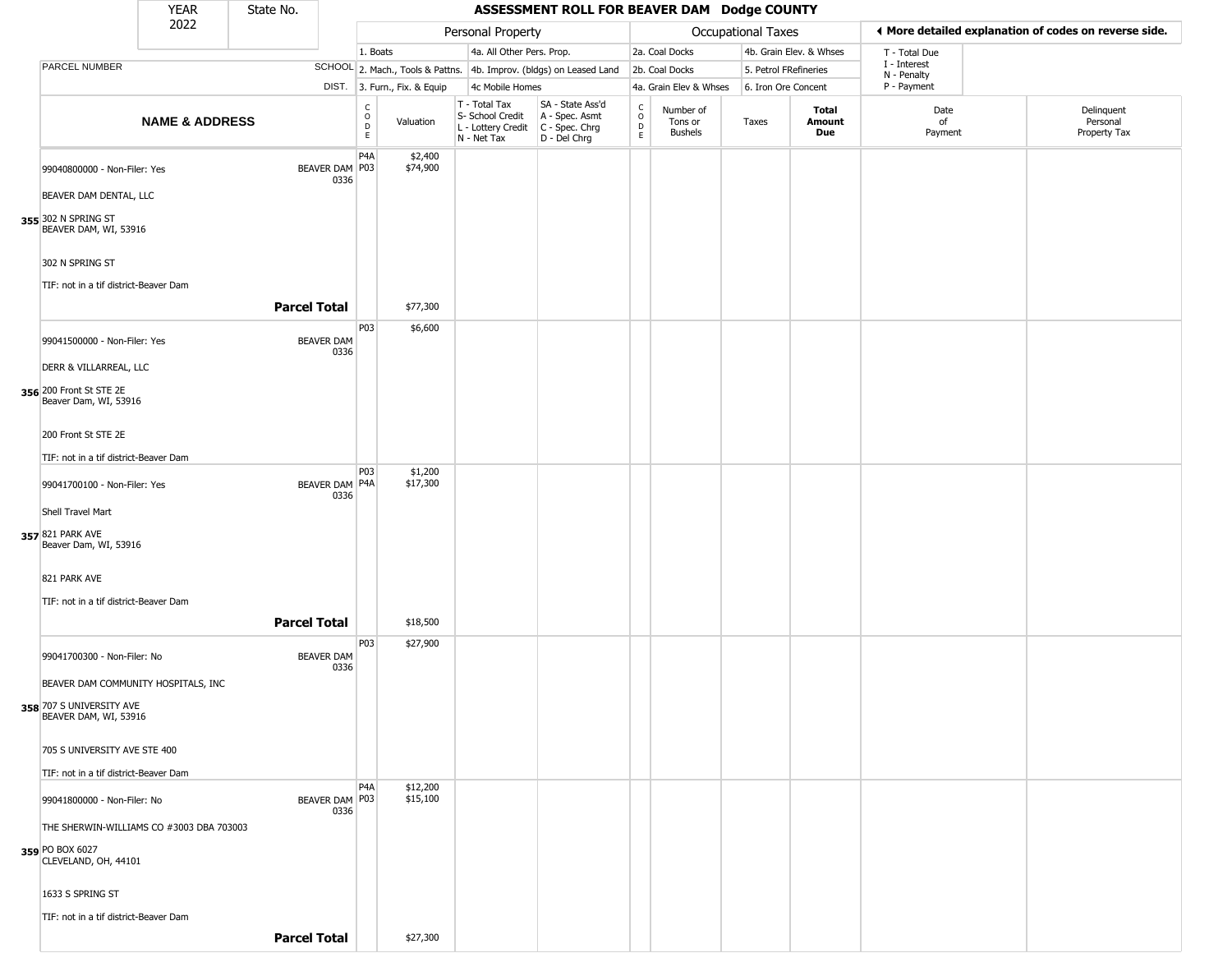|                                                   | <b>YEAR</b>               | State No.           |                           |                                  |                              |                                                                        | ASSESSMENT ROLL FOR BEAVER DAM Dodge COUNTY                          |                                                                    |                                        |                       |                         |                             |                                                       |
|---------------------------------------------------|---------------------------|---------------------|---------------------------|----------------------------------|------------------------------|------------------------------------------------------------------------|----------------------------------------------------------------------|--------------------------------------------------------------------|----------------------------------------|-----------------------|-------------------------|-----------------------------|-------------------------------------------------------|
|                                                   | 2022                      |                     |                           |                                  |                              | Personal Property                                                      |                                                                      |                                                                    |                                        | Occupational Taxes    |                         |                             | ♦ More detailed explanation of codes on reverse side. |
|                                                   |                           |                     |                           | 1. Boats                         |                              | 4a. All Other Pers. Prop.                                              |                                                                      |                                                                    | 2a. Coal Docks                         |                       | 4b. Grain Elev. & Whses | T - Total Due               |                                                       |
| PARCEL NUMBER                                     |                           |                     |                           |                                  |                              |                                                                        | SCHOOL 2. Mach., Tools & Pattns. 4b. Improv. (bldgs) on Leased Land  |                                                                    | 2b. Coal Docks                         | 5. Petrol FRefineries |                         | I - Interest<br>N - Penalty |                                                       |
|                                                   |                           |                     |                           |                                  | DIST. 3. Furn., Fix. & Equip | 4c Mobile Homes                                                        |                                                                      |                                                                    | 4a. Grain Elev & Whses                 | 6. Iron Ore Concent   |                         | P - Payment                 |                                                       |
|                                                   | <b>NAME &amp; ADDRESS</b> |                     |                           | C<br>$\circ$<br>D<br>$\mathsf E$ | Valuation                    | T - Total Tax<br>S- School Credit<br>L - Lottery Credit<br>N - Net Tax | SA - State Ass'd<br>A - Spec. Asmt<br>C - Spec. Chrg<br>D - Del Chrg | $\begin{smallmatrix} C \\ O \\ D \end{smallmatrix}$<br>$\mathsf E$ | Number of<br>Tons or<br><b>Bushels</b> | Taxes                 | Total<br>Amount<br>Due  | Date<br>of<br>Payment       | Delinquent<br>Personal<br>Property Tax                |
| 99040800000 - Non-Filer: Yes                      |                           |                     | BEAVER DAM P03<br>0336    | P <sub>4</sub> A                 | \$2,400<br>\$74,900          |                                                                        |                                                                      |                                                                    |                                        |                       |                         |                             |                                                       |
| BEAVER DAM DENTAL, LLC                            |                           |                     |                           |                                  |                              |                                                                        |                                                                      |                                                                    |                                        |                       |                         |                             |                                                       |
| 355 302 N SPRING ST<br>BEAVER DAM, WI, 53916      |                           |                     |                           |                                  |                              |                                                                        |                                                                      |                                                                    |                                        |                       |                         |                             |                                                       |
| 302 N SPRING ST                                   |                           |                     |                           |                                  |                              |                                                                        |                                                                      |                                                                    |                                        |                       |                         |                             |                                                       |
| TIF: not in a tif district-Beaver Dam             |                           | <b>Parcel Total</b> |                           |                                  | \$77,300                     |                                                                        |                                                                      |                                                                    |                                        |                       |                         |                             |                                                       |
| 99041500000 - Non-Filer: Yes                      |                           |                     | <b>BEAVER DAM</b><br>0336 | P03                              | \$6,600                      |                                                                        |                                                                      |                                                                    |                                        |                       |                         |                             |                                                       |
| DERR & VILLARREAL, LLC                            |                           |                     |                           |                                  |                              |                                                                        |                                                                      |                                                                    |                                        |                       |                         |                             |                                                       |
| 356 200 Front St STE 2E<br>Beaver Dam, WI, 53916  |                           |                     |                           |                                  |                              |                                                                        |                                                                      |                                                                    |                                        |                       |                         |                             |                                                       |
| 200 Front St STE 2E                               |                           |                     |                           |                                  |                              |                                                                        |                                                                      |                                                                    |                                        |                       |                         |                             |                                                       |
| TIF: not in a tif district-Beaver Dam             |                           |                     |                           |                                  |                              |                                                                        |                                                                      |                                                                    |                                        |                       |                         |                             |                                                       |
| 99041700100 - Non-Filer: Yes                      |                           |                     | BEAVER DAM P4A<br>0336    | <b>P03</b>                       | \$1,200<br>\$17,300          |                                                                        |                                                                      |                                                                    |                                        |                       |                         |                             |                                                       |
| Shell Travel Mart                                 |                           |                     |                           |                                  |                              |                                                                        |                                                                      |                                                                    |                                        |                       |                         |                             |                                                       |
| 357 821 PARK AVE<br>Beaver Dam, WI, 53916         |                           |                     |                           |                                  |                              |                                                                        |                                                                      |                                                                    |                                        |                       |                         |                             |                                                       |
| 821 PARK AVE                                      |                           |                     |                           |                                  |                              |                                                                        |                                                                      |                                                                    |                                        |                       |                         |                             |                                                       |
| TIF: not in a tif district-Beaver Dam             |                           | <b>Parcel Total</b> |                           |                                  | \$18,500                     |                                                                        |                                                                      |                                                                    |                                        |                       |                         |                             |                                                       |
| 99041700300 - Non-Filer: No                       |                           |                     | <b>BEAVER DAM</b><br>0336 | P03                              | \$27,900                     |                                                                        |                                                                      |                                                                    |                                        |                       |                         |                             |                                                       |
| BEAVER DAM COMMUNITY HOSPITALS, INC               |                           |                     |                           |                                  |                              |                                                                        |                                                                      |                                                                    |                                        |                       |                         |                             |                                                       |
| 358 707 S UNIVERSITY AVE<br>BEAVER DAM, WI, 53916 |                           |                     |                           |                                  |                              |                                                                        |                                                                      |                                                                    |                                        |                       |                         |                             |                                                       |
| 705 S UNIVERSITY AVE STE 400                      |                           |                     |                           |                                  |                              |                                                                        |                                                                      |                                                                    |                                        |                       |                         |                             |                                                       |
| TIF: not in a tif district-Beaver Dam             |                           |                     |                           |                                  |                              |                                                                        |                                                                      |                                                                    |                                        |                       |                         |                             |                                                       |
| 99041800000 - Non-Filer: No                       |                           |                     | BEAVER DAM P03<br>0336    | P <sub>4</sub> A                 | \$12,200<br>\$15,100         |                                                                        |                                                                      |                                                                    |                                        |                       |                         |                             |                                                       |
| THE SHERWIN-WILLIAMS CO #3003 DBA 703003          |                           |                     |                           |                                  |                              |                                                                        |                                                                      |                                                                    |                                        |                       |                         |                             |                                                       |
| 359 PO BOX 6027<br>CLEVELAND, OH, 44101           |                           |                     |                           |                                  |                              |                                                                        |                                                                      |                                                                    |                                        |                       |                         |                             |                                                       |
| 1633 S SPRING ST                                  |                           |                     |                           |                                  |                              |                                                                        |                                                                      |                                                                    |                                        |                       |                         |                             |                                                       |
| TIF: not in a tif district-Beaver Dam             |                           |                     |                           |                                  |                              |                                                                        |                                                                      |                                                                    |                                        |                       |                         |                             |                                                       |
|                                                   |                           | <b>Parcel Total</b> |                           |                                  | \$27,300                     |                                                                        |                                                                      |                                                                    |                                        |                       |                         |                             |                                                       |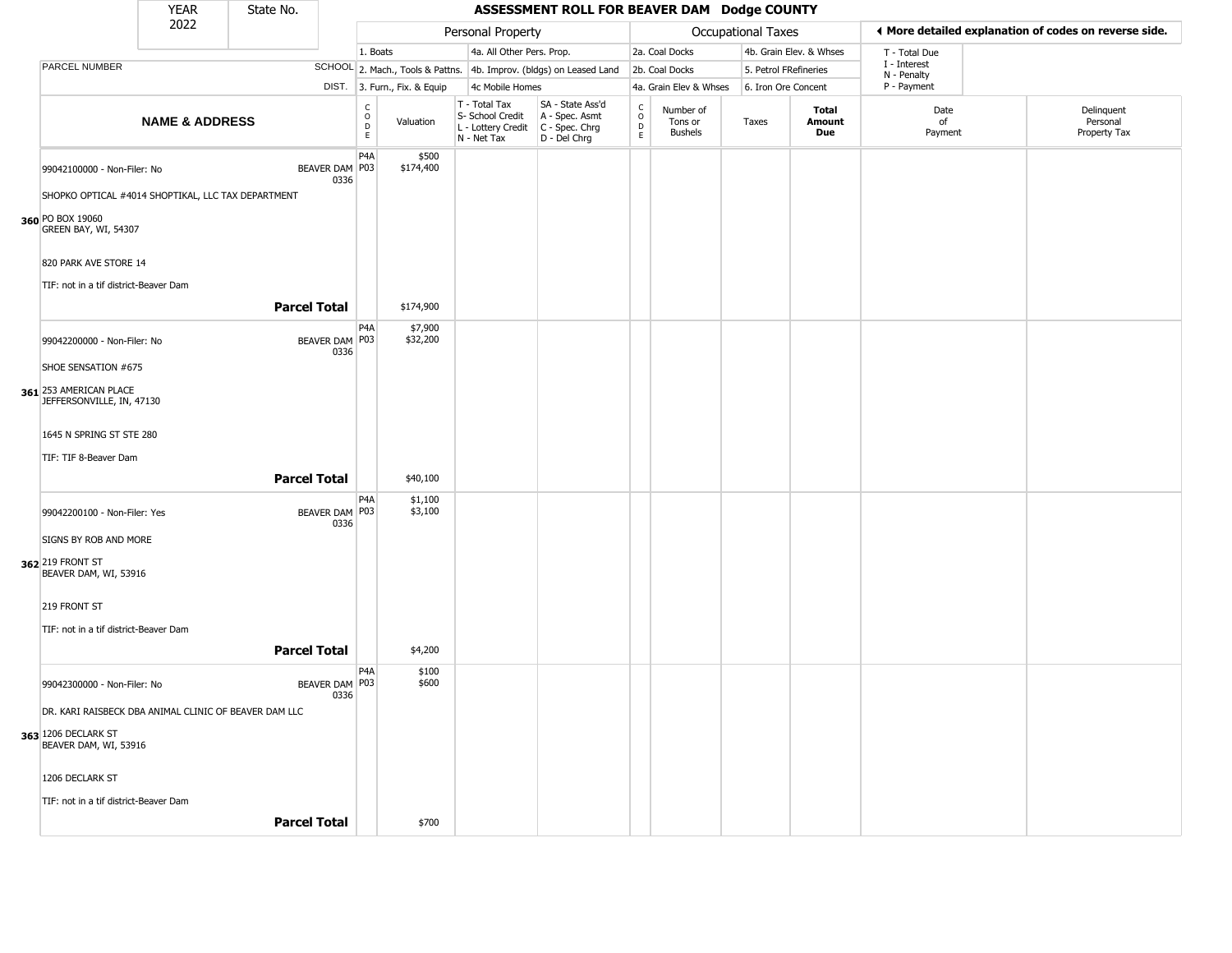|                                                       | <b>YEAR</b>               | State No.           |                        |                                             |                              |                                                                        | ASSESSMENT ROLL FOR BEAVER DAM Dodge COUNTY                            |                                                 |                                        |                           |                         |                             |                                                       |
|-------------------------------------------------------|---------------------------|---------------------|------------------------|---------------------------------------------|------------------------------|------------------------------------------------------------------------|------------------------------------------------------------------------|-------------------------------------------------|----------------------------------------|---------------------------|-------------------------|-----------------------------|-------------------------------------------------------|
|                                                       | 2022                      |                     |                        |                                             |                              | Personal Property                                                      |                                                                        |                                                 |                                        | <b>Occupational Taxes</b> |                         |                             | I More detailed explanation of codes on reverse side. |
|                                                       |                           |                     |                        | 1. Boats                                    |                              | 4a. All Other Pers. Prop.                                              |                                                                        |                                                 | 2a. Coal Docks                         |                           | 4b. Grain Elev. & Whses | T - Total Due               |                                                       |
| PARCEL NUMBER                                         |                           |                     |                        |                                             |                              |                                                                        | SCHOOL 2. Mach., Tools & Pattns. 4b. Improv. (bldgs) on Leased Land    |                                                 | 2b. Coal Docks                         |                           | 5. Petrol FRefineries   | I - Interest<br>N - Penalty |                                                       |
|                                                       |                           |                     |                        |                                             | DIST. 3. Furn., Fix. & Equip | 4c Mobile Homes                                                        |                                                                        |                                                 | 4a. Grain Elev & Whses                 |                           | 6. Iron Ore Concent     | P - Payment                 |                                                       |
|                                                       | <b>NAME &amp; ADDRESS</b> |                     |                        | $\frac{c}{0}$<br>$\mathsf D$<br>$\mathsf E$ | Valuation                    | T - Total Tax<br>S- School Credit<br>L - Lottery Credit<br>N - Net Tax | SA - State Ass'd<br>A - Spec. Asmt<br>$C - Spec. Chrg$<br>D - Del Chrg | $\begin{array}{c} C \\ O \\ D \\ E \end{array}$ | Number of<br>Tons or<br><b>Bushels</b> | Taxes                     | Total<br>Amount<br>Due  | Date<br>of<br>Payment       | Delinquent<br>Personal<br>Property Tax                |
| 99042100000 - Non-Filer: No                           |                           |                     | BEAVER DAM P03<br>0336 | P4A                                         | \$500<br>\$174,400           |                                                                        |                                                                        |                                                 |                                        |                           |                         |                             |                                                       |
| SHOPKO OPTICAL #4014 SHOPTIKAL, LLC TAX DEPARTMENT    |                           |                     |                        |                                             |                              |                                                                        |                                                                        |                                                 |                                        |                           |                         |                             |                                                       |
| 360 PO BOX 19060<br>GREEN BAY, WI, 54307              |                           |                     |                        |                                             |                              |                                                                        |                                                                        |                                                 |                                        |                           |                         |                             |                                                       |
| 820 PARK AVE STORE 14                                 |                           |                     |                        |                                             |                              |                                                                        |                                                                        |                                                 |                                        |                           |                         |                             |                                                       |
| TIF: not in a tif district-Beaver Dam                 |                           |                     |                        |                                             |                              |                                                                        |                                                                        |                                                 |                                        |                           |                         |                             |                                                       |
|                                                       |                           | <b>Parcel Total</b> |                        |                                             | \$174,900                    |                                                                        |                                                                        |                                                 |                                        |                           |                         |                             |                                                       |
| 99042200000 - Non-Filer: No                           |                           |                     | BEAVER DAM P03<br>0336 | P4A                                         | \$7,900<br>\$32,200          |                                                                        |                                                                        |                                                 |                                        |                           |                         |                             |                                                       |
| SHOE SENSATION #675                                   |                           |                     |                        |                                             |                              |                                                                        |                                                                        |                                                 |                                        |                           |                         |                             |                                                       |
| 361 253 AMERICAN PLACE<br>JEFFERSONVILLE, IN, 47130   |                           |                     |                        |                                             |                              |                                                                        |                                                                        |                                                 |                                        |                           |                         |                             |                                                       |
| 1645 N SPRING ST STE 280                              |                           |                     |                        |                                             |                              |                                                                        |                                                                        |                                                 |                                        |                           |                         |                             |                                                       |
| TIF: TIF 8-Beaver Dam                                 |                           |                     |                        |                                             |                              |                                                                        |                                                                        |                                                 |                                        |                           |                         |                             |                                                       |
|                                                       |                           | <b>Parcel Total</b> |                        |                                             | \$40,100                     |                                                                        |                                                                        |                                                 |                                        |                           |                         |                             |                                                       |
| 99042200100 - Non-Filer: Yes                          |                           |                     | BEAVER DAM P03<br>0336 | P4A                                         | \$1,100<br>\$3,100           |                                                                        |                                                                        |                                                 |                                        |                           |                         |                             |                                                       |
| SIGNS BY ROB AND MORE                                 |                           |                     |                        |                                             |                              |                                                                        |                                                                        |                                                 |                                        |                           |                         |                             |                                                       |
| 362 219 FRONT ST<br>BEAVER DAM, WI, 53916             |                           |                     |                        |                                             |                              |                                                                        |                                                                        |                                                 |                                        |                           |                         |                             |                                                       |
| 219 FRONT ST                                          |                           |                     |                        |                                             |                              |                                                                        |                                                                        |                                                 |                                        |                           |                         |                             |                                                       |
| TIF: not in a tif district-Beaver Dam                 |                           |                     |                        |                                             |                              |                                                                        |                                                                        |                                                 |                                        |                           |                         |                             |                                                       |
|                                                       |                           | <b>Parcel Total</b> |                        |                                             | \$4,200                      |                                                                        |                                                                        |                                                 |                                        |                           |                         |                             |                                                       |
| 99042300000 - Non-Filer: No                           |                           |                     | BEAVER DAM P03<br>0336 | P <sub>4</sub> A                            | \$100<br>\$600               |                                                                        |                                                                        |                                                 |                                        |                           |                         |                             |                                                       |
| DR. KARI RAISBECK DBA ANIMAL CLINIC OF BEAVER DAM LLC |                           |                     |                        |                                             |                              |                                                                        |                                                                        |                                                 |                                        |                           |                         |                             |                                                       |
| 363 1206 DECLARK ST<br>BEAVER DAM, WI, 53916          |                           |                     |                        |                                             |                              |                                                                        |                                                                        |                                                 |                                        |                           |                         |                             |                                                       |
| 1206 DECLARK ST                                       |                           |                     |                        |                                             |                              |                                                                        |                                                                        |                                                 |                                        |                           |                         |                             |                                                       |
| TIF: not in a tif district-Beaver Dam                 |                           |                     |                        |                                             |                              |                                                                        |                                                                        |                                                 |                                        |                           |                         |                             |                                                       |
|                                                       |                           | <b>Parcel Total</b> |                        |                                             | \$700                        |                                                                        |                                                                        |                                                 |                                        |                           |                         |                             |                                                       |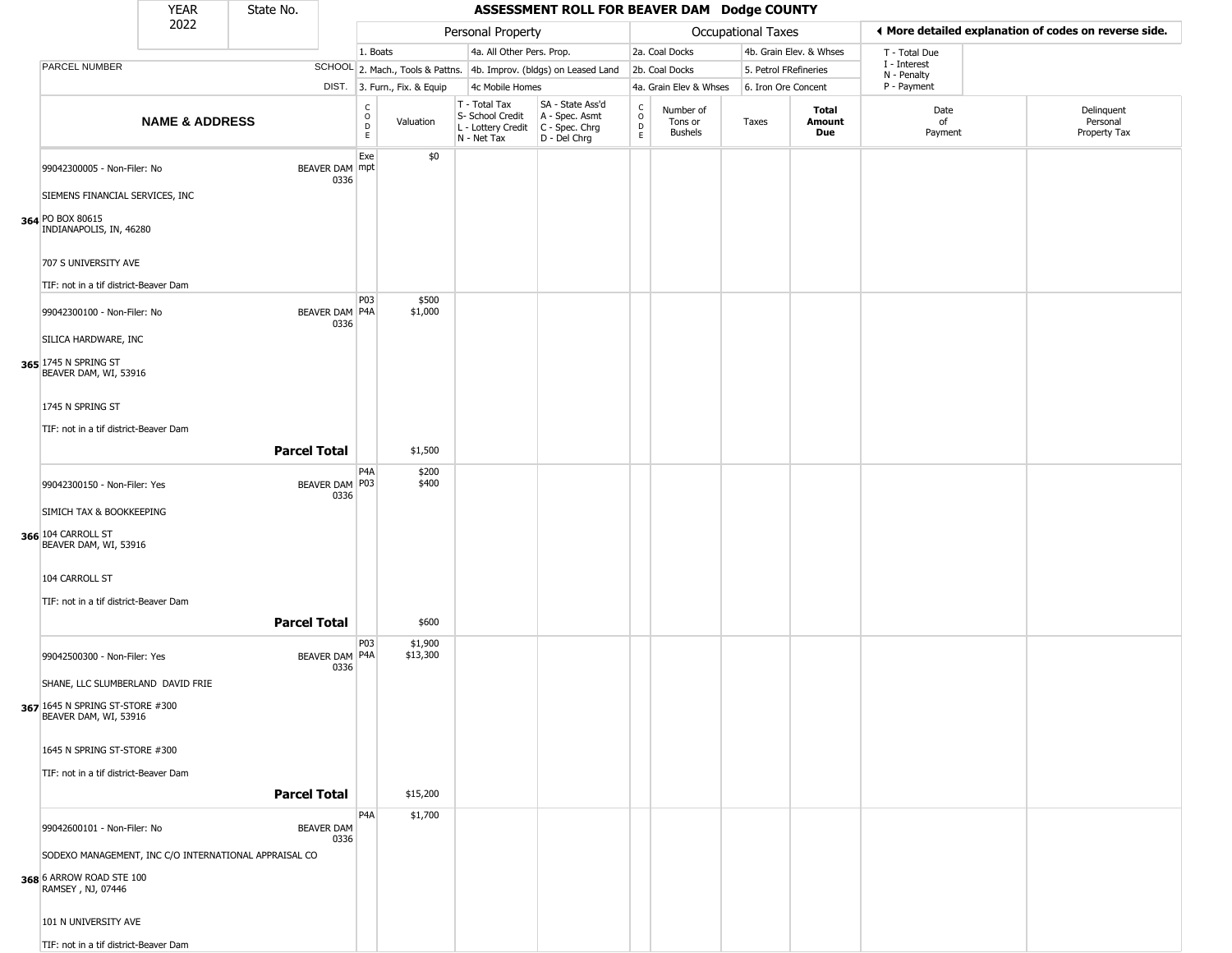|                                                               | <b>YEAR</b>               | State No.           |                           |                                                  |                              |                                                                                         | ASSESSMENT ROLL FOR BEAVER DAM Dodge COUNTY                         |                                            |                                        |                       |                         |                            |                                                       |
|---------------------------------------------------------------|---------------------------|---------------------|---------------------------|--------------------------------------------------|------------------------------|-----------------------------------------------------------------------------------------|---------------------------------------------------------------------|--------------------------------------------|----------------------------------------|-----------------------|-------------------------|----------------------------|-------------------------------------------------------|
|                                                               | 2022                      |                     |                           |                                                  |                              | Personal Property                                                                       |                                                                     |                                            |                                        | Occupational Taxes    |                         |                            | ◀ More detailed explanation of codes on reverse side. |
|                                                               |                           |                     |                           | 1. Boats                                         |                              | 4a. All Other Pers. Prop.                                                               |                                                                     |                                            | 2a. Coal Docks                         |                       | 4b. Grain Elev. & Whses | T - Total Due              |                                                       |
| PARCEL NUMBER                                                 |                           |                     |                           |                                                  |                              |                                                                                         | SCHOOL 2. Mach., Tools & Pattns. 4b. Improv. (bldgs) on Leased Land |                                            | 2b. Coal Docks                         | 5. Petrol FRefineries |                         | I - Interest               |                                                       |
|                                                               |                           |                     |                           |                                                  | DIST. 3. Furn., Fix. & Equip | 4c Mobile Homes                                                                         |                                                                     |                                            | 4a. Grain Elev & Whses                 | 6. Iron Ore Concent   |                         | N - Penalty<br>P - Payment |                                                       |
|                                                               | <b>NAME &amp; ADDRESS</b> |                     |                           | $_{\rm o}^{\rm c}$<br>$\mathsf D$<br>$\mathsf E$ | Valuation                    | T - Total Tax<br>S- School Credit<br>L - Lottery Credit   C - Spec. Chrg<br>N - Net Tax | SA - State Ass'd<br>A - Spec. Asmt<br>D - Del Chrg                  | $\begin{array}{c} C \\ 0 \\ E \end{array}$ | Number of<br>Tons or<br><b>Bushels</b> | Taxes                 | Total<br>Amount<br>Due  | Date<br>of<br>Payment      | Delinquent<br>Personal<br>Property Tax                |
| 99042300005 - Non-Filer: No                                   |                           |                     | BEAVER DAM mpt<br>0336    | Exe                                              | \$0                          |                                                                                         |                                                                     |                                            |                                        |                       |                         |                            |                                                       |
| SIEMENS FINANCIAL SERVICES, INC                               |                           |                     |                           |                                                  |                              |                                                                                         |                                                                     |                                            |                                        |                       |                         |                            |                                                       |
| 364 PO BOX 80615<br>INDIANAPOLIS, IN, 46280                   |                           |                     |                           |                                                  |                              |                                                                                         |                                                                     |                                            |                                        |                       |                         |                            |                                                       |
| 707 S UNIVERSITY AVE<br>TIF: not in a tif district-Beaver Dam |                           |                     |                           |                                                  |                              |                                                                                         |                                                                     |                                            |                                        |                       |                         |                            |                                                       |
|                                                               |                           |                     |                           | P03                                              | \$500                        |                                                                                         |                                                                     |                                            |                                        |                       |                         |                            |                                                       |
| 99042300100 - Non-Filer: No<br>SILICA HARDWARE, INC           |                           |                     | BEAVER DAM P4A<br>0336    |                                                  | \$1,000                      |                                                                                         |                                                                     |                                            |                                        |                       |                         |                            |                                                       |
| 365 1745 N SPRING ST<br>BEAVER DAM, WI, 53916                 |                           |                     |                           |                                                  |                              |                                                                                         |                                                                     |                                            |                                        |                       |                         |                            |                                                       |
| 1745 N SPRING ST                                              |                           |                     |                           |                                                  |                              |                                                                                         |                                                                     |                                            |                                        |                       |                         |                            |                                                       |
| TIF: not in a tif district-Beaver Dam                         |                           |                     |                           |                                                  |                              |                                                                                         |                                                                     |                                            |                                        |                       |                         |                            |                                                       |
|                                                               |                           | <b>Parcel Total</b> |                           |                                                  | \$1,500                      |                                                                                         |                                                                     |                                            |                                        |                       |                         |                            |                                                       |
| 99042300150 - Non-Filer: Yes                                  |                           |                     | BEAVER DAM P03<br>0336    | P4A                                              | \$200<br>\$400               |                                                                                         |                                                                     |                                            |                                        |                       |                         |                            |                                                       |
| SIMICH TAX & BOOKKEEPING                                      |                           |                     |                           |                                                  |                              |                                                                                         |                                                                     |                                            |                                        |                       |                         |                            |                                                       |
| 366 104 CARROLL ST<br>BEAVER DAM, WI, 53916                   |                           |                     |                           |                                                  |                              |                                                                                         |                                                                     |                                            |                                        |                       |                         |                            |                                                       |
| 104 CARROLL ST                                                |                           |                     |                           |                                                  |                              |                                                                                         |                                                                     |                                            |                                        |                       |                         |                            |                                                       |
| TIF: not in a tif district-Beaver Dam                         |                           | <b>Parcel Total</b> |                           |                                                  | \$600                        |                                                                                         |                                                                     |                                            |                                        |                       |                         |                            |                                                       |
| 99042500300 - Non-Filer: Yes                                  |                           |                     | BEAVER DAM P4A<br>0336    | P03                                              | \$1,900<br>\$13,300          |                                                                                         |                                                                     |                                            |                                        |                       |                         |                            |                                                       |
| SHANE, LLC SLUMBERLAND DAVID FRIE                             |                           |                     |                           |                                                  |                              |                                                                                         |                                                                     |                                            |                                        |                       |                         |                            |                                                       |
| 367 1645 N SPRING ST-STORE #300<br>BEAVER DAM, WI, 53916      |                           |                     |                           |                                                  |                              |                                                                                         |                                                                     |                                            |                                        |                       |                         |                            |                                                       |
| 1645 N SPRING ST-STORE #300                                   |                           |                     |                           |                                                  |                              |                                                                                         |                                                                     |                                            |                                        |                       |                         |                            |                                                       |
| TIF: not in a tif district-Beaver Dam                         |                           | <b>Parcel Total</b> |                           |                                                  | \$15,200                     |                                                                                         |                                                                     |                                            |                                        |                       |                         |                            |                                                       |
|                                                               |                           |                     |                           | P <sub>4</sub> A                                 | \$1,700                      |                                                                                         |                                                                     |                                            |                                        |                       |                         |                            |                                                       |
| 99042600101 - Non-Filer: No                                   |                           |                     | <b>BEAVER DAM</b><br>0336 |                                                  |                              |                                                                                         |                                                                     |                                            |                                        |                       |                         |                            |                                                       |
| SODEXO MANAGEMENT, INC C/O INTERNATIONAL APPRAISAL CO         |                           |                     |                           |                                                  |                              |                                                                                         |                                                                     |                                            |                                        |                       |                         |                            |                                                       |
| 368 6 ARROW ROAD STE 100<br>RAMSEY, NJ, 07446                 |                           |                     |                           |                                                  |                              |                                                                                         |                                                                     |                                            |                                        |                       |                         |                            |                                                       |
| 101 N UNIVERSITY AVE                                          |                           |                     |                           |                                                  |                              |                                                                                         |                                                                     |                                            |                                        |                       |                         |                            |                                                       |
| TIF: not in a tif district-Beaver Dam                         |                           |                     |                           |                                                  |                              |                                                                                         |                                                                     |                                            |                                        |                       |                         |                            |                                                       |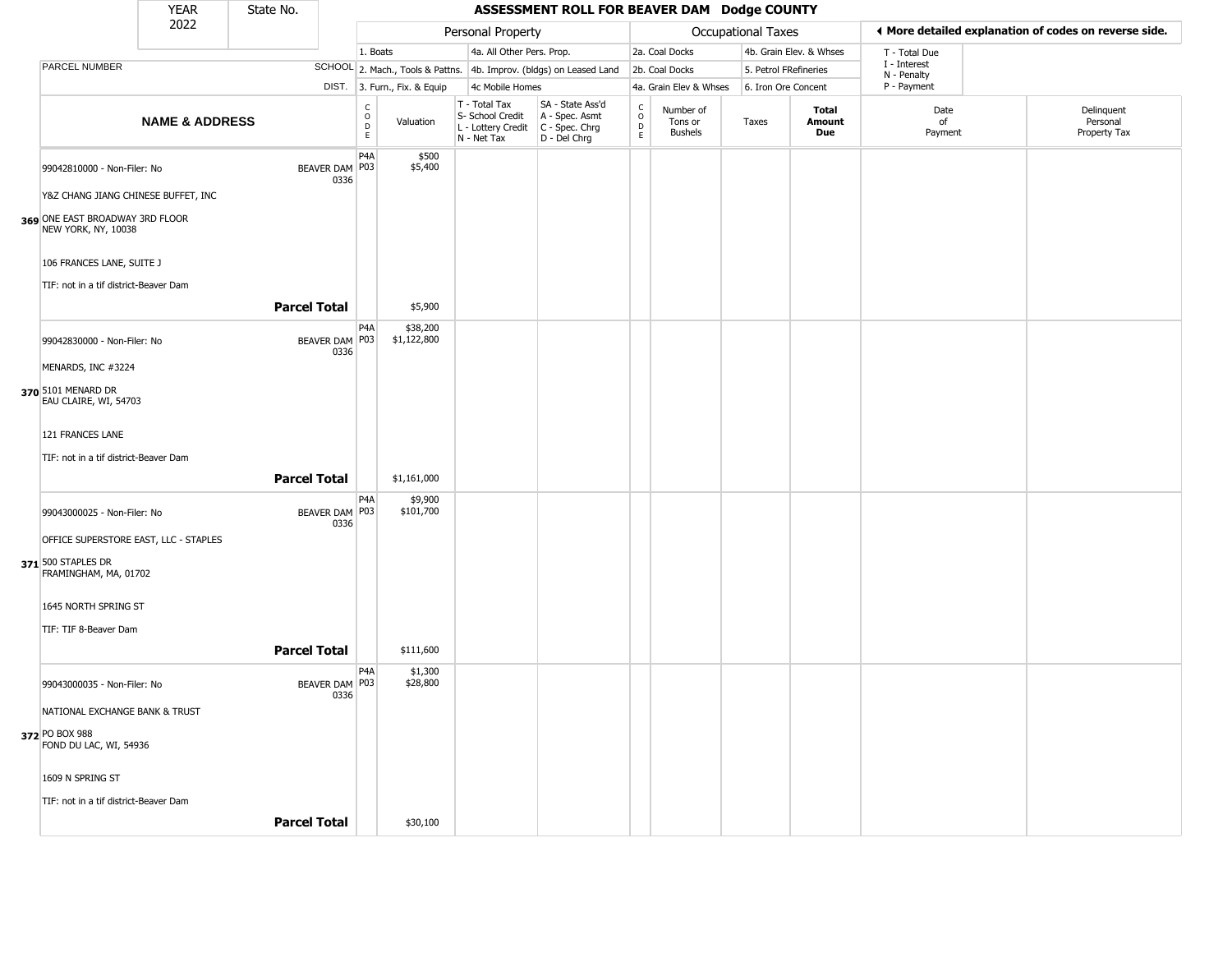|                                                        | <b>YEAR</b>               | State No.           |                          |                                                          |                              |                                                                        | ASSESSMENT ROLL FOR BEAVER DAM Dodge COUNTY                          |                                   |                                        |                           |                         |                             |                                                       |
|--------------------------------------------------------|---------------------------|---------------------|--------------------------|----------------------------------------------------------|------------------------------|------------------------------------------------------------------------|----------------------------------------------------------------------|-----------------------------------|----------------------------------------|---------------------------|-------------------------|-----------------------------|-------------------------------------------------------|
|                                                        | 2022                      |                     |                          |                                                          |                              | Personal Property                                                      |                                                                      |                                   |                                        | <b>Occupational Taxes</b> |                         |                             | I More detailed explanation of codes on reverse side. |
|                                                        |                           |                     |                          | 1. Boats                                                 |                              | 4a. All Other Pers. Prop.                                              |                                                                      |                                   | 2a. Coal Docks                         |                           | 4b. Grain Elev. & Whses | T - Total Due               |                                                       |
| PARCEL NUMBER                                          |                           |                     |                          |                                                          |                              |                                                                        | SCHOOL 2. Mach., Tools & Pattns. 4b. Improv. (bldgs) on Leased Land  |                                   | 2b. Coal Docks                         |                           | 5. Petrol FRefineries   | I - Interest<br>N - Penalty |                                                       |
|                                                        |                           |                     |                          |                                                          | DIST. 3. Furn., Fix. & Equip | 4c Mobile Homes                                                        |                                                                      |                                   | 4a. Grain Elev & Whses                 |                           | 6. Iron Ore Concent     | P - Payment                 |                                                       |
|                                                        | <b>NAME &amp; ADDRESS</b> |                     |                          | $\begin{matrix} 0 \\ 0 \\ D \end{matrix}$<br>$\mathsf E$ | Valuation                    | T - Total Tax<br>S- School Credit<br>L - Lottery Credit<br>N - Net Tax | SA - State Ass'd<br>A - Spec. Asmt<br>C - Spec. Chrg<br>D - Del Chrg | $\frac{c}{0}$<br>$\mathsf D$<br>E | Number of<br>Tons or<br><b>Bushels</b> | Taxes                     | Total<br>Amount<br>Due  | Date<br>of<br>Payment       | Delinquent<br>Personal<br>Property Tax                |
| 99042810000 - Non-Filer: No                            |                           |                     | BEAVER DAM P03<br>0336   | P <sub>4</sub> A                                         | \$500<br>\$5,400             |                                                                        |                                                                      |                                   |                                        |                           |                         |                             |                                                       |
| Y&Z CHANG JIANG CHINESE BUFFET, INC                    |                           |                     |                          |                                                          |                              |                                                                        |                                                                      |                                   |                                        |                           |                         |                             |                                                       |
| 369 ONE EAST BROADWAY 3RD FLOOR<br>NEW YORK, NY, 10038 |                           |                     |                          |                                                          |                              |                                                                        |                                                                      |                                   |                                        |                           |                         |                             |                                                       |
| 106 FRANCES LANE, SUITE J                              |                           |                     |                          |                                                          |                              |                                                                        |                                                                      |                                   |                                        |                           |                         |                             |                                                       |
| TIF: not in a tif district-Beaver Dam                  |                           |                     |                          |                                                          |                              |                                                                        |                                                                      |                                   |                                        |                           |                         |                             |                                                       |
|                                                        |                           | <b>Parcel Total</b> |                          |                                                          | \$5,900                      |                                                                        |                                                                      |                                   |                                        |                           |                         |                             |                                                       |
| 99042830000 - Non-Filer: No                            |                           |                     | BEAVER DAM P03<br>0336   | P <sub>4</sub> A                                         | \$38,200<br>\$1,122,800      |                                                                        |                                                                      |                                   |                                        |                           |                         |                             |                                                       |
| MENARDS, INC #3224                                     |                           |                     |                          |                                                          |                              |                                                                        |                                                                      |                                   |                                        |                           |                         |                             |                                                       |
| 370 5101 MENARD DR                                     |                           |                     |                          |                                                          |                              |                                                                        |                                                                      |                                   |                                        |                           |                         |                             |                                                       |
| EAU CLAIRE, WI, 54703                                  |                           |                     |                          |                                                          |                              |                                                                        |                                                                      |                                   |                                        |                           |                         |                             |                                                       |
| 121 FRANCES LANE                                       |                           |                     |                          |                                                          |                              |                                                                        |                                                                      |                                   |                                        |                           |                         |                             |                                                       |
| TIF: not in a tif district-Beaver Dam                  |                           |                     |                          |                                                          |                              |                                                                        |                                                                      |                                   |                                        |                           |                         |                             |                                                       |
|                                                        |                           | <b>Parcel Total</b> |                          |                                                          | \$1,161,000                  |                                                                        |                                                                      |                                   |                                        |                           |                         |                             |                                                       |
|                                                        |                           |                     |                          | P <sub>4</sub> A                                         | \$9,900                      |                                                                        |                                                                      |                                   |                                        |                           |                         |                             |                                                       |
| 99043000025 - Non-Filer: No                            |                           |                     | BEAVER DAM   P03<br>0336 |                                                          | \$101,700                    |                                                                        |                                                                      |                                   |                                        |                           |                         |                             |                                                       |
| OFFICE SUPERSTORE EAST, LLC - STAPLES                  |                           |                     |                          |                                                          |                              |                                                                        |                                                                      |                                   |                                        |                           |                         |                             |                                                       |
| 371 500 STAPLES DR<br>FRAMINGHAM, MA, 01702            |                           |                     |                          |                                                          |                              |                                                                        |                                                                      |                                   |                                        |                           |                         |                             |                                                       |
| 1645 NORTH SPRING ST                                   |                           |                     |                          |                                                          |                              |                                                                        |                                                                      |                                   |                                        |                           |                         |                             |                                                       |
| TIF: TIF 8-Beaver Dam                                  |                           |                     |                          |                                                          |                              |                                                                        |                                                                      |                                   |                                        |                           |                         |                             |                                                       |
|                                                        |                           | <b>Parcel Total</b> |                          |                                                          |                              |                                                                        |                                                                      |                                   |                                        |                           |                         |                             |                                                       |
|                                                        |                           |                     |                          |                                                          | \$111,600                    |                                                                        |                                                                      |                                   |                                        |                           |                         |                             |                                                       |
| 99043000035 - Non-Filer: No                            |                           |                     | BEAVER DAM P03<br>0336   | P <sub>4</sub> A                                         | \$1,300<br>\$28,800          |                                                                        |                                                                      |                                   |                                        |                           |                         |                             |                                                       |
| NATIONAL EXCHANGE BANK & TRUST                         |                           |                     |                          |                                                          |                              |                                                                        |                                                                      |                                   |                                        |                           |                         |                             |                                                       |
| 372 PO BOX 988<br>FOND DU LAC, WI, 54936               |                           |                     |                          |                                                          |                              |                                                                        |                                                                      |                                   |                                        |                           |                         |                             |                                                       |
| 1609 N SPRING ST                                       |                           |                     |                          |                                                          |                              |                                                                        |                                                                      |                                   |                                        |                           |                         |                             |                                                       |
| TIF: not in a tif district-Beaver Dam                  |                           |                     |                          |                                                          |                              |                                                                        |                                                                      |                                   |                                        |                           |                         |                             |                                                       |
|                                                        |                           | <b>Parcel Total</b> |                          |                                                          | \$30,100                     |                                                                        |                                                                      |                                   |                                        |                           |                         |                             |                                                       |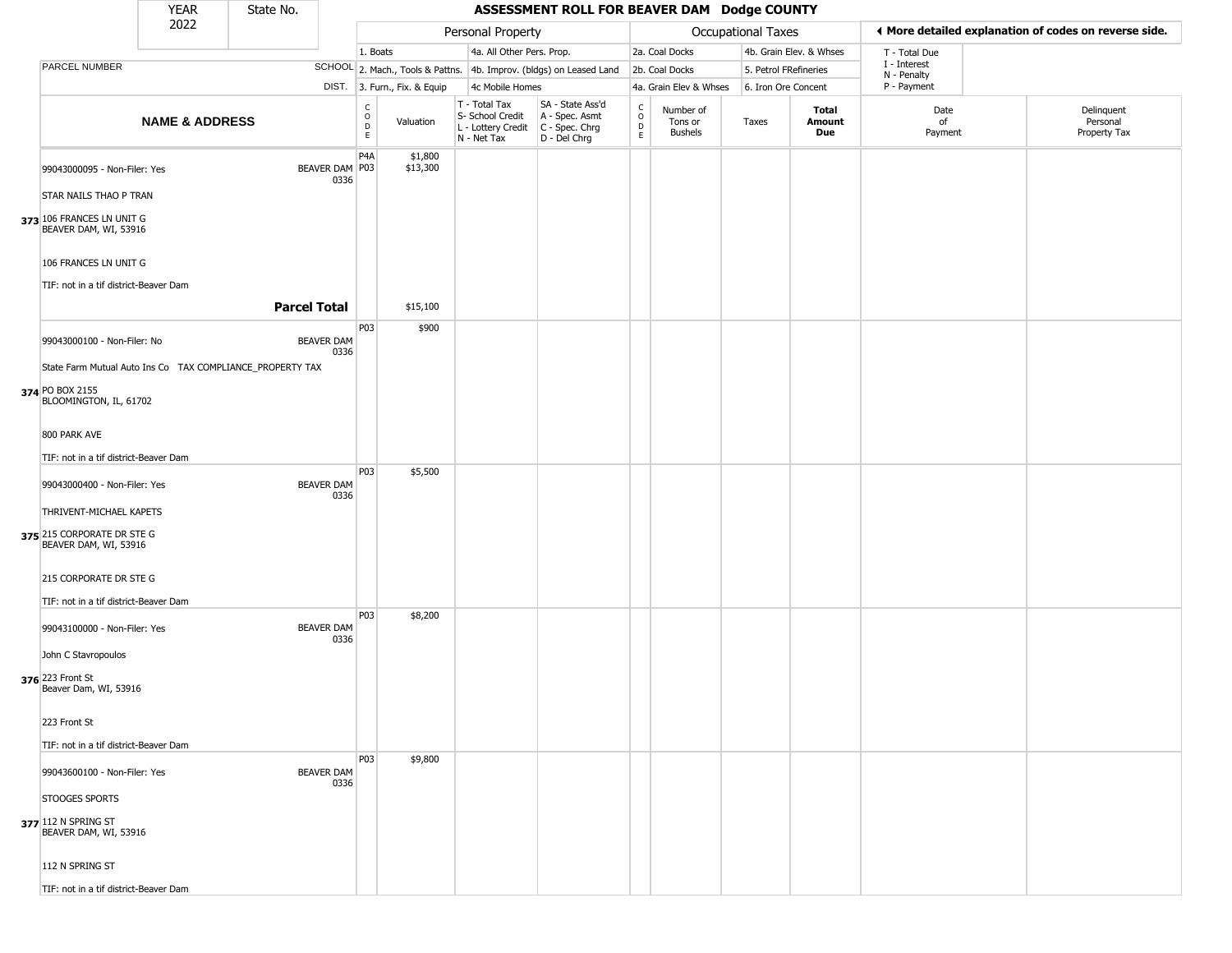|                                                                                                        | <b>YEAR</b>               | State No.           |                           |                                                          |                              |                                                                                         | ASSESSMENT ROLL FOR BEAVER DAM Dodge COUNTY                         |                            |                                        |                           |                         |                             |                                                       |
|--------------------------------------------------------------------------------------------------------|---------------------------|---------------------|---------------------------|----------------------------------------------------------|------------------------------|-----------------------------------------------------------------------------------------|---------------------------------------------------------------------|----------------------------|----------------------------------------|---------------------------|-------------------------|-----------------------------|-------------------------------------------------------|
|                                                                                                        | 2022                      |                     |                           |                                                          |                              | Personal Property                                                                       |                                                                     |                            |                                        | <b>Occupational Taxes</b> |                         |                             | ♦ More detailed explanation of codes on reverse side. |
|                                                                                                        |                           |                     |                           | 1. Boats                                                 |                              | 4a. All Other Pers. Prop.                                                               |                                                                     |                            | 2a. Coal Docks                         |                           | 4b. Grain Elev. & Whses | T - Total Due               |                                                       |
| PARCEL NUMBER                                                                                          |                           |                     |                           |                                                          |                              |                                                                                         | SCHOOL 2. Mach., Tools & Pattns. 4b. Improv. (bldgs) on Leased Land |                            | 2b. Coal Docks                         | 5. Petrol FRefineries     |                         | I - Interest<br>N - Penalty |                                                       |
|                                                                                                        |                           |                     |                           |                                                          | DIST. 3. Furn., Fix. & Equip | 4c Mobile Homes                                                                         |                                                                     |                            | 4a. Grain Elev & Whses                 | 6. Iron Ore Concent       |                         | P - Payment                 |                                                       |
|                                                                                                        | <b>NAME &amp; ADDRESS</b> |                     |                           | $\begin{matrix} C \\ O \\ D \end{matrix}$<br>$\mathsf E$ | Valuation                    | T - Total Tax<br>S- School Credit<br>L - Lottery Credit   C - Spec. Chrg<br>N - Net Tax | SA - State Ass'd<br>A - Spec. Asmt<br>D - Del Chrg                  | C<br>$\mathsf O$<br>D<br>E | Number of<br>Tons or<br><b>Bushels</b> | Taxes                     | Total<br>Amount<br>Due  | Date<br>of<br>Payment       | Delinquent<br>Personal<br>Property Tax                |
| 99043000095 - Non-Filer: Yes                                                                           |                           |                     | BEAVER DAM P03<br>0336    | P <sub>4</sub> A                                         | \$1,800<br>\$13,300          |                                                                                         |                                                                     |                            |                                        |                           |                         |                             |                                                       |
| STAR NAILS THAO P TRAN<br>373 106 FRANCES LN UNIT G<br>BEAVER DAM, WI, 53916                           |                           |                     |                           |                                                          |                              |                                                                                         |                                                                     |                            |                                        |                           |                         |                             |                                                       |
| 106 FRANCES LN UNIT G                                                                                  |                           |                     |                           |                                                          |                              |                                                                                         |                                                                     |                            |                                        |                           |                         |                             |                                                       |
| TIF: not in a tif district-Beaver Dam                                                                  |                           | <b>Parcel Total</b> |                           |                                                          | \$15,100                     |                                                                                         |                                                                     |                            |                                        |                           |                         |                             |                                                       |
| 99043000100 - Non-Filer: No                                                                            |                           |                     | <b>BEAVER DAM</b><br>0336 | P03                                                      | \$900                        |                                                                                         |                                                                     |                            |                                        |                           |                         |                             |                                                       |
| State Farm Mutual Auto Ins Co TAX COMPLIANCE_PROPERTY TAX<br>374 PO BOX 2155<br>BLOOMINGTON, IL, 61702 |                           |                     |                           |                                                          |                              |                                                                                         |                                                                     |                            |                                        |                           |                         |                             |                                                       |
| 800 PARK AVE                                                                                           |                           |                     |                           |                                                          |                              |                                                                                         |                                                                     |                            |                                        |                           |                         |                             |                                                       |
| TIF: not in a tif district-Beaver Dam                                                                  |                           |                     |                           |                                                          |                              |                                                                                         |                                                                     |                            |                                        |                           |                         |                             |                                                       |
| 99043000400 - Non-Filer: Yes                                                                           |                           |                     | <b>BEAVER DAM</b><br>0336 | P03                                                      | \$5,500                      |                                                                                         |                                                                     |                            |                                        |                           |                         |                             |                                                       |
| THRIVENT-MICHAEL KAPETS                                                                                |                           |                     |                           |                                                          |                              |                                                                                         |                                                                     |                            |                                        |                           |                         |                             |                                                       |
| 375 215 CORPORATE DR STE G<br>BEAVER DAM, WI, 53916                                                    |                           |                     |                           |                                                          |                              |                                                                                         |                                                                     |                            |                                        |                           |                         |                             |                                                       |
| 215 CORPORATE DR STE G<br>TIF: not in a tif district-Beaver Dam                                        |                           |                     |                           |                                                          |                              |                                                                                         |                                                                     |                            |                                        |                           |                         |                             |                                                       |
| 99043100000 - Non-Filer: Yes                                                                           |                           |                     | <b>BEAVER DAM</b><br>0336 | P03                                                      | \$8,200                      |                                                                                         |                                                                     |                            |                                        |                           |                         |                             |                                                       |
| John C Stavropoulos                                                                                    |                           |                     |                           |                                                          |                              |                                                                                         |                                                                     |                            |                                        |                           |                         |                             |                                                       |
| 376 223 Front St<br>Beaver Dam, WI, 53916                                                              |                           |                     |                           |                                                          |                              |                                                                                         |                                                                     |                            |                                        |                           |                         |                             |                                                       |
| 223 Front St<br>TIF: not in a tif district-Beaver Dam                                                  |                           |                     |                           |                                                          |                              |                                                                                         |                                                                     |                            |                                        |                           |                         |                             |                                                       |
|                                                                                                        |                           |                     |                           | <b>P03</b>                                               | \$9,800                      |                                                                                         |                                                                     |                            |                                        |                           |                         |                             |                                                       |
| 99043600100 - Non-Filer: Yes<br>STOOGES SPORTS                                                         |                           |                     | <b>BEAVER DAM</b><br>0336 |                                                          |                              |                                                                                         |                                                                     |                            |                                        |                           |                         |                             |                                                       |
| 377 112 N SPRING ST<br>BEAVER DAM, WI, 53916                                                           |                           |                     |                           |                                                          |                              |                                                                                         |                                                                     |                            |                                        |                           |                         |                             |                                                       |
| 112 N SPRING ST                                                                                        |                           |                     |                           |                                                          |                              |                                                                                         |                                                                     |                            |                                        |                           |                         |                             |                                                       |
| TIF: not in a tif district-Beaver Dam                                                                  |                           |                     |                           |                                                          |                              |                                                                                         |                                                                     |                            |                                        |                           |                         |                             |                                                       |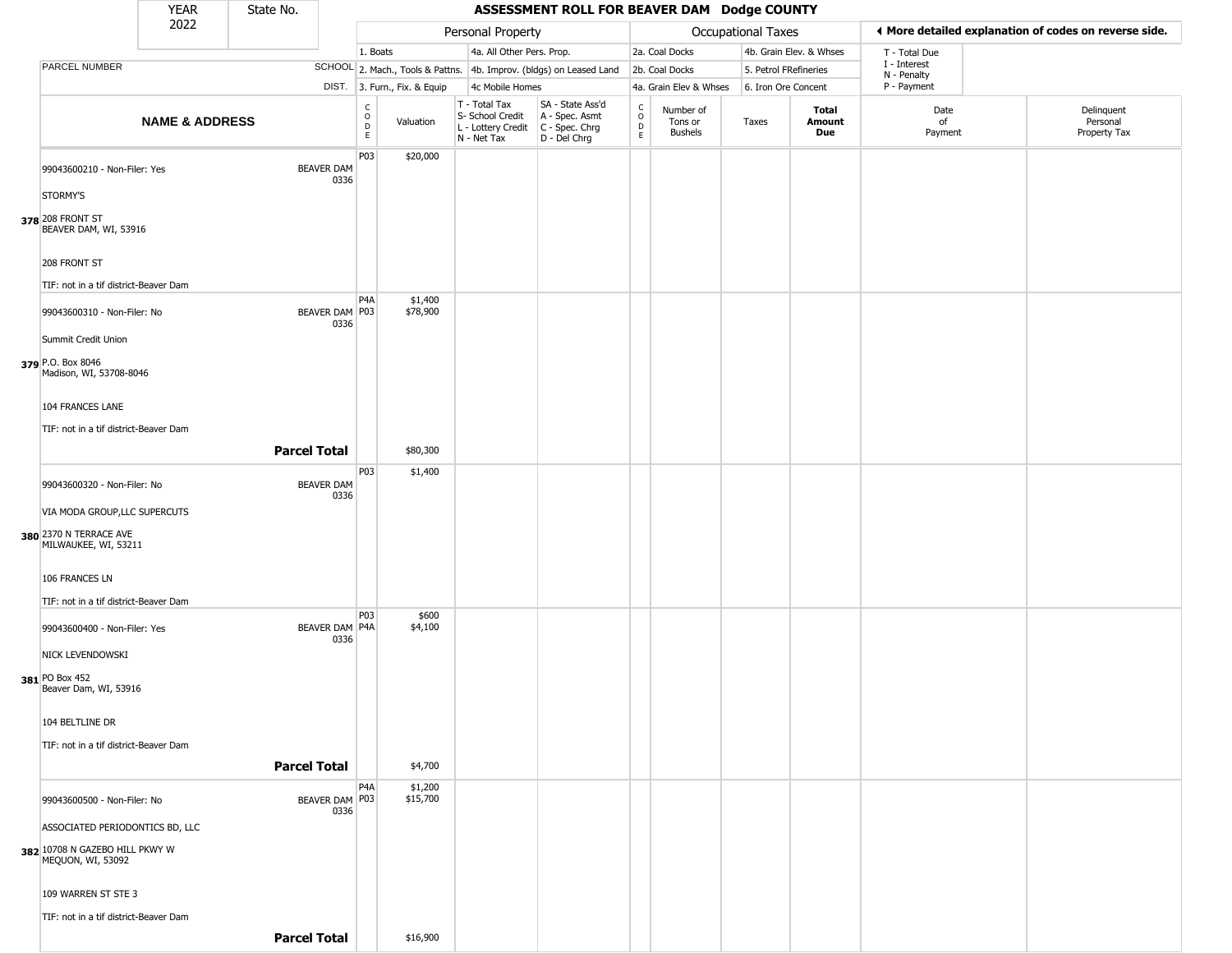|                                                                                 | <b>YEAR</b>               | State No.           |                        |                                  |                              |                                                                                         | ASSESSMENT ROLL FOR BEAVER DAM Dodge COUNTY                         |                                                |                                        |                       |                         |                                                       |                                        |
|---------------------------------------------------------------------------------|---------------------------|---------------------|------------------------|----------------------------------|------------------------------|-----------------------------------------------------------------------------------------|---------------------------------------------------------------------|------------------------------------------------|----------------------------------------|-----------------------|-------------------------|-------------------------------------------------------|----------------------------------------|
|                                                                                 | 2022                      |                     |                        |                                  |                              | Personal Property                                                                       |                                                                     |                                                |                                        | Occupational Taxes    |                         | ◀ More detailed explanation of codes on reverse side. |                                        |
|                                                                                 |                           |                     |                        | 1. Boats                         |                              | 4a. All Other Pers. Prop.                                                               |                                                                     |                                                | 2a. Coal Docks                         |                       | 4b. Grain Elev. & Whses | T - Total Due                                         |                                        |
| PARCEL NUMBER                                                                   |                           |                     |                        |                                  |                              |                                                                                         | SCHOOL 2. Mach., Tools & Pattns. 4b. Improv. (bldgs) on Leased Land |                                                | 2b. Coal Docks                         | 5. Petrol FRefineries |                         | I - Interest<br>N - Penalty                           |                                        |
|                                                                                 |                           |                     |                        |                                  | DIST. 3. Furn., Fix. & Equip | 4c Mobile Homes                                                                         |                                                                     |                                                | 4a. Grain Elev & Whses                 | 6. Iron Ore Concent   |                         | P - Payment                                           |                                        |
|                                                                                 | <b>NAME &amp; ADDRESS</b> |                     |                        | C<br>$\circ$<br>$\mathsf D$<br>E | Valuation                    | T - Total Tax<br>S- School Credit<br>L - Lottery Credit   C - Spec. Chrg<br>N - Net Tax | SA - State Ass'd<br>A - Spec. Asmt<br>D - Del Chrg                  | $\begin{matrix} 0 \\ 0 \\ D \end{matrix}$<br>E | Number of<br>Tons or<br><b>Bushels</b> | Taxes                 | Total<br>Amount<br>Due  | Date<br>of<br>Payment                                 | Delinquent<br>Personal<br>Property Tax |
| 99043600210 - Non-Filer: Yes<br>STORMY'S                                        |                           | <b>BEAVER DAM</b>   | 0336                   | P03                              | \$20,000                     |                                                                                         |                                                                     |                                                |                                        |                       |                         |                                                       |                                        |
| 378 208 FRONT ST<br>BEAVER DAM, WI, 53916                                       |                           |                     |                        |                                  |                              |                                                                                         |                                                                     |                                                |                                        |                       |                         |                                                       |                                        |
| 208 FRONT ST<br>TIF: not in a tif district-Beaver Dam                           |                           |                     |                        |                                  |                              |                                                                                         |                                                                     |                                                |                                        |                       |                         |                                                       |                                        |
| 99043600310 - Non-Filer: No<br>Summit Credit Union                              |                           |                     | BEAVER DAM P03<br>0336 | P <sub>4</sub> A                 | \$1,400<br>\$78,900          |                                                                                         |                                                                     |                                                |                                        |                       |                         |                                                       |                                        |
| 379 P.O. Box 8046<br>Madison, WI, 53708-8046                                    |                           |                     |                        |                                  |                              |                                                                                         |                                                                     |                                                |                                        |                       |                         |                                                       |                                        |
| 104 FRANCES LANE<br>TIF: not in a tif district-Beaver Dam                       |                           |                     |                        |                                  |                              |                                                                                         |                                                                     |                                                |                                        |                       |                         |                                                       |                                        |
|                                                                                 |                           | <b>Parcel Total</b> |                        |                                  | \$80,300                     |                                                                                         |                                                                     |                                                |                                        |                       |                         |                                                       |                                        |
| 99043600320 - Non-Filer: No                                                     |                           | <b>BEAVER DAM</b>   | 0336                   | P03                              | \$1,400                      |                                                                                         |                                                                     |                                                |                                        |                       |                         |                                                       |                                        |
| VIA MODA GROUP, LLC SUPERCUTS<br>380 2370 N TERRACE AVE<br>MILWAUKEE, WI, 53211 |                           |                     |                        |                                  |                              |                                                                                         |                                                                     |                                                |                                        |                       |                         |                                                       |                                        |
| 106 FRANCES LN<br>TIF: not in a tif district-Beaver Dam                         |                           |                     |                        |                                  |                              |                                                                                         |                                                                     |                                                |                                        |                       |                         |                                                       |                                        |
| 99043600400 - Non-Filer: Yes                                                    |                           |                     | BEAVER DAM P4A<br>0336 | P <sub>0</sub> 3                 | \$600<br>\$4,100             |                                                                                         |                                                                     |                                                |                                        |                       |                         |                                                       |                                        |
| NICK LEVENDOWSKI<br>381 PO Box 452<br>Beaver Dam, WI, 53916                     |                           |                     |                        |                                  |                              |                                                                                         |                                                                     |                                                |                                        |                       |                         |                                                       |                                        |
| 104 BELTLINE DR                                                                 |                           |                     |                        |                                  |                              |                                                                                         |                                                                     |                                                |                                        |                       |                         |                                                       |                                        |
| TIF: not in a tif district-Beaver Dam                                           |                           | <b>Parcel Total</b> |                        |                                  | \$4,700                      |                                                                                         |                                                                     |                                                |                                        |                       |                         |                                                       |                                        |
| 99043600500 - Non-Filer: No                                                     |                           |                     | BEAVER DAM   P03       | P4A                              | \$1,200<br>\$15,700          |                                                                                         |                                                                     |                                                |                                        |                       |                         |                                                       |                                        |
| ASSOCIATED PERIODONTICS BD, LLC                                                 |                           |                     | 0336                   |                                  |                              |                                                                                         |                                                                     |                                                |                                        |                       |                         |                                                       |                                        |
| 382 10708 N GAZEBO HILL PKWY W<br>MEQUON, WI, 53092                             |                           |                     |                        |                                  |                              |                                                                                         |                                                                     |                                                |                                        |                       |                         |                                                       |                                        |
| 109 WARREN ST STE 3                                                             |                           |                     |                        |                                  |                              |                                                                                         |                                                                     |                                                |                                        |                       |                         |                                                       |                                        |
| TIF: not in a tif district-Beaver Dam                                           |                           | <b>Parcel Total</b> |                        |                                  | \$16,900                     |                                                                                         |                                                                     |                                                |                                        |                       |                         |                                                       |                                        |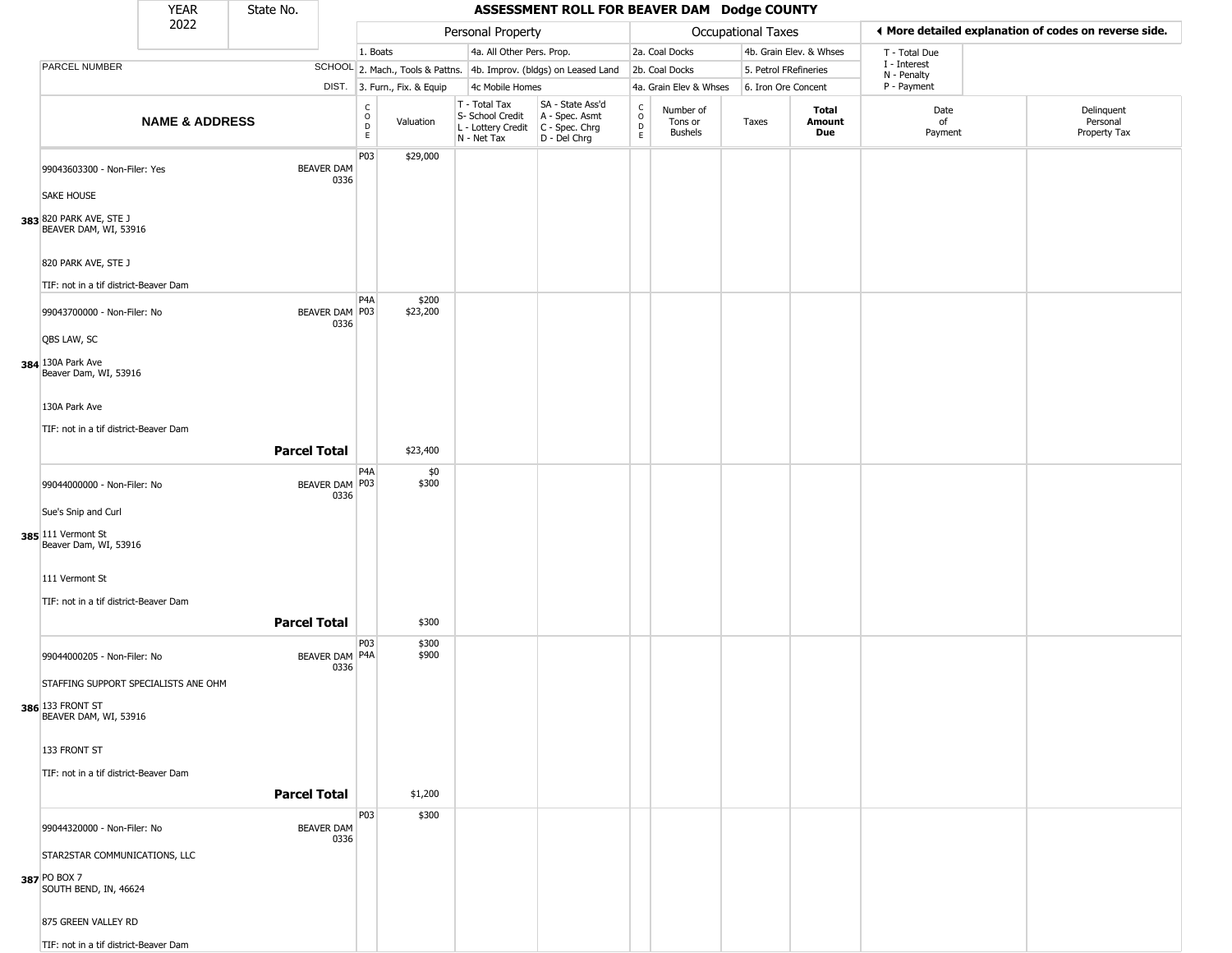|                                                                        | <b>YEAR</b>               | State No.           |                           |                                                 |                              |                                                                                         | ASSESSMENT ROLL FOR BEAVER DAM Dodge COUNTY                         |                  |                                        |                       |                         |                             |                                                       |
|------------------------------------------------------------------------|---------------------------|---------------------|---------------------------|-------------------------------------------------|------------------------------|-----------------------------------------------------------------------------------------|---------------------------------------------------------------------|------------------|----------------------------------------|-----------------------|-------------------------|-----------------------------|-------------------------------------------------------|
|                                                                        | 2022                      |                     |                           |                                                 |                              | Personal Property                                                                       |                                                                     |                  |                                        | Occupational Taxes    |                         |                             | ♦ More detailed explanation of codes on reverse side. |
|                                                                        |                           |                     |                           | 1. Boats                                        |                              | 4a. All Other Pers. Prop.                                                               |                                                                     |                  | 2a. Coal Docks                         |                       | 4b. Grain Elev. & Whses | T - Total Due               |                                                       |
| PARCEL NUMBER                                                          |                           |                     |                           |                                                 |                              |                                                                                         | SCHOOL 2. Mach., Tools & Pattns. 4b. Improv. (bldgs) on Leased Land |                  | 2b. Coal Docks                         | 5. Petrol FRefineries |                         | I - Interest<br>N - Penalty |                                                       |
|                                                                        |                           |                     |                           |                                                 | DIST. 3. Furn., Fix. & Equip | 4c Mobile Homes                                                                         |                                                                     |                  | 4a. Grain Elev & Whses                 | 6. Iron Ore Concent   |                         | P - Payment                 |                                                       |
|                                                                        | <b>NAME &amp; ADDRESS</b> |                     |                           | $\begin{array}{c} C \\ O \\ D \\ E \end{array}$ | Valuation                    | T - Total Tax<br>S- School Credit<br>L - Lottery Credit   C - Spec. Chrg<br>N - Net Tax | SA - State Ass'd<br>A - Spec. Asmt<br>D - Del Chrg                  | C<br>D<br>D<br>E | Number of<br>Tons or<br><b>Bushels</b> | Taxes                 | Total<br>Amount<br>Due  | Date<br>of<br>Payment       | Delinquent<br>Personal<br>Property Tax                |
| 99043603300 - Non-Filer: Yes                                           |                           |                     | <b>BEAVER DAM</b><br>0336 | P03                                             | \$29,000                     |                                                                                         |                                                                     |                  |                                        |                       |                         |                             |                                                       |
| <b>SAKE HOUSE</b>                                                      |                           |                     |                           |                                                 |                              |                                                                                         |                                                                     |                  |                                        |                       |                         |                             |                                                       |
| 383 820 PARK AVE, STE J<br>BEAVER DAM, WI, 53916                       |                           |                     |                           |                                                 |                              |                                                                                         |                                                                     |                  |                                        |                       |                         |                             |                                                       |
| 820 PARK AVE, STE J<br>TIF: not in a tif district-Beaver Dam           |                           |                     |                           |                                                 |                              |                                                                                         |                                                                     |                  |                                        |                       |                         |                             |                                                       |
| 99043700000 - Non-Filer: No                                            |                           |                     | BEAVER DAM P03<br>0336    | P <sub>4</sub> A                                | \$200<br>\$23,200            |                                                                                         |                                                                     |                  |                                        |                       |                         |                             |                                                       |
| QBS LAW, SC<br>384 130A Park Ave<br>Beaver Dam, WI, 53916              |                           |                     |                           |                                                 |                              |                                                                                         |                                                                     |                  |                                        |                       |                         |                             |                                                       |
| 130A Park Ave<br>TIF: not in a tif district-Beaver Dam                 |                           |                     |                           |                                                 |                              |                                                                                         |                                                                     |                  |                                        |                       |                         |                             |                                                       |
|                                                                        |                           | <b>Parcel Total</b> |                           |                                                 | \$23,400                     |                                                                                         |                                                                     |                  |                                        |                       |                         |                             |                                                       |
| 99044000000 - Non-Filer: No                                            |                           |                     | BEAVER DAM P03<br>0336    | P <sub>4</sub> A                                | \$0<br>\$300                 |                                                                                         |                                                                     |                  |                                        |                       |                         |                             |                                                       |
| Sue's Snip and Curl                                                    |                           |                     |                           |                                                 |                              |                                                                                         |                                                                     |                  |                                        |                       |                         |                             |                                                       |
| 385 111 Vermont St<br>Beaver Dam, WI, 53916                            |                           |                     |                           |                                                 |                              |                                                                                         |                                                                     |                  |                                        |                       |                         |                             |                                                       |
| 111 Vermont St                                                         |                           |                     |                           |                                                 |                              |                                                                                         |                                                                     |                  |                                        |                       |                         |                             |                                                       |
| TIF: not in a tif district-Beaver Dam                                  |                           |                     |                           |                                                 |                              |                                                                                         |                                                                     |                  |                                        |                       |                         |                             |                                                       |
|                                                                        |                           | <b>Parcel Total</b> |                           | P03                                             | \$300<br>\$300               |                                                                                         |                                                                     |                  |                                        |                       |                         |                             |                                                       |
| 99044000205 - Non-Filer: No<br>STAFFING SUPPORT SPECIALISTS ANE OHM    |                           |                     | BEAVER DAM P4A<br>0336    |                                                 | \$900                        |                                                                                         |                                                                     |                  |                                        |                       |                         |                             |                                                       |
| <b>386</b> 133 FRONT ST<br>BEAVER DAM, WI, 53916                       |                           |                     |                           |                                                 |                              |                                                                                         |                                                                     |                  |                                        |                       |                         |                             |                                                       |
| 133 FRONT ST                                                           |                           |                     |                           |                                                 |                              |                                                                                         |                                                                     |                  |                                        |                       |                         |                             |                                                       |
| TIF: not in a tif district-Beaver Dam                                  |                           | <b>Parcel Total</b> |                           |                                                 | \$1,200                      |                                                                                         |                                                                     |                  |                                        |                       |                         |                             |                                                       |
|                                                                        |                           |                     |                           | P03                                             | \$300                        |                                                                                         |                                                                     |                  |                                        |                       |                         |                             |                                                       |
| 99044320000 - Non-Filer: No                                            |                           |                     | BEAVER DAM<br>0336        |                                                 |                              |                                                                                         |                                                                     |                  |                                        |                       |                         |                             |                                                       |
| STAR2STAR COMMUNICATIONS, LLC<br>387 PO BOX 7<br>SOUTH BEND, IN, 46624 |                           |                     |                           |                                                 |                              |                                                                                         |                                                                     |                  |                                        |                       |                         |                             |                                                       |
| 875 GREEN VALLEY RD                                                    |                           |                     |                           |                                                 |                              |                                                                                         |                                                                     |                  |                                        |                       |                         |                             |                                                       |
| TIF: not in a tif district-Beaver Dam                                  |                           |                     |                           |                                                 |                              |                                                                                         |                                                                     |                  |                                        |                       |                         |                             |                                                       |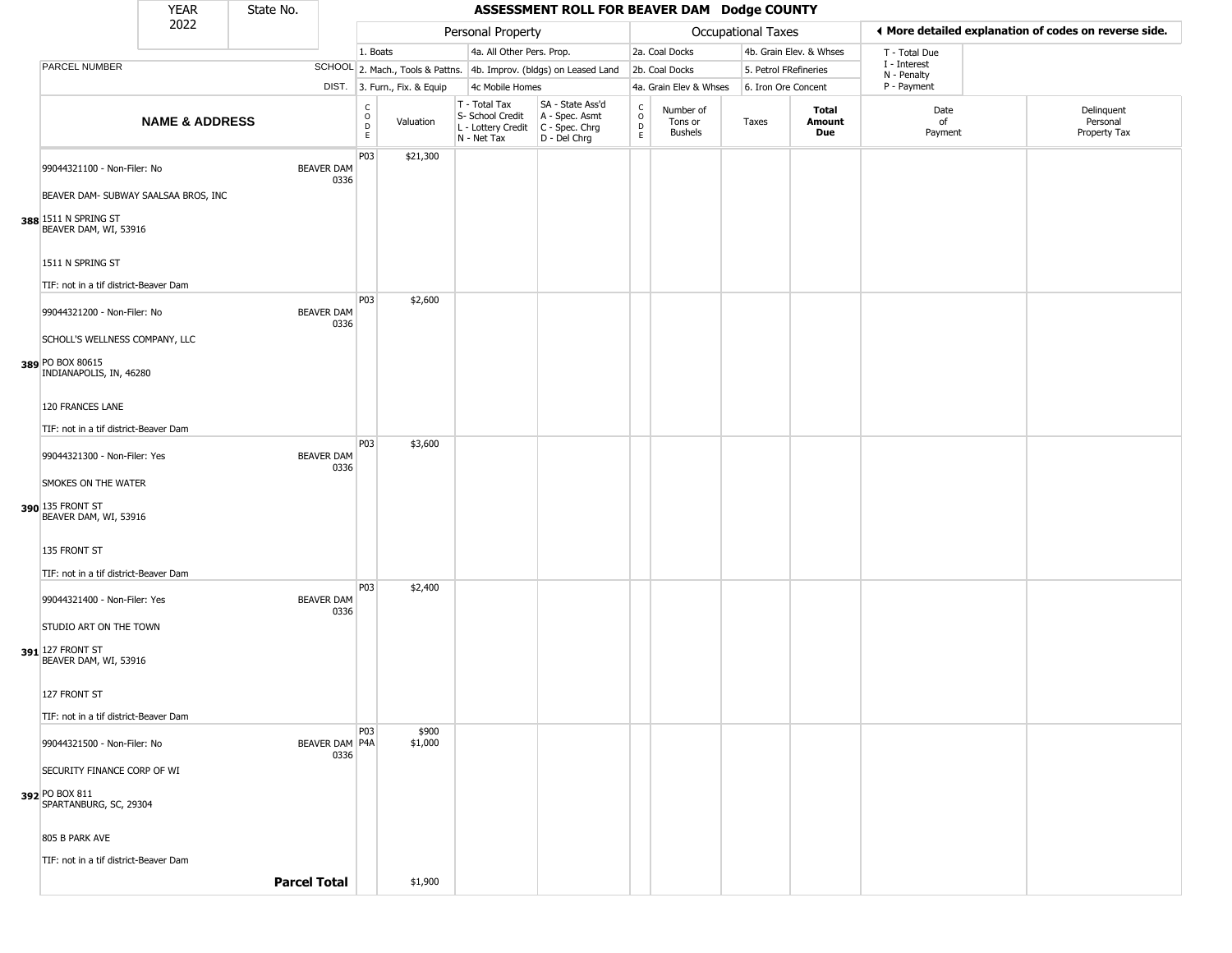|                                               | <b>YEAR</b>               | State No. |                           |                                            |                              |                                                                        | ASSESSMENT ROLL FOR BEAVER DAM Dodge COUNTY                          |                                              |                                        |                           |                               |                             |                                                       |
|-----------------------------------------------|---------------------------|-----------|---------------------------|--------------------------------------------|------------------------------|------------------------------------------------------------------------|----------------------------------------------------------------------|----------------------------------------------|----------------------------------------|---------------------------|-------------------------------|-----------------------------|-------------------------------------------------------|
|                                               | 2022                      |           |                           |                                            |                              | Personal Property                                                      |                                                                      |                                              |                                        | <b>Occupational Taxes</b> |                               |                             | ♦ More detailed explanation of codes on reverse side. |
|                                               |                           |           |                           | 1. Boats                                   |                              | 4a. All Other Pers. Prop.                                              |                                                                      |                                              | 2a. Coal Docks                         |                           | 4b. Grain Elev. & Whses       | T - Total Due               |                                                       |
| PARCEL NUMBER                                 |                           |           |                           |                                            |                              |                                                                        | SCHOOL 2. Mach., Tools & Pattns. 4b. Improv. (bldgs) on Leased Land  |                                              | 2b. Coal Docks                         | 5. Petrol FRefineries     |                               | I - Interest<br>N - Penalty |                                                       |
|                                               |                           |           |                           |                                            | DIST. 3. Furn., Fix. & Equip | 4c Mobile Homes                                                        |                                                                      |                                              | 4a. Grain Elev & Whses                 | 6. Iron Ore Concent       |                               | P - Payment                 |                                                       |
|                                               | <b>NAME &amp; ADDRESS</b> |           |                           | C<br>$\circ$<br>$\mathsf D$<br>$\mathsf E$ | Valuation                    | T - Total Tax<br>S- School Credit<br>L - Lottery Credit<br>N - Net Tax | SA - State Ass'd<br>A - Spec. Asmt<br>C - Spec. Chrg<br>D - Del Chrg | $\begin{array}{c}\nC \\ D \\ E\n\end{array}$ | Number of<br>Tons or<br><b>Bushels</b> | Taxes                     | <b>Total</b><br>Amount<br>Due | Date<br>of<br>Payment       | Delinquent<br>Personal<br>Property Tax                |
| 99044321100 - Non-Filer: No                   |                           |           | <b>BEAVER DAM</b><br>0336 | P03                                        | \$21,300                     |                                                                        |                                                                      |                                              |                                        |                           |                               |                             |                                                       |
| BEAVER DAM- SUBWAY SAALSAA BROS, INC          |                           |           |                           |                                            |                              |                                                                        |                                                                      |                                              |                                        |                           |                               |                             |                                                       |
| 388 1511 N SPRING ST<br>BEAVER DAM, WI, 53916 |                           |           |                           |                                            |                              |                                                                        |                                                                      |                                              |                                        |                           |                               |                             |                                                       |
| 1511 N SPRING ST                              |                           |           |                           |                                            |                              |                                                                        |                                                                      |                                              |                                        |                           |                               |                             |                                                       |
| TIF: not in a tif district-Beaver Dam         |                           |           |                           |                                            |                              |                                                                        |                                                                      |                                              |                                        |                           |                               |                             |                                                       |
| 99044321200 - Non-Filer: No                   |                           |           | <b>BEAVER DAM</b><br>0336 | P03                                        | \$2,600                      |                                                                        |                                                                      |                                              |                                        |                           |                               |                             |                                                       |
| SCHOLL'S WELLNESS COMPANY, LLC                |                           |           |                           |                                            |                              |                                                                        |                                                                      |                                              |                                        |                           |                               |                             |                                                       |
| 389 PO BOX 80615<br>INDIANAPOLIS, IN, 46280   |                           |           |                           |                                            |                              |                                                                        |                                                                      |                                              |                                        |                           |                               |                             |                                                       |
| 120 FRANCES LANE                              |                           |           |                           |                                            |                              |                                                                        |                                                                      |                                              |                                        |                           |                               |                             |                                                       |
| TIF: not in a tif district-Beaver Dam         |                           |           |                           |                                            |                              |                                                                        |                                                                      |                                              |                                        |                           |                               |                             |                                                       |
| 99044321300 - Non-Filer: Yes                  |                           |           | <b>BEAVER DAM</b><br>0336 | P <sub>03</sub>                            | \$3,600                      |                                                                        |                                                                      |                                              |                                        |                           |                               |                             |                                                       |
| SMOKES ON THE WATER                           |                           |           |                           |                                            |                              |                                                                        |                                                                      |                                              |                                        |                           |                               |                             |                                                       |
| 390 135 FRONT ST<br>BEAVER DAM, WI, 53916     |                           |           |                           |                                            |                              |                                                                        |                                                                      |                                              |                                        |                           |                               |                             |                                                       |
| 135 FRONT ST                                  |                           |           |                           |                                            |                              |                                                                        |                                                                      |                                              |                                        |                           |                               |                             |                                                       |
| TIF: not in a tif district-Beaver Dam         |                           |           |                           |                                            |                              |                                                                        |                                                                      |                                              |                                        |                           |                               |                             |                                                       |
| 99044321400 - Non-Filer: Yes                  |                           |           | <b>BEAVER DAM</b><br>0336 | P <sub>03</sub>                            | \$2,400                      |                                                                        |                                                                      |                                              |                                        |                           |                               |                             |                                                       |
| STUDIO ART ON THE TOWN                        |                           |           |                           |                                            |                              |                                                                        |                                                                      |                                              |                                        |                           |                               |                             |                                                       |
| 391 127 FRONT ST<br>BEAVER DAM, WI, 53916     |                           |           |                           |                                            |                              |                                                                        |                                                                      |                                              |                                        |                           |                               |                             |                                                       |
| 127 FRONT ST                                  |                           |           |                           |                                            |                              |                                                                        |                                                                      |                                              |                                        |                           |                               |                             |                                                       |
| TIF: not in a tif district-Beaver Dam         |                           |           |                           |                                            |                              |                                                                        |                                                                      |                                              |                                        |                           |                               |                             |                                                       |
| 99044321500 - Non-Filer: No                   |                           |           | BEAVER DAM   P4A<br>0336  | <b>P03</b>                                 | \$900<br>\$1,000             |                                                                        |                                                                      |                                              |                                        |                           |                               |                             |                                                       |
| SECURITY FINANCE CORP OF WI                   |                           |           |                           |                                            |                              |                                                                        |                                                                      |                                              |                                        |                           |                               |                             |                                                       |
| 392 PO BOX 811<br>SPARTANBURG, SC, 29304      |                           |           |                           |                                            |                              |                                                                        |                                                                      |                                              |                                        |                           |                               |                             |                                                       |
| 805 B PARK AVE                                |                           |           |                           |                                            |                              |                                                                        |                                                                      |                                              |                                        |                           |                               |                             |                                                       |
| TIF: not in a tif district-Beaver Dam         |                           |           |                           |                                            |                              |                                                                        |                                                                      |                                              |                                        |                           |                               |                             |                                                       |
|                                               |                           |           | <b>Parcel Total</b>       |                                            | \$1,900                      |                                                                        |                                                                      |                                              |                                        |                           |                               |                             |                                                       |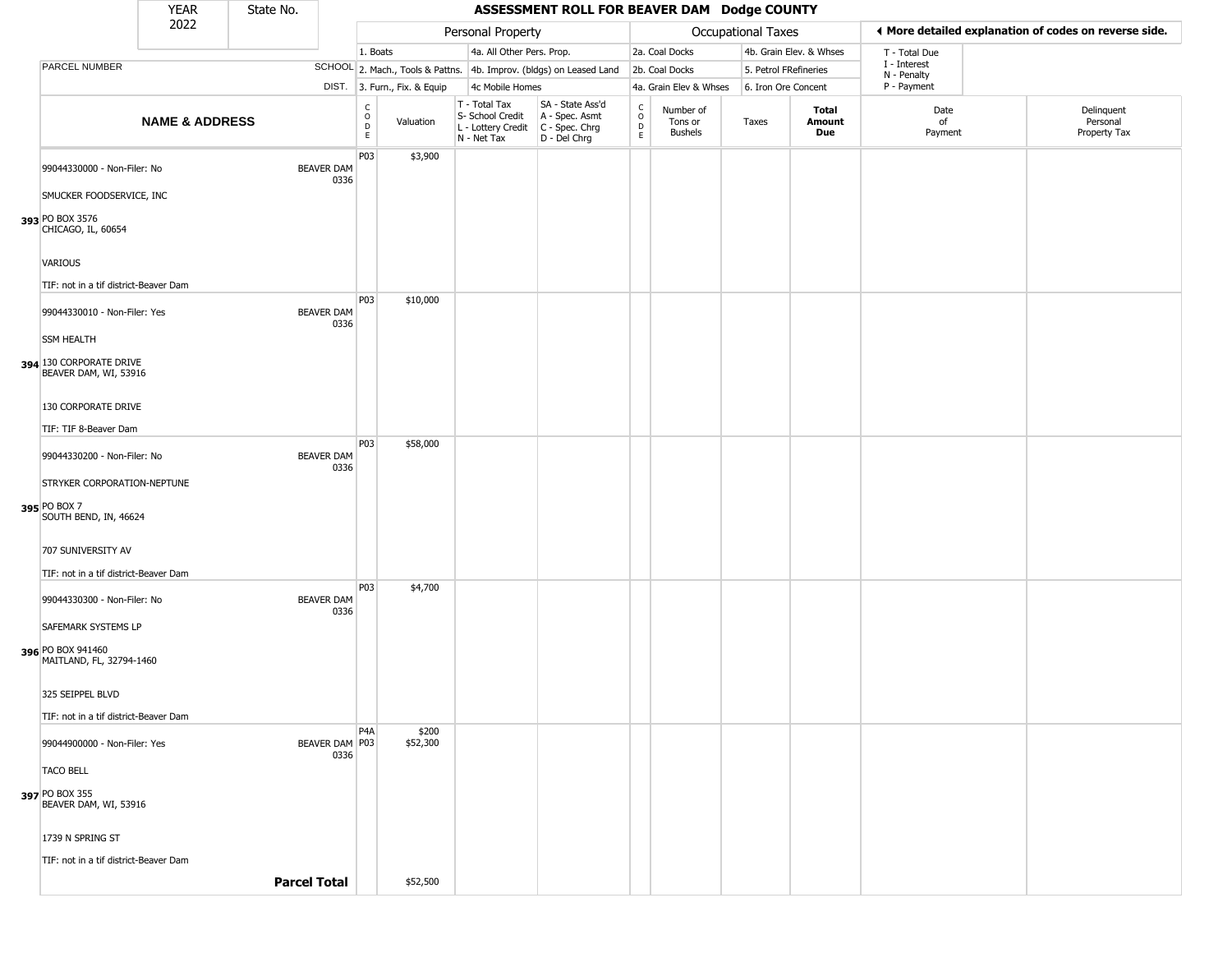|                                                  | <b>YEAR</b>               | State No. |                           |                                                  |                              |                                                                        | ASSESSMENT ROLL FOR BEAVER DAM Dodge COUNTY                          |                                |                                 |                       |                         |                             |                                                       |
|--------------------------------------------------|---------------------------|-----------|---------------------------|--------------------------------------------------|------------------------------|------------------------------------------------------------------------|----------------------------------------------------------------------|--------------------------------|---------------------------------|-----------------------|-------------------------|-----------------------------|-------------------------------------------------------|
|                                                  | 2022                      |           |                           |                                                  |                              | Personal Property                                                      |                                                                      |                                |                                 | Occupational Taxes    |                         |                             | ♦ More detailed explanation of codes on reverse side. |
|                                                  |                           |           |                           | 1. Boats                                         |                              | 4a. All Other Pers. Prop.                                              |                                                                      |                                | 2a. Coal Docks                  |                       | 4b. Grain Elev. & Whses | T - Total Due               |                                                       |
| PARCEL NUMBER                                    |                           |           |                           |                                                  |                              |                                                                        | SCHOOL 2. Mach., Tools & Pattns. 4b. Improv. (bldgs) on Leased Land  |                                | 2b. Coal Docks                  | 5. Petrol FRefineries |                         | I - Interest<br>N - Penalty |                                                       |
|                                                  |                           |           |                           |                                                  | DIST. 3. Furn., Fix. & Equip | 4c Mobile Homes                                                        |                                                                      |                                | 4a. Grain Elev & Whses          | 6. Iron Ore Concent   |                         | P - Payment                 |                                                       |
|                                                  | <b>NAME &amp; ADDRESS</b> |           |                           | $_{\rm o}^{\rm c}$<br>$\mathsf D$<br>$\mathsf E$ | Valuation                    | T - Total Tax<br>S- School Credit<br>L - Lottery Credit<br>N - Net Tax | SA - State Ass'd<br>A - Spec. Asmt<br>C - Spec. Chrg<br>D - Del Chrg | $\frac{C}{O}$<br>$\frac{D}{E}$ | Number of<br>Tons or<br>Bushels | Taxes                 | Total<br>Amount<br>Due  | Date<br>of<br>Payment       | Delinquent<br>Personal<br>Property Tax                |
| 99044330000 - Non-Filer: No                      |                           |           | <b>BEAVER DAM</b><br>0336 | P03                                              | \$3,900                      |                                                                        |                                                                      |                                |                                 |                       |                         |                             |                                                       |
| SMUCKER FOODSERVICE, INC                         |                           |           |                           |                                                  |                              |                                                                        |                                                                      |                                |                                 |                       |                         |                             |                                                       |
| 393 PO BOX 3576<br>CHICAGO, IL, 60654            |                           |           |                           |                                                  |                              |                                                                        |                                                                      |                                |                                 |                       |                         |                             |                                                       |
| <b>VARIOUS</b>                                   |                           |           |                           |                                                  |                              |                                                                        |                                                                      |                                |                                 |                       |                         |                             |                                                       |
| TIF: not in a tif district-Beaver Dam            |                           |           |                           |                                                  |                              |                                                                        |                                                                      |                                |                                 |                       |                         |                             |                                                       |
| 99044330010 - Non-Filer: Yes                     |                           |           | <b>BEAVER DAM</b><br>0336 | P03                                              | \$10,000                     |                                                                        |                                                                      |                                |                                 |                       |                         |                             |                                                       |
| <b>SSM HEALTH</b>                                |                           |           |                           |                                                  |                              |                                                                        |                                                                      |                                |                                 |                       |                         |                             |                                                       |
| 394 130 CORPORATE DRIVE<br>BEAVER DAM, WI, 53916 |                           |           |                           |                                                  |                              |                                                                        |                                                                      |                                |                                 |                       |                         |                             |                                                       |
| 130 CORPORATE DRIVE                              |                           |           |                           |                                                  |                              |                                                                        |                                                                      |                                |                                 |                       |                         |                             |                                                       |
| TIF: TIF 8-Beaver Dam                            |                           |           |                           |                                                  |                              |                                                                        |                                                                      |                                |                                 |                       |                         |                             |                                                       |
| 99044330200 - Non-Filer: No                      |                           |           | <b>BEAVER DAM</b><br>0336 | P03                                              | \$58,000                     |                                                                        |                                                                      |                                |                                 |                       |                         |                             |                                                       |
| STRYKER CORPORATION-NEPTUNE                      |                           |           |                           |                                                  |                              |                                                                        |                                                                      |                                |                                 |                       |                         |                             |                                                       |
| 395 PO BOX 7<br>SOUTH BEND, IN, 46624            |                           |           |                           |                                                  |                              |                                                                        |                                                                      |                                |                                 |                       |                         |                             |                                                       |
| 707 SUNIVERSITY AV                               |                           |           |                           |                                                  |                              |                                                                        |                                                                      |                                |                                 |                       |                         |                             |                                                       |
| TIF: not in a tif district-Beaver Dam            |                           |           |                           |                                                  |                              |                                                                        |                                                                      |                                |                                 |                       |                         |                             |                                                       |
| 99044330300 - Non-Filer: No                      |                           |           | <b>BEAVER DAM</b><br>0336 | P03                                              | \$4,700                      |                                                                        |                                                                      |                                |                                 |                       |                         |                             |                                                       |
| SAFEMARK SYSTEMS LP                              |                           |           |                           |                                                  |                              |                                                                        |                                                                      |                                |                                 |                       |                         |                             |                                                       |
| 396 PO BOX 941460<br>MAITLAND, FL, 32794-1460    |                           |           |                           |                                                  |                              |                                                                        |                                                                      |                                |                                 |                       |                         |                             |                                                       |
| 325 SEIPPEL BLVD                                 |                           |           |                           |                                                  |                              |                                                                        |                                                                      |                                |                                 |                       |                         |                             |                                                       |
| TIF: not in a tif district-Beaver Dam            |                           |           |                           |                                                  |                              |                                                                        |                                                                      |                                |                                 |                       |                         |                             |                                                       |
| 99044900000 - Non-Filer: Yes                     |                           |           | BEAVER DAM P03<br>0336    | P <sub>4</sub> A                                 | \$200<br>\$52,300            |                                                                        |                                                                      |                                |                                 |                       |                         |                             |                                                       |
| <b>TACO BELL</b>                                 |                           |           |                           |                                                  |                              |                                                                        |                                                                      |                                |                                 |                       |                         |                             |                                                       |
| 397 PO BOX 355<br>BEAVER DAM, WI, 53916          |                           |           |                           |                                                  |                              |                                                                        |                                                                      |                                |                                 |                       |                         |                             |                                                       |
| 1739 N SPRING ST                                 |                           |           |                           |                                                  |                              |                                                                        |                                                                      |                                |                                 |                       |                         |                             |                                                       |
| TIF: not in a tif district-Beaver Dam            |                           |           |                           |                                                  |                              |                                                                        |                                                                      |                                |                                 |                       |                         |                             |                                                       |
|                                                  |                           |           | <b>Parcel Total</b>       |                                                  | \$52,500                     |                                                                        |                                                                      |                                |                                 |                       |                         |                             |                                                       |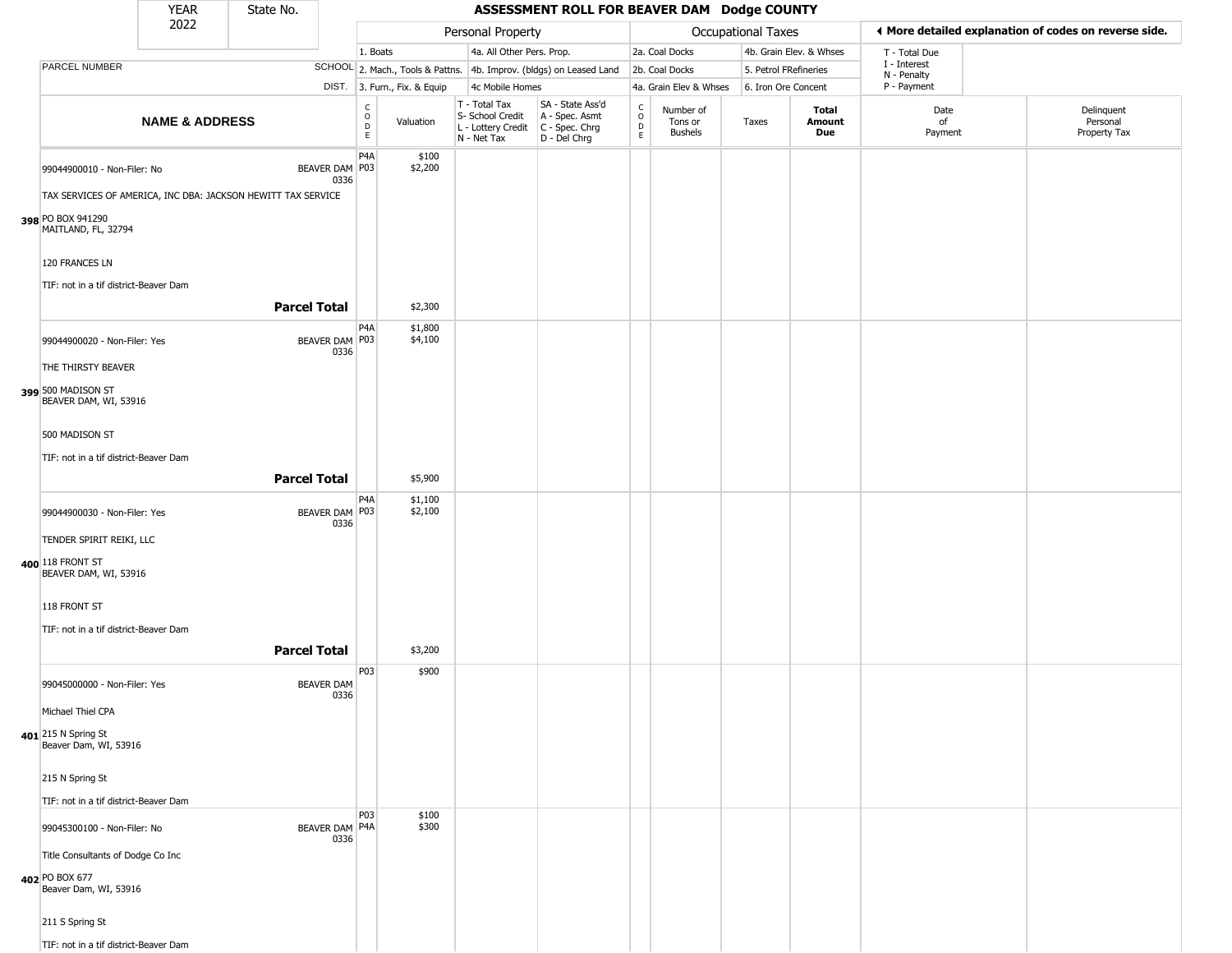|                                                                       | <b>YEAR</b>                           | State No.                                                    |                           |                                                     |                              |                                                                                         | ASSESSMENT ROLL FOR BEAVER DAM Dodge COUNTY                         |                              |                                        |                           |                         |                            |                                                       |
|-----------------------------------------------------------------------|---------------------------------------|--------------------------------------------------------------|---------------------------|-----------------------------------------------------|------------------------------|-----------------------------------------------------------------------------------------|---------------------------------------------------------------------|------------------------------|----------------------------------------|---------------------------|-------------------------|----------------------------|-------------------------------------------------------|
|                                                                       | 2022                                  |                                                              |                           |                                                     |                              | Personal Property                                                                       |                                                                     |                              |                                        | <b>Occupational Taxes</b> |                         |                            | ◀ More detailed explanation of codes on reverse side. |
|                                                                       |                                       |                                                              |                           | 1. Boats                                            |                              | 4a. All Other Pers. Prop.                                                               |                                                                     |                              | 2a. Coal Docks                         |                           | 4b. Grain Elev. & Whses | T - Total Due              |                                                       |
| PARCEL NUMBER                                                         |                                       |                                                              |                           |                                                     |                              |                                                                                         | SCHOOL 2. Mach., Tools & Pattns. 4b. Improv. (bldgs) on Leased Land |                              | 2b. Coal Docks                         | 5. Petrol FRefineries     |                         | I - Interest               |                                                       |
|                                                                       |                                       |                                                              |                           |                                                     | DIST. 3. Furn., Fix. & Equip | 4c Mobile Homes                                                                         |                                                                     |                              | 4a. Grain Elev & Whses                 | 6. Iron Ore Concent       |                         | N - Penalty<br>P - Payment |                                                       |
|                                                                       | <b>NAME &amp; ADDRESS</b>             |                                                              |                           | $\begin{matrix} 0 \\ 0 \\ D \end{matrix}$<br>$\,$ E | Valuation                    | T - Total Tax<br>S- School Credit<br>L - Lottery Credit   C - Spec. Chrg<br>N - Net Tax | SA - State Ass'd<br>A - Spec. Asmt<br>D - Del Chrg                  | $\delta$<br>D<br>$\mathsf E$ | Number of<br>Tons or<br><b>Bushels</b> | Taxes                     | Total<br>Amount<br>Due  | Date<br>of<br>Payment      | Delinquent<br>Personal<br>Property Tax                |
| 99044900010 - Non-Filer: No                                           |                                       | TAX SERVICES OF AMERICA, INC DBA: JACKSON HEWITT TAX SERVICE | BEAVER DAM P03<br>0336    | P <sub>4</sub> A                                    | \$100<br>\$2,200             |                                                                                         |                                                                     |                              |                                        |                           |                         |                            |                                                       |
| 398 PO BOX 941290<br>MAITLAND, FL, 32794                              |                                       |                                                              |                           |                                                     |                              |                                                                                         |                                                                     |                              |                                        |                           |                         |                            |                                                       |
| 120 FRANCES LN                                                        | TIF: not in a tif district-Beaver Dam |                                                              |                           |                                                     |                              |                                                                                         |                                                                     |                              |                                        |                           |                         |                            |                                                       |
|                                                                       |                                       | <b>Parcel Total</b>                                          |                           |                                                     | \$2,300                      |                                                                                         |                                                                     |                              |                                        |                           |                         |                            |                                                       |
|                                                                       | 99044900020 - Non-Filer: Yes          |                                                              | BEAVER DAM P03<br>0336    | P <sub>4</sub> A                                    | \$1,800<br>\$4,100           |                                                                                         |                                                                     |                              |                                        |                           |                         |                            |                                                       |
| THE THIRSTY BEAVER                                                    |                                       |                                                              |                           |                                                     |                              |                                                                                         |                                                                     |                              |                                        |                           |                         |                            |                                                       |
| 399 500 MADISON ST<br>BEAVER DAM, WI, 53916                           |                                       |                                                              |                           |                                                     |                              |                                                                                         |                                                                     |                              |                                        |                           |                         |                            |                                                       |
| 500 MADISON ST                                                        |                                       |                                                              |                           |                                                     |                              |                                                                                         |                                                                     |                              |                                        |                           |                         |                            |                                                       |
|                                                                       | TIF: not in a tif district-Beaver Dam |                                                              |                           |                                                     |                              |                                                                                         |                                                                     |                              |                                        |                           |                         |                            |                                                       |
|                                                                       |                                       | <b>Parcel Total</b>                                          |                           |                                                     | \$5,900                      |                                                                                         |                                                                     |                              |                                        |                           |                         |                            |                                                       |
|                                                                       | 99044900030 - Non-Filer: Yes          |                                                              | BEAVER DAM P03<br>0336    | P <sub>4</sub> A                                    | \$1,100<br>\$2,100           |                                                                                         |                                                                     |                              |                                        |                           |                         |                            |                                                       |
| TENDER SPIRIT REIKI, LLC<br>400 118 FRONT ST<br>BEAVER DAM, WI, 53916 |                                       |                                                              |                           |                                                     |                              |                                                                                         |                                                                     |                              |                                        |                           |                         |                            |                                                       |
|                                                                       |                                       |                                                              |                           |                                                     |                              |                                                                                         |                                                                     |                              |                                        |                           |                         |                            |                                                       |
| 118 FRONT ST                                                          |                                       |                                                              |                           |                                                     |                              |                                                                                         |                                                                     |                              |                                        |                           |                         |                            |                                                       |
|                                                                       | TIF: not in a tif district-Beaver Dam |                                                              |                           |                                                     |                              |                                                                                         |                                                                     |                              |                                        |                           |                         |                            |                                                       |
|                                                                       |                                       | <b>Parcel Total</b>                                          |                           |                                                     | \$3,200                      |                                                                                         |                                                                     |                              |                                        |                           |                         |                            |                                                       |
|                                                                       | 99045000000 - Non-Filer: Yes          |                                                              | <b>BEAVER DAM</b><br>0336 | P03                                                 | \$900                        |                                                                                         |                                                                     |                              |                                        |                           |                         |                            |                                                       |
| Michael Thiel CPA                                                     |                                       |                                                              |                           |                                                     |                              |                                                                                         |                                                                     |                              |                                        |                           |                         |                            |                                                       |
| 401 215 N Spring St<br>Beaver Dam, WI, 53916                          |                                       |                                                              |                           |                                                     |                              |                                                                                         |                                                                     |                              |                                        |                           |                         |                            |                                                       |
| 215 N Spring St                                                       |                                       |                                                              |                           |                                                     |                              |                                                                                         |                                                                     |                              |                                        |                           |                         |                            |                                                       |
|                                                                       | TIF: not in a tif district-Beaver Dam |                                                              |                           |                                                     |                              |                                                                                         |                                                                     |                              |                                        |                           |                         |                            |                                                       |
| 99045300100 - Non-Filer: No                                           |                                       |                                                              | BEAVER DAM P4A<br>0336    | P03                                                 | \$100<br>\$300               |                                                                                         |                                                                     |                              |                                        |                           |                         |                            |                                                       |
|                                                                       | Title Consultants of Dodge Co Inc     |                                                              |                           |                                                     |                              |                                                                                         |                                                                     |                              |                                        |                           |                         |                            |                                                       |
| 402 PO BOX 677<br>Beaver Dam, WI, 53916                               |                                       |                                                              |                           |                                                     |                              |                                                                                         |                                                                     |                              |                                        |                           |                         |                            |                                                       |
| 211 S Spring St                                                       |                                       |                                                              |                           |                                                     |                              |                                                                                         |                                                                     |                              |                                        |                           |                         |                            |                                                       |
|                                                                       | TIF: not in a tif district-Beaver Dam |                                                              |                           |                                                     |                              |                                                                                         |                                                                     |                              |                                        |                           |                         |                            |                                                       |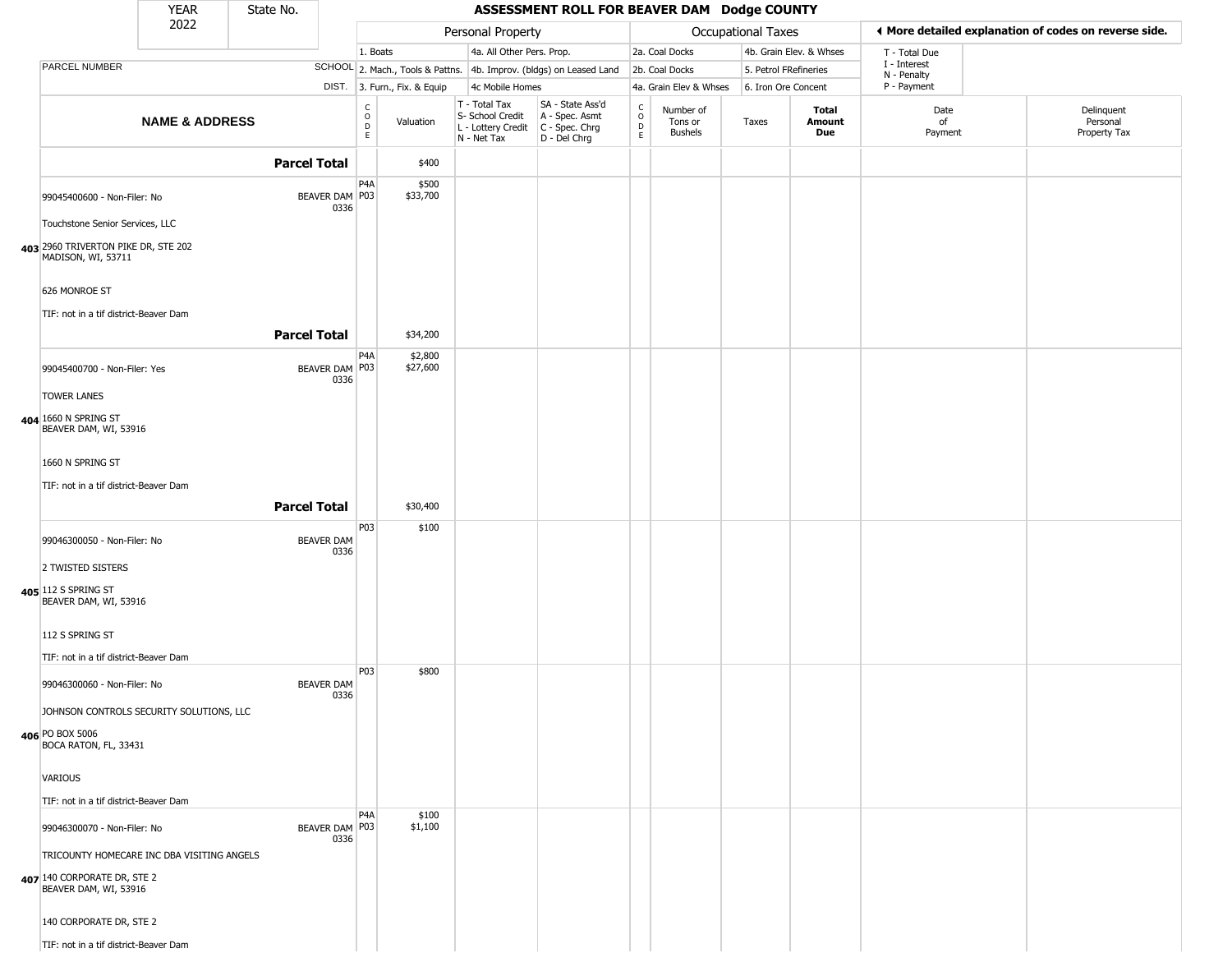|                                                                                                    | <b>YEAR</b>               | State No.           |                           |                                        |                              |                                                                        | ASSESSMENT ROLL FOR BEAVER DAM Dodge COUNTY                          |                                              |                                 |                       |                         |                                                       |                                        |
|----------------------------------------------------------------------------------------------------|---------------------------|---------------------|---------------------------|----------------------------------------|------------------------------|------------------------------------------------------------------------|----------------------------------------------------------------------|----------------------------------------------|---------------------------------|-----------------------|-------------------------|-------------------------------------------------------|----------------------------------------|
|                                                                                                    | 2022                      |                     |                           |                                        |                              | Personal Property                                                      |                                                                      |                                              |                                 | Occupational Taxes    |                         | ♦ More detailed explanation of codes on reverse side. |                                        |
|                                                                                                    |                           |                     |                           | 1. Boats                               |                              | 4a. All Other Pers. Prop.                                              |                                                                      |                                              | 2a. Coal Docks                  |                       | 4b. Grain Elev. & Whses | T - Total Due                                         |                                        |
| PARCEL NUMBER                                                                                      |                           |                     |                           |                                        |                              |                                                                        | SCHOOL 2. Mach., Tools & Pattns. 4b. Improv. (bldgs) on Leased Land  |                                              | 2b. Coal Docks                  | 5. Petrol FRefineries |                         | I - Interest<br>N - Penalty                           |                                        |
|                                                                                                    |                           |                     |                           |                                        | DIST. 3. Furn., Fix. & Equip | 4c Mobile Homes                                                        |                                                                      |                                              | 4a. Grain Elev & Whses          | 6. Iron Ore Concent   |                         | P - Payment                                           |                                        |
|                                                                                                    | <b>NAME &amp; ADDRESS</b> |                     |                           | $_{\rm o}^{\rm c}$<br>$\mathsf D$<br>E | Valuation                    | T - Total Tax<br>S- School Credit<br>L - Lottery Credit<br>N - Net Tax | SA - State Ass'd<br>A - Spec. Asmt<br>C - Spec. Chrg<br>D - Del Chrg | $\begin{array}{c}\nC \\ O \\ D\n\end{array}$ | Number of<br>Tons or<br>Bushels | Taxes                 | Total<br>Amount<br>Due  | Date<br>of<br>Payment                                 | Delinquent<br>Personal<br>Property Tax |
|                                                                                                    |                           | <b>Parcel Total</b> |                           |                                        | \$400                        |                                                                        |                                                                      |                                              |                                 |                       |                         |                                                       |                                        |
| 99045400600 - Non-Filer: No                                                                        |                           |                     | BEAVER DAM P03<br>0336    | P4A                                    | \$500<br>\$33,700            |                                                                        |                                                                      |                                              |                                 |                       |                         |                                                       |                                        |
| Touchstone Senior Services, LLC                                                                    |                           |                     |                           |                                        |                              |                                                                        |                                                                      |                                              |                                 |                       |                         |                                                       |                                        |
| 403 2960 TRIVERTON PIKE DR, STE 202<br>MADISON, WI, 53711                                          |                           |                     |                           |                                        |                              |                                                                        |                                                                      |                                              |                                 |                       |                         |                                                       |                                        |
| 626 MONROE ST<br>TIF: not in a tif district-Beaver Dam                                             |                           |                     |                           |                                        |                              |                                                                        |                                                                      |                                              |                                 |                       |                         |                                                       |                                        |
|                                                                                                    |                           | <b>Parcel Total</b> |                           |                                        | \$34,200                     |                                                                        |                                                                      |                                              |                                 |                       |                         |                                                       |                                        |
| 99045400700 - Non-Filer: Yes                                                                       |                           |                     | BEAVER DAM P03<br>0336    | P <sub>4</sub> A                       | \$2,800<br>\$27,600          |                                                                        |                                                                      |                                              |                                 |                       |                         |                                                       |                                        |
| <b>TOWER LANES</b>                                                                                 |                           |                     |                           |                                        |                              |                                                                        |                                                                      |                                              |                                 |                       |                         |                                                       |                                        |
| 404 1660 N SPRING ST<br>BEAVER DAM, WI, 53916                                                      |                           |                     |                           |                                        |                              |                                                                        |                                                                      |                                              |                                 |                       |                         |                                                       |                                        |
| 1660 N SPRING ST                                                                                   |                           |                     |                           |                                        |                              |                                                                        |                                                                      |                                              |                                 |                       |                         |                                                       |                                        |
| TIF: not in a tif district-Beaver Dam                                                              |                           |                     |                           |                                        |                              |                                                                        |                                                                      |                                              |                                 |                       |                         |                                                       |                                        |
|                                                                                                    |                           | <b>Parcel Total</b> |                           |                                        | \$30,400                     |                                                                        |                                                                      |                                              |                                 |                       |                         |                                                       |                                        |
| 99046300050 - Non-Filer: No                                                                        |                           |                     | <b>BEAVER DAM</b><br>0336 | P03                                    | \$100                        |                                                                        |                                                                      |                                              |                                 |                       |                         |                                                       |                                        |
| 2 TWISTED SISTERS                                                                                  |                           |                     |                           |                                        |                              |                                                                        |                                                                      |                                              |                                 |                       |                         |                                                       |                                        |
| 405 112 S SPRING ST<br>BEAVER DAM, WI, 53916                                                       |                           |                     |                           |                                        |                              |                                                                        |                                                                      |                                              |                                 |                       |                         |                                                       |                                        |
| 112 S SPRING ST                                                                                    |                           |                     |                           |                                        |                              |                                                                        |                                                                      |                                              |                                 |                       |                         |                                                       |                                        |
| TIF: not in a tif district-Beaver Dam                                                              |                           |                     |                           |                                        |                              |                                                                        |                                                                      |                                              |                                 |                       |                         |                                                       |                                        |
| 99046300060 - Non-Filer: No                                                                        |                           |                     | <b>BEAVER DAM</b><br>0336 | P03                                    | \$800                        |                                                                        |                                                                      |                                              |                                 |                       |                         |                                                       |                                        |
| JOHNSON CONTROLS SECURITY SOLUTIONS, LLC                                                           |                           |                     |                           |                                        |                              |                                                                        |                                                                      |                                              |                                 |                       |                         |                                                       |                                        |
| 406 PO BOX 5006<br>BOCA RATON, FL, 33431                                                           |                           |                     |                           |                                        |                              |                                                                        |                                                                      |                                              |                                 |                       |                         |                                                       |                                        |
| VARIOUS                                                                                            |                           |                     |                           |                                        |                              |                                                                        |                                                                      |                                              |                                 |                       |                         |                                                       |                                        |
| TIF: not in a tif district-Beaver Dam                                                              |                           |                     |                           |                                        |                              |                                                                        |                                                                      |                                              |                                 |                       |                         |                                                       |                                        |
| 99046300070 - Non-Filer: No                                                                        |                           |                     | BEAVER DAM P03<br>0336    | P4A                                    | \$100<br>\$1,100             |                                                                        |                                                                      |                                              |                                 |                       |                         |                                                       |                                        |
| TRICOUNTY HOMECARE INC DBA VISITING ANGELS<br>407 140 CORPORATE DR, STE 2<br>BEAVER DAM, WI, 53916 |                           |                     |                           |                                        |                              |                                                                        |                                                                      |                                              |                                 |                       |                         |                                                       |                                        |
| 140 CORPORATE DR, STE 2                                                                            |                           |                     |                           |                                        |                              |                                                                        |                                                                      |                                              |                                 |                       |                         |                                                       |                                        |
| TIF: not in a tif district-Beaver Dam                                                              |                           |                     |                           |                                        |                              |                                                                        |                                                                      |                                              |                                 |                       |                         |                                                       |                                        |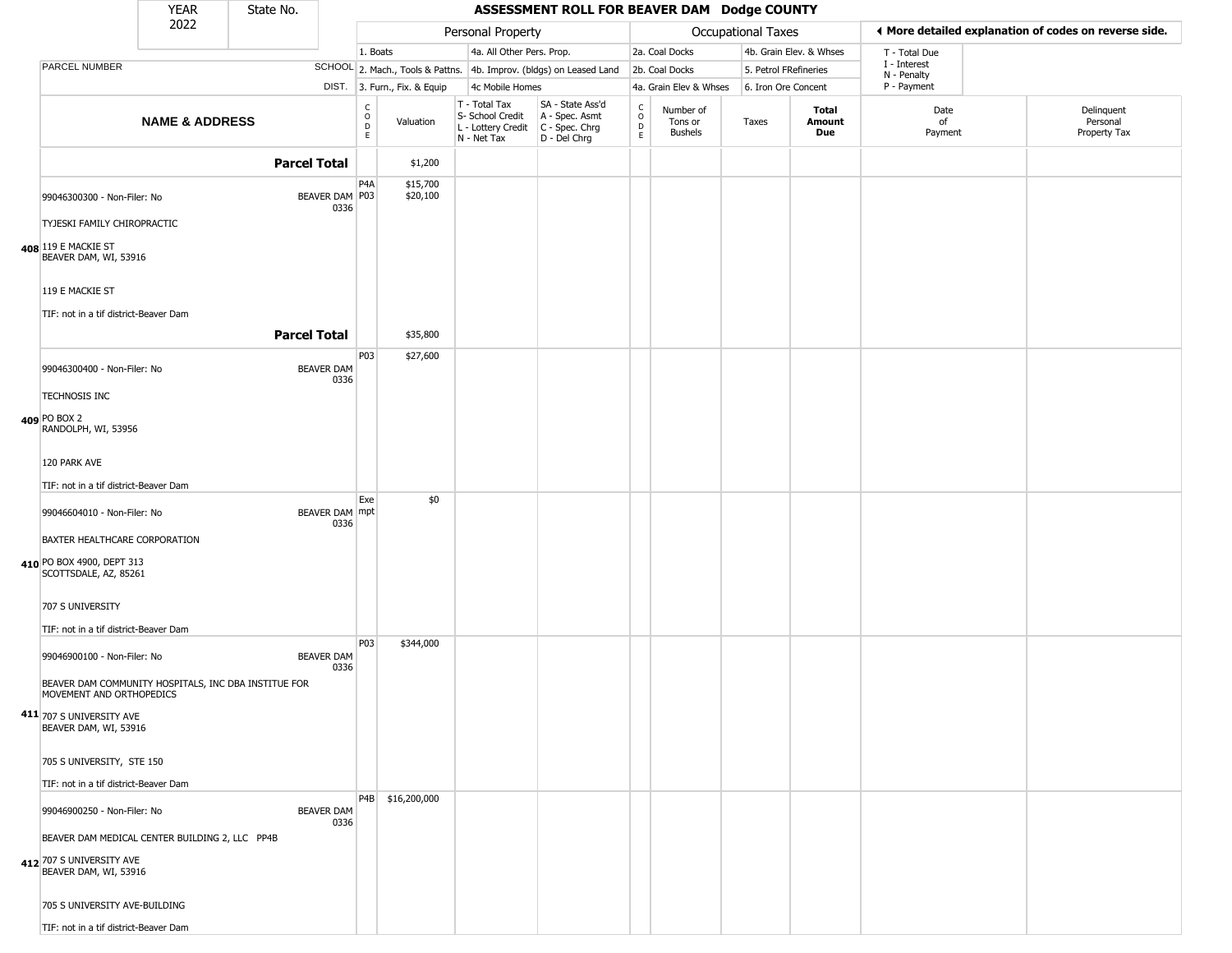|                                                                                                     | <b>YEAR</b>               | State No.           |                                            |                                                        |                                                                                         | ASSESSMENT ROLL FOR BEAVER DAM Dodge COUNTY                         |                                  |                                 |                       |                         |                             |                                                       |
|-----------------------------------------------------------------------------------------------------|---------------------------|---------------------|--------------------------------------------|--------------------------------------------------------|-----------------------------------------------------------------------------------------|---------------------------------------------------------------------|----------------------------------|---------------------------------|-----------------------|-------------------------|-----------------------------|-------------------------------------------------------|
|                                                                                                     | 2022                      |                     |                                            |                                                        | Personal Property                                                                       |                                                                     |                                  |                                 | Occupational Taxes    |                         |                             | ◀ More detailed explanation of codes on reverse side. |
|                                                                                                     |                           |                     |                                            | 1. Boats                                               | 4a. All Other Pers. Prop.                                                               |                                                                     |                                  | 2a. Coal Docks                  |                       | 4b. Grain Elev. & Whses | T - Total Due               |                                                       |
| PARCEL NUMBER                                                                                       |                           |                     |                                            |                                                        |                                                                                         | SCHOOL 2. Mach., Tools & Pattns. 4b. Improv. (bldgs) on Leased Land |                                  | 2b. Coal Docks                  | 5. Petrol FRefineries |                         | I - Interest<br>N - Penalty |                                                       |
|                                                                                                     |                           |                     |                                            | DIST. 3. Furn., Fix. & Equip                           | 4c Mobile Homes                                                                         |                                                                     |                                  | 4a. Grain Elev & Whses          | 6. Iron Ore Concent   |                         | P - Payment                 |                                                       |
|                                                                                                     | <b>NAME &amp; ADDRESS</b> |                     |                                            | $\rm _o^C$<br>Valuation<br>$\mathsf{D}$<br>$\mathsf E$ | T - Total Tax<br>S- School Credit<br>L - Lottery Credit   C - Spec. Chrg<br>N - Net Tax | SA - State Ass'd<br>A - Spec. Asmt<br>D - Del Chrg                  | C<br>$\circ$<br>D<br>$\mathsf E$ | Number of<br>Tons or<br>Bushels | Taxes                 | Total<br>Amount<br>Due  | Date<br>of<br>Payment       | Delinquent<br>Personal<br>Property Tax                |
|                                                                                                     |                           | <b>Parcel Total</b> |                                            | \$1,200                                                |                                                                                         |                                                                     |                                  |                                 |                       |                         |                             |                                                       |
| 99046300300 - Non-Filer: No                                                                         |                           |                     | P <sub>4</sub> A<br>BEAVER DAM P03<br>0336 | \$15,700<br>\$20,100                                   |                                                                                         |                                                                     |                                  |                                 |                       |                         |                             |                                                       |
| TYJESKI FAMILY CHIROPRACTIC                                                                         |                           |                     |                                            |                                                        |                                                                                         |                                                                     |                                  |                                 |                       |                         |                             |                                                       |
| 408 119 E MACKIE ST<br>BEAVER DAM, WI, 53916                                                        |                           |                     |                                            |                                                        |                                                                                         |                                                                     |                                  |                                 |                       |                         |                             |                                                       |
| 119 E MACKIE ST<br>TIF: not in a tif district-Beaver Dam                                            |                           |                     |                                            |                                                        |                                                                                         |                                                                     |                                  |                                 |                       |                         |                             |                                                       |
|                                                                                                     |                           | <b>Parcel Total</b> |                                            | \$35,800                                               |                                                                                         |                                                                     |                                  |                                 |                       |                         |                             |                                                       |
| 99046300400 - Non-Filer: No                                                                         |                           |                     | <b>BEAVER DAM</b><br>0336                  | P03<br>\$27,600                                        |                                                                                         |                                                                     |                                  |                                 |                       |                         |                             |                                                       |
| <b>TECHNOSIS INC</b><br>409 PO BOX 2                                                                |                           |                     |                                            |                                                        |                                                                                         |                                                                     |                                  |                                 |                       |                         |                             |                                                       |
| RANDOLPH, WI, 53956                                                                                 |                           |                     |                                            |                                                        |                                                                                         |                                                                     |                                  |                                 |                       |                         |                             |                                                       |
| 120 PARK AVE<br>TIF: not in a tif district-Beaver Dam                                               |                           |                     |                                            |                                                        |                                                                                         |                                                                     |                                  |                                 |                       |                         |                             |                                                       |
| 99046604010 - Non-Filer: No                                                                         |                           |                     | BEAVER DAM mpt                             | \$0<br>Exe                                             |                                                                                         |                                                                     |                                  |                                 |                       |                         |                             |                                                       |
| BAXTER HEALTHCARE CORPORATION                                                                       |                           |                     | 0336                                       |                                                        |                                                                                         |                                                                     |                                  |                                 |                       |                         |                             |                                                       |
| 410 PO BOX 4900, DEPT 313<br>SCOTTSDALE, AZ, 85261                                                  |                           |                     |                                            |                                                        |                                                                                         |                                                                     |                                  |                                 |                       |                         |                             |                                                       |
| 707 S UNIVERSITY<br>TIF: not in a tif district-Beaver Dam                                           |                           |                     |                                            |                                                        |                                                                                         |                                                                     |                                  |                                 |                       |                         |                             |                                                       |
| 99046900100 - Non-Filer: No                                                                         |                           |                     | <b>BEAVER DAM</b><br>0336                  | P03<br>\$344,000                                       |                                                                                         |                                                                     |                                  |                                 |                       |                         |                             |                                                       |
| BEAVER DAM COMMUNITY HOSPITALS, INC DBA INSTITUE FOR<br>MOVEMENT AND ORTHOPEDICS                    |                           |                     |                                            |                                                        |                                                                                         |                                                                     |                                  |                                 |                       |                         |                             |                                                       |
| 411 707 S UNIVERSITY AVE<br>BEAVER DAM, WI, 53916                                                   |                           |                     |                                            |                                                        |                                                                                         |                                                                     |                                  |                                 |                       |                         |                             |                                                       |
| 705 S UNIVERSITY, STE 150                                                                           |                           |                     |                                            |                                                        |                                                                                         |                                                                     |                                  |                                 |                       |                         |                             |                                                       |
| TIF: not in a tif district-Beaver Dam                                                               |                           |                     |                                            | P4B \$16,200,000                                       |                                                                                         |                                                                     |                                  |                                 |                       |                         |                             |                                                       |
| 99046900250 - Non-Filer: No                                                                         |                           |                     | <b>BEAVER DAM</b><br>0336                  |                                                        |                                                                                         |                                                                     |                                  |                                 |                       |                         |                             |                                                       |
| BEAVER DAM MEDICAL CENTER BUILDING 2, LLC PP4B<br>412 707 S UNIVERSITY AVE<br>BEAVER DAM, WI, 53916 |                           |                     |                                            |                                                        |                                                                                         |                                                                     |                                  |                                 |                       |                         |                             |                                                       |
| 705 S UNIVERSITY AVE-BUILDING                                                                       |                           |                     |                                            |                                                        |                                                                                         |                                                                     |                                  |                                 |                       |                         |                             |                                                       |
| TIF: not in a tif district-Beaver Dam                                                               |                           |                     |                                            |                                                        |                                                                                         |                                                                     |                                  |                                 |                       |                         |                             |                                                       |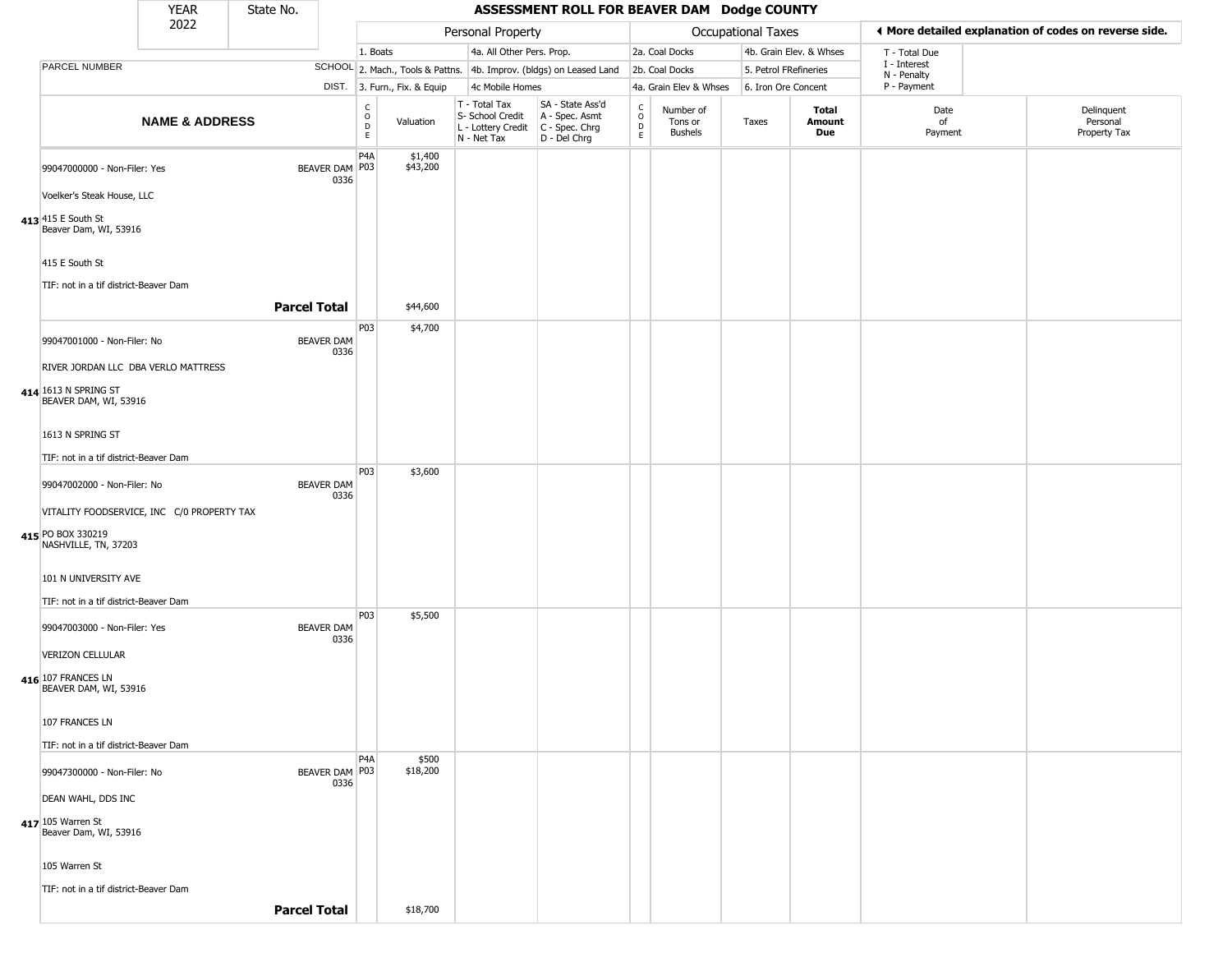|                                           | <b>YEAR</b>             | State No.                                                                                                                                                                                                                                                                                                                                                                                                                                                                                                                                |                                                                                                                |                                                                                                           |                                                                                 |                                                                        | ASSESSMENT ROLL FOR BEAVER DAM Dodge COUNTY |                                                                                                                                                                              |                                 |                                  |                        |                                                                                                      |                                                       |
|-------------------------------------------|-------------------------|------------------------------------------------------------------------------------------------------------------------------------------------------------------------------------------------------------------------------------------------------------------------------------------------------------------------------------------------------------------------------------------------------------------------------------------------------------------------------------------------------------------------------------------|----------------------------------------------------------------------------------------------------------------|-----------------------------------------------------------------------------------------------------------|---------------------------------------------------------------------------------|------------------------------------------------------------------------|---------------------------------------------|------------------------------------------------------------------------------------------------------------------------------------------------------------------------------|---------------------------------|----------------------------------|------------------------|------------------------------------------------------------------------------------------------------|-------------------------------------------------------|
|                                           |                         |                                                                                                                                                                                                                                                                                                                                                                                                                                                                                                                                          |                                                                                                                |                                                                                                           |                                                                                 |                                                                        |                                             |                                                                                                                                                                              |                                 |                                  |                        |                                                                                                      | ♦ More detailed explanation of codes on reverse side. |
|                                           |                         |                                                                                                                                                                                                                                                                                                                                                                                                                                                                                                                                          |                                                                                                                |                                                                                                           |                                                                                 |                                                                        |                                             |                                                                                                                                                                              |                                 |                                  |                        | T - Total Due                                                                                        |                                                       |
| PARCEL NUMBER                             |                         |                                                                                                                                                                                                                                                                                                                                                                                                                                                                                                                                          |                                                                                                                |                                                                                                           |                                                                                 |                                                                        |                                             |                                                                                                                                                                              |                                 |                                  |                        | N - Penalty                                                                                          |                                                       |
|                                           |                         |                                                                                                                                                                                                                                                                                                                                                                                                                                                                                                                                          |                                                                                                                |                                                                                                           |                                                                                 |                                                                        |                                             |                                                                                                                                                                              |                                 |                                  |                        | P - Payment                                                                                          |                                                       |
|                                           |                         |                                                                                                                                                                                                                                                                                                                                                                                                                                                                                                                                          |                                                                                                                | C<br>0<br>D<br>E.                                                                                         | Valuation                                                                       | T - Total Tax<br>S- School Credit<br>L - Lottery Credit<br>N - Net Tax | SA - State Ass'd<br>D - Del Chrg            | $\begin{array}{c} C \\ O \\ E \end{array}$                                                                                                                                   | Number of<br>Tons or<br>Bushels | Taxes                            | Total<br>Amount<br>Due | Date<br>of<br>Payment                                                                                | Delinquent<br>Personal<br>Property Tax                |
|                                           |                         |                                                                                                                                                                                                                                                                                                                                                                                                                                                                                                                                          |                                                                                                                | P <sub>4</sub> A                                                                                          | \$1,400<br>\$43,200                                                             |                                                                        |                                             |                                                                                                                                                                              |                                 |                                  |                        |                                                                                                      |                                                       |
| 413 415 E South St                        |                         |                                                                                                                                                                                                                                                                                                                                                                                                                                                                                                                                          |                                                                                                                |                                                                                                           |                                                                                 |                                                                        |                                             |                                                                                                                                                                              |                                 |                                  |                        |                                                                                                      |                                                       |
| 415 E South St                            |                         |                                                                                                                                                                                                                                                                                                                                                                                                                                                                                                                                          |                                                                                                                |                                                                                                           |                                                                                 |                                                                        |                                             |                                                                                                                                                                              |                                 |                                  |                        |                                                                                                      |                                                       |
|                                           |                         |                                                                                                                                                                                                                                                                                                                                                                                                                                                                                                                                          |                                                                                                                |                                                                                                           | \$44,600                                                                        |                                                                        |                                             |                                                                                                                                                                              |                                 |                                  |                        |                                                                                                      |                                                       |
|                                           |                         |                                                                                                                                                                                                                                                                                                                                                                                                                                                                                                                                          |                                                                                                                |                                                                                                           |                                                                                 |                                                                        |                                             |                                                                                                                                                                              |                                 |                                  |                        |                                                                                                      |                                                       |
| 414 1613 N SPRING ST                      |                         |                                                                                                                                                                                                                                                                                                                                                                                                                                                                                                                                          |                                                                                                                |                                                                                                           |                                                                                 |                                                                        |                                             |                                                                                                                                                                              |                                 |                                  |                        |                                                                                                      |                                                       |
| 1613 N SPRING ST                          |                         |                                                                                                                                                                                                                                                                                                                                                                                                                                                                                                                                          |                                                                                                                |                                                                                                           |                                                                                 |                                                                        |                                             |                                                                                                                                                                              |                                 |                                  |                        |                                                                                                      |                                                       |
|                                           |                         |                                                                                                                                                                                                                                                                                                                                                                                                                                                                                                                                          |                                                                                                                | P03                                                                                                       | \$3,600                                                                         |                                                                        |                                             |                                                                                                                                                                              |                                 |                                  |                        |                                                                                                      |                                                       |
|                                           |                         |                                                                                                                                                                                                                                                                                                                                                                                                                                                                                                                                          |                                                                                                                |                                                                                                           |                                                                                 |                                                                        |                                             |                                                                                                                                                                              |                                 |                                  |                        |                                                                                                      |                                                       |
| 415 PO BOX 330219<br>NASHVILLE, TN, 37203 |                         |                                                                                                                                                                                                                                                                                                                                                                                                                                                                                                                                          |                                                                                                                |                                                                                                           |                                                                                 |                                                                        |                                             |                                                                                                                                                                              |                                 |                                  |                        |                                                                                                      |                                                       |
|                                           |                         |                                                                                                                                                                                                                                                                                                                                                                                                                                                                                                                                          |                                                                                                                |                                                                                                           |                                                                                 |                                                                        |                                             |                                                                                                                                                                              |                                 |                                  |                        |                                                                                                      |                                                       |
|                                           |                         |                                                                                                                                                                                                                                                                                                                                                                                                                                                                                                                                          |                                                                                                                | P03                                                                                                       | \$5,500                                                                         |                                                                        |                                             |                                                                                                                                                                              |                                 |                                  |                        |                                                                                                      |                                                       |
|                                           |                         |                                                                                                                                                                                                                                                                                                                                                                                                                                                                                                                                          |                                                                                                                |                                                                                                           |                                                                                 |                                                                        |                                             |                                                                                                                                                                              |                                 |                                  |                        |                                                                                                      |                                                       |
| 416 107 FRANCES LN                        |                         |                                                                                                                                                                                                                                                                                                                                                                                                                                                                                                                                          |                                                                                                                |                                                                                                           |                                                                                 |                                                                        |                                             |                                                                                                                                                                              |                                 |                                  |                        |                                                                                                      |                                                       |
| 107 FRANCES LN                            |                         |                                                                                                                                                                                                                                                                                                                                                                                                                                                                                                                                          |                                                                                                                |                                                                                                           |                                                                                 |                                                                        |                                             |                                                                                                                                                                              |                                 |                                  |                        |                                                                                                      |                                                       |
|                                           |                         |                                                                                                                                                                                                                                                                                                                                                                                                                                                                                                                                          |                                                                                                                | P <sub>4</sub> A                                                                                          | \$500<br>\$18,200                                                               |                                                                        |                                             |                                                                                                                                                                              |                                 |                                  |                        |                                                                                                      |                                                       |
| DEAN WAHL, DDS INC                        |                         |                                                                                                                                                                                                                                                                                                                                                                                                                                                                                                                                          |                                                                                                                |                                                                                                           |                                                                                 |                                                                        |                                             |                                                                                                                                                                              |                                 |                                  |                        |                                                                                                      |                                                       |
| 417 105 Warren St                         |                         |                                                                                                                                                                                                                                                                                                                                                                                                                                                                                                                                          |                                                                                                                |                                                                                                           |                                                                                 |                                                                        |                                             |                                                                                                                                                                              |                                 |                                  |                        |                                                                                                      |                                                       |
| 105 Warren St                             |                         |                                                                                                                                                                                                                                                                                                                                                                                                                                                                                                                                          |                                                                                                                |                                                                                                           |                                                                                 |                                                                        |                                             |                                                                                                                                                                              |                                 |                                  |                        |                                                                                                      |                                                       |
|                                           |                         |                                                                                                                                                                                                                                                                                                                                                                                                                                                                                                                                          |                                                                                                                |                                                                                                           | \$18,700                                                                        |                                                                        |                                             |                                                                                                                                                                              |                                 |                                  |                        |                                                                                                      |                                                       |
|                                           | <b>VERIZON CELLULAR</b> | 2022<br>99047000000 - Non-Filer: Yes<br>Voelker's Steak House, LLC<br>Beaver Dam, WI, 53916<br>TIF: not in a tif district-Beaver Dam<br>99047001000 - Non-Filer: No<br>BEAVER DAM, WI, 53916<br>TIF: not in a tif district-Beaver Dam<br>99047002000 - Non-Filer: No<br>101 N UNIVERSITY AVE<br>TIF: not in a tif district-Beaver Dam<br>99047003000 - Non-Filer: Yes<br>BEAVER DAM, WI, 53916<br>TIF: not in a tif district-Beaver Dam<br>99047300000 - Non-Filer: No<br>Beaver Dam, WI, 53916<br>TIF: not in a tif district-Beaver Dam | <b>NAME &amp; ADDRESS</b><br>RIVER JORDAN LLC DBA VERLO MATTRESS<br>VITALITY FOODSERVICE, INC C/0 PROPERTY TAX | <b>Parcel Total</b><br><b>BEAVER DAM</b><br><b>BEAVER DAM</b><br><b>BEAVER DAM</b><br><b>Parcel Total</b> | BEAVER DAM P03<br>0336<br>P03<br>0336<br>0336<br>0336<br>BEAVER DAM P03<br>0336 | 1. Boats<br>DIST. 3. Furn., Fix. & Equip<br>\$4,700                    |                                             | Personal Property<br>4a. All Other Pers. Prop.<br>SCHOOL 2. Mach., Tools & Pattns. 4b. Improv. (bldgs) on Leased Land<br>4c Mobile Homes<br>A - Spec. Asmt<br>C - Spec. Chrg |                                 | 2a. Coal Docks<br>2b. Coal Docks | 4a. Grain Elev & Whses | <b>Occupational Taxes</b><br>4b. Grain Elev. & Whses<br>5. Petrol FRefineries<br>6. Iron Ore Concent | I - Interest                                          |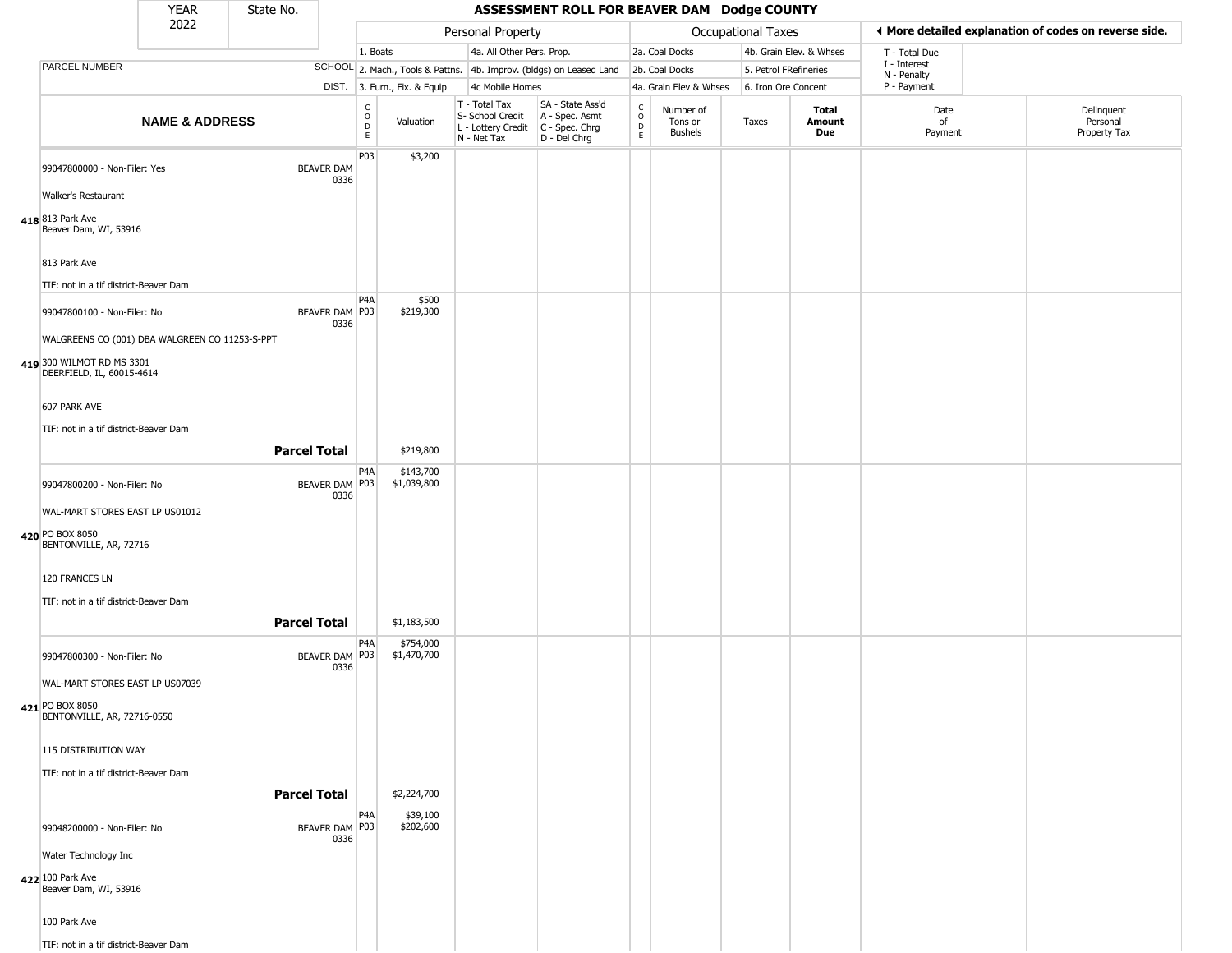|                                                                                   | <b>YEAR</b>               | State No.           |                           |                                            |                              |                                                                        | ASSESSMENT ROLL FOR BEAVER DAM Dodge COUNTY                          |                                            |                                        |       |                         |                             |                                                       |
|-----------------------------------------------------------------------------------|---------------------------|---------------------|---------------------------|--------------------------------------------|------------------------------|------------------------------------------------------------------------|----------------------------------------------------------------------|--------------------------------------------|----------------------------------------|-------|-------------------------|-----------------------------|-------------------------------------------------------|
|                                                                                   | 2022                      |                     |                           |                                            |                              | Personal Property                                                      |                                                                      |                                            | Occupational Taxes                     |       |                         |                             | ◀ More detailed explanation of codes on reverse side. |
|                                                                                   |                           |                     |                           | 1. Boats                                   |                              | 4a. All Other Pers. Prop.                                              |                                                                      |                                            | 2a. Coal Docks                         |       | 4b. Grain Elev. & Whses | T - Total Due               |                                                       |
| PARCEL NUMBER                                                                     |                           |                     |                           |                                            |                              |                                                                        | SCHOOL 2. Mach., Tools & Pattns. 4b. Improv. (bldgs) on Leased Land  |                                            | 2b. Coal Docks                         |       | 5. Petrol FRefineries   | I - Interest<br>N - Penalty |                                                       |
|                                                                                   |                           |                     |                           |                                            | DIST. 3. Furn., Fix. & Equip | 4c Mobile Homes                                                        |                                                                      |                                            | 4a. Grain Elev & Whses                 |       | 6. Iron Ore Concent     | P - Payment                 |                                                       |
|                                                                                   | <b>NAME &amp; ADDRESS</b> |                     |                           | c<br>$\circ$<br>$\mathsf D$<br>$\mathsf E$ | Valuation                    | T - Total Tax<br>S- School Credit<br>L - Lottery Credit<br>N - Net Tax | SA - State Ass'd<br>A - Spec. Asmt<br>C - Spec. Chrg<br>D - Del Chrg | $\begin{array}{c} C \\ 0 \\ E \end{array}$ | Number of<br>Tons or<br><b>Bushels</b> | Taxes | Total<br>Amount<br>Due  | Date<br>of<br>Payment       | Delinquent<br>Personal<br>Property Tax                |
| 99047800000 - Non-Filer: Yes<br>Walker's Restaurant                               |                           |                     | <b>BEAVER DAM</b><br>0336 | P03                                        | \$3,200                      |                                                                        |                                                                      |                                            |                                        |       |                         |                             |                                                       |
| 418 813 Park Ave<br>Beaver Dam, WI, 53916                                         |                           |                     |                           |                                            |                              |                                                                        |                                                                      |                                            |                                        |       |                         |                             |                                                       |
| 813 Park Ave<br>TIF: not in a tif district-Beaver Dam                             |                           |                     |                           |                                            |                              |                                                                        |                                                                      |                                            |                                        |       |                         |                             |                                                       |
| 99047800100 - Non-Filer: No                                                       |                           |                     | BEAVER DAM P03<br>0336    | P <sub>4</sub> A                           | \$500<br>\$219,300           |                                                                        |                                                                      |                                            |                                        |       |                         |                             |                                                       |
| WALGREENS CO (001) DBA WALGREEN CO 11253-S-PPT                                    |                           |                     |                           |                                            |                              |                                                                        |                                                                      |                                            |                                        |       |                         |                             |                                                       |
| 419 300 WILMOT RD MS 3301<br>DEERFIELD, IL, 60015-4614                            |                           |                     |                           |                                            |                              |                                                                        |                                                                      |                                            |                                        |       |                         |                             |                                                       |
| 607 PARK AVE                                                                      |                           |                     |                           |                                            |                              |                                                                        |                                                                      |                                            |                                        |       |                         |                             |                                                       |
| TIF: not in a tif district-Beaver Dam                                             |                           | <b>Parcel Total</b> |                           |                                            | \$219,800                    |                                                                        |                                                                      |                                            |                                        |       |                         |                             |                                                       |
|                                                                                   |                           |                     |                           | P4A                                        | \$143,700                    |                                                                        |                                                                      |                                            |                                        |       |                         |                             |                                                       |
| 99047800200 - Non-Filer: No                                                       |                           |                     | BEAVER DAM P03<br>0336    |                                            | \$1,039,800                  |                                                                        |                                                                      |                                            |                                        |       |                         |                             |                                                       |
| WAL-MART STORES EAST LP US01012<br>420 PO BOX 8050<br>BENTONVILLE, AR, 72716      |                           |                     |                           |                                            |                              |                                                                        |                                                                      |                                            |                                        |       |                         |                             |                                                       |
| 120 FRANCES LN                                                                    |                           |                     |                           |                                            |                              |                                                                        |                                                                      |                                            |                                        |       |                         |                             |                                                       |
| TIF: not in a tif district-Beaver Dam                                             |                           | <b>Parcel Total</b> |                           |                                            | \$1,183,500                  |                                                                        |                                                                      |                                            |                                        |       |                         |                             |                                                       |
| 99047800300 - Non-Filer: No                                                       |                           |                     | BEAVER DAM P03<br>0336    | P4A                                        | \$754,000<br>\$1,470,700     |                                                                        |                                                                      |                                            |                                        |       |                         |                             |                                                       |
| WAL-MART STORES EAST LP US07039<br>421 PO BOX 8050<br>BENTONVILLE, AR, 72716-0550 |                           |                     |                           |                                            |                              |                                                                        |                                                                      |                                            |                                        |       |                         |                             |                                                       |
| 115 DISTRIBUTION WAY                                                              |                           |                     |                           |                                            |                              |                                                                        |                                                                      |                                            |                                        |       |                         |                             |                                                       |
| TIF: not in a tif district-Beaver Dam                                             |                           | <b>Parcel Total</b> |                           |                                            | \$2,224,700                  |                                                                        |                                                                      |                                            |                                        |       |                         |                             |                                                       |
| 99048200000 - Non-Filer: No                                                       |                           |                     | BEAVER DAM P03<br>0336    | P4A                                        | \$39,100<br>\$202,600        |                                                                        |                                                                      |                                            |                                        |       |                         |                             |                                                       |
| Water Technology Inc                                                              |                           |                     |                           |                                            |                              |                                                                        |                                                                      |                                            |                                        |       |                         |                             |                                                       |
| 422 100 Park Ave<br>Beaver Dam, WI, 53916                                         |                           |                     |                           |                                            |                              |                                                                        |                                                                      |                                            |                                        |       |                         |                             |                                                       |
| 100 Park Ave                                                                      |                           |                     |                           |                                            |                              |                                                                        |                                                                      |                                            |                                        |       |                         |                             |                                                       |

TIF: not in a tif district-Beaver Dam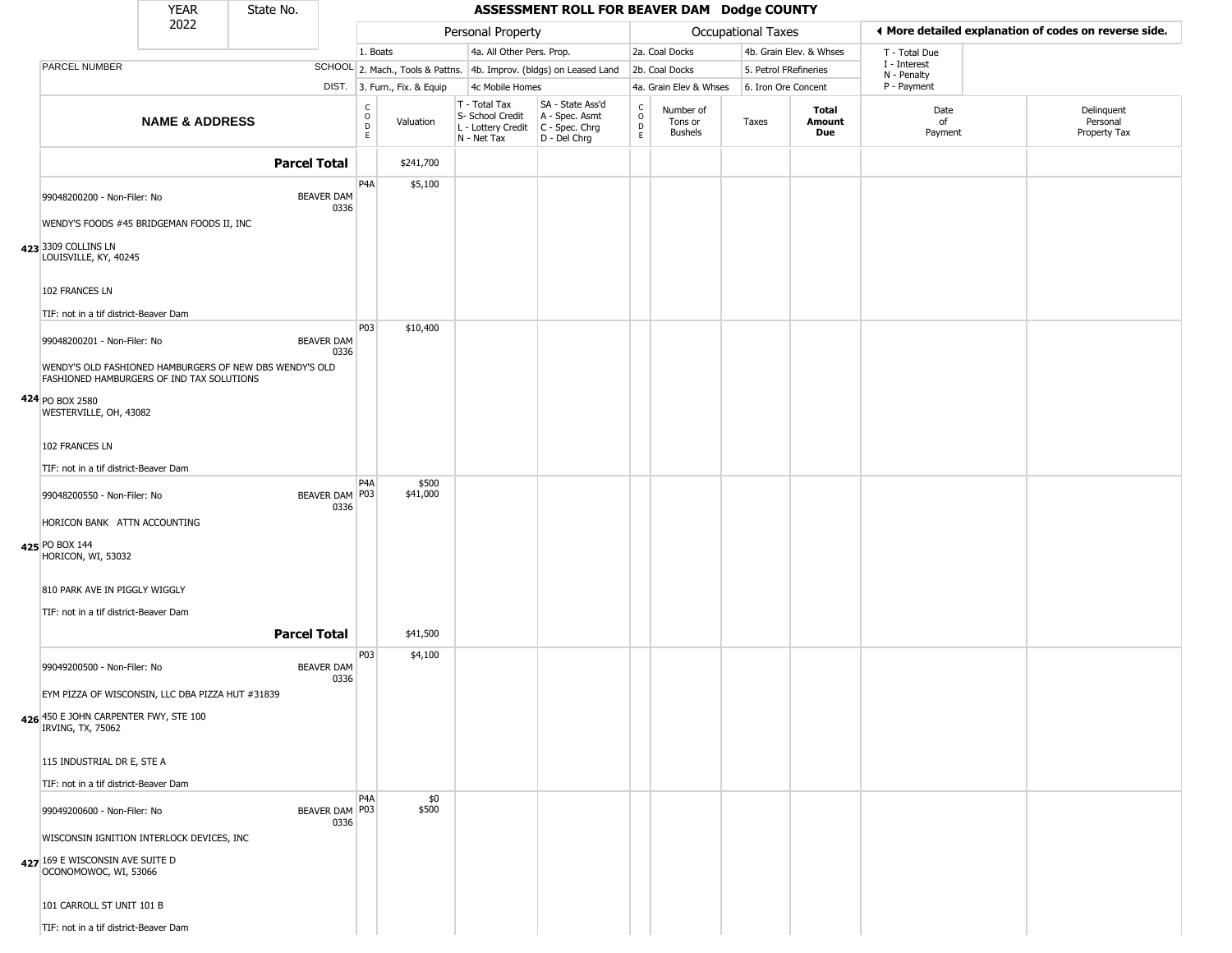|                                                                                                       | <b>YEAR</b>               | State No.                                               |                           |                                          |                              |                                                                                         | ASSESSMENT ROLL FOR BEAVER DAM Dodge COUNTY                         |                                                                    |                                 |                    |                         |                             |                                                       |
|-------------------------------------------------------------------------------------------------------|---------------------------|---------------------------------------------------------|---------------------------|------------------------------------------|------------------------------|-----------------------------------------------------------------------------------------|---------------------------------------------------------------------|--------------------------------------------------------------------|---------------------------------|--------------------|-------------------------|-----------------------------|-------------------------------------------------------|
|                                                                                                       | 2022                      |                                                         |                           |                                          |                              | Personal Property                                                                       |                                                                     |                                                                    |                                 | Occupational Taxes |                         |                             | ♦ More detailed explanation of codes on reverse side. |
|                                                                                                       |                           |                                                         |                           | 1. Boats                                 |                              | 4a. All Other Pers. Prop.                                                               |                                                                     |                                                                    | 2a. Coal Docks                  |                    | 4b. Grain Elev. & Whses | T - Total Due               |                                                       |
| PARCEL NUMBER                                                                                         |                           |                                                         |                           |                                          |                              |                                                                                         | SCHOOL 2. Mach., Tools & Pattns. 4b. Improv. (bldgs) on Leased Land |                                                                    | 2b. Coal Docks                  |                    | 5. Petrol FRefineries   | I - Interest<br>N - Penalty |                                                       |
|                                                                                                       |                           |                                                         |                           |                                          | DIST. 3. Furn., Fix. & Equip | 4c Mobile Homes                                                                         |                                                                     |                                                                    | 4a. Grain Elev & Whses          |                    | 6. Iron Ore Concent     | P - Payment                 |                                                       |
|                                                                                                       | <b>NAME &amp; ADDRESS</b> |                                                         |                           | $\rm _o^C$<br>$\mathsf D$<br>$\mathsf E$ | Valuation                    | T - Total Tax<br>S- School Credit<br>L - Lottery Credit   C - Spec. Chrg<br>N - Net Tax | SA - State Ass'd<br>A - Spec. Asmt<br>D - Del Chrg                  | $\begin{smallmatrix} C \\ 0 \\ D \end{smallmatrix}$<br>$\mathsf E$ | Number of<br>Tons or<br>Bushels | Taxes              | Total<br>Amount<br>Due  | Date<br>of<br>Payment       | Delinquent<br>Personal<br>Property Tax                |
|                                                                                                       |                           | <b>Parcel Total</b>                                     |                           |                                          | \$241,700                    |                                                                                         |                                                                     |                                                                    |                                 |                    |                         |                             |                                                       |
| 99048200200 - Non-Filer: No                                                                           |                           |                                                         | <b>BEAVER DAM</b>         | P <sub>4</sub> A                         | \$5,100                      |                                                                                         |                                                                     |                                                                    |                                 |                    |                         |                             |                                                       |
| WENDY'S FOODS #45 BRIDGEMAN FOODS II, INC                                                             |                           |                                                         | 0336                      |                                          |                              |                                                                                         |                                                                     |                                                                    |                                 |                    |                         |                             |                                                       |
| 423 3309 COLLINS LN<br>LOUISVILLE, KY, 40245                                                          |                           |                                                         |                           |                                          |                              |                                                                                         |                                                                     |                                                                    |                                 |                    |                         |                             |                                                       |
| 102 FRANCES LN<br>TIF: not in a tif district-Beaver Dam                                               |                           |                                                         |                           |                                          |                              |                                                                                         |                                                                     |                                                                    |                                 |                    |                         |                             |                                                       |
| 99048200201 - Non-Filer: No                                                                           |                           |                                                         | <b>BEAVER DAM</b><br>0336 | P03                                      | \$10,400                     |                                                                                         |                                                                     |                                                                    |                                 |                    |                         |                             |                                                       |
| FASHIONED HAMBURGERS OF IND TAX SOLUTIONS                                                             |                           | WENDY'S OLD FASHIONED HAMBURGERS OF NEW DBS WENDY'S OLD |                           |                                          |                              |                                                                                         |                                                                     |                                                                    |                                 |                    |                         |                             |                                                       |
| 424 PO BOX 2580<br>WESTERVILLE, OH, 43082                                                             |                           |                                                         |                           |                                          |                              |                                                                                         |                                                                     |                                                                    |                                 |                    |                         |                             |                                                       |
| 102 FRANCES LN                                                                                        |                           |                                                         |                           |                                          |                              |                                                                                         |                                                                     |                                                                    |                                 |                    |                         |                             |                                                       |
| TIF: not in a tif district-Beaver Dam                                                                 |                           |                                                         |                           |                                          |                              |                                                                                         |                                                                     |                                                                    |                                 |                    |                         |                             |                                                       |
| 99048200550 - Non-Filer: No                                                                           |                           |                                                         | BEAVER DAM P03<br>0336    | P <sub>4</sub> A                         | \$500<br>\$41,000            |                                                                                         |                                                                     |                                                                    |                                 |                    |                         |                             |                                                       |
| HORICON BANK ATTN ACCOUNTING<br>425 PO BOX 144<br>HORICON, WI, 53032                                  |                           |                                                         |                           |                                          |                              |                                                                                         |                                                                     |                                                                    |                                 |                    |                         |                             |                                                       |
| 810 PARK AVE IN PIGGLY WIGGLY                                                                         |                           |                                                         |                           |                                          |                              |                                                                                         |                                                                     |                                                                    |                                 |                    |                         |                             |                                                       |
| TIF: not in a tif district-Beaver Dam                                                                 |                           | <b>Parcel Total</b>                                     |                           |                                          | \$41,500                     |                                                                                         |                                                                     |                                                                    |                                 |                    |                         |                             |                                                       |
| 99049200500 - Non-Filer: No                                                                           |                           |                                                         | <b>BEAVER DAM</b><br>0336 | P03                                      | \$4,100                      |                                                                                         |                                                                     |                                                                    |                                 |                    |                         |                             |                                                       |
| EYM PIZZA OF WISCONSIN, LLC DBA PIZZA HUT #31839                                                      |                           |                                                         |                           |                                          |                              |                                                                                         |                                                                     |                                                                    |                                 |                    |                         |                             |                                                       |
| 426 450 E JOHN CARPENTER FWY, STE 100<br>IRVING, TX, 75062                                            |                           |                                                         |                           |                                          |                              |                                                                                         |                                                                     |                                                                    |                                 |                    |                         |                             |                                                       |
| 115 INDUSTRIAL DR E, STE A                                                                            |                           |                                                         |                           |                                          |                              |                                                                                         |                                                                     |                                                                    |                                 |                    |                         |                             |                                                       |
| TIF: not in a tif district-Beaver Dam                                                                 |                           |                                                         |                           |                                          |                              |                                                                                         |                                                                     |                                                                    |                                 |                    |                         |                             |                                                       |
| 99049200600 - Non-Filer: No                                                                           |                           |                                                         | BEAVER DAM P03<br>0336    | P <sub>4</sub> A                         | \$0<br>\$500                 |                                                                                         |                                                                     |                                                                    |                                 |                    |                         |                             |                                                       |
| WISCONSIN IGNITION INTERLOCK DEVICES, INC<br>427 169 E WISCONSIN AVE SUITE D<br>OCONOMOWOC, WI, 53066 |                           |                                                         |                           |                                          |                              |                                                                                         |                                                                     |                                                                    |                                 |                    |                         |                             |                                                       |
| 101 CARROLL ST UNIT 101 B                                                                             |                           |                                                         |                           |                                          |                              |                                                                                         |                                                                     |                                                                    |                                 |                    |                         |                             |                                                       |
| TIF: not in a tif district-Beaver Dam                                                                 |                           |                                                         |                           |                                          |                              |                                                                                         |                                                                     |                                                                    |                                 |                    |                         |                             |                                                       |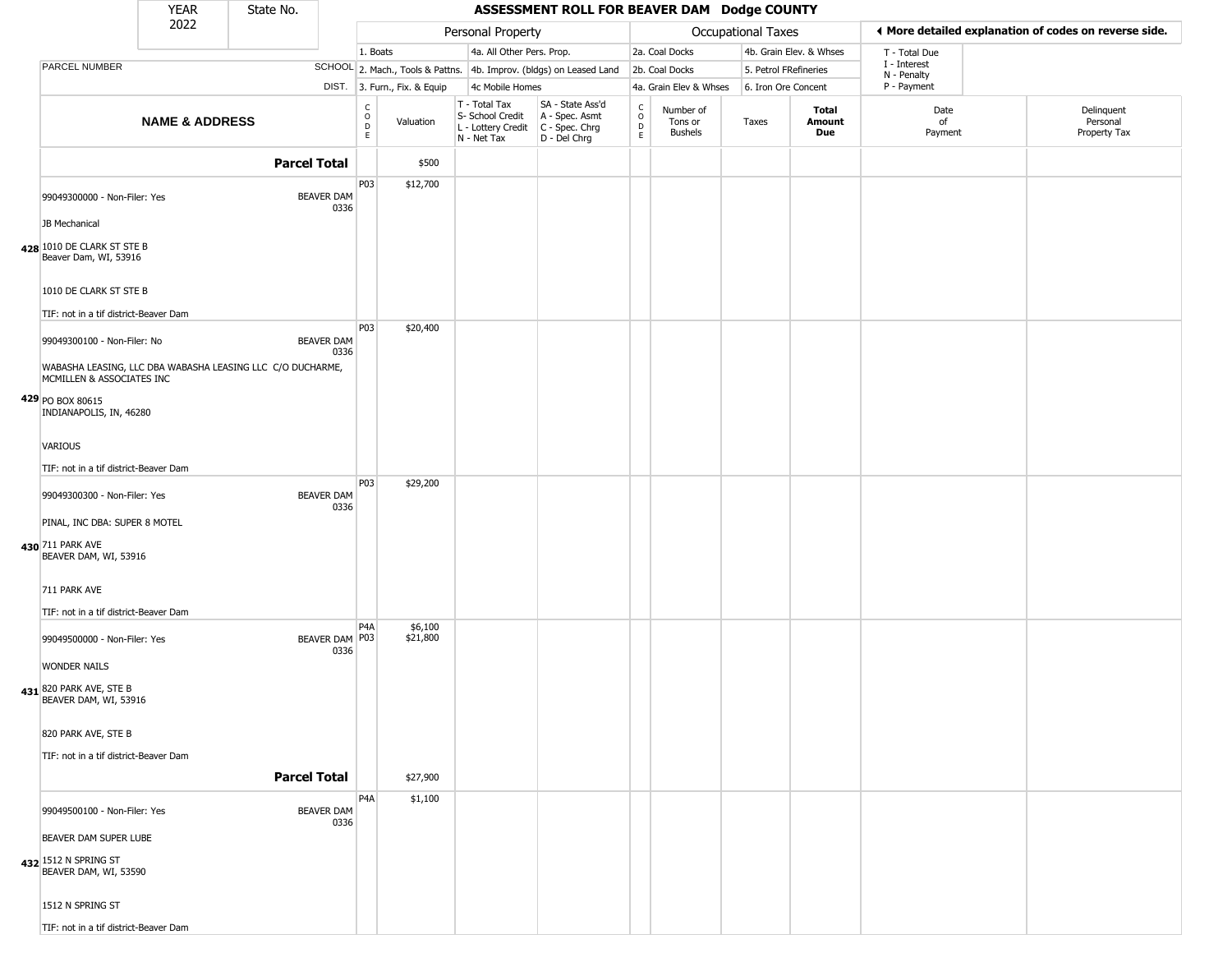|                                                                                         | <b>YEAR</b>               | State No.           |                           |                                                |                              |                                                                        | ASSESSMENT ROLL FOR BEAVER DAM Dodge COUNTY                          |                                          |                                 |                           |                         |                             |                                                       |
|-----------------------------------------------------------------------------------------|---------------------------|---------------------|---------------------------|------------------------------------------------|------------------------------|------------------------------------------------------------------------|----------------------------------------------------------------------|------------------------------------------|---------------------------------|---------------------------|-------------------------|-----------------------------|-------------------------------------------------------|
|                                                                                         | 2022                      |                     |                           |                                                |                              | Personal Property                                                      |                                                                      |                                          |                                 | <b>Occupational Taxes</b> |                         |                             | ◀ More detailed explanation of codes on reverse side. |
|                                                                                         |                           |                     |                           | 1. Boats                                       |                              | 4a. All Other Pers. Prop.                                              |                                                                      |                                          | 2a. Coal Docks                  |                           | 4b. Grain Elev. & Whses | T - Total Due               |                                                       |
| PARCEL NUMBER                                                                           |                           |                     |                           |                                                |                              |                                                                        | SCHOOL 2. Mach., Tools & Pattns. 4b. Improv. (bldgs) on Leased Land  |                                          | 2b. Coal Docks                  | 5. Petrol FRefineries     |                         | I - Interest<br>N - Penalty |                                                       |
|                                                                                         |                           |                     |                           |                                                | DIST. 3. Furn., Fix. & Equip | 4c Mobile Homes                                                        |                                                                      |                                          | 4a. Grain Elev & Whses          | 6. Iron Ore Concent       |                         | P - Payment                 |                                                       |
|                                                                                         | <b>NAME &amp; ADDRESS</b> |                     |                           | $\begin{matrix} 0 \\ 0 \\ D \end{matrix}$<br>E | Valuation                    | T - Total Tax<br>S- School Credit<br>L - Lottery Credit<br>N - Net Tax | SA - State Ass'd<br>A - Spec. Asmt<br>C - Spec. Chrg<br>D - Del Chrg | $\rm _o^c$<br>$\mathsf D$<br>$\mathsf E$ | Number of<br>Tons or<br>Bushels | Taxes                     | Total<br>Amount<br>Due  | Date<br>of<br>Payment       | Delinquent<br>Personal<br>Property Tax                |
|                                                                                         |                           | <b>Parcel Total</b> |                           |                                                | \$500                        |                                                                        |                                                                      |                                          |                                 |                           |                         |                             |                                                       |
| 99049300000 - Non-Filer: Yes                                                            |                           |                     | <b>BEAVER DAM</b><br>0336 | P03                                            | \$12,700                     |                                                                        |                                                                      |                                          |                                 |                           |                         |                             |                                                       |
| JB Mechanical                                                                           |                           |                     |                           |                                                |                              |                                                                        |                                                                      |                                          |                                 |                           |                         |                             |                                                       |
| 428 1010 DE CLARK ST STE B<br>Beaver Dam, WI, 53916                                     |                           |                     |                           |                                                |                              |                                                                        |                                                                      |                                          |                                 |                           |                         |                             |                                                       |
| 1010 DE CLARK ST STE B<br>TIF: not in a tif district-Beaver Dam                         |                           |                     |                           |                                                |                              |                                                                        |                                                                      |                                          |                                 |                           |                         |                             |                                                       |
| 99049300100 - Non-Filer: No                                                             |                           |                     | <b>BEAVER DAM</b>         | <b>P03</b>                                     | \$20,400                     |                                                                        |                                                                      |                                          |                                 |                           |                         |                             |                                                       |
| WABASHA LEASING, LLC DBA WABASHA LEASING LLC C/O DUCHARME,<br>MCMILLEN & ASSOCIATES INC |                           |                     | 0336                      |                                                |                              |                                                                        |                                                                      |                                          |                                 |                           |                         |                             |                                                       |
| 429 PO BOX 80615<br>INDIANAPOLIS, IN, 46280                                             |                           |                     |                           |                                                |                              |                                                                        |                                                                      |                                          |                                 |                           |                         |                             |                                                       |
| <b>VARIOUS</b>                                                                          |                           |                     |                           |                                                |                              |                                                                        |                                                                      |                                          |                                 |                           |                         |                             |                                                       |
| TIF: not in a tif district-Beaver Dam                                                   |                           |                     |                           |                                                |                              |                                                                        |                                                                      |                                          |                                 |                           |                         |                             |                                                       |
| 99049300300 - Non-Filer: Yes                                                            |                           |                     | <b>BEAVER DAM</b><br>0336 | P03                                            | \$29,200                     |                                                                        |                                                                      |                                          |                                 |                           |                         |                             |                                                       |
| PINAL, INC DBA: SUPER 8 MOTEL                                                           |                           |                     |                           |                                                |                              |                                                                        |                                                                      |                                          |                                 |                           |                         |                             |                                                       |
| 430 711 PARK AVE<br>BEAVER DAM, WI, 53916                                               |                           |                     |                           |                                                |                              |                                                                        |                                                                      |                                          |                                 |                           |                         |                             |                                                       |
| 711 PARK AVE                                                                            |                           |                     |                           |                                                |                              |                                                                        |                                                                      |                                          |                                 |                           |                         |                             |                                                       |
| TIF: not in a tif district-Beaver Dam                                                   |                           |                     |                           | P <sub>4</sub> A                               | \$6,100                      |                                                                        |                                                                      |                                          |                                 |                           |                         |                             |                                                       |
| 99049500000 - Non-Filer: Yes<br><b>WONDER NAILS</b>                                     |                           |                     | BEAVER DAM P03<br>0336    |                                                | \$21,800                     |                                                                        |                                                                      |                                          |                                 |                           |                         |                             |                                                       |
| 431 820 PARK AVE, STE B<br>BEAVER DAM, WI, 53916                                        |                           |                     |                           |                                                |                              |                                                                        |                                                                      |                                          |                                 |                           |                         |                             |                                                       |
| 820 PARK AVE, STE B                                                                     |                           |                     |                           |                                                |                              |                                                                        |                                                                      |                                          |                                 |                           |                         |                             |                                                       |
| TIF: not in a tif district-Beaver Dam                                                   |                           | <b>Parcel Total</b> |                           |                                                | \$27,900                     |                                                                        |                                                                      |                                          |                                 |                           |                         |                             |                                                       |
| 99049500100 - Non-Filer: Yes                                                            |                           |                     | <b>BEAVER DAM</b>         | P <sub>4</sub> A                               | \$1,100                      |                                                                        |                                                                      |                                          |                                 |                           |                         |                             |                                                       |
| BEAVER DAM SUPER LUBE                                                                   |                           |                     | 0336                      |                                                |                              |                                                                        |                                                                      |                                          |                                 |                           |                         |                             |                                                       |
| 432 1512 N SPRING ST<br>BEAVER DAM, WI, 53590                                           |                           |                     |                           |                                                |                              |                                                                        |                                                                      |                                          |                                 |                           |                         |                             |                                                       |
| 1512 N SPRING ST                                                                        |                           |                     |                           |                                                |                              |                                                                        |                                                                      |                                          |                                 |                           |                         |                             |                                                       |
| TIF: not in a tif district-Beaver Dam                                                   |                           |                     |                           |                                                |                              |                                                                        |                                                                      |                                          |                                 |                           |                         |                             |                                                       |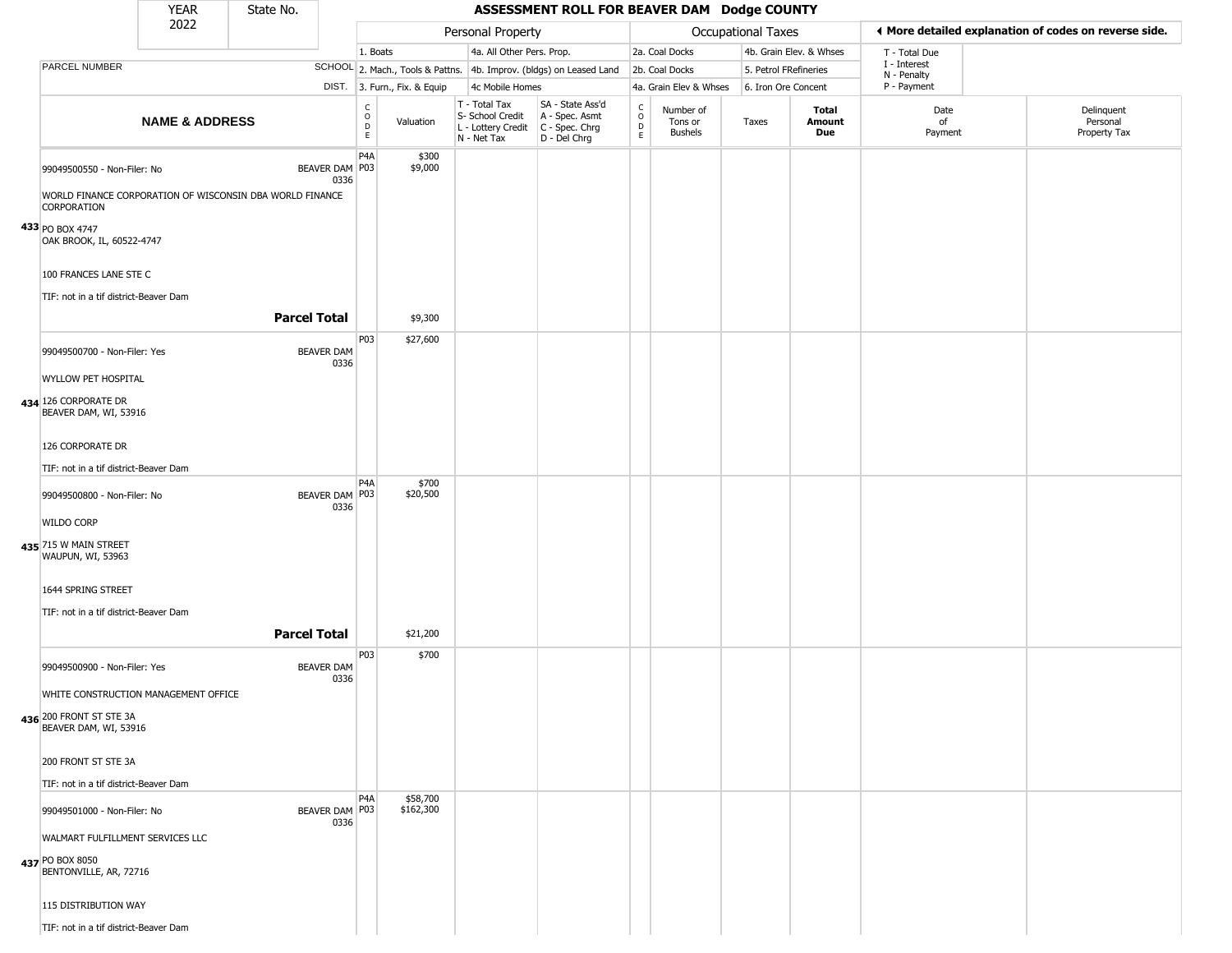|                                                                                                                 | <b>YEAR</b>               | State No.           |                           |                                                     |                              |                                                                                         | ASSESSMENT ROLL FOR BEAVER DAM Dodge COUNTY                         |                        |                                        |                           |                         |                             |                                                       |
|-----------------------------------------------------------------------------------------------------------------|---------------------------|---------------------|---------------------------|-----------------------------------------------------|------------------------------|-----------------------------------------------------------------------------------------|---------------------------------------------------------------------|------------------------|----------------------------------------|---------------------------|-------------------------|-----------------------------|-------------------------------------------------------|
|                                                                                                                 | 2022                      |                     |                           |                                                     |                              | Personal Property                                                                       |                                                                     |                        |                                        | <b>Occupational Taxes</b> |                         |                             | ♦ More detailed explanation of codes on reverse side. |
|                                                                                                                 |                           |                     |                           | 1. Boats                                            |                              | 4a. All Other Pers. Prop.                                                               |                                                                     |                        | 2a. Coal Docks                         |                           | 4b. Grain Elev. & Whses | T - Total Due               |                                                       |
| PARCEL NUMBER                                                                                                   |                           |                     |                           |                                                     |                              |                                                                                         | SCHOOL 2. Mach., Tools & Pattns. 4b. Improv. (bldgs) on Leased Land |                        | 2b. Coal Docks                         | 5. Petrol FRefineries     |                         | I - Interest<br>N - Penalty |                                                       |
|                                                                                                                 |                           |                     |                           |                                                     | DIST. 3. Furn., Fix. & Equip | 4c Mobile Homes                                                                         |                                                                     |                        | 4a. Grain Elev & Whses                 | 6. Iron Ore Concent       |                         | P - Payment                 |                                                       |
|                                                                                                                 | <b>NAME &amp; ADDRESS</b> |                     |                           | $\begin{matrix} C \\ O \\ D \end{matrix}$<br>$\,$ E | Valuation                    | T - Total Tax<br>S- School Credit<br>L - Lottery Credit   C - Spec. Chrg<br>N - Net Tax | SA - State Ass'd<br>A - Spec. Asmt<br>D - Del Chrg                  | C<br>$\circ$<br>D<br>E | Number of<br>Tons or<br><b>Bushels</b> | Taxes                     | Total<br>Amount<br>Due  | Date<br>of<br>Payment       | Delinquent<br>Personal<br>Property Tax                |
| 99049500550 - Non-Filer: No<br>WORLD FINANCE CORPORATION OF WISCONSIN DBA WORLD FINANCE<br><b>CORPORATION</b>   |                           |                     | BEAVER DAM P03<br>0336    | P <sub>4</sub> A                                    | \$300<br>\$9,000             |                                                                                         |                                                                     |                        |                                        |                           |                         |                             |                                                       |
| 433 PO BOX 4747<br>OAK BROOK, IL, 60522-4747<br>100 FRANCES LANE STE C<br>TIF: not in a tif district-Beaver Dam |                           | <b>Parcel Total</b> |                           |                                                     | \$9,300                      |                                                                                         |                                                                     |                        |                                        |                           |                         |                             |                                                       |
|                                                                                                                 |                           |                     |                           | P03                                                 | \$27,600                     |                                                                                         |                                                                     |                        |                                        |                           |                         |                             |                                                       |
| 99049500700 - Non-Filer: Yes<br>WYLLOW PET HOSPITAL                                                             |                           |                     | <b>BEAVER DAM</b><br>0336 |                                                     |                              |                                                                                         |                                                                     |                        |                                        |                           |                         |                             |                                                       |
| 434 126 CORPORATE DR<br>BEAVER DAM, WI, 53916                                                                   |                           |                     |                           |                                                     |                              |                                                                                         |                                                                     |                        |                                        |                           |                         |                             |                                                       |
| 126 CORPORATE DR                                                                                                |                           |                     |                           |                                                     |                              |                                                                                         |                                                                     |                        |                                        |                           |                         |                             |                                                       |
| TIF: not in a tif district-Beaver Dam                                                                           |                           |                     |                           |                                                     |                              |                                                                                         |                                                                     |                        |                                        |                           |                         |                             |                                                       |
| 99049500800 - Non-Filer: No                                                                                     |                           |                     | BEAVER DAM P03            | P <sub>4</sub> A                                    | \$700<br>\$20,500            |                                                                                         |                                                                     |                        |                                        |                           |                         |                             |                                                       |
| <b>WILDO CORP</b>                                                                                               |                           |                     | 0336                      |                                                     |                              |                                                                                         |                                                                     |                        |                                        |                           |                         |                             |                                                       |
| 435 715 W MAIN STREET<br>WAUPUN, WI, 53963                                                                      |                           |                     |                           |                                                     |                              |                                                                                         |                                                                     |                        |                                        |                           |                         |                             |                                                       |
| 1644 SPRING STREET                                                                                              |                           |                     |                           |                                                     |                              |                                                                                         |                                                                     |                        |                                        |                           |                         |                             |                                                       |
| TIF: not in a tif district-Beaver Dam                                                                           |                           | <b>Parcel Total</b> |                           |                                                     | \$21,200                     |                                                                                         |                                                                     |                        |                                        |                           |                         |                             |                                                       |
| 99049500900 - Non-Filer: Yes                                                                                    |                           |                     | <b>BEAVER DAM</b><br>0336 | P03                                                 | \$700                        |                                                                                         |                                                                     |                        |                                        |                           |                         |                             |                                                       |
| WHITE CONSTRUCTION MANAGEMENT OFFICE                                                                            |                           |                     |                           |                                                     |                              |                                                                                         |                                                                     |                        |                                        |                           |                         |                             |                                                       |
| 436 200 FRONT ST STE 3A<br>BEAVER DAM, WI, 53916                                                                |                           |                     |                           |                                                     |                              |                                                                                         |                                                                     |                        |                                        |                           |                         |                             |                                                       |
| 200 FRONT ST STE 3A                                                                                             |                           |                     |                           |                                                     |                              |                                                                                         |                                                                     |                        |                                        |                           |                         |                             |                                                       |
| TIF: not in a tif district-Beaver Dam                                                                           |                           |                     |                           |                                                     |                              |                                                                                         |                                                                     |                        |                                        |                           |                         |                             |                                                       |
| 99049501000 - Non-Filer: No                                                                                     |                           |                     | BEAVER DAM   P03<br>0336  | P <sub>4</sub> A                                    | \$58,700<br>\$162,300        |                                                                                         |                                                                     |                        |                                        |                           |                         |                             |                                                       |
| WALMART FULFILLMENT SERVICES LLC                                                                                |                           |                     |                           |                                                     |                              |                                                                                         |                                                                     |                        |                                        |                           |                         |                             |                                                       |
| 437 PO BOX 8050<br>BENTONVILLE, AR, 72716                                                                       |                           |                     |                           |                                                     |                              |                                                                                         |                                                                     |                        |                                        |                           |                         |                             |                                                       |
| 115 DISTRIBUTION WAY                                                                                            |                           |                     |                           |                                                     |                              |                                                                                         |                                                                     |                        |                                        |                           |                         |                             |                                                       |
| TIF: not in a tif district-Beaver Dam                                                                           |                           |                     |                           |                                                     |                              |                                                                                         |                                                                     |                        |                                        |                           |                         |                             |                                                       |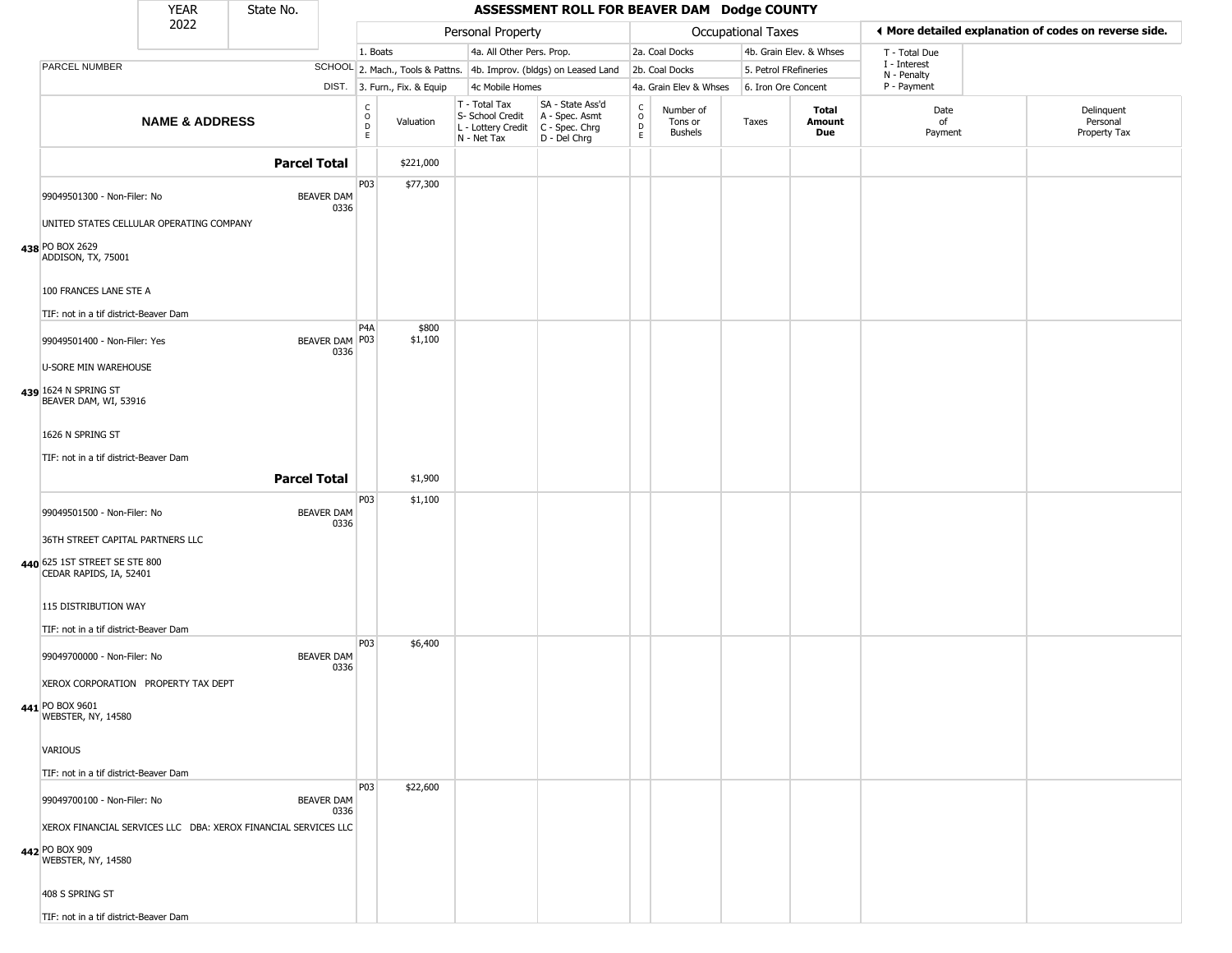|                                                                                               | <b>YEAR</b>               | State No.           |                           |                                                          |                              |                                                  | ASSESSMENT ROLL FOR BEAVER DAM Dodge COUNTY                                               |                                                                    |                                        |                           |                         |                        |                             |                                                       |  |
|-----------------------------------------------------------------------------------------------|---------------------------|---------------------|---------------------------|----------------------------------------------------------|------------------------------|--------------------------------------------------|-------------------------------------------------------------------------------------------|--------------------------------------------------------------------|----------------------------------------|---------------------------|-------------------------|------------------------|-----------------------------|-------------------------------------------------------|--|
|                                                                                               | 2022                      |                     |                           |                                                          |                              | Personal Property                                |                                                                                           |                                                                    |                                        | <b>Occupational Taxes</b> |                         |                        |                             | ♦ More detailed explanation of codes on reverse side. |  |
|                                                                                               |                           |                     |                           | 1. Boats                                                 |                              | 4a. All Other Pers. Prop.                        |                                                                                           |                                                                    | 2a. Coal Docks                         |                           | 4b. Grain Elev. & Whses |                        | T - Total Due               |                                                       |  |
| PARCEL NUMBER                                                                                 |                           |                     |                           |                                                          |                              |                                                  | SCHOOL 2. Mach., Tools & Pattns. 4b. Improv. (bldgs) on Leased Land                       |                                                                    | 2b. Coal Docks                         |                           | 5. Petrol FRefineries   |                        | I - Interest<br>N - Penalty |                                                       |  |
|                                                                                               |                           |                     |                           |                                                          | DIST. 3. Furn., Fix. & Equip | 4c Mobile Homes                                  |                                                                                           |                                                                    | 4a. Grain Elev & Whses                 |                           | 6. Iron Ore Concent     |                        | P - Payment                 |                                                       |  |
|                                                                                               | <b>NAME &amp; ADDRESS</b> |                     |                           | $\begin{smallmatrix} C \\ O \\ D \end{smallmatrix}$<br>E | Valuation                    | T - Total Tax<br>S- School Credit<br>N - Net Tax | SA - State Ass'd<br>A - Spec. Asmt<br>L - Lottery Credit   C - Spec. Chrg<br>D - Del Chrg | $\begin{smallmatrix} C \\ O \\ D \end{smallmatrix}$<br>$\mathsf E$ | Number of<br>Tons or<br><b>Bushels</b> | Taxes                     |                         | Total<br>Amount<br>Due | Date<br>of<br>Payment       | Delinquent<br>Personal<br>Property Tax                |  |
|                                                                                               |                           | <b>Parcel Total</b> |                           |                                                          | \$221,000                    |                                                  |                                                                                           |                                                                    |                                        |                           |                         |                        |                             |                                                       |  |
| 99049501300 - Non-Filer: No<br>UNITED STATES CELLULAR OPERATING COMPANY                       |                           |                     | <b>BEAVER DAM</b><br>0336 | P03                                                      | \$77,300                     |                                                  |                                                                                           |                                                                    |                                        |                           |                         |                        |                             |                                                       |  |
| 438 PO BOX 2629<br>ADDISON, TX, 75001                                                         |                           |                     |                           |                                                          |                              |                                                  |                                                                                           |                                                                    |                                        |                           |                         |                        |                             |                                                       |  |
| 100 FRANCES LANE STE A<br>TIF: not in a tif district-Beaver Dam                               |                           |                     |                           |                                                          |                              |                                                  |                                                                                           |                                                                    |                                        |                           |                         |                        |                             |                                                       |  |
| 99049501400 - Non-Filer: Yes<br>U-SORE MIN WAREHOUSE                                          |                           |                     | BEAVER DAM   P03<br>0336  | P <sub>4</sub> A                                         | \$800<br>\$1,100             |                                                  |                                                                                           |                                                                    |                                        |                           |                         |                        |                             |                                                       |  |
| 439 1624 N SPRING ST<br>BEAVER DAM, WI, 53916                                                 |                           |                     |                           |                                                          |                              |                                                  |                                                                                           |                                                                    |                                        |                           |                         |                        |                             |                                                       |  |
| 1626 N SPRING ST<br>TIF: not in a tif district-Beaver Dam                                     |                           |                     |                           |                                                          |                              |                                                  |                                                                                           |                                                                    |                                        |                           |                         |                        |                             |                                                       |  |
|                                                                                               |                           | <b>Parcel Total</b> |                           |                                                          | \$1,900                      |                                                  |                                                                                           |                                                                    |                                        |                           |                         |                        |                             |                                                       |  |
| 99049501500 - Non-Filer: No<br>36TH STREET CAPITAL PARTNERS LLC                               |                           |                     | <b>BEAVER DAM</b><br>0336 | P03                                                      | \$1,100                      |                                                  |                                                                                           |                                                                    |                                        |                           |                         |                        |                             |                                                       |  |
| 440 625 1ST STREET SE STE 800<br>CEDAR RAPIDS, IA, 52401                                      |                           |                     |                           |                                                          |                              |                                                  |                                                                                           |                                                                    |                                        |                           |                         |                        |                             |                                                       |  |
| 115 DISTRIBUTION WAY<br>TIF: not in a tif district-Beaver Dam                                 |                           |                     |                           |                                                          |                              |                                                  |                                                                                           |                                                                    |                                        |                           |                         |                        |                             |                                                       |  |
| 99049700000 - Non-Filer: No<br>XEROX CORPORATION PROPERTY TAX DEPT                            |                           |                     | <b>BEAVER DAM</b><br>0336 | P03                                                      | \$6,400                      |                                                  |                                                                                           |                                                                    |                                        |                           |                         |                        |                             |                                                       |  |
| 441 PO BOX 9601<br>WEBSTER, NY, 14580                                                         |                           |                     |                           |                                                          |                              |                                                  |                                                                                           |                                                                    |                                        |                           |                         |                        |                             |                                                       |  |
| <b>VARIOUS</b><br>TIF: not in a tif district-Beaver Dam                                       |                           |                     |                           |                                                          |                              |                                                  |                                                                                           |                                                                    |                                        |                           |                         |                        |                             |                                                       |  |
| 99049700100 - Non-Filer: No<br>XEROX FINANCIAL SERVICES LLC DBA: XEROX FINANCIAL SERVICES LLC |                           |                     | <b>BEAVER DAM</b><br>0336 | <b>P03</b>                                               | \$22,600                     |                                                  |                                                                                           |                                                                    |                                        |                           |                         |                        |                             |                                                       |  |
| 442 PO BOX 909<br>WEBSTER, NY, 14580<br>408 S SPRING ST                                       |                           |                     |                           |                                                          |                              |                                                  |                                                                                           |                                                                    |                                        |                           |                         |                        |                             |                                                       |  |
| TIF: not in a tif district-Beaver Dam                                                         |                           |                     |                           |                                                          |                              |                                                  |                                                                                           |                                                                    |                                        |                           |                         |                        |                             |                                                       |  |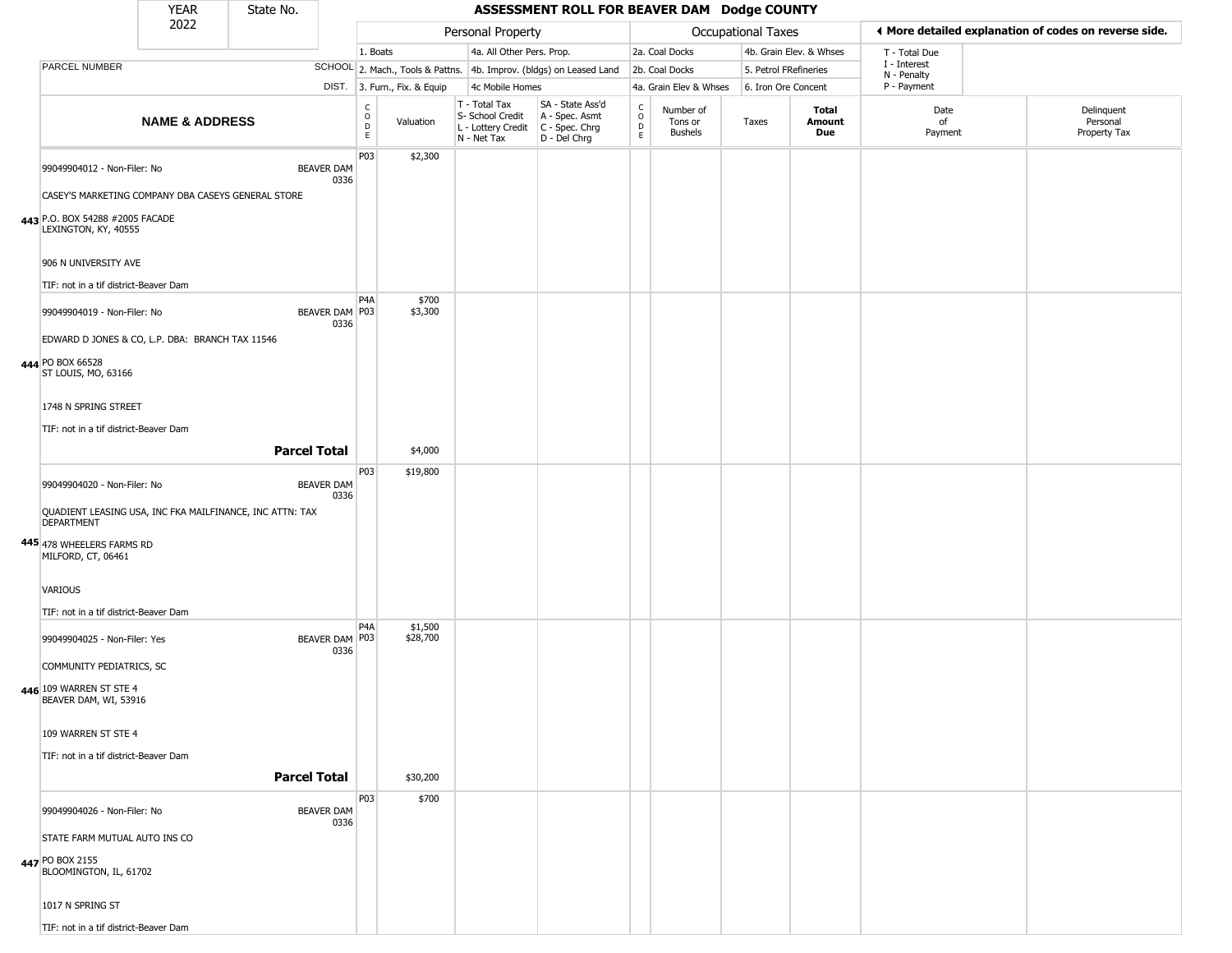|                                                                                   | <b>YEAR</b>               | State No.           |                           |                                   |                              |                                                                        | ASSESSMENT ROLL FOR BEAVER DAM Dodge COUNTY                          |                                            |                                        |                    |                         |                             |                                                       |
|-----------------------------------------------------------------------------------|---------------------------|---------------------|---------------------------|-----------------------------------|------------------------------|------------------------------------------------------------------------|----------------------------------------------------------------------|--------------------------------------------|----------------------------------------|--------------------|-------------------------|-----------------------------|-------------------------------------------------------|
|                                                                                   | 2022                      |                     |                           |                                   |                              | Personal Property                                                      |                                                                      |                                            |                                        | Occupational Taxes |                         |                             | ◀ More detailed explanation of codes on reverse side. |
|                                                                                   |                           |                     |                           | 1. Boats                          |                              | 4a. All Other Pers. Prop.                                              |                                                                      |                                            | 2a. Coal Docks                         |                    | 4b. Grain Elev. & Whses | T - Total Due               |                                                       |
| PARCEL NUMBER                                                                     |                           |                     |                           |                                   |                              |                                                                        | SCHOOL 2. Mach., Tools & Pattns. 4b. Improv. (bldgs) on Leased Land  |                                            | 2b. Coal Docks                         |                    | 5. Petrol FRefineries   | I - Interest<br>N - Penalty |                                                       |
|                                                                                   |                           |                     |                           |                                   | DIST. 3. Furn., Fix. & Equip | 4c Mobile Homes                                                        |                                                                      |                                            | 4a. Grain Elev & Whses                 |                    | 6. Iron Ore Concent     | P - Payment                 |                                                       |
|                                                                                   | <b>NAME &amp; ADDRESS</b> |                     |                           | C<br>$\circ$<br>$\mathsf{D}$<br>E | Valuation                    | T - Total Tax<br>S- School Credit<br>L - Lottery Credit<br>N - Net Tax | SA - State Ass'd<br>A - Spec. Asmt<br>C - Spec. Chrg<br>D - Del Chrg | $\begin{array}{c} C \\ 0 \\ E \end{array}$ | Number of<br>Tons or<br><b>Bushels</b> | Taxes              | Total<br>Amount<br>Due  | Date<br>of<br>Payment       | Delinquent<br>Personal<br>Property Tax                |
| 99049904012 - Non-Filer: No<br>CASEY'S MARKETING COMPANY DBA CASEYS GENERAL STORE |                           |                     | <b>BEAVER DAM</b><br>0336 | P03                               | \$2,300                      |                                                                        |                                                                      |                                            |                                        |                    |                         |                             |                                                       |
| 443 P.O. BOX 54288 #2005 FACADE<br>LEXINGTON, KY, 40555                           |                           |                     |                           |                                   |                              |                                                                        |                                                                      |                                            |                                        |                    |                         |                             |                                                       |
| 906 N UNIVERSITY AVE                                                              |                           |                     |                           |                                   |                              |                                                                        |                                                                      |                                            |                                        |                    |                         |                             |                                                       |
| TIF: not in a tif district-Beaver Dam                                             |                           |                     |                           | P <sub>4</sub> A                  | \$700                        |                                                                        |                                                                      |                                            |                                        |                    |                         |                             |                                                       |
| 99049904019 - Non-Filer: No                                                       |                           |                     | BEAVER DAM P03<br>0336    |                                   | \$3,300                      |                                                                        |                                                                      |                                            |                                        |                    |                         |                             |                                                       |
| EDWARD D JONES & CO, L.P. DBA: BRANCH TAX 11546                                   |                           |                     |                           |                                   |                              |                                                                        |                                                                      |                                            |                                        |                    |                         |                             |                                                       |
| 444 PO BOX 66528<br>ST LOUIS, MO, 63166                                           |                           |                     |                           |                                   |                              |                                                                        |                                                                      |                                            |                                        |                    |                         |                             |                                                       |
| 1748 N SPRING STREET                                                              |                           |                     |                           |                                   |                              |                                                                        |                                                                      |                                            |                                        |                    |                         |                             |                                                       |
| TIF: not in a tif district-Beaver Dam                                             |                           |                     |                           |                                   |                              |                                                                        |                                                                      |                                            |                                        |                    |                         |                             |                                                       |
|                                                                                   |                           | <b>Parcel Total</b> |                           |                                   | \$4,000                      |                                                                        |                                                                      |                                            |                                        |                    |                         |                             |                                                       |
| 99049904020 - Non-Filer: No                                                       |                           |                     | <b>BEAVER DAM</b><br>0336 | P03                               | \$19,800                     |                                                                        |                                                                      |                                            |                                        |                    |                         |                             |                                                       |
| QUADIENT LEASING USA, INC FKA MAILFINANCE, INC ATTN: TAX<br><b>DEPARTMENT</b>     |                           |                     |                           |                                   |                              |                                                                        |                                                                      |                                            |                                        |                    |                         |                             |                                                       |
| 445 478 WHEELERS FARMS RD<br>MILFORD, CT, 06461                                   |                           |                     |                           |                                   |                              |                                                                        |                                                                      |                                            |                                        |                    |                         |                             |                                                       |
| <b>VARIOUS</b>                                                                    |                           |                     |                           |                                   |                              |                                                                        |                                                                      |                                            |                                        |                    |                         |                             |                                                       |
| TIF: not in a tif district-Beaver Dam                                             |                           |                     |                           | P <sub>4</sub> A                  | \$1,500                      |                                                                        |                                                                      |                                            |                                        |                    |                         |                             |                                                       |
| 99049904025 - Non-Filer: Yes                                                      |                           |                     | BEAVER DAM P03<br>0336    |                                   | \$28,700                     |                                                                        |                                                                      |                                            |                                        |                    |                         |                             |                                                       |
| COMMUNITY PEDIATRICS, SC                                                          |                           |                     |                           |                                   |                              |                                                                        |                                                                      |                                            |                                        |                    |                         |                             |                                                       |
| 446 109 WARREN ST STE 4<br>BEAVER DAM, WI, 53916                                  |                           |                     |                           |                                   |                              |                                                                        |                                                                      |                                            |                                        |                    |                         |                             |                                                       |
| 109 WARREN ST STE 4                                                               |                           |                     |                           |                                   |                              |                                                                        |                                                                      |                                            |                                        |                    |                         |                             |                                                       |
| TIF: not in a tif district-Beaver Dam                                             |                           | <b>Parcel Total</b> |                           |                                   | \$30,200                     |                                                                        |                                                                      |                                            |                                        |                    |                         |                             |                                                       |
|                                                                                   |                           |                     |                           | P03                               | \$700                        |                                                                        |                                                                      |                                            |                                        |                    |                         |                             |                                                       |
| 99049904026 - Non-Filer: No                                                       |                           |                     | <b>BEAVER DAM</b><br>0336 |                                   |                              |                                                                        |                                                                      |                                            |                                        |                    |                         |                             |                                                       |
| STATE FARM MUTUAL AUTO INS CO<br>447 PO BOX 2155<br>BLOOMINGTON, IL, 61702        |                           |                     |                           |                                   |                              |                                                                        |                                                                      |                                            |                                        |                    |                         |                             |                                                       |
| 1017 N SPRING ST                                                                  |                           |                     |                           |                                   |                              |                                                                        |                                                                      |                                            |                                        |                    |                         |                             |                                                       |
| TIF: not in a tif district-Beaver Dam                                             |                           |                     |                           |                                   |                              |                                                                        |                                                                      |                                            |                                        |                    |                         |                             |                                                       |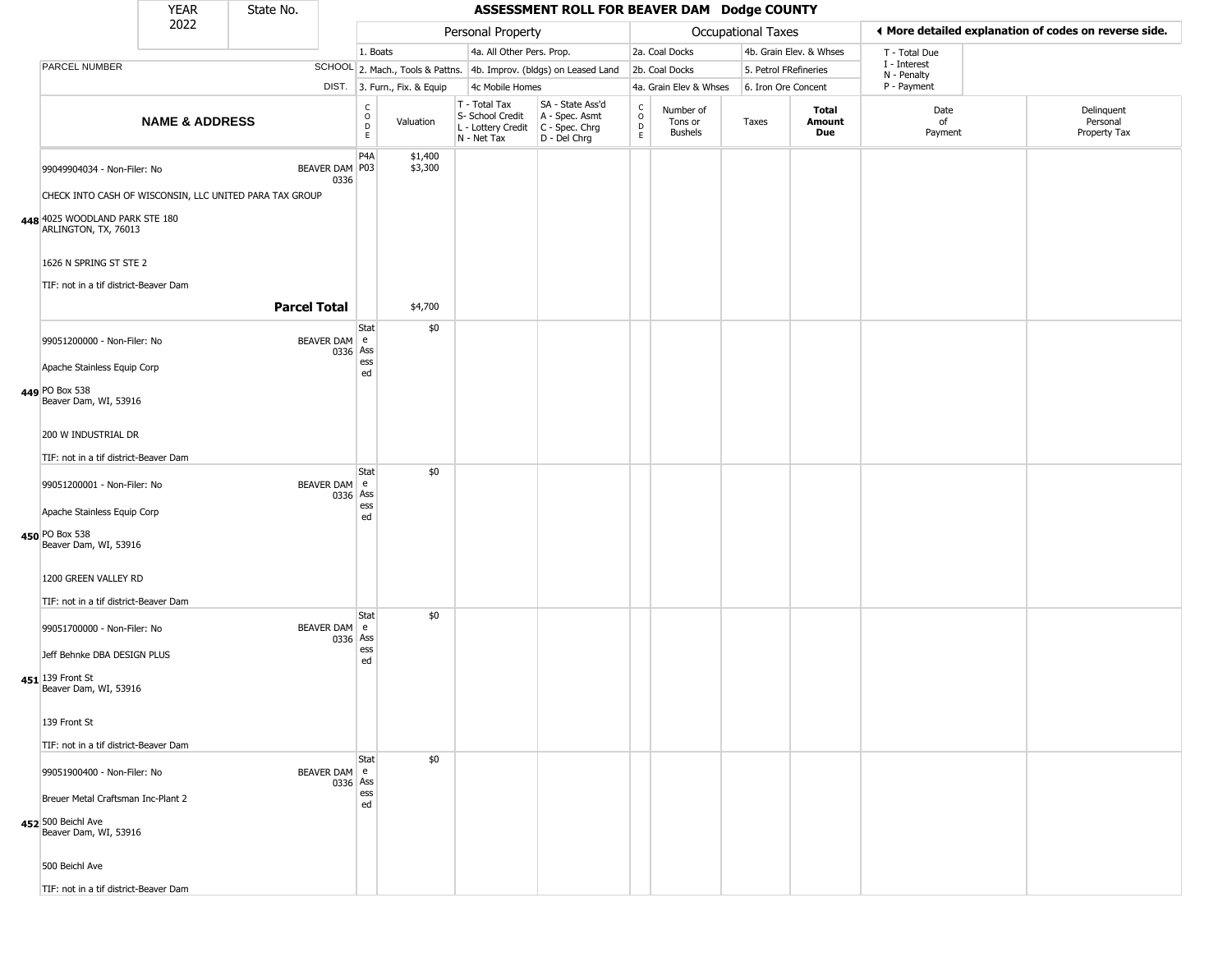|                                                        | <b>YEAR</b>               | State No.                                               |                          |                                              |                              |                                                                                         | ASSESSMENT ROLL FOR BEAVER DAM Dodge COUNTY                         |                        |                                        |                           |                         |                             |                                                       |  |
|--------------------------------------------------------|---------------------------|---------------------------------------------------------|--------------------------|----------------------------------------------|------------------------------|-----------------------------------------------------------------------------------------|---------------------------------------------------------------------|------------------------|----------------------------------------|---------------------------|-------------------------|-----------------------------|-------------------------------------------------------|--|
|                                                        | 2022                      |                                                         |                          |                                              |                              | Personal Property                                                                       |                                                                     |                        |                                        | <b>Occupational Taxes</b> |                         |                             | ◀ More detailed explanation of codes on reverse side. |  |
|                                                        |                           |                                                         |                          | 1. Boats                                     |                              | 4a. All Other Pers. Prop.                                                               |                                                                     |                        | 2a. Coal Docks                         |                           | 4b. Grain Elev. & Whses | T - Total Due               |                                                       |  |
| PARCEL NUMBER                                          |                           |                                                         |                          |                                              |                              |                                                                                         | SCHOOL 2. Mach., Tools & Pattns. 4b. Improv. (bldgs) on Leased Land |                        | 2b. Coal Docks                         | 5. Petrol FRefineries     |                         | I - Interest<br>N - Penalty |                                                       |  |
|                                                        |                           |                                                         |                          |                                              | DIST. 3. Furn., Fix. & Equip | 4c Mobile Homes                                                                         |                                                                     |                        | 4a. Grain Elev & Whses                 | 6. Iron Ore Concent       |                         | P - Payment                 |                                                       |  |
|                                                        | <b>NAME &amp; ADDRESS</b> |                                                         |                          | $\begin{array}{c}\nC \\ O \\ D\n\end{array}$ | Valuation                    | T - Total Tax<br>S- School Credit<br>L - Lottery Credit   C - Spec. Chrg<br>N - Net Tax | SA - State Ass'd<br>A - Spec. Asmt<br>D - Del Chrg                  | C<br>$\circ$<br>D<br>E | Number of<br>Tons or<br><b>Bushels</b> | Taxes                     | Total<br>Amount<br>Due  | Date<br>of<br>Payment       | Delinquent<br>Personal<br>Property Tax                |  |
| 99049904034 - Non-Filer: No                            |                           | BEAVER DAM P03                                          | 0336                     | P <sub>4</sub> A                             | \$1,400<br>\$3,300           |                                                                                         |                                                                     |                        |                                        |                           |                         |                             |                                                       |  |
|                                                        |                           | CHECK INTO CASH OF WISCONSIN, LLC UNITED PARA TAX GROUP |                          |                                              |                              |                                                                                         |                                                                     |                        |                                        |                           |                         |                             |                                                       |  |
| 448 4025 WOODLAND PARK STE 180<br>ARLINGTON, TX, 76013 |                           |                                                         |                          |                                              |                              |                                                                                         |                                                                     |                        |                                        |                           |                         |                             |                                                       |  |
| 1626 N SPRING ST STE 2                                 |                           |                                                         |                          |                                              |                              |                                                                                         |                                                                     |                        |                                        |                           |                         |                             |                                                       |  |
| TIF: not in a tif district-Beaver Dam                  |                           |                                                         |                          |                                              |                              |                                                                                         |                                                                     |                        |                                        |                           |                         |                             |                                                       |  |
|                                                        |                           | <b>Parcel Total</b>                                     |                          |                                              | \$4,700                      |                                                                                         |                                                                     |                        |                                        |                           |                         |                             |                                                       |  |
| 99051200000 - Non-Filer: No                            |                           |                                                         | BEAVER DAM e<br>0336 Ass | Stat                                         | \$0                          |                                                                                         |                                                                     |                        |                                        |                           |                         |                             |                                                       |  |
| Apache Stainless Equip Corp                            |                           |                                                         |                          | ess<br>ed                                    |                              |                                                                                         |                                                                     |                        |                                        |                           |                         |                             |                                                       |  |
| 449 PO Box 538<br>Beaver Dam, WI, 53916                |                           |                                                         |                          |                                              |                              |                                                                                         |                                                                     |                        |                                        |                           |                         |                             |                                                       |  |
| 200 W INDUSTRIAL DR                                    |                           |                                                         |                          |                                              |                              |                                                                                         |                                                                     |                        |                                        |                           |                         |                             |                                                       |  |
| TIF: not in a tif district-Beaver Dam                  |                           |                                                         |                          | Stat                                         | \$0                          |                                                                                         |                                                                     |                        |                                        |                           |                         |                             |                                                       |  |
| 99051200001 - Non-Filer: No                            |                           |                                                         | BEAVER DAM e<br>0336 Ass | ess                                          |                              |                                                                                         |                                                                     |                        |                                        |                           |                         |                             |                                                       |  |
| Apache Stainless Equip Corp                            |                           |                                                         |                          | ed                                           |                              |                                                                                         |                                                                     |                        |                                        |                           |                         |                             |                                                       |  |
| 450 PO Box 538<br>Beaver Dam, WI, 53916                |                           |                                                         |                          |                                              |                              |                                                                                         |                                                                     |                        |                                        |                           |                         |                             |                                                       |  |
| 1200 GREEN VALLEY RD                                   |                           |                                                         |                          |                                              |                              |                                                                                         |                                                                     |                        |                                        |                           |                         |                             |                                                       |  |
| TIF: not in a tif district-Beaver Dam                  |                           |                                                         |                          | Stat                                         | \$0                          |                                                                                         |                                                                     |                        |                                        |                           |                         |                             |                                                       |  |
| 99051700000 - Non-Filer: No                            |                           |                                                         | BEAVER DAM e<br>0336 Ass |                                              |                              |                                                                                         |                                                                     |                        |                                        |                           |                         |                             |                                                       |  |
| Jeff Behnke DBA DESIGN PLUS                            |                           |                                                         |                          | ess<br>ed                                    |                              |                                                                                         |                                                                     |                        |                                        |                           |                         |                             |                                                       |  |
| 451 139 Front St<br>Beaver Dam, WI, 53916              |                           |                                                         |                          |                                              |                              |                                                                                         |                                                                     |                        |                                        |                           |                         |                             |                                                       |  |
| 139 Front St                                           |                           |                                                         |                          |                                              |                              |                                                                                         |                                                                     |                        |                                        |                           |                         |                             |                                                       |  |
| TIF: not in a tif district-Beaver Dam                  |                           |                                                         |                          |                                              |                              |                                                                                         |                                                                     |                        |                                        |                           |                         |                             |                                                       |  |
| 99051900400 - Non-Filer: No                            |                           |                                                         | BEAVER DAM e<br>0336 Ass | Stat                                         | \$0                          |                                                                                         |                                                                     |                        |                                        |                           |                         |                             |                                                       |  |
| Breuer Metal Craftsman Inc-Plant 2                     |                           |                                                         |                          | ess<br>ed                                    |                              |                                                                                         |                                                                     |                        |                                        |                           |                         |                             |                                                       |  |
| 452 500 Beichl Ave<br>Beaver Dam, WI, 53916            |                           |                                                         |                          |                                              |                              |                                                                                         |                                                                     |                        |                                        |                           |                         |                             |                                                       |  |
| 500 Beichl Ave                                         |                           |                                                         |                          |                                              |                              |                                                                                         |                                                                     |                        |                                        |                           |                         |                             |                                                       |  |
| TIF: not in a tif district-Beaver Dam                  |                           |                                                         |                          |                                              |                              |                                                                                         |                                                                     |                        |                                        |                           |                         |                             |                                                       |  |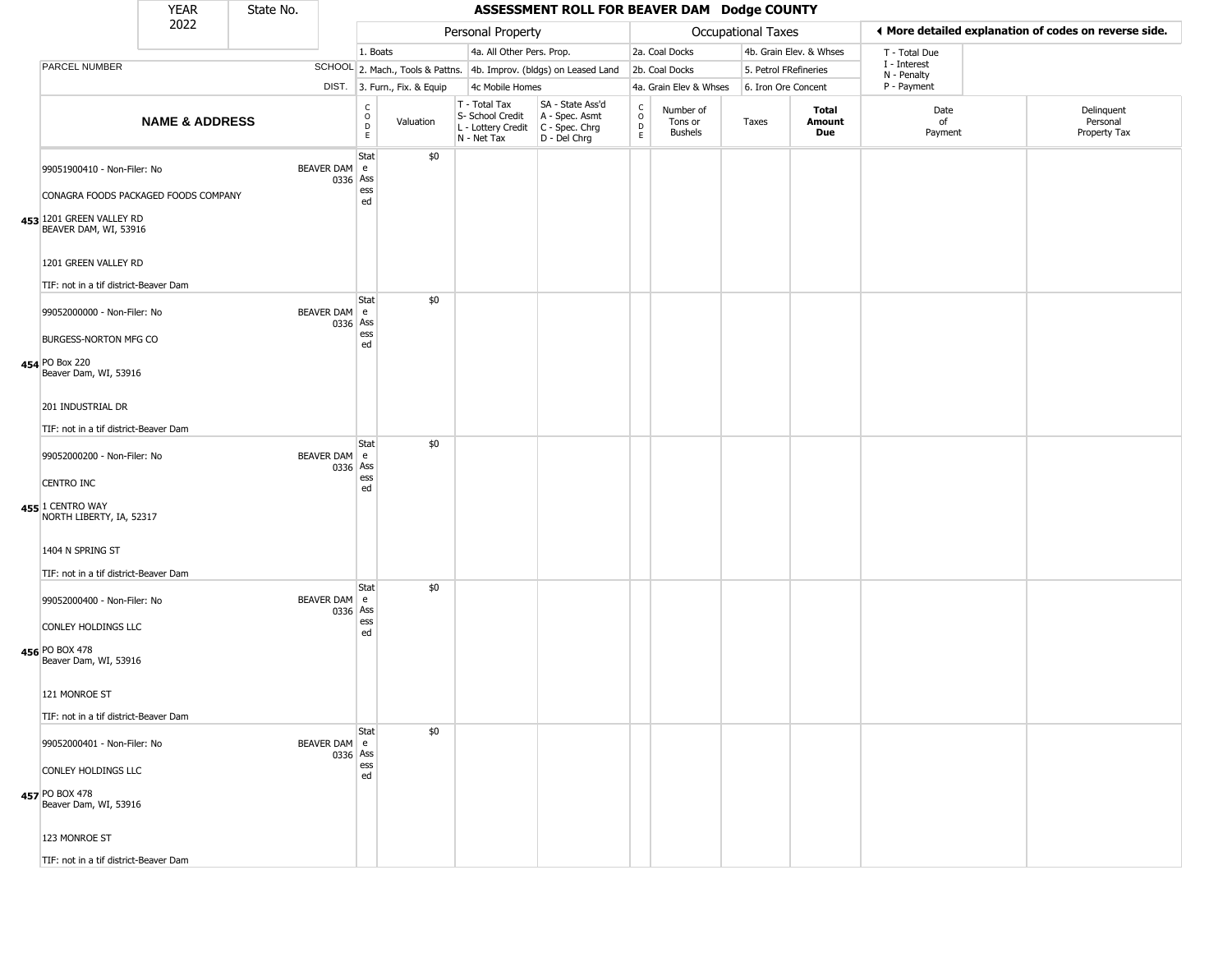|                                                                                           | <b>YEAR</b>               | State No. |                |                                   |                              |                                                                                         | ASSESSMENT ROLL FOR BEAVER DAM Dodge COUNTY                         |                                                          |                                        |                       |                         |                             |                                                       |
|-------------------------------------------------------------------------------------------|---------------------------|-----------|----------------|-----------------------------------|------------------------------|-----------------------------------------------------------------------------------------|---------------------------------------------------------------------|----------------------------------------------------------|----------------------------------------|-----------------------|-------------------------|-----------------------------|-------------------------------------------------------|
|                                                                                           | 2022                      |           |                |                                   |                              | Personal Property                                                                       |                                                                     |                                                          |                                        | Occupational Taxes    |                         |                             | ♦ More detailed explanation of codes on reverse side. |
|                                                                                           |                           |           |                |                                   | 1. Boats                     | 4a. All Other Pers. Prop.                                                               |                                                                     |                                                          | 2a. Coal Docks                         |                       | 4b. Grain Elev. & Whses | T - Total Due               |                                                       |
| PARCEL NUMBER                                                                             |                           |           |                |                                   |                              |                                                                                         | SCHOOL 2. Mach., Tools & Pattns. 4b. Improv. (bldgs) on Leased Land |                                                          | 2b. Coal Docks                         | 5. Petrol FRefineries |                         | I - Interest<br>N - Penalty |                                                       |
|                                                                                           |                           |           |                |                                   | DIST. 3. Furn., Fix. & Equip | 4c Mobile Homes                                                                         |                                                                     |                                                          | 4a. Grain Elev & Whses                 | 6. Iron Ore Concent   |                         | P - Payment                 |                                                       |
|                                                                                           | <b>NAME &amp; ADDRESS</b> |           |                | $\mathsf{C}$<br>$\circ$<br>D<br>E | Valuation                    | T - Total Tax<br>S- School Credit<br>L - Lottery Credit   C - Spec. Chrg<br>N - Net Tax | SA - State Ass'd<br>A - Spec. Asmt<br>D - Del Chrg                  | $\begin{matrix} 0 \\ 0 \\ D \end{matrix}$<br>$\mathsf E$ | Number of<br>Tons or<br><b>Bushels</b> | Taxes                 | Total<br>Amount<br>Due  | Date<br>of<br>Payment       | Delinquent<br>Personal<br>Property Tax                |
| 99051900410 - Non-Filer: No                                                               |                           |           | BEAVER DAM e   | Stat<br>0336 Ass<br>ess           | \$0                          |                                                                                         |                                                                     |                                                          |                                        |                       |                         |                             |                                                       |
| CONAGRA FOODS PACKAGED FOODS COMPANY<br>453 1201 GREEN VALLEY RD<br>BEAVER DAM, WI, 53916 |                           |           |                | ed                                |                              |                                                                                         |                                                                     |                                                          |                                        |                       |                         |                             |                                                       |
| 1201 GREEN VALLEY RD<br>TIF: not in a tif district-Beaver Dam                             |                           |           |                |                                   |                              |                                                                                         |                                                                     |                                                          |                                        |                       |                         |                             |                                                       |
| 99052000000 - Non-Filer: No                                                               |                           |           | BEAVER DAM   e | Stat<br>0336 Ass                  | \$0                          |                                                                                         |                                                                     |                                                          |                                        |                       |                         |                             |                                                       |
| BURGESS-NORTON MFG CO<br>454 PO Box 220<br>Beaver Dam, WI, 53916                          |                           |           |                | ess<br>ed                         |                              |                                                                                         |                                                                     |                                                          |                                        |                       |                         |                             |                                                       |
| 201 INDUSTRIAL DR<br>TIF: not in a tif district-Beaver Dam                                |                           |           |                |                                   |                              |                                                                                         |                                                                     |                                                          |                                        |                       |                         |                             |                                                       |
| 99052000200 - Non-Filer: No                                                               |                           |           | BEAVER DAM e   | Stat                              | \$0                          |                                                                                         |                                                                     |                                                          |                                        |                       |                         |                             |                                                       |
| CENTRO INC                                                                                |                           |           |                | 0336 Ass<br>ess                   |                              |                                                                                         |                                                                     |                                                          |                                        |                       |                         |                             |                                                       |
| 455 1 CENTRO WAY<br>NORTH LIBERTY, IA, 52317                                              |                           |           |                | ed                                |                              |                                                                                         |                                                                     |                                                          |                                        |                       |                         |                             |                                                       |
| 1404 N SPRING ST<br>TIF: not in a tif district-Beaver Dam                                 |                           |           |                |                                   |                              |                                                                                         |                                                                     |                                                          |                                        |                       |                         |                             |                                                       |
| 99052000400 - Non-Filer: No                                                               |                           |           | BEAVER DAM e   | Stat<br>0336 Ass                  | \$0                          |                                                                                         |                                                                     |                                                          |                                        |                       |                         |                             |                                                       |
| CONLEY HOLDINGS LLC<br>456 PO BOX 478                                                     |                           |           |                | ess<br>ed                         |                              |                                                                                         |                                                                     |                                                          |                                        |                       |                         |                             |                                                       |
| Beaver Dam, WI, 53916<br>121 MONROE ST                                                    |                           |           |                |                                   |                              |                                                                                         |                                                                     |                                                          |                                        |                       |                         |                             |                                                       |
|                                                                                           |                           |           |                |                                   |                              |                                                                                         |                                                                     |                                                          |                                        |                       |                         |                             |                                                       |
| TIF: not in a tif district-Beaver Dam                                                     |                           |           |                | Stat                              | \$0                          |                                                                                         |                                                                     |                                                          |                                        |                       |                         |                             |                                                       |
| 99052000401 - Non-Filer: No                                                               |                           |           | BEAVER DAM e   | 0336 Ass<br>ess                   |                              |                                                                                         |                                                                     |                                                          |                                        |                       |                         |                             |                                                       |
| CONLEY HOLDINGS LLC<br>457 PO BOX 478<br>Beaver Dam, WI, 53916                            |                           |           |                | ed                                |                              |                                                                                         |                                                                     |                                                          |                                        |                       |                         |                             |                                                       |
| 123 MONROE ST                                                                             |                           |           |                |                                   |                              |                                                                                         |                                                                     |                                                          |                                        |                       |                         |                             |                                                       |
| TIF: not in a tif district-Beaver Dam                                                     |                           |           |                |                                   |                              |                                                                                         |                                                                     |                                                          |                                        |                       |                         |                             |                                                       |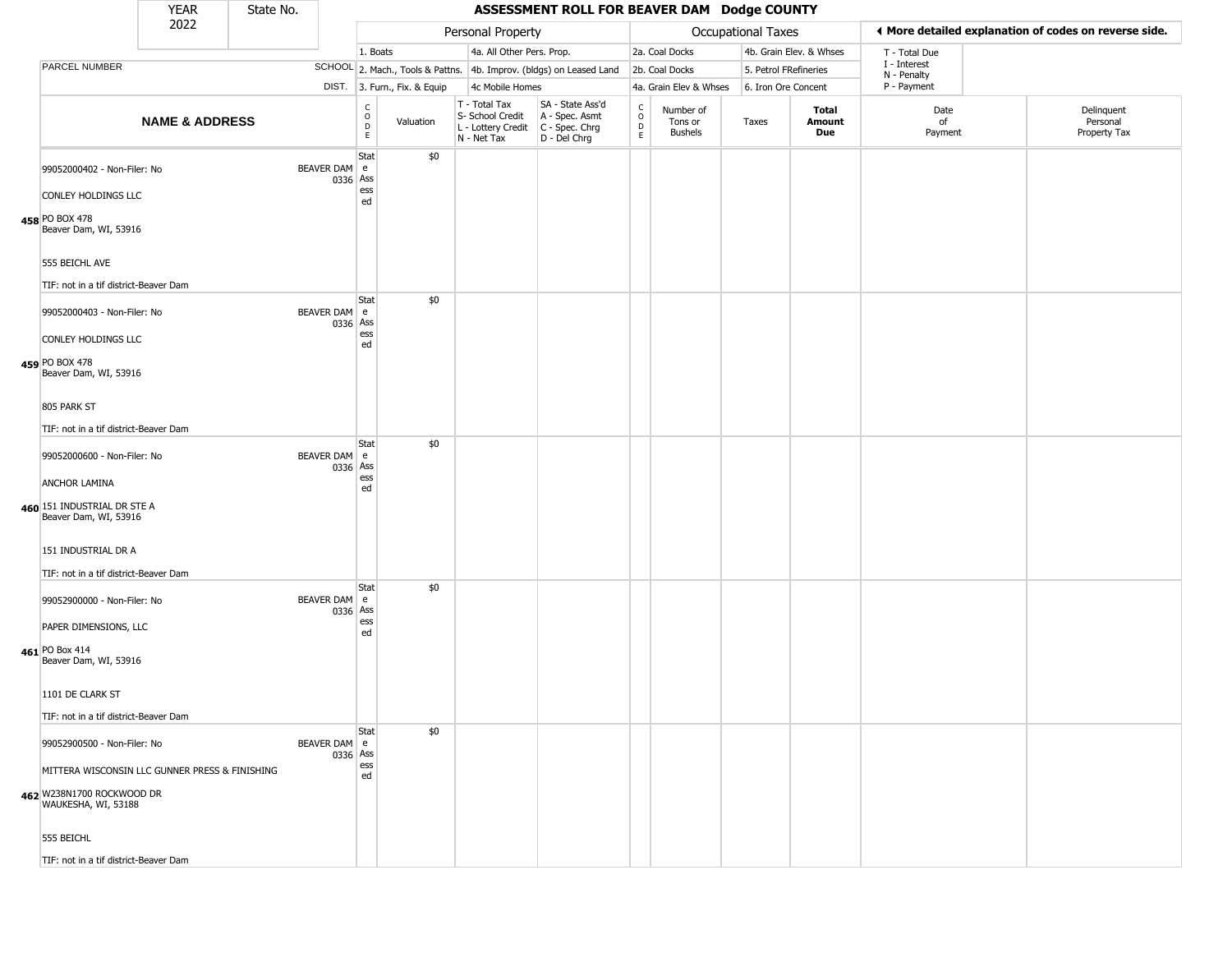|                                                                                                    | <b>YEAR</b>               | State No. |                          |                                          |                              |                                                                        | ASSESSMENT ROLL FOR BEAVER DAM Dodge COUNTY                            |                        |                                        |                       |                         |                             |                                                       |
|----------------------------------------------------------------------------------------------------|---------------------------|-----------|--------------------------|------------------------------------------|------------------------------|------------------------------------------------------------------------|------------------------------------------------------------------------|------------------------|----------------------------------------|-----------------------|-------------------------|-----------------------------|-------------------------------------------------------|
|                                                                                                    | 2022                      |           |                          |                                          |                              | Personal Property                                                      |                                                                        |                        |                                        | Occupational Taxes    |                         |                             | ♦ More detailed explanation of codes on reverse side. |
|                                                                                                    |                           |           |                          | 1. Boats                                 |                              | 4a. All Other Pers. Prop.                                              |                                                                        |                        | 2a. Coal Docks                         |                       | 4b. Grain Elev. & Whses | T - Total Due               |                                                       |
| PARCEL NUMBER                                                                                      |                           |           |                          |                                          |                              |                                                                        | SCHOOL 2. Mach., Tools & Pattns. 4b. Improv. (bldgs) on Leased Land    |                        | 2b. Coal Docks                         | 5. Petrol FRefineries |                         | I - Interest<br>N - Penalty |                                                       |
|                                                                                                    |                           |           |                          |                                          | DIST. 3. Furn., Fix. & Equip | 4c Mobile Homes                                                        |                                                                        |                        | 4a. Grain Elev & Whses                 | 6. Iron Ore Concent   |                         | P - Payment                 |                                                       |
|                                                                                                    | <b>NAME &amp; ADDRESS</b> |           |                          | $\rm _o^C$<br>$\mathsf D$<br>$\mathsf E$ | Valuation                    | T - Total Tax<br>S- School Credit<br>L - Lottery Credit<br>N - Net Tax | SA - State Ass'd<br>A - Spec. Asmt<br>$C - Spec. Chrg$<br>D - Del Chrg | C<br>$\circ$<br>D<br>E | Number of<br>Tons or<br><b>Bushels</b> | Taxes                 | Total<br>Amount<br>Due  | Date<br>of<br>Payment       | Delinquent<br>Personal<br>Property Tax                |
| 99052000402 - Non-Filer: No<br>CONLEY HOLDINGS LLC                                                 |                           |           | BEAVER DAM e<br>0336 Ass | Stat<br>ess<br>ed                        | \$0                          |                                                                        |                                                                        |                        |                                        |                       |                         |                             |                                                       |
| 458 PO BOX 478<br>Beaver Dam, WI, 53916                                                            |                           |           |                          |                                          |                              |                                                                        |                                                                        |                        |                                        |                       |                         |                             |                                                       |
| 555 BEICHL AVE<br>TIF: not in a tif district-Beaver Dam                                            |                           |           |                          |                                          |                              |                                                                        |                                                                        |                        |                                        |                       |                         |                             |                                                       |
| 99052000403 - Non-Filer: No<br>CONLEY HOLDINGS LLC                                                 |                           |           | BEAVER DAM e<br>0336 Ass | Stat<br>ess                              | \$0                          |                                                                        |                                                                        |                        |                                        |                       |                         |                             |                                                       |
| 459 PO BOX 478<br>Beaver Dam, WI, 53916                                                            |                           |           |                          | ed                                       |                              |                                                                        |                                                                        |                        |                                        |                       |                         |                             |                                                       |
| 805 PARK ST<br>TIF: not in a tif district-Beaver Dam                                               |                           |           |                          |                                          |                              |                                                                        |                                                                        |                        |                                        |                       |                         |                             |                                                       |
| 99052000600 - Non-Filer: No                                                                        |                           |           | BEAVER DAM e<br>0336 Ass | Stat<br>ess                              | \$0                          |                                                                        |                                                                        |                        |                                        |                       |                         |                             |                                                       |
| ANCHOR LAMINA<br>460 151 INDUSTRIAL DR STE A<br>Beaver Dam, WI, 53916                              |                           |           |                          | ed                                       |                              |                                                                        |                                                                        |                        |                                        |                       |                         |                             |                                                       |
| 151 INDUSTRIAL DR A<br>TIF: not in a tif district-Beaver Dam                                       |                           |           |                          |                                          |                              |                                                                        |                                                                        |                        |                                        |                       |                         |                             |                                                       |
| 99052900000 - Non-Filer: No                                                                        |                           |           | BEAVER DAM e<br>0336 Ass | Stat                                     | \$0                          |                                                                        |                                                                        |                        |                                        |                       |                         |                             |                                                       |
| PAPER DIMENSIONS, LLC<br>461 PO Box 414<br>Beaver Dam, WI, 53916                                   |                           |           |                          | ess<br>ed                                |                              |                                                                        |                                                                        |                        |                                        |                       |                         |                             |                                                       |
| 1101 DE CLARK ST                                                                                   |                           |           |                          |                                          |                              |                                                                        |                                                                        |                        |                                        |                       |                         |                             |                                                       |
| TIF: not in a tif district-Beaver Dam                                                              |                           |           |                          |                                          |                              |                                                                        |                                                                        |                        |                                        |                       |                         |                             |                                                       |
| 99052900500 - Non-Filer: No                                                                        |                           |           | BEAVER DAM e<br>0336 Ass | Stat                                     | \$0                          |                                                                        |                                                                        |                        |                                        |                       |                         |                             |                                                       |
| MITTERA WISCONSIN LLC GUNNER PRESS & FINISHING<br>462 W238N1700 ROCKWOOD DR<br>WAUKESHA, WI, 53188 |                           |           |                          | ess<br>ed                                |                              |                                                                        |                                                                        |                        |                                        |                       |                         |                             |                                                       |
| 555 BEICHL                                                                                         |                           |           |                          |                                          |                              |                                                                        |                                                                        |                        |                                        |                       |                         |                             |                                                       |
| TIF: not in a tif district-Beaver Dam                                                              |                           |           |                          |                                          |                              |                                                                        |                                                                        |                        |                                        |                       |                         |                             |                                                       |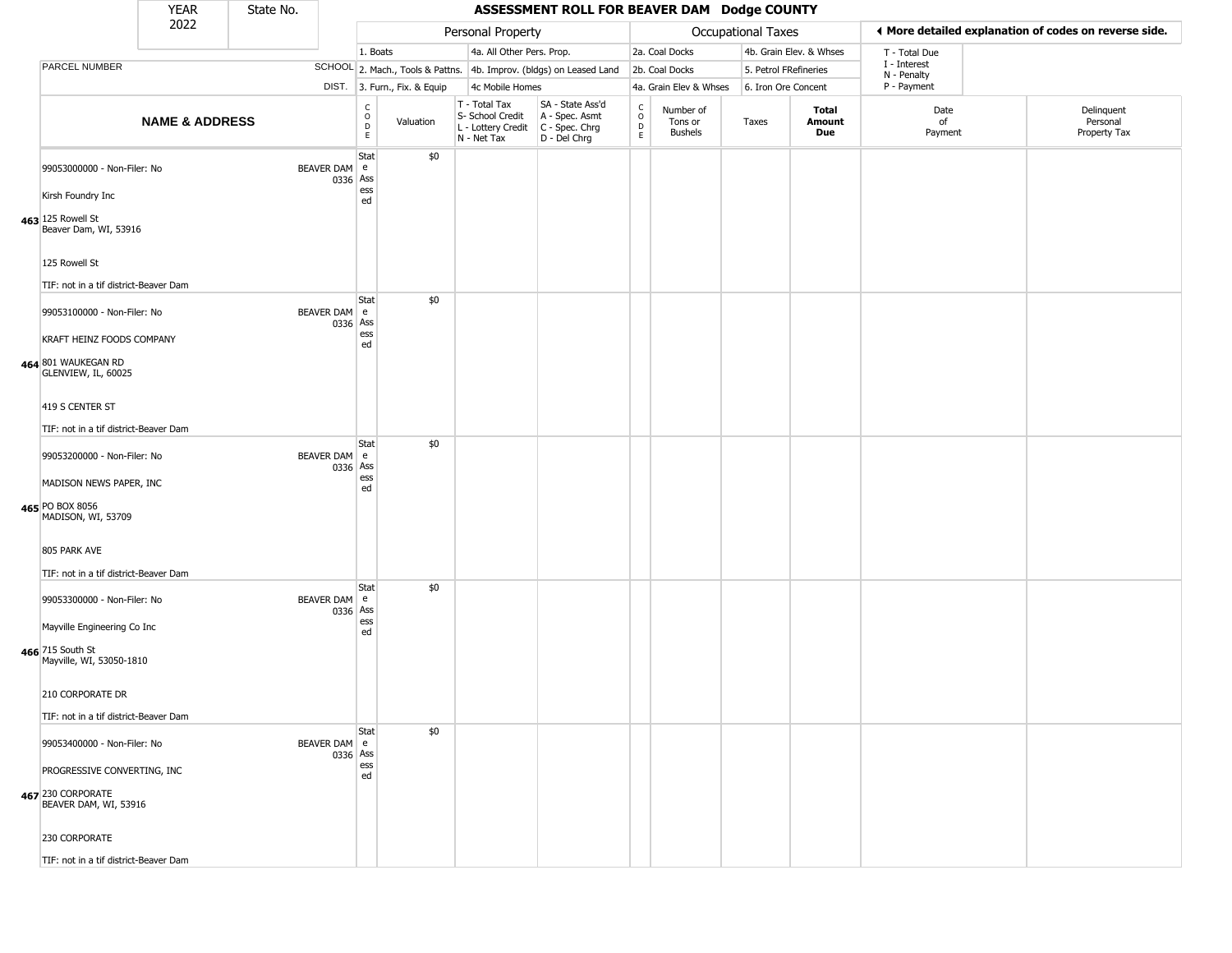|                                                                             | <b>YEAR</b>               | State No. |                          | ASSESSMENT ROLL FOR BEAVER DAM Dodge COUNTY     |                              |                                                                        |                                                                      |                                                 |                                        |                       |                         |                             |  |                                                       |
|-----------------------------------------------------------------------------|---------------------------|-----------|--------------------------|-------------------------------------------------|------------------------------|------------------------------------------------------------------------|----------------------------------------------------------------------|-------------------------------------------------|----------------------------------------|-----------------------|-------------------------|-----------------------------|--|-------------------------------------------------------|
|                                                                             | 2022                      |           |                          |                                                 |                              | Personal Property                                                      |                                                                      |                                                 |                                        | Occupational Taxes    |                         |                             |  | ◀ More detailed explanation of codes on reverse side. |
|                                                                             |                           |           |                          | 1. Boats                                        |                              | 4a. All Other Pers. Prop.                                              |                                                                      |                                                 | 2a. Coal Docks                         |                       | 4b. Grain Elev. & Whses | T - Total Due               |  |                                                       |
| PARCEL NUMBER                                                               |                           |           |                          |                                                 |                              |                                                                        | SCHOOL 2. Mach., Tools & Pattns. 4b. Improv. (bldgs) on Leased Land  |                                                 | 2b. Coal Docks                         | 5. Petrol FRefineries |                         | I - Interest<br>N - Penalty |  |                                                       |
|                                                                             |                           |           |                          |                                                 | DIST. 3. Furn., Fix. & Equip | 4c Mobile Homes                                                        |                                                                      |                                                 | 4a. Grain Elev & Whses                 | 6. Iron Ore Concent   |                         | P - Payment                 |  |                                                       |
|                                                                             | <b>NAME &amp; ADDRESS</b> |           |                          | $\begin{matrix} 0 \\ 0 \\ 0 \end{matrix}$<br>E. | Valuation                    | T - Total Tax<br>S- School Credit<br>L - Lottery Credit<br>N - Net Tax | SA - State Ass'd<br>A - Spec. Asmt<br>C - Spec. Chrg<br>D - Del Chrg | $\begin{array}{c} C \\ O \\ D \\ E \end{array}$ | Number of<br>Tons or<br><b>Bushels</b> | Taxes                 | Total<br>Amount<br>Due  | Date<br>of<br>Payment       |  | Delinquent<br>Personal<br>Property Tax                |
| 99053000000 - Non-Filer: No<br>Kirsh Foundry Inc                            |                           |           | BEAVER DAM e<br>0336 Ass | Stat<br>ess                                     | \$0                          |                                                                        |                                                                      |                                                 |                                        |                       |                         |                             |  |                                                       |
| 463 125 Rowell St<br>Beaver Dam, WI, 53916                                  |                           |           |                          | ed                                              |                              |                                                                        |                                                                      |                                                 |                                        |                       |                         |                             |  |                                                       |
| 125 Rowell St<br>TIF: not in a tif district-Beaver Dam                      |                           |           |                          |                                                 |                              |                                                                        |                                                                      |                                                 |                                        |                       |                         |                             |  |                                                       |
| 99053100000 - Non-Filer: No                                                 |                           |           | BEAVER DAM e<br>0336 Ass | Stat<br>ess                                     | \$0                          |                                                                        |                                                                      |                                                 |                                        |                       |                         |                             |  |                                                       |
| KRAFT HEINZ FOODS COMPANY<br>464 801 WAUKEGAN RD<br>GLENVIEW, IL, 60025     |                           |           |                          | ed                                              |                              |                                                                        |                                                                      |                                                 |                                        |                       |                         |                             |  |                                                       |
| 419 S CENTER ST<br>TIF: not in a tif district-Beaver Dam                    |                           |           |                          |                                                 |                              |                                                                        |                                                                      |                                                 |                                        |                       |                         |                             |  |                                                       |
| 99053200000 - Non-Filer: No                                                 |                           |           | BEAVER DAM e<br>0336 Ass | Stat                                            | \$0                          |                                                                        |                                                                      |                                                 |                                        |                       |                         |                             |  |                                                       |
| MADISON NEWS PAPER, INC<br>465 PO BOX 8056<br>MADISON, WI, 53709            |                           |           |                          | ess<br>ed                                       |                              |                                                                        |                                                                      |                                                 |                                        |                       |                         |                             |  |                                                       |
| 805 PARK AVE<br>TIF: not in a tif district-Beaver Dam                       |                           |           |                          |                                                 |                              |                                                                        |                                                                      |                                                 |                                        |                       |                         |                             |  |                                                       |
| 99053300000 - Non-Filer: No                                                 |                           |           | BEAVER DAM e<br>0336 Ass | Stat                                            | \$0                          |                                                                        |                                                                      |                                                 |                                        |                       |                         |                             |  |                                                       |
| Mayville Engineering Co Inc<br>466 715 South St<br>Mayville, WI, 53050-1810 |                           |           |                          | ess<br>ed                                       |                              |                                                                        |                                                                      |                                                 |                                        |                       |                         |                             |  |                                                       |
| 210 CORPORATE DR                                                            |                           |           |                          |                                                 |                              |                                                                        |                                                                      |                                                 |                                        |                       |                         |                             |  |                                                       |
| TIF: not in a tif district-Beaver Dam                                       |                           |           |                          | Stat                                            | \$0                          |                                                                        |                                                                      |                                                 |                                        |                       |                         |                             |  |                                                       |
| 99053400000 - Non-Filer: No                                                 |                           |           | BEAVER DAM e<br>0336 Ass | ess                                             |                              |                                                                        |                                                                      |                                                 |                                        |                       |                         |                             |  |                                                       |
| PROGRESSIVE CONVERTING, INC<br>467 230 CORPORATE<br>BEAVER DAM, WI, 53916   |                           |           |                          | ed                                              |                              |                                                                        |                                                                      |                                                 |                                        |                       |                         |                             |  |                                                       |
| 230 CORPORATE                                                               |                           |           |                          |                                                 |                              |                                                                        |                                                                      |                                                 |                                        |                       |                         |                             |  |                                                       |
| TIF: not in a tif district-Beaver Dam                                       |                           |           |                          |                                                 |                              |                                                                        |                                                                      |                                                 |                                        |                       |                         |                             |  |                                                       |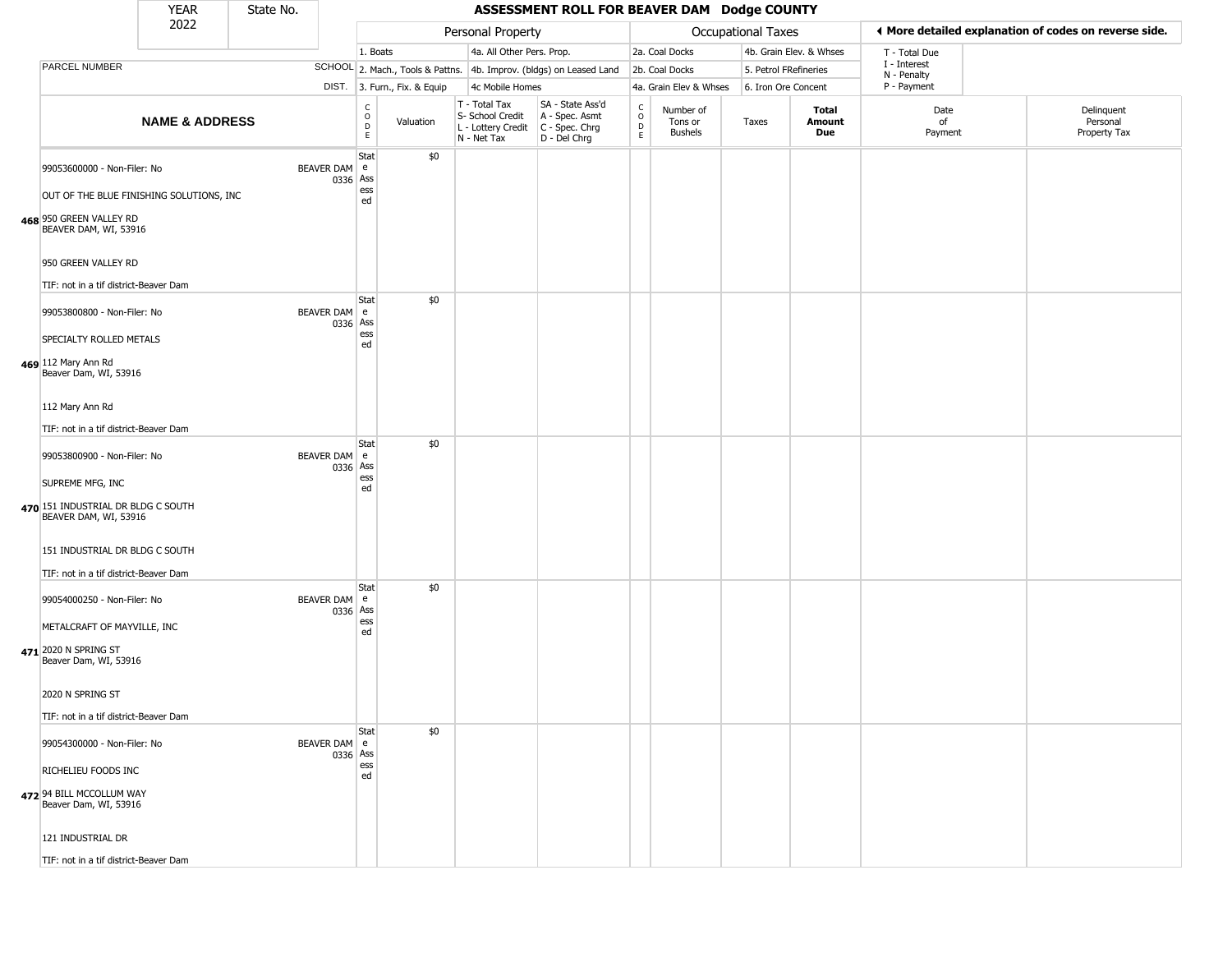|                                                                                                                             | <b>YEAR</b>               | State No. |                          | ASSESSMENT ROLL FOR BEAVER DAM Dodge COUNTY    |                              |                                                                        |                                                                      |                                        |                                        |                       |                         |                             |                                                       |
|-----------------------------------------------------------------------------------------------------------------------------|---------------------------|-----------|--------------------------|------------------------------------------------|------------------------------|------------------------------------------------------------------------|----------------------------------------------------------------------|----------------------------------------|----------------------------------------|-----------------------|-------------------------|-----------------------------|-------------------------------------------------------|
|                                                                                                                             | 2022                      |           |                          |                                                |                              | Personal Property                                                      |                                                                      |                                        |                                        | Occupational Taxes    |                         |                             | ♦ More detailed explanation of codes on reverse side. |
|                                                                                                                             |                           |           |                          | 1. Boats                                       |                              | 4a. All Other Pers. Prop.                                              |                                                                      |                                        | 2a. Coal Docks                         |                       | 4b. Grain Elev. & Whses | T - Total Due               |                                                       |
| PARCEL NUMBER                                                                                                               |                           |           |                          |                                                |                              |                                                                        | SCHOOL 2. Mach., Tools & Pattns. 4b. Improv. (bldgs) on Leased Land  |                                        | 2b. Coal Docks                         | 5. Petrol FRefineries |                         | I - Interest<br>N - Penalty |                                                       |
|                                                                                                                             |                           |           |                          |                                                | DIST. 3. Furn., Fix. & Equip | 4c Mobile Homes                                                        |                                                                      |                                        | 4a. Grain Elev & Whses                 | 6. Iron Ore Concent   |                         | P - Payment                 |                                                       |
|                                                                                                                             | <b>NAME &amp; ADDRESS</b> |           |                          | C<br>$\mathsf O$<br>$\mathsf D$<br>$\mathsf E$ | Valuation                    | T - Total Tax<br>S- School Credit<br>L - Lottery Credit<br>N - Net Tax | SA - State Ass'd<br>A - Spec. Asmt<br>C - Spec. Chrg<br>D - Del Chrg | $\rm_{o}^{\rm c}$<br>$\mathsf{D}$<br>E | Number of<br>Tons or<br><b>Bushels</b> | Taxes                 | Total<br>Amount<br>Due  | Date<br>of<br>Payment       | Delinquent<br>Personal<br>Property Tax                |
| 99053600000 - Non-Filer: No<br>OUT OF THE BLUE FINISHING SOLUTIONS, INC<br>468 950 GREEN VALLEY RD<br>BEAVER DAM, WI, 53916 |                           |           | BEAVER DAM e<br>0336 Ass | Stat<br>ess<br>ed                              | \$0                          |                                                                        |                                                                      |                                        |                                        |                       |                         |                             |                                                       |
| 950 GREEN VALLEY RD<br>TIF: not in a tif district-Beaver Dam                                                                |                           |           |                          |                                                |                              |                                                                        |                                                                      |                                        |                                        |                       |                         |                             |                                                       |
| 99053800800 - Non-Filer: No<br>SPECIALTY ROLLED METALS<br>469 112 Mary Ann Rd<br>Beaver Dam, WI, 53916                      |                           |           | BEAVER DAM e<br>0336 Ass | <b>Stat</b><br>ess<br>ed                       | \$0                          |                                                                        |                                                                      |                                        |                                        |                       |                         |                             |                                                       |
| 112 Mary Ann Rd<br>TIF: not in a tif district-Beaver Dam                                                                    |                           |           |                          | Stat                                           | \$0                          |                                                                        |                                                                      |                                        |                                        |                       |                         |                             |                                                       |
| 99053800900 - Non-Filer: No<br>SUPREME MFG, INC<br>470 151 INDUSTRIAL DR BLDG C SOUTH<br>BEAVER DAM, WI, 53916              |                           |           | BEAVER DAM e<br>0336 Ass | ess<br>ed                                      |                              |                                                                        |                                                                      |                                        |                                        |                       |                         |                             |                                                       |
| 151 INDUSTRIAL DR BLDG C SOUTH<br>TIF: not in a tif district-Beaver Dam                                                     |                           |           |                          |                                                |                              |                                                                        |                                                                      |                                        |                                        |                       |                         |                             |                                                       |
| 99054000250 - Non-Filer: No<br>METALCRAFT OF MAYVILLE, INC<br>471 2020 N SPRING ST                                          |                           |           | BEAVER DAM e<br>0336 Ass | Stat<br>ess<br>ed                              | \$0                          |                                                                        |                                                                      |                                        |                                        |                       |                         |                             |                                                       |
| Beaver Dam, WI, 53916<br>2020 N SPRING ST<br>TIF: not in a tif district-Beaver Dam                                          |                           |           |                          |                                                |                              |                                                                        |                                                                      |                                        |                                        |                       |                         |                             |                                                       |
| 99054300000 - Non-Filer: No                                                                                                 |                           |           | BEAVER DAM e<br>0336 Ass | Stat                                           | \$0                          |                                                                        |                                                                      |                                        |                                        |                       |                         |                             |                                                       |
| RICHELIEU FOODS INC<br>472 94 BILL MCCOLLUM WAY<br>Beaver Dam, WI, 53916                                                    |                           |           |                          | ess<br>ed                                      |                              |                                                                        |                                                                      |                                        |                                        |                       |                         |                             |                                                       |
| 121 INDUSTRIAL DR                                                                                                           |                           |           |                          |                                                |                              |                                                                        |                                                                      |                                        |                                        |                       |                         |                             |                                                       |
| TIF: not in a tif district-Beaver Dam                                                                                       |                           |           |                          |                                                |                              |                                                                        |                                                                      |                                        |                                        |                       |                         |                             |                                                       |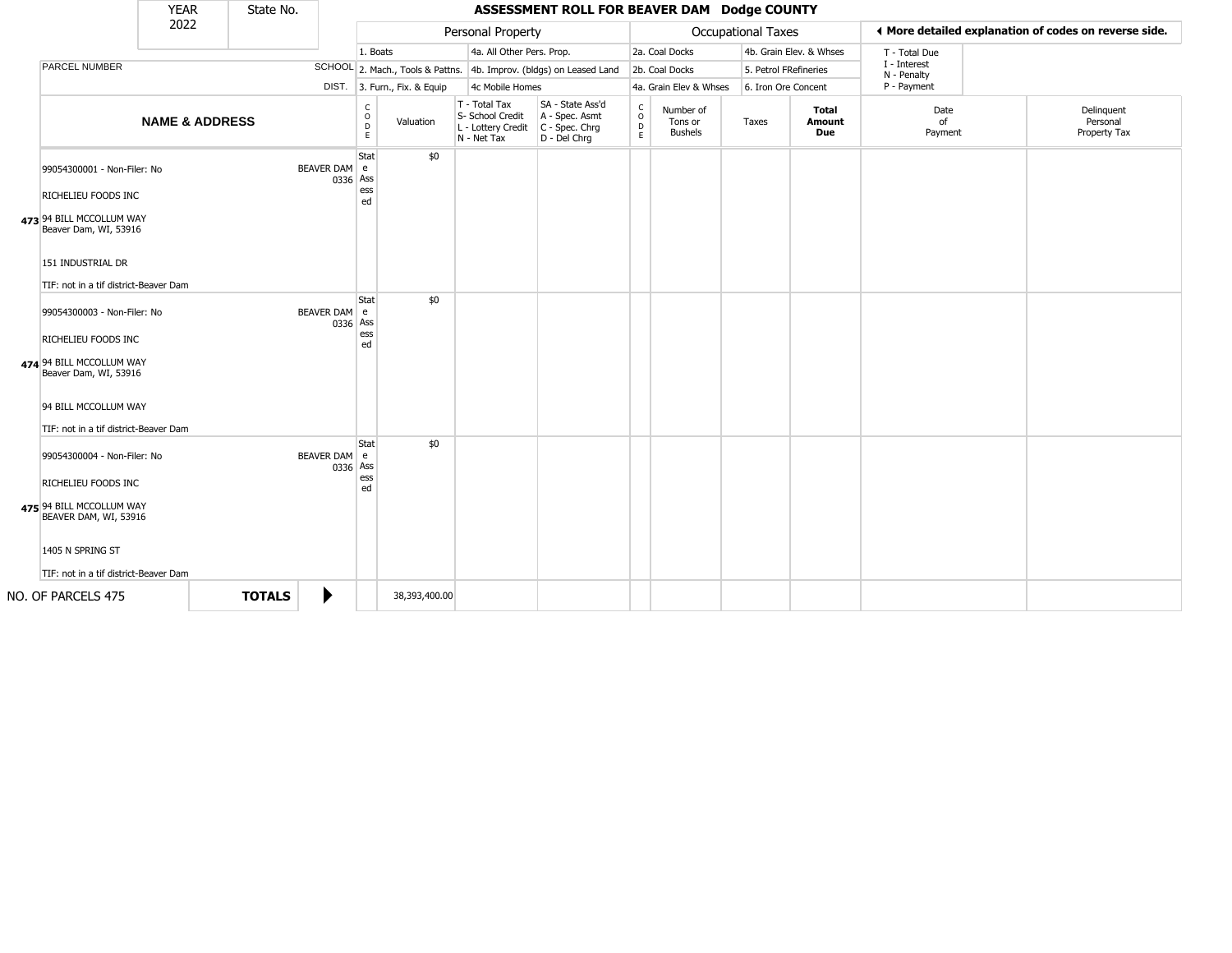|                                                                        | <b>YEAR</b>               | State No.     |                          |                              |               |                                                                        | ASSESSMENT ROLL FOR BEAVER DAM Dodge COUNTY                          |                                        |                                        |       |                         |                             |                                                       |
|------------------------------------------------------------------------|---------------------------|---------------|--------------------------|------------------------------|---------------|------------------------------------------------------------------------|----------------------------------------------------------------------|----------------------------------------|----------------------------------------|-------|-------------------------|-----------------------------|-------------------------------------------------------|
|                                                                        | 2022                      |               |                          |                              |               | Personal Property                                                      |                                                                      |                                        | Occupational Taxes                     |       |                         |                             | 4 More detailed explanation of codes on reverse side. |
|                                                                        |                           |               |                          | 1. Boats                     |               | 4a. All Other Pers. Prop.                                              |                                                                      |                                        | 2a. Coal Docks                         |       | 4b. Grain Elev. & Whses | T - Total Due               |                                                       |
| PARCEL NUMBER                                                          |                           |               |                          |                              |               |                                                                        | SCHOOL 2. Mach., Tools & Pattns. 4b. Improv. (bldgs) on Leased Land  |                                        | 2b. Coal Docks                         |       | 5. Petrol FRefineries   | I - Interest<br>N - Penalty |                                                       |
|                                                                        |                           |               |                          | DIST. 3. Furn., Fix. & Equip |               |                                                                        | 4c Mobile Homes                                                      |                                        | 4a. Grain Elev & Whses                 |       | 6. Iron Ore Concent     | P - Payment                 |                                                       |
|                                                                        | <b>NAME &amp; ADDRESS</b> |               |                          | C<br>$\circ$<br>D<br>E       | Valuation     | T - Total Tax<br>S- School Credit<br>L - Lottery Credit<br>N - Net Tax | SA - State Ass'd<br>A - Spec. Asmt<br>C - Spec. Chrg<br>D - Del Chrg | $_{\rm o}^{\rm c}$<br>$\mathsf D$<br>E | Number of<br>Tons or<br><b>Bushels</b> | Taxes | Total<br>Amount<br>Due  | Date<br>of<br>Payment       | Delinquent<br>Personal<br>Property Tax                |
| 99054300001 - Non-Filer: No<br>RICHELIEU FOODS INC                     |                           |               | BEAVER DAM e<br>0336     | Stat<br>Ass<br>ess<br>ed     | \$0           |                                                                        |                                                                      |                                        |                                        |       |                         |                             |                                                       |
| 473 94 BILL MCCOLLUM WAY<br>Beaver Dam, WI, 53916<br>151 INDUSTRIAL DR |                           |               |                          |                              |               |                                                                        |                                                                      |                                        |                                        |       |                         |                             |                                                       |
|                                                                        |                           |               |                          |                              |               |                                                                        |                                                                      |                                        |                                        |       |                         |                             |                                                       |
| TIF: not in a tif district-Beaver Dam                                  |                           |               |                          | Stat                         | \$0           |                                                                        |                                                                      |                                        |                                        |       |                         |                             |                                                       |
| 99054300003 - Non-Filer: No<br>RICHELIEU FOODS INC                     |                           |               | BEAVER DAM e<br>0336 Ass | ess                          |               |                                                                        |                                                                      |                                        |                                        |       |                         |                             |                                                       |
| 474 94 BILL MCCOLLUM WAY<br>Beaver Dam, WI, 53916                      |                           |               |                          | ed                           |               |                                                                        |                                                                      |                                        |                                        |       |                         |                             |                                                       |
| 94 BILL MCCOLLUM WAY                                                   |                           |               |                          |                              |               |                                                                        |                                                                      |                                        |                                        |       |                         |                             |                                                       |
| TIF: not in a tif district-Beaver Dam                                  |                           |               |                          | Stat                         | \$0           |                                                                        |                                                                      |                                        |                                        |       |                         |                             |                                                       |
| 99054300004 - Non-Filer: No                                            |                           |               | BEAVER DAM e<br>0336 Ass |                              |               |                                                                        |                                                                      |                                        |                                        |       |                         |                             |                                                       |
| RICHELIEU FOODS INC                                                    |                           |               |                          | ess<br>ed                    |               |                                                                        |                                                                      |                                        |                                        |       |                         |                             |                                                       |
| 475 94 BILL MCCOLLUM WAY<br>BEAVER DAM, WI, 53916                      |                           |               |                          |                              |               |                                                                        |                                                                      |                                        |                                        |       |                         |                             |                                                       |
| 1405 N SPRING ST                                                       |                           |               |                          |                              |               |                                                                        |                                                                      |                                        |                                        |       |                         |                             |                                                       |
| TIF: not in a tif district-Beaver Dam                                  |                           |               |                          |                              |               |                                                                        |                                                                      |                                        |                                        |       |                         |                             |                                                       |
| NO. OF PARCELS 475                                                     |                           | <b>TOTALS</b> | ▶                        |                              | 38,393,400.00 |                                                                        |                                                                      |                                        |                                        |       |                         |                             |                                                       |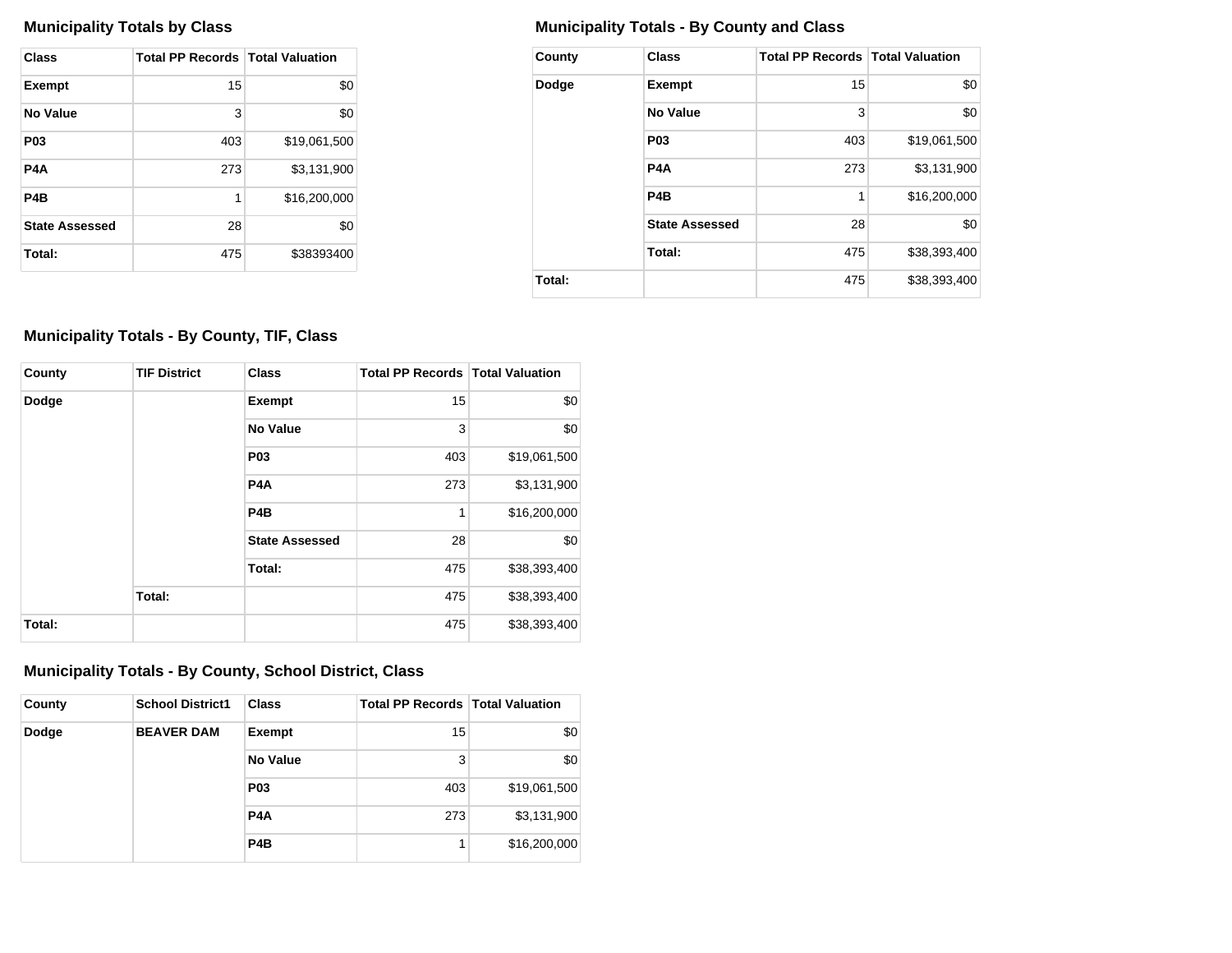| <b>Class</b>          | <b>Total PP Records   Total Valuation</b> |              |
|-----------------------|-------------------------------------------|--------------|
| <b>Exempt</b>         | 15                                        | \$0          |
| No Value              | 3                                         | \$0          |
| P <sub>0</sub> 3      | 403                                       | \$19,061,500 |
| P4A                   | 273                                       | \$3,131,900  |
| P4B                   | 1                                         | \$16,200,000 |
| <b>State Assessed</b> | 28                                        | \$0          |
| Total:                | 475                                       | \$38393400   |

## **Municipality Totals by Class Municipality Totals - By County and Class**

| County | <b>Class</b>          | <b>Total PP Records   Total Valuation</b> |              |
|--------|-----------------------|-------------------------------------------|--------------|
| Dodge  | <b>Exempt</b>         | 15                                        | \$0          |
|        | No Value              | 3                                         | \$0          |
|        | P <sub>0</sub> 3      | 403                                       | \$19,061,500 |
|        | P <sub>4</sub> A      | 273                                       | \$3,131,900  |
|        | P <sub>4</sub> B      | 1                                         | \$16,200,000 |
|        | <b>State Assessed</b> | 28                                        | \$0          |
|        | Total:                | 475                                       | \$38,393,400 |
| Total: |                       | 475                                       | \$38,393,400 |

## **Municipality Totals - By County, TIF, Class**

| County | <b>TIF District</b> | <b>Class</b>          | <b>Total PP Records   Total Valuation</b> |              |
|--------|---------------------|-----------------------|-------------------------------------------|--------------|
| Dodge  |                     | <b>Exempt</b>         | 15                                        | \$0          |
|        |                     | No Value              | 3                                         | \$0          |
|        |                     | <b>P03</b>            | 403                                       | \$19,061,500 |
|        |                     | P <sub>4</sub> A      | 273                                       | \$3,131,900  |
|        |                     | P <sub>4</sub> B      | 1                                         | \$16,200,000 |
|        |                     | <b>State Assessed</b> | 28                                        | \$0          |
|        |                     | Total:                | 475                                       | \$38,393,400 |
|        | Total:              |                       | 475                                       | \$38,393,400 |
| Total: |                     |                       | 475                                       | \$38,393,400 |

## **Municipality Totals - By County, School District, Class**

| County | <b>School District1</b> | <b>Class</b>     | <b>Total PP Records   Total Valuation</b> |              |
|--------|-------------------------|------------------|-------------------------------------------|--------------|
| Dodge  | <b>BEAVER DAM</b>       | Exempt           | 15                                        | \$0          |
|        |                         | No Value         | 3                                         | \$0          |
|        |                         | <b>P03</b>       | 403                                       | \$19,061,500 |
|        |                         | P <sub>4</sub> A | 273                                       | \$3,131,900  |
|        |                         | P <sub>4</sub> B | 1                                         | \$16,200,000 |